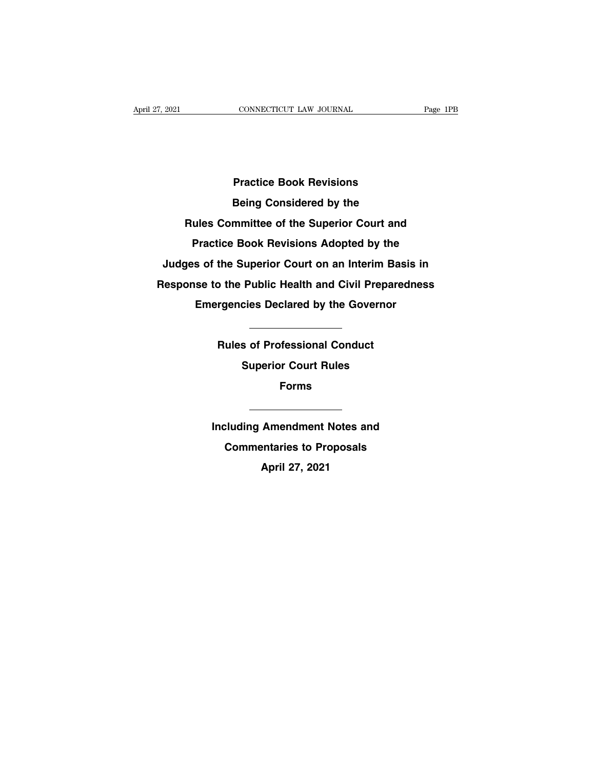**Practice Book Revisions Practice Book Revisions<br>Being Considered by the<br>Rules Committee of the Superior Court and Practice Book Revisions<br>
Being Considered by the<br>
Rules Committee of the Superior Court and<br>
Practice Book Revisions Adopted by the Practice Book Revisions Adopted by the<br>Judges of the Superior Court on an Interim Basis in Judities Book Heristichs**<br> **Judges Committee of the Superior Court and<br>
Practice Book Revisions Adopted by the<br>
Judges of the Superior Court on an Interim Basis in<br>
Response to the Public Health and Civil Preparedness Rules Committee of the Superior Court and<br>Practice Book Revisions Adopted by the<br>Judges of the Superior Court on an Interim Basis in<br>Response to the Public Health and Civil Preparedness<br>Emergencies Declared by the Governo** Practice Book Revisions Adopted by the<br>
s of the Superior Court on an Interim Basis in<br>
se to the Public Health and Civil Preparedness<br>
Emergencies Declared by the Governor **Rules of Professional Conduct Superior Count on an internal Data**<br> **Rules of Professional Conduct Superior Court Rules** 

Emergencies Declared by the Governor<br>
Nules of Professional Conduct<br>
Superior Court Rules **Forms Including Amendment Notes and<br>
Commentaries to Proposals** 

**Commentaries**<br> **Commentaries to Proposals<br>
April 27, 2021 Including Amendment Notes and<br>Commentaries to Proposals<br>April 27, 2021**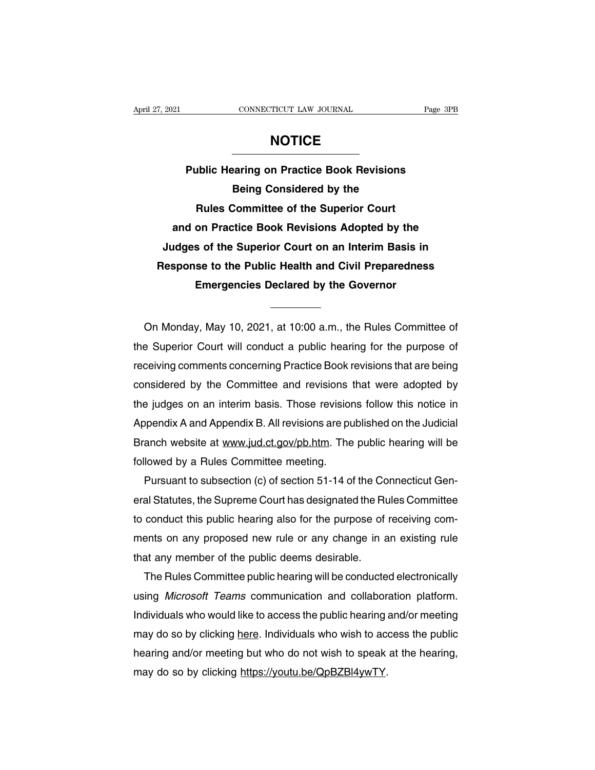**Page 3PB**<br> **Public Hearing on Practice Book Revisions<br>
Being Considered by the BEINGTHE CONNECTICLE**<br>
Paring on Practice Book Revisions<br>
Being Considered by the<br>
Committee of the Superior Court **Rules Committee Superior Committee of the Superior Court**<br>
Rules Committee of the Superior Court<br>
Practice Book Revisions Adopted by the **Public Hearing on Practice Book Revisions<br>
Being Considered by the<br>
Rules Committee of the Superior Court<br>
and on Practice Book Revisions Adopted by the<br>
Idges of the Superior Court on an Interim Basis in** Public Hearing on Practice Book Revisions<br>Being Considered by the<br>Rules Committee of the Superior Court<br>and on Practice Book Revisions Adopted by the<br>Judges of the Superior Court on an Interim Basis in<br>lesponse to the Publ **Rules Committee of the Superior Court**<br>
and on Practice Book Revisions Adopted by the<br>
Judges of the Superior Court on an Interim Basis in<br>
Response to the Public Health and Civil Preparedness<br>
Emergencies Declared by the **Example Scheme Inter Superior Court**<br>
on Practice Book Revisions Adopted by the<br>
s of the Superior Court on an Interim Basis in<br>
se to the Public Health and Civil Preparedness<br>
Emergencies Declared by the Governor<br>
—————— Response to the Public Health and Civil Preparedness<br>
Emergencies Declared by the Governor<br>
On Monday, May 10, 2021, at 10:00 a.m., the Rules Committee of<br>
Superior Court will conduct a public hearing for the purpose of

Emergencies Declared by the Governor<br>
On Monday, May 10, 2021, at 10:00 a.m., the Rules Committee of<br>
the Superior Court will conduct a public hearing for the purpose of<br>
receiving comments concerning Practice Book revisio On Monday, May 10, 2021, at 10:00 a.m., the Rules Committee of<br>the Superior Court will conduct a public hearing for the purpose of<br>receiving comments concerning Practice Book revisions that are being<br>considered by the Comm On Monday, May 10, 2021, at 10:00 a.m., the Rules Committee of<br>the Superior Court will conduct a public hearing for the purpose of<br>receiving comments concerning Practice Book revisions that are being<br>considered by the Comm On Monday, May 10, 2021, at 10:00 a.m., the Rules Committee of<br>the Superior Court will conduct a public hearing for the purpose of<br>receiving comments concerning Practice Book revisions that are being<br>considered by the Comm the Superior Court will conduct a public hearing for the purpose of<br>receiving comments concerning Practice Book revisions that are being<br>considered by the Committee and revisions that were adopted by<br>the judges on an inter receiving comments concerning Practice Book revisions that are being<br>considered by the Committee and revisions that were adopted by<br>the judges on an interim basis. Those revisions follow this notice in<br>Appendix A and Appen considered by the Committee and revisions<br>the judges on an interim basis. Those revision<br>Appendix A and Appendix B. All revisions are pu<br>Branch website at www.jud.ct.gov/pb.htm. The<br>followed by a Rules Committee meeting.<br>P the judges on an interim basis. Those revisions follow this notice in<br>Appendix A and Appendix B. All revisions are published on the Judicial<br>Branch website at www.jud.ct.gov/pb.htm. The public hearing will be<br>followed by a

Appendix A and Appendix B. All revisions are published on the Judicial<br>Branch website at www.jud.ct.gov/pb.htm. The public hearing will be<br>followed by a Rules Committee meeting.<br>Pursuant to subsection (c) of section 51-14 Branch website at www.jud.ct.gov/pb.htm. The public hearing will be followed by a Rules Committee meeting.<br>Pursuant to subsection (c) of section 51-14 of the Connecticut General Statutes, the Supreme Court has designated t followed by a Hules Committee meeting.<br>
Pursuant to subsection (c) of section 51-14 of the Connecticut Gen-<br>
eral Statutes, the Supreme Court has designated the Rules Committee<br>
to conduct this public hearing also for the Pursuant to subsection (c) of section 51-14 of the Co<br>eral Statutes, the Supreme Court has designated the Ru<br>to conduct this public hearing also for the purpose of<br>ments on any proposed new rule or any change in a<br>that any al Statutes, the Supreme Court has designated the Rules Committee<br>conduct this public hearing also for the purpose of receiving com-<br>ents on any proposed new rule or any change in an existing rule<br>at any member of the publ

to conduct this public hearing also tor the purpose of receiving com-<br>ments on any proposed new rule or any change in an existing rule<br>that any member of the public deems desirable.<br>The Rules Committee public hearing will mentson any proposed new rule or any change in an existing rule<br>that any member of the public deems desirable.<br>The Rules Committee public hearing will be conducted electronically<br>using *Microsoft Teams* communication and that any member of the public deems desirable.<br>
The Rules Committee public hearing will be conducted electronically<br>
using *Microsoft Teams* communication and collaboration platform.<br>
Individuals who would like to access t The Rules Committee public hearing will be conducted electronically<br>using *Microsoft Teams* communication and collaboration platform.<br>Individuals who would like to access the public hearing and/or meeting<br>may do so by clic using *Microsoft Teams* communication and collabor<br>Individuals who would like to access the public hearing a<br>may do so by clicking <u>here</u>. Individuals who wish to ace<br>hearing and/or meeting but who do not wish to speak<br>may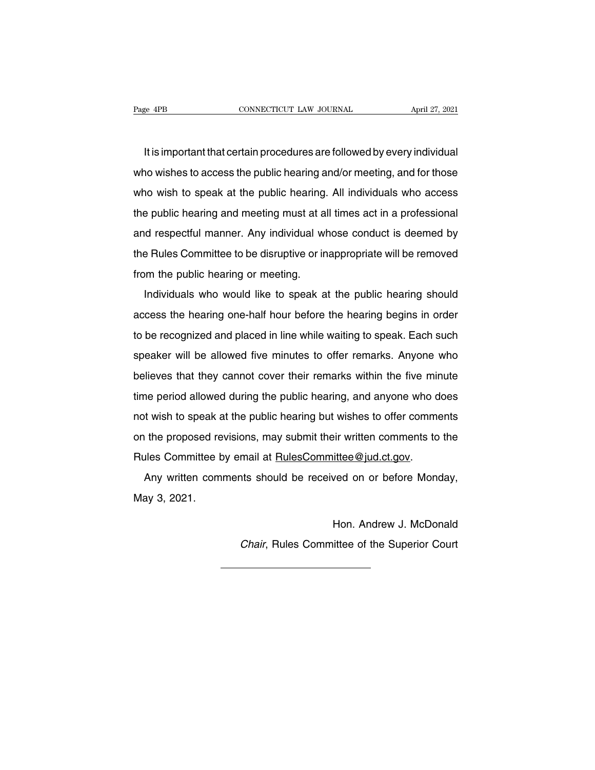It is important that certain procedures are followed by every individual<br>It is important that certain procedures are followed by every individual<br>In wishes to access the public hearing and/or meeting, and for those Page 4PB CONNECTICUT LAW JOURNAL April 27, 2021<br>It is important that certain procedures are followed by every individual<br>who wishes to access the public hearing and/or meeting, and for those<br>who wish to speak at the public It is important that certain procedures are followed by every individual<br>who wishes to access the public hearing and/or meeting, and for those<br>who wish to speak at the public hearing. All individuals who access<br>the public It is important that certain procedures are followed by every individual<br>who wishes to access the public hearing and/or meeting, and for those<br>who wish to speak at the public hearing. All individuals who access<br>the public and who wishes to access the public hearing and/or meeting, and for those<br>who wish to speak at the public hearing. All individuals who access<br>the public hearing and meeting must at all times act in a professional<br>and respe who wish to speak at the public hearing. All individuals who access<br>the public hearing and meeting must at all times act in a professional<br>and respectful manner. Any individual whose conduct is deemed by<br>the Rules Committe who wish to speak at the pashs hearing.<br>the public hearing and meeting must at a<br>and respectful manner. Any individual wi<br>the Rules Committee to be disruptive or in<br>from the public hearing or meeting.<br>Individuals who would Individuals who would like to speak at the public hearing should cess the hearing or meeting.<br>Individuals who would like to speak at the public hearing should<br>cess the hearing one-half hour before the hearing begins in ord

the Rules Committee to be disruptive or inappropriate will be removed<br>from the public hearing or meeting.<br>Individuals who would like to speak at the public hearing should<br>access the hearing one-half hour before the hearing from the public hearing or meeting.<br>Individuals who would like to speak at the public hearing should<br>access the hearing one-half hour before the hearing begins in order<br>to be recognized and placed in line while waiting to Individuals who would like to speak at the public hearing should<br>access the hearing one-half hour before the hearing begins in order<br>to be recognized and placed in line while waiting to speak. Each such<br>speaker will be all harmadals who would like to opeak at the pashe hearing should<br>access the hearing one-half hour before the hearing begins in order<br>to be recognized and placed in line while waiting to speak. Each such<br>speaker will be allowe to be recognized and placed in line while waiting to speak. Each such<br>speaker will be allowed five minutes to offer remarks. Anyone who<br>believes that they cannot cover their remarks within the five minute<br>time period allow speaker will be allowed five minutes to offer remarks. Anyone who<br>believes that they cannot cover their remarks within the five minute<br>time period allowed during the public hearing, and anyone who does<br>not wish to speak at believes that they cannot cover their remarks within the five minute<br>time period allowed during the public hearing, and anyone who does<br>not wish to speak at the public hearing but wishes to offer comments<br>on the proposed r Rules Committee by earning the public hearing, and anyone who denot wish to speak at the public hearing but wishes to offer comme on the proposed revisions, may submit their written comments to Rules Committee by email at t wish to speak at the public hearing but wishes to offer comments<br>the proposed revisions, may submit their written comments to the<br>alles Committee by email at <u>RulesCommittee@jud.ct.gov</u>.<br>Any written comments should be re not wish to opean the proposed re<br>
any written com<br>
May 3, 2021.

ittee@jud.ct.gov.<br>ved on or before Monday,<br>Hon. Andrew J. McDonald<br>ittee of the Superior Court Any written comments should be received on or before Monday,<br>ay 3, 2021.<br>Hon. Andrew J. McDonald<br>Chair, Rules Committee of the Superior Court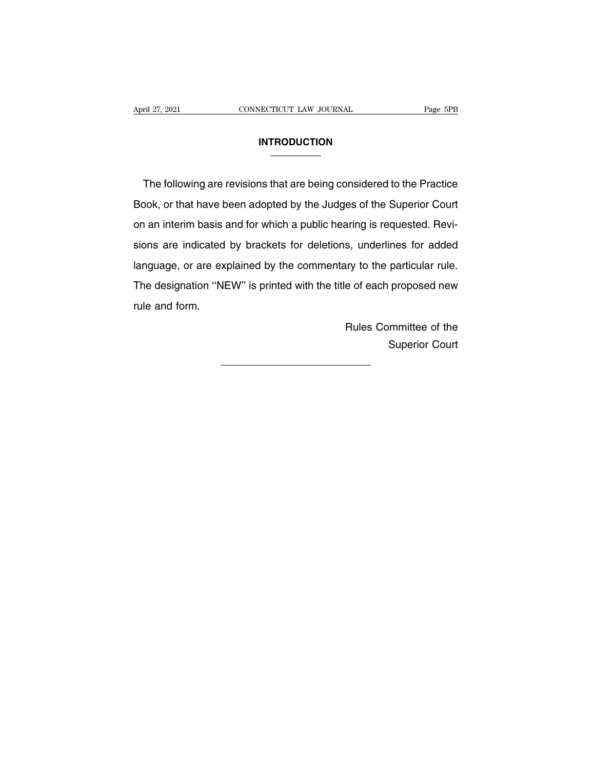### **INTRODUCTION**

The following are revisions that are being considered to the Practice<br>DOCK, or that have been adopted by the Judges of the Superior Court INTRODUCTION<br>
The following are revisions that are being considered to the Practice<br>
Book, or that have been adopted by the Judges of the Superior Court<br>
on an interim basis and for which a public hearing is requested. Rev The following are revisions that are being considered to the Practice<br>Book, or that have been adopted by the Judges of the Superior Court<br>on an interim basis and for which a public hearing is requested. Revi-<br>sions are ind The following are revisions that are being considered to the Practice<br>Book, or that have been adopted by the Judges of the Superior Court<br>on an interim basis and for which a public hearing is requested. Revi-<br>sions are ind Book, or that have been adopted by the Judges of the Superior Court<br>on an interim basis and for which a public hearing is requested. Revi-<br>sions are indicated by brackets for deletions, underlines for added<br>language, or ar book, or that have been adopted by the dudgee of the depotite beam.<br>on an interim basis and for which a public hearing is requested. Revi-<br>sions are indicated by brackets for deletions, underlines for added<br>language, or ar on an interim basis and for which a public hearing is requested. Revisions are indicated by brackets for deletions, underlines for added language, or are explained by the commentary to the particular rule.<br>The designation ry to the particular rule.<br>
e of each proposed new<br>
Rules Committee of the<br>
Superior Court The designation "NEW" is printed with the title of each proposed new<br>rule and form.<br>Rules Committee of the<br>Superior Court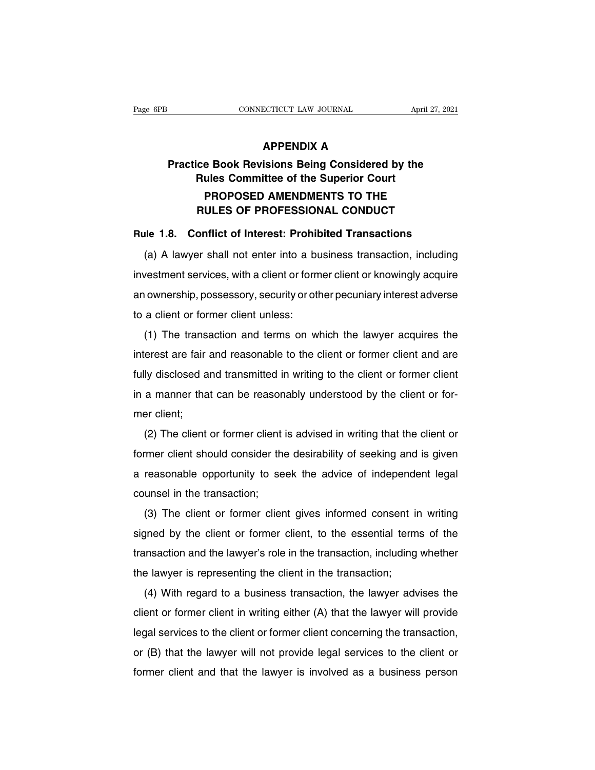## **ECTICUT LAW JOURNAL**<br>APPENDIX A<br>Isions Being Considered b **Practice Book Revisions Being Considered by the<br>
Rules Committee of the Superior Court RURENDIX A<br>
RULES CONNECTICUT LAW JOURNAL APPENDIX A<br>
RULES Committee of the Superior Court<br>
PROPOSED AMENDMENTS TO THE APPENDIX A<br>PROPOSED AMENDMENTS TO THE<br>PROPOSED AMENDMENTS TO THE<br>ULES OF PROFESSIONAL CONDUCT APPENDIX A<br>
ce Book Revisions Being Considered by the<br>
Rules Committee of the Superior Court<br>
PROPOSED AMENDMENTS TO THE<br>
RULES OF PROFESSIONAL CONDUCT<br>
onflict of Interest: Prohibited Transactions Practice Book Revisions Being Considered by the<br>
Rules Committee of the Superior Court<br>
PROPOSED AMENDMENTS TO THE<br>
RULES OF PROFESSIONAL CONDUCT<br>
Rule 1.8. Conflict of Interest: Prohibited Transactions<br>
(a) A lawyer shal** Rules Committee of the Superior Court<br>
PROPOSED AMENDMENTS TO THE<br>
RULES OF PROFESSIONAL CONDUCT<br>
Ile 1.8. Conflict of Interest: Prohibited Transactions<br>
(a) A lawyer shall not enter into a business transaction, including<br>

**EXECUTE AMENDMENTS TO THE<br>
RULES OF PROFESSIONAL CONDUCT**<br>
Rule 1.8. Conflict of Interest: Prohibited Transactions<br>
(a) A lawyer shall not enter into a business transaction, including<br>
investment services, with a client o Rule 1.8. Conflict of Interest: Prohibited Transactions<br>
(a) A lawyer shall not enter into a business transaction, including<br>
investment services, with a client or former client or knowingly acquire<br>
an ownership, possesso (a) A lawyer shall not enter into a build investment services, with a client or form<br>an ownership, possessory, security or otl<br>to a client or former client unless:<br>(1) The transaction and terms on w (a) A lawyer shall not effiel line a business transaction, including<br>vestment services, with a client or former client or knowingly acquire<br>ownership, possessory, security or other pecuniary interest adverse<br>a client or fo

Investment services, with a chefft of former client of knowingly acquire<br>an ownership, possessory, security or other pecuniary interest adverse<br>to a client or former client unless:<br>(1) The transaction and terms on which th fully disclosed and transmitted in writing to the client or former states.<br>
(1) The transaction and terms on which the lawyer acquires the<br>
interest are fair and reasonable to the client or former client and are<br>
fully dis in a manner channer channer channer channers.<br>
(1) The transaction and terms on which the lawyer acquires the<br>
interest are fair and reasonable to the client or former client and are<br>
fully disclosed and transmitted in wri interest are fair<br>interest are fair<br>fully disclosed a<br>in a manner tha<br>mer client;<br>(2) The client (2) The client or former client or former client and are<br>(2) The client can be reasonably understood by the client or for-<br>er client;<br>(2) The client or former client is advised in writing that the client or<br>former client s

former client should consider the desirability of the client of former client<br>former client;<br>(2) The client or former client is advised in writing that the client or<br>former client should consider the desirability of seekin In a manner that can be reasonably understood by the client or lor-<br>mer client;<br>(2) The client or former client is advised in writing that the client or<br>former client should consider the desirability of seeking and is give (2) The client or former client<br>former client should consider the<br>a reasonable opportunity to se<br>counsel in the transaction;<br>(3) The client or former clier ( $2$ ) The client or former client is advised in writing that the client or<br>
rmer client should consider the desirability of seeking and is given<br>
reasonable opportunity to seek the advice of independent legal<br>
unsel in th

signed by the client or former client gives the advice of independent legal<br>counsel in the transaction;<br>(3) The client or former client gives informed consent in writing<br>signed by the client or former client, to the essent a reasonable opportunity to seek the advice of independent legal<br>counsel in the transaction;<br>(3) The client or former client gives informed consent in writing<br>signed by the client or former client, to the essential terms o (3) The client or former client gives informed consent in<br>signed by the client or former client, to the essential term<br>transaction and the lawyer's role in the transaction, including<br>the lawyer is representing the client i (5) The client of former client gives finomied consert in whiting<br>gned by the client or former client, to the essential terms of the<br>insaction and the lawyer's role in the transaction, including whether<br>elawyer is represen

signed by the client of former client, to the essential terms of the<br>transaction and the lawyer's role in the transaction, including whether<br>the lawyer is representing the client in the transaction;<br>(4) With regard to a bu Indisaction and the lawyer's fole in the transaction, including whether<br>the lawyer is representing the client in the transaction;<br>(4) With regard to a business transaction, the lawyer advises the<br>client or former client in (4) With regard to a business transaction, the lawyer advises the client or former client in writing either (A) that the lawyer will provide legal services to the client or former client concerning the transaction, or (B) (4) With regard to a business transaction, the lawyer advises the client or former client in writing either (A) that the lawyer will provide legal services to the client or former client concerning the transaction, or (B)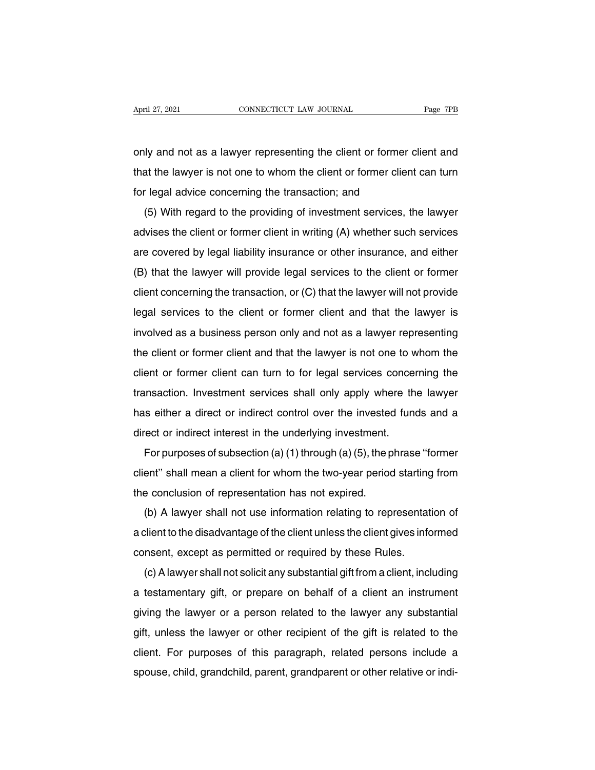April 27, 2021 CONNECTICUT LAW JOURNAL Page 7PB<br>
only and not as a lawyer representing the client or former client and<br>
that the lawyer is not one to whom the client or former client can turn April 27, 2021 CONNECTICUT LAW JOURNAL Page 7PB<br>
only and not as a lawyer representing the client or former client and<br>
that the lawyer is not one to whom the client or former client can turn<br>
for legal advice concerning t Formular and not as a lawyer representing the client or former of<br>that the lawyer is not one to whom the client or former clien<br>for legal advice concerning the transaction; and<br>(5) With regard to the providing of investmen (5) I wand not as a lawyer representing the client or former client and<br>at the lawyer is not one to whom the client or former client can turn<br>r legal advice concerning the transaction; and<br>(5) With regard to the providing

but that the lawyer is not one to whom the client or former client can turn<br>for legal advice concerning the transaction; and<br>(5) With regard to the providing of investment services, the lawyer<br>advises the client or former for legal advice concerning the transaction; and<br>
(5) With regard to the providing of investment services, the lawyer<br>
advises the client or former client in writing (A) whether such services<br>
are covered by legal liabilit (5) With regard to the providing of investment services, the lawyer<br>advises the client or former client in writing (A) whether such services<br>are covered by legal liability insurance or other insurance, and either<br>(B) that (b) with regard to the providing or investment services, the lawyer<br>advises the client or former client in writing (A) whether such services<br>are covered by legal liability insurance or other insurance, and either<br>(B) that are covered by legal liability insurance or other insurance, and either<br>(B) that the lawyer will provide legal services to the client or former<br>client concerning the transaction, or (C) that the lawyer will not provide<br>leg (B) that the lawyer will provide legal services to the client or former<br>client concerning the transaction, or (C) that the lawyer will not provide<br>legal services to the client or former client and that the lawyer is<br>involv client concerning the transaction, or  $(C)$  that the lawyer will not provide<br>legal services to the client or former client and that the lawyer is<br>involved as a business person only and not as a lawyer representing<br>the clie legal services to the client or former client and that the lawyer wis<br>involved as a business person only and not as a lawyer representing<br>the client or former client and that the lawyer is not one to whom the<br>client or for transaction. Investment services be the client of former client and not as a lawyer representing<br>the client or former client and that the lawyer is not one to whom the<br>client or former client can turn to for legal services the client or former client and that the lawyer is not one to whom the client or former client can turn to for legal services concerning the transaction. Investment services shall only apply where the lawyer has either a d dient or former client and that the lawyer is not one to we<br>client or former client can turn to for legal services conce<br>transaction. Investment services shall only apply where th<br>has either a direct or indirect control ov For purposes of subsection (a) (1) through (a) (5), the phrase "former"<br>entity and direct or indirect control over the invested funds and a<br>rect or indirect interest in the underlying investment.<br>For purposes of subsection

ransaction. Investment services shall only apply where the lawyer<br>has either a direct or indirect control over the invested funds and a<br>direct or indirect interest in the underlying investment.<br>For purposes of subsection ( The control of multipletrical to the invested<br>direct or indirect interest in the underlying investment.<br>For purposes of subsection (a) (1) through (a) (5), the p<br>client" shall mean a client for whom the two-year period<br>the For purposes of subsection (a) (1) through (a) (5), the phrase "former<br>ent" shall mean a client for whom the two-year period starting from<br>e conclusion of representation has not expired.<br>(b) A lawyer shall not use informat

For purposes or subsection (a) (1) infought (a) (5), the phrase Former<br>client" shall mean a client for whom the two-year period starting from<br>the conclusion of representation has not expired.<br>(b) A lawyer shall not use in cherit Shall mean a cherit for whom the two-year period starting<br>the conclusion of representation has not expired.<br>(b) A lawyer shall not use information relating to representat<br>a client to the disadvantage of the client u (b) A lawyer shall not use information relating to representation of<br>client to the disadvantage of the client unless the client gives informed<br>nsent, except as permitted or required by these Rules.<br>(c) A lawyer shall not s

a client to the disadvantage of the client unless the client gives informed<br>consent, except as permitted or required by these Rules.<br>(c) A lawyer shall not solicit any substantial gift from a client, including<br>a testament a cherit to the disadvaritage of the cherit differs the cherit gives informed<br>consent, except as permitted or required by these Rules.<br>(c) A lawyer shall not solicit any substantial gift from a client, including<br>a testamen gift, except as permitted or required by these rules.<br>(c) A lawyer shall not solicit any substantial gift from a client, including<br>a testamentary gift, or prepare on behalf of a client an instrument<br>giving the lawyer or a (c) A lawyer shamlot solicit any substantial grit nontractient, including<br>a testamentary gift, or prepare on behalf of a client an instrument<br>giving the lawyer or a person related to the lawyer any substantial<br>gift, unless a testamentary girt, or prepare on behair or a client an instrument<br>giving the lawyer or a person related to the lawyer any substantial<br>gift, unless the lawyer or other recipient of the gift is related to the<br>client. For p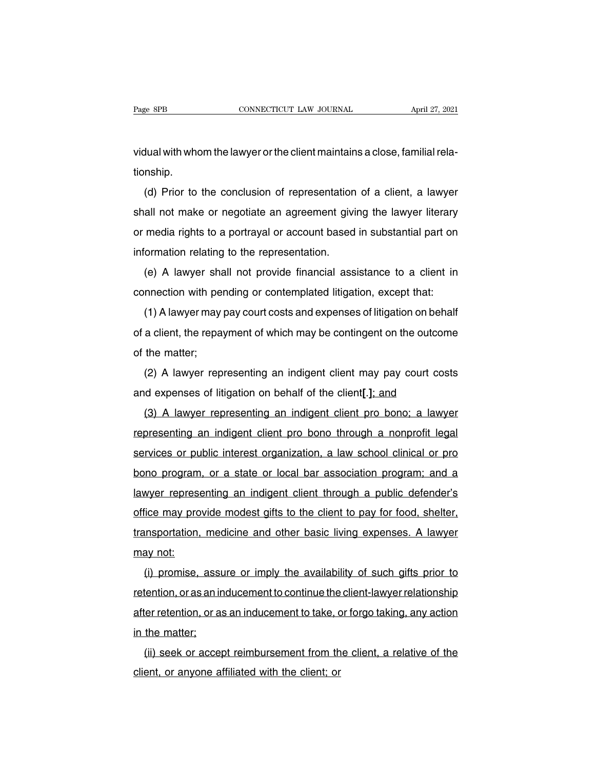Page 8PB<br>CONNECTICUT LAW JOURNAL April 27, 2021<br>Vidual with whom the lawyer or the client maintains a close, familial rela-<br>tionship. tionship.

(d) a prior to the lawyer or the client maintains a close, familial rela-<br>
(d) Prior to the conclusion of representation of a client, a lawyer<br>
(d) Prior to the conclusion of representation of a client, a lawyer<br>
all not m vidual with whom the lawyer or the client maintains a close, familial rela-<br>tionship.<br>(d) Prior to the conclusion of representation of a client, a lawyer<br>shall not make or negotiate an agreement giving the lawyer literary<br> or media rights to a portrayal or account based in substantial part on<br>information relative or negotiate an agreement giving the lawyer literary<br>or media rights to a portrayal or account based in substantial part on<br>inform information<br>
(d) Prior to the conclusion of representation<br>
shall not make or negotiate an agreement givi<br>
or media rights to a portrayal or account based<br>
information relating to the representation.<br>
(e) A lawyer shall no (a) Thot to the conclusion of representation of a client, a lawyer<br>all not make or negotiate an agreement giving the lawyer literary<br>media rights to a portrayal or account based in substantial part on<br>formation relating to or media rights to a portrayal or account based in substantial part on<br>information relating to the representation.<br>(e) A lawyer shall not provide financial assistance to a client in<br>connection with pending or contemplated

(1) A lawyer shall not provide financial assistance to a client in<br>
(e) A lawyer shall not provide financial assistance to a client in<br>
mnection with pending or contemplated litigation, except that:<br>
(1) A lawyer may pay c (e) A lawyer shall not provide financial assistance to a client in connection with pending or contemplated litigation, except that:<br>
(1) A lawyer may pay court costs and expenses of litigation on behalf of a client, the re connection with per<br>
(1) A lawyer may<br>
of a client, the repay<br>
of the matter;<br>
(2) A lawyer rep (1) A lawyer may pay court costs and expenses of litigation on behalf<br>a client, the repayment of which may be contingent on the outcome<br>the matter;<br>(2) A lawyer representing an indigent client may pay court costs<br>d expense and experises of litigation on behalf of a client, the repayment of which may be contingent on the outcom<br>of the matter;<br>(2) A lawyer representing an indigent client may pay court cos<br>and expenses of litigation on behalf o

(2) A lawyer representing an indigent client may pay court costs<br>(2) A lawyer representing an indigent client may pay court costs<br>(3) A lawyer representing an indigent client pro bono; a lawyer<br>presenting an indigent clien (2) A lawyer representing an indigent client may pay court costs<br>and expenses of litigation on behalf of the client[.]; and<br>(3) A lawyer representing an indigent client pro bono; a lawyer<br>representing an indigent client pr ( $\angle$ ) A lawyer representing an indigent client may pay count costs<br>and expenses of litigation on behalf of the client[.]; and<br>(3) A lawyer representing an indigent client pro bono; a lawyer<br>representing an indigent clien (3) A lawyer representing an indigent client pro bono; a lawyer<br>representing an indigent client pro bono through a nonprofit legal<br>services or public interest organization, a law school clinical or pro<br>bono program, or a s lawyer representing an indigent client pro bono, a lawyer<br>representing an indigent client pro bono through a nonprofit legal<br>services or public interest organization, a law school clinical or pro<br>bono program, or a state o representing an indigent client pro-bond infought a honpront legal<br>services or public interest organization, a law school clinical or pro<br>bono program, or a state or local bar association program; and a<br>lawyer representing bono program, or a state or local bar association program; and a lawyer representing an indigent client through a public defender's office may provide modest gifts to the client to pay for food, shelter, transportation, me bono program<br>lawyer represe<br>office may pro<br>transportation,<br>may not:<br>(i) promise, (i) promise, assure or imply the availability of such gifts prior to ten average may provide modest gifts to the client to pay for food, shelter, insportation, medicine and other basic living expenses. A lawyer ay not:<br>(i)

retention, medicine and other basic living expenses. A lawyer<br>transportation, medicine and other basic living expenses. A lawyer<br>may not:<br>(i) promise, assure or imply the availability of such gifts prior to<br>retention, or a may not:<br>
(i) promise, assure or imply the availability of such gifts prior to<br>
retention, or as an inducement to continue the client-lawyer relationship<br>
after retention, or as an inducement to take, or forgo taking, any inay not.<br>
(i) promise, assumetention, or as an interpretention, or as<br>
in the matter;<br>
(ii) seek or accep (i) promise, assure of imply the availability of such gifts phot to<br>tention, or as an inducement to continue the client-lawyer relationship<br>ter retention, or as an inducement to take, or forgo taking, any action<br>the matter retention, or as an inducement to commue the<br>after retention, or as an inducement to take, or<br>in the matter;<br>(ii) seek or accept reimbursement from the<br>client, or anyone affiliated with the client; or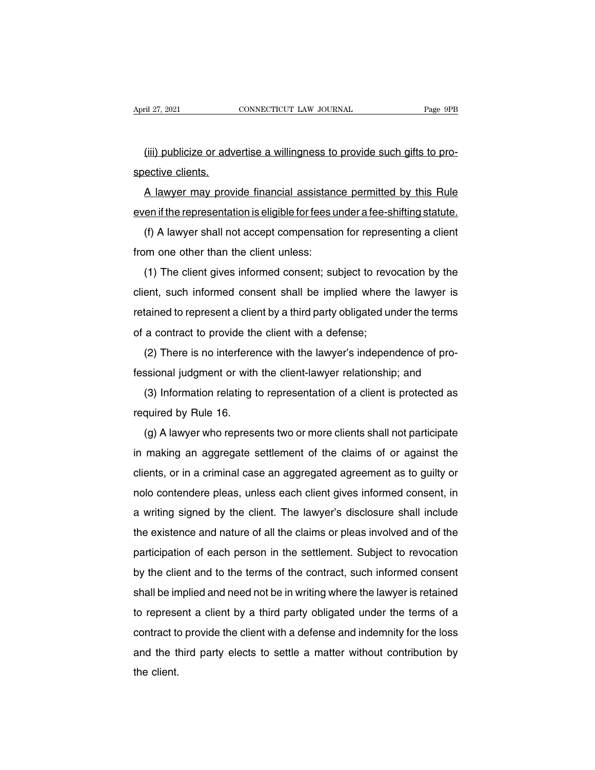(iii) publicize or advertise a willingness to provide such gifts to pro-April 27, 2021<br>(iii) publicize or adv<br>spective clients.<br>A lawyer may prov

(iii) publicize or advertise a willingness to provide such gifts to pro-<br>ective clients.<br>A lawyer may provide financial assistance permitted by this Rule<br>en if the representation is eligible for fees under a fee-shifting s (iii) publicize or advertise a willingness to provide such gifts to pro-<br>spective clients.<br>A lawyer may provide financial assistance permitted by this Rule<br>even if the representation is eligible for fees under a fee-shifti (iii) publicize of advertise a willinghess to provide such gits to pro-<br>ective clients.<br>A lawyer may provide financial assistance permitted by this Rule<br>en if the representation is eligible for fees under a fee-shifting st A lawyer may provide financial assistand<br>even if the representation is eligible for fees u<br>(f) A lawyer shall not accept compensatio<br>from one other than the client unless:<br>(1) The client gives informed consent; su

(1) The client gives interest statute in the representation is eligible for fees under a fee-shifting statute.<br>
(1) A lawyer shall not accept compensation for representing a client<br>
(1) The client gives informed consent; s (f) A lawyer shall not accept compensation for representing a client<br>from one other than the client unless:<br>(1) The client gives informed consent; subject to revocation by the<br>client, such informed consent shall be implied From one other than the client unless:<br>
(1) The client gives informed consent; subject to revocation by the<br>
client, such informed consent shall be implied where the lawyer is<br>
retained to represent a client by a third pa (1) The client gives informed consent; subject to revortion, such informed consent shall be implied where retained to represent a client by a third party obligated unof a contract to provide the client with a defense;<br>(2) (1) The client gives informed consent; subject to revocation by the client, such informed consent shall be implied where the lawyer is retained to represent a client by a third party obligated under the terms of a contrac fessional judgment or with the client-lawyer relationship; and<br>(3) Information relating to represent a client with a defense;<br>(2) There is no interference with the lawyer's independence of pro-<br>fessional judgment or with t

a contract to provide the client with a defense;<br>(2) There is no interference with the lawyer's independence of pro-<br>ssional judgment or with the client-lawyer relationship; and<br>(3) Information relating to representation o (2) There is no interferer<br>fessional judgment or with<br>(3) Information relating t<br>required by Rule 16.<br>(g) A lawyer who represe

(z) There is no interference which it awyer s independence or prosibility.<br>Sisional judgment or with the client-lawyer relationship; and<br>(3) Information relating to representation of a client is protected as<br>quired by Rul is making an aggregate settlement of the claims of a client is protected as<br>required by Rule 16.<br>(g) A lawyer who represents two or more clients shall not participate<br>in making an aggregate settlement of the claims of or a (c) information relating to representation or a client is protected as<br>required by Rule 16.<br>(g) A lawyer who represents two or more clients shall not participate<br>in making an aggregate settlement of the claims of or agains required by Nule 10.<br>
(g) A lawyer who represents two or more clients shall not participate<br>
in making an aggregate settlement of the claims of or against the<br>
clients, or in a criminal case an aggregated agreement as to g (g) A lawyer who represents two of fibre clients shall not participate<br>in making an aggregate settlement of the claims of or against the<br>clients, or in a criminal case an aggregated agreement as to guilty or<br>nolo contende The making an aggregate settlement of the claims of of against the<br>clients, or in a criminal case an aggregated agreement as to guilty or<br>nolo contendere pleas, unless each client gives informed consent, in<br>a writing signe participation of each person in the settlement as to yunity of<br>nolo contendere pleas, unless each client gives informed consent, in<br>a writing signed by the client. The lawyer's disclosure shall include<br>the existence and na hold contendere pleas, unless each client gives informed consent, in<br>a writing signed by the client. The lawyer's disclosure shall include<br>the existence and nature of all the claims or pleas involved and of the<br>participati a whiling signed by the chefit. The lawyer's disclosure shall include<br>the existence and nature of all the claims or pleas involved and of the<br>participation of each person in the settlement. Subject to revocation<br>by the cli the existence and nature of all the claims of pleas involved and of the<br>participation of each person in the settlement. Subject to revocation<br>by the client and to the terms of the contract, such informed consent<br>shall be i participation of each person in the settlement. Subject to revocation<br>by the client and to the terms of the contract, such informed consent<br>shall be implied and need not be in writing where the lawyer is retained<br>to repres by the client and to the terms of the contract, such informed consent<br>shall be implied and need not be in writing where the lawyer is retained<br>to represent a client by a third party obligated under the terms of a<br>contract shan be in<br>to represe<br>contract to<br>and the tl<br>the client.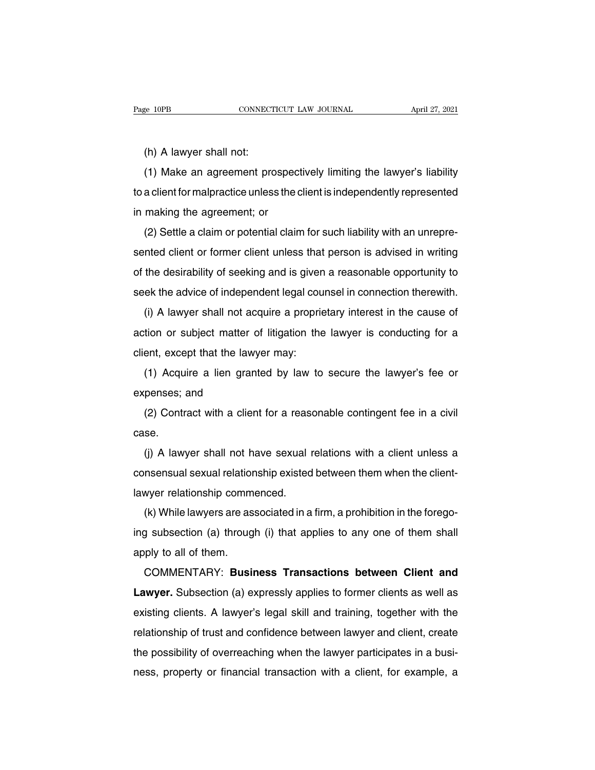e 10PB<br>(h) A lawyer shall not:<br>(1) Make an agreement pro (1) Make an agreement prospectively limiting the lawyer's liability<br>
(1) Make an agreement prospectively limiting the lawyer's liability<br>
a client for malpractice unless the client is independently represented (h) A lawyer shall not:<br>
(1) Make an agreement prospectively limiting the lawyer's liability<br>
to a client for malpractice unless the client is independently represented<br>
in making the agreement; or (h) A lawyer shall not:<br>
(1) Make an agreement prospecto a client for malpractice unless the computer of making the agreement; or<br>
(2) Settle a claim or potential claim (1) A lawyer shall not.<br>
(1) Make an agreement prospectively limiting the lawyer's liability<br>
a client for malpractice unless the client is independently represented<br>
making the agreement; or<br>
(2) Settle a claim or potent

(1) Make an agreement prospectively imming the lawyer's hability<br>to a client for malpractice unless the client is independently represented<br>in making the agreement; or<br>(2) Settle a claim or potential claim for such liabili in making the agreement; or<br>
(2) Settle a claim or potential claim for such liability with an unrepre-<br>
sented client or former client unless that person is advised in writing<br>
of the desirability of seeking and is given a (2) Settle a claim or potential claim for such liability with an unrepresented client or former client unless that person is advised in writing of the desirability of seeking and is given a reasonable opportunity to seek t ( $\angle$ ) detire a claim of potential claim for such flability with an unrepre-<br>nted client or former client unless that person is advised in writing<br>the desirability of seeking and is given a reasonable opportunity to<br>ek th

active of the desirability of seeking and is given a reasonable opportunity to<br>seek the advice of independent legal counsel in connection therewith.<br>(i) A lawyer shall not acquire a proprietary interest in the cause of<br>act or the deshability of seeking and is given<br>seek the advice of independent legal cou<br>(i) A lawyer shall not acquire a propria<br>action or subject matter of litigation the<br>client, except that the lawyer may:<br>(1) Acquire a lien (i) A lawyer shall not acquire a proprietary interest in the cause of<br>tion or subject matter of litigation the lawyer is conducting for a<br>ent, except that the lawyer may:<br>(1) Acquire a lien granted by law to secure the law action or subject matter  $\alpha$ <br>action or subject matter  $\alpha$ <br>client, except that the law<br>(1) Acquire a lien gran<br>expenses; and<br>(2) Contract with a clier

(1) Acquire a lien granted by law to secure the lawyer's fee or<br>penses; and<br>(2) Contract with a client for a reasonable contingent fee in a civil<br>se.

case.

(1) Acquire a lient granted by law to secure the lawyer shall penses; and<br>
(2) Contract with a client for a reasonable contingent fee in a civil<br>
se.<br>
(j) A lawyer shall not have sexual relations with a client unless a<br>
i experises, and<br>
(2) Contract with a client for a reasonable contingent fee in a civil<br>
case.<br>
(j) A lawyer shall not have sexual relations with a client unless a<br>
consensual sexual relationship existed between them when th (2) Contract with a client for a rease<br>case.<br>(i) A lawyer shall not have sexual r<br>consensual sexual relationship existed<br>lawyer relationship commenced.<br>(k) While lawyers are associated in a se.<br>(j) A lawyer shall not have sexual relations with a client unless a<br>nsensual sexual relationship existed between them when the client-<br>wyer relationship commenced.<br>(k) While lawyers are associated in a firm, a prohibit

If  $\alpha$  iawyer shall not have sexual relations with a client different consensual sexual relationship existed between them when the client-<br>lawyer relationship commenced.<br>(k) While lawyers are associated in a firm, a proh Example Indian<br>
lawyer relationship comm<br>
(k) While lawyers are as<br>
ing subsection (a) throug<br>
apply to all of them.<br>
COMMENTARY: Busin While lawyers are associated in a firm, a prohibition in the forego-<br>g subsection (a) through (i) that applies to any one of them shall<br>ply to all of them.<br>COMMENTARY: **Business Transactions between Client and**<br>wyer. Subse

(k) While lawyers are associated in a firm, a promotion in the loregoting subsection (a) through (i) that applies to any one of them shall apply to all of them.<br>COMMENTARY: **Business Transactions between Client and Lawyer.** existing clients. A lawyer's legal skill and training, together with the relationship of trust and confidence between clients as well as existing clients. A lawyer's legal skill and training, together with the relationship apply to all of them.<br>COMMENTARY: **Business Transactions between Client and**<br>**Lawyer.** Subsection (a) expressly applies to former clients as well as<br>existing clients. A lawyer's legal skill and training, together with the<br> Lawyer. Subsection (a) expressly applies to former clients as well as<br>existing clients. A lawyer's legal skill and training, together with the<br>relationship of trust and confidence between lawyer and client, create<br>the poss Lawyer: Subsection (a) expressiy applies to former clients as well as<br>existing clients. A lawyer's legal skill and training, together with the<br>relationship of trust and confidence between lawyer and client, create<br>the poss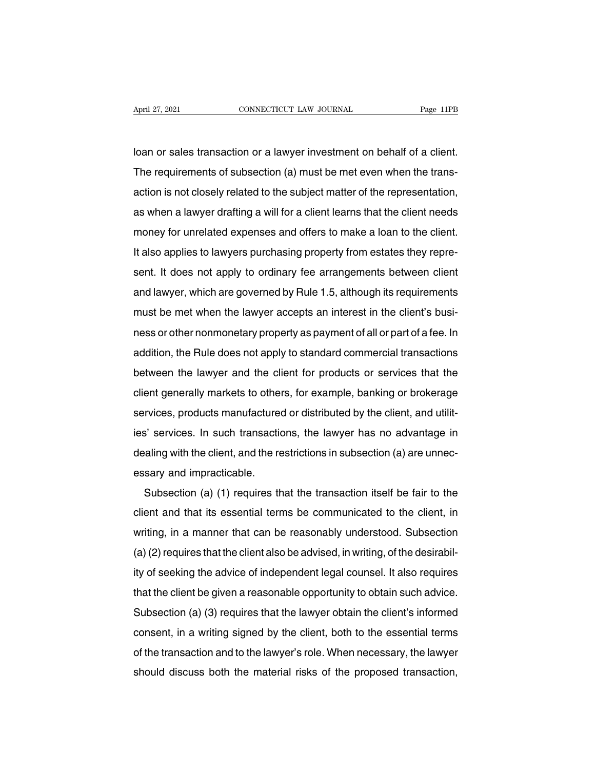April 27, 2021 CONNECTICUT LAW JOURNAL Page 11PB<br>Ioan or sales transaction or a lawyer investment on behalf of a client.<br>The requirements of subsection (a) must be met even when the trans-April 27, 2021 CONNECTICUT LAW JOURNAL Page 11PB<br>Ioan or sales transaction or a lawyer investment on behalf of a client.<br>The requirements of subsection (a) must be met even when the trans-<br>action is not closely related to action or sales transaction or a lawyer investment on behalf of a client.<br>The requirements of subsection (a) must be met even when the trans-<br>action is not closely related to the subject matter of the representation,<br>as wh loan or sales transaction or a lawyer investment on behalf of a client.<br>The requirements of subsection (a) must be met even when the trans-<br>action is not closely related to the subject matter of the representation,<br>as when The requirements of subsection (a) must be met even when the trans-<br>action is not closely related to the subject matter of the representation,<br>as when a lawyer drafting a will for a client learns that the client needs<br>mone It also applies to lawyers purchasing property from estates they represented.<br>It also applies to lawyers purchasing property from estates they repre-<br>sent. It does not apply to ordinary fee arrangements between client. action is not closely related to the subject matter of the representation,<br>as when a lawyer drafting a will for a client learns that the client needs<br>money for unrelated expenses and offers to make a loan to the client.<br>It as when a lawyer draining a will for a cheric learns that the cheric needs<br>money for unrelated expenses and offers to make a loan to the client.<br>It also applies to lawyers purchasing property from estates they repre-<br>sent. It also applies to lawyers purchasing property from estates they represent. It does not apply to ordinary fee arrangements between client<br>and lawyer, which are governed by Rule 1.5, although its requirements<br>must be met wh ness or applies in any erspin chasing property nonnessates they represent. It does not apply to ordinary fee arrangements between client<br>and lawyer, which are governed by Rule 1.5, although its requirements<br>must be met whe sent. It does not apply to brunlary lee analyements between client<br>and lawyer, which are governed by Rule 1.5, although its requirements<br>must be met when the lawyer accepts an interest in the client's busi-<br>ness or other n and lawyer, which are governed by Fidie 1.5, almodginits requirements<br>must be met when the lawyer accepts an interest in the client's busi-<br>ness or other nonmonetary property as payment of all or part of a fee. In<br>addition must be met when the lawyer accepts an interest in the client's busi-<br>ness or other nonmonetary property as payment of all or part of a fee. In<br>addition, the Rule does not apply to standard commercial transactions<br>between services, the Rule does not apply to standard commercial transactions<br>between the lawyer and the client for products or services that the<br>client generally markets to others, for example, banking or brokerage<br>services, prod is between the lawyer and the client for products or services that the client generally markets to others, for example, banking or brokerage services, products manufactured or distributed by the client, and utilities' serv dealing with the client of products of services that the client generally markets to others, for example, banking or brokerage services, products manufactured or distributed by the client, and utilities' services. In such enent generally markets to other<br>services, products manufacture<br>ies' services. In such transactic<br>dealing with the client, and the re<br>essary and impracticable.<br>Subsection (a) (1) requires the Subsection (a) (1) requires that the transaction (a) are unnec-<br>sary and impracticable.<br>Subsection (a) (1) requires that the transaction itself be fair to the<br>ent and that its essential terms be communicated to the client,

dealing with the client, and the restrictions in subsection (a) are unnecessary and impracticable.<br>Subsection (a) (1) requires that the transaction itself be fair to the client and that its essential terms be communicated dealing with the client, and the restrictions in subsection (a) are unrec-<br>essary and impracticable.<br>Subsection (a) (1) requires that the transaction itself be fair to the<br>client and that its essential terms be communicate Essary and impracticable.<br>
Subsection (a) (1) requires that the transaction itself be fair to the<br>
client and that its essential terms be communicated to the client, in<br>
writing, in a manner that can be reasonably understo Subsection (a) (1) requires that the transaction itself be fair to the<br>client and that its essential terms be communicated to the client, in<br>writing, in a manner that can be reasonably understood. Subsection<br>(a) (2) requir offerit and that its essential terms be communicated to the client, in<br>writing, in a manner that can be reasonably understood. Subsection<br>(a) (2) requires that the client also be advised, in writing, of the desirabil-<br>ity (a) (2) requires that the client also be advised, in writing, of the desirabil-<br>ity of seeking the advice of independent legal counsel. It also requires<br>that the client be given a reasonable opportunity to obtain such advi (a) (2) requires that the client also be advised, in whilling, or the deshability of seeking the advice of independent legal counsel. It also requires that the client be given a reasonable opportunity to obtain such advice It is that the client be given a reasonable opportunity to obtain such advice.<br>Subsection (a) (3) requires that the lawyer obtain the client's informed<br>consent, in a writing signed by the client, both to the essential term that the client be given a reasonable opportunity to obtain such advice.<br>Subsection (a) (3) requires that the lawyer obtain the client's informed<br>consent, in a writing signed by the client, both to the essential terms<br>of t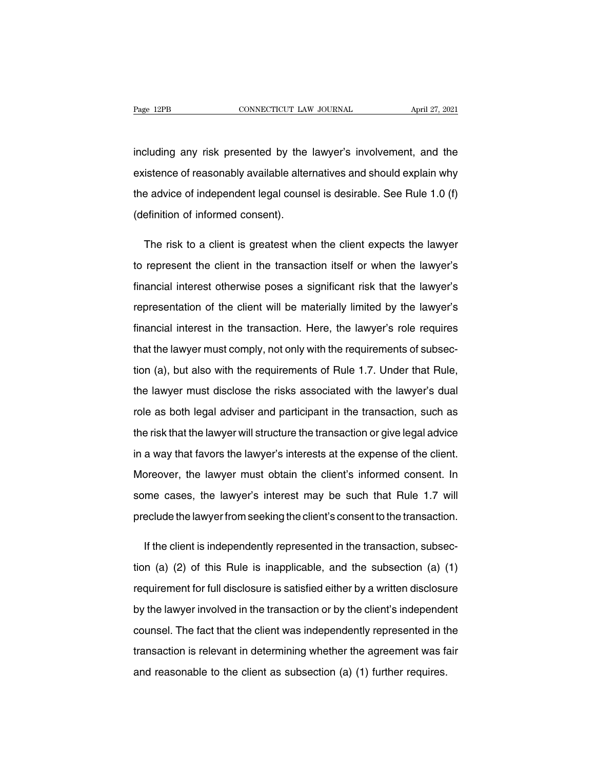Page 12PB CONNECTICUT LAW JOURNAL April 27, 2021<br>including any risk presented by the lawyer's involvement, and the<br>existence of reasonably available alternatives and should explain why Page 12PB CONNECTICUT LAW JOURNAL April 27, 2021<br>including any risk presented by the lawyer's involvement, and the<br>existence of reasonably available alternatives and should explain why<br>the advice of independent legal couns including any risk presented by the lawyer's involvement, and the<br>existence of reasonably available alternatives and should explain why<br>the advice of independent legal counsel is desirable. See Rule 1.0 (f)<br>(definition of including any risk presented by the<br>existence of reasonably available alter<br>the advice of independent legal couns<br>(definition of informed consent). istence of reasonably available alternatives and should explain why<br>e advice of independent legal counsel is desirable. See Rule 1.0 (f)<br>efinition of informed consent).<br>The risk to a client is greatest when the client expe

the advice of independent legal counsel is desirable. See Rule 1.0 (f)<br>
(definition of informed consent).<br>
The risk to a client is greatest when the client expects the lawyer's<br>
to represent the client in the transaction i (definition of informed consent).<br>The risk to a client is greatest when the client expects the lawyer's<br>to represent the client in the transaction itself or when the lawyer's<br>financial interest otherwise poses a significan The risk to a client is greatest when the client expects the lawyer's<br>to represent the client in the transaction itself or when the lawyer's<br>financial interest otherwise poses a significant risk that the lawyer's<br>represent financial interest otherwise poses a significant risk that the lawyer's financial interest otherwise poses a significant risk that the lawyer's representation of the client will be materially limited by the lawyer's financ financial interest otherwise poses a significant risk that the lawyer's<br>representation of the client will be materially limited by the lawyer's<br>financial interest in the transaction. Here, the lawyer's role requires<br>that t representation of the client will be materially limited by the lawyer's<br>financial interest in the transaction. Here, the lawyer's role requires<br>that the lawyer must comply, not only with the requirements of subsec-<br>tion (a financial interest in the transaction. Here, the lawyer's role requires<br>that the lawyer must comply, not only with the requirements of subsec-<br>tion (a), but also with the requirements of Rule 1.7. Under that Rule,<br>the lawy that the lawyer must comply, not only with the requirements of subsection (a), but also with the requirements of Rule 1.7. Under that Rule, the lawyer must disclose the risks associated with the lawyer's dual role as both tion (a), but also with the requirements of Rule 1.7. Under that Rule,<br>the lawyer must disclose the risks associated with the lawyer's dual<br>role as both legal adviser and participant in the transaction, such as<br>the risk th the lawyer must disclose the risks associated with the lawyer's dual<br>role as both legal adviser and participant in the transaction, such as<br>the risk that the lawyer will structure the transaction or give legal advice<br>in a role as both legal adviser and participant in the transaction, such as<br>the risk that the lawyer will structure the transaction or give legal advice<br>in a way that favors the lawyer's interests at the expense of the client.<br> the risk that the lawyer will structure the transaction or give legal advice<br>in a way that favors the lawyer's interests at the expense of the client.<br>Moreover, the lawyer must obtain the client's informed consent. In<br>some in a way that favors the lawyer's interests at the expense of the client.<br>Moreover, the lawyer must obtain the client's informed consent. In<br>some cases, the lawyer's interest may be such that Rule 1.7 will<br>preclude the law Dreover, the lawyer must obtain the client's informed consent. In<br>
me cases, the lawyer's interest may be such that Rule 1.7 will<br>
eclude the lawyer from seeking the client's consent to the transaction.<br>
If the client is i

some cases, the lawyer's interest may be such that Rule 1.7 will<br>preclude the lawyer from seeking the client's consent to the transaction.<br>If the client is independently represented in the transaction, subsec-<br>tion (a) (2) preclude the lawyer from seeking the client's consent to the transaction.<br>If the client is independently represented in the transaction, subsec-<br>tion (a) (2) of this Rule is inapplicable, and the subsection (a) (1)<br>require If the client is independently represented in the transaction, subsection (a) (2) of this Rule is inapplicable, and the subsection (a) (1) requirement for full disclosure is satisfied either by a written disclosure by the tion (a) (2) of this Rule is inapplicable, and the subsection (a) (1)<br>requirement for full disclosure is satisfied either by a written disclosure<br>by the lawyer involved in the transaction or by the client's independent<br>cou requirement for full disclosure is satisfied either by a written disclosure<br>by the lawyer involved in the transaction or by the client's independent<br>counsel. The fact that the client was independently represented in the<br>tr requirement for full disclosure is satisfied either by a written disclosure<br>by the lawyer involved in the transaction or by the client's independent<br>counsel. The fact that the client was independently represented in the<br>tr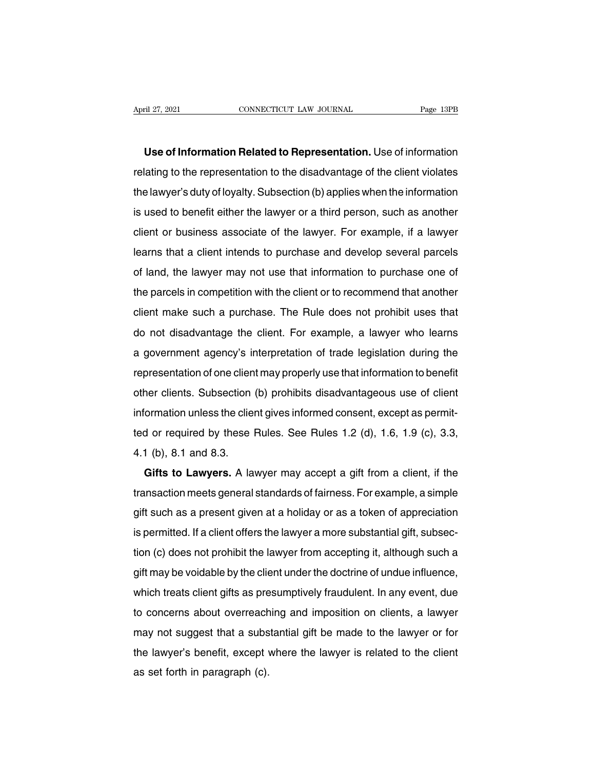**Use of Information Related to Representation.** Use of information Figure 27, 2021<br> **Representation is a connected to Representation.** Use of information<br> **Use of Information Related to Representation.** Use of information<br>
relating to the representation to the disadvantage of the client v Use of Information Related to Representation. Use of information<br>relating to the representation to the disadvantage of the client violates<br>the lawyer's duty of loyalty. Subsection (b) applies when the information<br>is used t **Use of Information Related to Representation.** Use of information relating to the representation to the disadvantage of the client violates the lawyer's duty of loyalty. Subsection (b) applies when the information is used relating to the representation to the disadvantage of the client violates<br>the lawyer's duty of loyalty. Subsection (b) applies when the information<br>is used to benefit either the lawyer or a third person, such as another<br>cl relating to the representation to the disadvantage of the client violates<br>the lawyer's duty of loyalty. Subsection (b) applies when the information<br>is used to benefit either the lawyer or a third person, such as another<br>cl is used to benefit either the lawyer or a third person, such as another client or business associate of the lawyer. For example, if a lawyer learns that a client intends to purchase and develop several parcels of land, the the parcels in competition with the client or to recommend that another<br>the parcels of land, the lawyer may not use that information to purchase one of<br>the parcels in competition with the client or to recommend that anothe client of business associate of the lawyer. Tor example, if a lawyer<br>learns that a client intends to purchase and develop several parcels<br>of land, the lawyer may not use that information to purchase one of<br>the parcels in c do land, the lawyer may not use that information to purchase one of<br>the parcels in competition with the client or to recommend that another<br>client make such a purchase. The Rule does not prohibit uses that<br>do not disadvant or land, the lawyer may not use that information to purchase one of<br>the parcels in competition with the client or to recommend that another<br>client make such a purchase. The Rule does not prohibit uses that<br>do not disadvant reparcels in competition with the client of to recommend that another<br>client make such a purchase. The Rule does not prohibit uses that<br>do not disadvantage the client. For example, a lawyer who learns<br>a government agency's do not disadvantage the client. For example, a lawyer who learns<br>a government agency's interpretation of trade legislation during the<br>representation of one client may properly use that information to benefit<br>other clients. do not disadvantage the client. For example, a lawyer who learns<br>a government agency's interpretation of trade legislation during the<br>representation of one client may properly use that information to benefit<br>other clients. a government agency's interpretation of trade registation during the<br>representation of one client may properly use that information to benefit<br>other clients. Subsection (b) prohibits disadvantageous use of client<br>informati other clients. Subsection<br>information unless the cliented or required by these l<br>4.1 (b), 8.1 and 8.3.<br>Gifts to Lawyers. A la Formation unless the client gives informed consent, except as permit-<br>d or required by these Rules. See Rules 1.2 (d), 1.6, 1.9 (c), 3.3,<br>1 (b), 8.1 and 8.3.<br>**Gifts to Lawyers.** A lawyer may accept a gift from a client, if

transaction meets the cherif gives informed consent, except as permitted or required by these Rules. See Rules 1.2 (d), 1.6, 1.9 (c), 3.3, 4.1 (b), 8.1 and 8.3.<br> **Gifts to Lawyers.** A lawyer may accept a gift from a client ed of lequified by these ridies. See ridies 1.2 (d), 1.0, 1.9 (c), 3.0,<br>4.1 (b), 8.1 and 8.3.<br>**Gifts to Lawyers.** A lawyer may accept a gift from a client, if the<br>transaction meets general standards of fairness. For examp 4.1 (b), 6.1 and 6.5.<br> **Gifts to Lawyers.** A lawyer may accept a gift from a client, if the<br>
transaction meets general standards of fairness. For example, a simple<br>
gift such as a present given at a holiday or as a token o different standards of fairness. For example, a simple<br>gift such as a present given at a holiday or as a token of appreciation<br>is permitted. If a client offers the lawyer a more substantial gift, subsec-<br>tion (c) does not ransaction meets general standards of lamness. For example, a simple<br>gift such as a present given at a holiday or as a token of appreciation<br>is permitted. If a client offers the lawyer a more substantial gift, subsec-<br>tion gin such as a present given at a honday or as a token or appreciation<br>is permitted. If a client offers the lawyer a more substantial gift, subsec-<br>tion (c) does not prohibit the lawyer from accepting it, although such a<br>gi is permitted. If a cherif offers the lawyer a more substantial girt, subsection (c) does not prohibit the lawyer from accepting it, although such a gift may be voidable by the client under the doctrine of undue influence, flori (c) does not prombit the lawyer from accepting it, although such a<br>gift may be voidable by the client under the doctrine of undue influence,<br>which treats client gifts as presumptively fraudulent. In any event, due<br>to ght may be voldable by the cherit under the doctrine of undderninderte,<br>which treats client gifts as presumptively fraudulent. In any event, due<br>to concerns about overreaching and imposition on clients, a lawyer<br>may not su which treats client gifts as presumptively fraudulent. In any event, due<br>to concerns about overreaching and imposition on clients, a lawyer<br>may not suggest that a substantial gift be made to the lawyer or for<br>the lawyer's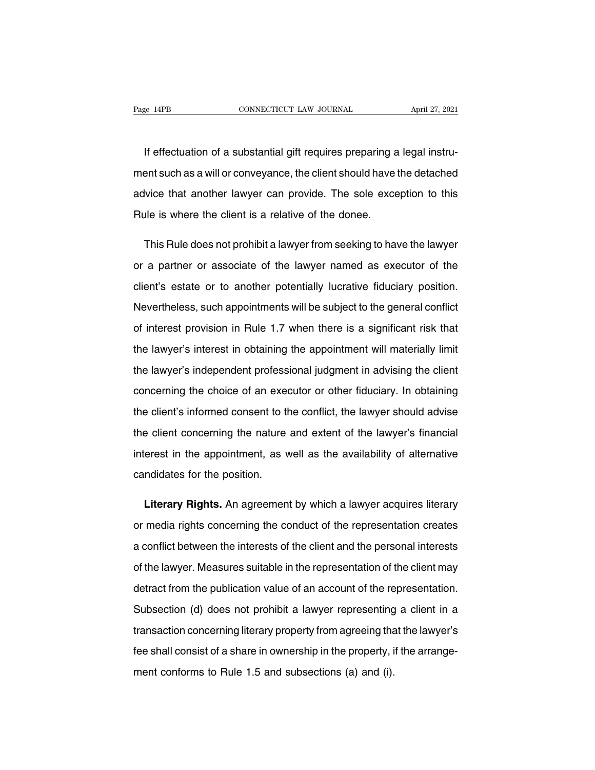If effectuation of a substantial gift requires preparing a legal instru-<br>If effectuation of a substantial gift requires preparing a legal instru-<br>Int such as a will or conveyance, the client should have the detached Page 14PB CONNECTICUT LAW JOURNAL April 27, 2021<br>If effectuation of a substantial gift requires preparing a legal instru-<br>ment such as a will or conveyance, the client should have the detached<br>advice that another lawyer ca If effectuation of a substantial gift requires preparing a legal instru-<br>ment such as a will or conveyance, the client should have the detached<br>advice that another lawyer can provide. The sole exception to this<br>Rule is whe If effectuation of a substantial gift requires preparing a<br>ment such as a will or conveyance, the client should have<br>advice that another lawyer can provide. The sole exce<br>Rule is where the client is a relative of the donee ent such as a will or conveyance, the client should have the detached<br>Vice that another lawyer can provide. The sole exception to this<br>ule is where the client is a relative of the donee.<br>This Rule does not prohibit a lawye

advice that another lawyer can provide. The sole exception to this<br>
Rule is where the client is a relative of the donee.<br>
This Rule does not prohibit a lawyer from seeking to have the lawyer<br>
or a partner or associate of t Rule is where the client is a relative of the donee.<br>This Rule does not prohibit a lawyer from seeking to have the lawyer<br>or a partner or associate of the lawyer named as executor of the<br>client's estate or to another poten This Rule does not prohibit a lawyer from seeking to have the lawyer<br>or a partner or associate of the lawyer named as executor of the<br>client's estate or to another potentially lucrative fiduciary position.<br>Nevertheless, su or a partner or associate of the lawyer named as executor of the client's estate or to another potentially lucrative fiduciary position.<br>Nevertheless, such appointments will be subject to the general conflict of interest p client's estate or to another potentially lucrative fiduciary position.<br>Nevertheless, such appointments will be subject to the general conflict<br>of interest provision in Rule 1.7 when there is a significant risk that<br>the la Nevertheless, such appointments will be subject to the general conflict<br>of interest provision in Rule 1.7 when there is a significant risk that<br>the lawyer's interest in obtaining the appointment will materially limit<br>the l of interest provision in Rule 1.7 when there is a significant risk that<br>the lawyer's interest in obtaining the appointment will materially limit<br>the lawyer's independent professional judgment in advising the client<br>concern the lawyer's interest in obtaining the appointment will materially limit<br>the lawyer's independent professional judgment in advising the client<br>concerning the choice of an executor or other fiduciary. In obtaining<br>the clien the lawyer's independent professional judgment in advising the client<br>concerning the choice of an executor or other fiduciary. In obtaining<br>the client's informed consent to the conflict, the lawyer should advise<br>the client concerning the choice of an executor or other fiduciary. In obtaining<br>the client's informed consent to the conflict, the lawyer should advise<br>the client concerning the nature and extent of the lawyer's financial<br>interest i the client's informed consent to the<br>the client concerning the nature<br>interest in the appointment, as v<br>candidates for the position. Example is client concerning the nature and extent of the lawyer's financial<br>rerest in the appointment, as well as the availability of alternative<br>mdidates for the position.<br>**Literary Rights.** An agreement by which a lawye

interest in the appointment, as well as the availability of alternative<br>candidates for the position.<br>Literary Rights. An agreement by which a lawyer acquires literary<br>or media rights concerning the conduct of the represent candidates for the position.<br>
Literary Rights. An agreement by which a lawyer acquires literary<br>
or media rights concerning the conduct of the representation creates<br>
a conflict between the interests of the client and the Literary Rights. An agreement by which a lawyer acquires literary<br>or media rights concerning the conduct of the representation creates<br>a conflict between the interests of the client and the personal interests<br>of the lawyer or media rights concerning the conduct of the representation creates<br>a conflict between the interests of the client and the personal interests<br>of the lawyer. Measures suitable in the representation of the client may<br>detrac a conflict between the interests of the client and the personal interests<br>of the lawyer. Measures suitable in the representation of the client may<br>detract from the publication value of an account of the representation.<br>Sub of the lawyer. Measures suitable in the representation of the client may<br>detract from the publication value of an account of the representation.<br>Subsection (d) does not prohibit a lawyer representing a client in a<br>transact detract from the publication value of an account of the representation.<br>Subsection (d) does not prohibit a lawyer representing a client in a<br>transaction concerning literary property from agreeing that the lawyer's<br>fee shal Subsection (d) does not prohibit a lawyer representing a client in a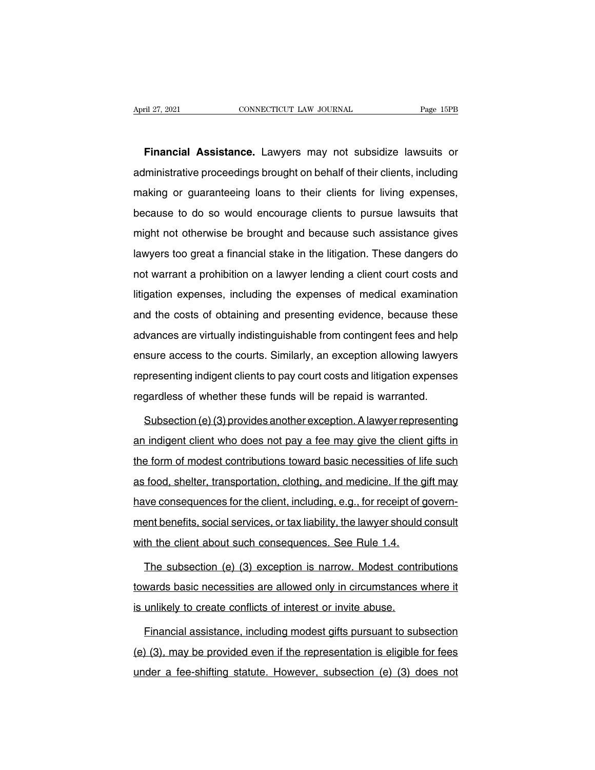**Financial Assistance.** Lawyers may not subsidize lawsuits or April 27, 2021 CONNECTICUT LAW JOURNAL Page 15PB<br> **Financial Assistance.** Lawyers may not subsidize lawsuits or<br>
administrative proceedings brought on behalf of their clients, including<br>
making or guaranteeing loans to the Financial Assistance. Lawyers may not subsidize lawsuits or<br>administrative proceedings brought on behalf of their clients, including<br>making or guaranteeing loans to their clients for living expenses,<br>because to do so would Financial Assistance. Lawyers may not subsidize lawsuits or administrative proceedings brought on behalf of their clients, including making or guaranteeing loans to their clients for living expenses, because to do so would manistrative proceedings brought on behalf of their clients, including<br>making or guaranteeing loans to their clients for living expenses,<br>because to do so would encourage clients to pursue lawsuits that<br>might not otherwise making or guaranteeing loans to their clients for living expenses,<br>because to do so would encourage clients to pursue lawsuits that<br>might not otherwise be brought and because such assistance gives<br>lawyers too great a finan nualing or galaranteeing ieans to their einch of them experience,<br>because to do so would encourage clients to pursue lawsuits that<br>might not otherwise be brought and because such assistance gives<br>lawyers too great a financ might not otherwise be brought and because such assistance gives<br>lawyers too great a financial stake in the litigation. These dangers do<br>not warrant a prohibition on a lawyer lending a client court costs and<br>litigation exp ringht riot officitions of original and because claim decided its gives<br>lawyers too great a financial stake in the litigation. These dangers do<br>not warrant a prohibition on a lawyer lending a client court costs and<br>litigat advision to great a mianolal state in the ingation. Those darigors as<br>not warrant a prohibition on a lawyer lending a client court costs and<br>litigation expenses, including the expenses of medical examination<br>and the costs litigation expenses, including the expenses of medical examination<br>and the costs of obtaining and presenting evidence, because these<br>advances are virtually indistinguishable from contingent fees and help<br>ensure access to t and the costs of obtaining and presenting evidence, because these<br>advances are virtually indistinguishable from contingent fees and help<br>ensure access to the courts. Similarly, an exception allowing lawyers<br>representing in and the cools of obtaining and procenting evidence, because these<br>advances are virtually indistinguishable from contingent fees and help<br>ensure access to the courts. Similarly, an exception allowing lawyers<br>representing in sure access to the courts. Similarly, an exception allowing lawyers<br>presenting indigent clients to pay court costs and litigation expenses<br>gardless of whether these funds will be repaid is warranted.<br>Subsection (e) (3) pro

representing indigent clients to pay court costs and litigation expenses<br>regardless of whether these funds will be repaid is warranted.<br>Subsection (e) (3) provides another exception. A lawyer representing<br>an indigent clien regardless of whether these funds will be repaid is warranted.<br>Subsection (e) (3) provides another exception. A lawyer representing<br>an indigent client who does not pay a fee may give the client gifts in<br>the form of modest Subsection (e) (3) provides another exception. A lawyer representing<br>an indigent client who does not pay a fee may give the client gifts in<br>the form of modest contributions toward basic necessities of life such<br>as food, sh an indigent client who does not pay a fee may give the client gifts in<br>the form of modest contributions toward basic necessities of life such<br>as food, shelter, transportation, clothing, and medicine. If the gift may<br>have c an margent enert who account pay a fee may give the enert give in<br>the form of modest contributions toward basic necessities of life such<br>as food, shelter, transportation, clothing, and medicine. If the gift may<br>have conseq as food, shelter, transportation, clothing, and medicine. If the g<br>have consequences for the client, including, e.g., for receipt of g<br>ment benefits, social services, or tax liability, the lawyer should with the client abo Interaction (e) (3) exception is narrow. Modest contributions<br>and benefits, social services, or tax liability, the lawyer should consult<br>th the client about such consequences. See Rule 1.4.<br>The subsection (e) (3) exception

ment benefits, social services, or tax liability, the lawyer should consult<br>with the client about such consequences. See Rule 1.4.<br>The subsection (e) (3) exception is narrow. Modest contributions<br>towards basic necessities with the client about such consequences. See Rule 1.4.<br>
The subsection (e) (3) exception is narrow. Modest contr<br>
towards basic necessities are allowed only in circumstances<br>
is unlikely to create conflicts of interest or The subsection (e) (3) exception is narrow. Modest contributions<br>wards basic necessities are allowed only in circumstances where it<br>unlikely to create conflicts of interest or invite abuse.<br>Financial assistance, including

(the representing and provided only in circumstances where it<br>
is unlikely to create conflicts of interest or invite abuse.<br>
Financial assistance, including modest gifts pursuant to subsection<br>
(e) (3), may be provided eve is unlikely to create conflicts of interest or invite abuse.<br>Financial assistance, including modest gifts pursuant to subsection<br>(e) (3), may be provided even if the representation is eligible for fees<br>under a fee-shifting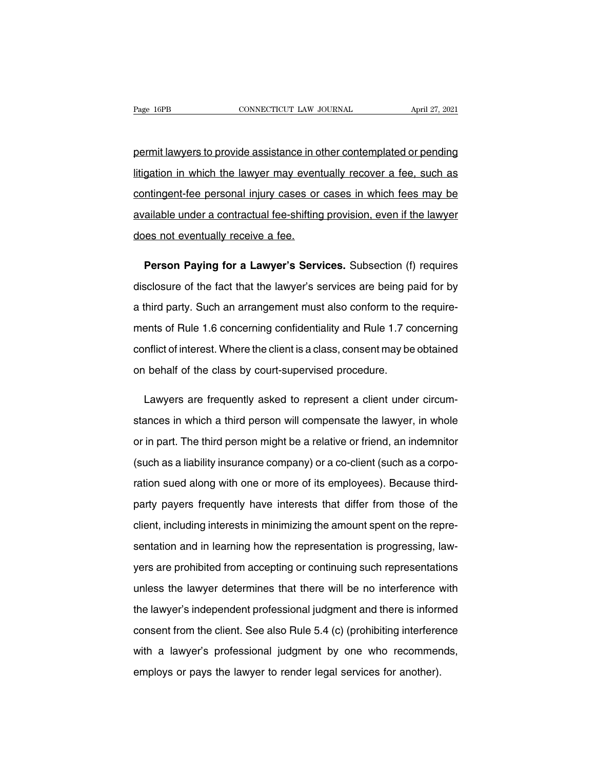Page 16PB<br>
connectricut LAW JOURNAL<br>
permit lawyers to provide assistance in other contemplated or pending<br>
litigation in which the lawyer may eventually recover a fee, such as Page 16PB CONNECTICUT LAW JOURNAL April 27, 2021<br>permit lawyers to provide assistance in other contemplated or pending<br>litigation in which the lawyer may eventually recover a fee, such as<br>contingent-fee personal injury cas permit lawyers to provide assistance in other contemplated or pending<br>litigation in which the lawyer may eventually recover a fee, such as<br>contingent-fee personal injury cases or cases in which fees may be<br>available under permit lawyers to provide assistance in other contemplated or pending<br>litigation in which the lawyer may eventually recover a fee, such as<br>contingent-fee personal injury cases or cases in which fees may be<br>available under Ittigation in which the lawyer may event<br>contingent-fee personal injury cases or<br>available under a contractual fee-shifting<br>does not eventually receive a fee. mating ent-fee personal injury cases or cases in which fees may be<br>
pailable under a contractual fee-shifting provision, even if the lawyer<br>
es not eventually receive a fee.<br> **Person Paying for a Lawyer's Services.** Subsec

in a contractual fee-shifting provision, even if the lawyer<br>does not eventually receive a fee.<br>**Person Paying for a Lawyer's Services.** Subsection (f) requires<br>disclosure of the fact that the lawyer's services are being pa does not eventually receive a fee.<br> **Person Paying for a Lawyer's Services.** Subsection (f) requires<br>
disclosure of the fact that the lawyer's services are being paid for by<br>
a third party. Such an arrangement must also co **Person Paying for a Lawyer's Services.** Subsection (f) requires disclosure of the fact that the lawyer's services are being paid for by a third party. Such an arrangement must also conform to the requirements of Rule 1.6 disclosure of the fact that the lawyer's services are being paid for by<br>a third party. Such an arrangement must also conform to the require-<br>ments of Rule 1.6 concerning confidentiality and Rule 1.7 concerning<br>conflict of a third party. Such an arrangement must also conform to the<br>ments of Rule 1.6 concerning confidentiality and Rule 1.7 co<br>conflict of interest. Where the client is a class, consent may be<br>on behalf of the class by court-sup ents of Rule 1.6 concerning confidentiality and Rule 1.7 concerning<br>
inflict of interest. Where the client is a class, consent may be obtained<br>
i behalf of the class by court-supervised procedure.<br>
Lawyers are frequently a

conflict of interest. Where the client is a class, consent may be obtained<br>on behalf of the class by court-supervised procedure.<br>Lawyers are frequently asked to represent a client under circum-<br>stances in which a third per on behalf of the class by court-supervised procedure.<br>Lawyers are frequently asked to represent a client under circum-<br>stances in which a third person will compensate the lawyer, in whole<br>or in part. The third person might Lawyers are frequently asked to represent a client under circum-<br>stances in which a third person will compensate the lawyer, in whole<br>or in part. The third person might be a relative or friend, an indemnitor<br>(such as a lia stances in which a third person will compensate the lawyer, in whole<br>or in part. The third person might be a relative or friend, an indemnitor<br>(such as a liability insurance company) or a co-client (such as a corpo-<br>ration or in part. The third person might be a relative or friend, an indemnitor<br>(such as a liability insurance company) or a co-client (such as a corpo-<br>ration sued along with one or more of its employees). Because third-<br>party (such as a liability insurance company) or a co-client (such as a corpo-<br>ration sued along with one or more of its employees). Because third-<br>party payers frequently have interests that differ from those of the<br>client, inc ration sued along with one or more of its employees). Because third-<br>party payers frequently have interests that differ from those of the<br>client, including interests in minimizing the amount spent on the repre-<br>sentation a party payers frequently have interests that differ from those of the client, including interests in minimizing the amount spent on the representation and in learning how the representation is progressing, law-<br>yers are pro client, including interests in minimizing the amount spent on the representation and in learning how the representation is progressing, law-<br>yers are prohibited from accepting or continuing such representations<br>unless the sentation and in learning how the representation is progressing, law-<br>yers are prohibited from accepting or continuing such representations<br>unless the lawyer determines that there will be no interference with<br>the lawyer's yers are prohibited from accepting or continuing such representations<br>unless the lawyer determines that there will be no interference with<br>the lawyer's independent professional judgment and there is informed<br>consent from t unless the lawyer determines that there will be no interference with<br>the lawyer's independent professional judgment and there is informed<br>consent from the client. See also Rule 5.4 (c) (prohibiting interference<br>with a lawy unless the lawyer determines that there will be no interference with<br>the lawyer's independent professional judgment and there is informed<br>consent from the client. See also Rule 5.4 (c) (prohibiting interference<br>with a lawy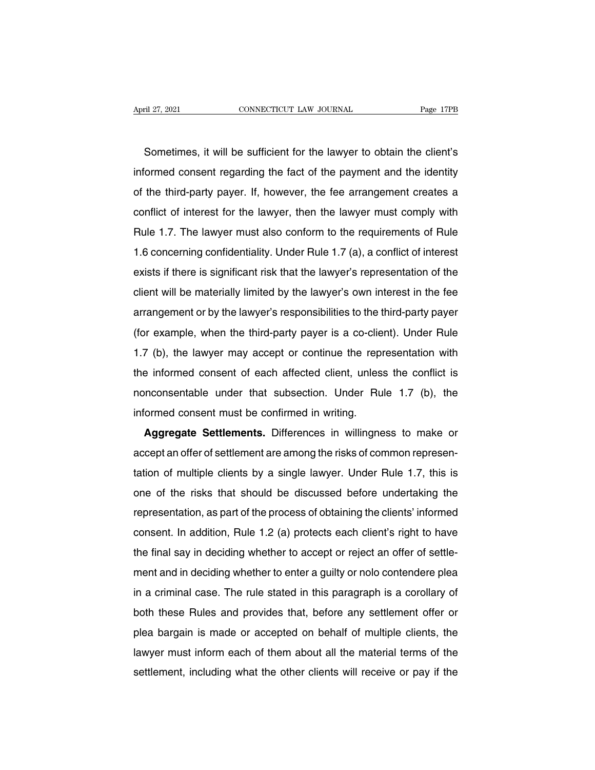Example 127, 2021<br>
Sometimes, it will be sufficient for the lawyer to obtain the client's<br>
Sometimes, it will be sufficient for the lawyer to obtain the client's<br>
Sometimes, it will be sufficient for the lawyer to obtain t informed consent regarding the fact of the payment and the identity<br>of the third-party payer. If, however, the fee arrangement creates a Sometimes, it will be sufficient for the lawyer to obtain the client's<br>informed consent regarding the fact of the payment and the identity<br>of the third-party payer. If, however, the fee arrangement creates a<br>conflict of in Sometimes, it will be sufficient for the lawyer to obtain the client's<br>informed consent regarding the fact of the payment and the identity<br>of the third-party payer. If, however, the fee arrangement creates a<br>conflict of in Solitelines, it will be suildent for the lawyer to botain the client's<br>informed consent regarding the fact of the payment and the identity<br>of the third-party payer. If, however, the fee arrangement creates a<br>conflict of in Informed consent regarding the fact of the payment and the identity<br>of the third-party payer. If, however, then the lawyer must comply with<br>Rule 1.7. The lawyer must also conform to the requirements of Rule<br>1.6 concerning exists if therest for the lawyer, then the lawyer must comply with<br>Rule 1.7. The lawyer must also conform to the requirements of Rule<br>1.6 concerning confidentiality. Under Rule 1.7 (a), a conflict of interest<br>exists if the Example 1.7. The lawyer must also conform to the requirements of Rule 1.6 concerning confidentiality. Under Rule 1.7 (a), a conflict of interest exists if there is significant risk that the lawyer's representation of the c 1.6 concerning confidentiality. Under Rule 1.7 (a), a conflict of interest<br>exists if there is significant risk that the lawyer's representation of the<br>client will be materially limited by the lawyer's own interest in the f r.o concerning connuentiality. Onder the trivial is a commet of interest<br>exists if there is significant risk that the lawyer's representation of the<br>client will be materially limited by the lawyer's own interest in the fee Exists in the is significant risk that the lawyer's representation of the client will be materially limited by the lawyer's own interest in the fee arrangement or by the lawyer's responsibilities to the third-party payer ( enerit will be materially immed by the lawyer's own interest in the ree<br>arrangement or by the lawyer's responsibilities to the third-party payer<br>(for example, when the third-party payer is a co-client). Under Rule<br>1.7 (b), anangement of by the lawyer s responsibilities to the time-party payer<br>(for example, when the third-party payer is a co-client). Under Rule<br>1.7 (b), the lawyer may accept or continue the representation with<br>the informed co (for example, when the third-party payer is a co-client). Under Rule 1.7 (b), the lawyer may accept or continue the representation with the informed consent of each affected client, unless the conflict is nonconsentable u Aggregate Settlements. Differences in willingness to make or cept an offer of settlements. Differences in willingness to make or cept an offer of settlement are among the risks of common representation

accept an offer of settlement are among the risks of common representation of multiple clients by a single lawyer. Under Rule 1.7, this is Informed consent must be confirmed in writing.<br> **Aggregate Settlements.** Differences in willingness to make or<br>
accept an offer of settlement are among the risks of common represen-<br>
tation of multiple clients by a single Aggregate Settlements. Differences in willingness to make or<br>accept an offer of settlement are among the risks of common represen-<br>tation of multiple clients by a single lawyer. Under Rule 1.7, this is<br>one of the risks tha Aggregate Settlements. Differences in whingness to make of<br>accept an offer of settlement are among the risks of common represen-<br>tation of multiple clients by a single lawyer. Under Rule 1.7, this is<br>one of the risks that accept an oner or settlement are among the risks of common representation of multiple clients by a single lawyer. Under Rule 1.7, this is one of the risks that should be discussed before undertaking the representation, as the final say in deciding whether to accept or reject an offer of settle-<br>the final say in deciding whether to accept or reject an offer of settle-<br>ment and in deciding whether to accept or reject an offer of settle-<br>ment ment and in and it in and it is a grad it in the process of obtaining the clients' informed<br>consent. In addition, Rule 1.2 (a) protects each client's right to have<br>the final say in deciding whether to accept or reject an o representation, as part of the process of obtaining the cherits informed<br>consent. In addition, Rule 1.2 (a) protects each client's right to have<br>the final say in deciding whether to accept or reject an offer of settle-<br>men both the final say in deciding whether to accept or reject an offer of settlement and in deciding whether to enter a guilty or nolo contendere plea<br>in a criminal case. The rule stated in this paragraph is a corollary of<br>bo In the final say in declaing whether to accept or reject an oner or settle-<br>ment and in deciding whether to enter a guilty or nolo contendere plea<br>in a criminal case. The rule stated in this paragraph is a corollary of<br>bot Inent and in declaing whether to enter a guitty of hold contendere plea<br>in a criminal case. The rule stated in this paragraph is a corollary of<br>both these Rules and provides that, before any settlement offer or<br>plea bargai shoth these Rules and provides that, before any settlement offer or plea bargain is made or accepted on behalf of multiple clients, the lawyer must inform each of them about all the material terms of the settlement, includ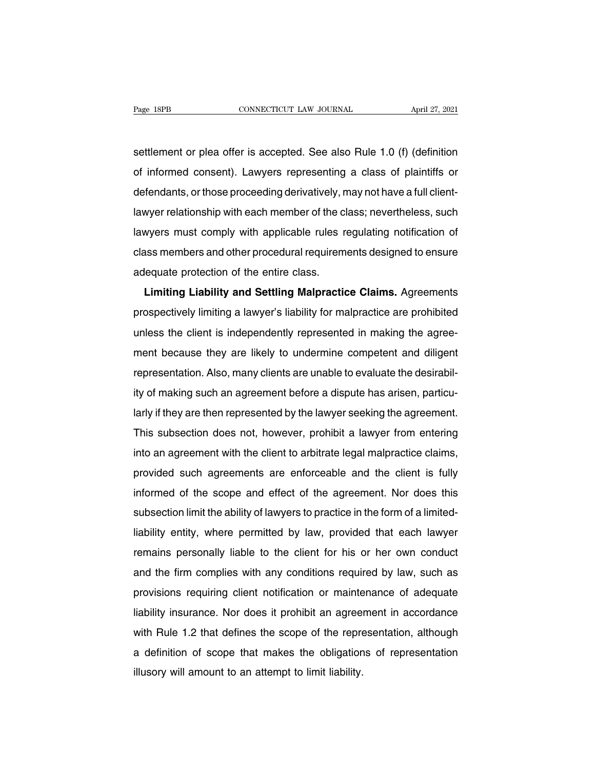Page 18PB<br>
settlement or plea offer is accepted. See also Rule 1.0 (f) (definition<br>
of informed consent). Lawyers representing a class of plaintiffs or Page 18PB CONNECTICUT LAW JOURNAL April 27, 2021<br>settlement or plea offer is accepted. See also Rule 1.0 (f) (definition<br>of informed consent). Lawyers representing a class of plaintiffs or<br>defendants, or those proceeding d settlement or plea offer is accepted. See also Rule 1.0 (f) (definition<br>of informed consent). Lawyers representing a class of plaintiffs or<br>defendants, or those proceeding derivatively, may not have a full client-<br>lawyer r settlement or plea offer is accepted. See also Rule 1.0 (f) (definition<br>of informed consent). Lawyers representing a class of plaintiffs or<br>defendants, or those proceeding derivatively, may not have a full client-<br>lawyer r definition of informed consent). Lawyers representing a class of plaintiffs or defendants, or those proceeding derivatively, may not have a full client-<br>lawyer relationship with each member of the class; nevertheless, such or informed consent). Lawyers representing a class or plaintins or<br>defendants, or those proceeding derivatively, may not have a full client-<br>lawyers must comply with applicable rules regulating notification of<br>class member devendants, or those proceeding derivatively, if<br>lawyer relationship with each member of the c<br>lawyers must comply with applicable rules r<br>class members and other procedural requirem<br>adequate protection of the entire class Wer Telationship with applicable rules regulating notification of<br>
ass members and other procedural requirements designed to ensure<br>
lequate protection of the entire class.<br> **Limiting Liability and Settling Malpractice Cla** 

provided interesting inclined in the class members and other procedural requirements designed to ensure<br>adequate protection of the entire class.<br>**Limiting Liability and Settling Malpractice Claims.** Agreements<br>prospectivel Limiting Liability and Settling Malpractice Claims. Agreements<br>adequate protection of the entire class.<br>prospectively limiting a lawyer's liability for malpractice are prohibited<br>unless the client is independently represen Limiting Liability and Settling Malpractice Claims. Agreements<br>prospectively limiting a lawyer's liability for malpractice are prohibited<br>unless the client is independently represented in making the agree-<br>ment because the Emining Liability and Jetting Mappactice Claims. Agreements<br>prospectively limiting a lawyer's liability for malpractice are prohibited<br>unless the client is independently represented in making the agree-<br>ment because they a prospectively imiting a lawyer's liability for malplactice are pronibited<br>unless the client is independently represented in making the agree-<br>ment because they are likely to undermine competent and diligent<br>representation. Interest the cherit is independently represented in making the agreement because they are likely to undermine competent and diligent representation. Also, many clients are unable to evaluate the desirability of making such Then the because they are likely to undefinite completent and unigent<br>representation. Also, many clients are unable to evaluate the desirabil-<br>ity of making such an agreement before a dispute has arisen, particu-<br>larly if representation. Also, many clients are unable to evaluate the desirability of making such an agreement before a dispute has arisen, particularly if they are then represented by the lawyer seeking the agreement.<br>This subsec larly if they are then represented by the lawyer seeking the agreement.<br>This subsection does not, however, prohibit a lawyer from entering<br>into an agreement with the client to arbitrate legal malpractice claims,<br>provided s rativ in they are then represented by the lawyer seeking the agreement.<br>This subsection does not, however, prohibit a lawyer from entering<br>into an agreement with the client to arbitrate legal malpractice claims,<br>provided s Fins subsection does not, nowever, pronibit a lawyer non-entering<br>into an agreement with the client to arbitrate legal malpractice claims,<br>provided such agreements are enforceable and the client is fully<br>informed of the sc Into an agreement with the chefit to abituate legal mappactice clams,<br>provided such agreements are enforceable and the client is fully<br>informed of the scope and effect of the agreement. Nor does this<br>subsection limit the a provided such agreements are emoticeable and the client is luny<br>informed of the scope and effect of the agreement. Nor does this<br>subsection limit the ability of lawyers to practice in the form of a limited-<br>liability entit mionned of the scope and enect of the agreement. Not does this<br>subsection limit the ability of lawyers to practice in the form of a limited-<br>liability entity, where permitted by law, provided that each lawyer<br>remains perso subsection limit the ability of lawyers to plactice in the form or a limited-<br>liability entity, where permitted by law, provided that each lawyer<br>remains personally liable to the client for his or her own conduct<br>and the f Inability entity, where permitted by law, provided that each lawyer<br>remains personally liable to the client for his or her own conduct<br>and the firm complies with any conditions required by law, such as<br>provisions requiring remains personally hable to the cheffi for his of her own conduct<br>and the firm complies with any conditions required by law, such as<br>provisions requiring client notification or maintenance of adequate<br>liability insurance. and the firm comples with any conditions required by law, such as<br>provisions requiring client notification or maintenance of adequate<br>liability insurance. Nor does it prohibit an agreement in accordance<br>with Rule 1.2 that provisions requiring chent houncation of mainte<br>liability insurance. Nor does it prohibit an agree<br>with Rule 1.2 that defines the scope of the repre<br>a definition of scope that makes the obligation<br>illusory will amount to a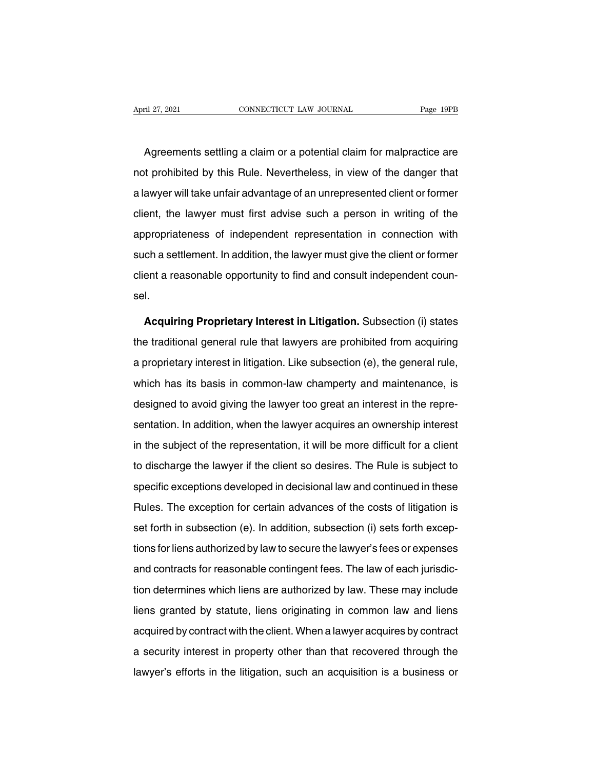Agreements settling a claim or a potential claim for malpractice are<br>Agreements settling a claim or a potential claim for malpractice are<br>t prohibited by this Rule. Nevertheless, in view of the danger that April 27, 2021 CONNECTICUT LAW JOURNAL Page 19PB<br>
Agreements settling a claim or a potential claim for malpractice are<br>
not prohibited by this Rule. Nevertheless, in view of the danger that<br>
a lawyer will take unfair advan Agreements settling a claim or a potential claim for malpractice are<br>not prohibited by this Rule. Nevertheless, in view of the danger that<br>a lawyer will take unfair advantage of an unrepresented client or former<br>client, th Agreements settling a claim or a potential claim for malpractice are<br>not prohibited by this Rule. Nevertheless, in view of the danger that<br>a lawyer will take unfair advantage of an unrepresented client or former<br>client, th righted by this Rule. Nevertheless, in view of the danger that<br>a lawyer will take unfair advantage of an unrepresented client or former<br>client, the lawyer must first advise such a person in writing of the<br>appropriateness o such promated by the Hater Horothnology, in their of the danger that<br>a lawyer will take unfair advantage of an unrepresented client or former<br>client, the lawyer must first advise such a person in writing of the<br>appropriate a lawyer will take unfair advantage of an unrepresented client or former<br>client, the lawyer must first advise such a person in writing of the<br>appropriateness of independent representation in connection with<br>such a settleme sel. **Acquiring Proprietary Interest in Litigation.** Subsection (i) states in additional general rule that lawyers are prohibited from acquiring proprietary Interest in Litigation. Subsection (i) states of traditional general r

the traditional general rule that lawyers are prohibited from acquiring<br>a proprietary **Proprietary Interest in Litigation.** Subsection (i) states<br>the traditional general rule that lawyers are prohibited from acquiring<br>a pr sel.<br>**Acquiring Proprietary Interest in Litigation.** Subsection (i) states<br>the traditional general rule that lawyers are prohibited from acquiring<br>a proprietary interest in litigation. Like subsection (e), the general rule Acquiring Proprietary Interest in Litigation. Subsection (i) states<br>the traditional general rule that lawyers are prohibited from acquiring<br>a proprietary interest in litigation. Like subsection (e), the general rule,<br>which Acquiring Proprietary Interest in Litigation. Subsection (i) states<br>the traditional general rule that lawyers are prohibited from acquiring<br>a proprietary interest in litigation. Like subsection (e), the general rule,<br>which sentation. It is that take the promined from adquiring<br>a proprietary interest in litigation. Like subsection (e), the general rule,<br>which has its basis in common-law champerty and maintenance, is<br>designed to avoid giving t in the subject of the representation, it will be more difficult for a client<br>to discharge the lawyer too great an interest in the repre-<br>sentation. In addition, when the lawyer acquires an ownership interest<br>in the subject the law of discharge the lawyer too great an interest in the representation. In addition, when the lawyer acquires an ownership interest<br>in the subject of the representation, it will be more difficult for a client<br>to disch sentation. In addition, when the lawyer acquires an ownership interest<br>in the subject of the representation, it will be more difficult for a client<br>to discharge the lawyer if the client so desires. The Rule is subject to<br>s Formal entity and the exception for the exception for a client to discharge the lawyer if the client so desires. The Rule is subject to specific exceptions developed in decisional law and continued in these Rules. The exce set forth in subsection (e). In addition, subsection (i) sets forth exceptions developed in decisional law and continued in these<br>Rules. The exception for certain advances of the costs of litigation is<br>set forth in subsect the theorith game hange the lawyer in the entertier and the law in the lawyer's specific exceptions developed in decisional law and continued in these Rules. The exception for certain advances of the costs of litigation is Procinc choopment contrapted in accession and candidates. The exception for certain advances of the costs of litigation is<br>set forth in subsection (e). In addition, subsection (i) sets forth excep-<br>tions for liens authoriz the the energy of the anti-termine and around the state of any galaxies set forth in subsection (e). In addition, subsection (i) sets forth exceptions for liens authorized by law to secure the lawyer's fees or expenses and Liens for liens authorized by law to secure the lawyer's fees or expenses<br>and contracts for reasonable contingent fees. The law of each jurisdic-<br>tion determines which liens are authorized by law. These may include<br>liens g and contracts for reasonable contingent fees. The law of each jurisdiction determines which liens are authorized by law. These may include liens granted by statute, liens originating in common law and liens acquired by con and determines which liens are authorized by law. These may include<br>liens granted by statute, liens originating in common law and liens<br>acquired by contract with the client. When a lawyer acquires by contract<br>a security in liens granted by statute, liens originating in common law and liens<br>acquired by contract with the client. When a lawyer acquires by contract<br>a security interest in property other than that recovered through the<br>lawyer's ef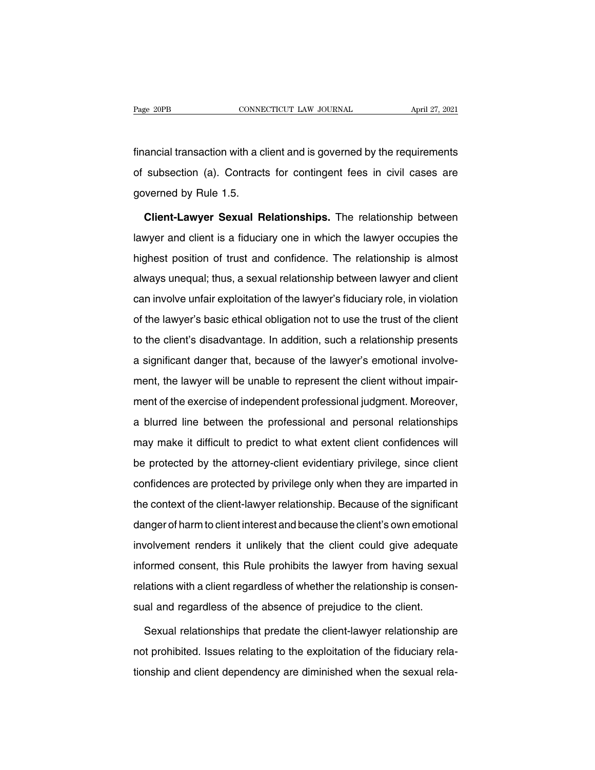Fage 20PB CONNECTICUT LAW JOURNAL April 27, 2021<br>
financial transaction with a client and is governed by the requirements<br>
of subsection (a). Contracts for contingent fees in civil cases are Page 20PB CONNECTICUT LAW JOURNAL April 27, 2021<br>
financial transaction with a client and is governed by the requirements<br>
of subsection (a). Contracts for contingent fees in civil cases are<br>
governed by Rule 1.5. Financial transaction with a correlation of subsection (a). Contraction<br>governed by Rule 1.5.<br>Client-Lawver Sexual R ancial transaction with a client and is governed by the requirements<br>subsection (a). Contracts for contingent fees in civil cases are<br>verned by Rule 1.5.<br>**Client-Lawyer Sexual Relationships.** The relationship between<br>wyer

of subsection (a). Contracts for contingent fees in civil cases are<br>governed by Rule 1.5.<br>**Client-Lawyer Sexual Relationships.** The relationship between<br>lawyer and client is a fiduciary one in which the lawyer occupies the governed by Rule 1.5.<br> **Client-Lawyer Sexual Relationships.** The relationship between<br>
lawyer and client is a fiduciary one in which the lawyer occupies the<br>
highest position of trust and confidence. The relationship is al **Client-Lawyer Sexual Relationships.** The relationship between lawyer and client is a fiduciary one in which the lawyer occupies the highest position of trust and confidence. The relationship is almost always unequal; thus lawyer and client is a fiduciary one in which the lawyer occupies the<br>highest position of trust and confidence. The relationship is almost<br>always unequal; thus, a sexual relationship between lawyer and client<br>can involve u highest position of trust and confidence. The relationship is almost<br>always unequal; thus, a sexual relationship between lawyer and client<br>can involve unfair exploitation of the lawyer's fiduciary role, in violation<br>of the the client of the client and commutation. The commutation prior almost<br>always unequal; thus, a sexual relationship between lawyer and client<br>can involve unfair exploitation of the lawyer's fiduciary role, in violation<br>of t always unequal; thus, a sexual relationship between lawyer and client<br>can involve unfair exploitation of the lawyer's fiduciary role, in violation<br>of the lawyer's basic ethical obligation not to use the trust of the client of the lawyer's basic ethical obligation not to use the trust of the client<br>to the client's disadvantage. In addition, such a relationship presents<br>a significant danger that, because of the lawyer's emotional involve-<br>ment of the latiful of state of the exercise of the distribution, such a relationship presents<br>a significant danger that, because of the lawyer's emotional involve-<br>ment, the lawyer will be unable to represent the client withou a significant danger that, because of the lawyer's emotional involve-<br>ment, the lawyer will be unable to represent the client without impair-<br>ment of the exercise of independent professional judgment. Moreover,<br>a blurred l ment, the lawyer will be unable to represent the client without impair-<br>ment of the exercise of independent professional judgment. Moreover,<br>a blurred line between the professional and personal relationships<br>may make it di be protected by the attorney-client evidentiary privilege, since client and personal relationships<br>may make it difficult to predict to what extent client confidences will<br>be protected by the attorney-client evidentiary pri confidences a masperiasin protectional judgment moreover,<br>a blurred line between the professional and personal relationships<br>may make it difficult to predict to what extent client confidences will<br>be protected by the attor the contract and performal and performal contract only may make it difficult to predict to what extent client confidences will<br>be protected by the attorney-client evidentiary privilege, since client<br>confidences are protect delt protected by the attorney-client evidentiary privilege, since client<br>confidences are protected by privilege only when they are imparted in<br>the context of the client-lawyer relationship. Because of the significant<br>dang so procedus by the attenty short extendaty primage, since each<br>confidences are protected by privilege only when they are imparted in<br>the context of the client-lawyer relationship. Because of the significant<br>danger of harm Informed consent of the client-lawyer relationship. Because of the significant<br>danger of harm to client interest and because the client's own emotional<br>involvement renders it unlikely that the client could give adequate<br>in relations of harm to client interest and because the client's own emotional<br>involvement renders it unlikely that the client could give adequate<br>informed consent, this Rule prohibits the lawyer from having sexual<br>relations sual get of the meteors it unlikely that the client could give adequal<br>informed consent, this Rule prohibits the lawyer from having sexu<br>relations with a client regardless of whether the relationship is conser<br>sual and reg Formed consent, this Rule prohibits the lawyer from having sexual<br>lations with a client regardless of whether the relationship is consen-<br>al and regardless of the absence of prejudice to the client.<br>Sexual relationships th

relations with a client regardless of whether the relationship is consen-<br>sual and regardless of the absence of prejudice to the client.<br>Sexual relationships that predate the client-lawyer relationship are<br>not prohibited. sual and regardless of the absence of prejudice to the client.<br>Sexual relationships that predate the client-lawyer relationship are<br>not prohibited. Issues relating to the exploitation of the fiduciary rela-<br>tionship and cl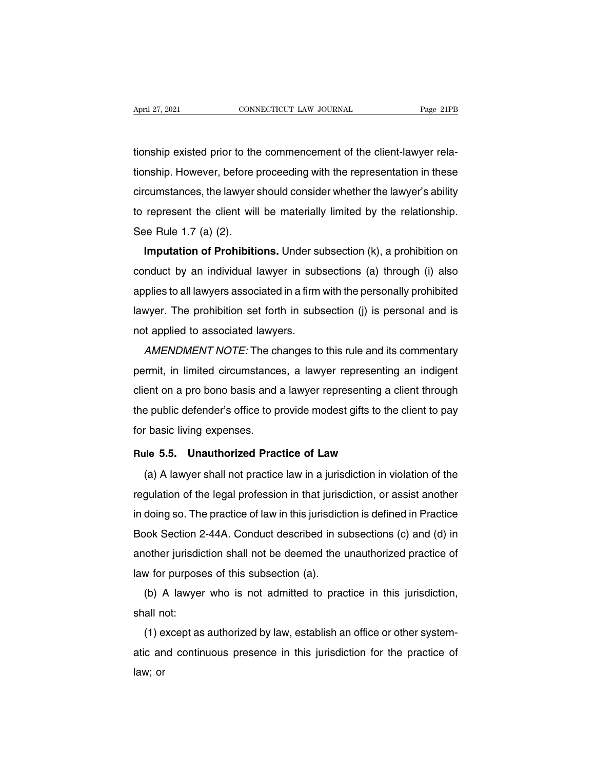April 27, 2021<br>CONNECTICUT LAW JOURNAL Page 21PB<br>tionship existed prior to the commencement of the client-lawyer rela-<br>tionship. However, before proceeding with the representation in these April 27, 2021 CONNECTICUT LAW JOURNAL Page 21PB<br>tionship existed prior to the commencement of the client-lawyer rela-<br>tionship. However, before proceeding with the representation in these<br>circumstances, the lawyer should tionship existed prior to the commencement of the client-lawyer rela-<br>tionship. However, before proceeding with the representation in these<br>circumstances, the lawyer should consider whether the lawyer's ability<br>to represen tionship existed prior to the commencement of the client-lawyer relationship. However, before proceeding with the representation in these circumstances, the lawyer should consider whether the lawyer's ability to represent tionship existed prior to the commencement of the client-lawyer rela-<br>tionship. However, before proceeding with the representation in these<br>circumstances, the lawyer should consider whether the lawyer's ability<br>to represen **ITENTIFY:** However, before proceeding with the representation in these<br>cumstances, the lawyer should consider whether the lawyer's ability<br>represent the client will be materially limited by the relationship.<br>**Imputation o** 

circumstances, the lawyer should consider whether the lawyer's ability<br>to represent the client will be materially limited by the relationship.<br>See Rule 1.7 (a) (2).<br>**Imputation of Prohibitions.** Under subsection (k), a pro applies to all lawyers associated in a firm with the personally probabilition on<br>conduct by an individual lawyer in subsections (a) through (i) also<br>applies to all lawyers associated in a firm with the personally prohibite **Imputation of Prohibitions.** Under subsection (k), a prohibition on conduct by an individual lawyer in subsections (a) through (i) also applies to all lawyers associated in a firm with the personally prohibited lawyer. T Imputation of Prombitions. Onder st<br>conduct by an individual lawyer in sub<br>applies to all lawyers associated in a firm<br>lawyer. The prohibition set forth in subs<br>not applied to associated lawyers.<br>AMENDMENT NOTE: The change Figure 10 and individual lawyer in subsections (a) through (i) also<br>plies to all lawyers associated in a firm with the personally prohibited<br>wyer. The prohibition set forth in subsection (j) is personal and is<br>t applied to

applies to all lawyers associated in a limit with the personally prohibited<br>lawyer. The prohibition set forth in subsection (j) is personal and is<br>not applied to associated lawyers.<br>AMENDMENT NOTE: The changes to this rule rawyer. The prohibition set forth in subsection (j) is personal and is<br>not applied to associated lawyers.<br>AMENDMENT NOTE: The changes to this rule and its commentary<br>permit, in limited circumstances, a lawyer representing AMENDMENT NOTE: The changes to this rule and its commentary<br>permit, in limited circumstances, a lawyer representing an indigent<br>client on a pro bono basis and a lawyer representing a client through<br>the public defender's of AMENDMENT NOTE. The criteral permit, in limited circumstance<br>client on a pro bono basis and a<br>the public defender's office to p<br>for basic living expenses.<br>Rule 5.5. Unauthorized Prac Example It is a probono basis and a lawyer representing a client<br>the public defender's office to provide modest gifts to the client<br>for basic living expenses.<br>**Rule 5.5. Unauthorized Practice of Law**<br>(a) A lawyer shall not (a) A lawyer shall not practice law in a jurisdiction in violation of the speaking expenses.<br>
The 5.5. Unauthorized Practice of Law<br>
(a) A lawyer shall not practice law in a jurisdiction in violation of the gulation of the

For basic living expenses.<br> **Rule 5.5. Unauthorized Practice of Law**<br>
(a) A lawyer shall not practice law in a jurisdiction in violation of the<br>
regulation of the legal profession in that jurisdiction, or assist another<br>
i Fractice of Law<br>
(a) A lawyer shall not practice law in a jurisdiction in violation of the<br>
regulation of the legal profession in that jurisdiction, or assist another<br>
in doing so. The practice of law in this jurisdiction (a) A lawyer shall not practice law in a jurisdiction in violation of the regulation of the legal profession in that jurisdiction, or assist another in doing so. The practice of law in this jurisdiction is defined in Pract (a) A lawyer shall not plactice law in a jurisdiction in violation of the regulation of the legal profession in that jurisdiction, or assist another in doing so. The practice of law in this jurisdiction is defined in Prac regulation of the legal profession in that jurisd<br>in doing so. The practice of law in this jurisdicti<br>Book Section 2-44A. Conduct described in st<br>another jurisdiction shall not be deemed the t<br>law for purposes of this subs (b) A lawyer who is not admitted to practice in this jurisdiction<br>admit private in subsections (c) and (d) in<br>the jurisdiction shall not be deemed the unauthorized practice of<br>the purposes of this subsection (a).<br>(b) A law Book Section<br>another jurisdid<br>law for purpose<br>(b) A lawyer<br>shall not:<br>(1) except as (1) another jurisdiction shall not be deemed the unauthorized practice of<br>law for purposes of this subsection (a).<br>(b) A lawyer who is not admitted to practice in this jurisdiction,<br>shall not:<br>(1) except as authorized by l

ative of purposes of this subsection (a).<br>
(b) A lawyer who is not admitted to practice in this jurisdiction,<br>
shall not:<br>
(1) except as authorized by law, establish an office or other system-<br>
atic and continuous presence  $\mathsf{shall} \cap \mathsf{In}$ <br> $(1) \in \mathsf{atic} \text{ and } \mathsf{law} \text{;}$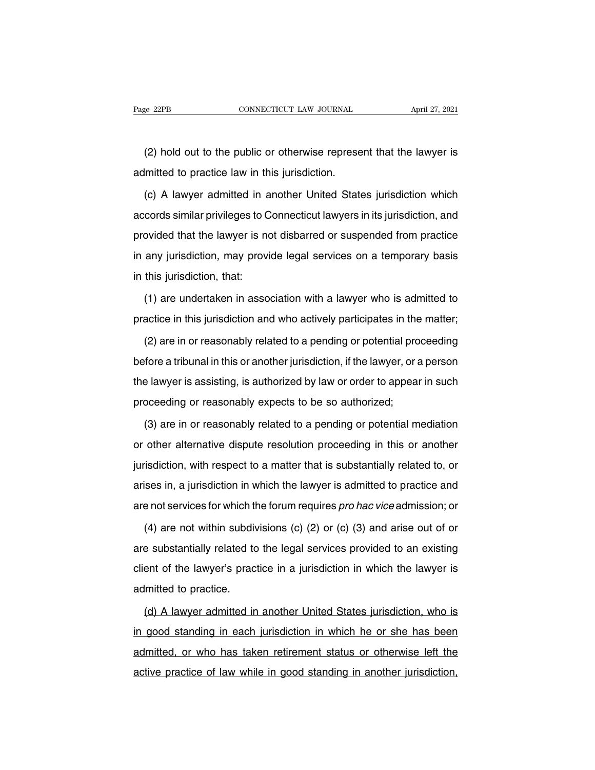(2) hold out to the public or otherwise represent that the lawyer is<br>
the public or otherwise represent that the lawyer is<br>
downtown in this jurisdiction. Page 22PB CONNECTICUT LAW JOURNAL<br>
(2) hold out to the public or otherwise represe<br>
admitted to practice law in this jurisdiction.<br>
(c) A lawyer admitted in another United State

(2) hold out to the public or otherwise represent that the lawyer is<br>Imitted to practice law in this jurisdiction.<br>(c) A lawyer admitted in another United States jurisdiction which<br>cords similar privileges to Connecticut l (2) hold out to the public or otherwise represent that the lawyer is<br>admitted to practice law in this jurisdiction.<br>(c) A lawyer admitted in another United States jurisdiction which<br>accords similar privileges to Connecticu admitted to practice law in this jurisdiction.<br>
(c) A lawyer admitted in another United States jurisdiction which<br>
accords similar privileges to Connecticut lawyers in its jurisdiction, and<br>
provided that the lawyer is not (c) A lawyer admitted in another United States jurisdiction which<br>accords similar privileges to Connecticut lawyers in its jurisdiction, and<br>provided that the lawyer is not disbarred or suspended from practice<br>in any juris  $\frac{1}{2}$  accords similar privileges to C<br>provided that the lawyer is not<br>in any jurisdiction, may provi<br>in this jurisdiction, that:<br>(1) are undertaken in asso (a) bovided that the lawyer is not disbarred or suspended from practice<br>any jurisdiction, may provide legal services on a temporary basis<br>this jurisdiction, that:<br>(1) are undertaken in association with a lawyer who is admi in any jurisdiction, may provide legal services on a temporary basis<br>in this jurisdiction, that:<br>(1) are undertaken in association with a lawyer who is admitted to<br>practice in this jurisdiction and who actively participate

(1) are undertaken in association with a lawyer who is admitted to<br>actice in this jurisdiction and who actively participates in the matter;<br>(2) are in or reasonably related to a pending or potential proceeding<br>fore a tribu (1) are undertaken in association with a lawyer who is admitted to practice in this jurisdiction and who actively participates in the matter;<br>
(2) are in or reasonably related to a pending or potential proceeding<br>
before practice in this jurisdiction and who actively participates in the matter;<br>(2) are in or reasonably related to a pending or potential proceeding<br>before a tribunal in this or another jurisdiction, if the lawyer, or a person (2) are in or reasonably related to a pending or potential pro<br>before a tribunal in this or another jurisdiction, if the lawyer, or a<br>the lawyer is assisting, is authorized by law or order to appear<br>proceeding or reasonabl (3) are in or reasonably expects to be so authorized;<br>(3) are in or reasonably expects to be so authorized;<br>(3) are in or reasonably related to a pending or potential mediation<br>other alternative dispute resolution proceedi

the lawyer is assisting, is authorized by law or order to appear in such<br>proceeding or reasonably expects to be so authorized;<br>(3) are in or reasonably related to a pending or potential mediation<br>or other alternative dispu proceeding or reasonably expects to be so authorized;<br>(3) are in or reasonably related to a pending or potential mediation<br>or other alternative dispute resolution proceeding in this or another<br>jurisdiction, with respect to (3) are in or reasonably related to a pending or potential mediation<br>or other alternative dispute resolution proceeding in this or another<br>jurisdiction, with respect to a matter that is substantially related to, or<br>arises or other alternative dispute resolution proceeding in this or another<br>jurisdiction, with respect to a matter that is substantially related to, or<br>arises in, a jurisdiction in which the lawyer is admitted to practice and<br>a isdiction, with respect to a matter that is substantially related to, or<br>ises in, a jurisdiction in which the lawyer is admitted to practice and<br>e not services for which the forum requires *pro hac vice* admission; or<br>(4)

arises in, a jurisdiction in which the lawyer is admitted to practice and<br>are not services for which the forum requires *pro hac vice* admission; or<br>(4) are not within subdivisions (c) (2) or (c) (3) and arise out of or<br>ar are not services for which the forum requires *pro hac vice* admission; or<br>
(4) are not within subdivisions (c) (2) or (c) (3) and arise out of or<br>
are substantially related to the legal services provided to an existing<br>
c (4) are not within subdivare substantially related to<br>client of the lawyer's praction<br>admitted to practice.<br>(d) A lawyer admitted in (d) A lawyer admitted in a jurisdiction in which the lawyer is<br>(d) A lawyer admitted in another United States jurisdiction, who is<br>good standing in each jurisdiction in which he or she has been

client of the lawyer's practice in a jurisdiction in which the lawyer is<br>admitted to practice.<br>(d) A lawyer admitted in another United States jurisdiction, who is<br>in good standing in each jurisdiction in which he or she ha admitted to practice.<br>
(d) A lawyer admitted in another United States jurisdiction, who is<br>
in good standing in each jurisdiction in which he or she has been<br>
admitted, or who has taken retirement status or otherwise left (d) A lawyer admitted in another United States jurisdiction, who is<br>in good standing in each jurisdiction in which he or she has been<br>admitted, or who has taken retirement status or otherwise left the<br>active practice of la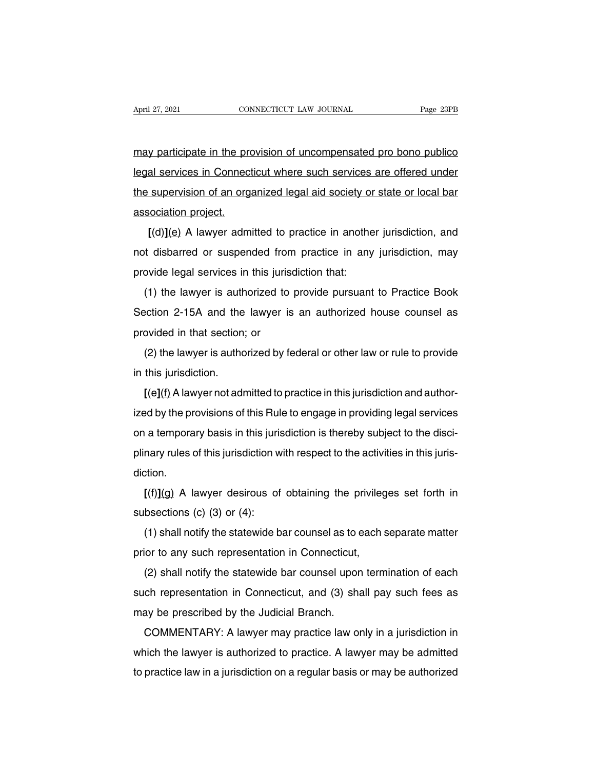April 27, 2021 CONNECTICUT LAW JOURNAL Page 23PB<br>may participate in the provision of uncompensated pro bono publico<br>legal services in Connecticut where such services are offered under April 27, 2021 CONNECTICUT LAW JOURNAL Page 23PB<br>
may participate in the provision of uncompensated pro bono publico<br>
legal services in Connecticut where such services are offered under<br>
the supervision of an organized leg the supervision of an organized pro bono publico<br>the supervision of an organized legal aid society or state or local bar<br>association project. may participate in the provision of uncompensated pro bono publico<br>legal services in Connecticut where such services are offered under<br>the supervision of an organized legal aid society or state or local bar<br>association pro **EXECUTE:** The provision of an enterpression and services are offered under<br>
supervision of an organized legal aid society or state or local bar<br>
sociation project.<br>
[(d)](e) A lawyer admitted to practice in another jurisd

not disbarred or suspended from practice in another jurisdiction, and<br>not disbarred or suspended from practice in another jurisdiction, and<br>not disbarred or suspended from practice in any jurisdiction, may<br>provide legal se me supervision of an organized legal and society of<br>association project.<br>[(d)](e) A lawyer admitted to practice in anothe<br>not disbarred or suspended from practice in any<br>provide legal services in this jurisdiction that:<br>(1  $[(d)](e)$  A lawyer admitted to practice in another jurisdiction, and<br>t disbarred or suspended from practice in any jurisdiction, may<br>ovide legal services in this jurisdiction that:<br>(1) the lawyer is authorized to provide p

It is a real of plactic in another jurisdiction, and<br>not disbarred or suspended from practice in any jurisdiction, may<br>provide legal services in this jurisdiction that:<br>(1) the lawyer is authorized to provide pursuant to not disbarred or suspended from practice in any jurisdiction, may<br>provide legal services in this jurisdiction that:<br>(1) the lawyer is authorized to provide pursuant to Practice Book<br>Section 2-15A and the lawyer is an autho (1) the lawyer is authorized to provide pursuant to Practice Book<br>ection 2-15A and the lawyer is an authorized house counsel as<br>ovided in that section; or<br>(2) the lawyer is authorized by federal or other law or rule to pro Section 2-15A and the<br>provided in that section<br>(2) the lawyer is author<br>in this jurisdiction.<br> $[ (e] (f)$  A lawyer not adr

(2) the lawyer is authorized by federal or other law or rule to provide<br>in this jurisdiction.<br> $[(e](f)$  A lawyer not admitted to practice in this jurisdiction and author-<br>ized by the provisions of this Rule to engage in pro

(2) the lawyer is authorized by federal or other law or rule to provide<br>in this jurisdiction.<br>
[(e](f) A lawyer not admitted to practice in this jurisdiction and author-<br>
ized by the provisions of this Rule to engage in pr ( $\angle$ ) the lawyer is additionzed by lederal of other law of fule to provide<br>in this jurisdiction.<br>[( $e$ ]( $f$ ) A lawyer not admitted to practice in this jurisdiction and author-<br>ized by the provisions of this Rule to engag  $[(e](f)$  A lawyer not admitted to practice in this jurisdiction and authorized by the provisions of this Rule to engage in providing legal services<br>on a temporary basis in this jurisdiction is thereby subject to the discidiction. **Example 10** a temporary basis in this jurisdiction is thereby subject to the disci-<br>hary rules of this jurisdiction with respect to the activities in this juris-<br>tion.<br> $[(f)](g)$  A lawyer desirous of obtaining the privilege ori a temporary basis in this jurisdiction<br>plinary rules of this jurisdiction w<br>diction.<br> $[(f)](g)$  A lawyer desirous of<br>subsections (c) (3) or (4):<br>(1) shall notify the statewide b

(f)](g) A lawyer desirous of obtaining the privileges set forth in<br>[(f)](g) A lawyer desirous of obtaining the privileges set forth in<br>bsections (c) (3) or (4):<br>(1) shall notify the statewide bar counsel as to each separat  $[(f)](g)$  A lawyer desirous of obtaining the privileg<br>subsections (c) (3) or (4):<br>(1) shall notify the statewide bar counsel as to each s<br>prior to any such representation in Connecticut,<br>(2) shall notify the statewide bar

(1)  $\frac{1}{2}$  A lawyer deshous of obtaining the privileges set form in<br>bsections (c) (3) or (4):<br>(1) shall notify the statewide bar counsel as to each separate matter<br>ior to any such representation in Connecticut,<br>(2) sha (1) shall notify the statewide bar counsel as to each separate matter<br>prior to any such representation in Connecticut,<br>(2) shall notify the statewide bar counsel upon termination of each<br>such representation in Connecticut The statewide bar courser as to a<br>prior to any such representation in Connecticut,<br>(2) shall notify the statewide bar counsel upor<br>such representation in Connecticut, and (3) sha<br>may be prescribed by the Judicial Branch.<br>C (2) shall notify the statewide bar counsel upon termination of each<br>ch representation in Connecticut, and (3) shall pay such fees as<br>ay be prescribed by the Judicial Branch.<br>COMMENTARY: A lawyer may practice law only in a

( $\angle$ ) shall notify the statewide bar couriser upon termination of each<br>such representation in Connecticut, and (3) shall pay such fees as<br>may be prescribed by the Judicial Branch.<br>COMMENTARY: A lawyer may practice law on such representation in Connecticut, and (3) shall pay such fees as<br>may be prescribed by the Judicial Branch.<br>COMMENTARY: A lawyer may practice law only in a jurisdiction in<br>which the lawyer is authorized to practice. A law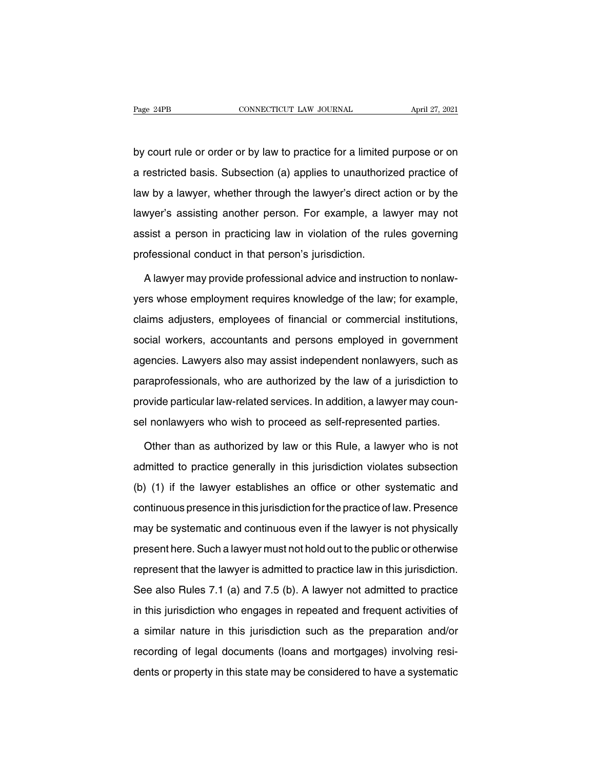Page 24PB CONNECTICUT LAW JOURNAL April 27, 2021<br>by court rule or order or by law to practice for a limited purpose or on<br>a restricted basis. Subsection (a) applies to unauthorized practice of Page 24PB CONNECTICUT LAW JOURNAL April 27, 2021<br>by court rule or order or by law to practice for a limited purpose or on<br>a restricted basis. Subsection (a) applies to unauthorized practice of<br>law by a lawyer, whether thro by court rule or order or by law to practice for a limited purpose or on<br>a restricted basis. Subsection (a) applies to unauthorized practice of<br>law by a lawyer, whether through the lawyer's direct action or by the<br>lawyer's by court rule or order or by law to practice for a limited purpose or on<br>a restricted basis. Subsection (a) applies to unauthorized practice of<br>law by a lawyer, whether through the lawyer's direct action or by the<br>lawyer's as restricted basis. Subsection (a) applies to unauthorized practice of<br>law by a lawyer, whether through the lawyer's direct action or by the<br>lawyer's assisting another person. For example, a lawyer may not<br>assist a person a recincted statist effection (a) applies to and<br>an only a lawyer, whether through the lawyer's direct at<br>lawyer's assisting another person. For example, a la<br>assist a person in practicing law in violation of the ru<br>profes wyer's assisting another person. For example, a lawyer may not<br>sist a person in practicing law in violation of the rules governing<br>ofessional conduct in that person's jurisdiction.<br>A lawyer may provide professional advice

assist a person in practicing law in violation of the rules governing<br>professional conduct in that person's jurisdiction.<br>A lawyer may provide professional advice and instruction to nonlaw-<br>yers whose employment requires k professional conduct in that person's jurisdiction.<br>A lawyer may provide professional advice and instruction to nonlaw-<br>yers whose employment requires knowledge of the law; for example,<br>claims adjusters, employees of finan A lawyer may provide professional advice and instruction to nonlaw-<br>yers whose employment requires knowledge of the law; for example,<br>claims adjusters, employees of financial or commercial institutions,<br>social workers, acc Thanyer may previde precedental dates and incirculation to hentate<br>yers whose employment requires knowledge of the law; for example,<br>claims adjusters, employees of financial or commercial institutions,<br>social workers, acco paral most employees of financial or commercial institutions,<br>social workers, accountants and persons employed in government<br>agencies. Lawyers also may assist independent nonlawyers, such as<br>paraprofessionals, who are auth provide particular law-related services. In addition, a lawyer may coun-<br>social workers, accountants and persons employed in government<br>agencies. Lawyers also may assist independent nonlawyers, such as<br>paraprofessionals, w sel nonlargy assession and persons omployed in government<br>agencies. Lawyers also may assist independent nonlawyers, such as<br>paraprofessionals, who are authorized by the law of a jurisdiction to<br>provide particular law-relat raprofessionals, who are authorized by the law of a jurisdiction to<br>ovide particular law-related services. In addition, a lawyer may coun-<br>I nonlawyers who wish to proceed as self-represented parties.<br>Other than as authori

provide particular law-related services. In addition, a lawyer may counsel nonlawyers who wish to proceed as self-represented parties.<br>Other than as authorized by law or this Rule, a lawyer who is not admitted to practice (b) sel nonlawyers who wish to proceed as self-represented parties.<br>
Other than as authorized by law or this Rule, a lawyer who is not<br>
admitted to practice generally in this jurisdiction violates subsection<br>
(b) (1) if th Other than as authorized by law or this Rule, a lawyer who is not<br>admitted to practice generally in this jurisdiction violates subsection<br>(b) (1) if the lawyer establishes an office or other systematic and<br>continuous prese admitted to practice generally in this jurisdiction violates subsection<br>(b) (1) if the lawyer establishes an office or other systematic and<br>continuous presence in this jurisdiction for the practice of law. Presence<br>may be (b) (1) if the lawyer establishes an office or other systematic and<br>continuous presence in this jurisdiction for the practice of law. Presence<br>may be systematic and continuous even if the lawyer is not physically<br>present h continuous presence in this jurisdiction for the practice of law. Presence<br>may be systematic and continuous even if the lawyer is not physically<br>present here. Such a lawyer must not hold out to the public or otherwise<br>rep may be systematic and continuous even if the lawyer is not physically<br>present here. Such a lawyer must not hold out to the public or otherwise<br>represent that the lawyer is admitted to practice law in this jurisdiction.<br>See in the lawyer must not hold out to the public or otherwise<br>represent that the lawyer is admitted to practice law in this jurisdiction.<br>See also Rules 7.1 (a) and 7.5 (b). A lawyer not admitted to practice<br>in this jurisdict represent that the lawyer is admitted to practice law in this jurisdiction.<br>See also Rules 7.1 (a) and 7.5 (b). A lawyer not admitted to practice<br>in this jurisdiction who engages in repeated and frequent activities of<br>a si represent that the langer is dumined to practice tan in this jurisdiction.<br>See also Rules 7.1 (a) and 7.5 (b). A lawyer not admitted to practice<br>in this jurisdiction who engages in repeated and frequent activities of<br>a sim in this jurisdiction who engages in repeated and frequent activities of<br>a similar nature in this jurisdiction such as the preparation and/or<br>recording of legal documents (loans and mortgages) involving resi-<br>dents or prop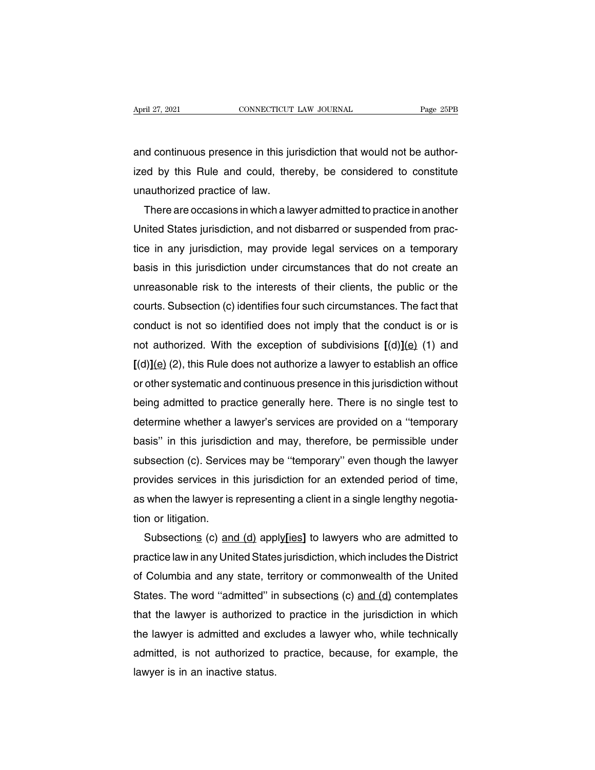April 27, 2021<br> **Exercise CONNECTICUT LAW JOURNAL**<br> **Exercise 25PB**<br>
and continuous presence in this jurisdiction that would not be author-<br>
ized by this Rule and could, thereby, be considered to constitute April 27, 2021 CONNECTICUT LAW JOURNAL Page 25PB<br>and continuous presence in this jurisdiction that would not be author-<br>ized by this Rule and could, thereby, be considered to constitute<br>unauthorized practice of law. ment and continuous presence in this juridical<br>ized by this Rule and could, then<br>unauthorized practice of law.<br>There are occasions in which a law d continuous presence in this jurisdiction that would not be author-<br>ed by this Rule and could, thereby, be considered to constitute<br>authorized practice of law.<br>There are occasions in which a lawyer admitted to practice in

and continuous presence in this jurisdiction that would not be author-<br>ized by this Rule and could, thereby, be considered to constitute<br>unauthorized practice of law.<br>There are occasions in which a lawyer admitted to pract ized by this Rule and could, thereby, be considered to constitute<br>unauthorized practice of law.<br>There are occasions in which a lawyer admitted to practice in another<br>United States jurisdiction, and not disbarred or suspend unauthorized practice of law.<br>
There are occasions in which a lawyer admitted to practice in another<br>
United States jurisdiction, and not disbarred or suspended from prac-<br>
tice in any jurisdiction, may provide legal servi There are occasions in which a lawyer admitted to practice in another<br>United States jurisdiction, and not disbarred or suspended from prac-<br>tice in any jurisdiction, may provide legal services on a temporary<br>basis in this United States jurisdiction, and not disbarred or suspended from practice in any jurisdiction, may provide legal services on a temporary basis in this jurisdiction under circumstances that do not create an unreasonable risk tice in any jurisdiction, may provide legal services on a temporary<br>basis in this jurisdiction under circumstances that do not create an<br>unreasonable risk to the interests of their clients, the public or the<br>courts. Subsec basis in this jurisdiction under circumstances that do not create an unreasonable risk to the interests of their clients, the public or the courts. Subsection (c) identifies four such circumstances. The fact that conduct unreasonable risk to the interests of their clients, the public or the<br>courts. Subsection (c) identifies four such circumstances. The fact that<br>conduct is not so identified does not imply that the conduct is or is<br>not auth courts. Subsection (c) identifies four such circumstances. The fact that<br>conduct is not so identified does not imply that the conduct is or is<br>not authorized. With the exception of subdivisions  $[(d)](e)$  (1) and<br> $[(d)](e)$  (2 conduct is not so identified does not imply that the conduct is or is<br>not authorized. With the exception of subdivisions  $[(d)](e)$  (1) and<br> $[(d)](e)$  (2), this Rule does not authorize a lawyer to establish an office<br>or other not authorized. With the exception of subdivisions  $[(d)](e)$  (1) and  $[(d)](e)$  (2), this Rule does not authorize a lawyer to establish an office or other systematic and continuous presence in this jurisdiction without being  $[(d)](e)$  (2), this Hule does not authorize a lawyer to establish an office<br>or other systematic and continuous presence in this jurisdiction without<br>being admitted to practice generally here. There is no single test to<br>det or other systematic and continuous presence in this jurisdiction without<br>being admitted to practice generally here. There is no single test to<br>determine whether a lawyer's services are provided on a "temporary<br>basis" in th being admitted to practice generally here. There is no single test to<br>determine whether a lawyer's services are provided on a "temporary<br>basis" in this jurisdiction and may, therefore, be permissible under<br>subsection (c). determine whether a lawyer's services are provided on a "temporary<br>basis" in this jurisdiction and may, therefore, be permissible under<br>subsection (c). Services may be "temporary" even though the lawyer<br>provides services i basis" in this jurisdict<br>subsection (c). Servic<br>provides services in t<br>as when the lawyer is<br>tion or litigation.<br>Subsection<u>s</u> (c) and bsection (c). Services may be "temporary" even though the lawyer<br>ovides services in this jurisdiction for an extended period of time,<br>when the lawyer is representing a client in a single lengthy negotia-<br>n or litigation.<br>S

provides services in this jurisdiction for an extended period of time,<br>as when the lawyer is representing a client in a single lengthy negotia-<br>tion or litigation.<br>Subsections (c) and (d) apply ies] to lawyers who are admi as when the lawyer is representing a client in a single lengthy negotiation or litigation.<br>
Subsections (c) and (d) apply[ies] to lawyers who are admitted to<br>
practice law in any United States jurisdiction, which includes tion or litigation.<br>
Subsections (c) and (d) apply[ies] to lawyers who are admitted to<br>
practice law in any United States jurisdiction, which includes the District<br>
of Columbia and any state, territory or commonwealth of t Subsections (c) and (d) apply[ies] to lawyers who are admitted to<br>practice law in any United States jurisdiction, which includes the District<br>of Columbia and any state, territory or commonwealth of the United<br>States. The w practice law in any United States jurisdiction, which includes the District<br>of Columbia and any state, territory or commonwealth of the United<br>States. The word "admitted" in subsections (c) and (d) contemplates<br>that the la of Columbia and any state, territory or commonwealth of the United<br>States. The word "admitted" in subsections (c) and (d) contemplates<br>that the lawyer is authorized to practice in the jurisdiction in which<br>the lawyer is ad States. The word "admitted" ir<br>that the lawyer is authorized<br>the lawyer is admitted and exa<br>admitted, is not authorized to<br>lawyer is in an inactive status.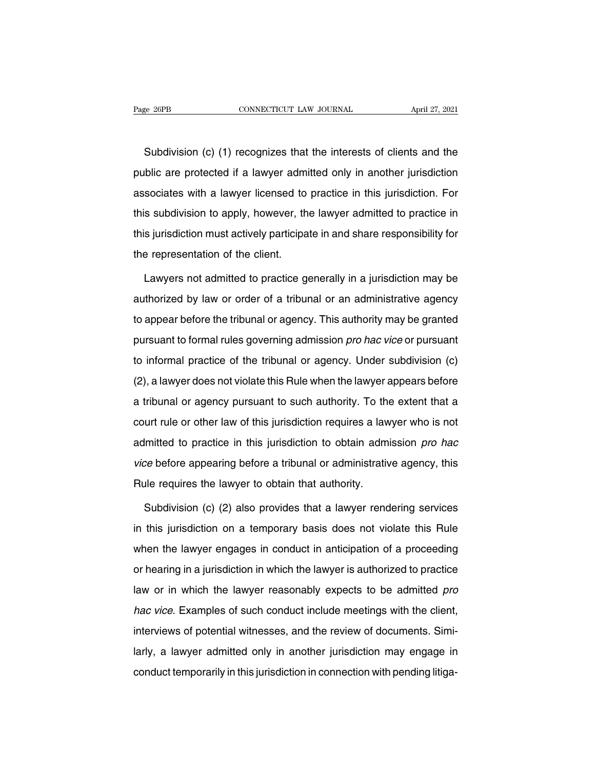Subdivision (c) (1) recognizes that the interests of clients and the<br>Subdivision (c) (1) recognizes that the interests of clients and the<br>blic are protected if a lawyer admitted only in another jurisdiction Page 26PB CONNECTICUT LAW JOURNAL April 27, 2021<br>
Subdivision (c) (1) recognizes that the interests of clients and the<br>
public are protected if a lawyer admitted only in another jurisdiction<br>
associates with a lawyer licen Subdivision (c) (1) recognizes that the interests of clients and the public are protected if a lawyer admitted only in another jurisdiction associates with a lawyer licensed to practice in this jurisdiction. For this subdi Subdivision (c) (1) recognizes that the interests of clients and the<br>public are protected if a lawyer admitted only in another jurisdiction<br>associates with a lawyer licensed to practice in this jurisdiction. For<br>this subdi public are protected if a lawyer admitted only in another jurisdiction<br>associates with a lawyer licensed to practice in this jurisdiction. For<br>this subdivision to apply, however, the lawyer admitted to practice in<br>this jur public are protected if a lawyer admitted only in another jurisdiction<br>associates with a lawyer licensed to practice in this jurisdiction. For<br>this subdivision to apply, however, the lawyer admitted to practice in<br>this jur S subdivision to apply, however, the lawyer admitted to practice in<br>
S jurisdiction must actively participate in and share responsibility for<br>
e representation of the client.<br>
Lawyers not admitted to practice generally in

this jurisdiction must actively participate in and share responsibility for<br>the representation of the client.<br>Lawyers not admitted to practice generally in a jurisdiction may be<br>authorized by law or order of a tribunal or the representation of the client.<br>
Lawyers not admitted to practice generally in a jurisdiction may be<br>
authorized by law or order of a tribunal or an administrative agency<br>
to appear before the tribunal or agency. This au Lawyers not admitted to practice generally in a jurisdiction may be authorized by law or order of a tribunal or an administrative agency to appear before the tribunal or agency. This authority may be granted pursuant to fo Eartycio not damined to practice generally in a januaristic may be<br>authorized by law or order of a tribunal or an administrative agency<br>to appear before the tribunal or agency. This authority may be granted<br>pursuant to for to appear before the tribunal or agency. This authority may be granted<br>pursuant to formal rules governing admission *pro hac vice* or pursuant<br>to informal practice of the tribunal or agency. Under subdivision (c)<br>(2), a la pursuant to formal rules governing admission *pro hac vice* or pursuant<br>to informal practice of the tribunal or agency. Under subdivision (c)<br>(2), a lawyer does not violate this Rule when the lawyer appears before<br>a tribun particularly command and generally guarmediate provide the configuration (c)<br>to informal practice of the tribunal or agency. Under subdivision (c)<br>(2), a lawyer does not violate this Rule when the lawyer appears before<br>a t (2), a lawyer does not violate this Rule when the lawyer appears before<br>a tribunal or agency pursuant to such authority. To the extent that a<br>court rule or other law of this jurisdiction requires a lawyer who is not<br>admit a tribunal or agency pursuant to such authority. To the extent that a<br>court rule or other law of this jurisdiction requires a lawyer who is not<br>admitted to practice in this jurisdiction to obtain admission *pro hac*<br>vice b a tribunal or agency pursuant to such authority. To the extent that a<br>court rule or other law of this jurisdiction requires a lawyer who is not<br>admitted to practice in this jurisdiction to obtain admission *pro hac*<br>vice b Imitted to practice in this jurisdiction to obtain admission *pro hac*<br>ce before appearing before a tribunal or administrative agency, this<br>alle requires the lawyer to obtain that authority.<br>Subdivision (c) (2) also provid

vice before appearing before a tribunal or administrative agency, this<br>Rule requires the lawyer to obtain that authority.<br>Subdivision (c) (2) also provides that a lawyer rendering services<br>in this jurisdiction on a tempora Rule requires the lawyer to obtain that authority.<br>Subdivision (c) (2) also provides that a lawyer rendering services<br>in this jurisdiction on a temporary basis does not violate this Rule<br>when the lawyer engages in conduct Subdivision (c) (2) also provides that a lawyer rendering services<br>in this jurisdiction on a temporary basis does not violate this Rule<br>when the lawyer engages in conduct in anticipation of a proceeding<br>or hearing in a jur in this jurisdiction on a temporary basis does not violate this Rule<br>when the lawyer engages in conduct in anticipation of a proceeding<br>or hearing in a jurisdiction in which the lawyer is authorized to practice<br>law or in w when the lawyer engages in conduct in anticipation of a proceeding<br>or hearing in a jurisdiction in which the lawyer is authorized to practice<br>law or in which the lawyer reasonably expects to be admitted *pro*<br>hac vice. Exa Interviews in a jurisdiction in which the lawyer is authorized to practice<br>law or in which the lawyer reasonably expects to be admitted *pro*<br>hac vice. Examples of such conduct include meetings with the client,<br>interviews law or in which the lawyer reasonably expects to be admitted *pro*<br>hac vice. Examples of such conduct include meetings with the client,<br>interviews of potential witnesses, and the review of documents. Simi-<br>larly, a lawyer law or in which the lawyer reasonably expects to be admitted *pro* hac vice. Examples of such conduct include meetings with the client, interviews of potential witnesses, and the review of documents. Similarly, a lawyer ad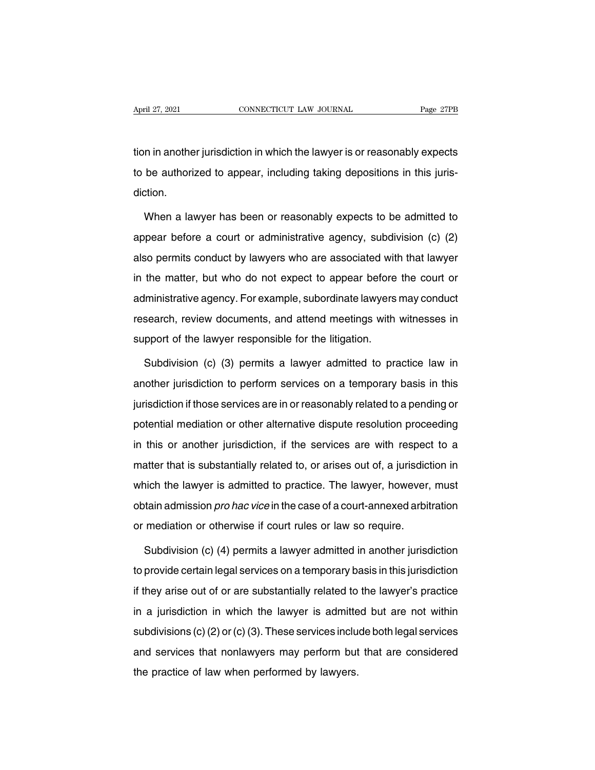April 27, 2021 CONNECTICUT LAW JOURNAL Page 27PB<br>tion in another jurisdiction in which the lawyer is or reasonably expects<br>to be authorized to appear, including taking depositions in this juris-April 27, 2021 CONNECTICUT LAW JOURNAL Page 27PB<br>tion in another jurisdiction in which the lawyer is or reasonably expects<br>to be authorized to appear, including taking depositions in this juris-<br>diction. diction. In in another jurisdiction in which the lawyer is or reasonably expects<br>be authorized to appear, including taking depositions in this juris-<br>tion.<br>When a lawyer has been or reasonably expects to be admitted to<br>pear before

to be authorized to appear, including taking depositions in this juris-<br>diction.<br>When a lawyer has been or reasonably expects to be admitted to<br>appear before a court or administrative agency, subdivision (c) (2)<br>also permi diction.<br>When a lawyer has been or reasonably expects to be admitted to<br>appear before a court or administrative agency, subdivision (c) (2)<br>also permits conduct by lawyers who are associated with that lawyer<br>in the matter, When a lawyer has been or reasonably expects to be admitted to<br>appear before a court or administrative agency, subdivision (c) (2)<br>also permits conduct by lawyers who are associated with that lawyer<br>in the matter, but who a tawyor has been or reasonably expects to be damined to appear before a court or administrative agency, subdivision (c) (2) also permits conduct by lawyers who are associated with that lawyer in the matter, but who do not also permits conduct by lawyers who are associated with that lawyer<br>in the matter, but who do not expect to appear before the court or<br>administrative agency. For example, subordinate lawyers may conduct<br>research, review d in the matter, but who do not expect to appear before<br>administrative agency. For example, subordinate lawyers<br>research, review documents, and attend meetings with<br>support of the lawyer responsible for the litigation.<br>Subdi Iministrative agency. For example, subordinate lawyers may conduct<br>search, review documents, and attend meetings with witnesses in<br>pport of the lawyer responsible for the litigation.<br>Subdivision (c) (3) permits a lawyer ad

research, review documents, and attend meetings with witnesses in<br>support of the lawyer responsible for the litigation.<br>Subdivision (c) (3) permits a lawyer admitted to practice law in<br>another jurisdiction to perform servi support of the lawyer responsible for the litigation.<br>Subdivision (c) (3) permits a lawyer admitted to practice law in<br>another jurisdiction to perform services on a temporary basis in this<br>jurisdiction if those services ar Subdivision (c) (3) permits a lawyer admitted to practice law in<br>another jurisdiction to perform services on a temporary basis in this<br>jurisdiction if those services are in or reasonably related to a pending or<br>potential m another jurisdiction to perform services on a temporary basis in this<br>jurisdiction if those services are in or reasonably related to a pending or<br>potential mediation or other alternative dispute resolution proceeding<br>in th jurisdiction if those services are in or reasonably related to a pending or<br>potential mediation or other alternative dispute resolution proceeding<br>in this or another jurisdiction, if the services are with respect to a<br>matt potential mediation or other alternative dispute resolution proceeding<br>in this or another jurisdiction, if the services are with respect to a<br>matter that is substantially related to, or arises out of, a jurisdiction in<br>whi in this or another jurisdiction, if the services are with respect to a<br>matter that is substantially related to, or arises out of, a jurisdiction in<br>which the lawyer is admitted to practice. The lawyer, however, must<br>obtain in this or another jurisdiction, if the services are with respect to a matter that is substantially related to, or arises out of, a jurisdiction in which the lawyer is admitted to practice. The lawyer, however, must obtai inch the lawyer is admitted to practice. The lawyer, however, must<br>tain admission *pro hac vice* in the case of a court-annexed arbitration<br>mediation or otherwise if court rules or law so require.<br>Subdivision (c) (4) permi

obtain admission *pro hac vice* in the case of a court-annexed arbitration<br>or mediation or otherwise if court rules or law so require.<br>Subdivision (c) (4) permits a lawyer admitted in another jurisdiction<br>to provide certai if they arise or law so require.<br>Subdivision (c) (4) permits a lawyer admitted in another jurisdiction<br>to provide certain legal services on a temporary basis in this jurisdiction<br>if they arise out of or are substantially r Subdivision (c) (4) permits a lawyer admitted in another jurisdiction<br>to provide certain legal services on a temporary basis in this jurisdiction<br>if they arise out of or are substantially related to the lawyer's practice<br>i to provide certain legal services on a temporary basis in this jurisdiction<br>if they arise out of or are substantially related to the lawyer's practice<br>in a jurisdiction in which the lawyer is admitted but are not within<br>s if they arise out of or are substantially related to the lawyer's practice<br>in a jurisdiction in which the lawyer is admitted but are not within<br>subdivisions (c) (2) or (c) (3). These services include both legal services<br>an In a jurisdiction in which the lawyer is admitte<br>subdivisions (c) (2) or (c) (3). These services inclu<br>and services that nonlawyers may perform but<br>the practice of law when performed by lawyers.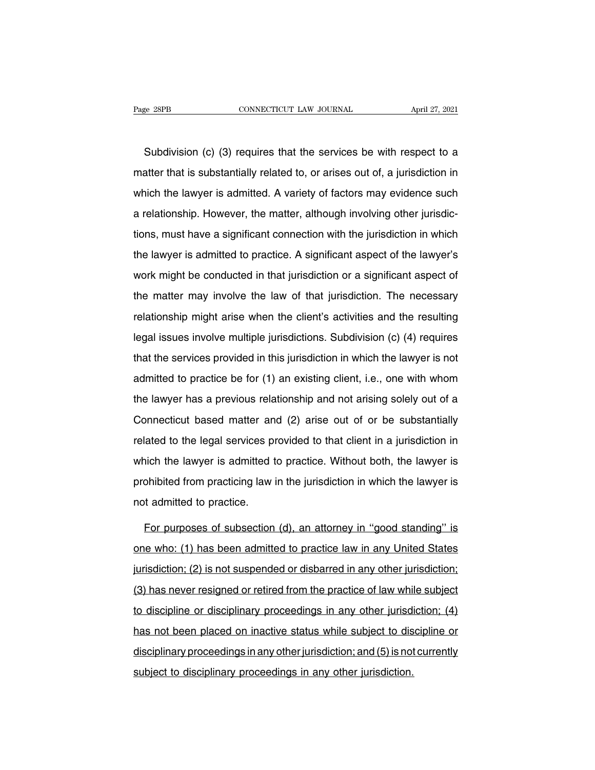Subdivision (c) (3) requires that the services be with respect to a steer that is substantially related to, or arises out of, a jurisdiction in matter that is substantially related to, or arises out of, a jurisdiction in which the lawyer is admitted. A variety of factors may evidence such Subdivision (c) (3) requires that the services be with respect to a matter that is substantially related to, or arises out of, a jurisdiction in which the lawyer is admitted. A variety of factors may evidence such a relati Subdivision (c) (3) requires that the services be with respect to a matter that is substantially related to, or arises out of, a jurisdiction in which the lawyer is admitted. A variety of factors may evidence such a relati matter that is substantially related to, or arises out of, a jurisdiction in<br>which the lawyer is admitted. A variety of factors may evidence such<br>a relationship. However, the matter, although involving other jurisdic-<br>tion matter that is sassidentially fistable to, or alless out of, a jambable. If it<br>which the lawyer is admitted. A variety of factors may evidence such<br>a relationship. However, the matter, although involving other jurisdic-<br>ti a relationship. However, the matter, although involving other jurisdictions, must have a significant connection with the jurisdiction in which the lawyer is admitted to practice. A significant aspect of the lawyer's work m tions, must have a significant connection with the jurisdiction in which<br>the lawyer is admitted to practice. A significant aspect of the lawyer's<br>work might be conducted in that jurisdiction or a significant aspect of<br>the relationship might arise when the client's activities and the lawyer's<br>work might be conducted in that jurisdiction or a significant aspect of<br>the matter may involve the law of that jurisdiction. The necessary<br>relationship legal issues involve multiple jurisdiction or a significant aspect of<br>the matter may involve the law of that jurisdiction. The necessary<br>relationship might arise when the client's activities and the resulting<br>legal issues the matter may involve the law of that jurisdiction. The necessary<br>relationship might arise when the client's activities and the resulting<br>legal issues involve multiple jurisdictions. Subdivision (c) (4) requires<br>that the relationship might arise when the client's activities and the resulting<br>legal issues involve multiple jurisdictions. Subdivision (c) (4) requires<br>that the services provided in this jurisdiction in which the lawyer is not<br>a the lawyer has a previous relations. Subdivision (c) (4) requires<br>that the services provided in this jurisdiction in which the lawyer is not<br>admitted to practice be for (1) an existing client, i.e., one with whom<br>the lawye that the services provided in this jurisdiction in which the lawyer is not<br>admitted to practice be for (1) an existing client, i.e., one with whom<br>the lawyer has a previous relationship and not arising solely out of a<br>Con related to practice be for (1) an existing client, i.e., one with whom<br>the lawyer has a previous relationship and not arising solely out of a<br>Connecticut based matter and (2) arise out of or be substantially<br>related to the the lawyer has a previous relationship and not arising solely out of a<br>Connecticut based matter and (2) arise out of or be substantially<br>related to the legal services provided to that client in a jurisdiction in<br>which the promote from practice from practice from provided to that client in a jurisdiction in which the lawyer is admitted to practice. Without both, the lawyer is prohibited from practicing law in the jurisdiction in which the la related to the legal services probabilities and which the lawyer is admitted to probabilitied from practicing law not admitted to practice. ich the lawyer is admitted to practice. Without both, the lawyer is<br>ohibited from practicing law in the jurisdiction in which the lawyer is<br>it admitted to practice.<br>For purposes of subsection (d), an attorney in "good stan

prohibited from practicing law in the jurisdiction in which the lawyer is<br>not admitted to practice.<br>For purposes of subsection (d), an attorney in "good standing" is<br>one who: (1) has been admitted to practice law in any Un independent mot admitted to practice.<br>For purposes of subsection (d), an attorney in "good standing" is<br>one who: (1) has been admitted to practice law in any United States<br>jurisdiction; (2) is not suspended or disbarred in For purposes of subsection (d), an attorney in "good standing" is<br>one who: (1) has been admitted to practice law in any United States<br>jurisdiction; (2) is not suspended or disbarred in any other jurisdiction;<br>(3) has never one who: (1) has been admitted to practice law in any United States<br>jurisdiction; (2) is not suspended or disbarred in any other jurisdiction;<br>(3) has never resigned or retired from the practice of law while subject<br>to dis jurisdiction; (2) is not suspended or disbarred in any other jurisdiction;<br>(3) has never resigned or retired from the practice of law while subject<br>to discipline or disciplinary proceedings in any other jurisdiction; (4)<br>h (3) has never resigned or retired from the practice of law while subject<br>to discipline or disciplinary proceedings in any other jurisdiction; (4)<br>has not been placed on inactive status while subject to discipline or<br>disci to discipline or disciplinary proceedings in any other jurisd<br>has not been placed on inactive status while subject to dis<br>disciplinary proceedings in any other jurisdiction, and (5) is not<br>subject to disciplinary proceedin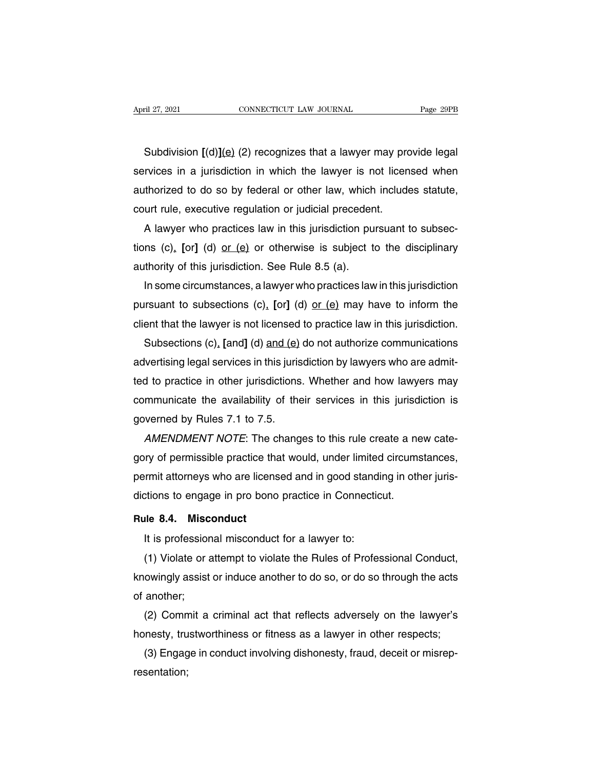Subdivision **[**(d)**]**(e) (2) recognizes that a lawyer may provide legal Subdivision  $[(d)](e)$  (2) recognizes that a lawyer may provide legal<br>services in a jurisdiction in which the lawyer is not licensed when<br>authorized to do so by federal or other law, which includes statute, Subdivision  $[(d)](e)$  (2) recognizes that a lawyer may provide legal<br>services in a jurisdiction in which the lawyer is not licensed when<br>authorized to do so by federal or other law, which includes statute,<br>court rule, exec Subdivision  $[(d)](e)$  (2) recognizes that a lawyer may proservices in a jurisdiction in which the lawyer is not licen authorized to do so by federal or other law, which include court rule, executive regulation or judicial p Subdivision  $[(d)](e)$  (2) recognizes that a lawyer may provide legal<br>rvices in a jurisdiction in which the lawyer is not licensed when<br>thorized to do so by federal or other law, which includes statute,<br>urt rule, executive

services in a jurisdiction in which the lawyer is not licensed when<br>authorized to do so by federal or other law, which includes statute,<br>court rule, executive regulation or judicial precedent.<br>A lawyer who practices law in authorized to do so by federal or other law, which<br>court rule, executive regulation or judicial preceden<br>A lawyer who practices law in this jurisdiction pu<br>tions (c). [or] (d) <u>or (e)</u> or otherwise is subject to<br>authority urt rule, executive regulation or judicial precedent.<br>A lawyer who practices law in this jurisdiction pursuant to subsec-<br>ns (c), [or] (d) <u>or (e)</u> or otherwise is subject to the disciplinary<br>thority of this jurisdiction.

A lawyer who practices law in this jurisdiction pursuant to subsections (c), [or] (d) <u>or (e</u>) or otherwise is subject to the disciplinary authority of this jurisdiction. See Rule 8.5 (a).<br>In some circumstances, a lawyer w tions (c), [or] (d) <u>or (e)</u> or otherwise is subject to the disciplinary<br>authority of this jurisdiction. See Rule 8.5 (a).<br>In some circumstances, a lawyer who practices law in this jurisdiction<br>pursuant to subsections (c) thority of this jurisdiction. See Rule 8.5 (a).<br>In some circumstances, a lawyer who practices law in this jurisdiction<br>irsuant to subsections (c), [or] (d) <u>or (e)</u> may have to inform the<br>ent that the lawyer is not license

In some circumstances, a lawyer who practices law in this jurisdiction<br>pursuant to subsections (c), [or] (d) <u>or (e)</u> may have to inform the<br>client that the lawyer is not licensed to practice law in this jurisdiction.<br>Sub pursuant to subsections (c), [or] (d) <u>or (e)</u> may have to inform the<br>client that the lawyer is not licensed to practice law in this jurisdiction.<br>Subsections (c), [and] (d) and (e) do not authorize communications<br>advertis client that the lawyer is not licensed to practice law in this jurisdiction.<br>Subsections (c), [and] (d) and (e) do not authorize communications<br>advertising legal services in this jurisdiction by lawyers who are admit-<br>ted Subsections (c), [and] (d) and (e)<br>advertising legal services in this juris<br>ted to practice in other jurisdictions<br>communicate the availability of the<br>governed by Rules 7.1 to 7.5.<br>*AMENDMENT NOTE*: The chang Wertising legal services in this jurisdiction by lawyers who are admit-<br>A to practice in other jurisdictions. Whether and how lawyers may<br>mmunicate the availability of their services in this jurisdiction is<br>werned by Rules

ted to practice in other jurisdictions. Whether and how lawyers may<br>communicate the availability of their services in this jurisdiction is<br>governed by Rules 7.1 to 7.5.<br>AMENDMENT NOTE: The changes to this rule create a new communicate the availability of their services in this jurisdiction is<br>governed by Rules 7.1 to 7.5.<br>AMENDMENT NOTE: The changes to this rule create a new cate-<br>gory of permissible practice that would, under limited circum governed by Rules 7.1 to 7.5.<br>
AMENDMENT NOTE: The changes to this rule create a ne<br>
gory of permissible practice that would, under limited circums<br>
permit attorneys who are licensed and in good standing in oth<br>
dictions t **RULADMENT NOTE:** The C<br>gory of permissible practice that<br>permit attorneys who are licens<br>dictions to engage in pro bono<br>**Rule 8.4. Misconduct**<br>It is professional misconduct It is professional misconduct for a lawyer to:<br>It is professional misconduct<br>It is professional misconduct for a lawyer to:<br>(1) Violate or attempt to violate the Rules of Profes

(1) Violate or attempt to violate the Rules of Professional Conduct<br>(1) Violate or attempt to violate the Rules of Professional Conduct,<br>(1) Violate or attempt to violate the Rules of Professional Conduct,<br>owingly assist o Rule 8.4. Misconduct<br>
It is professional misconduct for a lawyer to:<br>
(1) Violate or attempt to violate the Rules of Professional Conduct,<br>
knowingly assist or induce another to do so, or do so through the acts<br>
of another Hule 8.4. MISC<br>It is profession<br>(1) Violate or a<br>knowingly assist<br>of another;<br>(2) Commit a It is protessional misconduct for a lawyer to:<br>
(1) Violate or attempt to violate the Rules of Professional Conduct,<br>
owingly assist or induce another to do so, or do so through the acts<br>
another;<br>
(2) Commit a criminal ac (1) Violate or attempt to violate the Rules of Protessional Conduct,<br>knowingly assist or induce another to do so, or do so through the acts<br>of another;<br>(2) Commit a criminal act that reflects adversely on the lawyer's<br>hone

owingly assist or induce another to do so, or do so through the acts<br>another;<br>(2) Commit a criminal act that reflects adversely on the lawyer's<br>nesty, trustworthiness or fitness as a lawyer in other respects;<br>(3) Engage in resentation;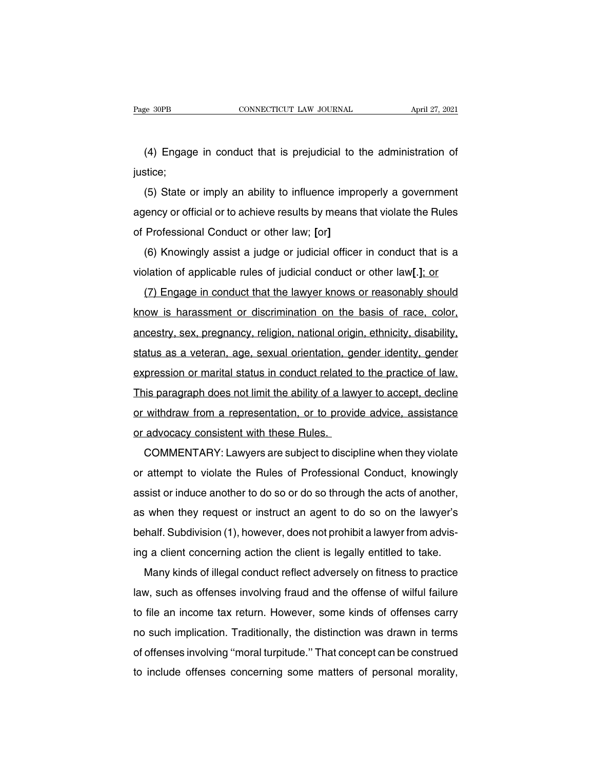EXECT AND CONNECTICUT LAW JOURNAL April 27, 2021<br>
(4) Engage in conduct that is prejudicial to the administration of<br>
stice; justice;

(4) Engage in conduct that is prejudicial to the administration of<br>stice;<br>(5) State or imply an ability to influence improperly a government<br>ency or official or to achieve results by means that violate the Rules (4) Engage in conduct that is prejudicial to the administration of justice;<br>(5) State or imply an ability to influence improperly a government<br>agency or official or to achieve results by means that violate the Rules<br>of Pro (4) Lingage in conduct that is prejudician to the<br>justice;<br>(5) State or imply an ability to influence impro<br>agency or official or to achieve results by means t<br>of Professional Conduct or other law; [or]<br>(6) Knowingly assis (5) State or imply an ability to influence improperly a government<br>lency or official or to achieve results by means that violate the Rules<br>Professional Conduct or other law; [or]<br>(6) Knowingly assist a judge or judicial o violation of applicable rules of professional Conduct or other law; [or]<br>(6) Knowingly assist a judge or judicial officer in conduct that is a violation of applicable rules of judicial conduct or other law[.]; or<br>(7) Engag

Professional Conduct or other law; [or]<br>(6) Knowingly assist a judge or judicial officer in conduct that is a<br>blation of applicable rules of judicial conduct or other law[.]; or<br>(7) Engage in conduct that the lawyer knows (6) Knowingly assist a judge or judicial officer in conduct that is a violation of applicable rules of judicial conduct or other law[.]; or (7) Engage in conduct that the lawyer knows or reasonably should know is harassmen (b) Khowingry assist a judge of judicial onduct in conduct that is a<br>violation of applicable rules of judicial conduct or other law[.]; or<br>(7) Engage in conduct that the lawyer knows or reasonably should<br>know is harassment (7) Engage in conduct that the lawyer knows or reasonably should<br>know is harassment or discrimination on the basis of race, color,<br>ancestry, sex, pregnancy, religion, national origin, ethnicity, disability,<br>status as a vet know is harassment or discrimination on the basis of race, color, ancestry, sex, pregnancy, religion, national origin, ethnicity, disability, status as a veteran, age, sexual orientation, gender identity, gender expression ancestry, sex, pregnancy, religion, national origin, ethnicity, disability, status as a veteran, age, sexual orientation, gender identity, gender expression or marital status in conduct related to the practice of law.<br>This ancestry, sex, pregnancy, rengion, halonal origin, enfincity, disability, and status as a veteran, age, sexual orientation, gender identity, gender expression or marital status in conduct related to the practice of law.<br>Th status as a veterari, age, sexual onemation, government<br>expression or marital status in conduct related<br>This paragraph does not limit the ability of a law<br>or withdraw from a representation, or to provid<br>or advocacy consist is paragraph does not limit the ability of a lawyer to accept, decline<br>withdraw from a representation, or to provide advice, assistance<br>advocacy consistent with these Rules.<br>COMMENTARY: Lawyers are subject to discipline wh

or withdraw from a representation, or to provide advice, assistance<br>or advocacy consistent with these Rules.<br>COMMENTARY: Lawyers are subject to discipline when they violate<br>or attempt to violate the Rules of Professional C or advocacy consistent with these Rules.<br>
COMMENTARY: Lawyers are subject to discipline when they violate<br>
or attempt to violate the Rules of Professional Conduct, knowingly<br>
assist or induce another to do so or do so thro COMMENTARY: Lawyers are subject to discipline when they violate<br>or attempt to violate the Rules of Professional Conduct, knowingly<br>assist or induce another to do so or do so through the acts of another,<br>as when they reques behalf. Subdivision (1), however, does not prohibit a lawyer from advis-<br>half. Subdivision (1), however, does not prohibit a lawyer from advis-<br>half. Subdivision (1), however, does not prohibit a lawyer from advis-<br>hig a c or attempt to violate the rities of Protessional Conduct, Knowingly<br>assist or induce another to do so or do so through the acts of another,<br>as when they request or instruct an agent to do so on the lawyer's<br>behalf. Subdivi sist of illudde another to do so of do so throught the acts of another,<br>when they request or instruct an agent to do so on the lawyer's<br>half. Subdivision (1), however, does not prohibit a lawyer from advis-<br>g a client conc

as when they request of instruct an agent to do so on the lawyer's<br>behalf. Subdivision (1), however, does not prohibit a lawyer from advis-<br>ing a client concerning action the client is legally entitled to take.<br>Many kinds the fiant subdivision (1), nowever, does not promine a lawyer nonf advis-<br>ing a client concerning action the client is legally entitled to take.<br>Many kinds of illegal conduct reflect adversely on fitness to practice<br>law, s Ing a client concerning action the client is legally entitied to take.<br>
Many kinds of illegal conduct reflect adversely on fitness to practice<br>
law, such as offenses involving fraud and the offense of wilful failure<br>
to fi Iaw, such as offenses involving fraud and the offense of wilful failure<br>to file an income tax return. However, some kinds of offenses carry<br>no such implication. Traditionally, the distinction was drawn in terms<br>of offenses law, such as offenses involving fraud and the offense of wilful failure<br>to file an income tax return. However, some kinds of offenses carry<br>no such implication. Traditionally, the distinction was drawn in terms<br>of offenses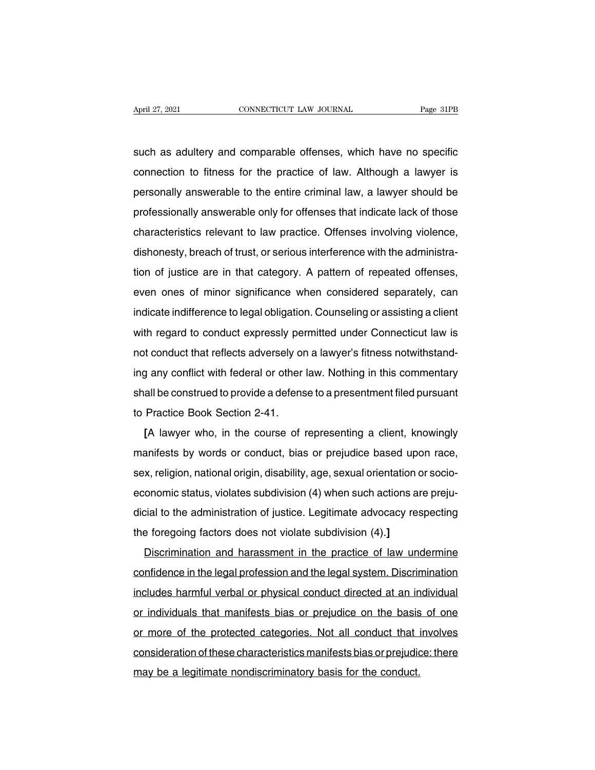April 27, 2021 CONNECTICUT LAW JOURNAL Page 31PB<br>such as adultery and comparable offenses, which have no specific<br>connection to fitness for the practice of law. Although a lawyer is April 27, 2021 CONNECTICUT LAW JOURNAL Page 31PB<br>such as adultery and comparable offenses, which have no specific<br>connection to fitness for the practice of law. Although a lawyer is<br>personally answerable to the entire crim personally and comparable offenses, which have no specific<br>connection to fitness for the practice of law. Although a lawyer is<br>personally answerable to the entire criminal law, a lawyer should be<br>professionally answerable such as adultery and comparable offenses, which have no specific<br>connection to fitness for the practice of law. Although a lawyer is<br>personally answerable to the entire criminal law, a lawyer should be<br>professionally answe such as additely and comparable onenses, which have no specific<br>connection to fitness for the practice of law. Although a lawyer is<br>personally answerable to the entire criminal law, a lawyer should be<br>professionally answer connection to fitness for the practice of law. Although a lawyer is<br>personally answerable to the entire criminal law, a lawyer should be<br>professionally answerable only for offenses that indicate lack of those<br>characteristi personally answerable to the entire chimital law, a lawyer should be<br>professionally answerable only for offenses that indicate lack of those<br>characteristics relevant to law practice. Offenses involving violence,<br>dishonesty protessionally answerable only for onenses that indicate fack of those<br>characteristics relevant to law practice. Offenses involving violence,<br>dishonesty, breach of trust, or serious interference with the administra-<br>tion o dishonesty, breach of trust, or serious interference with the administra-<br>tion of justice are in that category. A pattern of repeated offenses,<br>even ones of minor significance when considered separately, can<br>indicate indif disholiesty, breach of tust, of senous interference with the administra-<br>tion of justice are in that category. A pattern of repeated offenses,<br>even ones of minor significance when considered separately, can<br>indicate indiff not or justice are in that category. A pattem or repeated onenses,<br>even ones of minor significance when considered separately, can<br>indicate indifference to legal obligation. Counseling or assisting a client<br>with regard to indicate indifference to legal obligation. Counseling or assisting a client<br>with regard to conduct expressly permitted under Connecticut law is<br>not conduct that reflects adversely on a lawyer's fitness notwithstand-<br>ing an malcate indifference to legal obligation. Counselling or assisting a client<br>with regard to conduct expressly permitted under Connecticut law is<br>not conduct that reflects adversely on a lawyer's fitness notwithstand-<br>ing an with regard to conduct expressiy per<br>not conduct that reflects adversely or<br>ing any conflict with federal or other<br>shall be construed to provide a defens<br>to Practice Book Section 2-41.<br>[A lawyer who, in the course of **EXECUTE:** The conduct that renects adversely on a lawyer shirless hotwinistand-<br> **EXECUTE:** The construed to provide a defense to a presentment filed pursuant<br>
Practice Book Section 2-41.<br>
[A lawyer who, in the course of

manifests by words or conduct, bias or prejudice based upon race,<br>sex, religion, national origin, disability, age, sexual orientation or socio-<br>sex, religion, national origin, disability, age, sexual orientation or socioshall be construed to provide a deterise to a presentment lifed pursuant<br>to Practice Book Section 2-41.<br>[A lawyer who, in the course of representing a client, knowingly<br>manifests by words or conduct, bias or prejudice base IA lawyer who, in the course of representing a client, knowingly<br>manifests by words or conduct, bias or prejudice based upon race,<br>sex, religion, national origin, disability, age, sexual orientation or socio-<br>economic stat LA lawyer who, in the course of representing a cherit, knowingly<br>manifests by words or conduct, bias or prejudice based upon race,<br>sex, religion, national origin, disability, age, sexual orientation or socio-<br>economic stat thamests by words of conduct, blas of prejudice based uptosex, religion, national origin, disability, age, sexual orientation of economic status, violates subdivision (4) when such actions are dicial to the administration x, rengion, national origin, disability, age, sexual orientation of socio-<br>onomic status, violates subdivision (4) when such actions are preju-<br>cial to the administration of justice. Legitimate advocacy respecting<br>e forego

economic status, violates subdivision (4) when such actions are prejudicial to the administration of justice. Legitimate advocacy respecting<br>the foregoing factors does not violate subdivision (4).]<br>Discrimination and haras Includes harmful verbal or physical conducts (4).]<br>Individual or physical conducts of law undermine<br>confidence in the legal profession and the legal system. Discrimination<br>includes harmful verbal or physical conduct direct Discrimination and harassment in the practice of law undermine<br>confidence in the legal profession and the legal system. Discrimination<br>includes harmful verbal or physical conduct directed at an individual<br>or individuals th Dischmination and harassment in the practice of law undefining<br>confidence in the legal profession and the legal system. Discrimination<br>includes harmful verbal or physical conduct directed at an individual<br>or individuals th connuence in the legal profession and the legal system. Discrimination<br>includes harmful verbal or physical conduct directed at an individual<br>or individuals that manifests bias or prejudice on the basis of one<br>or more of th includes naminar verbar or physical conduct directed at an information of individuals that manifests bias or prejudice on the basis or more of the protected categories. Not all conduct that consideration of these character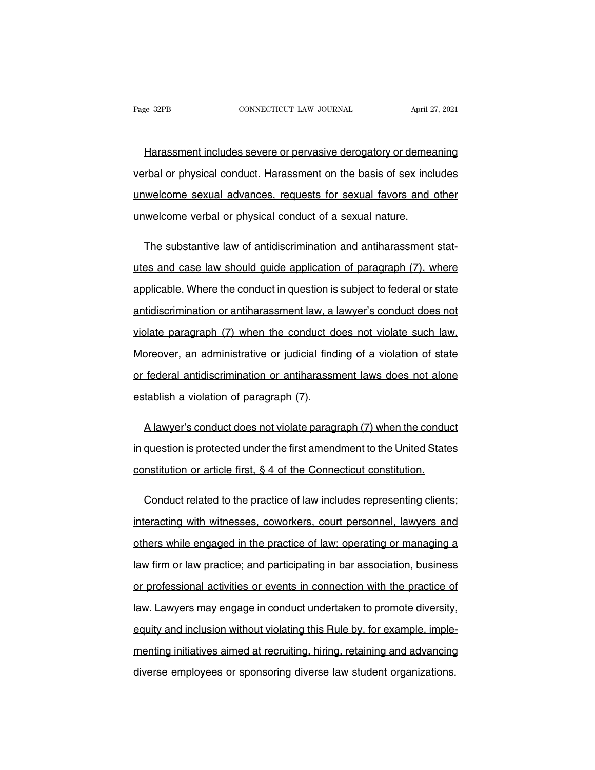EREA EXECTIVE CONNECTICUT LAW JOURNAL April 27, 2021<br>
Harassment includes severe or pervasive derogatory or demeaning<br>
The physical conduct. Harassment on the basis of sex includes verbal or physical conduct. Harassment includes severe or pervasive derogatory or demeaning<br>verbal or physical conduct. Harassment on the basis of sex includes<br>unwelcome sexual advances, requests for sexual favors and othe Harassment includes severe or pervasive derogatory or demeaning<br>verbal or physical conduct. Harassment on the basis of sex includes<br>unwelcome sexual advances, requests for sexual favors and other<br>unwelcome verbal or physic Harassment includes severe or pervasive derogatory or demeant or physical conduct. Harassment on the basis of sex inclusively unwelcome sexual advances, requests for sexual favors and unwelcome verbal or physical conduct o rbal or physical conduct. Harassment on the basis of sex includes<br>welcome sexual advances, requests for sexual favors and other<br>welcome verbal or physical conduct of a sexual nature.<br>The substantive law of antidiscriminati

unwelcome sexual advances, requests for sexual favors and other<br>unwelcome verbal or physical conduct of a sexual nature.<br>The substantive law of antidiscrimination and antiharassment stat-<br>utes and case law should guide app unwelcome verbal or physical conduct of a sexual nature.<br>The substantive law of antidiscrimination and antiharassment stat-<br>utes and case law should guide application of paragraph (7), where<br>applicable. Where the conduct i The substantive law of antidiscrimination and antiharassment stat-<br>utes and case law should guide application of paragraph (7), where<br>applicable. Where the conduct in question is subject to federal or state<br>antidiscriminat utes and case law should guide application of paragraph (7), where<br>applicable. Where the conduct in question is subject to federal or state<br>antidiscrimination or antiharassment law, a lawyer's conduct does not<br>violate para applicable. Where the conduct in question is subject to federal or state<br>antidiscrimination or antiharassment law, a lawyer's conduct does not<br>violate paragraph (7) when the conduct does not violate such law.<br>Moreover, an antidiscrimination or antiharassment law, a lawyer's conduct does not<br>violate paragraph (7) when the conduct does not violate such law.<br>Moreover, an administrative or judicial finding of a violation of state<br>or federal ant violate paragraph (7) when the conduct do<br>Moreover, an administrative or judicial find<br>or federal antidiscrimination or antiharassm<br>establish a violation of paragraph (7). by preover, an administrative or judicial finding of a violation of state<br>federal antidiscrimination or antiharassment laws does not alone<br>tablish a violation of paragraph (7).<br>A lawyer's conduct does not violate paragraph

in federal antidiscrimination or antiharassment laws does not alone<br>establish a violation of paragraph (7).<br>A lawyer's conduct does not violate paragraph (7) when the conduct<br>in question is protected under the first amendm establish a violation of paragraph (7).<br>A lawyer's conduct does not violate paragraph (7) when the conduction is protected under the first amendment to the United State<br>constitution or article first, § 4 of the Connecticut A lawyer's conduct does not violate paragraph (7) when the conduct<br>question is protected under the first amendment to the United States<br>nstitution or article first, § 4 of the Connecticut constitution.<br>Conduct related to t

in question is protected under the first amendment to the United States<br>constitution or article first, § 4 of the Connecticut constitution.<br>Conduct related to the practice of law includes representing clients;<br>interacting constitution or article first, § 4 of the Connecticut constitution.<br>Conduct related to the practice of law includes representing clients;<br>interacting with witnesses, coworkers, court personnel, lawyers and<br>others while eng Conduct related to the practice of law includes representing clients;<br>interacting with witnesses, coworkers, court personnel, lawyers and<br>others while engaged in the practice of law; operating or managing a<br>law firm or law interacting with witnesses, coworkers, court personnel, lawyers and<br>others while engaged in the practice of law; operating or managing a<br>law firm or law practice; and participating in bar association, business<br>or professio others while engaged in the practice of law; operating or managing a<br>law firm or law practice; and participating in bar association, business<br>or professional activities or events in connection with the practice of<br>law. Law law firm or law practice; and participating in bar association, business<br>or professional activities or events in connection with the practice of<br>law. Lawyers may engage in conduct undertaken to promote diversity,<br>equity an or professional activities or events in connection with the practice of<br>law. Lawyers may engage in conduct undertaken to promote diversity,<br>equity and inclusion without violating this Rule by, for example, imple-<br>menting i law. Lawyers may engage in conduct undertaken to promote diversity.<br>equity and inclusion without violating this Rule by, for example, imple-<br>menting initiatives aimed at recruiting, hiring, retaining and advancing<br>diverse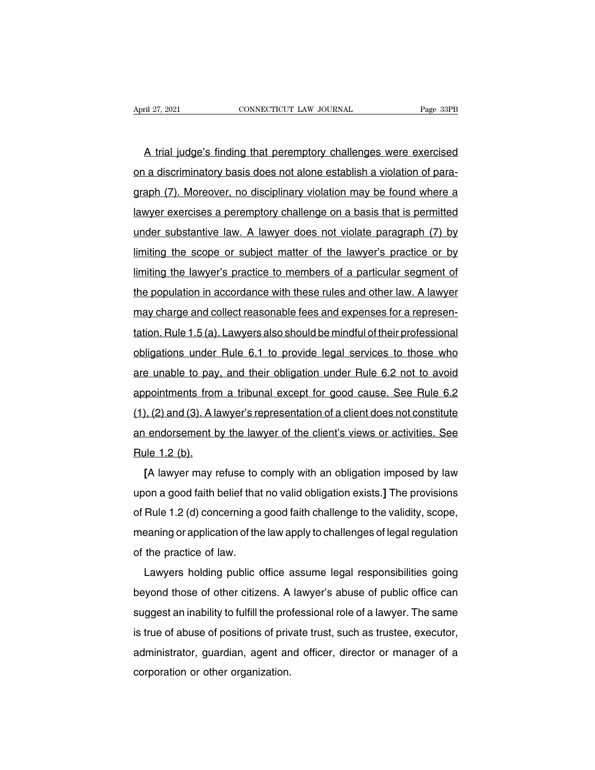A trial judge's finding that peremptory challenges were exercised April 27, 2021 CONNECTICUT LAW JOURNAL Page 33PB<br> **A** trial judge's finding that peremptory challenges were exercised<br>
on a discriminatory basis does not alone establish a violation of para-<br>
graph (7). Moreover, no discip A trial judge's finding that peremptory challenges were exercised<br>on a discriminatory basis does not alone establish a violation of para-<br>graph (7). Moreover, no disciplinary violation may be found where a<br>lawyer exercises A trial judge's finding that peremptory challenges were exercised<br>on a discriminatory basis does not alone establish a violation of para-<br>graph (7). Moreover, no disciplinary violation may be found where a<br>lawyer exercises A that judge's informy that peremptory challenges were exercised<br>on a discriminatory basis does not alone establish a violation of para-<br>graph (7). Moreover, no disciplinary violation may be found where a<br>lawyer exercises graph (7). Moreover, no disciplinary violation may be found where a<br>lawyer exercises a peremptory challenge on a basis that is permitted<br>under substantive law. A lawyer does not violate paragraph (7) by<br>limiting the scope lawyer exercises a peremptory challenge on a basis that is permitted<br>lawyer exercises a peremptory challenge on a basis that is permitted<br>under substantive law. A lawyer does not violate paragraph (7) by<br>limiting the scope the population is a perturn of the lawyer does not violate paragraph (7) by limiting the scope or subject matter of the lawyer's practice or by limiting the lawyer's practice to members of a particular segment of the popul under substantive law. A lawyer does not violate paragraph (7) by<br>limiting the scope or subject matter of the lawyer's practice or by<br>limiting the lawyer's practice to members of a particular segment of<br>the population in a Imiting the scope of subject matter of the lawyer's practice of by<br>Imiting the lawyer's practice to members of a particular segment of<br>the population in accordance with these rules and other law. A lawyer<br>may charge and co Infiniting the lawyer's plactice to hiembers of a particular segment of<br>the population in accordance with these rules and other law. A lawyer<br>may charge and collect reasonable fees and expenses for a represen-<br>tation. Rule are population in accordance with these rules and other law. A lawyer<br>may charge and collect reasonable fees and expenses for a represen-<br>tation. Rule 1.5 (a). Lawyers also should be mindful of their professional<br>obligatio ration. Rule 1.5 (a). Lawyers also should be mindful of their professional<br>obligations under Rule 6.1 to provide legal services to those who<br>are unable to pay, and their obligation under Rule 6.2 not to avoid<br>appointments (1), (2) and (3). A lawyer's also should be finifially filter professional<br>appointments from a tribunal except for good cause. See Rule 6.2<br>(1), (2) and (3). A lawyer's representation of a client does not constitute<br>an end are unable to pay, and their obligation under Rule 6.2 not to avoid<br>appointments from a tribunal except for good cause. See Rule 6.2<br>(1), (2) and (3). A lawyer's representation of a client does not constitute<br>an endorsemen are unable to pay<br>appointments from<br>(1), (2) and (3). A la<br>an endorsement b<br>Rule 1.2 (b).<br>[A lawyer may r **[**A lawyer is the lawyer's representation of a client does not constitute<br> **[**A lawyer may refuse to comply with an obligation imposed by law<br> **[A lawyer may refuse to comply with an obligation imposed by law<br>
<b>[A lawyer** 

upon a good faith belief that no valid obligation exists.] The provisions of Rule 1.2 (b).<br> **Example 1.2 (b).**<br> **Example 1.2 (b).**<br> **Example 1.2 (d)** Concerning a good faith challenge to the validity, scope, an endorsement by the lawyer of the chefit's views of activities. See<br>Rule 1.2 (b).<br>[A lawyer may refuse to comply with an obligation imposed by law<br>upon a good faith belief that no valid obligation exists.] The provisions [A lawyer may refuse to comply with an obligation imposed by law<br>upon a good faith belief that no valid obligation exists.] The provisions<br>of Rule 1.2 (d) concerning a good faith challenge to the validity, scope,<br>meaning LA lawyer may relase to the practice of the practice of the practice of law.<br>
Lawyers holding public contently a meaning or application of the practice of law. Figure 1.2 (d) concerning a good faith challenge to the validity, scope,<br>Paning or application of the law apply to challenges of legal regulation<br>the practice of law.<br>Lawyers holding public office assume legal responsibili

beyond the practice of law.<br>Lawyers holding public office assume legal responsibilities going<br>beyond those of other citizens. A lawyer's abuse of public office can<br>suggest an inability to fulfill the professional role of a sureduring or application of the law apply to chanenges or legal regulation<br>of the practice of law.<br>Lawyers holding public office assume legal responsibilities going<br>beyond those of other citizens. A lawyer's abuse of publ In the practice of law.<br>
Lawyers holding public office assume legal responsibilities going<br>
beyond those of other citizens. A lawyer's abuse of public office can<br>
suggest an inability to fulfill the professional role of a Lawyers notaing public office assume legal responsibilities going<br>beyond those of other citizens. A lawyer's abuse of public office can<br>suggest an inability to fulfill the professional role of a lawyer. The same<br>is true of beyond those of other citizens. A lawyer's abuse of public office can suggest an inability to fulfill the professional role of a lawyer. The same is true of abuse of positions of private trust, such as trustee, executor, a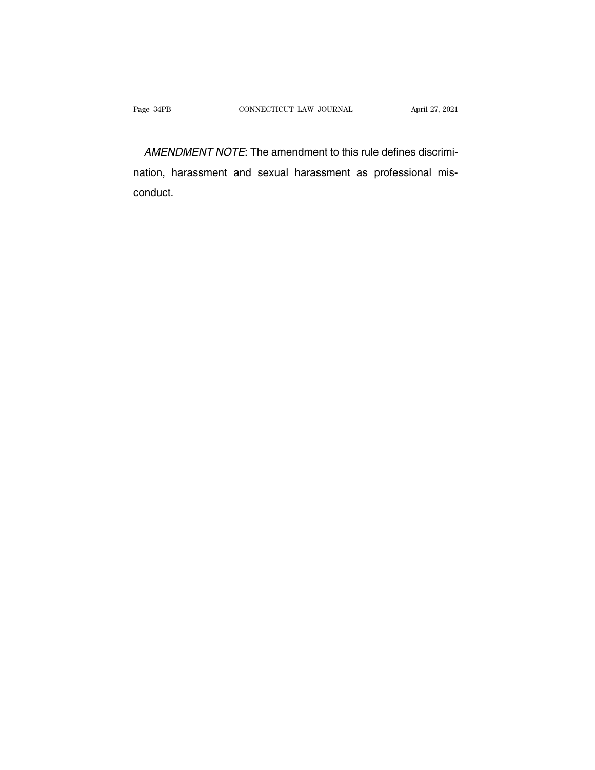e 34PB<br>
CONNECTICUT LAW JOURNAL<br>
AMENDMENT NOTE: The amendment to this rule defines discrimi-<br>
tion, harassment and sexual harassment as professional mis-Page 34PB CONNECTICUT LAW JOURNAL April 27, 2021<br>
AMENDMENT NOTE: The amendment to this rule defines discrimination, harassment and sexual harassment as professional mis-<br>
conduct. conduct.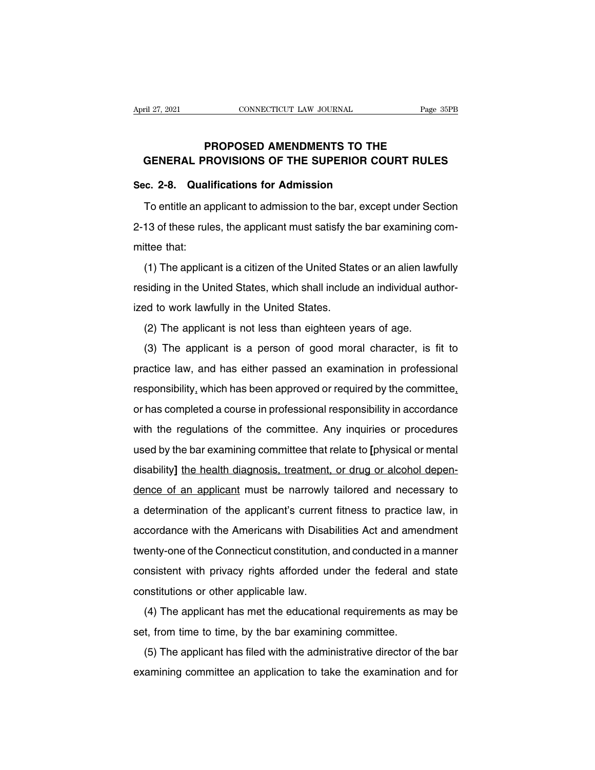# **Page 35F**<br>
PROPOSED AMENDMENTS TO THE<br>
PROVISIONS OF THE SUPERIOR COURT RULES FROPOSED AMENDMENTS TO THE<br> **GENERAL PROVISIONS OF THE SUPERIOR COURT RULES**<br>
GENERAL PROVISIONS OF THE SUPERIOR COURT RULES<br> **GENERAL PROVISIONS OF THE SUPERIOR COURT RULES** April 27, 2021<br> **CONNECTICUT LAW JOURNAL**<br> **PROPOSED AMENDMENTS TO THE<br>
GENERAL PROVISIONS OF THE SUPERIOR COL<br>
Sec. 2-8. Qualifications for Admission<br>
To entitle an applicant to admission to the bar, except**

PROPOSED AMENDMENTS TO THE<br>GENERAL PROVISIONS OF THE SUPERIOR COURT RULES<br>c. 2-8. Qualifications for Admission<br>To entitle an applicant to admission to the bar, except under Section<br>13 of these rules, the applicant must sat GENERAL PROVISIONS OF THE SUPERIOR COURT RULES<br>Sec. 2-8. Qualifications for Admission<br>To entitle an applicant to admission to the bar, except under Section<br>2-13 of these rules, the applicant must satisfy the bar examining Sec. 2-8. Quali<br>To entitle an ap<br>2-13 of these rule<br>mittee that:<br>(1) The applica (1) To entitle an applicant to admission to the bar, except under Section<br>13 of these rules, the applicant must satisfy the bar examining com-<br>ttee that:<br>(1) The applicant is a citizen of the United States or an alien lawf

Folding an applicant to damission to the Bat, except ander because<br>2-13 of these rules, the applicant must satisfy the bar examining com-<br>mittee that:<br>(1) The applicant is a citizen of the United States or an alien lawfull 2 To or these rates, the applicant must satisfy the<br>mittee that:<br>(1) The applicant is a citizen of the United State<br>residing in the United States.<br>(2) The applicant is not less than eighteen ye (1) The applicant is a citizen of the United States or an alien lawfully<br>residing in the United States, which shall include an individual author-<br>ized to work lawfully in the United States.<br>(2) The applicant is not less th (1) The applicant is a chizen of the office clates of an anchritawiany<br>siding in the United States, which shall include an individual author-<br>ed to work lawfully in the United States.<br>(2) The applicant is not less than eig

practice law, and has either passed an examination in professional<br>responsibility, which is a person of good moral character, is fit to<br>practice law, and has either passed an examination in professional<br>responsibility, whi (2) The applicant is not less than eighteen years of age.<br>
(3) The applicant is a person of good moral character, is fit to<br>
practice law, and has either passed an examination in professional<br>
responsibility, which has bee (3) The applicant is not less than eighteen years of age.<br>
(3) The applicant is a person of good moral character, is fit to<br>
practice law, and has either passed an examination in professional<br>
responsibility, which has be (c) The applicant is a person of good motal character, is in to<br>practice law, and has either passed an examination in professional<br>responsibility, which has been approved or required by the committee,<br>or has completed a co processional responsibility, which has been approved or required by the committee, or has completed a course in professional responsibility in accordance with the regulations of the committee. Any inquiries or procedures u disability<sub>1</sub> which has been approved or required by the committed, or has completed a course in professional responsibility in accordance with the regulations of the committee. Any inquiries or procedures used by the bar or has completed a coalse in protessional responsibility in accordance<br>with the regulations of the committee that relate to [physical or mental<br>disability] the health diagnosis, treatment, or drug or alcohol depen-<br>dence o a determination of the committee. Any inquiries of procedures<br>used by the bar examining committee that relate to [physical or mental<br>disability] the health diagnosis, treatment, or drug or alcohol depen-<br>dence of an applic disability] the health diagnosis, treatment, or drug or alcohol dependence of an applicant must be narrowly tailored and necessary to a determination of the applicant's current fitness to practice law, in accordance with t dence of an applicant must be narrowly tailored and necessary to<br>a determination of the applicant's current fitness to practice law, in<br>accordance with the Americans with Disabilities Act and amendment<br>twenty-one of the Co a determination of the applicant's current fitness to practice law, in<br>accordance with the Americans with Disabilities Act and amendment<br>twenty-one of the Connecticut constitution, and conducted in a manner<br>consistent with accordance with the Americans with Disabtwenty-one of the Connecticut constitution, aconsistent with privacy rights afforded unconstitutions or other applicable law.<br>(4) The applicant has met the educations estualities with the Americanis with Bisabilities Act and americanterity-one of the Connecticut constitution, and conducted in a manner msistent with privacy rights afforded under the federal and state nstitutions or other set, from time to time examined to the distribution, and conducted in a consistent with privacy rights afforded under the federal and constitutions or other applicable law.<br>
(4) The applicant has met the educational requir

Insistent with phytoty hights anoteed ander the ledetal and state<br>nstitutions or other applicable law.<br>(4) The applicant has met the educational requirements as may be<br>t, from time to time, by the bar examining committee.<br> (4) The applicant has met the educational requirements as may be set, from time to time, by the bar examining committee.<br>
(5) The applicant has filed with the administrative director of the bar examining committee an appli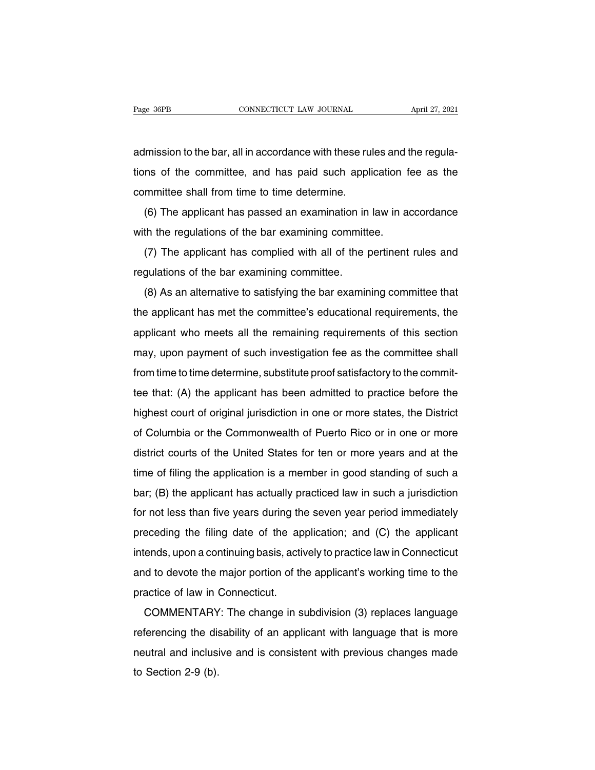Page 36PB<br>
CONNECTICUT LAW JOURNAL April 27, 2021<br>
admission to the bar, all in accordance with these rules and the regula-<br>
tions of the committee, and has paid such application fee as the Fage 36PB CONNECTICUT LAW JOURNAL April 27, 2021<br>admission to the bar, all in accordance with these rules and the regula-<br>tions of the committee, and has paid such application fee as the<br>committee shall from time to time d admission to the bar, all in accordance with these rutions of the committee, and has paid such appli<br>committee shall from time to time determine.<br>(6) The applicant has passed an examination in lmission to the bar, all in accordance with these rules and the regula-<br>ns of the committee, and has paid such application fee as the<br>mmittee shall from time to time determine.<br>(6) The applicant has passed an examination i Examples and the committee, and has paid such application f<br>committee shall from time to time determine.<br>(6) The applicant has passed an examination in law in a<br>with the regulations of the bar examining committee.<br>(7) The

It is of the committee, and has paid such application fee as the<br>mmittee shall from time to time determine.<br>(6) The applicant has passed an examining committee.<br>(7) The applicant has complied with all of the pertinent rule (6) The applicant has passed an examination in<br>with the regulations of the bar examining committ<br>(7) The applicant has complied with all of the p<br>regulations of the bar examining committee.<br>(8) As an alternative to satisfy

(6) The applicant has passed an examination in law in accordance<br>th the regulations of the bar examining committee.<br>(7) The applicant has complied with all of the pertinent rules and<br>gulations of the bar examining committe (7) The applicant has complied with all of the pertinent rules and<br>regulations of the bar examining committee.<br>(8) As an alternative to satisfying the bar examining committee that<br>the applicant has met the committee's educ regulations of the bar examining committee.<br>
(8) As an alternative to satisfying the bar examining committee that<br>
the applicant has met the committee's educational requirements, the<br>
applicant who meets all the remaining regulations of the bar examining committee.<br>
(8) As an alternative to satisfying the bar examining committee that<br>
the applicant has met the committee's educational requirements, the<br>
applicant who meets all the remaining (b) As an alternative to satisfying the bar examining committee that<br>the applicant has met the committee's educational requirements, the<br>applicant who meets all the remaining requirements of this section<br>may, upon payment the applicant has thet the committee's educational requirements, the<br>applicant who meets all the remaining requirements of this section<br>may, upon payment of such investigation fee as the committee shall<br>from time to time d applicant who meets an the remaining requirements or this section<br>may, upon payment of such investigation fee as the committee shall<br>from time to time determine, substitute proof satisfactory to the commit-<br>tee that: (A) t Inay, upon payment or such investigation lee as the committee shall<br>from time to time determine, substitute proof satisfactory to the commit-<br>tee that: (A) the applicant has been admitted to practice before the<br>highest cou district court of original jurisdiction in one or more states, the District<br>of Columbia or the Commonwealth of Puerto Rico or in one or more<br>district courts of the United States for ten or more years and at the<br>time of fil thighest court of original jurisdiction in one or more states, the District<br>of Columbia or the Commonwealth of Puerto Rico or in one or more<br>district courts of the United States for ten or more years and at the<br>time of fil bar; (B) the applicant has actually practiced law in such a jurisdictic courts of the United States for ten or more years and at the time of filing the application is a member in good standing of such a bar; (B) the applic district courts of the United States for ten or more years and at the<br>time of filing the application is a member in good standing of such a<br>bar; (B) the applicant has actually practiced law in such a jurisdiction<br>for not l time of filing the application is a member in good standing of such a<br>bar; (B) the applicant has actually practiced law in such a jurisdiction<br>for not less than five years during the seven year period immediately<br>preceding the offinity the application is a member in good standing of such a<br>bar; (B) the applicant has actually practiced law in such a jurisdiction<br>for not less than five years during the seven year period immediately<br>preceding t bar, (B) the applicant has actually practiced law in such a jurisdiction<br>for not less than five years during the seven year period immediately<br>preceding the filing date of the application; and (C) the applicant<br>intends, up preceding the filing date of the ap<br>intends, upon a continuing basis, acti<br>and to devote the major portion of the<br>practice of law in Connecticut.<br>COMMENTARY: The change in s eceding the filling date of the application, and (C) the applicant<br>ends, upon a continuing basis, actively to practice law in Connecticut<br>d to devote the major portion of the applicant's working time to the<br>actice of law i

refluence, upon a continuing basis, actively to plactice law in Confieding<br>and to devote the major portion of the applicant's working time to the<br>practice of law in Connecticut.<br>COMMENTARY: The change in subdivision (3) re and to devote the major ponton of the applicant's working time to the<br>practice of law in Connecticut.<br>COMMENTARY: The change in subdivision (3) replaces language<br>referencing the disability of an applicant with language tha practice of law in Connecticut.<br>COMMENTARY: The change in subdivision (3) replaces language<br>referencing the disability of an applicant with language that is more<br>neutral and inclusive and is consistent with previous change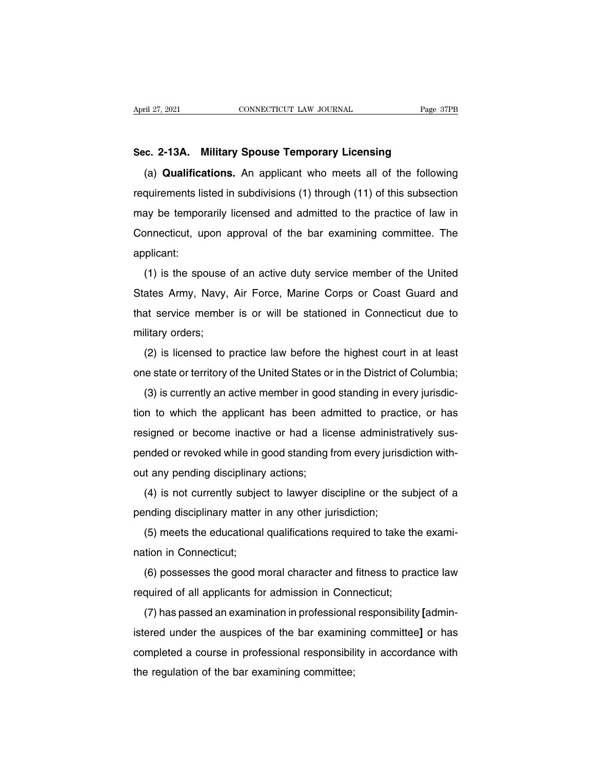April 27, 2021<br> **Sec. 2-13A. Military Spouse Temporary Licensing<br>
(a) <b>Qualifications.** An applicant who meets all of the following THE 27, 2021<br> **CONNECTICUT LAW JOURNAL**<br> **C. 2-13A. Military Spouse Temporary Licensing**<br>
(a) **Qualifications.** An applicant who meets all of the following<br>
quirements listed in subdivisions (1) through (11) of this subsec Sec. 2-13A. Military Spouse Temporary Licensing<br>(a) Qualifications. An applicant who meets all of the following<br>requirements listed in subdivisions (1) through (11) of this subsection<br>may be temporarily licensed and admitt Sec. 2-13A. Military Spouse Temporary Licensing<br>
(a) Qualifications. An applicant who meets all of the following<br>
requirements listed in subdivisions (1) through (11) of this subsection<br>
may be temporarily licensed and adm (a) **Qualifications.** An applicant who meets all of the following requirements listed in subdivisions (1) through (11) of this subsection may be temporarily licensed and admitted to the practice of law in Connecticut, upon applicant: ay be temporarily licensed and admitted to the practice of law in<br>phnecticut, upon approval of the bar examining committee. The<br>plicant:<br>(1) is the spouse of an active duty service member of the United<br>ates Army, Navy, Air

States Army, Navy, Air Force, Marine Corps or Coast Guard and that service member is or will be stationed in Connecticut due to that service member is or will be stationed in Connecticut due to deplicant:<br>
(1) is the spouse of an active duty service member of the United<br>
States Army, Navy, Air Force, Marine Corps or Coast Guard and<br>
that service member is or will be stationed in Connecticut due to<br>
military order qppicarit.<br>
(1) is the spouse<br>
States Army, Navy,<br>
that service membe<br>
military orders;<br>
(2) is licensed to (1) is the spouse of all active duty service hieriber of the officed<br>ates Army, Navy, Air Force, Marine Corps or Coast Guard and<br>at service member is or will be stationed in Connecticut due to<br>litary orders;<br>(2) is license one states Army, Navy, All Totee, Maline Corps or Coast Guard and<br>that service member is or will be stationed in Connecticut due to<br>military orders;<br>(2) is licensed to practice law before the highest court in at least<br>one

litary orders;<br>(2) is licensed to practice law before the highest court in at least<br>le state or territory of the United States or in the District of Columbia;<br>(3) is currently an active member in good standing in every jur Thinlary orders,<br>
(2) is licensed to practice law before the highest court in at least<br>
one state or territory of the United States or in the District of Columbia;<br>
(3) is currently an active member in good standing in eve ( $2$ ) is incerised to practice law before the highest court in at least<br>one state or territory of the United States or in the District of Columbia;<br>(3) is currently an active member in good standing in every jurisdic-<br>tio (3) is currently an active member in good standing in every jurisdiction to which the applicant has been admitted to practice, or has resigned or become inactive or had a license administratively suspended or revoked while (3) is currently an active member in good<br>tion to which the applicant has been ad<br>resigned or become inactive or had a lic<br>pended or revoked while in good standing f<br>out any pending disciplinary actions;<br>(4) is not current It to which the applicant has been adminited to plactice, or has<br>signed or become inactive or had a license administratively sus-<br>inded or revoked while in good standing from every jurisdiction with-<br>it any pending discipl pended or revoked while in good standing from every jurisdiction<br>pended or revoked while in good standing from every jurisdiction;<br>(4) is not currently subject to lawyer discipline or the s<br>pending disciplinary matter in a

The education while in good standing nonrevery jurisdiction while<br>t any pending disciplinary actions;<br>(4) is not currently subject to lawyer discipline or the subject of a<br>inding disciplinary matter in any other jurisdicti out any penang disciplinary<br>
(4) is not currently subject<br>
pending disciplinary matter<br>
(5) meets the educational<br>
nation in Connecticut;<br>
(6) possesses the good m (4) is not currently subject to lawyer discipline of the subject of a<br>inding disciplinary matter in any other jurisdiction;<br>(5) meets the educational qualifications required to take the exami-<br>tion in Connecticut;<br>(6) poss Feriality disciplinary matter in any other jurisdiction;<br>
(5) meets the educational qualifications required to take the<br>
nation in Connecticut;<br>
(6) possesses the good moral character and fitness to practicute required of

(5) fireets the educational qualifications required to take the exami-<br>tion in Connecticut;<br>(6) possesses the good moral character and fitness to practice law<br>quired of all applicants for admission in Connecticut;<br>(7) has iation in connecticut,<br>
(6) possesses the good moral character and fitness to practice law<br>
required of all applicants for admission in Connecticut;<br>
(7) has passed an examination in professional responsibility [admin-<br>
is (o) possesses the good moral character and miless to plactice law<br>required of all applicants for admission in Connecticut;<br>(7) has passed an examination in professional responsibility [admin-<br>istered under the auspices of The required of air applicants for admission in Committee<br>
(7) has passed an examination in professional<br>
istered under the auspices of the bar examining<br>
completed a course in professional responsibility<br>
the regulation o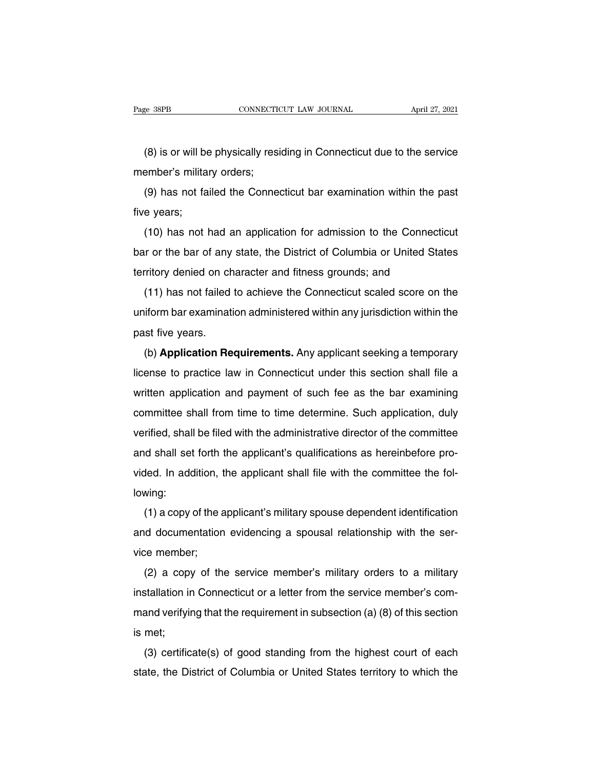EXTER THE READ CONNECTICUT LAW JOURNAL April 27, 2021<br>(8) is or will be physically residing in Connecticut due to the service<br>ember's military orders; Page 38PB<br>
(8) is or will be physically resi<br>
member's military orders;<br>
(9) has not failed the Conne

(8) is or will be physically residing in Connecticut due to the service<br>ember's military orders;<br>(9) has not failed the Connecticut bar examination within the past<br>e years; (8) is or will be<br>member's milita<br>(9) has not fa<br>five years;<br>(10) has not l

(c) is or will be priysically residing in connecticut due to the service<br>ember's military orders;<br>(9) has not failed the Connecticut bar examination within the past<br>e years;<br>(10) has not had an application for admission to (9) has not failed the Connecticut bar examination within the past<br>five years;<br>(10) has not had an application for admission to the Connecticut<br>bar or the bar of any state, the District of Columbia or United States<br>territo (3) has not failed the Connecticut bar examination within the p<br>five years;<br>(10) has not had an application for admission to the Connecti<br>bar or the bar of any state, the District of Columbia or United Sta<br>territory denied (10) has not had an application for admission to the Connecticut<br>ir or the bar of any state, the District of Columbia or United States<br>rritory denied on character and fitness grounds; and<br>(11) has not failed to achieve the

(10) has not had an application for admission to the connecticut<br>bar or the bar of any state, the District of Columbia or United States<br>territory denied on character and fitness grounds; and<br>(11) has not failed to achieve bar or the bar of any state, the District of Columbia or United States<br>territory denied on character and fitness grounds; and<br>(11) has not failed to achieve the Connecticut scaled score on the<br>uniform bar examination admin (11) has not failed to achieve the Connecticut scaled score on the<br>iform bar examination administered within any jurisdiction within the<br>st five years.<br>(b) **Application Requirements.** Any applicant seeking a temporary<br>ense

(11) has not failed to achieve the Connecticut scaled score on the<br>uniform bar examination administered within any jurisdiction within the<br>past five years.<br>(b) **Application Requirements.** Any applicant seeking a temporary<br> past five years.<br>
(b) **Application Requirements.** Any applicant seeking a temporary<br>
license to practice law in Connecticut under this section shall file a<br>
written application and payment of such fee as the bar examining<br> (b) **Application Requirements.** Any applicant seeking a temporary license to practice law in Connecticut under this section shall file a written application and payment of such fee as the bar examining committee shall from (b) Application nequirements. Any applicant seeking a temporary<br>license to practice law in Connecticut under this section shall file a<br>written application and payment of such fee as the bar examining<br>committee shall from t and shall set forth the applicant shall file with connection the assession shall like a<br>committee shall from time to time determine. Such application, duly<br>verified, shall be filed with the administrative director of the c whiten application and payment of such fiee as the bar examining<br>committee shall from time to time determine. Such application, duly<br>verified, shall be filed with the administrative director of the committee<br>and shall set lowing: Inled, shall set forth the applicant's qualifications as hereinbefore pro-<br>ded. In addition, the applicant shall file with the committee the fol-<br>wing:<br>(1) a copy of the applicant's military spouse dependent identification

and shan set form the applicant's qualifications as heremberic provided. In addition, the applicant shall file with the committee the following:<br>(1) a copy of the applicant's military spouse dependent identification<br>and do vided: in addition, if<br>lowing:<br>(1) a copy of the a<br>and documentation<br>vice member;<br>(2) a copy of the (1) a copy of the applicant's military spouse dependent identification<br>id documentation evidencing a spousal relationship with the ser-<br>ce member;<br>(2) a copy of the service member's military orders to a military<br>stallation

(1) a copy of the applicant similary spouse dependent identification<br>and documentation evidencing a spousal relationship with the ser-<br>vice member;<br>(2) a copy of the service member's military orders to a military<br>installa vice member;<br>(2) a copy of the service member's military orders to a military<br>installation in Connecticut or a letter from the service member's com-<br>mand verifying that the requirement in subsection (a) (8) of this section vice member<br>
(2) a copy<br>
installation in<br>
mand verifyin<br>
is met;<br>
(3) certific ( $2$ ) a copy of the service member's minitary ofders to a minitary<br>stallation in Connecticut or a letter from the service member's com-<br>and verifying that the requirement in subsection (a) (8) of this section<br>met;<br>(3) cer Installation in Connecticut of a letter from the service members com-<br>mand verifying that the requirement in subsection (a) (8) of this section<br>is met;<br>(3) certificate(s) of good standing from the highest court of each<br>sta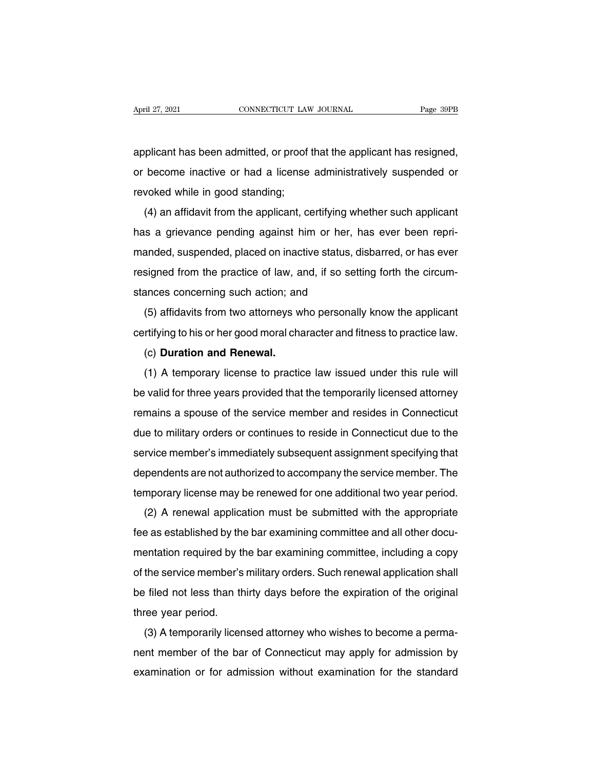April 27, 2021 CONNECTICUT LAW JOURNAL Page 39PB<br>applicant has been admitted, or proof that the applicant has resigned,<br>or become inactive or had a license administratively suspended or April 27, 2021 CONNECTICUT LAW JOURNAL Page 39PB<br>applicant has been admitted, or proof that the applicant has resigned,<br>or become inactive or had a license administratively suspended or<br>revoked while in good standing; revoked while in good standing;<br>revoked while in good standing;<br>(4) an affidavit from the applicant, co plicant has been admitted, or proof that the applicant has resigned,<br>become inactive or had a license administratively suspended or<br>voked while in good standing;<br>(4) an affidavit from the applicant, certifying whether such

applicant has been admitted, or proof that the applicant has resigned,<br>or become inactive or had a license administratively suspended or<br>revoked while in good standing;<br>(4) an affidavit from the applicant, certifying wheth manded, suspended on inactive of that a litense administratively suspended of<br>revoked while in good standing;<br>(4) an affidavit from the applicant, certifying whether such applicant<br>has a grievance pending against him or he revoked while in good standing,<br>
(4) an affidavit from the applicant, certifying whether such applicant<br>
has a grievance pending against him or her, has ever been repri-<br>
manded, suspended, placed on inactive status, disba (4) an amdavit nont the applicant, certifying with<br>has a grievance pending against him or her, h<br>manded, suspended, placed on inactive status, d<br>resigned from the practice of law, and, if so sett<br>stances concerning such ac anded, suspended, placed on inactive status, disbarred, or has ever<br>signed from the practice of law, and, if so setting forth the circum-<br>ances concerning such action; and<br>(5) affidavits from two attorneys who personally k rianced, suspended, placed of final live status, displained, of has ever<br>resigned from the practice of law, and, if so setting forth the circum-<br>stances concerning such action; and<br>(5) affidavits from two attorneys who per

signed nom the practice of law, a<br>ances concerning such action; an<br>(5) affidavits from two attorneys w<br>rtifying to his or her good moral cha<br>(c) **Duration and Renewal.**<br>(1) A temporary license to practic

(5) affidavits from two attorneys who personally know the applicant<br>rtifying to his or her good moral character and fitness to practice law.<br>(c) **Duration and Renewal.**<br>(1) A temporary license to practice law issued under be valid for three years provided that the temporarily licensed attorney<br>
(b) Duration and Renewal.<br>
(1) A temporary license to practice law issued under this rule will<br>
be valid for three years provided that the temporari (c) Duration and Renewal.<br>
(1) A temporary license to practice law issued under this rule will<br>
be valid for three years provided that the temporarily licensed attorney<br>
remains a spouse of the service member and resides i (c) Duration and Herlewal.<br>
(1) A temporary license to practice law issued under this rule will<br>
be valid for three years provided that the temporarily licensed attorney<br>
remains a spouse of the service member and resides Service member's immediately subsequent assignment specifying that dependents are not authorized to accompany the service member's immediately subsequent assignment specifying that dependents are not authorized to accompa dependents are not authorized to accompany incensed attorney<br>due to military orders or continues to reside in Connecticut due to the<br>service member's immediately subsequent assignment specifying that<br>dependents are not aut temants a spouse of the service member and restates in Connecticut<br>due to military orders or continues to reside in Connecticut due to the<br>service member's immediately subsequent assignment specifying that<br>dependents are n rvice member's immediately subsequent assignment specifying that<br>pendents are not authorized to accompany the service member. The<br>mporary license may be renewed for one additional two year period.<br>(2) A renewal application

dependents are not authorized to accompany the service member. The<br>dependents are not authorized to accompany the service member. The<br>temporary license may be renewed for one additional two year period.<br>(2) A renewal appli dependents are not additionized to accompany the service member. The<br>temporary license may be renewed for one additional two year period.<br>(2) A renewal application must be submitted with the appropriate<br>fee as established (2) A renewal application must be submitted with the appropriate<br>fee as established by the bar examining committee and all other docu-<br>mentation required by the bar examining committee, including a copy<br>of the service memb  $(z)$  A renewar application must be submitted with the appropriate<br>fee as established by the bar examining committee and all other docu-<br>mentation required by the bar examining committee, including a copy<br>of the service me ree as established by the<br>mentation required by the<br>of the service member's<br>be filed not less than the<br>three year period.<br>(3) A temporarily licen Fination required by the bar examining committee, including a copy<br>the service member's military orders. Such renewal application shall<br>filed not less than thirty days before the expiration of the original<br>ree year period.

of the service member s military ofders. Such refleward application shall<br>be filed not less than thirty days before the expiration of the original<br>three year period.<br>(3) A temporarily licensed attorney who wishes to become be fired flot less than thirty days before the expiration of the original<br>three year period.<br>(3) A temporarily licensed attorney who wishes to become a perma-<br>nent member of the bar of Connecticut may apply for admission b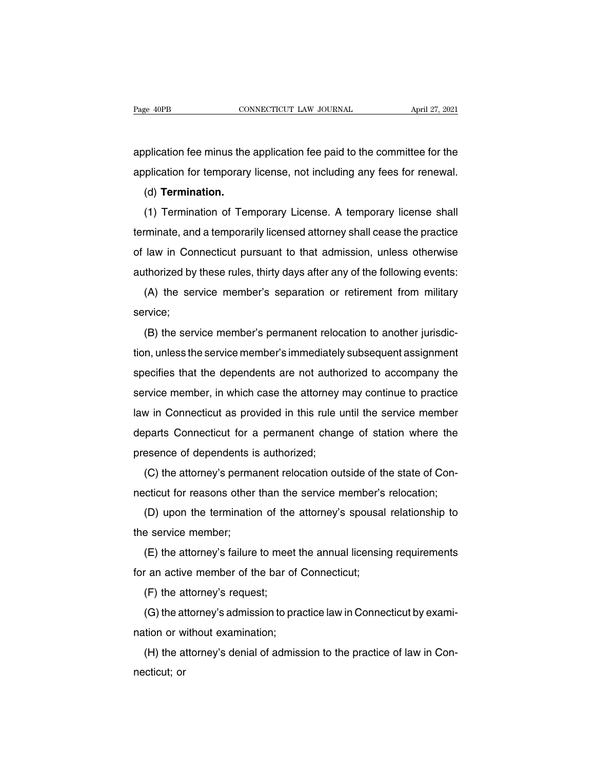Page 40PB<br>
CONNECTICUT LAW JOURNAL<br>
application fee minus the application fee paid to the committee for the<br>
application for temporary license, not including any fees for renewal. Page 40PB CONNECTICUT LAW JOURNAL April 27, 2021<br>application fee minus the application fee paid to the committee for the<br>application for temporary license, not including any fees for renewal.<br>(d) **Termination.** 

(d) **Termination.**

plication fee minus the application fee paid to the committee for the<br>plication for temporary license, not including any fees for renewal.<br>(d) **Termination.**<br>(1) Termination of Temporary License. A temporary license shall<br> application fee minds the application fee paid to the committee for the<br>application for temporary license, not including any fees for renewal.<br>(d) **Termination.**<br>(1) Termination of Temporary License. A temporary license sh (d) **Termination.**<br>
(d) **Termination.**<br>
(1) Termination of Temporary License. A temporary license shall<br>
terminate, and a temporarily licensed attorney shall cease the practice<br>
of law in Connecticut pursuant to that admis (d) Termination.<br>
(1) Termination of Temporary License. A temporary license shall<br>
terminate, and a temporarily licensed attorney shall cease the practice<br>
of law in Connecticut pursuant to that admission, unless otherwise (1) Termination of Temporary Eleense. A temporary neense shall<br>minate, and a temporarily licensed attorney shall cease the practice<br>law in Connecticut pursuant to that admission, unless otherwise<br>thorized by these rules, t (B) of law in Connecticut pursuant to that admission, unless otherwise<br>authorized by these rules, thirty days after any of the following events:<br>(A) the service member's separation or retirement from military<br>service;<br>(B)

service;

(A) the service member's separation or retirement from military<br>service;<br>(B) the service member's permanent relocation to another jurisdic-<br>tion, unless the service member's immediately subsequent assignment<br>specifies that (A) the service member's separation of retirement from military<br>service;<br>(B) the service member's permanent relocation to another jurisdic-<br>tion, unless the service member's immediately subsequent assignment<br>specifies that (B) the service member's permanent relocation to another jurisdiction, unless the service member's immediately subsequent assignment specifies that the dependents are not authorized to accompany the service member, in whic (D) the service member's permanent relocation to another jurisdic-<br>tion, unless the service member's immediately subsequent assignment<br>specifies that the dependents are not authorized to accompany the<br>service member, in wh specifies that the dependents are not authorized to accompany the<br>service member, in which case the attorney may continue to practice<br>law in Connecticut as provided in this rule until the service member<br>departs Connecticut specifies that the dependents are not during<br>service member, in which case the attorney<br>law in Connecticut as provided in this rule u<br>departs Connecticut for a permanent changer<br>presence of dependents is authorized;<br>(C) th wice member, in which case the attorney may continue to plactice<br>w in Connecticut as provided in this rule until the service member<br>parts Connecticut for a permanent change of station where the<br>esence of dependents is auth necticut as provided in this rule until the service member<br>departs Connecticut for a permanent change of station where the<br>presence of dependents is authorized;<br>(C) the attorney's permanent relocation outside of the state

France of dependents is authorized;<br>(C) the attorney's permanent relocation outside of the state of Con-<br>cticut for reasons other than the service member's relocation;<br>(D) upon the termination of the attorney's spousal rel (C) the attorney's perma<br>necticut for reasons other<br>(D) upon the termination<br>the service member;<br>(E) the attorney's failure (C) the attorney's permanent relocation outside of the state of Con-<br>cticut for reasons other than the service member's relocation;<br>(D) upon the termination of the attorney's spousal relationship to<br>e service member;<br>(E) t for an active member of the attorney's spousal<br>the service member;<br>(E) the attorney's failure to meet the annual licensin<br>for an active member of the bar of Connecticut;<br>(F) the attorney's request;

(D) upon the termination of the<br>e service member;<br>(E) the attorney's failure to meet<br>r an active member of the bar o<br>(F) the attorney's request;<br>(G) the attorney's admission to p

E service member,<br>
(E) the attorney's failure to meet the annual licensing requirements<br>
(a) the attorney's request;<br>
(G) the attorney's admission to practice law in Connecticut by exami-<br>
tion or without examination; ( $L$ ) the attorney's randle to meet to<br>for an active member of the bar of ( $F$ ) the attorney's request;<br>( $G$ ) the attorney's admission to pra-<br>nation or without examination;<br>( $H$ ) the attorney's denial of admiss (F) the attorney's request;<br>(G) the attorney's admission to practice law in Connecticut by exami-<br>tion or without examination;<br>(H) the attorney's denial of admission to the practice of law in Con-<br>citcut; or (i) the a<br>(G) the at<br>nation or w<br>(H) the a<br>necticut; or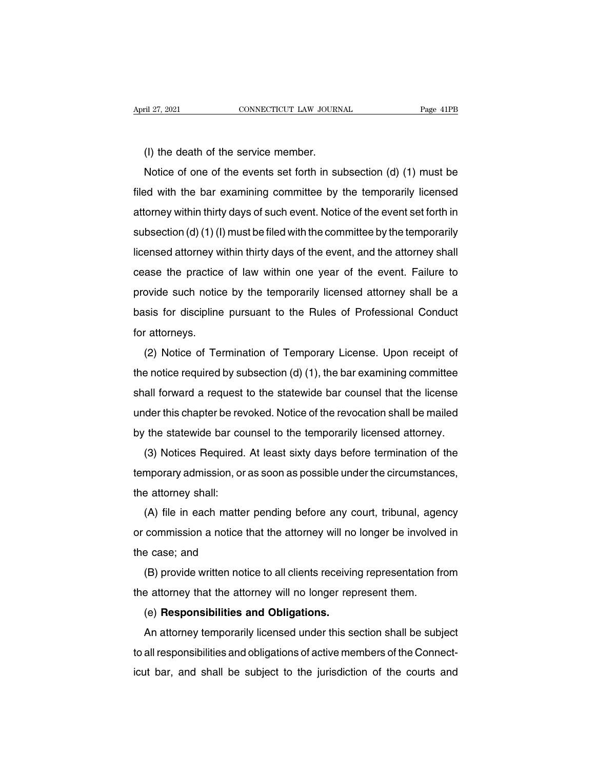(I) the death of the service member.<br>
Notice of one of the events set forth in sum<br>
Notice of one of the events set forth in sum Notice of one of the service member.<br>
Notice of one of the events set forth in subsection (d) (1) must be<br>
Notice of one of the events set forth in subsection (d) (1) must be<br>
ded with the bar examining committee by the te (I) the death of the service member.<br>
Notice of one of the events set forth in subsection (d) (1) must be<br>
filed with the bar examining committee by the temporarily licensed<br>
attorney within thirty days of such event. Noti (I) the death of the service member.<br>
Notice of one of the events set forth in subsection (d) (1) must be<br>
filed with the bar examining committee by the temporarily licensed<br>
attorney within thirty days of such event. Not (i) the death of the service member.<br>
Notice of one of the events set forth in subsection (d) (1) must be<br>
filed with the bar examining committee by the temporarily licensed<br>
attorney within thirty days of such event. Not Filed with the bar examining committee by the temporarily licensed attorney within thirty days of such event. Notice of the event set forth in subsection (d) (1) (l) must be filed with the committee by the temporarily lic attorney within thirty days of such event. Notice of the event set forth in<br>subsection (d) (1) (l) must be filed with the committee by the temporarily<br>licensed attorney within thirty days of the event, and the attorney sha attoriey within thirty days of such event. Notice of the event set forth in<br>subsection (d) (1) (l) must be filed with the committee by the temporarily<br>licensed attorney within thirty days of the event, and the attorney sha basis for discipline pursuant to the Rules of Professional Conduction attorneys.<br>Basis for discipline pursuant to the Rules of Professional Conduction<br>attorneys. licensed attorney within thirty days of the event, and the attorney shall<br>cease the practice of law within one year of the event. Failure to<br>provide such notice by the temporarily licensed attorney shall be a<br>basis for dis (2) Notice of Termination of Temporarily licensed attorney shall be a<br>
sis for discipline pursuant to the Rules of Professional Conduct<br>
(2) Notice of Termination of Temporary License. Upon receipt of<br>
e notice required by

basis for discipline pursuant to the Rules of Professional Conduct<br>for attorneys.<br>(2) Notice of Termination of Temporary License. Upon receipt of<br>the notice required by subsection (d) (1), the bar examining committee<br>shall For attorneys.<br>
(2) Notice of Termination of Temporary License. Upon receipt of<br>
the notice required by subsection (d) (1), the bar examining committee<br>
shall forward a request to the statewide bar counsel that the license (2) Notice of Termination of Temporary License. Upon receipt of<br>the notice required by subsection (d) (1), the bar examining committee<br>shall forward a request to the statewide bar counsel that the license<br>under this chapte ( $\angle$ ) isolice of Termination of Temporary Eldense. Opon receipt of<br>the notice required by subsection (d) (1), the bar examining committee<br>shall forward a request to the statewide bar counsel that the license<br>under this c all forward a request to the statewide bar counsel that the license<br>all forward a request to the statewide bar counsel that the license<br>der this chapter be revoked. Notice of the revocation shall be mailed<br>the statewide ba

shall forward a request to the statewide bar counser that the license<br>under this chapter be revoked. Notice of the revocation shall be mailed<br>by the statewide bar counsel to the temporarily licensed attorney.<br>(3) Notices R by the statewide bar co<br>(3) Notices Required.<br>temporary admission, or<br>the attorney shall:<br>(A) file in each matte (3) Notices Required. At least sixty days before termination of the<br>mporary admission, or as soon as possible under the circumstances,<br>e attorney shall:<br>(A) file in each matter pending before any court, tribunal, agency<br>co

(b) Notices Hequired. At least staty days before termination of the<br>temporary admission, or as soon as possible under the circumstances,<br>the attorney shall:<br>(A) file in each matter pending before any court, tribunal, agenc the attorney shall:<br>
(A) file in each matter<br>
or commission a notice th<br>
the case; and<br>
(B) provide written notic (A) file in each matter pending before any court, tribunal, agency<br>commission a notice that the attorney will no longer be involved in<br>e case; and<br>(B) provide written notice to all clients receiving representation from<br>e a (A) the in each matter pending before any court, thibunal, agent or commission a notice that the attorney will no longer be involved the case; and (B) provide written notice to all clients receiving representation frithe a

Examples a notice that the attorney will no<br>e case; and<br>(B) provide written notice to all clients receiving<br>a attorney that the attorney will no longer rep<br>(e) **Responsibilities and Obligations.**<br>An attorney temporarily li

E case, and<br>
(B) provide written notice to all clients receiving representation from<br>
a attorney that the attorney will no longer represent them.<br>
(e) **Responsibilities and Obligations.**<br>
An attorney temporarily licensed u (B) provide written notice to all clients receiving representation non-<br>the attorney that the attorney will no longer represent them.<br>(e) **Responsibilities and Obligations.**<br>An attorney temporarily licensed under this sect Interationley that the attorney will no longer represent them.<br>
(e) **Responsibilities and Obligations.**<br>
An attorney temporarily licensed under this section shall be subject<br>
to all responsibilities and obligations of acti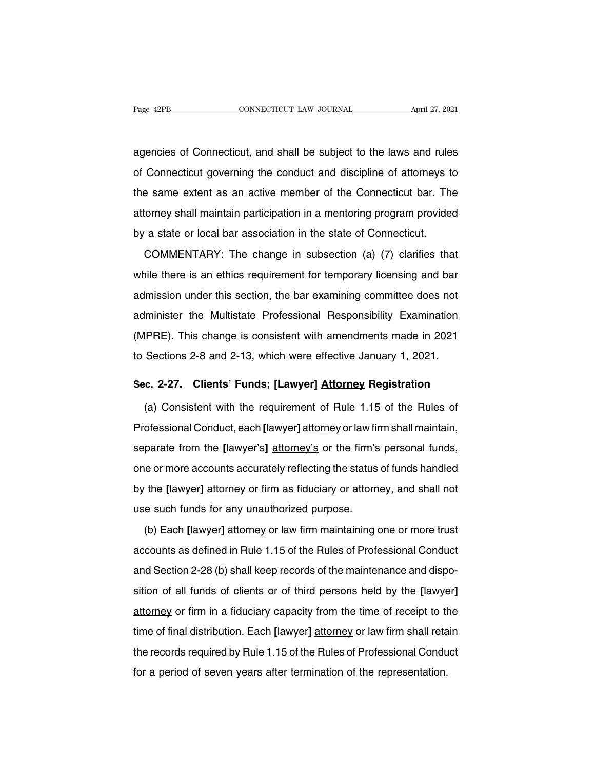Page 42PB<br>
CONNECTICUT LAW JOURNAL<br>
CONNECTICUT LAW JOURNAL<br>
CONNECTICUT LAW JOURNAL<br>
April 27, 2021<br>
April 27, 2021<br>
April 27, 2021<br>
April 27, 2021<br>
Connecticut governing the conduct and discipline of attorneys to Page 42PB CONNECTICUT LAW JOURNAL April 27, 2021<br>agencies of Connecticut, and shall be subject to the laws and rules<br>of Connecticut governing the conduct and discipline of attorneys to<br>the same extent as an active member o agencies of Connecticut, and shall be subject to the laws and rules<br>of Connecticut governing the conduct and discipline of attorneys to<br>the same extent as an active member of the Connecticut bar. The<br>attorney shall maintai agencies of Connecticut, and shall be subject to the laws and rules<br>of Connecticut governing the conduct and discipline of attorneys to<br>the same extent as an active member of the Connecticut bar. The<br>attorney shall maintai by a state or local bar association in a mentoring program provider<br>by a state or local bar association in a mentoring program provider<br>by a state or local bar association in the state of Connecticut.<br>COMMENTARY: The chang Example is a same extent as an active member of the Connecticut bar. The corney shall maintain participation in a mentoring program provided a state or local bar association in the state of Connecticut.<br>COMMENTARY: The cha

attorney shall maintain participation in a mentoring program provided<br>by a state or local bar association in the state of Connecticut.<br>COMMENTARY: The change in subsection (a) (7) clarifies that<br>while there is an ethics re ationity shall maintain participation in a momonig program provided<br>by a state or local bar association in the state of Connecticut.<br>COMMENTARY: The change in subsection (a) (7) clarifies that<br>while there is an ethics requ commentant COMMENTARY: The change in subsection (a) (7) clarifies that<br>while there is an ethics requirement for temporary licensing and bar<br>admission under this section, the bar examining committee does not<br>administer the while there is an ethics requirement for temporary licensing and bar admission under this section, the bar examining committee does not administer the Multistate Professional Responsibility Examination (MPRE). This change admission under this section, the bar examining committee does not<br>administer the Multistate Professional Responsibility Examination<br>(MPRE). This change is consistent with amendments made in 2021<br>to Sections 2-8 and 2-13, administer the Multistate Professional Responsibility Examination (MPRE). This change is consistent with amendments made in 2021<br>to Sections 2-8 and 2-13, which were effective January 1, 2021.<br>**Sec. 2-27. Clients' Funds; [** IPRE). This change is consistent with amendments made in 2021<br>Sections 2-8 and 2-13, which were effective January 1, 2021.<br>c. 2-27. Clients' Funds; [Lawyer] Attorney Registration<br>(a) Consistent with the requirement of Rule

to Sections 2-8 and 2-13, which were effective January 1, 2021.<br> **Sec. 2-27. Clients' Funds; [Lawyer] Attorney Registration**<br>
(a) Consistent with the requirement of Rule 1.15 of the Rules of<br>
Professional Conduct, each [la Sec. 2-27. Clients' Funds; [Lawyer] Attorney Registration<br>(a) Consistent with the requirement of Rule 1.15 of the Rules of<br>Professional Conduct, each [lawyer] <u>attorney</u> or law firm shall maintain,<br>separate from the [lawye (a) Consistent with the requirement of Rule 1.15 of the Rules of<br>Professional Conduct, each [lawyer] attorney or law firm shall maintain,<br>separate from the [lawyer's] attorney's or the firm's personal funds,<br>one or more ac Professional Conduct, each [lawyer] attorney or law firm shall maintain, separate from the [lawyer's] attorney's or the firm's personal funds, one or more accounts accurately reflecting the status of funds handled by the [ separate from the [lawyer's] attorney's or the firm's<br>separate from the [lawyer's] attorney's or the firm's<br>one or more accounts accurately reflecting the status<br>by the [lawyer] attorney or firm as fiduciary or attorn<br>use (b) Each **Each** *Each Computer* Computer in the personal ranks,<br>
i.e or more accounts accurately reflecting the status of funds handled<br>
the [lawyer] attorney or firm as fiduciary or attorney, and shall not<br>
e such funds f

by the [lawyer] attorney or firm as fiduciary or attorney, and shall not<br>use such funds for any unauthorized purpose.<br>(b) Each [lawyer] attorney or law firm maintaining one or more trust<br>accounts as defined in Rule 1.15 of and Section 2-28 (b) shall keep records of the maintenance and disposition of all funds of clients or of third persons held by the [lawyer] attemption of all funds of clients or of third persons held by the [lawyer] (b) Each [lawyer] attorney or law firm maintaining one or more trust<br>accounts as defined in Rule 1.15 of the Rules of Professional Conduct<br>and Section 2-28 (b) shall keep records of the maintenance and dispo-<br>sition of all accounts as defined in Rule 1.15 of the Rules of Professional Conduct<br>and Section 2-28 (b) shall keep records of the maintenance and dispo-<br>sition of all funds of clients or of third persons held by the [lawyer]<br>attorney o and Section 2-28 (b) shall keep records of the maintenance and disposition of all funds of clients or of third persons held by the [lawyer] attorney or firm in a fiduciary capacity from the time of receipt to the time of f sition of all funds of clients or of third persons held by the [lawyer]<br>attorney or firm in a fiduciary capacity from the time of receipt to the<br>time of final distribution. Each [lawyer] attorney or law firm shall retain<br>t attorney or firm in a fiduciary capacity from the time of receipt to the time of final distribution. Each [lawyer] attorney or law firm shall retathe records required by Rule 1.15 of the Rules of Professional Condu for a p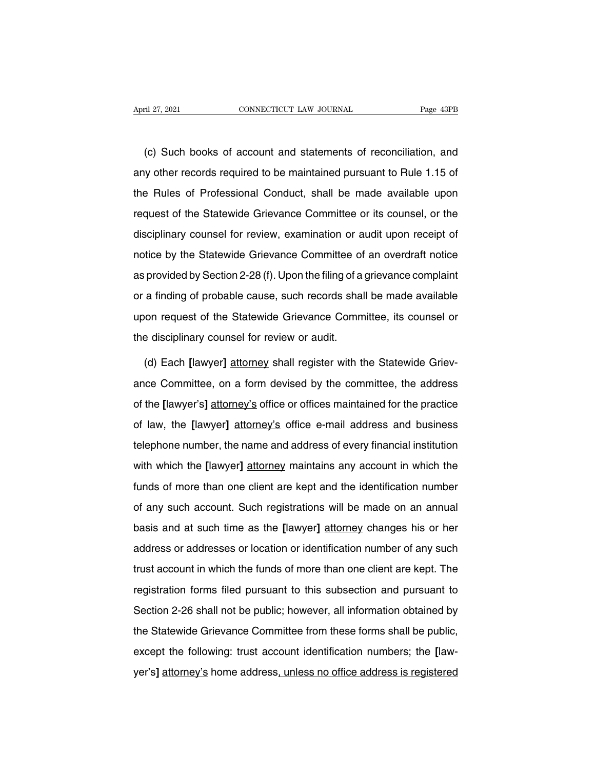THE 27, 2021<br>
CONNECTICUT LAW JOURNAL<br>
CONNECTICUT LAW JOURNAL<br>
CONNECTICUT LAW JOURNAL<br>
CONNECTICUT LAW JOURNAL<br>
CONNECTICUT LAW JOURNAL<br>
CONNECTICUT LAW JOURNAL<br>
CONNECTICUT LAW JOURNAL<br>
CONNECTICUT LAW JOURNAL<br>
CONNECTI April 27, 2021 CONNECTICUT LAW JOURNAL Page 43PB<br>
(c) Such books of account and statements of reconciliation, and<br>
any other records required to be maintained pursuant to Rule 1.15 of<br>
the Rules of Professional Conduct, sh (c) Such books of account and statements of reconciliation, and<br>any other records required to be maintained pursuant to Rule 1.15 of<br>the Rules of Professional Conduct, shall be made available upon<br>request of the Statewide (c) Such books of account and statements of reconciliation, and<br>any other records required to be maintained pursuant to Rule 1.15 of<br>the Rules of Professional Conduct, shall be made available upon<br>request of the Statewide discription of records required to be maintained pursuant to Rule 1.15 of<br>the Rules of Professional Conduct, shall be made available upon<br>request of the Statewide Grievance Committee or its counsel, or the<br>disciplinary cou any since research equined to be maintained pareadant to ridio rire of<br>the Rules of Professional Conduct, shall be made available upon<br>request of the Statewide Grievance Committee or its counsel, or the<br>disciplinary counse are Transe of Tronded Britanaci, official as that a dramatic upon<br>request of the Statewide Grievance Committee or its counsel, or the<br>disciplinary counsel for review, examination or audit upon receipt of<br>notice by the Stat disciplinary counsel for review, examination or audit upon receipt of<br>notice by the Statewide Grievance Committee of an overdraft notice<br>as provided by Section 2-28 (f). Upon the filing of a grievance complaint<br>or a findin notice by the Statewide Grievance Committee of an overdraft notice<br>as provided by Section 2-28 (f). Upon the filing of a grievance complaint<br>or a finding of probable cause, such records shall be made available<br>upon request the discriming of probable cause, such records shall and request of the Statewide Grievance Commentee disciplinary counsel for review or audit.<br>The disciplinary counsel for review or audit.<br>The disciplinary counsel for rev or a finding of probable cause, such records shall be made available<br>upon request of the Statewide Grievance Committee, its counsel or<br>the disciplinary counsel for review or audit.<br>(d) Each [lawyer] attorney shall register

upon request of the Statewide Grievance Committee, its counsel or<br>the disciplinary counsel for review or audit.<br>(d) Each [lawyer] attorney shall register with the Statewide Griev-<br>ance Committee, on a form devised by the c the disciplinary counsel for review or audit.<br>
(d) Each [lawyer] <u>attorney</u> shall register with the Statewide Griev-<br>
ance Committee, on a form devised by the committee, the address<br>
of the [lawyer's] attorney's office or (d) Each [lawyer] attorney shall register with the Statewide Grievance Committee, on a form devised by the committee, the address of the [lawyer's] attorney's office or offices maintained for the practice of law, the [lawy ance Committee, on a form devised by the committee, the address<br>of the [lawyer's] attorney's office or offices maintained for the practice<br>of law, the [lawyer] attorney's office e-mail address and business<br>telephone number of the [lawyer's] attorney's office or offices maintained for the practice<br>of law, the [lawyer] attorney's office e-mail address and business<br>telephone number, the name and address of every financial institution<br>with which of law, the [lawyer] attorney's office e-mail address and business<br>telephone number, the name and address of every financial institution<br>with which the [lawyer] attorney maintains any account in which the<br>funds of more tha of any are partyce.<br>
In any are partyce of the account account account is seen to be<br>
telephone number, the name and address of every financial institution<br>
with which the [lawyer] attorney maintains any account in which t basis and at such time are attestive of overy maintain insulation<br>of any such account. Such registrations will be made on an annual<br>basis and at such time as the [lawyer] attorney changes his or her<br>address or addresses or funds of more than one client are kept and the identification number<br>of any such account. Such registrations will be made on an annual<br>basis and at such time as the [lawyer] attorney changes his or her<br>address or addresses of any such account. Such registrations will be made on an annual<br>basis and at such time as the [lawyer] attorney changes his or her<br>address or addresses or location or identification number of any such<br>trust account in wh basis and at such time as the [lawyer] attorney changes his or her<br>address or addresses or location or identification number of any such<br>trust account in which the funds of more than one client are kept. The<br>registration f address or addresses or location or identification number of any such<br>trust account in which the funds of more than one client are kept. The<br>registration forms filed pursuant to this subsection and pursuant to<br>Section 2-26 trust account in which the funds of more than one client are kept. The registration forms filed pursuant to this subsection and pursuant to Section 2-26 shall not be public; however, all information obtained by the Statewi registration forms filed pursuant to this subsection and pursuant to<br>Section 2-26 shall not be public; however, all information obtained by<br>the Statewide Grievance Committee from these forms shall be public,<br>except the fol Section 2-26 shall not be public; however, all information obtained by<br>the Statewide Grievance Committee from these forms shall be public,<br>except the following: trust account identification numbers; the [law-<br>yer's] <u>attor</u>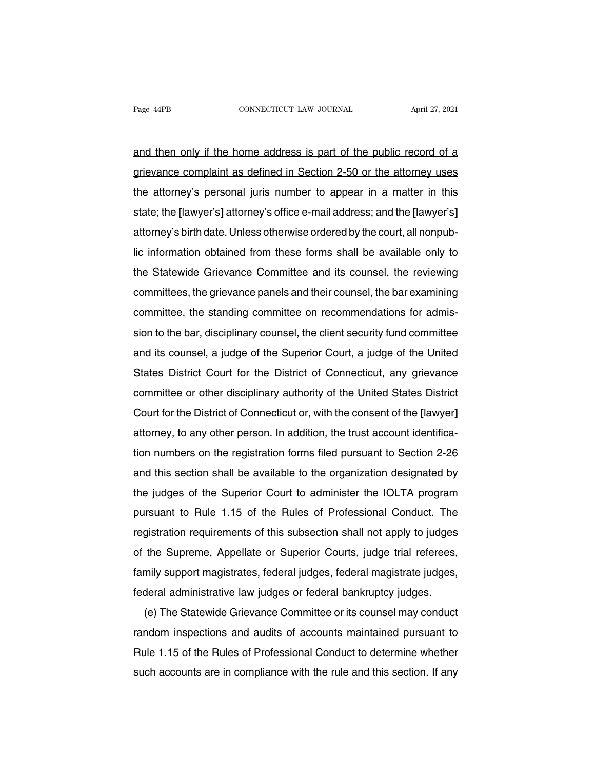Page 44PB<br>
and then only if the home address is part of the public record of a<br>
grievance complaint as defined in Section 2-50 or the attorney uses Page 44PB CONNECTICUT LAW JOURNAL April 27, 2021<br>and then only if the home address is part of the public record of a<br>grievance complaint as defined in Section 2-50 or the attorney uses<br>the attorney's personal juris number and then only if the home address is part of the public record of a<br>grievance complaint as defined in Section 2-50 or the attorney uses<br>the attorney's personal juris number to appear in a matter in this<br>state; the [lawyer' and then only if the home address is part of the public record of a<br>grievance complaint as defined in Section 2-50 or the attorney uses<br>the attorney's personal juris number to appear in a matter in this<br>state; the [lawyer' and then only if the home address is part of the public fecold of a<br>grievance complaint as defined in Section 2-50 or the attorney uses<br>the attorney's personal juris number to appear in a matter in this<br>state; the [lawyer' the attorney's personal juris number to appear in a matter in this state; the [lawyer's] attorney's office e-mail address; and the [lawyer's] attorney's birth date. Unless otherwise ordered by the court, all nonpub-<br>lic in state; the [lawyer's] attorney's office e-mail address; and the [lawyer's]<br>attorney's birth date. Unless otherwise ordered by the court, all nonpub-<br>lic information obtained from these forms shall be available only to<br>the state, the pawyer spationity's office e-main address, and the pawyer spattorney's birth date. Unless otherwise ordered by the court, all nonpub-<br>lic information obtained from these forms shall be available only to<br>the Stat attorney's birth date. Unless otherwise ordered by the court, all nonpub-<br>lic information obtained from these forms shall be available only to<br>the Statewide Grievance Committee and its counsel, the reviewing<br>committees, th ite information obtained nonf these forms share be available only to<br>the Statewide Grievance Committee and its counsel, the bar examining<br>committee, the standing committee on recommendations for admis-<br>sion to the bar, dis and its counsel, the reviewing<br>committees, the grievance panels and their counsel, the bar examining<br>committee, the standing committee on recommendations for admis-<br>sion to the bar, disciplinary counsel, the client securit committees, the grievance pariers and then courtser, the bar examining<br>committee, the standing committee on recommendations for admis-<br>sion to the bar, disciplinary counsel, the client security fund committee<br>and its couns committee, the startung committee on recommendations for aurins-<br>sion to the bar, disciplinary counsel, the client security fund committee<br>and its counsel, a judge of the Superior Court, a judge of the United<br>States Distri Sold to the Dar, disciplinary courteer, the cheric security rand committee<br>and its counsel, a judge of the Superior Court, a judge of the United<br>States District Court for the District of Connecticut, any grievance<br>committe ation is courset, a judge of the Superior Court, a judge of the Office<br>States District Court for the District of Connecticut, any grievance<br>committee or other disciplinary authority of the United States District<br>Court for Example on other disciplinary authority of the United States District<br>Court for the District of Connecticut or, with the consent of the [lawyer]<br>attorney, to any other person. In addition, the trust account identifica-<br>tio Court for the District of Connecticut or, with the consent of the [lawyer]<br>attorney, to any other person. In addition, the trust account identifica-<br>tion numbers on the registration forms filed pursuant to Section 2-26<br>and example in the District of Commediation, which the consent of the plawyer<br>attorney, to any other person. In addition, the trust account identifica-<br>tion numbers on the registration forms filed pursuant to Section 2-26<br>and ation numbers on the registration forms filed pursuant to Section 2-26<br>and this section shall be available to the organization designated by<br>the judges of the Superior Court to administer the IOLTA program<br>pursuant to Rule registration requirements of the subsection requirements of the diversional conduct. The registration requirements of the Rules of Professional Conduct. The registration requirements of this subsection shall not apply to j and this section shall be available to the organization designated by<br>the judges of the Superior Court to administer the IOLTA program<br>pursuant to Rule 1.15 of the Rules of Professional Conduct. The<br>registration requiremen family support magistrates, federal judges or federal administer the IOLTA program<br>for pursuant to Rule 1.15 of the Rules of Professional Conduct. The<br>registration requirements of this subsection shall not apply to judges<br> pursuant to True 1.15 of the Trues of Protessional Conduct. The<br>registration requirements of this subsection shall not apply to judges<br>of the Supreme, Appellate or Superior Courts, judge trial referees,<br>family support magi gistiation requirements of this subsection shall not apply to judges<br>the Supreme, Appellate or Superior Courts, judge trial referees,<br>mily support magistrates, federal judges, federal magistrate judges,<br>deral administrativ

or the supreme, Appenate or superior Courts, judge that referees,<br>family support magistrates, federal judges, federal magistrate judges,<br>federal administrative law judges or federal bankruptcy judges.<br>(e) The Statewide Gri Rule 1.15 of the Rules of Professional Conduct to determine whether<br>such a counsel may conduct<br>random inspections and audits of accounts maintained pursuant to<br>Rule 1.15 of the Rules of Professional Conduct to determine wh such a commissionity and pair in compliance or its counsel may conduct<br>random inspections and audits of accounts maintained pursuant to<br>Rule 1.15 of the Rules of Professional Conduct to determine whether<br>such accounts are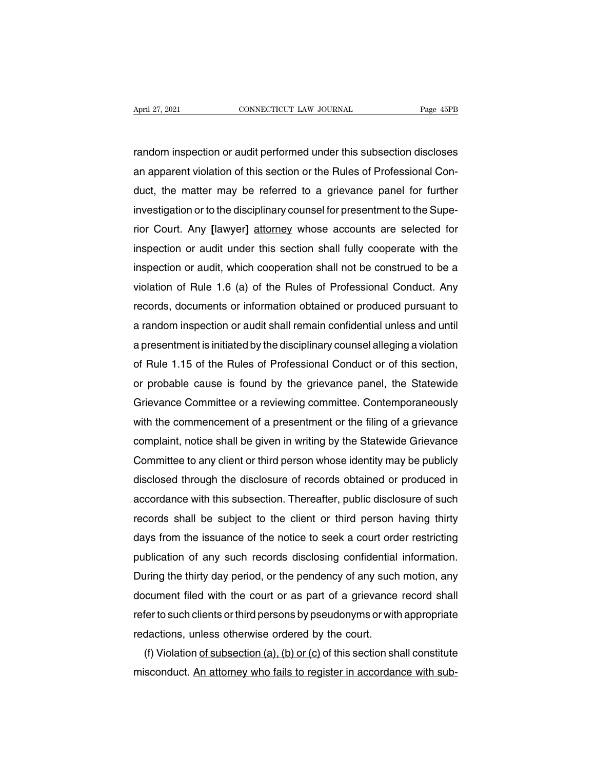April 27, 2021 CONNECTICUT LAW JOURNAL Page 45PB<br>
random inspection or audit performed under this subsection discloses<br>
an apparent violation of this section or the Rules of Professional Con-April 27, 2021 CONNECTICUT LAW JOURNAL Page 45PB<br>
random inspection or audit performed under this subsection discloses<br>
an apparent violation of this section or the Rules of Professional Con-<br>
duct, the matter may be refer random inspection or audit performed under this subsection discloses<br>an apparent violation of this section or the Rules of Professional Con-<br>duct, the matter may be referred to a grievance panel for further<br>investigation o random inspection or audit performed under this subsection discloses<br>an apparent violation of this section or the Rules of Professional Con-<br>duct, the matter may be referred to a grievance panel for further<br>investigation o random inspection or audit performed under this subsection discloses<br>an apparent violation of this section or the Rules of Professional Con-<br>duct, the matter may be referred to a grievance panel for further<br>investigation o an apparent violation of this section or the Hules of Professional Conduct, the matter may be referred to a grievance panel for further investigation or to the disciplinary counsel for presentment to the Superior Court. An duct, the matter may be reterred to a grievance panel for further<br>investigation or to the disciplinary counsel for presentment to the Supe-<br>rior Court. Any [lawyer] attorney whose accounts are selected for<br>inspection or au investigation or to the disciplinary counsel for presentment to the Superior Court. Any [lawyer] attorney whose accounts are selected for inspection or audit under this section shall fully cooperate with the inspection or rior Court. Any [lawyer] attorney whose accounts are selected for<br>inspection or audit under this section shall fully cooperate with the<br>inspection or audit, which cooperation shall not be construed to be a<br>violation of Rul inspection or audit under this section shall fully cooperate with the<br>inspection or audit, which cooperation shall not be construed to be a<br>violation of Rule 1.6 (a) of the Rules of Professional Conduct. Any<br>records, docum inspection or audit, which cooperation shall not be construed to be a<br>violation of Rule 1.6 (a) of the Rules of Professional Conduct. Any<br>records, documents or information obtained or produced pursuant to<br>a random inspecti violation of Hule 1.6 (a) of the Hules of Professional Conduct. Any<br>records, documents or information obtained or produced pursuant to<br>a random inspection or audit shall remain confidential unless and until<br>a presentment i records, documents or information obtained or produced pursuant to<br>a random inspection or audit shall remain confidential unless and until<br>a presentment is initiated by the disciplinary counsel alleging a violation<br>of Rule a random inspection or audit shall remain confidential unless and until<br>a presentment is initiated by the disciplinary counsel alleging a violation<br>of Rule 1.15 of the Rules of Professional Conduct or of this section,<br>or p a presentment is initiated by the disciplinary counsel alleging a violation<br>of Rule 1.15 of the Rules of Professional Conduct or of this section,<br>or probable cause is found by the grievance panel, the Statewide<br>Grievance C of Hule 1.15 of the Hules of Professional Conduct or of this section,<br>or probable cause is found by the grievance panel, the Statewide<br>Grievance Committee or a reviewing committee. Contemporaneously<br>with the commencement o or probable cause is found by the grievance panel, the Statewide<br>Grievance Committee or a reviewing committee. Contemporaneously<br>with the commencement of a presentment or the filing of a grievance<br>complaint, notice shall b Grievance Committee or a reviewing committee. Contemporaneously<br>with the commencement of a presentment or the filing of a grievance<br>complaint, notice shall be given in writing by the Statewide Grievance<br>Committee to any cl with the commencement of a presentment or the filing of a grievance<br>complaint, notice shall be given in writing by the Statewide Grievance<br>Committee to any client or third person whose identity may be publicly<br>disclosed th complaint, notice shall be given in writing by the Statewide Grievance<br>Committee to any client or third person whose identity may be publicly<br>disclosed through the disclosure of records obtained or produced in<br>accordance w Committee to any client or third person whose identity may be publicly<br>disclosed through the disclosure of records obtained or produced in<br>accordance with this subsection. Thereafter, public disclosure of such<br>records shal disclosed through the disclosure of records obtained or produced in<br>accordance with this subsection. Thereafter, public disclosure of such<br>records shall be subject to the client or third person having thirty<br>days from the accordance with this subsection. Thereatter, public disclosure of such<br>records shall be subject to the client or third person having thirty<br>days from the issuance of the notice to seek a court order restricting<br>publication records shall be subject to the client or third person having thirty<br>days from the issuance of the notice to seek a court order restricting<br>publication of any such records disclosing confidential information.<br>During the th days from the issuance of the notice to seek a court order restricting<br>publication of any such records disclosing confidential information.<br>During the thirty day period, or the pendency of any such motion, any<br>document fil publication of any such records disclosing confidential<br>During the thirty day period, or the pendency of any such<br>document filed with the court or as part of a grievance<br>refer to such clients or third persons by pseudonyms uring the thirty day period, or the pendency of any such motion, any<br>cument filed with the court or as part of a grievance record shall<br>fer to such clients or third persons by pseudonyms or with appropriate<br>dactions, unles document filed with the court or as part of a grievance record shall<br>refer to such clients or third persons by pseudonyms or with appropriate<br>redactions, unless otherwise ordered by the court.<br>(f) Violation <u>of subsection </u>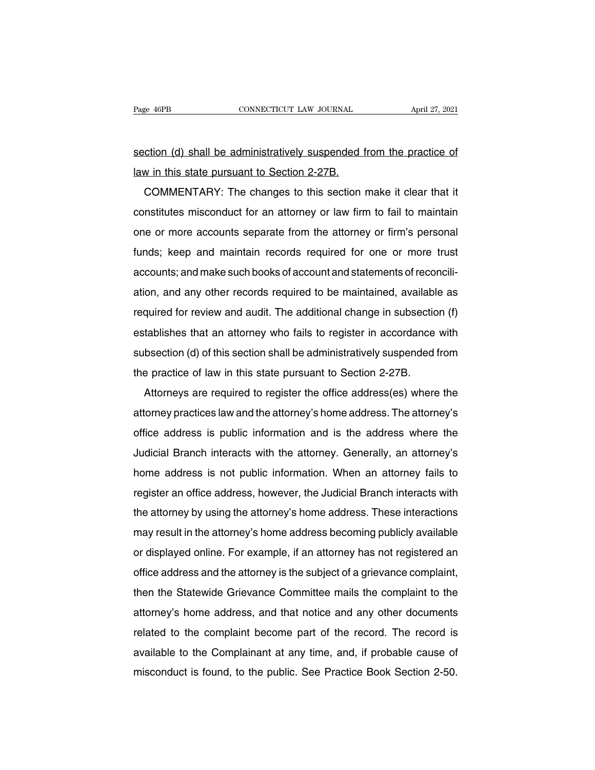Page 46PB<br>
section (d) shall be administratively suspended from the practice of<br>
law in this state pursuant to Section 2-27B. Page 46PB<br>
cONNECTICUT LAW JOURNAL<br>
section (d) shall be administratively suspended f<br>
law in this state pursuant to Section 2-27B.<br>
COMMENTARY: The changes to this section

Commission (d) shall be administratively suspended from the practice of this state pursuant to Section 2-27B.<br>COMMENTARY: The changes to this section make it clear that it nstitutes misconduct for an attorney or law firm t section (d) shall be administratively suspended from the practice of<br>law in this state pursuant to Section 2-27B.<br>COMMENTARY: The changes to this section make it clear that it<br>constitutes misconduct for an attorney or law Iaw in this state pursuant to Section 2-27B.<br>
COMMENTARY: The changes to this section make it clear that it<br>
constitutes misconduct for an attorney or law firm to fail to maintain<br>
one or more accounts separate from the at COMMENTARY: The changes to this section make it clear that it<br>constitutes misconduct for an attorney or law firm to fail to maintain<br>one or more accounts separate from the attorney or firm's personal<br>funds; keep and mainta COMMENTATE. The changes to this section make it clear that it<br>constitutes misconduct for an attorney or law firm to fail to maintain<br>one or more accounts separate from the attorney or firm's personal<br>funds; keep and mainta construtes insconduct for an attorney or law limit to fail to maintain<br>one or more accounts separate from the attorney or firm's personal<br>funds; keep and maintain records required for one or more trust<br>accounts; and make s funds; keep and maintain records required for one or more trust<br>accounts; and make such books of account and statements of reconcili-<br>ation, and any other records required to be maintained, available as<br>required for review accounts; and make such books of account and statements of reconcili-<br>ation, and any other records required to be maintained, available as<br>required for review and audit. The additional change in subsection (f)<br>establishes ation, and any other records required to be maintained, available as<br>required for review and audit. The additional change in subsection (f)<br>establishes that an attorney who fails to register in accordance with<br>subsection ( ation, and any other records required to be maintained, available<br>required for review and audit. The additional change in subsectic<br>establishes that an attorney who fails to register in accordance<br>subsection (d) of this se dishes that an attorney who fails to register in accordance with<br>bsection (d) of this section shall be administratively suspended from<br>e practice of law in this state pursuant to Section 2-27B.<br>Attorneys are required to re

subsection (d) of this section shall be administratively suspended from<br>the practice of law in this state pursuant to Section 2-27B.<br>Attorneys are required to register the office address(es) where the<br>attorney practices la subsection (d) of this section shall be administratively susperided from<br>the practice of law in this state pursuant to Section 2-27B.<br>Attorneys are required to register the office address (es) where the<br>attorney practices Attorneys are required to register the office address(es) where the<br>attorney practices law and the attorney's home address. The attorney's<br>office address is public information and is the address where the<br>Judicial Branch i Attorneys are required to register the once address(es) where the<br>attorney practices law and the attorney's home address. The attorney's<br>office address is public information and is the address where the<br>Judicial Branch int ationiey practices law and the attorney shome address. The attorney's<br>office address is public information and is the address where the<br>Judicial Branch interacts with the attorney. Generally, an attorney's<br>home address is Judicial Branch interacts with the attorney. Generally, an attorney's<br>home address is not public information. When an attorney fails to<br>register an office address, however, the Judicial Branch interacts with<br>the attorney b bunded branch interacts with the attorney's denerally, an attorney's<br>home address is not public information. When an attorney fails to<br>register an office address, however, the Judicial Branch interacts with<br>the attorney by rionne address is not public information. When an attorney falls to<br>register an office address, however, the Judicial Branch interacts with<br>the attorney by using the attorney's home address. These interactions<br>may result i register an once address, nowever, the Judicial Branch interacts with<br>the attorney by using the attorney's home address becoming publicly available<br>or displayed online. For example, if an attorney has not registered an<br>off the attorney by using the attorney's home address. These interactions<br>may result in the attorney's home address becoming publicly available<br>or displayed online. For example, if an attorney has not registered an<br>office addr at the attorney's home address becoming publicly available<br>or displayed online. For example, if an attorney has not registered an<br>office address and the attorney is the subject of a grievance complaint,<br>then the Statewide office address and the attorney is the subject of a grievance complaint,<br>then the Statewide Grievance Committee mails the complaint to the<br>attorney's home address, and that notice and any other documents<br>related to the com once address and the attorney is the subject of a grievance complaint,<br>then the Statewide Grievance Committee mails the complaint to the<br>attorney's home address, and that notice and any other documents<br>related to the compl men the statewide difevalue committee mails the complaint to the attorney's home address, and that notice and any other documents related to the complaint become part of the record. The record is available to the Complaina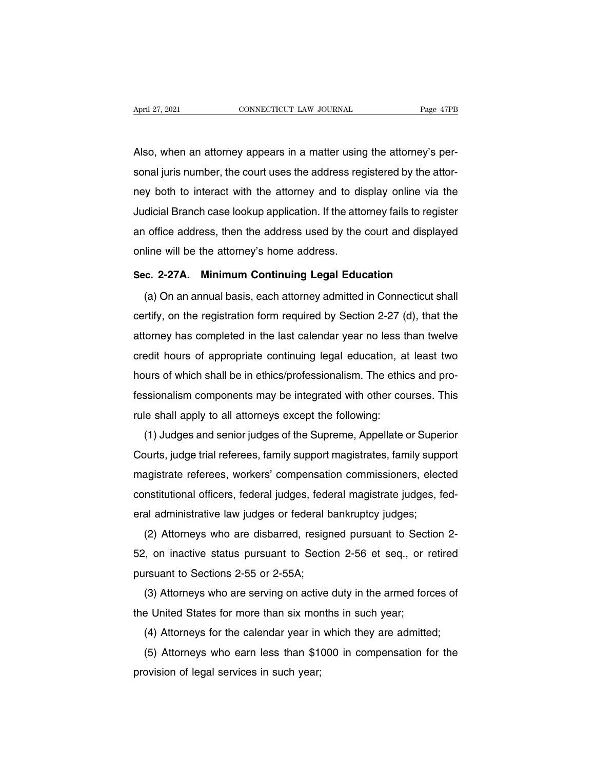April 27, 2021<br>CONNECTICUT LAW JOURNAL Page 47PB<br>Also, when an attorney appears in a matter using the attorney's per-<br>sonal juris number, the court uses the address registered by the attor-April 27, 2021 CONNECTICUT LAW JOURNAL Page 47PB<br>Also, when an attorney appears in a matter using the attorney's per-<br>sonal juris number, the court uses the address registered by the attor-<br>ney both to interact with the at Also, when an attorney appears in a matter using the attorney's personal juris number, the court uses the address registered by the attorney both to interact with the attorney and to display online via the Judicial Branch Also, when an attorney appears in a matter using the attorney's personal juris number, the court uses the address registered by the attorney both to interact with the attorney and to display online via the Judicial Branch Also, when an altothey appears in a matter using the altothey's per-<br>sonal juris number, the court uses the address registered by the attor-<br>ney both to interact with the attorney and to display online via the<br>Judicial Bra sonal juris number, the court uses the address reginey both to interact with the attorney and to dis<br>Judicial Branch case lookup application. If the atto<br>an office address, then the address used by the<br>online will be the a **Substitution**<br> **Sec. 2-27A.** Minimum Continuing Legal Education<br>
(a) On an annual basis, each attorney admitted in Connecticut shape office address, then the address used by the court and displayed<br>line will be the attorney's home address.<br>c. 2-27A. Minimum Continuing Legal Education<br>(a) On an annual basis, each attorney admitted in Connecticut shall<br>rt

online will be the attorney's home address.<br>Sec. 2-27A. Minimum Continuing Legal Education<br>(a) On an annual basis, each attorney admitted in Connecticut shall<br>certify, on the registration form required by Section 2-27 (d), Sec. 2-27A. Minimum Continuing Legal Education<br>
(a) On an annual basis, each attorney admitted in Connecticut shall<br>
certify, on the registration form required by Section 2-27 (d), that the<br>
attorney has completed in the l (a) On an annual basis, each attorney admitted in Connecticut shall<br>certify, on the registration form required by Section 2-27 (d), that the<br>attorney has completed in the last calendar year no less than twelve<br>credit hours (a) On an annual basis, each altomey admitted in Connecticut shall<br>certify, on the registration form required by Section 2-27 (d), that the<br>attorney has completed in the last calendar year no less than twelve<br>credit hours centry, on the registration form required by Section 2-27 (d), that the<br>attorney has completed in the last calendar year no less than twelve<br>credit hours of appropriate continuing legal education, at least two<br>hours of whi attorney has completed in the fast calendar year no less to<br>credit hours of appropriate continuing legal education, a<br>hours of which shall be in ethics/professionalism. The ethic<br>fessionalism components may be integrated w Folk from side appropriate continuing fegal education, at least two<br>furs of which shall be in ethics/professionalism. The ethics and pro-<br>ssionalism components may be integrated with other courses. This<br>le shall apply to a

Thours of which shall be in entits/professionalism. The entits and pro-<br>fessionalism components may be integrated with other courses. This<br>rule shall apply to all attorneys except the following:<br>(1) Judges and senior judge ressionalism components may be integrated with other courses. This<br>rule shall apply to all attorneys except the following:<br>(1) Judges and senior judges of the Supreme, Appellate or Superior<br>Courts, judge trial referees, fa rule shall apply to all attomeys except the following.<br>
(1) Judges and senior judges of the Supreme, Appellate or Superior<br>
Courts, judge trial referees, family support magistrates, family support<br>
magistrate referees, wor (1) Judges and senior judges of the supreme, Appenate or Super<br>Courts, judge trial referees, family support magistrates, family supp<br>magistrate referees, workers' compensation commissioners, elec<br>constitutional officers, f buts, judge that felerees, farmly support magistrates, farmly support<br>agistrate referees, workers' compensation commissioners, elected<br>nstitutional officers, federal judges, federal magistrate judges, fed-<br>al administrativ

magistrate referees, workers comperisation commissioners, elected<br>constitutional officers, federal judges, federal magistrate judges, fed-<br>eral administrative law judges or federal bankruptcy judges;<br>(2) Attorneys who are constitutional officers, federal judges, federal<br>eral administrative law judges or federal b<br>(2) Attorneys who are disbarred, resign<br>52, on inactive status pursuant to Sectio<br>pursuant to Sections 2-55 or 2-55A;<br>(3) Attorne (2) Attorneys who are disbarred, resigned pursuant to Section 2-<br>
(2) Attorneys who are disbarred, resigned pursuant to Section 2-<br>
1, on inactive status pursuant to Section 2-56 et seq., or retired<br>
rsuant to Sections 2-5 (2) Altomeys who are disbarred, resigned pursuant to Section 2-56 et seq., or r<br>
pursuant to Sections 2-55 or 2-55A;<br>
(3) Attorneys who are serving on active duty in the armed for<br>
the United States for more than six mont

(4) Attorneys who are serving on active duty in the armed forces of<br>e United States for more than six months in such year;<br>(4) Attorneys for the calendar year in which they are admitted;<br>(5) Attorneys who earn less than \$

(3) Attorneys who are serving on active duty in the armed forces of<br>e United States for more than six months in such year;<br>(4) Attorneys for the calendar year in which they are admitted;<br>(5) Attorneys who earn less than \$1 (3) Altomeys who are serving on active<br>the United States for more than six mor<br>(4) Attorneys for the calendar year in<br>(5) Attorneys who earn less than \$1<sup>1</sup><br>provision of legal services in such year;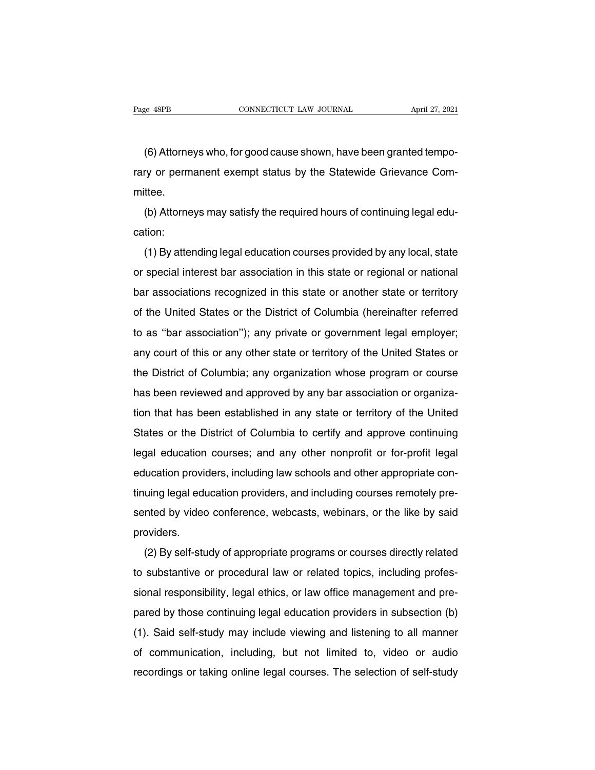e 48PB<br>
CONNECTICUT LAW JOURNAL<br>
(6) Attorneys who, for good cause shown, have been granted tempo-<br>
ry or permanent exempt status by the Statewide Grievance Com-Page 48PB CONNECTICUT LAW JOURNAL April 27, 2021<br>
(6) Attorneys who, for good cause shown, have been granted tempo-<br>
rary or permanent exempt status by the Statewide Grievance Com-<br>
mittee. mittee. (6) Attorneys who, for good cause shown, have been granted tempo-<br>ry or permanent exempt status by the Statewide Grievance Com-<br>ttee.<br>(b) Attorneys may satisfy the required hours of continuing legal edu-<br>tion:

cation:

(b) Attorneys may satisfy the required hours of continuing legal education:<br>
(b) Attorneys may satisfy the required hours of continuing legal education:<br>
(1) By attending legal education courses provided by any local, stat or special interest bar association in this state or regional or special interest bar association in this state or regional or national<br>bar associations recognized in this state or regional or national<br>bar associations rec (b) Attorneys may satisfy the required hours of community regal education:<br>
(1) By attending legal education courses provided by any local, state<br>
or special interest bar association in this state or regional or national<br> (1) By attending legal education courses provided by any local, state<br>or special interest bar association in this state or regional or national<br>bar associations recognized in this state or another state or territory<br>of the (1) By attending regar education courses provided by any local, state<br>or special interest bar association in this state or regional or national<br>bar associations recognized in this state or another state or territory<br>of the bar associations recognized in this state or regional or hallonal<br>bar associations recognized in this state or another state or territory<br>of the United States or the District of Columbia (hereinafter referred<br>to as "bar as bar association's recognized in this state or another state or territory<br>of the United States or the District of Columbia (hereinafter referred<br>to as "bar association"); any private or government legal employer;<br>any court of the United States or the District of Columbia (hereinafter referred<br>to as "bar association"); any private or government legal employer;<br>any court of this or any other state or territory of the United States or<br>the Distr to as bar association f, any phyate or government legar employer,<br>any court of this or any other state or territory of the United States or<br>the District of Columbia; any organization whose program or course<br>has been review any court of this of any other state of termoty of the Officed States of<br>the District of Columbia; any organization whose program or course<br>has been reviewed and approved by any bar association or organiza-<br>tion that has b Inter District of Columbia, any organization whose program or course<br>has been reviewed and approved by any bar association or organiza-<br>tion that has been established in any state or territory of the United<br>States or the D rias been reviewed and approved by any bar association or organiza-<br>tion that has been established in any state or territory of the United<br>States or the District of Columbia to certify and approve continuing<br>legal educatio States or the District of Columbia to certify and approve continuing<br>legal education courses; and any other nonprofit or for-profit legal<br>education providers, including law schools and other appropriate con-<br>tinuing legal states of the District of Columbia to certify and approve continuing<br>legal education courses; and any other nonprofit or for-profit legal<br>education providers, including law schools and other appropriate con-<br>tinuing legal providers. (2) By self-study of appropriate programs or courses remotely pre-<br>(2) By self-study of appropriate programs or courses directly related<br>substantive or procedural law or related topics, including profes-

thrumg legal education providers, and including courses remotely presented by video conference, webcasts, webinars, or the like by said<br>providers.<br>(2) By self-study of appropriate programs or courses directly related<br>to su sented by video conference, webcasts, webinates, or the like by sald<br>providers.<br>(2) By self-study of appropriate programs or courses directly related<br>to substantive or procedural law or related topics, including profes-<br>si (2) By self-study of appropriate programs or courses directly related<br>to substantive or procedural law or related topics, including profes-<br>sional responsibility, legal ethics, or law office management and pre-<br>pared by th ( $2)$  by sen-study of appropriate programs of courses directly related<br>to substantive or procedural law or related topics, including profes-<br>sional responsibility, legal ethics, or law office management and pre-<br>pared by to substantive or procedural law or related topics, including protes-<br>sional responsibility, legal ethics, or law office management and pre-<br>pared by those continuing legal education providers in subsection (b)<br>(1). Said s sional responsibility, legal ethics, or law office management and pre-<br>pared by those continuing legal education providers in subsection (b)<br>(1). Said self-study may include viewing and listening to all manner<br>of communica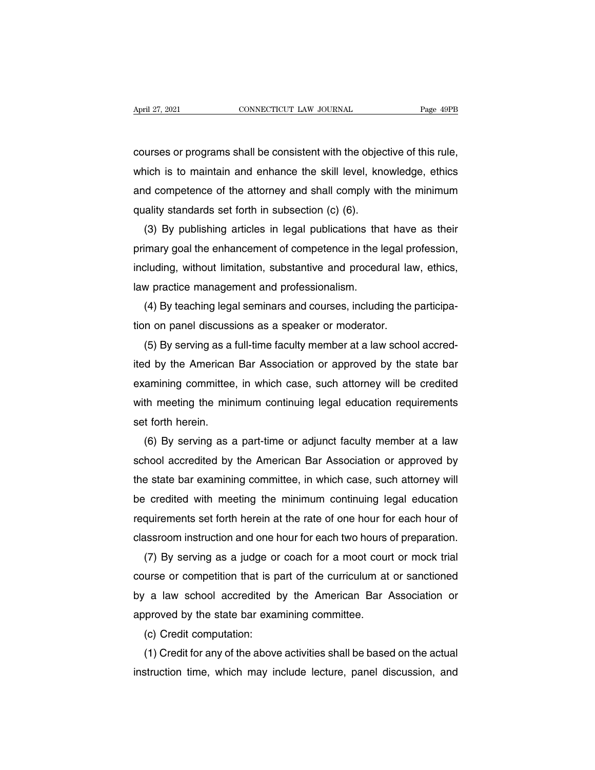April 27, 2021 CONNECTICUT LAW JOURNAL Page 49PB<br>courses or programs shall be consistent with the objective of this rule,<br>which is to maintain and enhance the skill level, knowledge, ethics April 27, 2021 CONNECTICUT LAW JOURNAL Page 49PB<br>
courses or programs shall be consistent with the objective of this rule,<br>
which is to maintain and enhance the skill level, knowledge, ethics<br>
and competence of the attorne courses or programs shall be consistent with the objective of this rule,<br>which is to maintain and enhance the skill level, knowledge, ethics<br>and competence of the attorney and shall comply with the minimum<br>quality standard courses or programs shall be consistent with the objec<br>which is to maintain and enhance the skill level, know<br>and competence of the attorney and shall comply wit<br>quality standards set forth in subsection (c) (6).<br>(3) By pu urses or programs snall be consistent with the objective of this rule,<br>hich is to maintain and enhance the skill level, knowledge, ethics<br>d competence of the attorney and shall comply with the minimum<br>ality standards set f

which is to maintain and enhance the skill level, knowledge, ethics<br>and competence of the attorney and shall comply with the minimum<br>quality standards set forth in subsection (c) (6).<br>(3) By publishing articles in legal pu and competence of the attorney and shall comply with the minimum<br>quality standards set forth in subsection (c) (6).<br>(3) By publishing articles in legal publications that have as their<br>primary goal the enhancement of compet quality standards set forth in subsection (c) (6).<br>
(3) By publishing articles in legal publications than<br>
primary goal the enhancement of competence in the lincluding, without limitation, substantive and procedin<br>
law pra (3) By publishing articles in legal publications that have as their<br>imary goal the enhancement of competence in the legal profession,<br>cluding, without limitation, substantive and procedural law, ethics,<br>w practice manageme primary goal the enhancement of competence in the legal princluding, without limitation, substantive and procedural laver<br>law practice management and professionalism.<br>(4) By teaching legal seminars and courses, including t

Sluding, without limitation, substantive and procedural law, ethics,<br>
w practice management and professionalism.<br>
(4) By teaching legal seminars and courses, including the participa-<br>
n on panel discussions as a speaker or ited by teaching legal seminars and courses, including the participation on panel discussions as a speaker or moderator.<br>
(5) By serving as a full-time faculty member at a law school accred-<br>
ited by the American Bar Assoc (4) By teaching legal seminars and courses, including the participation on panel discussions as a speaker or moderator.<br>
(5) By serving as a full-time faculty member at a law school accredited by the American Bar Associati tion on panel discussions as a speaker or moderator.<br>
(5) By serving as a full-time faculty member at a law school accred-<br>
ited by the American Bar Association or approved by the state bar<br>
examining committee, in which c (5) By serving as a<br>ited by the American<br>examining committee<br>with meeting the min<br>set forth herein.<br>(6) By serving as a d by the American Bar Association or approved by the state bar<br>amining committee, in which case, such attorney will be credited<br>th meeting the minimum continuing legal education requirements<br>t forth herein.<br>(6) By serving

examining committee, in which case, such attorney will be credited<br>with meeting the minimum continuing legal education requirements<br>set forth herein.<br>(6) By serving as a part-time or adjunct faculty member at a law<br>school with meeting the minimum continuing legal education requirements<br>set forth herein.<br>(6) By serving as a part-time or adjunct faculty member at a law<br>school accredited by the American Bar Association or approved by<br>the state set forth herein.<br>
(6) By serving as a part-time or adjunct faculty member at a law<br>
school accredited by the American Bar Association or approved by<br>
the state bar examining committee, in which case, such attorney will<br>
b (6) By serving as a part-time or adjunct faculty member at a law<br>school accredited by the American Bar Association or approved by<br>the state bar examining committee, in which case, such attorney will<br>be credited with meetin school accredited by the American Bar Association or approved by<br>the state bar examining committee, in which case, such attorney will<br>be credited with meeting the minimum continuing legal education<br>requirements set forth h Example of the minimum continuing legal education<br>
example example the minimum continuing legal education<br>
quirements set forth herein at the rate of one hour for each hour of<br>
assroom instruction and one hour for each two

be credited with meeting the minimum continuing legal education<br>requirements set forth herein at the rate of one hour for each hour of<br>classroom instruction and one hour for each two hours of preparation.<br>(7) By serving as requirements set torth herein at the rate of one hour for each hour of<br>classroom instruction and one hour for each two hours of preparation.<br>(7) By serving as a judge or coach for a moot court or mock trial<br>course or compe classroom instruction and one hour tor each two hours<br>
(7) By serving as a judge or coach for a moot cour<br>
course or competition that is part of the curriculum at<br>
by a law school accredited by the American Bar<br>
approved b ( $\prime$ ) By serving as a judge or<br>urse or competition that is p<br>a law school accredited to<br>proved by the state bar exar<br>(c) Credit computation:<br>(1) Credit for any of the above The art is part of the curriculum at or sanctioned<br>
(a law school accredited by the American Bar Association or<br>
proved by the state bar examining committee.<br>
(c) Credit computation:<br>
(1) Credit for any of the above activi

by a law school accredited by the American Bar Association or<br>approved by the state bar examining committee.<br>(c) Credit computation:<br>(1) Credit for any of the above activities shall be based on the actual<br>instruction time,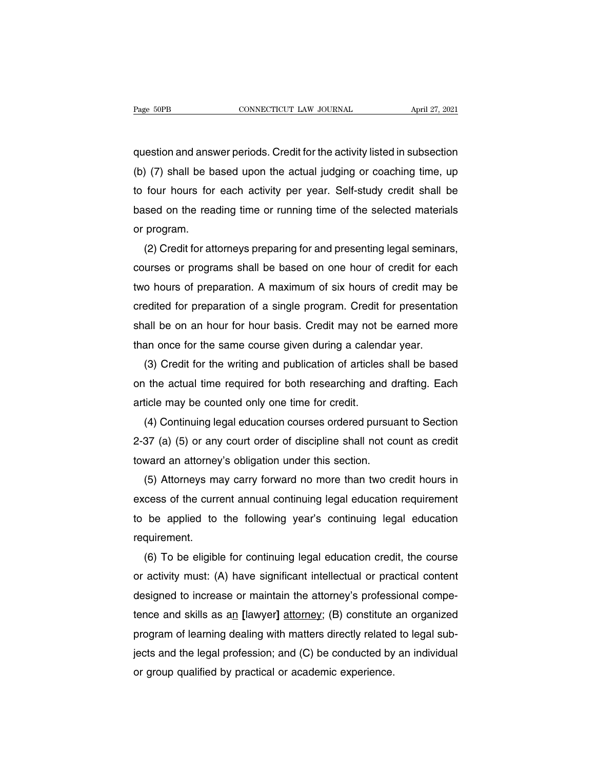Page 50PB CONNECTICUT LAW JOURNAL April 27, 2021<br>question and answer periods. Credit for the activity listed in subsection<br>(b) (7) shall be based upon the actual judging or coaching time, up (b) The based upon the activity listed in subsection<br>(b) (7) shall be based upon the actual judging or coaching time, up<br>to four hours for each activity per year. Self-study credit shall be The fourth of the activity listed in subsection<br>(b) (7) shall be based upon the actual judging or coaching time, up<br>to four hours for each activity per year. Self-study credit shall be<br>based on the reading time or running question and answer periods. Credit for the activity listed in subsection<br>(b) (7) shall be based upon the actual judging or coaching time, up<br>to four hours for each activity per year. Self-study credit shall be<br>based on th question and answ<br>(b) (7) shall be b<br>to four hours for<br>based on the rea<br>or program.<br>(2) Credit for atl (2) Credit for attorneys preparing for and presenting legal seminars, uses or programs shall be based on the reading time or running time of the selected materials program.<br>(2) Credit for attorneys preparing for and presen

to four hours for each activity per year. Self-study credit shall be<br>based on the reading time or running time of the selected materials<br>or program.<br>(2) Credit for attorneys preparing for and presenting legal seminars,<br>cou based on the reading time or running time of the selected materials<br>or program.<br>(2) Credit for attorneys preparing for and presenting legal seminars,<br>courses or programs shall be based on one hour of credit for each<br>two ho or program.<br>
(2) Credit for attorneys preparing for and presenting legal seminars,<br>
courses or programs shall be based on one hour of credit for each<br>
two hours of preparation. A maximum of six hours of credit may be<br>
cred (2) Credit for attorneys preparing for and presenting legal seminars,<br>courses or programs shall be based on one hour of credit for each<br>two hours of preparation. A maximum of six hours of credit may be<br>credited for prepara courses or programs shall be based on one hour of credit for ead<br>two hours of preparation. A maximum of six hours of credit may b<br>credited for preparation of a single program. Credit for presentation<br>shall be on an hour fo o nours of preparation. A maximum of six nours of credit may be<br>edited for preparation of a single program. Credit for presentation<br>all be on an hour for hour basis. Credit may not be earned more<br>an once for the same cours credited for preparation of a single program. Credit for presentation<br>shall be on an hour for hour basis. Credit may not be earned more<br>than once for the same course given during a calendar year.<br>(3) Credit for the writing

shall be on an hour for hour basis. Credit may not be than once for the same course given during a calend (3) Credit for the writing and publication of articles on the actual time required for both researching and article an once for the same course given during a calendar year.<br>
(3) Credit for the writing and publication of articles shall be based<br>
the actual time required for both researching and drafting. Each<br>
ticle may be counted only

(3) Credit for the writing and publication of articles shall be based<br>on the actual time required for both researching and drafting. Each<br>article may be counted only one time for credit.<br>(4) Continuing legal education cour on the actual time required tor both researching and d<br>article may be counted only one time for credit.<br>(4) Continuing legal education courses ordered pursua<br>2-37 (a) (5) or any court order of discipline shall not co<br>towar ticle may be counted only one time for credit.<br>(4) Continuing legal education courses ordered pursuant to Section<br>37 (a) (5) or any court order of discipline shall not count as credit<br>ward an attorney's obligation under th

(4) Continuing legal education courses ordered pursuant to Section<br>2-37 (a) (5) or any court order of discipline shall not count as credit<br>toward an attorney's obligation under this section.<br>(5) Attorneys may carry forward 2-37 (a) (5) or any court order or discipline shall not count as credit<br>toward an attorney's obligation under this section.<br>(5) Attorneys may carry forward no more than two credit hours in<br>excess of the current annual cont requirement. (5) Attorneys may carry torward no more than two credit nours in<br>cess of the current annual continuing legal education requirement<br>be applied to the following year's continuing legal education<br>quirement.<br>(6) To be eligible

excess of the current annual continuing legal education requirement<br>to be applied to the following year's continuing legal education<br>requirement.<br>(6) To be eligible for continuing legal education credit, the course<br>or acti to be applied to the following year's continuing legal education<br>requirement.<br>(6) To be eligible for continuing legal education credit, the course<br>or activity must: (A) have significant intellectual or practical content<br>de requirement.<br>
(6) To be eligible for continuing legal education credit, the course<br>
or activity must: (A) have significant intellectual or practical content<br>
designed to increase or maintain the attorney's professional com (6) To be eligible for continuing legal education credit, the course<br>or activity must: (A) have significant intellectual or practical content<br>designed to increase or maintain the attorney's professional compe-<br>tence and s or activity must: (A) have significant intellectual or practical content<br>designed to increase or maintain the attorney's professional compe-<br>tence and skills as an [lawyer] attorney; (B) constitute an organized<br>program of designed to increase or maintain the attorney's protess<br>tence and skills as an [lawyer] <u>attorney</u>; (B) constitute<br>program of learning dealing with matters directly related<br>jects and the legal profession; and (C) be conduc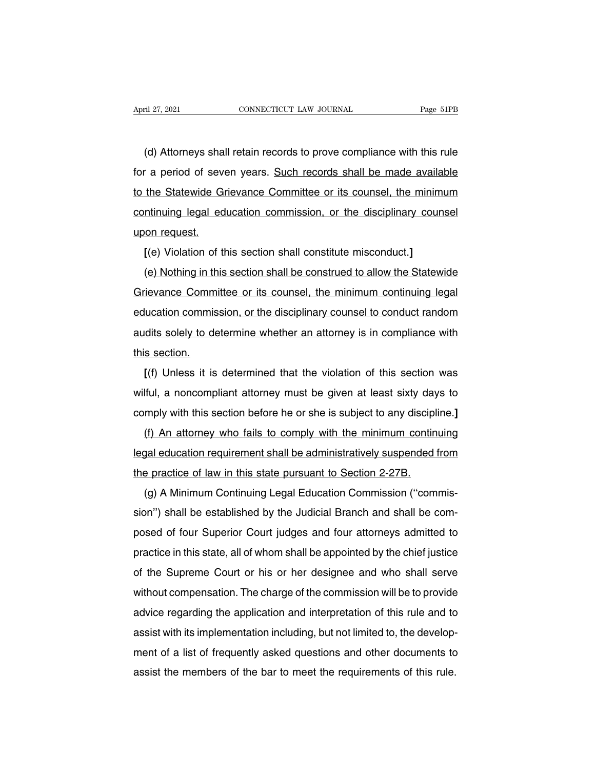The til 27, 2021<br>(d) Attorneys shall retain records to prove compliance with this rule<br>(d) Attorneys shall retain records to prove compliance with this rule<br>(d) Attorneys shall retain records to prove compliance with this For a period of seven years. Such records shall be made available<br>to the Statewide Grievance Committee or its counsel, the minimum<br>to the Statewide Grievance Committee or its counsel, the minimum (d) Attorneys shall retain records to prove compliance with this rule<br>for a period of seven years. Such records shall be made available<br>to the Statewide Grievance Committee or its counsel, the minimum<br>continuing legal educ (d) Attorneys shall retain records to prove compliance with this rule<br>for a period of seven years. Such records shall be made available<br>to the Statewide Grievance Committee or its counsel, the minimum<br>continuing legal educ (u) Attorneys sna<br>for a period of severto the Statewide Gift<br>continuing legal ed<br>upon request.<br>[(e) Violation of the In the Statewide Grievance Committee or its counsel, the minimum<br>trinuing legal education commission, or the disciplinary coun<br>on request.<br>**[(e)** Violation of this section shall constitute misconduct.]<br>**(e)** Nothing in thi (e) the statewide difference committing of its counsel, the minimum<br>(e) non request.<br>(e) Violation of this section shall constitute misconduct.]<br>(e) Nothing in this section shall be construed to allow the Statewide<br>rievanc

Commany legal education commission, or the disciplinary counser<br>upon request.<br>
[(e) Violation of this section shall constitute misconduct.]<br>
(e) Nothing in this section shall be construed to allow the Statewide<br>
Grievance (e) Violation of this section shall constitute misconduct.]<br>
(e) Nothing in this section shall be construed to allow the Statewide<br>
Grievance Committee or its counsel, the minimum continuing legal<br>
education commission, or (e) Nothing in this section shall be construed to allow the Statewide<br>Grievance Committee or its counsel, the minimum continuing legal<br>education commission, or the disciplinary counsel to conduct random<br>audits solely to de Grievance Comm<br>
dis solely to definition<br>
dis solely to definition.<br>
(f) Unless it is **Evance Committee of its coursel, the minimum community legal**<br> **[**(f) Unless it is determine whether an attorney is in compliance with<br> **[(f)** Unless it is determined that the violation of this section was<br> **[(f)** Unless

audits solely to determine whether an attorney is in compliance with<br>this section.<br>[(f) Unless it is determined that the violation of this section was<br>wilful, a noncompliant attorney must be given at least sixty days to<br>co This section.<br>
If this section.<br>
If the section was<br>
wilful, a noncompliant attorney must be given at least sixty days to<br>
comply with this section before he or she is subject to any discipline.]<br>
(f) An attorney who fails If (f) Unless it is determined that the violation of this section was<br>Iful, a noncompliant attorney must be given at least sixty days to<br>mply with this section before he or she is subject to any discipline.]<br>(f) An attorne

If  $\mu$  or desirting that the violation of this section was<br>wilful, a noncompliant attorney must be given at least sixty days to<br>comply with this section before he or she is subject to any discipline.]<br>(f) An attorney who omply with this section before he or she is subject to any discipl<br>
(f) An attorney who fails to comply with the minimum contin<br>
legal education requirement shall be administratively suspended<br>
the practice of law in this (f) An attorney who fails to comply with the minimum continuing<br>(f) An attorney who fails to comply with the minimum continuing<br>gal education requirement shall be administratively suspended from<br>e practice of law in this s

(i) An attorney who halls to comply with the minimum community<br>legal education requirement shall be administratively suspended from<br>the practice of law in this state pursuant to Section 2-27B.<br>(g) A Minimum Continuing Lega regal education requirement shall be administratively susperided from<br>the practice of law in this state pursuant to Section 2-27B.<br>(g) A Minimum Continuing Legal Education Commission ("commis-<br>sion") shall be established b (g) A Minimum Continuing Legal Education Commission ("commis-<br>sion") shall be established by the Judicial Branch and shall be com-<br>posed of four Superior Court judges and four attorneys admitted to<br>practice in this state, (g) A minimum Continuing Legar Education Commission (commis-<br>sion") shall be established by the Judicial Branch and shall be com-<br>posed of four Superior Court judges and four attorneys admitted to<br>practice in this state, sion ) shall be established by the Judicial Brahch and shall be com-<br>posed of four Superior Court judges and four attorneys admitted to<br>practice in this state, all of whom shall be appointed by the chief justice<br>of the Sup practice in this state, all of whom shall be appointed by the chief justice<br>of the Supreme Court or his or her designee and who shall serve<br>without compensation. The charge of the commission will be to provide<br>advice regar plactice in this state, an of whorn shan be appointed by the chief justice<br>of the Supreme Court or his or her designee and who shall serve<br>without compensation. The charge of the commission will be to provide<br>advice regard of the supreme Court of his of her designee and who shall serve<br>without compensation. The charge of the commission will be to provide<br>advice regarding the application and interpretation of this rule and to<br>assist with its advice regarding the application and interpretation of this rule and to<br>assist with its implementation including, but not limited to, the develop-<br>ment of a list of frequently asked questions and other documents to<br>assist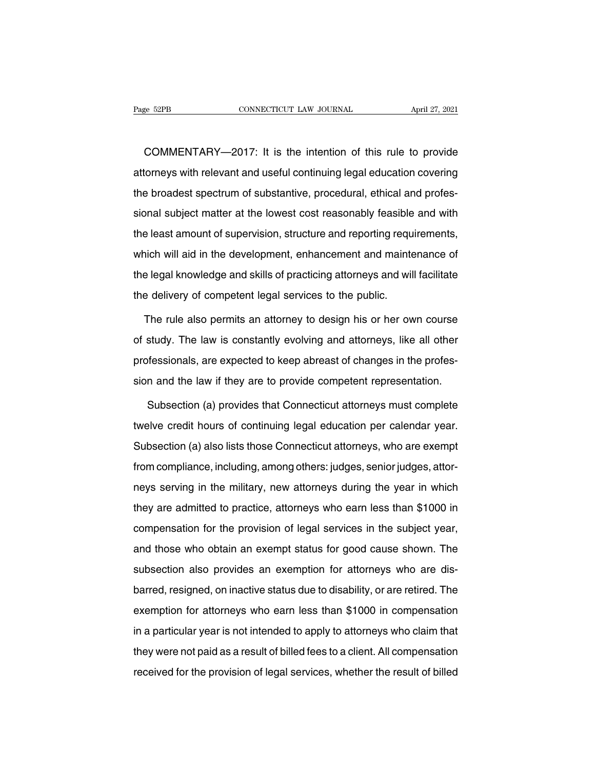COMMENTARY—2017: It is the intention of this rule to provide<br>COMMENTARY—2017: It is the intention of this rule to provide<br>corneys with relevant and useful continuing legal education covering Page 52PB CONNECTICUT LAW JOURNAL April 27, 2021<br>COMMENTARY—2017: It is the intention of this rule to provide<br>attorneys with relevant and useful continuing legal education covering<br>the broadest spectrum of substantive, pro COMMENTARY—2017: It is the intention of this rule to provide<br>attorneys with relevant and useful continuing legal education covering<br>the broadest spectrum of substantive, procedural, ethical and profes-<br>sional subject matte COMMENTARY—2017: It is the intention of this rule to provide<br>attorneys with relevant and useful continuing legal education covering<br>the broadest spectrum of substantive, procedural, ethical and profes-<br>sional subject matte Example and useful continuing legal education covering<br>the broadest spectrum of substantive, procedural, ethical and profes-<br>sional subject matter at the lowest cost reasonably feasible and with<br>the least amount of supervi alterneye with levelant and about continuing legal causation covering<br>the broadest spectrum of substantive, procedural, ethical and profes-<br>sional subject matter at the lowest cost reasonably feasible and with<br>the least am the broadcet operator of substantive, procedural, string and protectional subject matter at the lowest cost reasonably feasible and with the least amount of supervision, structure and reporting requirements, which will aid the least amount of supervision, structure and reporting requencies which will aid in the development, enhancement and mainte<br>the legal knowledge and skills of practicing attorneys and will<br>the delivery of competent legal inch will aid in the development, enhancement and maintenance of<br>
e legal knowledge and skills of practicing attorneys and will facilitate<br>
e delivery of competent legal services to the public.<br>
The rule also permits an at

the legal knowledge and skills of practicing attorneys and will facilitate<br>the delivery of competent legal services to the public.<br>The rule also permits an attorney to design his or her own course<br>of study. The law is cons the delivery of competent legal services to the public.<br>The rule also permits an attorney to design his or her own course<br>of study. The law is constantly evolving and attorneys, like all other<br>professionals, are expected t The rule also permits an attorney to design his or her own course<br>of study. The law is constantly evolving and attorneys, like all other<br>professionals, are expected to keep abreast of changes in the profes-<br>sion and the la study. The law is constantly evolving and attorneys, like all other<br>offessionals, are expected to keep abreast of changes in the profes-<br>n and the law if they are to provide competent representation.<br>Subsection (a) provide

professionals, are expected to keep abreast of changes in the profession and the law if they are to provide competent representation.<br>Subsection (a) provides that Connecticut attorneys must complete<br>twelve credit hours of sion and the law if they are to provide competent representation.<br>Subsection (a) provides that Connecticut attorneys must complete<br>twelve credit hours of continuing legal education per calendar year.<br>Subsection (a) also li Subsection (a) provides that Connecticut attorneys must complete<br>twelve credit hours of continuing legal education per calendar year.<br>Subsection (a) also lists those Connecticut attorneys, who are exempt<br>from compliance, i Experience of the military and the military and the military entire subsection (a) also lists those Connecticut attorneys, who are exempt from compliance, including, among others: judges, senior judges, attorneys serving i Subsection (a) also lists those Connecticut attorneys, who are exempt<br>from compliance, including, among others: judges, senior judges, attor-<br>neys serving in the military, new attorneys during the year in which<br>they are ad eases same insection (a) also insect also determined a taken by symmetric serving.<br>If om compliance, including, among others: judges, senior judges, attor-<br>neys serving in the military, new attorneys during the year in whi method in the military, new attorneys during the year in which<br>they are admitted to practice, attorneys who earn less than \$1000 in<br>compensation for the provision of legal services in the subject year,<br>and those who obtain subsection also provides an exemption for attorneys who are less than \$1000 in compensation for the provision of legal services in the subject year, and those who obtain an exempt status for good cause shown. The subsectio barred to prasses, anomoge the same beam to distribute the subject year,<br>compensation for the provision of legal services in the subject year,<br>and those who obtain an exempt status for good cause shown. The<br>subsection also exemplemental for any process of logal extriced in the exerget year,<br>and those who obtain an exempt status for good cause shown. The<br>subsection also provides an exemption for attorneys who are dis-<br>barred, resigned, on ina subsection also provides an exemption for attorneys who are dis-<br>barred, resigned, on inactive status due to disability, or are retired. The<br>exemption for attorneys who earn less than \$1000 in compensation<br>in a particular barred, resigned, on inactive status due to disability, or are retired. The exemption for attorneys who earn less than \$1000 in compensation in a particular year is not intended to apply to attorneys who claim that they we received, receiging at all matters clauds are to disclosing, or and result the exemption for attorneys who earn less than \$1000 in compensation in a particular year is not intended to apply to attorneys who claim that they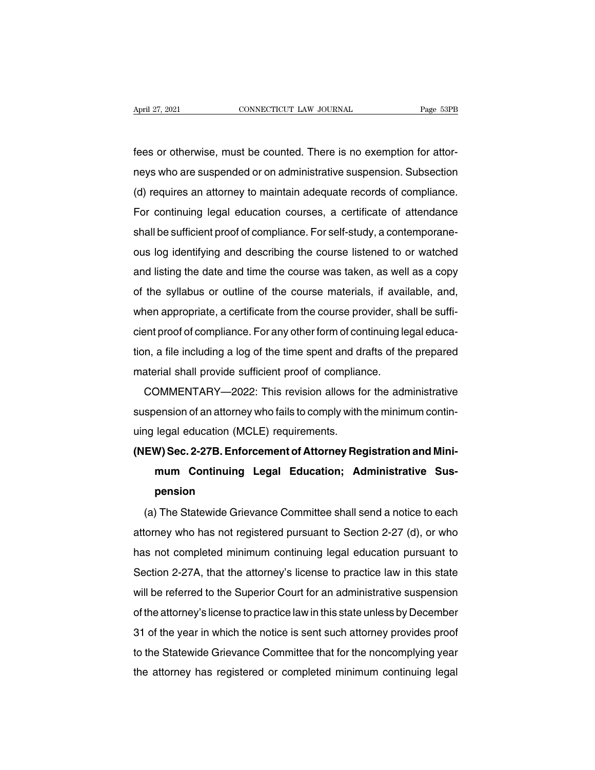Fees or otherwise, must be counted. There is no exemption for attor-<br>https://www.counted. There is no exemption for attor-<br>heys who are suspended or on administrative suspension. Subsection April 27, 2021 CONNECTICUT LAW JOURNAL Page 53PB<br>fees or otherwise, must be counted. There is no exemption for attor-<br>neys who are suspended or on administrative suspension. Subsection<br>(d) requires an attorney to maintain The same of the must be counted. There is no exemption for attor-<br>neys who are suspended or on administrative suspension. Subsection<br>(d) requires an attorney to maintain adequate records of compliance.<br>For continuing legal fees or otherwise, must be counted. There is no exemption for attor-<br>neys who are suspended or on administrative suspension. Subsection<br>(d) requires an attorney to maintain adequate records of compliance.<br>For continuing le shall be sufficient proof of compliance. For self-study, a contemporal dy requires an attorney to maintain adequate records of compliance.<br>For continuing legal education courses, a certificate of attendance shall be suffic reys who are susperided of orrital<br>
(d) requires an attorney to maintain adequate records of compliance.<br>
For continuing legal education courses, a certificate of attendance<br>
shall be sufficient proof of compliance. For se (a) requires an attorney to mailmant adequate records or compliance.<br>For continuing legal education courses, a certificate of attendance<br>shall be sufficient proof of compliance. For self-study, a contemporane-<br>ous log iden of continuing legal education courses, a certificate of attenuance<br>shall be sufficient proof of compliance. For self-study, a contemporane-<br>ous log identifying and describing the course listened to or watched<br>and listing t shall be sufficient proof of compliance. Tor sen-study, a contemporane-<br>ous log identifying and describing the course listened to or watched<br>and listing the date and time the course was taken, as well as a copy<br>of the syll ous log luentifying and describing the course listened to or watched<br>and listing the date and time the course was taken, as well as a copy<br>of the syllabus or outline of the course materials, if available, and,<br>when appropr and ilsting the date and time the course was taken, as well as a copy<br>of the syllabus or outline of the course materials, if available, and,<br>when appropriate, a certificate from the course provider, shall be suffi-<br>cient p or the synabus of buttile of the course materials, if avait<br>when appropriate, a certificate from the course provider, sh<br>cient proof of compliance. For any other form of continuing le<br>tion, a file including a log of the ti Firappropriate, a certificate from the course provider, shall be sum-<br>ent proof of compliance. For any other form of continuing legal educa-<br>n, a file including a log of the time spent and drafts of the prepared<br>aterial sh

suspension of compliance. The any other form of community regar education, a file including a log of the time spent and drafts of the prepared material shall provide sufficient proof of compliance.<br>COMMENTARY—2022: This re uon, a me including a log or the time spent and di<br>material shall provide sufficient proof of compliar<br>COMMENTARY—2022: This revision allows for<br>suspension of an attorney who fails to comply with<br>uing legal education (MCLE Inaterial Shall provide sulficient proof of compliance.<br>
COMMENTARY—2022: This revision allows for the administrative<br>
suspension of an attorney who fails to comply with the minimum contin-<br>
uing legal education (MCLE) req

### **MINILINTATT-2022. This Tevision allows for the administrative**<br> **ension of an attorney who fails to comply with the minimum contin-**<br> **legal education (MCLE) requirements.**<br> **M) Sec. 2-27B. Enforcement of Attorney Registr pension** (a) The Statewide Grievance Committee shall send a notice to each<br>(a) The Statewide Grievance Committee shall send a notice to each<br>orney who has not registered pursuant to Section 2-27 (d), or who

mum Continuing Legal Education; Administrative Sus-<br>pension<br>(a) The Statewide Grievance Committee shall send a notice to each<br>attorney who has not registered pursuant to Section 2-27 (d), or who<br>has not completed minimum c pension<br>
(a) The Statewide Grievance Committee shall send a notice to each<br>
attorney who has not registered pursuant to Section 2-27 (d), or who<br>
has not completed minimum continuing legal education pursuant to<br>
Section 2-(a) The Statewide Grievance Committee shall send a notice to each<br>attorney who has not registered pursuant to Section 2-27 (d), or who<br>has not completed minimum continuing legal education pursuant to<br>Section 2-27A, that th (a) The statewide chievance committee shall send a holice to each<br>attorney who has not registered pursuant to Section 2-27 (d), or who<br>has not completed minimum continuing legal education pursuant to<br>Section 2-27A, that th ationley who has not registered pursuant to Section 2-27 (d), or who<br>has not completed minimum continuing legal education pursuant to<br>Section 2-27A, that the attorney's license to practice law in this state<br>will be referre Section 2-27A, that the attorney's license to practice law in this state<br>Section 2-27A, that the attorney's license to practice law in this state<br>will be referred to the Superior Court for an administrative suspension<br>of t Section 2-27A, that the attomey's license to practice law in this state<br>will be referred to the Superior Court for an administrative suspension<br>of the attorney's license to practice law in this state unless by December<br>31 of the attorney's license to practice law in this state unless by December<br>31 of the year in which the notice is sent such attorney provides proof<br>to the Statewide Grievance Committee that for the noncomplying year<br>the att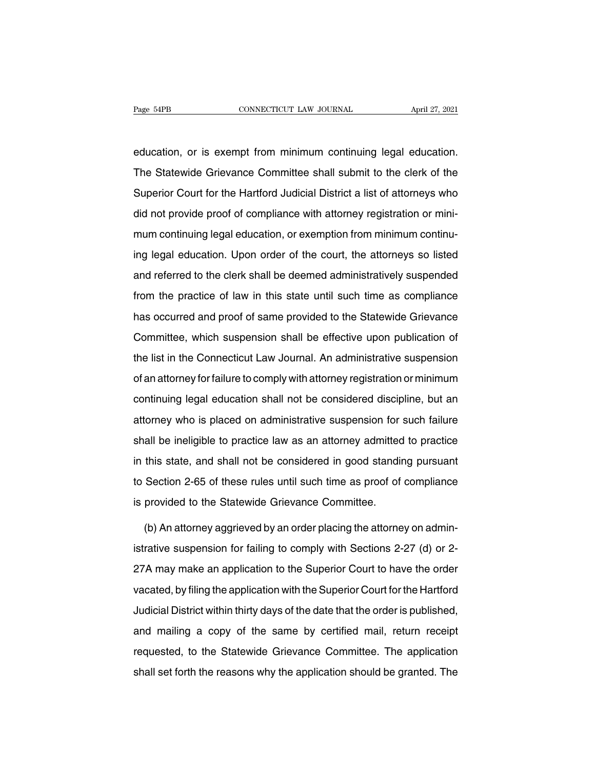Page 54PB<br>
education, or is exempt from minimum continuing legal education.<br>
The Statewide Grievance Committee shall submit to the clerk of the The Statewide Grievance Committee shall submit to the clerk of the Superior Court for the Hartford Judicial District a list of attorneys who education, or is exempt from minimum continuing legal education.<br>The Statewide Grievance Committee shall submit to the clerk of the<br>Superior Court for the Hartford Judicial District a list of attorneys who<br>did not provide education, or is exempt from minimum continuing legal education.<br>The Statewide Grievance Committee shall submit to the clerk of the<br>Superior Court for the Hartford Judicial District a list of attorneys who<br>did not provide The Statewide Grievance Committee shall submit to the clerk of the Superior Court for the Hartford Judicial District a list of attorneys who did not provide proof of compliance with attorney registration or minimum continu Superior Court for the Hartford Judicial District a list of attorneys who<br>did not provide proof of compliance with attorney registration or mini-<br>mum continuing legal education, or exemption from minimum continu-<br>ing legal did not provide proof of compliance with attorney registration or mini-<br>mum continuing legal education, or exemption from minimum continu-<br>ing legal education. Upon order of the court, the attorneys so listed<br>and referred man continuing legal education, or exemption from minimum continuing legal education. Upon order of the court, the attorneys so listed<br>and referred to the clerk shall be deemed administratively suspended<br>from the practice has occurred to the clerk shall be deemed administratively suspended<br>from the practice of law in this state until such time as compliance<br>has occurred and proof of same provided to the Statewide Grievance<br>Committee, which Experimental spent state of the state, the state, which suspended<br>and referred to the clerk shall be deemed administratively suspended<br>from the practice of law in this state until such time as compliance<br>has occurred and p from the practice of law in this state until such time as compliance<br>has occurred and proof of same provided to the Statewide Grievance<br>Committee, which suspension shall be effective upon publication of<br>the list in the Con The matrix and proof of same provided to the Statewide Grievance<br>Committee, which suspension shall be effective upon publication of<br>the list in the Connecticut Law Journal. An administrative suspension<br>of an attorney for f Committee, which suspension shall be effective upon publication of<br>the list in the Connecticut Law Journal. An administrative suspension<br>of an attorney for failure to comply with attorney registration or minimum<br>continuing the list in the Connecticut Law Journal. An administrative suspension<br>of an attorney for failure to comply with attorney registration or minimum<br>continuing legal education shall not be considered discipline, but an<br>attorne of an attorney for failure to comply with attorney registration or minimum<br>continuing legal education shall not be considered discipline, but an<br>attorney who is placed on administrative suspension for such failure<br>shall be continuing legal education shall not be considered discipline, but an<br>attorney who is placed on administrative suspension for such failure<br>shall be ineligible to practice law as an attorney admitted to practice<br>in this sta attorney who is placed on administrative suspension for such failure<br>shall be ineligible to practice law as an attorney admitted to practice<br>in this state, and shall not be considered in good standing pursuant<br>to Section 2 shall be ineligible to practice law as an attorney admitted<br>in this state, and shall not be considered in good standit<br>to Section 2-65 of these rules until such time as proof of<br>is provided to the Statewide Grievance Commi this state, and shall not be considered in good standing pursuant<br>Section 2-65 of these rules until such time as proof of compliance<br>provided to the Statewide Grievance Committee.<br>(b) An attorney aggrieved by an order plac

to Section 2-65 of these rules until such time as proof of compliance<br>is provided to the Statewide Grievance Committee.<br>(b) An attorney aggrieved by an order placing the attorney on admin-<br>istrative suspension for failing is provided to the Statewide Grievance Committee.<br>
(b) An attorney aggrieved by an order placing the attorney on administrative suspension for failing to comply with Sections 2-27 (d) or 2-<br>
27A may make an application to (b) An attorney aggrieved by an order placing the attorney on administrative suspension for failing to comply with Sections 2-27 (d) or 2-<br>27A may make an application to the Superior Court to have the order<br>vacated, by fil In the date that Superior Court to have the order pistrative suspension for failing to comply with Sections 2-27 (d) or 2-<br>27A may make an application to the Superior Court to have the order<br>vacated, by filing the applicat 27A may make an application to the Superior Court to have the order<br>vacated, by filing the application with the Superior Court for the Hartford<br>Judicial District within thirty days of the date that the order is published,<br> requested, by filing the application with the Superior Court for the Hartford<br>Judicial District within thirty days of the date that the order is published,<br>and mailing a copy of the same by certified mail, return receipt<br>r shall set forth the reasons why the application should be granted. The reasons why the application should be granted. The application shall set forth the reasons why the application should be granted. The application shall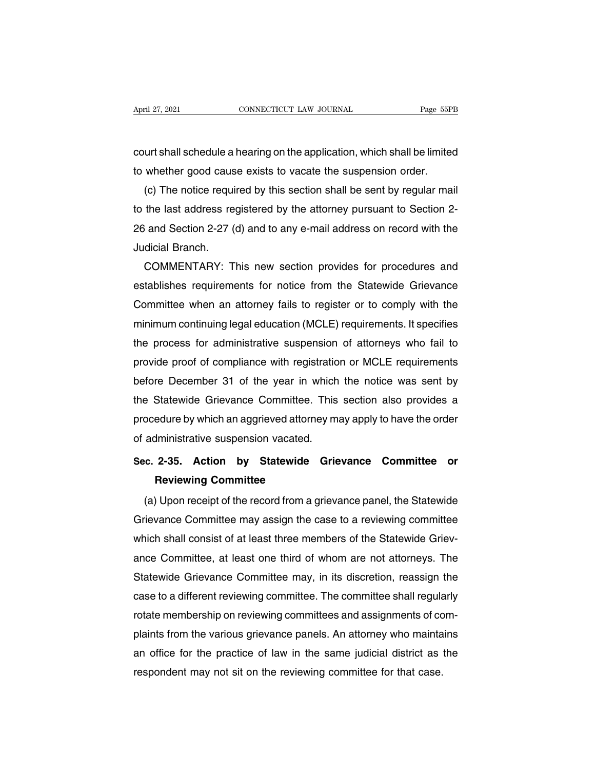April 27, 2021 CONNECTICUT LAW JOURNAL Page 55PB<br>
court shall schedule a hearing on the application, which shall be limited<br>
to whether good cause exists to vacate the suspension order. April 27, 2021 CONNECTICUT LAW JOURNAL Page 55PI<br>
court shall schedule a hearing on the application, which shall be limited<br>
to whether good cause exists to vacate the suspension order.<br>
(c) The notice required by this sec

(c) The notice required by this section shall be sent by regular mail<br>the last address required by this section shall be sent by regular mail<br>the last address registered by the attorney pursuant to Section 2to the last address registered by the application, which shall be limited<br>to whether good cause exists to vacate the suspension order.<br>(c) The notice required by this section shall be sent by regular mail<br>to the last addre court shall schedule a hearing on the application, which shall be limited<br>to whether good cause exists to vacate the suspension order.<br>(c) The notice required by this section shall be sent by regular mail<br>to the last addre to whether good caus<br>
(c) The notice requi<br>
to the last address re<br>
26 and Section 2-27 (<br>
Judicial Branch.<br>
COMMENTARY: T (c) The notice required by this section shall be sent by regular mail<br>the last address registered by the attorney pursuant to Section 2-<br>i and Section 2-27 (d) and to any e-mail address on record with the<br>dicial Branch.<br>CO

to the last address registered by the attorney pursuant to Section 2-<br>26 and Section 2-27 (d) and to any e-mail address on record with the<br>Judicial Branch.<br>COMMENTARY: This new section provides for procedures and<br>establish 26 and Section 2-27 (d) and to any e-mail address on record with the<br>Judicial Branch.<br>COMMENTARY: This new section provides for procedures and<br>establishes requirements for notice from the Statewide Grievance<br>Committee when Judicial Branch.<br>COMMENTARY: This new section provides for procedures and<br>establishes requirements for notice from the Statewide Grievance<br>Committee when an attorney fails to register or to comply with the<br>minimum continui COMMENTARY: This new section provides for procedures and<br>establishes requirements for notice from the Statewide Grievance<br>Committee when an attorney fails to register or to comply with the<br>minimum continuing legal educatio establishes requirements for notice from the Statewide Grievance<br>Committee when an attorney fails to register or to comply with the<br>minimum continuing legal education (MCLE) requirements. It specifies<br>the process for admin Committee when an attorney fails to register or to comply with the<br>minimum continuing legal education (MCLE) requirements. It specifies<br>the process for administrative suspension of attorneys who fail to<br>provide proof of co minimum continuing legal education (MCLE) requirements. It specifies<br>the process for administrative suspension of attorneys who fail to<br>provide proof of compliance with registration or MCLE requirements<br>before December 31 the process tor administrative suspension of attorneys who tail to<br>provide proof of compliance with registration or MCLE requirements<br>before December 31 of the year in which the notice was sent by<br>the Statewide Grievance C provide proof of compliance with registration or MCLE requirements<br>before December 31 of the year in which the notice was sent by<br>the Statewide Grievance Committee. This section also provides a<br>procedure by which an aggrie **Secore December 31 of the year in which the holde was sent by**<br>the Statewide Grievance Committee. This section also provides a<br>procedure by which an aggrieved attorney may apply to have the order<br>of administrative suspens But also different the committee.<br> **Review by which an aggrieved attornery**<br> **Reviewing Committee Reviewing Committee**<br> **Reviewing Committee**<br> **Reviewing Committee** 

administrative suspension vacated.<br>
C. 2-35. Action by Statewide Grievance Committee or<br>
Reviewing Committee<br>
(a) Upon receipt of the record from a grievance panel, the Statewide<br>
dievance Committee may assign the case to Sec. 2-35. Action by Statewide Grievance Committee or<br>Reviewing Committee<br>(a) Upon receipt of the record from a grievance panel, the Statewide<br>Grievance Committee may assign the case to a reviewing committee<br>which shall co Sec. 2-35. Action by Statewide Grievance Committee or<br>Reviewing Committee<br>(a) Upon receipt of the record from a grievance panel, the Statewide<br>Grievance Committee may assign the case to a reviewing committee<br>which shall co Heviewing Committee<br>
(a) Upon receipt of the record from a grievance panel, the Statewide<br>
Grievance Committee may assign the case to a reviewing committee<br>
which shall consist of at least three members of the Statewide Gr (a) Upon receipt of the record from a grievance panel, the Statewide<br>Grievance Committee may assign the case to a reviewing committee<br>which shall consist of at least three members of the Statewide Griev-<br>ance Committee, at Grievance Committee may assign the case to a reviewing committee<br>which shall consist of at least three members of the Statewide Griev-<br>ance Committee, at least one third of whom are not attorneys. The<br>Statewide Grievance C which shall consist of at least three members of the Statewide Grievance Committee, at least one third of whom are not attorneys. The Statewide Grievance Committee may, in its discretion, reassign the case to a different r ance Committee, at least one third of whom are not attorneys. The<br>Statewide Grievance Committee may, in its discretion, reassign the<br>case to a different reviewing committee. The committee shall regularly<br>rotate membership Statewide Grievance Committee may, in its discretion, reassign the<br>case to a different reviewing committee. The committee shall regularly<br>rotate membership on reviewing committees and assignments of com-<br>plaints from the v case to a different reviewing committee. The committee shall regular<br>rotate membership on reviewing committees and assignments of co<br>plaints from the various grievance panels. An attorney who mainta<br>an office for the pract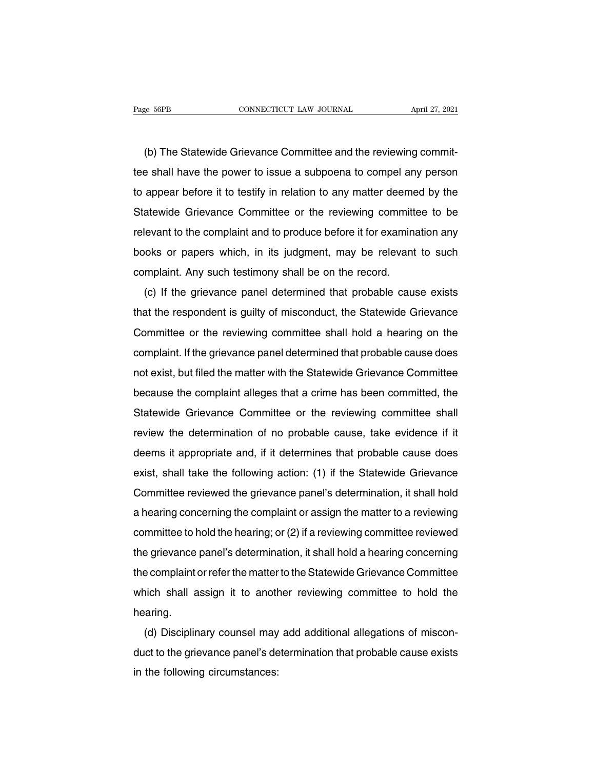e 56PB<br>
CONNECTICUT LAW JOURNAL<br>
(b) The Statewide Grievance Committee and the reviewing commit-<br>
e shall have the power to issue a subpoena to compel any person The Statewide Grievance Committee and the reviewing committive shall have the power to issue a subpoena to compel any person<br>to appear before it to testify in relation to any matter deemed by the (b) The Statewide Grievance Committee and the reviewing commit-<br>tee shall have the power to issue a subpoena to compel any person<br>to appear before it to testify in relation to any matter deemed by the<br>Statewide Grievance C (b) The Statewide Grievance Committee and the reviewing commit-<br>tee shall have the power to issue a subpoena to compel any person<br>to appear before it to testify in relation to any matter deemed by the<br>Statewide Grievance C (b) The statewide chevance committee and the reviewing commit-<br>tee shall have the power to issue a subpoena to compel any person<br>to appear before it to testify in relation to any matter deemed by the<br>Statewide Grievance Co to appear before it to testify in relation to any matter deemed by the<br>Statewide Grievance Committee or the reviewing committee to be<br>relevant to the complaint and to produce before it for examination any<br>books or papers w complear before it to testify in relation to any matter deements<br>Statewide Grievance Committee or the reviewing committivelevant to the complaint and to produce before it for examinary<br>books or papers which, in its judgmen Elevant to the complaint and to produce before it for examination any<br>oks or papers which, in its judgment, may be relevant to such<br>mplaint. Any such testimony shall be on the record.<br>(c) If the grievance panel determined

that the result is that that the complaint and to produce before it for examination any<br>books or papers which, in its judgment, may be relevant to such<br>complaint. Any such testimony shall be on the record.<br>(c) If the griev Complaint. Any such testimony shall be on the record.<br>
(c) If the grievance panel determined that probable cause exists<br>
that the respondent is guilty of misconduct, the Statewide Grievance<br>
Committee or the reviewing comm compliant. Any such testimony shall be on the recold.<br>
(c) If the grievance panel determined that probable cause exists<br>
that the respondent is guilty of misconduct, the Statewide Grievance<br>
Committee or the reviewing comm (c) if the grievance parter determined that probable cause exists<br>that the respondent is guilty of misconduct, the Statewide Grievance<br>Committee or the reviewing committee shall hold a hearing on the<br>complaint. If the grie Committee or the reviewing committee shall hold a hearing on the<br>complaint. If the grievance panel determined that probable cause does<br>not exist, but filed the matter with the Statewide Grievance Committee<br>because the comp Committee of the reviewing committee shall hold a healthy on the<br>complaint. If the grievance panel determined that probable cause does<br>not exist, but filed the matter with the Statewide Grievance Committee<br>because the comp compliant. It the grievance parter determined that probable cause does<br>not exist, but filed the matter with the Statewide Grievance Committee<br>because the complaint alleges that a crime has been committed, the<br>Statewide Gri deems it appropriate and, if it determines that probable cause, take evidence if it determination of no probable cause, take evidence if it determination of no probable cause, take evidence if it determines it appropriate Statewide Grievance Committee or the reviewing committee shall<br>review the determination of no probable cause, take evidence if it<br>deems it appropriate and, if it determines that probable cause does<br>exist, shall take the fo Example Shall review the determination of no probable cause, take evidence if it<br>deems it appropriate and, if it determines that probable cause does<br>exist, shall take the following action: (1) if the Statewide Grievance<br>Co deems it appropriate and, if it determines that probable cause does<br>exist, shall take the following action: (1) if the Statewide Grievance<br>Committee reviewed the grievance panel's determination, it shall hold<br>a hearing con deents it appropriate and, it it determines that probable cause does<br>exist, shall take the following action: (1) if the Statewide Grievance<br>Committee reviewed the grievance panel's determination, it shall hold<br>a hearing co Exist, shall take the following action. (1) if the statewide chievance<br>Committee reviewed the grievance panel's determination, it shall hold<br>a hearing concerning the complaint or assign the matter to a reviewing<br>committee committee reviewed the gifevalitie parters determination, it shall hold<br>a hearing concerning the complaint or assign the matter to a reviewing<br>committee to hold the hearing; or (2) if a reviewing committee reviewed<br>the gri a nearing concerning the complaint of assign the matter to a reviewing<br>committee to hold the hearing; or (2) if a reviewing committee reviewed<br>the grievance panel's determination, it shall hold a hearing concerning<br>the com hearing. E gifevalue pariers determination, it shall note a healing concerning<br>a complaint or refer the matter to the Statewide Grievance Committee<br>ich shall assign it to another reviewing committee to hold the<br>aring.<br>(d) Disciplin

Ine complaint of refer the matter to the statewide chievance committee<br>which shall assign it to another reviewing committee to hold the<br>hearing.<br>(d) Disciplinary counsel may add additional allegations of miscon-<br>duct to th which shall assign it to allow<br>hearing.<br>(d) Disciplinary counsel may<br>duct to the grievance panel's de<br>in the following circumstances: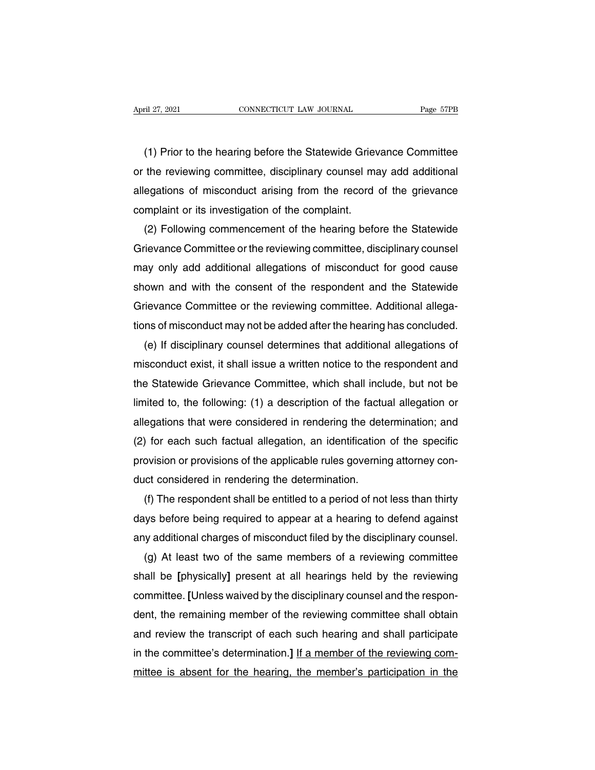The File 27, 2021<br>
(1) Prior to the hearing before the Statewide Grievance Committee<br>
the reviewing committee, disciplinary counsel may add additional April 27, 2021 CONNECTICUT LAW JOURNAL Page 57PB<br>
(1) Prior to the hearing before the Statewide Grievance Committee<br>
or the reviewing committee, disciplinary counsel may add additional<br>
allegations of misconduct arising fr (1) Prior to the hearing before the Statewide Grievance Committee<br>or the reviewing committee, disciplinary counsel may add additional<br>allegations of misconduct arising from the record of the grievance<br>complaint or its inve (1) Prior to the hearing before the Statewide Griev<br>or the reviewing committee, disciplinary counsel ma<br>allegations of misconduct arising from the record<br>complaint or its investigation of the complaint.<br>(2) Following comme (1) Prior to the hearing before the Statewide Grievance Committee<br>the reviewing committee, disciplinary counsel may add additional<br>egations of misconduct arising from the record of the grievance<br>mplaint or its investigatio

or the reviewing committee, disciplinary counsel may add additional<br>allegations of misconduct arising from the record of the grievance<br>complaint or its investigation of the complaint.<br>(2) Following commencement of the hear allegations of misconduct arising from the record of the grievance<br>complaint or its investigation of the complaint.<br>(2) Following commencement of the hearing before the Statewide<br>Grievance Committee or the reviewing commit complaint or its investigation of the complaint.<br>
(2) Following commencement of the hearing before the Statewide<br>
Grievance Committee or the reviewing committee, disciplinary counsel<br>
may only add additional allegations of (2) Following commencement of the hearing before the Statewide<br>Grievance Committee or the reviewing committee, disciplinary counsel<br>may only add additional allegations of misconduct for good cause<br>shown and with the consen Grievance Committee or the reviewing committee, disciplinary counsel<br>may only add additional allegations of misconduct for good cause<br>shown and with the consent of the respondent and the Statewide<br>Grievance Committee or th ay only add additional allegations of misconduct for good cause<br>own and with the consent of the respondent and the Statewide<br>ievance Committee or the reviewing committee. Additional allega-<br>ns of misconduct may not be adde

shown and with the consent of the respondent and the Statewide<br>Grievance Committee or the reviewing committee. Additional allega-<br>tions of misconduct may not be added after the hearing has concluded.<br>(e) If disciplinary co Grievance Committee or the reviewing committee. Additional allega-<br>tions of misconduct may not be added after the hearing has concluded.<br>(e) If disciplinary counsel determines that additional allegations of<br>misconduct exis tions of misconduct may not be added after the hearing has concluded.<br>
(e) If disciplinary counsel determines that additional allegations of<br>
misconduct exist, it shall issue a written notice to the respondent and<br>
the Sta (e) If disciplinary counsel determines that additional allegations of<br>misconduct exist, it shall issue a written notice to the respondent and<br>the Statewide Grievance Committee, which shall include, but not be<br>limited to, t misconduct exist, it shall issue a written notice to the respondent and<br>the Statewide Grievance Committee, which shall include, but not be<br>limited to, the following: (1) a description of the factual allegation or<br>allegatio the Statewide Grievance Committee, which shall include, but not be<br>limited to, the following: (1) a description of the factual allegation or<br>allegations that were considered in rendering the determination; and<br>(2) for each limited to, the following: (1) a description of the factual<br>legations that were considered in rendering the determination.<br>(2) for each such factual allegation, an identification<br>provision or provisions of the applicable r egations that were considered in rendering the determination; and<br>) for each such factual allegation, an identification of the specific<br>ovision or provisions of the applicable rules governing attorney con-<br>ict considered i

(2) for each such factual allegation, an identification of the specific<br>provision or provisions of the applicable rules governing attorney con-<br>duct considered in rendering the determination.<br>(f) The respondent shall be en provision or provisions of the applicable rules governing attorney con-<br>duct considered in rendering the determination.<br>(f) The respondent shall be entitled to a period of not less than thirty<br>days before being required to (f) The respondent shall be entitled to a period of not less than thirty<br>ys before being required to appear at a hearing to defend against<br>y additional charges of misconduct filed by the disciplinary counsel.<br>(g) At least

(f) The respondent shall be entitled to a period of not less than thirty<br>days before being required to appear at a hearing to defend against<br>any additional charges of misconduct filed by the disciplinary counsel.<br>(g) At le days betore being required to appear at a hearing to detend against<br>any additional charges of misconduct filed by the disciplinary counsel.<br>(g) At least two of the same members of a reviewing committee<br>shall be [physically any additional charges of misconduct filed by the disciplinary counsel.<br>
(g) At least two of the same members of a reviewing committee<br>
shall be [physically] present at all hearings held by the reviewing<br>
committee. [Unles (g) At least two of the same members of a reviewing committee<br>shall be [physically] present at all hearings held by the reviewing<br>committee. [Unless waived by the disciplinary counsel and the respon-<br>dent, the remaining me shall be [physically] present at all hearings held by the reviewing<br>committee. [Unless waived by the disciplinary counsel and the respon-<br>dent, the remaining member of the reviewing committee shall obtain<br>and review the tr committee. [Unless waived by the disciplinary counsel and the respondent, the remaining member of the reviewing committee shall obtain and review the transcript of each such hearing and shall participate in the committee's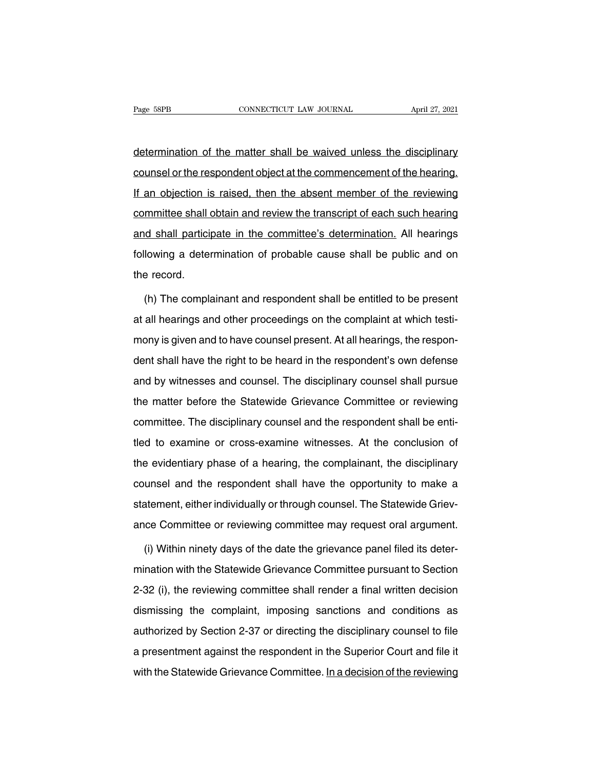Page 58PB<br>
CONNECTICUT LAW JOURNAL<br>
CONNECTICUT LAW JOURNAL<br>
CONNECTICUT LAW JOURNAL<br>
CONNECTICUT LAW JOURNAL<br>
CONNECTICUT LAW JOURNAL<br>
CONNECTICUT LAW JOURNAL<br>
CONNECTICUT LAW JOURNAL<br>
CONNECTICUT LAW JOURNAL<br>
CONNECTICUT Page 58PB CONNECTICUT LAW JOURNAL April 27, 2021<br>
determination of the matter shall be waived unless the disciplinary<br>
counsel or the respondent object at the commencement of the hearing.<br>
If an objection is raised, then t determination of the matter shall be waived unless the disciplinary<br>counsel or the respondent object at the commencement of the hearing.<br>If an objection is raised, then the absent member of the reviewing<br>committee shall ob determination of the matter shall be waived unless the disciplinary<br>counsel or the respondent object at the commencement of the hearing.<br>If an objection is raised, then the absent member of the reviewing<br>committee shall ob counsel or the respondent object at the commencement of the hearing.<br>If an objection is raised, then the absent member of the reviewing<br>committee shall obtain and review the transcript of each such hearing<br>and shall partic If an objection is raised, then the absent member of the reviewing<br>committee shall obtain and review the transcript of each such hearing<br>and shall participate in the committee's determination. All hearings<br>following a dete If an objection is raised, then the absent member of the reviewing<br>committee shall obtain and review the transcript of each such hearing<br>and shall participate in the committee's determination. All hearings<br>following a dete (d shall participate in the committee's determination. All hearings<br>lowing a determination of probable cause shall be public and on<br>e record.<br>(h) The complainant and respondent shall be entitled to be present<br>all hearings

following a determination of probable cause shall be public and on<br>the record.<br>(h) The complainant and respondent shall be entitled to be present<br>at all hearings and other proceedings on the complaint at which testi-<br>mony the record.<br>
(h) The complainant and respondent shall be entitled to be present<br>
at all hearings and other proceedings on the complaint at which testi-<br>
mony is given and to have counsel present. At all hearings, the respo (h) The complainant and respondent shall be entitled to be present<br>at all hearings and other proceedings on the complaint at which testi-<br>mony is given and to have counsel present. At all hearings, the respon-<br>dent shall h and by witnesses and other proceedings on the complaint at which testi-<br>mony is given and to have counsel present. At all hearings, the respon-<br>dent shall have the right to be heard in the respondent's own defense<br>and by w at all healings and enter preceedings on the complaint at milion tech<br>mony is given and to have counsel present. At all hearings, the respon-<br>dent shall have the right to be heard in the respondent's own defense<br>and by wit dent shall have the right to be heard in the respondent's own defense<br>and by witnesses and counsel. The disciplinary counsel shall pursue<br>the matter before the Statewide Grievance Committee or reviewing<br>committee. The disc and by witnesses and counsel. The disciplinary counsel shall pursue<br>the matter before the Statewide Grievance Committee or reviewing<br>committee. The disciplinary counsel and the respondent shall be enti-<br>tled to examine or the matter before the Statewide Grievance Committee or reviewing<br>committee. The disciplinary counsel and the respondent shall be enti-<br>tled to examine or cross-examine witnesses. At the conclusion of<br>the evidentiary phase committee. The disciplinary counsel and the respondent shall be entitled to examine or cross-examine witnesses. At the conclusion of the evidentiary phase of a hearing, the complainant, the disciplinary counsel and the res statement and the conclusion of the evidentiary phase of a hearing, the complainant, the disciplinary counsel and the respondent shall have the opportunity to make a statement, either individually or through counsel. The S ance to examine or error paramine in interests on the complainant of the evidentiary phase of a hearing, the complainant, the disciplinary counsel and the respondent shall have the opportunity to make a statement, either i unsel and the respondent shall have the opportunity to make a<br>atement, either individually or through counsel. The Statewide Griev-<br>ice Committee or reviewing committee may request oral argument.<br>(i) Within ninety days of

statement, either individually or through counsel. The Statewide Grievance Committee or reviewing committee may request oral argument.<br>
(i) Within ninety days of the date the grievance panel filed its deter-<br>
mination with ance Committee or reviewing committee may request oral argument.<br>
(i) Within ninety days of the date the grievance panel filed its deter-<br>
mination with the Statewide Grievance Committee pursuant to Section<br>
2-32 (i), the (i) Within ninety days of the date the grievance panel filed its deter-<br>mination with the Statewide Grievance Committee pursuant to Section<br>2-32 (i), the reviewing committee shall render a final written decision<br>dismissing mination with the Statewide Grievance Committee pursuant to Section<br>2-32 (i), the reviewing committee shall render a final written decision<br>dismissing the complaint, imposing sanctions and conditions as<br>authorized by Secti 2-32 (i), the reviewing committee shall render a final written decision<br>dismissing the complaint, imposing sanctions and conditions as<br>authorized by Section 2-37 or directing the disciplinary counsel to file<br>a presentment dismissing the complaint, imposing sanctions and conditions as<br>authorized by Section 2-37 or directing the disciplinary counsel to file<br>a presentment against the respondent in the Superior Court and file it<br>with the State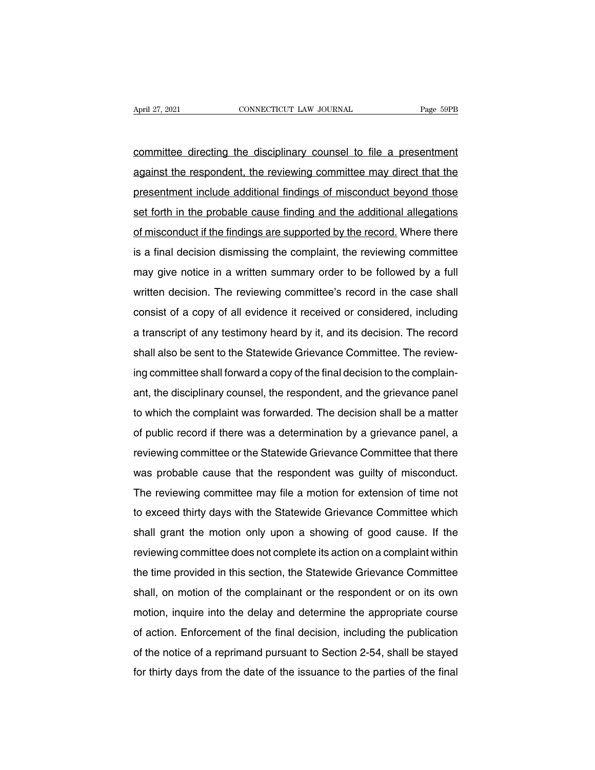April 27, 2021<br>
connectricut LAW JOURNAL<br>
committee directing the disciplinary counsel to file a presentment<br>
against the respondent, the reviewing committee may direct that the April 27, 2021 CONNECTICUT LAW JOURNAL Page 59PB<br>
committee directing the disciplinary counsel to file a presentment<br>
against the respondent, the reviewing committee may direct that the<br>
presentment include additional find committee directing the disciplinary counsel to file a presentment<br>against the respondent, the reviewing committee may direct that the<br>presentment include additional findings of misconduct beyond those<br>set forth in the pro set forth in the respondent, the reviewing counsel to file a presentment against the respondent, the reviewing committee may direct that the presentment include additional findings of misconduct beyond those set forth in t against the respondent, the reviewing committee may direct that the<br>presentment include additional findings of misconduct beyond those<br>set forth in the probable cause finding and the additional allegations<br>of misconduct if gramst the respondent, the reviewing committee may direct that the<br>presentment include additional findings of misconduct beyond those<br>set forth in the probable cause finding and the additional allegations<br>of misconduct if presentinent include additional infidings of inisconduct beyond those<br>set forth in the probable cause finding and the additional allegations<br>of misconduct if the findings are supported by the record. Where there<br>is a final of misconduct if the findings are supported by the record. Where there<br>is a final decision dismissing the complaint, the reviewing committee<br>may give notice in a written summary order to be followed by a full<br>written decis of inisconduct if the infulnity are supported by the record. Where there<br>is a final decision dismissing the complaint, the reviewing committee<br>may give notice in a written summary order to be followed by a full<br>written dec a transcript of any testimony heard by it, and its decision. The reviewing contrinues<br>written decision. The reviewing committee's record in the case shall<br>consist of a copy of all evidence it received or considered, includ shall also be sent to the Statewide Grievance Committee's record in the case shall consist of a copy of all evidence it received or considered, including a transcript of any testimony heard by it, and its decision. The rec Final formulation. The reviewing committee's record in the case shall consist of a copy of all evidence it received or considered, including a transcript of any testimony heard by it, and its decision. The record shall als a transcript of any testimony heard by it, and its decision. The record shall also be sent to the Statewide Grievance Committee. The reviewing committee shall forward a copy of the final decision to the complainant, the di a transcript of any testimony heard by it, and its decision. The record<br>shall also be sent to the Statewide Grievance Committee. The review-<br>ing committee shall forward a copy of the final decision to the complain-<br>ant, th shall also be sent to the Statewide Chevance Committee. The review-<br>ing committee shall forward a copy of the final decision to the complain-<br>ant, the disciplinary counsel, the respondent, and the grievance panel<br>to which registed in the disciplinary counsel, the respondent, and the grievance panel<br>to which the complaint was forwarded. The decision shall be a matter<br>of public record if there was a determination by a grievance panel, a<br>revie and, the disciplinary courset, the respondent, and the grievance panel<br>to which the complaint was forwarded. The decision shall be a matter<br>of public record if there was a determination by a grievance panel, a<br>reviewing co The reviewing committee or the Statewide Grievance Committee that there was probable cause that the respondent was guilty of misconduct.<br>The reviewing committee or the Statewide Grievance Committee that there was probable or public record in there was a determination by a grievance parier, a<br>reviewing committee or the Statewide Grievance Committee that there<br>was probable cause that the respondent was guilty of misconduct.<br>The reviewing comm reviewing committee of the statewide chevalice committee that there<br>was probable cause that the respondent was guilty of misconduct.<br>The reviewing committee may file a motion for extension of time not<br>to exceed thirty days Was probable cause that the respondent was guity of misconduct.<br>The reviewing committee may file a motion for extension of time not<br>to exceed thirty days with the Statewide Grievance Committee which<br>shall grant the motion The reviewing committee may life a motion for extension of time not<br>to exceed thirty days with the Statewide Grievance Committee which<br>shall grant the motion only upon a showing of good cause. If the<br>reviewing committee do shall grant the motion only upon a showing of good cause. If the reviewing committee does not complete its action on a complaint within the time provided in this section, the Statewide Grievance Committee shall, on motion shall grant the motion only upon a showing or good cause. If the<br>reviewing committee does not complete its action on a complaint within<br>the time provided in this section, the Statewide Grievance Committee<br>shall, on motion reviewing committee toes not complete its action on a complaint within<br>the time provided in this section, the Statewide Grievance Committee<br>shall, on motion of the complainant or the respondent or on its own<br>motion, inquir of the notion, in this section, the statewide difference committee<br>shall, on motion of the complainant or the respondent or on its own<br>motion, inquire into the delay and determine the appropriate course<br>of action. Enforcem shall, on motion of the complainant or the respondent or on its own<br>motion, inquire into the delay and determine the appropriate course<br>of action. Enforcement of the final decision, including the publication<br>of the notice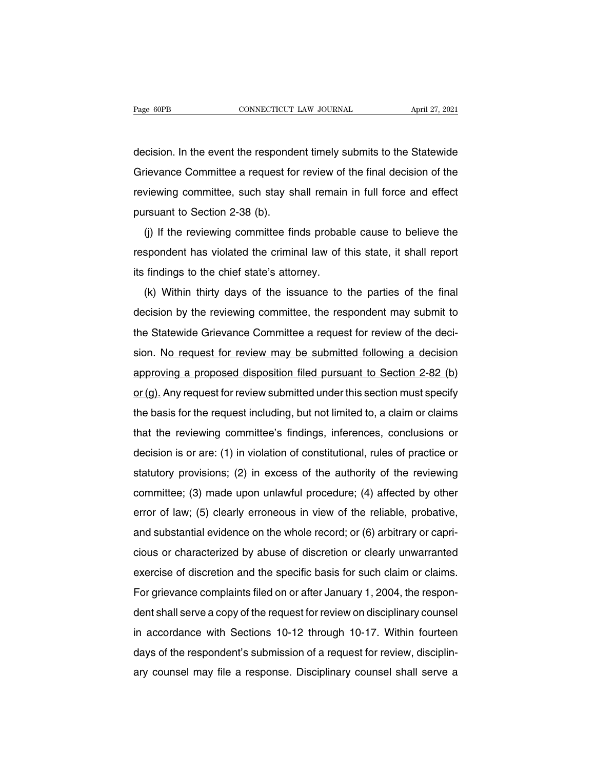Page 60PB<br>
CONNECTICUT LAW JOURNAL<br>
decision. In the event the respondent timely submits to the Statewide<br>
Grievance Committee a request for review of the final decision of the Fage 60PB CONNECTICUT LAW JOURNAL April 27, 2021<br>decision. In the event the respondent timely submits to the Statewide<br>Grievance Committee a request for review of the final decision of the<br>reviewing committee, such stay sh decision. In the event the respondent timely submits to the Statewide<br>Grievance Committee a request for review of the final decision of the<br>reviewing committee, such stay shall remain in full force and effect<br>pursuant to S decision. In the event the responde<br>Grievance Committee a request for<br>reviewing committee, such stay sh<br>pursuant to Section 2-38 (b).<br>(j) If the reviewing committee fir Frevance Committee a request for review of the final decision of the viewing committee, such stay shall remain in full force and effect resuant to Section 2-38 (b).<br>(j) If the reviewing committee finds probable cause to be

reviewing committee, such stay shall remain in full force and effect<br>pursuant to Section 2-38 (b).<br>(j) If the reviewing committee finds probable cause to believe the<br>respondent has violated the criminal law of this state, Forewing committee, such stay shall fernally<br>pursuant to Section 2-38 (b).<br>(i) If the reviewing committee finds probab<br>respondent has violated the criminal law of t<br>its findings to the chief state's attorney.<br>(k) Within th (i) If the reviewing committee finds probable cause to believe the spondent has violated the criminal law of this state, it shall report findings to the chief state's attorney.<br>(k) Within thirty days of the issuance to th

decision by the reviewing committee intes probable cause to believe the<br>respondent has violated the criminal law of this state, it shall report<br>its findings to the chief state's attorney.<br>(k) Within thirty days of the issu the State Committee Committee a request for review of the decision by the reviewing committee, the respondent may submit to the Statewide Grievance Committee a request for review of the decision. No request for review may its initially to the chief state's attorney.<br>
(k) Within thirty days of the issuance to the parties of the final<br>
decision by the reviewing committee, the respondent may submit to<br>
the Statewide Grievance Committee a reque (k) Within thirty days of the issuance to the parties of the final<br>decision by the reviewing committee, the respondent may submit to<br>the Statewide Grievance Committee a request for review of the deci-<br>sion. <u>No request fo</u> decision by the reviewing committee, the respondent may submit to<br>the Statewide Grievance Committee a request for review of the deci-<br>sion. No request for review may be submitted following a decision<br>approving a proposed d the statewide chevalice committee a request for review of the decision<br>sion. No request for review may be submitted following a decision<br>approving a proposed disposition filed pursuant to Section 2-82 (b)<br>or (g). Any reque approving a proposed disposition filed pursuant to Section 2-82 (b)<br>or (g). Any request for review submitted under this section must specify<br>the basis for the request including, but not limited to, a claim or claims<br>that t or (g). Any request for review submitted under this section must specify<br>the basis for the request including, but not limited to, a claim or claims<br>that the reviewing committee's findings, inferences, conclusions or<br>decis beingthered including, but not limited to, a claim or claims<br>that the reviewing committee's findings, inferences, conclusions or<br>decision is or are: (1) in violation of constitutional, rules of practice or<br>statutory provis that the reviewing committee's findings, inferences, conclusions or<br>decision is or are: (1) in violation of constitutional, rules of practice or<br>statutory provisions; (2) in excess of the authority of the reviewing<br>committ decision is or are: (1) in violation of constitutional, rules of practice or statutory provisions; (2) in excess of the authority of the reviewing committee; (3) made upon unlawful procedure; (4) affected by other error of decision is of are. (1) in violation of constitutional, rules of practice or<br>statutory provisions; (2) in excess of the authority of the reviewing<br>committee; (3) made upon unlawful procedure; (4) affected by other<br>error of committee; (3) made upon unlawful procedure; (4) affected by other error of law; (5) clearly erroneous in view of the reliable, probative, and substantial evidence on the whole record; or (6) arbitrary or capricious or ch committee, (3) made upon unlawidi procedure, (4) allected by other<br>error of law; (5) clearly erroneous in view of the reliable, probative,<br>and substantial evidence on the whole record; or (6) arbitrary or capri-<br>cious or c erior or law, (3) clearly errorleous in view or the reliable, probative,<br>and substantial evidence on the whole record; or (6) arbitrary or capri-<br>cious or characterized by abuse of discretion or clearly unwarranted<br>exercis drid substantial evidence on the whole record, or (o) arbitrary or capit-<br>cious or characterized by abuse of discretion or clearly unwarranted<br>exercise of discretion and the specific basis for such claim or claims.<br>For gri exercise of discretion and the specific basis for such claim or claims.<br>For grievance complaints filed on or after January 1, 2004, the respon-<br>dent shall serve a copy of the request for review on disciplinary counsel<br>in a Exercise of discretion and the specific basis for such claim of claims.<br>For grievance complaints filed on or after January 1, 2004, the respon-<br>dent shall serve a copy of the request for review on disciplinary counsel<br>in a ary it, 2004, the responsel material serve a copy of the request for review on disciplinary counsel<br>in accordance with Sections 10-12 through 10-17. Within fourteen<br>days of the respondent's submission of a request for revi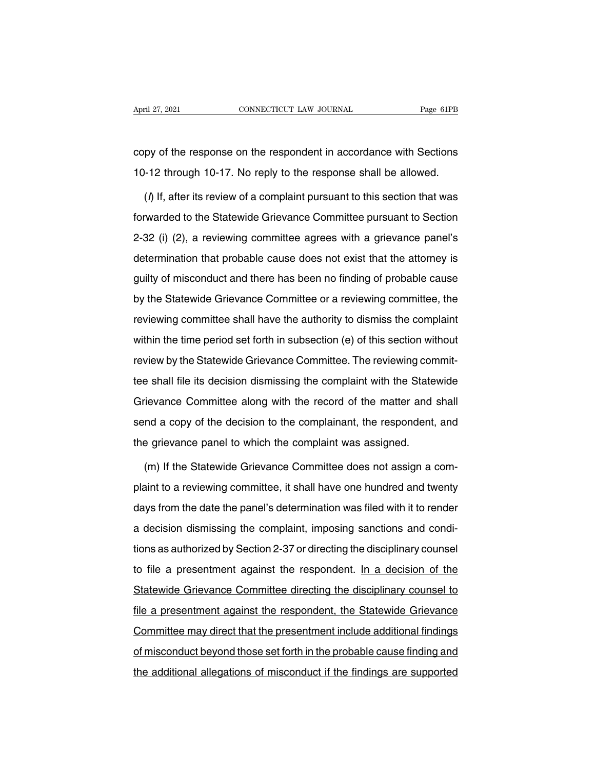April 27, 2021 CONNECTICUT LAW JOURNAL Page 61PB<br>
copy of the response on the respondent in accordance with Sections<br>
10-12 through 10-17. No reply to the response shall be allowed. 10-12 through 10-17. No reply to the response shall be allowed.<br>
10-12 through 10-17. No reply to the response shall be allowed.<br>
10-12 through 10-17. No reply to the response shall be allowed.

(Vector) py of the response on the respondent in accordance with Sections<br>
(A) If, after its review of a complaint pursuant to this section that was<br>
that was warded to the Statewide Grievance Committee pursuant to Section copy of the response on the respondent in accordance with Sections<br>10-12 through 10-17. No reply to the response shall be allowed.<br>(*l*) If, after its review of a complaint pursuant to this section that was<br>forwarded to th 10-12 through 10-17. No reply to the response shall be allowed.<br>
(*i*) If, after its review of a complaint pursuant to this section that was<br>
forwarded to the Statewide Grievance Committee pursuant to Section<br>
2-32 (i) (2) (*l*) If, after its review of a complaint pursuant to this section that was<br>forwarded to the Statewide Grievance Committee pursuant to Section<br>2-32 (i) (2), a reviewing committee agrees with a grievance panel's<br>determinati (i) ii, and he forlow of a complaint particular to this coolect that the<br>forwarded to the Statewide Grievance Committee pursuant to Section<br>2-32 (i) (2), a reviewing committee agrees with a grievance panel's<br>determination 2-32 (i) (2), a reviewing committee agrees with a grievance panel's<br>determination that probable cause does not exist that the attorney is<br>guilty of misconduct and there has been no finding of probable cause<br>by the Statewid determination that probable cause does not exist that the attorney is guilty of misconduct and there has been no finding of probable cause by the Statewide Grievance Committee or a reviewing committee, the reviewing commi guilty of misconduct and there has been no finding of probable cause<br>by the Statewide Grievance Committee or a reviewing committee, the<br>reviewing committee shall have the authority to dismiss the complaint<br>within the time guilty of misconduct and there has been no finding of probable cause<br>by the Statewide Grievance Committee or a reviewing committee, the<br>reviewing committee shall have the authority to dismiss the complaint<br>within the time the shall have the authority to dismiss the complaint<br>within the time period set forth in subsection (e) of this section without<br>review by the Statewide Grievance Committee. The reviewing commit-<br>tee shall file its decisio Within the time period set forth in subsection (e) of this section without<br>review by the Statewide Grievance Committee. The reviewing commit-<br>tee shall file its decision dismissing the complaint with the Statewide<br>Grievanc review by the Statewide Grievance Committee. The reviewing commit-<br>tee shall file its decision dismissing the complaint with the Statewide<br>Grievance Committee along with the record of the matter and shall<br>send a copy of th tee shall file its decision dismissing the complaint with the State<br>Grievance Committee along with the record of the matter and<br>send a copy of the decision to the complainant, the respondent,<br>the grievance panel to which t rievance Committee along with the record of the matter and shall<br>nd a copy of the decision to the complainant, the respondent, and<br>e grievance panel to which the complaint was assigned.<br>(m) If the Statewide Grievance Commi

send a copy of the decision to the complainant, the respondent, and<br>the grievance panel to which the complaint was assigned.<br>(m) If the Statewide Grievance Committee does not assign a com-<br>plaint to a reviewing committee, the grievance panel to which the complaint was assigned.<br>
(m) If the Statewide Grievance Committee does not assign a com-<br>
plaint to a reviewing committee, it shall have one hundred and twenty<br>
days from the date the panel (m) If the Statewide Grievance Committee does not assign a com-<br>plaint to a reviewing committee, it shall have one hundred and twenty<br>days from the date the panel's determination was filed with it to render<br>a decision dism plaint to a reviewing committee, it shall have one hundred and twenty<br>days from the date the panel's determination was filed with it to render<br>a decision dismissing the complaint, imposing sanctions and condi-<br>tions as aut plant to a rememny committed, it shall have one handled allet the render<br>a decision dismissing the complaint, imposing sanctions and condi-<br>tions as authorized by Section 2-37 or directing the disciplinary counsel<br>to file a decision dismissing the complaint, imposing sanctions and conditions as authorized by Section 2-37 or directing the disciplinary counsel<br>to file a presentment against the respondent. In a decision of the<br>Statewide Grieva research and the state with the respondent and series the state of the state<br>tions as authorized by Section 2-37 or directing the disciplinary counsel<br>to file a presentment against the respondent, the Statewide Grievance<br>f Example a presentment against the respondent. In a decision of the Statewide Grievance Committee directing the disciplinary counsel to file a presentment against the respondent, the Statewide Grievance Committee may direct Statewide Grievance Committee directing the disciplinary counsel to<br>file a presentment against the respondent, the Statewide Grievance<br>Committee may direct that the presentment include additional findings<br>of misconduct bey tile a presentment against the respondent, the Statewide Grievance<br>Committee may direct that the presentment include additional findings<br>of misconduct beyond those set forth in the probable cause finding and<br>the additional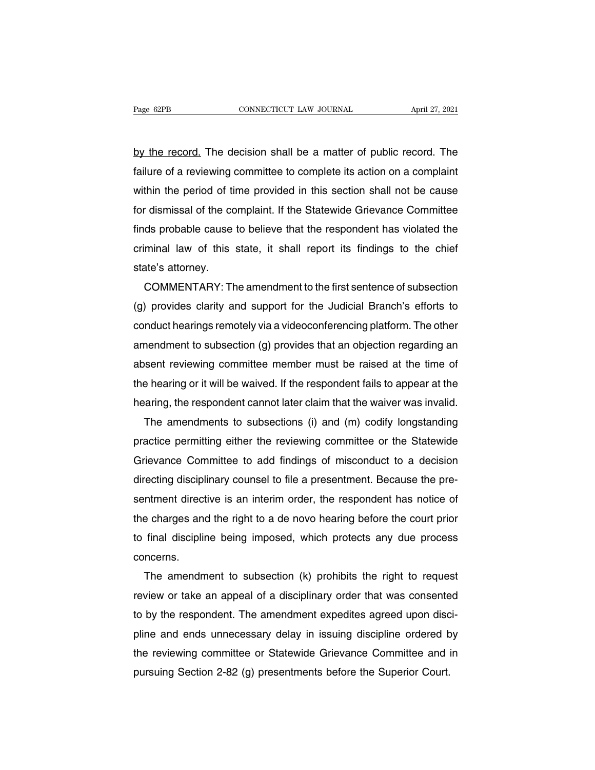Page 62PB CONNECTICUT LAW JOURNAL April 27, 2021<br>by the record. The decision shall be a matter of public record. The<br>failure of a reviewing committee to complete its action on a complaint Fage 62PB CONNECTICUT LAW JOURNAL April 27, 2021<br>by the record. The decision shall be a matter of public record. The<br>failure of a reviewing committee to complete its action on a complaint<br>within the period of time provided by the record. The decision shall be a matter of public record. The failure of a reviewing committee to complete its action on a complaint within the period of time provided in this section shall not be cause for dismissal by the record. The decision shall be a matter of public record. The failure of a reviewing committee to complete its action on a complaint within the period of time provided in this section shall not be cause for dismissal by the record. The decision shall be a matter of public record. The<br>failure of a reviewing committee to complete its action on a complaint<br>within the period of time provided in this section shall not be cause<br>for dismissal failure of a reviewing committee to complete its action on a complaint<br>within the period of time provided in this section shall not be cause<br>for dismissal of the complaint. If the Statewide Grievance Committee<br>finds probab within the period of tif<br>for dismissal of the cofinds probable cause<br>criminal law of this<br>state's attorney.<br>COMMENTARY: Th r dismissal of the complaint. If the Statewide Grievance Committee<br>ds probable cause to believe that the respondent has violated the<br>minal law of this state, it shall report its findings to the chief<br>ate's attorney.<br>COMMEN

finds probable cause to believe that the respondent has violated the<br>criminal law of this state, it shall report its findings to the chief<br>state's attorney.<br>COMMENTARY: The amendment to the first sentence of subsection<br>(g) criminal law of this state, it shall report its findings to the chief<br>state's attorney.<br>COMMENTARY: The amendment to the first sentence of subsection<br>(g) provides clarity and support for the Judicial Branch's efforts to<br>co state's attorney.<br>
COMMENTARY: The amendment to the first sentence of subsection<br>
(g) provides clarity and support for the Judicial Branch's efforts to<br>
conduct hearings remotely via a videoconferencing platform. The other COMMENTARY: The amendment to the first sentence of subsection<br>(g) provides clarity and support for the Judicial Branch's efforts to<br>conduct hearings remotely via a videoconferencing platform. The other<br>amendment to subsect (g) provides clarity and support for the Judicial Branch's efforts to<br>conduct hearings remotely via a videoconferencing platform. The other<br>amendment to subsection (g) provides that an objection regarding an<br>absent reviewi conduct hearings remotely via a videoconterencing platform. The other<br>amendment to subsection (g) provides that an objection regarding an<br>absent reviewing committee member must be raised at the time of<br>the hearing or it wi nendment to subsection (g) provides that an objection regarding an<br>sent reviewing committee member must be raised at the time of<br>e hearing or it will be waived. If the respondent fails to appear at the<br>aring, the responden

absent reviewing committee member must be raised at the time of<br>the hearing or it will be waived. If the respondent fails to appear at the<br>hearing, the respondent cannot later claim that the waiver was invalid.<br>The amendme the hearing or it will be waived. It the respondent tails to appear at the<br>hearing, the respondent cannot later claim that the waiver was invalid.<br>The amendments to subsections (i) and (m) codify longstanding<br>practice perm hearing, the respondent cannot later claim that the waiver was invalid.<br>The amendments to subsections (i) and (m) codify longstanding<br>practice permitting either the reviewing committee or the Statewide<br>Grievance Committee The amendments to subsections (i) and (m) codity longstanding<br>practice permitting either the reviewing committee or the Statewide<br>Grievance Committee to add findings of misconduct to a decision<br>directing disciplinary couns practice permitting either the reviewing committee or the Statewide<br>Grievance Committee to add findings of misconduct to a decision<br>directing disciplinary counsel to file a presentment. Because the pre-<br>sentment directive Grievance Committee to add finalings of misconduct to a decision<br>directing disciplinary counsel to file a presentment. Because the pre-<br>sentment directive is an interim order, the respondent has notice of<br>the charges and t concerns. ntment directive is an interim order, the respondent has notice of<br>e charges and the right to a de novo hearing before the court prior<br>final discipline being imposed, which protects any due process<br>ncerns.<br>The amendment to

the charges and the right to a de novo hearing before the court prior<br>to final discipline being imposed, which protects any due process<br>concerns.<br>The amendment to subsection (k) prohibits the right to request<br>review or tak to final discipline being imposed, which protects any due process<br>concerns.<br>The amendment to subsection (k) prohibits the right to request<br>review or take an appeal of a disciplinary order that was consented<br>to by the respo concerns.<br>The amendment to subsection (k) prohibits the right to request<br>review or take an appeal of a disciplinary order that was consented<br>to by the respondent. The amendment expedites agreed upon disci-<br>pline and ends u The amendment to subsection (K) prohibits the right to request<br>review or take an appeal of a disciplinary order that was consented<br>to by the respondent. The amendment expedites agreed upon disci-<br>pline and ends unnecessary review or take an appeal of a disciplinary order that was consente<br>to by the respondent. The amendment expedites agreed upon disc<br>pline and ends unnecessary delay in issuing discipline ordered b<br>the reviewing committee or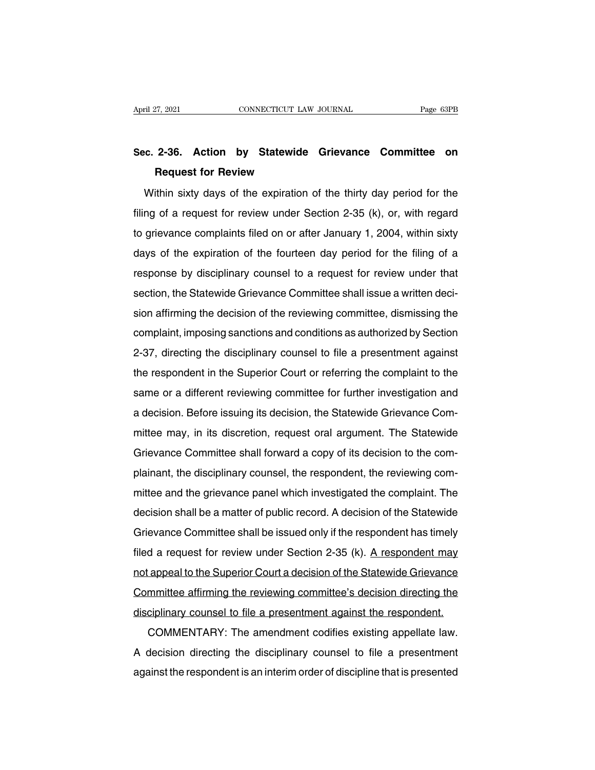# April 27, 2021 CONNECTICUT LAW JOURNAL Page 63PB<br> **Sec. 2-36. Action by Statewide Grievance Committee on**<br> **Request for Review** April 27, 2021 CONNECTICUT LAW JOURNAL Page 63PB<br> **Sec. 2-36. Action by Statewide Grievance Committee on**<br> **Request for Review**<br>
Within sixty days of the expiration of the thirty day period for the

e. 2-36. Action by Statewide Grievance Committee on<br>Request for Review<br>Within sixty days of the expiration of the thirty day period for the<br>mg of a request for review under Section 2-35 (k), or, with regard Sec. 2-36. Action by Statewide Grievance Committee on<br>Request for Review<br>Within sixty days of the expiration of the thirty day period for the<br>filing of a request for review under Section 2-35 (k), or, with regard<br>to grieva Request for Review<br>Within sixty days of the expiration of the thirty day period for the<br>filing of a request for review under Section 2-35 (k), or, with regard<br>to grievance complaints filed on or after January 1, 2004, with Within sixty days of the expiration of the thirty day period for the filing of a request for review under Section 2-35 (k), or, with regard to grievance complaints filed on or after January 1, 2004, within sixty days of th Within sixty days of the expiration of the thirty day period for the<br>filing of a request for review under Section 2-35 (k), or, with regard<br>to grievance complaints filed on or after January 1, 2004, within sixty<br>days of th section, the statewide Grievance Committee shall issue a written decision, the Statewide Grievance Committee shall issue a written decision affirming the decision of the reviewing committee shall issue a written decision days of the expiration of the fourteen day period for the filing of a<br>response by disciplinary counsel to a request for review under that<br>section, the Statewide Grievance Committee shall issue a written deci-<br>sion affirmin days of the expiration of the fourteent day period for the filling of a<br>response by disciplinary counsel to a request for review under that<br>section, the Statewide Grievance Committee shall issue a written deci-<br>sion affirm response by disciplinary counsel to a request for review differentiated section, the Statewide Grievance Committee shall issue a written decision affirming the decision of the reviewing committee, dismissing the complaint, section, the statewide chievance committee shall issue a whiteh decision affirming the decision of the reviewing committee, dismissing the complaint, imposing sanctions and conditions as authorized by Section 2-37, directi slori animing the decision of the reviewing committee, dismissing the<br>complaint, imposing sanctions and conditions as authorized by Section<br>2-37, directing the disciplinary counsel to file a presentment against<br>the respond Examplant, imposing sanctions and conditions as admonzed by Section.<br>2-37, directing the disciplinary counsel to file a presentment against<br>the respondent in the Superior Court or referring the complaint to the<br>same or a d 2-37, directing the disciplinary couriser to the a presentifient against<br>the respondent in the Superior Court or referring the complaint to the<br>same or a different reviewing committee for further investigation and<br>a decisi Frame or a different reviewing committee for further investigation and<br>a decision. Before issuing its decision, the Statewide Grievance Com-<br>mittee may, in its discretion, request oral argument. The Statewide<br>Grievance Com a decision. Before issuing its decision, the Statewide Grievance Com-<br>mittee may, in its discretion, request oral argument. The Statewide<br>Grievance Committee shall forward a copy of its decision to the com-<br>plainant, the d a decision. Before issuing its decision, the statewide difference com-<br>mittee may, in its discretion, request oral argument. The Statewide<br>Grievance Committee shall forward a copy of its decision to the com-<br>plainant, the Grievance Committee shall forward a copy of its decision to the com-<br>plainant, the disciplinary counsel, the respondent, the reviewing com-<br>mittee and the grievance panel which investigated the complaint. The<br>decision shal plainant, the disciplinary counsel, the respondent, the reviewing com-<br>plainant, the disciplinary counsel, the respondent, the reviewing com-<br>mittee and the grievance panel which investigated the complaint. The<br>decision sh plantant, the disciplinary courser, the respondent, the reviewing com-<br>mittee and the grievance panel which investigated the complaint. The<br>decision shall be a matter of public record. A decision of the Statewide<br>Grievance mittee and the grievance parter which investigated the complaint. The<br>decision shall be a matter of public record. A decision of the Statewide<br>Grievance Committee shall be issued only if the respondent has timely<br>filed a r Grievance Committee shall be issued only if the respondent has timely<br>filed a request for review under Section 2-35 (k). A respondent may<br>not appeal to the Superior Court a decision of the Statewide Grievance<br>Committee aff dievalue Committee shall be issued only if the respondent has threft<br>filed a request for review under Section 2-35 (k). A respondent may<br>not appeal to the Superior Court a decision of the Statewide Grievance<br>Committee affi Experience a request for review under Section 2-33 (K). A respondent may appeal to the Superior Court a decision of the Statewide Grievance mmittee affirming the reviewing committee's decision directing the ciplinary couns

Committee affirming the reviewing committee's decision directing the<br>disciplinary counsel to file a presentment against the respondent.<br>COMMENTARY: The amendment codifies existing appellate law.<br>A decision directing the di Committee affirming the reviewing committee's decision directing the<br>disciplinary counsel to file a presentment against the respondent.<br>COMMENTARY: The amendment codifies existing appellate law.<br>A decision directing the di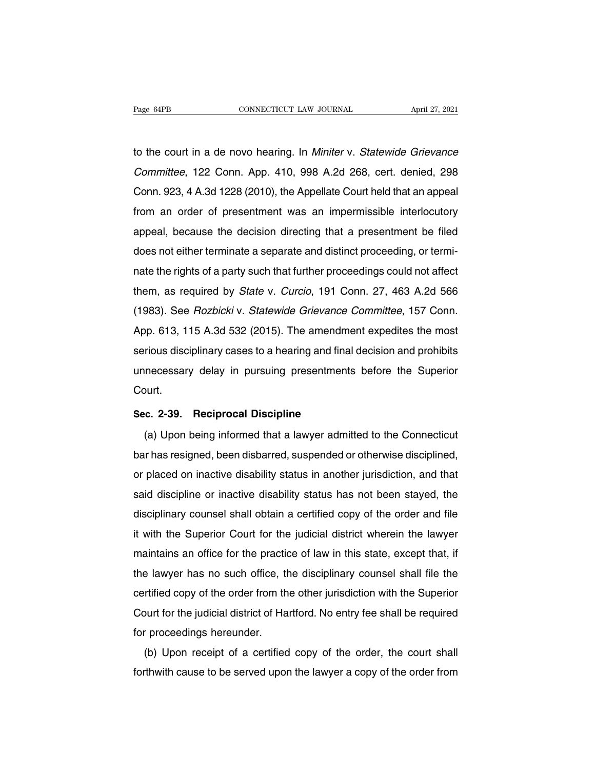Page 64PB CONNECTICUT LAW JOURNAL April 27, 2021<br>to the court in a de novo hearing. In Miniter v. Statewide Grievance<br>Committee, 122 Conn. App. 410, 998 A.2d 268, cert. denied, 298 Page 64PB CONNECTICUT LAW JOURNAL April 27, 2021<br>to the court in a de novo hearing. In *Miniter* v. *Statewide Grievance*<br>Committee, 122 Conn. App. 410, 998 A.2d 268, cert. denied, 298<br>Conn. 923, 4 A.3d 1228 (2010), the Ap The court in a de novo hearing. In *Miniter v. Statewide Grievance*<br>Committee, 122 Conn. App. 410, 998 A.2d 268, cert. denied, 298<br>Conn. 923, 4 A.3d 1228 (2010), the Appellate Court held that an appeal<br>from an order of pre to the court in a de novo hearing. In *Miniter v. Statewide Grievance Committee*, 122 Conn. App. 410, 998 A.2d 268, cert. denied, 298 Conn. 923, 4 A.3d 1228 (2010), the Appellate Court held that an appeal from an order of Committee, 122 Conn. App. 410, 998 A.2d 268, cert. denied, 298<br>Conn. 923, 4 A.3d 1228 (2010), the Appellate Court held that an appeal<br>from an order of presentment was an impermissible interlocutory<br>appeal, because the deci Committee, 122 Com. App. 410, 996 A.2d 266, cert. denied, 296<br>Conn. 923, 4 A.3d 1228 (2010), the Appellate Court held that an appeal<br>from an order of presentment was an impermissible interlocutory<br>appeal, because the decis From an order of presentment was an impermissible interlocutory<br>from an order of presentment was an impermissible interlocutory<br>appeal, because the decision directing that a presentment be filed<br>does not either terminate a them, as required by State v. Curcio, 191 Conn. 27, 463 A.2d 566<br>(1983). See *Rozbicki* v. *Statewide Grievance Committee,* 157 Conn.<br>(1983). See *Rozbicki* v. *Statewide Grievance Committee*, 157 Conn. appear, because the decision differently that a presentment be filed<br>does not either terminate a separate and distinct proceeding, or termi-<br>nate the rights of a party such that further proceedings could not affect<br>them, a does not emer terminate a separate and district proceeding, or termi-<br>nate the rights of a party such that further proceedings could not affect<br>them, as required by *State* v. *Curcio*, 191 Conn. 27, 463 A.2d 566<br>(1983). S riate the rights of a party such that further proceedings could not ariect<br>them, as required by *State v. Curcio*, 191 Conn. 27, 463 A.2d 566<br>(1983). See *Rozbicki v. Statewide Grievance Committee*, 157 Conn.<br>App. 613, 115 them, as required by *State V. Curcio*, 191 Conn. 27, 463 A.2d 366<br>(1983). See *Rozbicki v. Statewide Grievance Committee*, 157 Conn.<br>App. 613, 115 A.3d 532 (2015). The amendment expedites the most<br>serious disciplinary cas Court. **Serious disciplinary cases to a hearing and final unnecessary delay in pursuing presentments<br>Court.<br><b>Sec. 2-39. Reciprocal Discipline** (a) Upon being informed that a lawyer admitional mecessary delay in pursuing presentments before the Superior<br>
ourt.<br>
(a) Upon being informed that a lawyer admitted to the Connecticut<br>
r has resigned, been disbarred, suspended or otherwise disciplined,

Court.<br>
Sec. 2-39. Reciprocal Discipline<br>
(a) Upon being informed that a lawyer admitted to the Connecticut<br>
bar has resigned, been disbarred, suspended or otherwise disciplined,<br>
or placed on inactive disability status in Sec. 2-39. Reciprocal Discipline<br>
(a) Upon being informed that a lawyer admitted to the Connecticut<br>
bar has resigned, been disbarred, suspended or otherwise disciplined,<br>
or placed on inactive disability status in another (a) Upon being informed that a lawyer admitted to the Connecticut<br>bar has resigned, been disbarred, suspended or otherwise disciplined,<br>or placed on inactive disability status in another jurisdiction, and that<br>said discipl (a) Opon being informed that a lawyer admitted to the Connecticut<br>bar has resigned, been disbarred, suspended or otherwise disciplined,<br>or placed on inactive disability status in another jurisdiction, and that<br>said discipl bar has resigned, been disbarred, suspended or otherwise disciplined,<br>or placed on inactive disability status in another jurisdiction, and that<br>said discipline or inactive disability status has not been stayed, the<br>discipl or placed on inactive disability status in another jurisdiction, and that<br>said discipline or inactive disability status has not been stayed, the<br>disciplinary counsel shall obtain a certified copy of the order and file<br>it w sald discipline of inactive disability status filst filot been stayed, the<br>disciplinary counsel shall obtain a certified copy of the order and file<br>it with the Superior Court for the judicial district wherein the lawyer<br>ma disciplinary counser shall obtain a certified copy of the order and the<br>it with the Superior Court for the judicial district wherein the lawyer<br>maintains an office for the practice of law in this state, except that, if<br>the It with the superior Court for the judicial district wherein the lawyer<br>maintains an office for the practice of law in this state, except that, if<br>the lawyer has no such office, the disciplinary counsel shall file the<br>cert maintains an office for the practice of law in this state, except that, if<br>the lawyer has no such office, the disciplinary counsel shall file the<br>certified copy of the order from the other jurisdiction with the Superior<br>Co E lawyer has no such once, the disciplinary counser shall hie the<br>rtified copy of the order from the other jurisdiction with the Superior<br>burt for the judicial district of Hartford. No entry fee shall be required<br>r proceed Fourt for the judicial district of Hartford. No entry fee shall be required<br>for proceedings hereunder.<br>(b) Upon receipt of a certified copy of the order, the court shall<br>forthwith cause to be served upon the lawyer a copy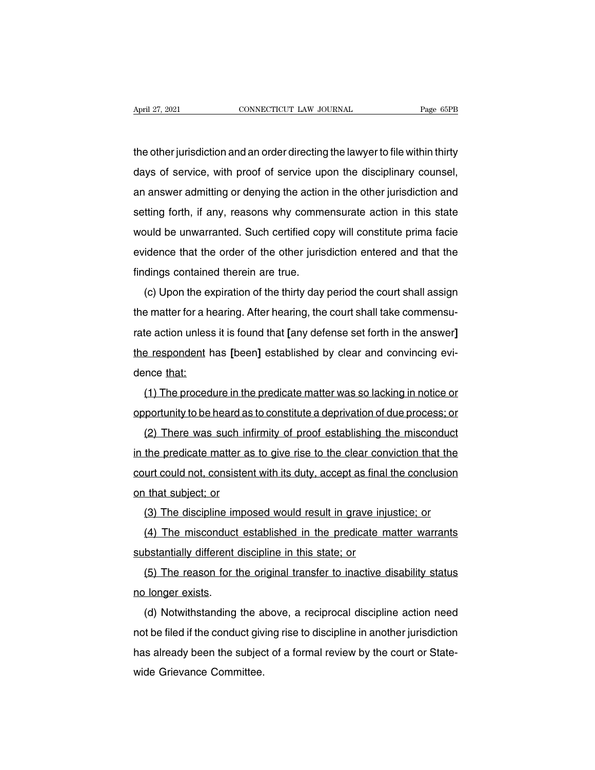April 27, 2021 CONNECTICUT LAW JOURNAL Page 65PB<br>the other jurisdiction and an order directing the lawyer to file within thirty<br>days of service, with proof of service upon the disciplinary counsel, April 27, 2021 CONNECTICUT LAW JOURNAL Page 65PB<br>the other jurisdiction and an order directing the lawyer to file within thirty<br>days of service, with proof of service upon the disciplinary counsel,<br>an answer admitting or d the other jurisdiction and an order directing the lawyer to file within thirty<br>days of service, with proof of service upon the disciplinary counsel,<br>an answer admitting or denying the action in the other jurisdiction and<br>s the other jurisdiction and an order directing the lawyer to file within thirty<br>days of service, with proof of service upon the disciplinary counsel,<br>an answer admitting or denying the action in the other jurisdiction and<br>s days of service, with proof of service upon the disciplinary counsel,<br>an answer admitting or denying the action in the other jurisdiction and<br>setting forth, if any, reasons why commensurate action in this state<br>would be un existed an answer admitting or denying the action in the other jurisdiction and setting forth, if any, reasons why commensurate action in this state would be unwarranted. Such certified copy will constitute prima facie evi an answer admitting or deriying the action<br>setting forth, if any, reasons why comme<br>would be unwarranted. Such certified cop<br>evidence that the order of the other juris<br>findings contained therein are true.<br>(c) Upon the expi (and it) with the state with the expiration of the other jurisdiction entered and that the dings contained therein are true.<br>
(c) Upon the expiration of the thirty day period the court shall assign<br>
a matter for a hearing.

the matter for a hearing. After hearing, the court shall take commensu-<br>the matter for a hearing. After hearing, the court shall assign<br>the matter for a hearing. After hearing, the court shall take commensu-<br>tate action un rate action unless it is found that **a** and that the findings contained therein are true.<br>
(c) Upon the expiration of the thirty day period the court shall assign<br>
the matter for a hearing. After hearing, the court shall t (c) Upon the expiration of the thirty day period the court shall assign<br>the matter for a hearing. After hearing, the court shall take commensu-<br>rate action unless it is found that [any defense set forth in the answer]<br>the (c) open the exist<br>the matter for a herate action unless<br>the respondent heration of the term of the dence that:<br>(1) The proced Finatier for a freaming. After freaming, the court shall take commensu-<br>te action unless it is found that [any defense set forth in the answer]<br>a respondent has [been] established by clear and convincing evi-<br>nce that:<br>(1) The respondent has [been] established by clear and convincing evidence that:<br>
(1) The procedure in the predicate matter was so lacking in notice or<br>
opportunity to be heard as to constitute a deprivation of due process; or

Frespondent has peen established by clear and convincing evi-<br>nce that:<br>(1) The procedure in the predicate matter was so lacking in notice or<br>portunity to be heard as to constitute a deprivation of due process; or<br>(2) Ther (1) The procedure in the predicate matter was so lacking in notice or<br>opportunity to be heard as to constitute a deprivation of due process; or<br>(2) There was such infirmity of proof establishing the misconduct<br>in the predi comportunity to be heard as to constitute a deprivation of due process; or<br>(2) There was such infirmity of proof establishing the misconduct<br>in the predicate matter as to give rise to the clear conviction that the<br>court co opportunity to be heard as<br>(2) There was such in<br>in the predicate matter as<br>court could not, consisten<br>on that subject; or<br>(3) The discipline impo ( $\angle$ ) There was such imming of proof establishing the misconduct<br>the predicate matter as to give rise to the clear conviction that the<br>urt could not, consistent with its duty, accept as final the conclusion<br>that subject; Interpredicate matter as to give rise to the clear conviction that the<br>urt could not, consistent with its duty, accept as final the conclusion<br>(3) The discipline imposed would result in grave injustice; or<br>(4) The miscondu

substantially different discipline in this state, accept as mian<br>(3) The discipline imposed would result in grave inj<br>(4) The misconduct established in the predicate n<br>substantially different discipline in this state; or<br>(

(3) The discipline imposed would result in grave injustice; or<br>(4) The misconduct established in the predicate matter warrants<br>bstantially different discipline in this state; or<br>(5) The reason for the original transfer to (3) The discipline in<br>
(4) The misconduct<br>
substantially different<br>
(5) The reason for t<br>
no longer exists.<br>
(d) Notwithstanding (4) The misconduct established in the predicate matter warrants<br>bstantially different discipline in this state; or<br>(5) The reason for the original transfer to inactive disability status<br>longer exists.<br>(d) Notwithstanding t

(5) The reason for the original transfer to inactive disability status<br>no longer exists.<br>(d) Notwithstanding the above, a reciprocal discipline action need<br>not be filed if the conduct giving rise to discipline in another j (3) The reason for the onginal transfer to inactive disability status<br>no longer exists.<br>(d) Notwithstanding the above, a reciprocal discipline action need<br>not be filed if the conduct giving rise to discipline in another ju In oniger exists.<br>
(d) Notwithstanding the a<br>
not be filed if the conduct giv<br>
has already been the subjec<br>
wide Grievance Committee.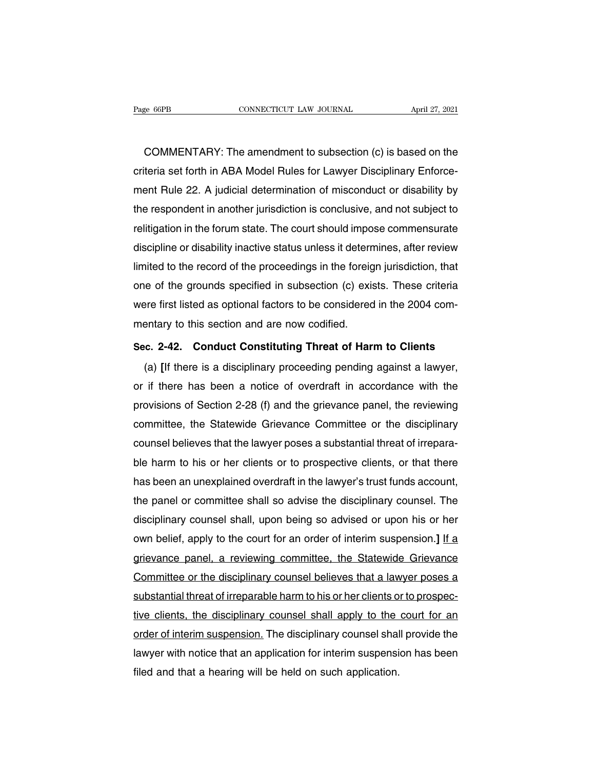ERE ERE COMMENTARY: The amendment to subsection (c) is based on the<br>COMMENTARY: The amendment to subsection (c) is based on the<br>teria set forth in ABA Model Rules for Lawyer Disciplinary Enforce-Page 66PB CONNECTICUT LAW JOURNAL April 27, 2021<br>COMMENTARY: The amendment to subsection (c) is based on the<br>criteria set forth in ABA Model Rules for Lawyer Disciplinary Enforce-<br>ment Rule 22. A judicial determination of COMMENTARY: The amendment to subsection (c) is based on the<br>criteria set forth in ABA Model Rules for Lawyer Disciplinary Enforce-<br>ment Rule 22. A judicial determination of misconduct or disability by<br>the respondent in ano COMMENTARY: The amendment to subsection (c) is based on the<br>criteria set forth in ABA Model Rules for Lawyer Disciplinary Enforce-<br>ment Rule 22. A judicial determination of misconduct or disability by<br>the respondent in ano COMMENTARY: The amendment to subsection (c) is based on the<br>criteria set forth in ABA Model Rules for Lawyer Disciplinary Enforce-<br>ment Rule 22. A judicial determination of misconduct or disability by<br>the respondent in ano criteria set forth in ABA Model Rules for Lawyer Disciplinary Enforce-<br>ment Rule 22. A judicial determination of misconduct or disability by<br>the respondent in another jurisdiction is conclusive, and not subject to<br>relitiga ment Rule 22. A judicial determination of misconduct or disability by<br>the respondent in another jurisdiction is conclusive, and not subject to<br>relitigation in the forum state. The court should impose commensurate<br>disciplin the respondent in another jurisdiction is conclusive, and not subject to<br>relitigation in the forum state. The court should impose commensurate<br>discipline or disability inactive status unless it determines, after review<br>lim relitigation in the forum state. The court should impose commensurate<br>discipline or disability inactive status unless it determines, after review<br>limited to the record of the proceedings in the foreign jurisdiction, that<br>o discipline or disability inactive status unless it detern<br>limited to the record of the proceedings in the foreig<br>one of the grounds specified in subsection (c) exis<br>were first listed as optional factors to be considered<br>me If the second of the proceedings in the foreign particular, that<br>
one of the grounds specified in subsection (c) exists. These criteria<br>
were first listed as optional factors to be considered in the 2004 com-<br>
mentary to t First listed as optional factors to be considered in the 2004 computary to this section and are now codified.<br> **E.** 2-42. Conduct Constituting Threat of Harm to Clients<br>
(a) [If there is a disciplinary proceeding pending a

mentary to this section and are now codified.<br>Sec. 2-42. Conduct Constituting Threat of Harm to Clients<br>(a) [If there is a disciplinary proceeding pending against a lawyer,<br>or if there has been a notice of overdraft in acc Sec. 2-42. Conduct Constituting Threat of Harm to Clients<br>
(a) [If there is a disciplinary proceeding pending against a lawyer,<br>
or if there has been a notice of overdraft in accordance with the<br>
provisions of Section 2-28 Sec. 2-42. Conduct Constituting Threat of Harm to Clients<br>(a) [If there is a disciplinary proceeding pending against a lawyer,<br>or if there has been a notice of overdraft in accordance with the<br>provisions of Section 2-28 (f (a) [If there is a disciplinary proceeding pending against a lawyer,<br>or if there has been a notice of overdraft in accordance with the<br>provisions of Section 2-28 (f) and the grievance panel, the reviewing<br>committee, the St or if there has been a notice of overdraft in accordance with the<br>provisions of Section 2-28 (f) and the grievance panel, the reviewing<br>committee, the Statewide Grievance Committee or the disciplinary<br>counsel believes that provisions of Section 2-28 (f) and the grievance panel, the reviewing<br>committee, the Statewide Grievance Committee or the disciplinary<br>counsel believes that the lawyer poses a substantial threat of irrepara-<br>ble harm to hi committee, the Statewide Grievance Committee or the disciplinary<br>counsel believes that the lawyer poses a substantial threat of irrepara-<br>ble harm to his or her clients or to prospective clients, or that there<br>has been an counsel believes that the lawyer poses a substantial threat of irrepara-<br>ble harm to his or her clients or to prospective clients, or that there<br>has been an unexplained overdraft in the lawyer's trust funds account,<br>the pa ble harm to his or her clients or to prospective clients, or that there<br>has been an unexplained overdraft in the lawyer's trust funds account,<br>the panel or committee shall so advise the disciplinary counsel. The<br>disciplina has been an unexplained overdraft in the lawyer's trust funds account,<br>the panel or committee shall so advise the disciplinary counsel. The<br>disciplinary counsel shall, upon being so advised or upon his or her<br>own belief, a the panel or committee shall so advise the disciplinary counsel. The<br>disciplinary counsel shall, upon being so advised or upon his or her<br>own belief, apply to the court for an order of interim suspension.] If a<br>grievance p disciplinary counsel shall, upon being so advised or upon his or her<br>own belief, apply to the court for an order of interim suspension.] If a<br>grievance panel, a reviewing committee, the Statewide Grievance<br>Committee or the own belief, apply to the court for an order of interim suspension.] It a<br>grievance panel, a reviewing committee, the Statewide Grievance<br>Committee or the disciplinary counsel believes that a lawyer poses a<br>substantial thre grievance panel, a reviewing committee, the Statewide Grievance<br>Committee or the disciplinary counsel believes that a lawyer poses a<br>substantial threat of irreparable harm to his or her clients or to prospec-<br>tive clients, Committee or the disciplinary counsel believes that a lawyer poses a<br>substantial threat of irreparable harm to his or her clients or to prospec-<br>tive clients, the disciplinary counsel shall apply to the court for an<br>order substantial threat of irreparable harm to his or her clients o<br>tive clients, the disciplinary counsel shall apply to the<br>order of interim suspension. The disciplinary counsel shal<br>lawyer with notice that an application for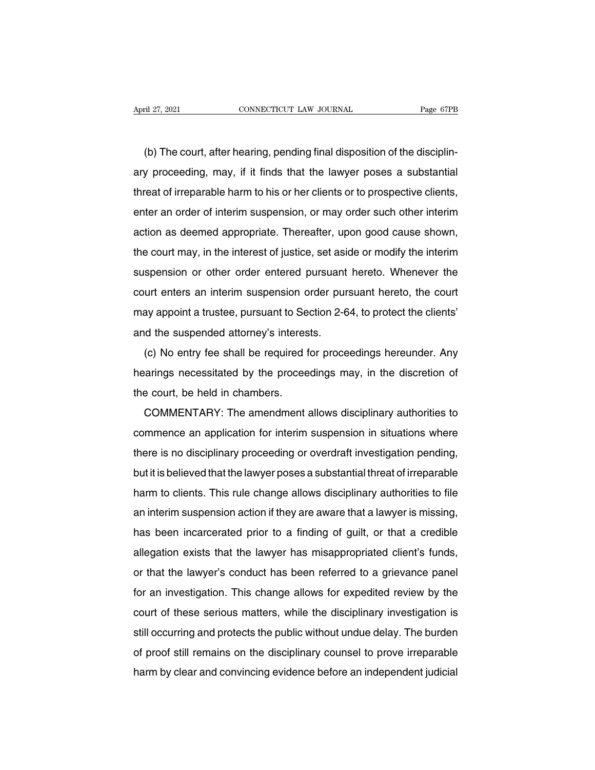(b) The court, after hearing, pending final disposition of the disciplin-<br>y proceeding, may, if it finds that the lawyer poses a substantial April 27, 2021 CONNECTICUT LAW JOURNAL Page 67PB<br>
(b) The court, after hearing, pending final disposition of the disciplin-<br>
ary proceeding, may, if it finds that the lawyer poses a substantial<br>
threat of irreparable harm (b) The court, after hearing, pending final disposition of the disciplinary proceeding, may, if it finds that the lawyer poses a substantial threat of irreparable harm to his or her clients or to prospective clients, enter (b) The court, after hearing, pending final disposition of the disciplin-<br>ary proceeding, may, if it finds that the lawyer poses a substantial<br>threat of irreparable harm to his or her clients or to prospective clients,<br>ent (b) The court, after Healing, periumg imal disposition of the disciplin-<br>ary proceeding, may, if it finds that the lawyer poses a substantial<br>threat of irreparable harm to his or her clients or to prospective clients,<br>ente ary proceeding, may, if it finds that the lawyer poses a substantial<br>threat of irreparable harm to his or her clients or to prospective clients,<br>enter an order of interim suspension, or may order such other interim<br>action surfeat of inteparable harm to first of the clients of to prospective clients,<br>enter an order of interim suspension, or may order such other interim<br>action as deemed appropriate. Thereafter, upon good cause shown,<br>the cour action as deemed appropriate. Thereafter, upon good cause shown,<br>the court may, in the interest of justice, set aside or modify the interim<br>suspension or other order entered pursuant hereto. Whenever the<br>court enters an in action as deemed appropriate. Thereafter, upon good cause shown,<br>the court may, in the interest of justice, set aside or modify the interim<br>suspension or other order entered pursuant hereto. Whenever the<br>court enters an in and the suspension or other order entered pursuant<br>court enters an interim suspension order pur<br>may appoint a trustee, pursuant to Section 2-6<br>and the suspended attorney's interests.<br>(c) No entry fee shall be required for sperision of other order entered parsuant hereto. Whenever the<br>urt enters an interim suspension order pursuant hereto, the court<br>ay appoint a trustee, pursuant to Section 2-64, to protect the clients'<br>id the suspended atto

France an internit susperision of pulsuant nereto, the court<br>may appoint a trustee, pursuant to Section 2-64, to protect the clients'<br>and the suspended attorney's interests.<br>(c) No entry fee shall be required for proceedin they appoint a trustee, pursuant to be<br>and the suspended attorney's interes<br>(c) No entry fee shall be required f<br>hearings necessitated by the procee<br>the court, be held in chambers.<br>COMMENTARY: The amendment (c) No entry fee shall be required for proceedings hereunder. Any<br>arings necessitated by the proceedings may, in the discretion of<br>e court, be held in chambers.<br>COMMENTARY: The amendment allows disciplinary authorities to<br>

(c) No entry ree shan be required for proceedings heredricel. Any<br>hearings necessitated by the proceedings may, in the discretion of<br>the court, be held in chambers.<br>COMMENTARY: The amendment allows disciplinary authorities the court, be held in chambers.<br>
COMMENTARY: The amendment allows disciplinary authorities to<br>
commence an application for interim suspension in situations where<br>
there is no disciplinary proceeding or overdraft investigat but it is believed that the lawyer poses a substantial threat of irreparable<br>believed that the lawyer poses a substantial threat of irreparable<br>but it is believed that the lawyer poses a substantial threat of irreparable<br>h COMMENTANTE. The amendment allows disciplinary authorities to<br>commence an application for interim suspension in situations where<br>there is no disciplinary proceeding or overdraft investigation pending,<br>but it is believed th Example its no disciplinary proceeding or overdraft investigation pending,<br>there is no disciplinary proceeding or overdraft investigation pending,<br>but it is believed that the lawyer poses a substantial threat of irreparabl harm to clients. This rule change allows disciplinary authorities to file<br>harm to clients. This rule change allows disciplinary authorities to file<br>an interim suspension action if they are aware that a lawyer is missing,<br>h but it is beneved that the lawyer poses a substantial threat of freparable<br>harm to clients. This rule change allows disciplinary authorities to file<br>an interim suspension action if they are aware that a lawyer is missing,<br> nam to chems. This full change allows disciplinary additiontles to hie<br>an interim suspension action if they are aware that a lawyer is missing,<br>has been incarcerated prior to a finding of guilt, or that a credible<br>allegati an interim susperision action if they are aware that a lawyer is missing,<br>has been incarcerated prior to a finding of guilt, or that a credible<br>allegation exists that the lawyer has misappropriated client's funds,<br>or that rias been incarcerated phot to a miding of guilt, of that a credible<br>allegation exists that the lawyer has misappropriated client's funds,<br>or that the lawyer's conduct has been referred to a grievance panel<br>for an investig alleyation exists that the lawyer has misapprophated chemis funds,<br>or that the lawyer's conduct has been referred to a grievance panel<br>for an investigation. This change allows for expedited review by the<br>court of these ser of that the lawyer's conduct has been referred to a grievance parter<br>for an investigation. This change allows for expedited review by the<br>court of these serious matters, while the disciplinary investigation is<br>still occurr for an investigation. This change allows for expedited review by the court of these serious matters, while the disciplinary investigation is still occurring and protects the public without undue delay. The burden of proof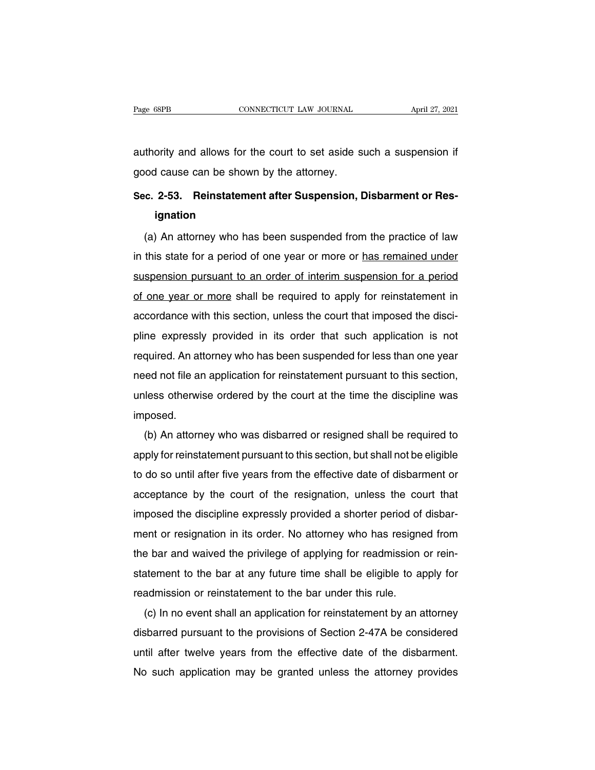Page 68PB<br>
CONNECTICUT LAW JOURNAL<br>
authority and allows for the court to set aside such a suspension if<br>
good cause can be shown by the attorney. Page 68PB<br>
cONNECTICUT LAW JOURNAL<br>
authority and allows for the court to set aside s<br>
good cause can be shown by the attorney.<br>
Sec. 2-53. Reinstatement after Suspension. I

## authority and allows for the court to set aside such a suspension if good cause can be shown by the attorney.<br>Sec. 2-53. Reinstatement after Suspension, Disbarment or Res-<br>**ignation ignation**

(a) An attorney and be shown by the attorney.<br> **E. 2-53. Reinstatement after Suspension, Disbarment or Res-**<br> **E. 2-53. Reinstatement after Suspension, Disbarment or Res-**<br> **E. 2-53. Reinstatement after Suspended from the** Sec. 2-53. Reinstatement after Suspension, Disbarment or Resignation<br>
(a) An attorney who has been suspended from the practice of law<br>
in this state for a period of one year or more or has remained under<br>
suspension pursua ignation<br>(a) An attorney who has been suspended from the practice of law<br>in this state for a period of one year or more or has remained under<br>suspension pursuant to an order of interim suspension for a period<br>of one year o (a) An attorney who has been suspended from the practice of law<br>in this state for a period of one year or more or has remained under<br>suspension pursuant to an order of interim suspension for a period<br>of one year or more sh (a) An attorney who has been suspended from the practice of law<br>in this state for a period of one year or more or <u>has remained under</u><br>suspension pursuant to an order of interim suspension for a period<br>of one year or more pline this state for a period of one year of interim suspension for a period<br>suspension pursuant to an order of interim suspension for a period<br>of one year or more shall be required to apply for reinstatement in<br>accordance of one year or more shall be required to apply for reinstatement in accordance with this section, unless the court that imposed the discipline expressly provided in its order that such application is not required. An attor or one year or more shall be required to apply for relitstatement in<br>accordance with this section, unless the court that imposed the disci-<br>pline expressly provided in its order that such application is not<br>required. An at accordance with this section, unless the court that imposed the disci-<br>pline expressly provided in its order that such application is not<br>required. An attorney who has been suspended for less than one year<br>need not file an imposed. (b) and attorney who has been suspended for ress than one year<br>and not file an application for reinstatement pursuant to this section,<br>less otherwise ordered by the court at the time the discipline was<br>posed.<br>(b) An attorn

reed not me an application for reinstatement pursuant to this section,<br>unless otherwise ordered by the court at the time the discipline was<br>imposed.<br>(b) An attorney who was disbarred or resigned shall be required to<br>apply the domain and the time the discipline was<br>imposed.<br>(b) An attorney who was disbarred or resigned shall be required to<br>apply for reinstatement pursuant to this section, but shall not be eligible<br>to do so until after five y imposed.<br>
(b) An attorney who was disbarred or resigned shall be required to<br>
apply for reinstatement pursuant to this section, but shall not be eligible<br>
to do so until after five years from the effective date of disbarme (b) An attomey who was disbarred or resigned shall be required to apply for reinstatement pursuant to this section, but shall not be eligible to do so until after five years from the effective date of disbarment or accepta apply for reinstatement pursuant to this section, but shall not be eigible<br>to do so until after five years from the effective date of disbarment or<br>acceptance by the court of the resignation, unless the court that<br>imposed to do so until after live years from the effective date of disbarment or<br>acceptance by the court of the resignation, unless the court that<br>imposed the discipline expressly provided a shorter period of disbar-<br>ment or resig acceptance by the court of the resignation, unless the court that<br>imposed the discipline expressly provided a shorter period of disbar-<br>ment or resignation in its order. No attorney who has resigned from<br>the bar and waived rimposed the discipline expressly provided a shorter period of<br>ment or resignation in its order. No attorney who has resignathe bar and waived the privilege of applying for readmission<br>statement to the bar at any future ti Fill or resignation in its order. No attorney who has resigned from<br>e bar and waived the privilege of applying for readmission or rein-<br>atement to the bar at any future time shall be eligible to apply for<br>admission or rein

the barrand warved the phylling of the displains stort of refir-<br>statement to the bar at any future time shall be eligible to apply for<br>readmission or reinstatement to the bar under this rule.<br>(c) In no event shall an appl statement to the bar at any future time shall be eighbe to apply for<br>readmission or reinstatement to the bar under this rule.<br>(c) In no event shall an application for reinstatement by an attorney<br>disbarred pursuant to the readmission or reinstatement to the bar under this rule.<br>
(c) In no event shall an application for reinstatement by an attorney<br>
disbarred pursuant to the provisions of Section 2-47A be considered<br>
until after twelve years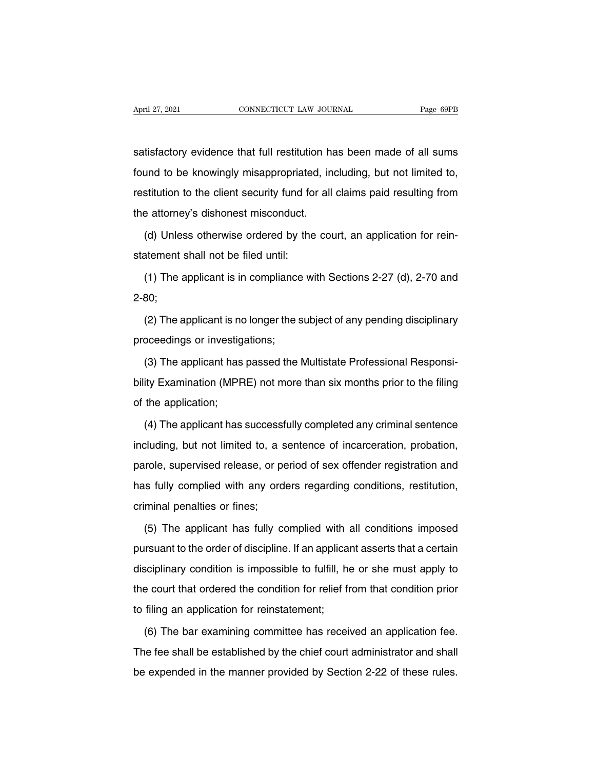April 27, 2021 CONNECTICUT LAW JOURNAL Page 69PB<br>
Satisfactory evidence that full restitution has been made of all sums<br>
found to be knowingly misappropriated, including, but not limited to, Found to be knowingly misappropriated, including, but not limited to,<br>Found to be knowingly misappropriated, including, but not limited to,<br>restitution to the client security fund for all claims paid resulting from satisfactory evidence that full restitution has been made of all sums<br>found to be knowingly misappropriated, including, but not limited to,<br>restitution to the client security fund for all claims paid resulting from<br>the att satisfactory evidence that full restitution has<br>found to be knowingly misappropriated, in<br>restitution to the client security fund for all<br>the attorney's dishonest misconduct.<br>(d) Unless otherwise ordered by the cou satisfactory evidence that full restitution has been made of all sums<br>found to be knowingly misappropriated, including, but not limited to,<br>restitution to the client security fund for all claims paid resulting from<br>the att restitution to the client security fund for<br>the attorney's dishonest misconduct.<br>(d) Unless otherwise ordered by the<br>statement shall not be filed until:<br>(1) The applicant is in compliance w

e attorney's dishonest misconduct.<br>
(d) Unless otherwise ordered by the court, an application for rein-<br>
atement shall not be filed until:<br>
(1) The applicant is in compliance with Sections 2-27 (d), 2-70 and<br>
80;

2-80;

is the applicant is in compliance with Sections 2-27 (d), 2-70 and<br>1) The applicant is in compliance with Sections 2-27 (d), 2-70 and<br>180;<br>(2) The applicant is no longer the subject of any pending disciplinary<br>oceedings or (1) The applicant is in compliance<br>2-80;<br>(2) The applicant is no longer the s<br>proceedings or investigations;<br>(3) The applicant has passed the

(2) The applicant is no longer the subject of any pending disciplinary<br>oceedings or investigations;<br>(3) The applicant has passed the Multistate Professional Responsi-<br>ity Examination (MPRE) not more than six months prior t (2) The applicant is no longer the subject of any pending disciplinary<br>proceedings or investigations;<br>(3) The applicant has passed the Multistate Professional Responsi-<br>bility Examination (MPRE) not more than six months pr proceedings or investig<br>
(3) The applicant has<br>
bility Examination (MPR<br>
of the application;<br>
(4) The applicant has (3) The applicant has passed the Multistate Professional Responsi-<br>ity Examination (MPRE) not more than six months prior to the filing<br>the application;<br>(4) The applicant has successfully completed any criminal sentence<br>clu

bility Examination (MPRE) not more than six months prior to the filing<br>of the application;<br>(4) The applicant has successfully completed any criminal sentence<br>including, but not limited to, a sentence of incarceration, prob of the application;<br>
(4) The applicant has successfully completed any criminal sentence<br>
including, but not limited to, a sentence of incarceration, probation,<br>
parole, supervised release, or period of sex offender registr (4) The applicant has successfully completed any criminal sentence including, but not limited to, a sentence of incarceration, probation, parole, supervised release, or period of sex offender registration and has fully com (1) The applicant has saccess:<br>including, but not limited to, a s<br>parole, supervised release, or p<br>has fully complied with any ord<br>criminal penalties or fines;<br>(5) The applicant has fully c (5) The applicant has fully complied with any orders regarding conditions, restitution,<br>
minal penalties or fines;<br>
(5) The applicant has fully complied with all conditions imposed<br>
rrsuant to the order of discipline. If a

pursuantly complied with any orders regarding conditions, restitution,<br>criminal penalties or fines;<br>(5) The applicant has fully complied with all conditions imposed<br>pursuant to the order of discipline. If an applicant asse discriminal penalties or fines;<br>(5) The applicant has fully complied with all conditions imposed<br>pursuant to the order of discipline. If an applicant asserts that a certain<br>disciplinary condition is impossible to fulfill, (5) The applicant has fully complied with all conditions imposed<br>pursuant to the order of discipline. If an applicant asserts that a certain<br>disciplinary condition is impossible to fulfill, he or she must apply to<br>the cour pursuant to the order of discipline. If an application<br>disciplinary condition is impossible to fulfill, he<br>the court that ordered the condition for relief fr<br>to filing an application for reinstatement;<br>(6) The bar examinin Sciplinary condition is impossible to fulfill, he or she must apply to<br>be court that ordered the condition for relief from that condition prior<br>filing an application for reinstatement;<br>(6) The bar examining committee has r

The fee shall be established by the chief from that condition prior<br>The fee shall be established by the chief court administrator and shall<br>be expended in the manner provided by Section 2-22 of these rules. to filing an application for reinstatement;<br>
(6) The bar examining committee has received an application fee.<br>
The fee shall be established by the chief court administrator and shall<br>
be expended in the manner provided by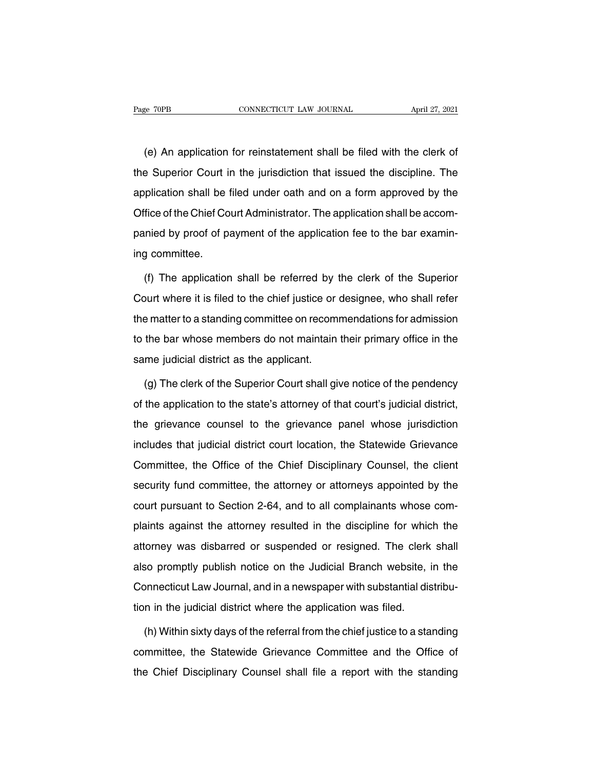(e) The condition for reinstatement shall be filed with the clerk of the Superior Court in the jurisdiction that issued the discipline. The The Superior Court in the jurisdiction that issued the discipline. The application shall be filed under oath and on a form approved by the superior Superior Superior shall be filed under oath and on a form approved by the (e) An application for reinstatement shall be filed with the clerk of<br>the Superior Court in the jurisdiction that issued the discipline. The<br>application shall be filed under oath and on a form approved by the<br>Office of the (e) An application for reinstatement shall be filed with the clerk of<br>the Superior Court in the jurisdiction that issued the discipline. The<br>application shall be filed under oath and on a form approved by the<br>Office of the the Superior Court in the jurisdiction that issued the discipline. The application shall be filed under oath and on a form approved by the Office of the Chief Court Administrator. The application shall be accompanied by pr application shall be<br>application shall be<br>Office of the Chief Co<br>panied by proof of p<br>ing committee.<br>(f) The application Fice of the Chief Court Administrator. The application shall be accommined by proof of payment of the application fee to the bar examin-<br>g committee.<br>(f) The application shall be referred by the clerk of the Superior<br>burt

panied by proof of payment of the application fee to the bar examin-<br>ing committee.<br>(f) The application shall be referred by the clerk of the Superior<br>Court where it is filed to the chief justice or designee, who shall ref ing committee.<br>
(f) The application shall be referred by the clerk of the Superior<br>
Court where it is filed to the chief justice or designee, who shall refer<br>
the matter to a standing committee on recommendations for admis (f) The application shall be referred by the clerk of the Superior<br>Court where it is filed to the chief justice or designee, who shall refer<br>the matter to a standing committee on recommendations for admission<br>to the bar wh (i) the application shall be referred by<br>Court where it is filed to the chief justice or<br>the matter to a standing committee on recom<br>to the bar whose members do not maintain<br>same judicial district as the applicant.<br>(a) The e matter to a standing committee on recommendations for admission<br>the bar whose members do not maintain their primary office in the<br>me judicial district as the applicant.<br>(g) The clerk of the Superior Court shall give noti

to the bar whose members do not maintain their primary office in the<br>same judicial district as the applicant.<br>(g) The clerk of the Superior Court shall give notice of the pendency<br>of the application to the state's attorney same judicial district as the applicant.<br>
(g) The clerk of the Superior Court shall give notice of the pendency<br>
of the application to the state's attorney of that court's judicial district,<br>
the grievance counsel to the g (g) The clerk of the Superior Court shall give notice of the pendency<br>of the application to the state's attorney of that court's judicial district,<br>the grievance counsel to the grievance panel whose jurisdiction<br>includes t (g) the sign of the Dependit Seart shall give holde of the pendency<br>of the application to the state's attorney of that court's judicial district,<br>the grievance counsel to the grievance panel whose jurisdiction<br>includes tha security and committee in the state of attentity or and counterpation includes that judicial district court location, the Statewide Grievance<br>Committee, the Office of the Chief Disciplinary Counsel, the client<br>security fun the grievance counsel to the grievance panel whose jurisdiction<br>includes that judicial district court location, the Statewide Grievance<br>Committee, the Office of the Chief Disciplinary Counsel, the client<br>security fund comm Committee, the Office of the Chief Disciplinary Counsel, the client<br>security fund committee, the attorney or attorneys appointed by the<br>court pursuant to Section 2-64, and to all complainants whose com-<br>plaints against the security fund committee, the attorney or attorneys appointed by the court pursuant to Section 2-64, and to all complainants whose complaints against the attorney resulted in the discipline for which the attorney was disbar count pursuant to Section 2-64, and to all complainants whose complaints against the attorney resulted in the discipline for which the attorney was disbarred or suspended or resigned. The clerk shall also promptly publish plaints against the attorney resulted in the discipline for which the attorney was disbarred or suspended or resigned. The clerk shall also promptly publish notice on the Judicial Branch website, in the Connecticut Law Jo planne against the attorney resalted in the distipline for while<br>attorney was disbarred or suspended or resigned. The clerk<br>also promptly publish notice on the Judicial Branch website, if<br>Connecticut Law Journal, and in a (a) so promptly publish notice on the Judicial Branch website, in the promecticut Law Journal, and in a newspaper with substantial distribu-<br>in in the judicial district where the application was filed.<br>(h) Within sixty day

Connecticut Law Journal, and in a newspaper with substantial distribution in the judicial district where the application was filed.<br>
(h) Within sixty days of the referral from the chief justice to a standing<br>
committee, th tion in the judicial district where the application was filed.<br>
(h) Within sixty days of the referral from the chief justice to a standing<br>
committee, the Statewide Grievance Committee and the Office of<br>
the Chief Discipli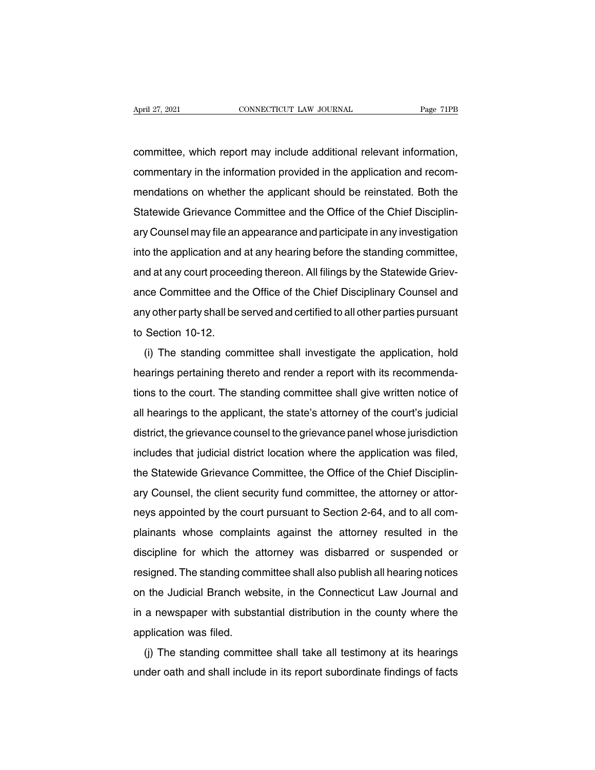April 27, 2021 CONNECTICUT LAW JOURNAL Page 71PB<br>
committee, which report may include additional relevant information,<br>
commentary in the information provided in the application and recom-April 27, 2021 CONNECTICUT LAW JOURNAL Page 71PB<br>committee, which report may include additional relevant information,<br>commentary in the information provided in the application and recom-<br>mendations on whether the applicant committee, which report may include additional relevant information,<br>commentary in the information provided in the application and recom-<br>mendations on whether the applicant should be reinstated. Both the<br>Statewide Grievan committee, which report may include additional relevant information,<br>commentary in the information provided in the application and recom-<br>mendations on whether the applicant should be reinstated. Both the<br>Statewide Grievan commentary in the information provided in the application and recom-<br>mendations on whether the applicant should be reinstated. Both the<br>Statewide Grievance Committee and the Office of the Chief Disciplin-<br>ary Counsel may f commentary in the information provided in the application and recom-<br>mendations on whether the applicant should be reinstated. Both the<br>Statewide Grievance Committee and the Office of the Chief Disciplin-<br>ary Counsel may f Statewide Grievance Committee and the Office of the Chief Disciplinary Counsel may file an appearance and participate in any investigation<br>into the application and at any hearing before the standing committee,<br>and at any c But a committee and the Office of the Office Disciplin-<br>ary Counsel may file an appearance and participate in any investigation<br>into the application and at any hearing before the standing committee,<br>and at any court procee any ocunsermay me an appearance and panticipate many investigation<br>into the application and at any hearing before the standing committee,<br>and at any court proceeding thereon. All filings by the Statewide Griev-<br>ance Commit and at any court procee<br>ance Committee and the<br>any other party shall be<br>to Section 10-12.<br>(i) The standing con (i) The standing the served and certified to all other parties pursuant<br>Section 10-12.<br>(i) The standing committee shall investigate the application, hold<br>arings pertaining thereto and render a report with its recommenda-

ance Committee and the Office of the Office Disciplinary Counser and<br>any other party shall be served and certified to all other parties pursuant<br>to Section 10-12.<br>(i) The standing committee shall investigate the applicatio to Section 10-12.<br>
(i) The standing committee shall investigate the application, hold<br>
hearings pertaining thereto and render a report with its recommenda-<br>
tions to the court. The standing committee shall give written not (i) The standing committee shall investigate the application, hold<br>hearings pertaining thereto and render a report with its recommenda-<br>tions to the court. The standing committee shall give written notice of<br>all hearings t (i) The standing committee shall investigate the application, hold<br>hearings pertaining thereto and render a report with its recommenda-<br>tions to the court. The standing committee shall give written notice of<br>all hearings t rearings pertaining thereto and render a report with its recommenda-<br>tions to the court. The standing committee shall give written notice of<br>all hearings to the applicant, the state's attorney of the court's judicial<br>distr all hearings to the eouri. The standing committee shall give whiten notice of all hearings to the applicant, the state's attorney of the court's judicial district, the grievance counsel to the grievance panel whose jurisdi ari riearings to the applicant, the state's attorney or the court's judicial<br>district, the grievance counsel to the grievance panel whose jurisdiction<br>includes that judicial district location where the application was file includes that judicial district location where the application was filed,<br>the Statewide Grievance Committee, the Office of the Chief Disciplin-<br>ary Counsel, the client security fund committee, the attorney or attor-<br>neys a mentates that judicial district location where the application was filed,<br>the Statewide Grievance Committee, the Office of the Chief Disciplin-<br>ary Counsel, the client security fund committee, the attorney or attor-<br>neys a ary Counsel, the client security fund committee, the attorney or attor-<br>neys appointed by the court pursuant to Section 2-64, and to all com-<br>plainants whose complaints against the attorney resulted in the<br>discipline for w ary Counser, the chent security fund committee, the attorney or attor-<br>neys appointed by the court pursuant to Section 2-64, and to all com-<br>plainants whose complaints against the attorney resulted in the<br>discipline for wh rieys appointed by the court pursuant to Section 2-04, and to all com-<br>plainants whose complaints against the attorney resulted in the<br>discipline for which the attorney was disbarred or suspended or<br>resigned. The standing plantarits whose complaints against the attomey resulted in the<br>discipline for which the attorney was disbarred or suspended or<br>resigned. The standing committee shall also publish all hearing notices<br>on the Judicial Branch Figure for which the and<br>resigned. The standing com<br>on the Judicial Branch wel<br>in a newspaper with subst<br>application was filed.<br>(j) The standing committ (i) The standing committee shall also publish all freaming holices<br>a the Judicial Branch website, in the Connecticut Law Journal and<br>a newspaper with substantial distribution in the county where the<br>plication was filed.<br>(i under oath and shall include in its report subordinate findings of facts<br>under oath and shall include in its report subordinate findings of facts<br>under oath and shall include in its report subordinate findings of facts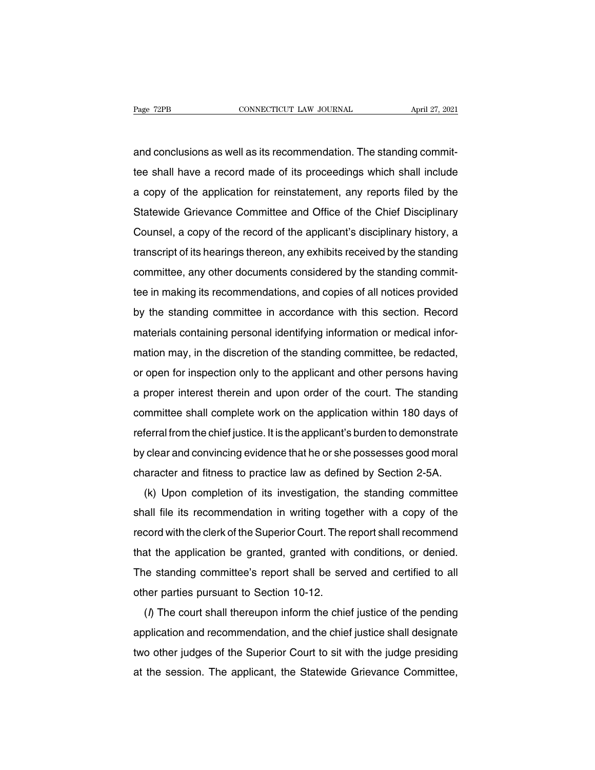Page 72PB<br>
CONNECTICUT LAW JOURNAL<br>
and conclusions as well as its recommendation. The standing commit-<br>
tee shall have a record made of its proceedings which shall include Fage 72PB CONNECTICUT LAW JOURNAL April 27, 2021<br>and conclusions as well as its recommendation. The standing commit-<br>tee shall have a record made of its proceedings which shall include<br>a copy of the application for reinsta and conclusions as well as its recommendation. The standing commit-<br>tee shall have a record made of its proceedings which shall include<br>a copy of the application for reinstatement, any reports filed by the<br>Statewide Grieva and conclusions as well as its recommendation. The standing commit-<br>tee shall have a record made of its proceedings which shall include<br>a copy of the application for reinstatement, any reports filed by the<br>Statewide Grieva and conclusions as well as its recommendation. The standing commit-<br>tee shall have a record made of its proceedings which shall include<br>a copy of the application for reinstatement, any reports filed by the<br>Statewide Grieva the shall have a recold hade of its proceedings which shall include<br>a copy of the application for reinstatement, any reports filed by the<br>Statewide Grievance Committee and Office of the Chief Disciplinary<br>Counsel, a copy o a copy of the application for refirstatement, any reports filed by the<br>Statewide Grievance Committee and Office of the Chief Disciplinary<br>Counsel, a copy of the record of the applicant's disciplinary history, a<br>transcript But Counsel, a copy of the record of the applicant's disciplinary history, a<br>transcript of its hearings thereon, any exhibits received by the standing<br>committee, any other documents considered by the standing commit-<br>tee i bourisel, a copy of the record of the applicant's disciplinary filstory, a<br>transcript of its hearings thereon, any exhibits received by the standing<br>committee, any other documents considered by the standing commit-<br>tee in matiscript of its hearings thereon, any exhibits received by the standing<br>committee in making its recommendations, and copies of all notices provided<br>by the standing committee in accordance with this section. Record<br>materi tee in making its recommendations, and copies of all notices provided<br>by the standing committee in accordance with this section. Record<br>materials containing personal identifying information or medical infor-<br>mation may, in by the standing nommittee in accordance with this section. Record<br>materials containing personal identifying information or medical infor-<br>mation may, in the discretion of the standing committee, be redacted,<br>or open for in by the standing committee in accordance with this section. Hecord<br>materials containing personal identifying information or medical infor-<br>mation may, in the discretion of the standing committee, be redacted,<br>or open for in materials containing personal dentitying information of medical linor-<br>mation may, in the discretion of the standing committee, be redacted,<br>or open for inspection only to the applicant and other persons having<br>a proper in referral from the chief justice. It is the applicant and other persons having<br>a proper interest therein and upon order of the court. The standing<br>committee shall complete work on the application within 180 days of<br>referral by open for inspection only to the applicant and other persons having<br>a proper interest therein and upon order of the court. The standing<br>committee shall complete work on the application within 180 days of<br>referral from th a proper interest therein and upon order of the court. The standing<br>committee shall complete work on the applicant's burden to demonstrate<br>by clear and convincing evidence that he or she possesses good moral<br>character and Formal from the chief justice. It is the applicant's burden to demonstrate<br>clear and convincing evidence that he or she possesses good moral<br>aracter and fitness to practice law as defined by Section 2-5A.<br>(k) Upon completi

shall file its recommendation in writing together with a copy of the record with the clerk of the Superior Court. The report shall recommendation in writing together with a copy of the record with the clerk of the Superior by clear and convincing evidence that the of site possesses good moral<br>character and fitness to practice law as defined by Section 2-5A.<br>(k) Upon completion of its investigation, the standing committee<br>shall file its recom (k) Upon completion of its investigation, the standing committee<br>shall file its recommendation in writing together with a copy of the<br>record with the clerk of the Superior Court. The report shall recommend<br>that the applica (K) Opon completion of its investigation, the standing committee<br>shall file its recommendation in writing together with a copy of the<br>record with the clerk of the Superior Court. The report shall recommend<br>that the applica shan hie its recommendation in whing toget<br>record with the clerk of the Superior Court. The i<br>that the application be granted, granted with<br>The standing committee's report shall be ser<br>other parties pursuant to Section 10at the application be granted, granted with conditions, or denied.<br>
The report shall be served and certified to all<br>
Thereupon inform the chief justice of the pending<br>
(*i*) The court shall thereupon inform the chief justi

The standing committee's report shall be served and certified to all<br>other parties pursuant to Section 10-12.<br>(*I*) The court shall thereupon inform the chief justice of the pending<br>application and recommendation, and the The standing committee's report shall be served and centried to all<br>other parties pursuant to Section 10-12.<br>(*f*) The court shall thereupon inform the chief justice of the pending<br>application and recommendation, and the c other parties pursuant to Section 10-12.<br>
(*l*) The court shall thereupon inform the chief justice of the pending<br>
application and recommendation, and the chief justice shall designate<br>
two other judges of the Superior Cou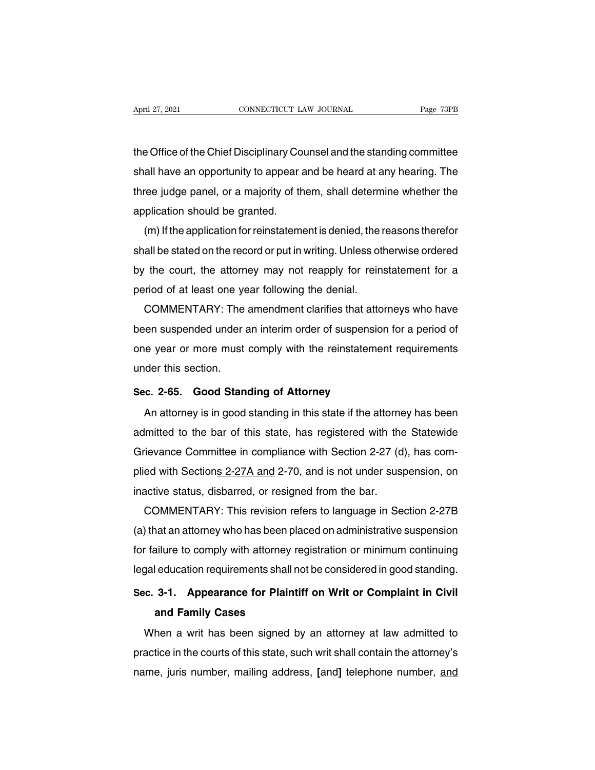April 27, 2021 CONNECTICUT LAW JOURNAL Page 73PB<br>the Office of the Chief Disciplinary Counsel and the standing committee<br>shall have an opportunity to appear and be heard at any hearing. The Shappen 27, 2021<br>
Shappen Connect Trum Journal Dealer 23PB<br>
Shall have an opportunity to appear and be heard at any hearing. The<br>
Shall have an opportunity to appear and be heard at any hearing. The<br>
Shall determine whethe the Office of the Chief Disciplinary Counsel and the standing committee<br>shall have an opportunity to appear and be heard at any hearing. The<br>three judge panel, or a majority of them, shall determine whether the<br>application the Office of the Chief Disciplinary Co<br>shall have an opportunity to appear a<br>three judge panel, or a majority of th<br>application should be granted.<br>(m) If the application for reinstatement E Office of the Criter Disciplinary Couriser and the startung committee<br>all have an opportunity to appear and be heard at any hearing. The<br>ree judge panel, or a majority of them, shall determine whether the<br>plication shoul

shall have an opportunity to appear and be heard at any hearing. The<br>three judge panel, or a majority of them, shall determine whether the<br>application should be granted.<br>(m) If the application for reinstatement is denied, three judge panel, or a majority of them, shall determine whether the<br>application should be granted.<br>(m) If the application for reinstatement is denied, the reasons therefor<br>shall be stated on the record or put in writing. application should be granted.<br>
(m) If the application for reinstatement is denied, the r<br>
shall be stated on the record or put in writing. Unless otl<br>
by the court, the attorney may not reapply for rein-<br>
period of at lea (iii) if the application for refirstatement is defiled, the reasons therefor<br>all be stated on the record or put in writing. Unless otherwise ordered<br>the court, the attorney may not reapply for reinstatement for a<br>riod of a

shall be stated on the record or put in whiting. Onless otherwise ordered<br>by the court, the attorney may not reapply for reinstatement for a<br>period of at least one year following the denial.<br>COMMENTARY: The amendment clari by the court, the attorney may not reapply for reinstatement for a<br>period of at least one year following the denial.<br>COMMENTARY: The amendment clarifies that attorneys who have<br>been suspended under an interim order of susp period of at least one ye<br>COMMENTARY: The<br>been suspended under a<br>one year or more must<br>under this section.<br>Sec. 2-65. Good Stan **Sec.** suspended under an interim order of suspension<br>one year or more must comply with the reinstatemer<br>under this section.<br>**Sec. 2-65. Good Standing of Attorney**<br>An attorney is in good standing in this state if the att Figure 1.1 The year or more must comply with the reinstatement requirements<br>
An attorney is in good standing of Attorney<br>
An attorney is in good standing in this state if the attorney has been<br>
Imitted to the bar of this s

and this section.<br>
Sec. 2-65. Good Standing of Attorney<br>
An attorney is in good standing in this state if the attorney has been<br>
admitted to the bar of this state, has registered with the Statewide<br>
Grievance Committee in Sec. 2-65. Good Standing of Attorney<br>An attorney is in good standing in this state if the attorney has been<br>admitted to the bar of this state, has registered with the Statewide<br>Grievance Committee in compliance with Sectio Sec. 2-03. Good Standing of Attorney<br>An attorney is in good standing in this state if the attorney has been<br>admitted to the bar of this state, has registered with the Statewide<br>Grievance Committee in compliance with Sectio An attorney is in good standing in this state if the attorne<br>admitted to the bar of this state, has registered with the<br>Grievance Committee in compliance with Section 2-27 (d<br>plied with Sections 2-27A and 2-70, and is not initied to the bar of this state, has registered with the Statewide<br>ievance Committee in compliance with Section 2-27 (d), has com-<br>ed with Sections 2-27A and 2-70, and is not under suspension, on<br>active status, disbarred,

Grievance Committee in compilance with Section 2-27 (d), has complied with Sections 2-27A and 2-70, and is not under suspension, on inactive status, disbarred, or resigned from the bar.<br>COMMENTARY: This revision refers to plied with Sections 2-27A and 2-70, and is not under suspension, on<br>inactive status, disbarred, or resigned from the bar.<br>COMMENTARY: This revision refers to language in Section 2-27B<br>(a) that an attorney who has been plac Inactive status, disbarred, or resigned from the bar.<br>
COMMENTARY: This revision refers to language in Section 2-27B<br>
(a) that an attorney who has been placed on administrative suspension<br>
for failure to comply with attorn **Summarity with the forecent sector of any days in Section 2.27.2**<br>
(a) that an attorney who has been placed on administrative suspension<br>
for failure to comply with attorney registration or minimum continuing<br>
legal educa and an alterney this has seen pland<br>ailure to comply with attorney reducation requirements shall not<br>**3-1.** Appearance for Plaintiand Family Cases<br>hen a writ has been signed b

gal education requirements shall not be considered in good standing.<br> **E. 3-1. Appearance for Plaintiff on Writ or Complaint in Civil**<br> **and Family Cases**<br>
When a writ has been signed by an attorney at law admitted to<br>
act Sec. 3-1. Appearance for Plaintiff on Writ or Complaint in Civil<br>and Family Cases<br>When a writ has been signed by an attorney at law admitted to<br>practice in the courts of this state, such writ shall contain the attorney's<br>n and Family Cases<br>and Family Cases<br>When a writ has been signed by an attorney at law admitted to<br>practice in the courts of this state, such writ shall contain the attorney's<br>name, juris number, mailing address, [and] teleph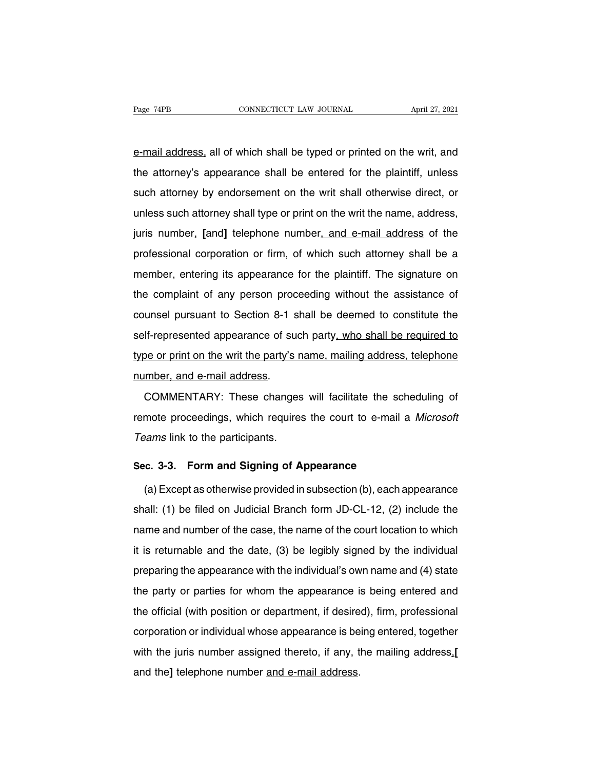Page 74PB CONNECTICUT LAW JOURNAL April 27, 2021<br>
e-mail address, all of which shall be typed or printed on the writ, and<br>
the attorney's appearance shall be entered for the plaintiff, unless The attorney's appearance shall be typed or printed on the writ, and<br>the attorney's appearance shall be entered for the plaintiff, unless<br>such attorney by endorsement on the writ shall otherwise direct, or e-mail address, all of which shall be typed or printed on the writ, and<br>the attorney's appearance shall be entered for the plaintiff, unless<br>such attorney by endorsement on the writ shall otherwise direct, or<br>unless such a e-mail address, all of which shall be typed or printed on the writ, and<br>the attorney's appearance shall be entered for the plaintiff, unless<br>such attorney by endorsement on the writ shall otherwise direct, or<br>unless such a In the attorney's appearance shall be entered for the plaintiff, unless<br>such attorney by endorsement on the writ shall otherwise direct, or<br>unless such attorney shall type or print on the writ the name, address,<br>juris numb such attorney by endorsement on the writ shall otherwise direct, or<br>unless such attorney shall type or print on the writ the name, address,<br>juris number, [and] telephone number, and e-mail address of the<br>professional corpo unless such attorney shall type or print on the writ the name, address,<br>juris number, [and] telephone number, and e-mail address of the<br>professional corporation or firm, of which such attorney shall be a<br>member, entering i juris number, [and] telephone number, and e-mail address of the professional corporation or firm, of which such attorney shall be a member, entering its appearance for the plaintiff. The signature on the complaint of any p professional corporation or firm, of which such attorney shall be a<br>member, entering its appearance for the plaintiff. The signature on<br>the complaint of any person proceeding without the assistance of<br>counsel pursuant to S member, entering its appearance for the plaintiff. The signature on<br>the complaint of any person proceeding without the assistance of<br>counsel pursuant to Section 8-1 shall be deemed to constitute the<br>self-represented appear the complaint of any person proceeding without the assistance of<br>the complaint of any person proceeding without the assistance of<br>counsel pursuant to Section 8-1 shall be deemed to constitute the<br>self-represented appearanc and complaint of any poteon procedured counsel pursuant to Section 8-1 s<br>self-represented appearance of su<br>type or print on the writ the party's<br>number, and e-mail address.<br>COMMENTARY: These change If-represented appearance of such party, who shall be required to<br>be or print on the writ the party's name, mailing address, telephone<br>imber, and e-mail address.<br>COMMENTARY: These changes will facilitate the scheduling of<br>

represence appearance of each party<u><sub>1</sub> mits shall be required to</u><br>type or print on the writ the party's name, mailing address, telephone<br>number, and e-mail address.<br>COMMENTARY: These changes will facilitate the scheduling The community of the mail address.<br>
COMMENTARY: These changes<br>
remote proceedings, which requires<br>
Teams link to the participants. COMMENTARY: These changes will facilitate the sch<br>remote proceedings, which requires the court to e-mail a<br>Teams link to the participants.<br>Sec. 3-3. Form and Signing of Appearance<br>(a) Except as otherwise provided in subsec mote proceedings, which requires the court to e-mail a *Microsoft*<br>
eams link to the participants.<br> **c. 3-3. Form and Signing of Appearance**<br>
(a) Except as otherwise provided in subsection (b), each appearance<br>
all: (1) be

Teams link to the participants.<br>
Sec. 3-3. Form and Signing of Appearance<br>
(a) Except as otherwise provided in subsection (b), each appearance<br>
shall: (1) be filed on Judicial Branch form JD-CL-12, (2) include the<br>
name an Sec. 3-3. Form and Signing of Appearance<br>
(a) Except as otherwise provided in subsection (b), each appearance<br>
shall: (1) be filed on Judicial Branch form JD-CL-12, (2) include the<br>
name and number of the case, the name of (a) Except as otherwise provided in subsection (b), each appearance<br>shall: (1) be filed on Judicial Branch form JD-CL-12, (2) include the<br>name and number of the case, the name of the court location to which<br>it is returnab shall: (1) be filed on Judicial Branch form JD-CL-12, (2) include the name and number of the case, the name of the court location to which it is returnable and the date, (3) be legibly signed by the individual preparing t the party or parties for whom the appearance is being entered and the party or parties for whom the appearance is being entered and the party or parties for whom the appearance is being entered and the official (with posi the official (with position or department, if desired), firm, professional corporation or individual whose appearance is being entered and the official (with position or department, if desired), firm, professional corporat preparing the appearance with the individual's own name and (4) state<br>the party or parties for whom the appearance is being entered and<br>the official (with position or department, if desired), firm, professional<br>corporation propulsing the appearance with the individual of extintantle and (1) state<br>the party or parties for whom the appearance is being entered and<br>the official (with position or department, if desired), firm, professional<br>corpor the official (with position or department, if desire<br>corporation or individual whose appearance is be<br>with the juris number assigned thereto, if any, t<br>and the] telephone number <u>and e-mail address</u>.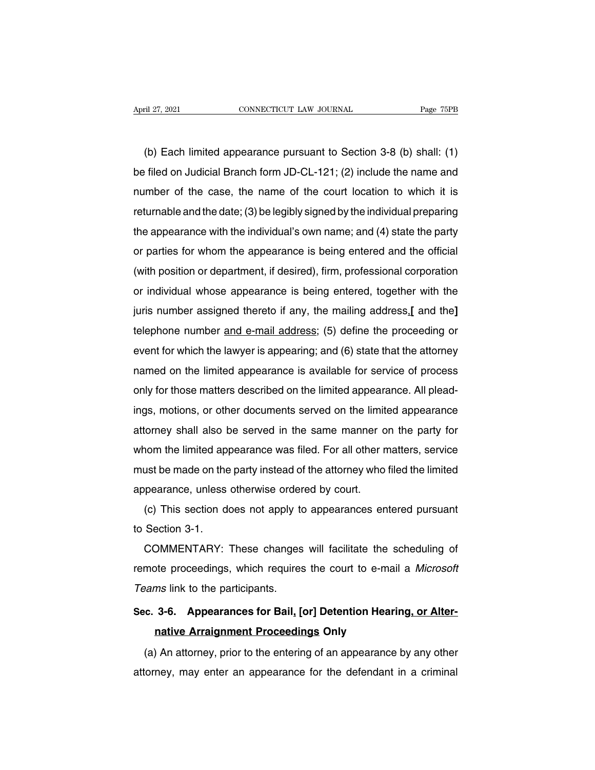(b) Each limited appearance pursuant to Section 3-8 (b) shall: (1)<br>
(b) Each limited appearance pursuant to Section 3-8 (b) shall: (1)<br>
Filed on Judicial Branch form JD-CL-121; (2) include the name and April 27, 2021 CONNECTICUT LAW JOURNAL Page 75PB<br>
(b) Each limited appearance pursuant to Section 3-8 (b) shall: (1)<br>
be filed on Judicial Branch form JD-CL-121; (2) include the name and<br>
number of the case, the name of th (b) Each limited appearance pursuant to Section 3-8 (b) shall: (1)<br>be filed on Judicial Branch form JD-CL-121; (2) include the name and<br>number of the case, the name of the court location to which it is<br>returnable and the d (b) Each limited appearance pursuant to Section 3-8 (b) shall: (1)<br>be filed on Judicial Branch form JD-CL-121; (2) include the name and<br>number of the case, the name of the court location to which it is<br>returnable and the (b) Each limited appearance pursuant to section 3-6 (b) shall. (1)<br>be filed on Judicial Branch form JD-CL-121; (2) include the name and<br>number of the case, the name of the court location to which it is<br>returnable and the be fired on Judicial Branch form JD-CL-121, (2) include the name and<br>number of the case, the name of the court location to which it is<br>returnable and the date; (3) be legibly signed by the individual preparing<br>the appeara Frammer of the case, the hame of the court location to which it is<br>returnable and the date; (3) be legibly signed by the individual preparing<br>the appearance with the individual's own name; and (4) state the party<br>or partie refurnable and the date, (3) be legibly sighed by the individual preparing<br>the appearance with the individual's own name; and (4) state the party<br>or parties for whom the appearance is being entered and the official<br>(with p Interappearance win the murvidual sown haine, and (4) state the party<br>or parties for whom the appearance is being entered and the official<br>(with position or department, if desired), firm, professional corporation<br>or indivi or parties for whom the appearance is being entered and the onicial<br>(with position or department, if desired), firm, professional corporation<br>or individual whose appearance is being entered, together with the<br>juris number (with position of department, if desired), fifth, professional corporation<br>or individual whose appearance is being entered, together with the<br>juris number assigned thereto if any, the mailing address.[ and the]<br>telephone n or murvidual wridse appearance is being entered, together with the<br>juris number assigned thereto if any, the mailing address.[ and the]<br>telephone number and e-mail address; (5) define the proceeding or<br>event for which the delephone number assigned thereto if any, the mailing address, and the delephone number and e-mail address; (5) define the proceeding or event for which the lawyer is appearing; and (6) state that the attorney named on the ideleptione number and e-mail addless, (3) define the proceeding or<br>event for which the lawyer is appearing; and (6) state that the attorney<br>named on the limited appearance is available for service of process<br>only for thos event for which the lawyer is appearing, and (b) state that the attorney<br>named on the limited appearance is available for service of process<br>only for those matters described on the limited appearance. All plead-<br>ings, moti riantied on the limited appearance is available for service of process<br>only for those matters described on the limited appearance. All plead-<br>ings, motions, or other documents served on the limited appearance<br>attorney shal only for those matters described on the limited appearance. All pleadings, motions, or other documents served on the limited appearance attorney shall also be served in the same manner on the party for whom the limited app rigs, motions, or other documents served on the limite<br>attorney shall also be served in the same manner of<br>whom the limited appearance was filed. For all other not<br>must be made on the party instead of the attorney who<br>appe (c) This section does not apply to appearances entered pursuant Section 3-1. whom the immed app<br>must be made on the<br>appearance, unless<br>(c) This section do<br>to Section 3-1.<br>COMMENTARY:

dist be made on the party instead of the attorney who hied the immedipearance, unless otherwise ordered by court.<br>(c) This section does not apply to appearances entered pursuant<br>Section 3-1.<br>COMMENTARY: These changes will appearance, unless otherwise ordered by court.<br>
(c) This section does not apply to appearances entered pursuant<br>
to Section 3-1.<br>
COMMENTARY: These changes will facilitate the scheduling of<br>
remote proceedings, which requi (c) This section does not apply to<br>to Section 3-1.<br>COMMENTARY: These changes<br>remote proceedings, which requires<br>Teams link to the participants.<br>Sec. 3-6. Appearances for Bail, [6] **SECOMMENTARY:** These changes will facilitate the scheduling of<br>remote proceedings, which requires the court to e-mail a *Microsoft*<br>Teams link to the participants.<br>Sec. 3-6. Appearances for Bail, [or] Detention Hearing, o COMMENTARY: These changes will facilitate the scheduling of<br>remote proceedings, which requires the court to e-mail a *Microsoft*<br>Teams link to the participants.<br>Sec. 3-6. Appearances for Bail, [or] Detention Hearing, or Al

(a) An attorney, prior to the entering of an appearance by any other<br>
(a) An attorney, prior to the entering of an appearance by any other<br>
(a) An attorney, prior to the entering of an appearance by any other<br>
torney, may Sec. 3-6. Appearances for Bail, [or] Detention Hearing, or Alter-<br>native Arraignment Proceedings Only<br>(a) An attorney, prior to the entering of an appearance by any other<br>attorney, may enter an appearance for the defendant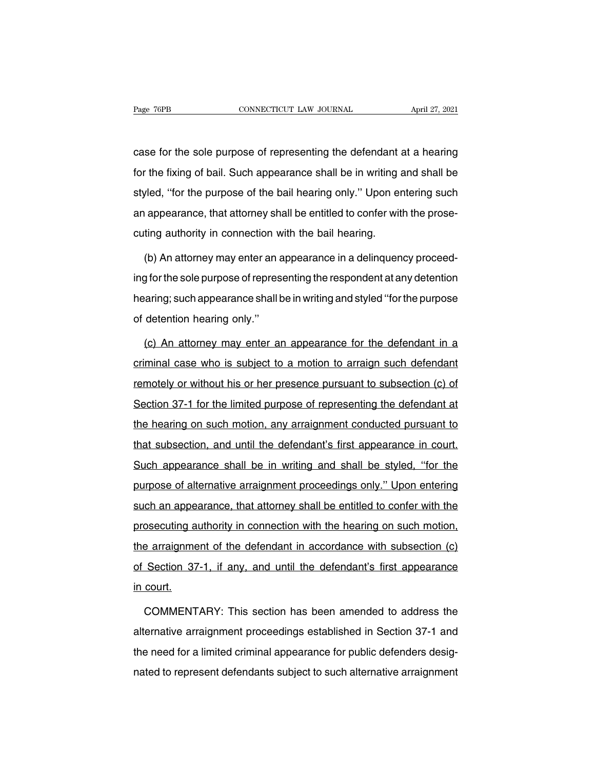Page 76PB<br>
connectricut LAW JOURNAL<br>
case for the sole purpose of representing the defendant at a hearing<br>
for the fixing of bail. Such appearance shall be in writing and shall be Fage 76PB CONNECTICUT LAW JOURNAL April 27, 2021<br>
case for the sole purpose of representing the defendant at a hearing<br>
for the fixing of bail. Such appearance shall be in writing and shall be<br>
styled, "for the purpose of case for the sole purpose of representing the defendant at a hearing<br>for the fixing of bail. Such appearance shall be in writing and shall be<br>styled, "for the purpose of the bail hearing only." Upon entering such<br>an appear case for the sole purpose of representing the defendant at a hearing<br>for the fixing of bail. Such appearance shall be in writing and shall be<br>styled, "for the purpose of the bail hearing only." Upon entering such<br>an appear for the fixing of bail. Such appearance shall be in writing a<br>styled, "for the purpose of the bail hearing only." Upon er<br>an appearance, that attorney shall be entitled to confer wit<br>cuting authority in connection with the red, "for the purpose of the bail hearing only." Upon entering such<br>appearance, that attorney shall be entitled to confer with the prose-<br>ting authority in connection with the bail hearing.<br>(b) An attorney may enter an app

ing appearance, that attorney shall be entitled to confer with the prose-<br>cuting authority in connection with the bail hearing.<br>(b) An attorney may enter an appearance in a delinquency proceed-<br>ing for the sole purpose of cuting authority in connection with the bail hearing.<br>
(b) An attorney may enter an appearance in a delinquency proceed-<br>
ing for the sole purpose of representing the respondent at any detention<br>
hearing; such appearance s (b) An attorney may enter an a<br>ing for the sole purpose of repres<br>hearing; such appearance shall lof detention hearing only."<br>(c) An attorney may enter a g for the sole purpose of representing the respondent at any detention<br>aring; such appearance shall be in writing and styled "for the purpose<br>detention hearing only."<br>(c) An attorney may enter an appearance for the defenda

bearing; such appearance shall be in writing and styled "for the purpose<br>of detention hearing only."<br>(c) An attorney may enter an appearance for the defendant in a<br>criminal case who is subject to a motion to arraign such d of detention hearing only."<br>
(c) An attorney may enter an appearance for the defendant in a<br>
criminal case who is subject to a motion to arraign such defendant<br>
remotely or without his or her presence pursuant to subsectio (c) An attorney may enter an appearance for the defendant in a criminal case who is subject to a motion to arraign such defendant remotely or without his or her presence pursuant to subsection (c) of Section 37-1 for the l criminal case who is subject to a motion to arraign such defendant<br>remotely or without his or her presence pursuant to subsection (c) of<br>Section 37-1 for the limited purpose of representing the defendant at<br>the hearing on termotely or without his or her presence pursuant to subsection (c) of Section 37-1 for the limited purpose of representing the defendant at the hearing on such motion, any arraignment conducted pursuant to that subsection Section 37-1 for the limited purpose of representing the defendant at<br>the hearing on such motion, any arraignment conducted pursuant to<br>that subsection, and until the defendant's first appearance in court.<br>Such appearance the hearing on such motion, any arraignment conducted pursuant to<br>that subsection, and until the defendant's first appearance in court.<br>Such appearance shall be in writing and shall be styled, "for the<br>purpose of alternati that subsection, and until the defendant's first appearance in court.<br>Such appearance shall be in writing and shall be styled, "for the<br>purpose of alternative arraignment proceedings only." Upon entering<br>such an appearance such appearance shall be in writing and shall be styled, "for the purpose of alternative arraignment proceedings only." Upon entering such an appearance, that attorney shall be entitled to confer with the prosecuting autho purpose of alternative arraignment proceedings only." Upon entering<br>such an appearance, that attorney shall be entitled to confer with the<br>prosecuting authority in connection with the hearing on such motion,<br>the arraignmen such an appearance, that attorney shall be entitled to confer with the prosecuting authority in connection with the hearing on such motion, the arraignment of the defendant in accordance with subsection (c) of Section 37-1 <u>odon an apporting</u><br>prosecuting a<br>the arraignme<br>of Section 37<br>in court. e arraignment of the defendant in accordance with subsection (c)<br>Section 37-1, if any, and until the defendant's first appearance<br>court.<br>COMMENTARY: This section has been amended to address the<br>ernative arraignment proceed

of Section 37-1, if any, and until the defendant's first appearance<br>in court.<br>COMMENTARY: This section has been amended to address the<br>alternative arraignment proceedings established in Section 37-1 and<br>the need for a limi in court.<br>COMMENTARY: This section has been amended to address the<br>alternative arraignment proceedings established in Section 37-1 and<br>the need for a limited criminal appearance for public defenders desig-<br>nated to represe COMMENTARY: This section has been amended to address the<br>alternative arraignment proceedings established in Section 37-1 and<br>the need for a limited criminal appearance for public defenders desig-<br>nated to represent defenda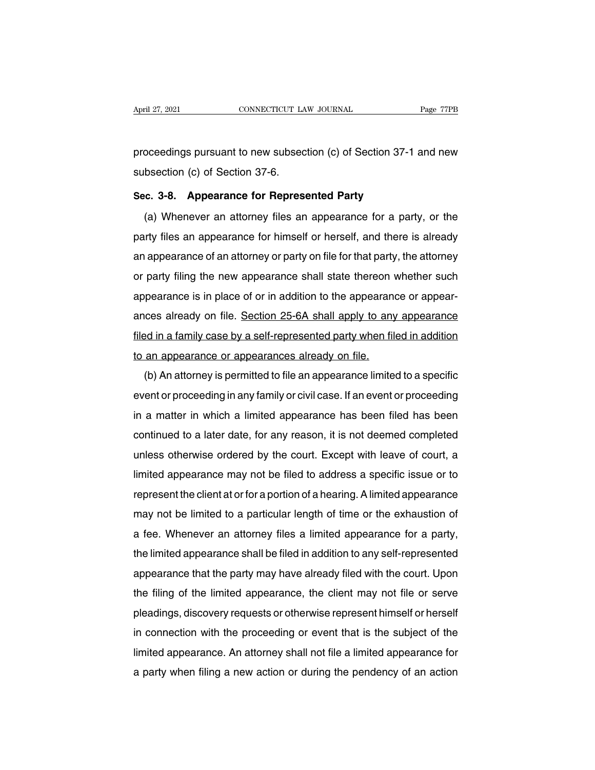April 27, 2021 CONNECTICUT LAW JOURNAL Page 77PB<br>proceedings pursuant to new subsection (c) of Section 37-1 and new<br>subsection (c) of Section 37-6. April 27, 2021<br>
connectricut LA<br>
proceedings pursuant to new subsec<br>
subsection (c) of Section 37-6.<br>
Sec. 3-8. Appearance for Repres proceedings pursuant to new subsection (c) of Section 37-1<br>subsection (c) of Section 37-6.<br>**Sec. 3-8. Appearance for Represented Party**<br>(a) Whenever an attorney files an appearance for a part

oceedings pursuant to new subsection (c) of Section 37-1 and new<br>bsection (c) of Section 37-6.<br>c. **3-8. Appearance for Represented Party**<br>(a) Whenever an attorney files an appearance for a party, or the<br>rity files an appea subsection (c) of Section 37-6.<br>
Sec. 3-8. Appearance for Represented Party<br>
(a) Whenever an attorney files an appearance for a party, or the<br>
party files an appearance for himself or herself, and there is already<br>
an appe Sec. 3-8. Appearance for Represented Party<br>
(a) Whenever an attorney files an appearance for a party, or the<br>
party files an appearance for himself or herself, and there is already<br>
an appearance of an attorney or party on (a) Whenever an attorney files an appearance for a party, or the party files an appearance for himself or herself, and there is already an appearance of an attorney or party on file for that party, the attorney or party fi (a) Whenever an attorney files an appearance for a party, or the party files an appearance for himself or herself, and there is already an appearance of an attorney or party on file for that party, the attorney or party fi party files an appearance for filmself of fierself, and there is already<br>an appearance of an attorney or party on file for that party, the attorney<br>or party filing the new appearance shall state thereon whether such<br>appear an appearance or an attorney or party on the format party, the attorney<br>or party filing the new appearance shall state thereon whether such<br>appearance is in place of or in addition to the appearance or appearance<br>filed in or party ining the new appearance shall state thereon appearance is in place of or in addition to the appearance<br>ances already on file. Section 25-6A shall apply to any<br>filed in a family case by a self-represented party wh bearance is in place of of in addition to the appearance of appear-<br>ces already on file. Section 25-6A shall apply to any appearance<br>ed in a family case by a self-represented party when filed in addition<br>an appearance or a

filed in a family case by a self-represented party when filed in addition<br>to an appearance or appearances already on file.<br>(b) An attorney is permitted to file an appearance limited to a specific<br>event or proceeding in any In a mannifed and a limit a limit of the set of a sen-represented party when thed in addition<br>to an appearance or appearances already on file.<br>(b) An attorney is permitted to file an appearance limited to a specific<br>event (b) An attorney is permitted to file an appearance limited to a specific<br>event or proceeding in any family or civil case. If an event or proceeding<br>in a matter in which a limited appearance has been filed has been<br>continue (b) Arrationiey is permitted to the arrappearance infined to a specific<br>event or proceeding in any family or civil case. If an event or proceeding<br>in a matter in which a limited appearance has been filed has been<br>continued event or proceeding in any lamity or civilicase. It all event or proceeding<br>in a matter in which a limited appearance has been filed has been<br>continued to a later date, for any reason, it is not deemed completed<br>unless oth represent the client at the client at or for any reason, it is not deemed completed<br>unless otherwise ordered by the court. Except with leave of court, a<br>limited appearance may not be filed to address a specific issue or to continued to a fater date, for any reason, it is not deemed completed<br>unless otherwise ordered by the court. Except with leave of court, a<br>limited appearance may not be filed to address a specific issue or to<br>represent the dimited appearance may not be filed to address a specific issue or to<br>represent the client at or for a portion of a hearing. A limited appearance<br>may not be limited to a particular length of time or the exhaustion of<br>a fee Infinied appearance may not be filed to address a specific issue of to<br>represent the client at or for a portion of a hearing. A limited appearance<br>may not be limited to a particular length of time or the exhaustion of<br>a fe represent the client at or for a portion of a nearing. A limited appearance<br>may not be limited to a particular length of time or the exhaustion of<br>a fee. Whenever an attorney files a limited appearance for a party,<br>the lim the filing of the limited appearance shall be filed in addition to any self-represented<br>appearance that the party may have already filed with the court. Upon<br>the filing of the limited appearance, the client may not file or a fee. Whenever an attomey files a limited appearance for a party,<br>the limited appearance shall be filed in addition to any self-represented<br>appearance that the party may have already filed with the court. Upon<br>the filing ine immed appearance shall be lied in addition to any self-represented<br>appearance that the party may have already filed with the court. Upon<br>the filing of the limited appearance, the client may not file or serve<br>pleadings, appearance that the party may have already lied with the court. Opon<br>the filing of the limited appearance, the client may not file or serve<br>pleadings, discovery requests or otherwise represent himself or herself<br>in connect the filing of the limited appearance, the client may not file or serve<br>pleadings, discovery requests or otherwise represent himself or herself<br>in connection with the proceeding or event that is the subject of the<br>limited a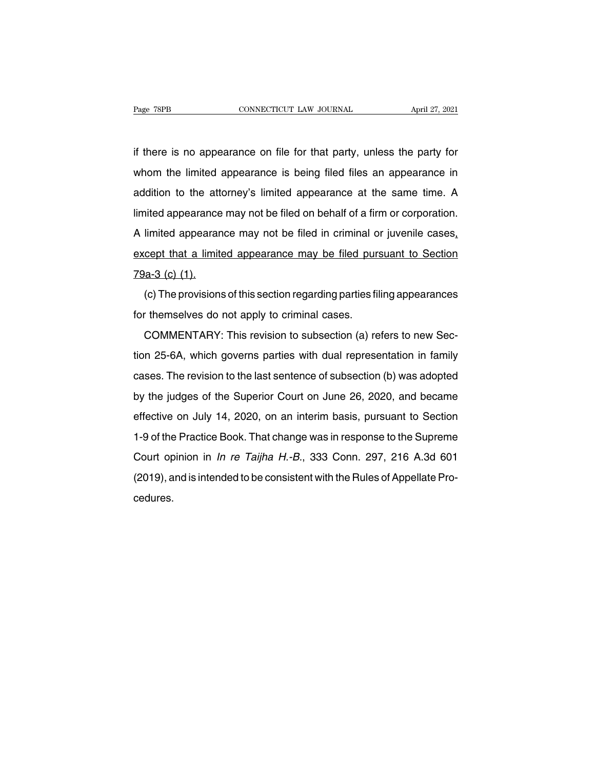Fage 78PB<br>if there is no appearance on file for that party, unless the party for<br>whom the limited appearance is being filed files an appearance in Page 78PB CONNECTICUT LAW JOURNAL April 27, 2021<br>if there is no appearance on file for that party, unless the party for<br>whom the limited appearance is being filed files an appearance in<br>addition to the attorney's limited a if there is no appearance on file for that party, unless the party for<br>whom the limited appearance is being filed files an appearance in<br>addition to the attorney's limited appearance at the same time. A<br>limited appearance if there is no appearance on file for that party, unless the party for<br>whom the limited appearance is being filed files an appearance in<br>addition to the attorney's limited appearance at the same time. A<br>limited appearance Whom the limited appearance is being filed files an appearance in addition to the attorney's limited appearance at the same time. A limited appearance may not be filed on behalf of a firm or corporation.<br>A limited appearan and a limited appearance is boing filed in the same time. A limited appearance may not be filed on behalf of a firm or corporation.<br>A limited appearance may not be filed in criminal or juvenile cases, except that a limited limited appearance<br>A limited appearance<br>except that a limite<br>79a-3 (c) (1).<br>(c) The provisions limited appearance may not be filed in criminal or juvenile cases,<br>cept that a limited appearance may be filed pursuant to Section<br>a-3 (c) (1).<br>(c) The provisions of this section regarding parties filing appearances<br>themse except that a limited appearance may be filed pure<br>T9a-3 (c) (1).<br>(c) The provisions of this section regarding parties fil<br>for themselves do not apply to criminal cases.<br>COMMENTARY: This revision to subsection (a) re

experimant and minimized appositations may be find particular to section<br>a-3 (c) (1).<br>(c) The provisions of this section regarding parties filing appearances<br>r themselves do not apply to criminal cases.<br>COMMENTARY: This re (c) The provisions of this section regarding parties filing appearances<br>for themselves do not apply to criminal cases.<br>COMMENTARY: This revision to subsection (a) refers to new Sec-<br>tion 25-6A, which governs parties with (b) The provisions of and seconomic garang partics limity appositances<br>for themselves do not apply to criminal cases.<br>COMMENTARY: This revision to subsection (a) refers to new Sec-<br>tion 25-6A, which governs parties with du COMMENTARY: This revision to subsection (a) refers to new Section 25-6A, which governs parties with dual representation in family cases. The revision to the last sentence of subsection (b) was adopted by the judges of the dion 25-6A, which governs parties with dual representation in family cases. The revision to the last sentence of subsection (b) was adopted by the judges of the Superior Court on June 26, 2020, and became effective on July Example 15 of the Practice Book. The last sentence of subsection (b) was adopted<br>by the judges of the Superior Court on June 26, 2020, and became<br>effective on July 14, 2020, on an interim basis, pursuant to Section<br>1-9 of by the judges of the Superior Court on June 26, 2020, and became<br>effective on July 14, 2020, on an interim basis, pursuant to Section<br>1-9 of the Practice Book. That change was in response to the Supreme<br>Court opinion in *I* by the judges of the Superior Court on June 26, 2020, and became effective on July 14, 2020, on an interim basis, pursuant to Section 1-9 of the Practice Book. That change was in response to the Supreme Court opinion in *I* cedures.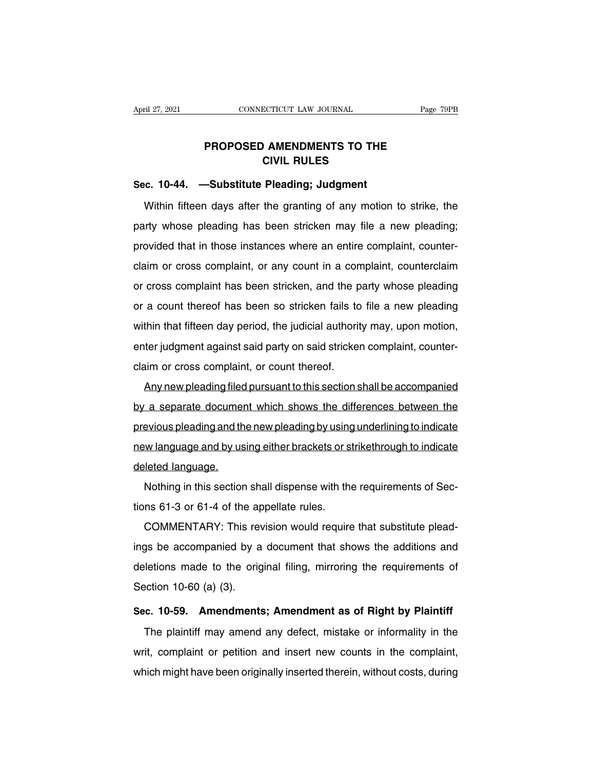## **PAGES CONNECTICUT LAW JOURNAL** Page 79F<br> **PROPOSED AMENDMENTS TO THE<br>
CIVIL RULES ECTICUT LAW JOURNAL<br>
CIVIL RULES<br>
Pleading: Judgment** April 27, 2021 **CONNECTICUT LAW JOURNAL**<br> **PROPOSED AMENDMENTS TO THE**<br> **Sec. 10-44.** —Substitute Pleading; Judgment<br>
Within fifteen days after the granting of any motion t

PROPOSED AMENDMENTS TO THE<br>CIVIL RULES<br>c. 10-44. —Substitute Pleading; Judgment<br>Within fifteen days after the granting of any motion to strike, the<br>rity whose pleading has been stricken may file a new pleading; PHOPOSED AMENDMENTS TO THE<br>CIVIL RULES<br>Sec. 10-44. —Substitute Pleading; Judgment<br>Within fifteen days after the granting of any motion to strike, the<br>party whose pleading has been stricken may file a new pleading;<br>provided Sec. 10-44. —Substitute Pleading; Judgment<br>Within fifteen days after the granting of any motion to strike, the<br>party whose pleading has been stricken may file a new pleading;<br>provided that in those instances where an entir Within fifteen days after the granting of any motion to strike, the<br>party whose pleading has been stricken may file a new pleading;<br>provided that in those instances where an entire complaint, counter-<br>claim or cross compla Whilm likeer days after the granting of any motion to strike, the<br>party whose pleading has been stricken may file a new pleading;<br>provided that in those instances where an entire complaint, counter-<br>claim or cross complain provided that in those instances where an entire complaint, counter-<br>claim or cross complaint, or any count in a complaint, counterclaim<br>or cross complaint has been stricken, and the party whose pleading<br>or a count thereof provided that in those instances where an entire complaint, counter-<br>claim or cross complaint has been stricken, and the party whose pleading<br>or a count thereof has been so stricken fails to file a new pleading<br>within that enter cross complaint, or any count in a complaint, counterclaint<br>or cross complaint has been so stricken, and the party whose pleading<br>or a count thereof has been so stricken fails to file a new pleading<br>within that fifte or cross complaint has been sincken, and the p<br>or a count thereof has been so stricken fails to<br>within that fifteen day period, the judicial authorit<br>enter judgment against said party on said stricker<br>claim or cross compla Any new pleading filed pursuant to this section shall be a riew pleading<br>thin that fifteen day period, the judicial authority may, upon motion,<br>ter judgment against said party on said stricken complaint, counter-<br>aim or cr

whilm that illeter day period, the judicial admonty may, upon motion,<br>enter judgment against said party on said stricken complaint, counter-<br>claim or cross complaint, or count thereof.<br>Any new pleading filed pursuant to th enter judgment against said party on said sincken complaint, counter-<br>claim or cross complaint, or count thereof.<br>Any new pleading filed pursuant to this section shall be accompanied<br>by a separate document which shows the Any new pleading filed pursuant to this section shall be accompanied<br>by a separate document which shows the differences between the<br>previous pleading and the new pleading by using underlining to indicate<br>new language and b Any new preading med<br>by a separate documer<br>previous pleading and th<br>new language and by us<br>deleted language.<br>Nothing in this section Explorate document which shows the differences between the<br>evious pleading and the new pleading by using underlining to indicate<br>w language and by using either brackets or strikethrough to indicate<br>leted language.<br>Nothing previous preading and the new preading by using<br>new language and by using either brackets or state and approach of the appellate rules.<br>Nothing in this section shall dispense with the<br>tions 61-3 or 61-4 of the appellate ru

Manguage and by using enner brackets or strikenhough to indicate<br>eleted language.<br>Nothing in this section shall dispense with the requirements of Sec-<br>ns 61-3 or 61-4 of the appellate rules.<br>COMMENTARY: This revision would Nothing in this section shall dispense with the requirements of Sections 61-3 or 61-4 of the appellate rules.<br>COMMENTARY: This revision would require that substitute plead-<br>ings be accompanied by a document that shows the Nothing in this section shall dispense with the requirements of dec-<br>tions 61-3 or 61-4 of the appellate rules.<br>COMMENTARY: This revision would require that substitute plead-<br>ings be accompanied by a document that shows th COMMENTARY: This reversings be accompanied by a<br>deletions made to the orig<br>Section 10-60 (a) (3).<br>Sec. 10-59. Amendments ings be accompanied by a document that shows the additions and<br>deletions made to the original filing, mirroring the requirements of<br>Section 10-60 (a) (3).<br>**Sec. 10-59. Amendments; Amendment as of Right by Plaintiff**<br>The pl Letions made to the original filing, mirroring the requirements of<br>ection 10-60 (a) (3).<br>c. 10-59. Amendments; Amendment as of Right by Plaintiff<br>The plaintiff may amend any defect, mistake or informality in the<br>it, compla

Section 10-60 (a) (3).<br>Sec. 10-59. Amendments; Amendment as of Right by Plaintiff<br>The plaintiff may amend any defect, mistake or informality in the<br>writ, complaint or petition and insert new counts in the complaint,<br>which Sec. 10-59. Amendments; Amendment as of Right by Plaintiff<br>The plaintiff may amend any defect, mistake or informality in the<br>writ, complaint or petition and insert new counts in the complaint,<br>which might have been origina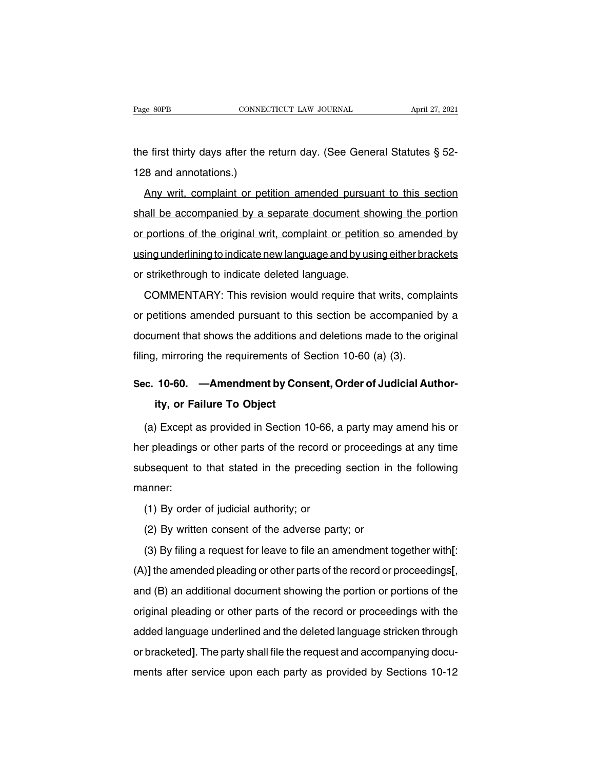The first thirty days after the return day. (See General Statutes § 52-128 and annotations.) Page 80PB<br>
the first thirty days after the<br>
128 and annotations.)<br>
Any writ, complaint or pet

First thirty days after the return day. (See General Statutes § 52-<br>Any writ, complaint or petition amended pursuant to this section<br>all be accompanied by a separate document showing the portion the first thirty days after the return day. (See General Statutes § 52-<br>128 and annotations.)<br>Any writ, complaint or petition amended pursuant to this section<br>shall be accompanied by a separate document showing the portion and annotations.)<br>
Any writ, complaint or petition amended pursuant to this section<br>
shall be accompanied by a separate document showing the portion<br>
or portions of the original writ, complaint or petition so amended by<br>
u Any writ, complaint or petition amended pursuant to this section<br>shall be accompanied by a separate document showing the portion<br>or portions of the original writ, complaint or petition so amended by<br>using underlining to in Any writ, complaint or petition amended pursuant to this section<br>shall be accompanied by a separate document showing the portion<br>or portions of the original writ, complaint or petition so amended by<br>using underlining to in portions of the original writ, complaint or petition so amended by<br>ing underlining to indicate new language and by using either brackets<br>strikethrough to indicate deleted language.<br>COMMENTARY: This revision would require t

or performs of the engines and, complaint of perform of americate by<br>using underlining to indicate new language and by using either brackets<br>or strikethrough to indicate deleted language.<br>COMMENTARY: This revision would re or strikethrough to indicate deleted language.<br>COMMENTARY: This revision would require that writs, complaints<br>or petitions amended pursuant to this section be accompanied by a<br>document that shows the additions and deletion COMMENTARY: This revision would require that writs, comp<br>or petitions amended pursuant to this section be accompanied<br>document that shows the additions and deletions made to the or<br>filing, mirroring the requirements of Sec or petitions amended pursuant to this section be accompanied by a<br>document that shows the additions and deletions made to the original<br>filing, mirroring the requirements of Section 10-60 (a) (3).<br>**Sec. 10-60.** —Amendment b Iment that shows the additions and<br>
i, mirroring the requirements of S<br> **10-60.** —**Amendment by Conality, or Failure To Object**<br>
ity, or Failure To Object<br>
ity, or Failure To Object

ng, mirroring the requirements of Section 10-60 (a) (3).<br> **C. 10-60.** — **Amendment by Consent, Order of Judicial Author-<br>
<b>ity, or Failure To Object**<br>
(a) Except as provided in Section 10-66, a party may amend his or<br>
r pl Sec. 10-60. — Amendment by Consent, Order of Judicial Author-<br>ity, or Failure To Object<br>(a) Except as provided in Section 10-66, a party may amend his or<br>her pleadings or other parts of the record or proceedings at any tim ity, or Failure To Object<br>(a) Except as provided in Section 10-66, a party may amend his or<br>her pleadings or other parts of the record or proceedings at any time<br>subsequent to that stated in the preceding section in the fo manner: (a) Except as provided in Section 10-66, a party may amend his or<br>her pleadings or other parts of the record or proceedings at any time<br>subsequent to that stated in the preceding section in the following<br>manner:<br>(1) By or

(3) By filing a request for leave to file an amendment together with[: (1) By order of judicial authority; or<br>(2) By written consent of the adverse party; or<br>(3) By filing a request for leave to file an amendment together with[:<br>)] the amended pleading or other parts of the record or proceedi (1) By order of judicial authority; or<br>
(2) By written consent of the adverse party; or<br>
(3) By filing a request for leave to file an amendment together with[:<br>
(A)] the amended pleading or other parts of the record or pro (3) By filing a request for leave to file an amendment together with[:<br>(A)] the amended pleading or other parts of the record or proceedings[,<br>and (B) an additional document showing the portion or portions of the<br>original (A)] the amended pleading or other parts of the record or proceedings[,<br>and (B) an additional document showing the portion or portions of the<br>original pleading or other parts of the record or proceedings with the<br>added lan (b) and distinct prototing or other parts of the record or proceedings of the original pleading or other parts of the record or proceedings with the added language underlined and the deleted language stricken through or br original pleading or other parts of the record or proceedings with the<br>added language underlined and the deleted language stricken through<br>or bracketed]. The party shall file the request and accompanying docu-<br>ments after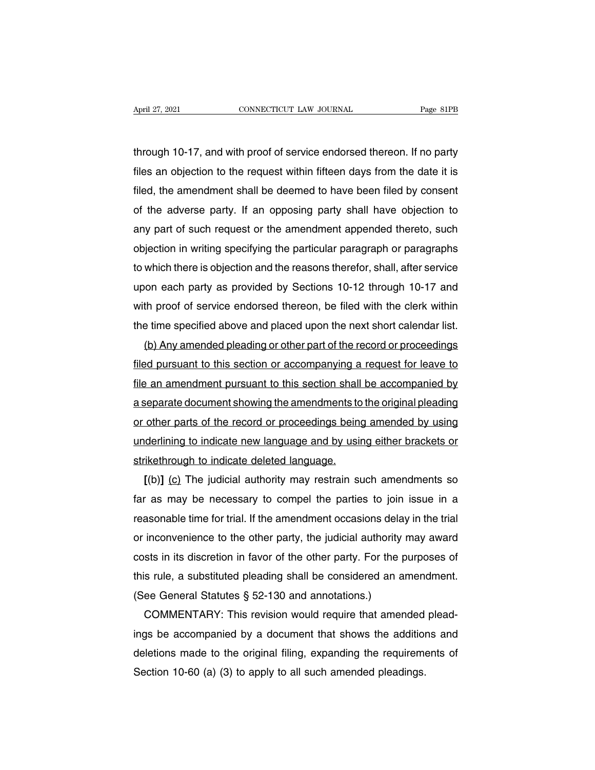April 27, 2021 CONNECTICUT LAW JOURNAL Page 81PB<br>through 10-17, and with proof of service endorsed thereon. If no party<br>files an objection to the request within fifteen days from the date it is Files 27, 2021<br>Through 10-17, and with proof of service endorsed thereon. If no party<br>files an objection to the request within fifteen days from the date it is<br>filed, the amendment shall be deemed to have been filed by con filed, the amendment shall be deemed to have been filed by consent<br>files an objection to the request within fifteen days from the date it is<br>filed, the amendment shall be deemed to have been filed by consent<br>of the adverse through 10-17, and with proof of service endorsed thereon. If no party<br>files an objection to the request within fifteen days from the date it is<br>filed, the amendment shall be deemed to have been filed by consent<br>of the adv through 10-17, and with proot of service endorsed thereon. If no party<br>files an objection to the request within fifteen days from the date it is<br>filed, the amendment shall be deemed to have been filed by consent<br>of the adv filed, the amendment shall be deemed to have been filed by consent<br>filed, the amendment shall be deemed to have been filed by consent<br>of the adverse party. If an opposing party shall have objection to<br>any part of such requ filed, the amendment shall be deemed to have been filed by consent<br>of the adverse party. If an opposing party shall have objection to<br>any part of such request or the amendment appended thereto, such<br>objection in writing sp of the adverse party. If an opposing party shall have objection to<br>any part of such request or the amendment appended thereto, such<br>objection in writing specifying the particular paragraph or paragraphs<br>to which there is o any part of such request or the amendment appended thereto, such<br>objection in writing specifying the particular paragraph or paragraphs<br>to which there is objection and the reasons therefor, shall, after service<br>upon each p objection in writing specifying the particular paragraph or paragraphs<br>to which there is objection and the reasons therefor, shall, after service<br>upon each party as provided by Sections 10-12 through 10-17 and<br>with proof o which there is objection and the reasons theretor, shall, after service<br>on each party as provided by Sections 10-12 through 10-17 and<br>th proof of service endorsed thereon, be filed with the clerk within<br>e time specified ab

upon each party as provided by Sections 10-12 through 10-17 and<br>with proof of service endorsed thereon, be filed with the clerk within<br>the time specified above and placed upon the next short calendar list.<br>(b) Any amended with proot ot service endorsed thereon, be filed with the clerk within<br>the time specified above and placed upon the next short calendar list.<br>(b) Any amended pleading or other part of the record or proceedings<br>filed pursua the time specified above and placed upon the next short calendar list.<br>
(b) Any amended pleading or other part of the record or proceedings<br>
filed pursuant to this section or accompanying a request for leave to<br>
file an am (b) Any amended pleading or other part of the record or proceedings<br>filed pursuant to this section or accompanying a request for leave to<br>file an amendment pursuant to this section shall be accompanied by<br>a separate docume filed pursuant to this section or accompanying a request for leave to<br>file an amendment pursuant to this section shall be accompanied by<br>a separate document showing the amendments to the original pleading<br>or other parts of file an amendment pursuant to this section shall be accompanied by<br>a separate document showing the amendments to the original pleading<br>or other parts of the record or proceedings being amended by using<br>underlining to indic **Example 3 and Separate document showing the amendments to the original pleading**<br>
other parts of the record or proceedings being amended by using<br>
derlining to indicate new language and by using either brackets or<br>
ikethr

or other parts of the record or proceedings being amended by using<br>underlining to indicate new language and by using either brackets or<br>strikethrough to indicate deleted language.<br>[(b)] (c) The judicial authority may restr underlining to indicate new language and by using either brackets or<br>strikethrough to indicate deleted language.<br>[(b)] (c) The judicial authority may restrain such amendments so<br>far as may be necessary to compel the partie strikethrough to indicate deleted language.<br>
[(b)] (c) The judicial authority may restrain such amendments so<br>
far as may be necessary to compel the parties to join issue in a<br>
reasonable time for trial. If the amendment o  $[(D)]$  ( $C$ ) The judicial authority may restrain such amendments so far as may be necessary to compel the parties to join issue in a reasonable time for trial. If the amendment occasions delay in the trial or inconvenience tar as may be necessary to compel the parties to join issue in a<br>reasonable time for trial. If the amendment occasions delay in the trial<br>or inconvenience to the other party, the judicial authority may award<br>costs in its d reasonable time for trial. If the amendment occasions dela<br>or inconvenience to the other party, the judicial authority<br>costs in its discretion in favor of the other party. For the p<br>this rule, a substituted pleading shall or inconvenience to the other party, the judicial authority may award<br>costs in its discretion in favor of the other party. For the purposes of<br>this rule, a substituted pleading shall be considered an amendment.<br>(See Gener

costs in its discretion in favor of the other party. For the purposes of<br>this rule, a substituted pleading shall be considered an amendment.<br>(See General Statutes § 52-130 and annotations.)<br>COMMENTARY: This revision would this rule, a substituted pleading shall be considered an amendment.<br>
(See General Statutes § 52-130 and annotations.)<br>
COMMENTARY: This revision would require that amended plead-<br>
ings be accompanied by a document that sh (See General Statutes § 52-130 and annotations.)<br>COMMENTARY: This revision would require that amended<br>ings be accompanied by a document that shows the addition<br>deletions made to the original filing, expanding the requireme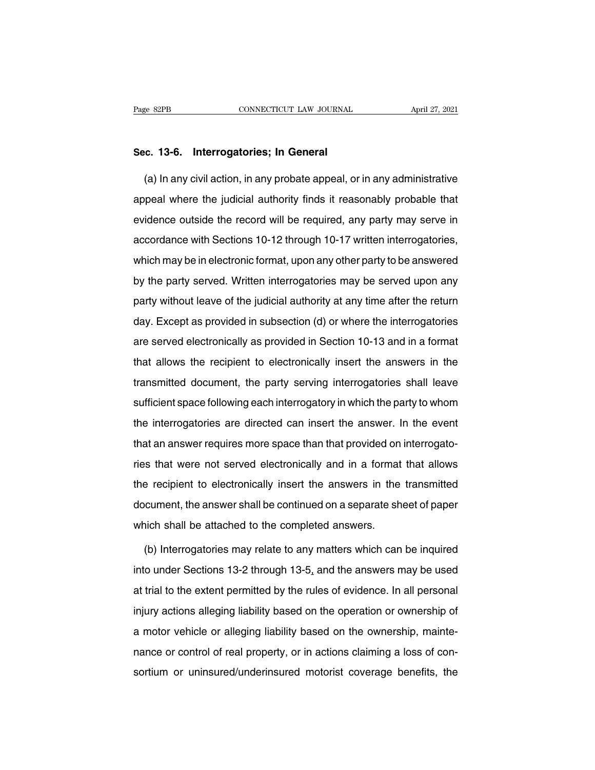# Page 82PB<br> **Sec. 13-6. Interrogatories; In General**<br> **Sec. 13-6. Interrogatories; In General**

(a) In any civil action, in any probate appeal, or in any administrative<br>
(a) In any civil action, in any probate appeal, or in any administrative<br>
(a) In any civil action, in any probate appeal, or in any administrative<br> Sec. 13-6. Interrogatories; In General<br>(a) In any civil action, in any probate appeal, or in any administrative<br>appeal where the judicial authority finds it reasonably probable that<br>evidence outside the record will be requ Sec. 13-6. Interrogatories; In General<br>
(a) In any civil action, in any probate appeal, or in any administrative<br>
appeal where the judicial authority finds it reasonably probable that<br>
evidence outside the record will be r (a) In any civil action, in any probate appeal, or in any administrative<br>appeal where the judicial authority finds it reasonably probable that<br>evidence outside the record will be required, any party may serve in<br>accordance appeal where the judicial authority finds it reasonably probable that<br>evidence outside the record will be required, any party may serve in<br>accordance with Sections 10-12 through 10-17 written interrogatories,<br>which may be evidence outside the record will be required, any party may serve in<br>accordance with Sections 10-12 through 10-17 written interrogatories,<br>which may be in electronic format, upon any other party to be answered<br>by the party party may be video the food that be required, any party may before in<br>accordance with Sections 10-12 through 10-17 written interrogatories,<br>which may be in electronic format, upon any other party to be answered<br>by the part which may be in electronic format, upon any other party to be answered<br>by the party served. Written interrogatories may be served upon any<br>party without leave of the judicial authority at any time after the return<br>day. Exc by the party served. Written interrogatories may be served upon any party without leave of the judicial authority at any time after the return day. Except as provided in subsection (d) or where the interrogatories are serv by the party served. Whiteh interregatence may be served apon any<br>party without leave of the judicial authority at any time after the return<br>day. Except as provided in subsection (d) or where the interrogatories<br>are served party whild the batter of the jackdard datherity at any time diter the retaint<br>day. Except as provided in subsection (d) or where the interrogatories<br>are served electronically as provided in Section 10-13 and in a format<br>t are served electronically as provided in Section 10-13 and in a format<br>that allows the recipient to electronically insert the answers in the<br>transmitted document, the party serving interrogatories shall leave<br>sufficient sp that allows the recipient to electronically insert the answers in the transmitted document, the party serving interrogatories shall leave sufficient space following each interrogatory in which the party to whom the interro transmitted document, the party serving interrogatories shall leave<br>sufficient space following each interrogatory in which the party to whom<br>the interrogatories are directed can insert the answer. In the event<br>that an answ ranomiced assament, the party serving interregatence shall heave<br>sufficient space following each interrogatory in which the party to whom<br>the interrogatories are directed can insert the answer. In the event<br>that an answer the interrogatories are directed can insert the answer. In the event<br>that an answer requires more space than that provided on interrogato-<br>ries that were not served electronically and in a format that allows<br>the recipient that an answer requires more space than that provided on interrogato-<br>ries that were not served electronically and in a format that allows<br>the recipient to electronically insert the answers in the transmitted<br>document, the ries that were not served electronically and in a format<br>the recipient to electronically insert the answers in the<br>document, the answer shall be continued on a separate sh<br>which shall be attached to the completed answers.<br> (b) Interrogatories may relate to any matters may be used to the continued on a separate sheet of paper<br>inch shall be attached to the completed answers.<br>(b) Interrogatories may relate to any matters which can be inquired<br>t

document, the answer shall be continued on a separate sheet of paper<br>which shall be attached to the completed answers.<br>(b) Interrogatories may relate to any matters which can be inquired<br>into under Sections 13-2 through 13 which shall be attached to the completed answers.<br>
(b) Interrogatories may relate to any matters which can be inquired<br>
into under Sections 13-2 through 13-5, and the answers may be used<br>
at trial to the extent permitted b (b) Interrogatories may relate to any matters which can be inquired<br>into under Sections 13-2 through 13-5, and the answers may be used<br>at trial to the extent permitted by the rules of evidence. In all personal<br>injury acti and the under Sections 13-2 through 13-5, and the answers may be used at trial to the extent permitted by the rules of evidence. In all personal injury actions alleging liability based on the operation or ownership of a m ance or control of real property, or in actions claiming a loss of containing a loss of con-<br>a motor vehicle or alleging liability based on the operation or ownership of<br>a motor vehicle or alleging liability based on the o injury actions alleging liability based on the operation or ownership of<br>a motor vehicle or alleging liability based on the ownership, mainte-<br>nance or control of real property, or in actions claiming a loss of con-<br>sortiu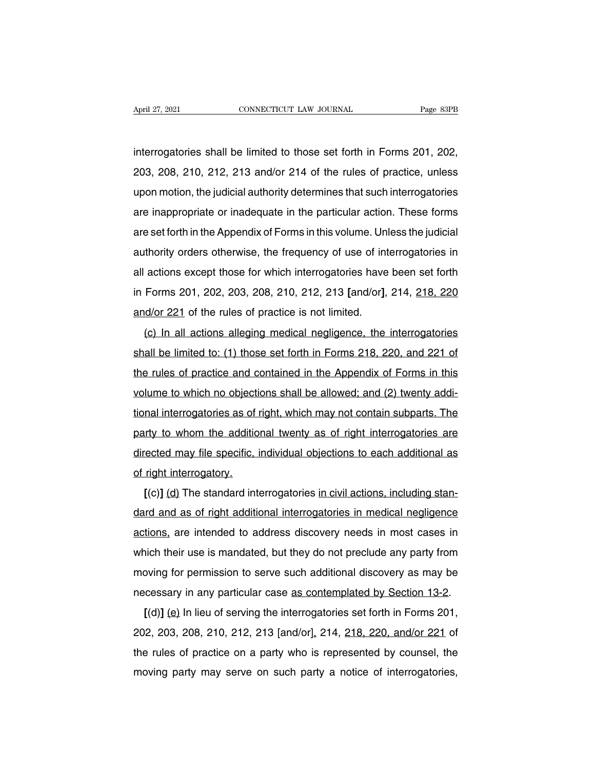April 27, 2021 CONNECTICUT LAW JOURNAL Page 83PB<br>interrogatories shall be limited to those set forth in Forms 201, 202,<br>203, 208, 210, 212, 213 and/or 214 of the rules of practice, unless 203, 208, 210, 212, 213 and/or 214 of the rules of practice, unless<br>upon motion, the judicial authority determines that such interrogatories<br>upon motion, the judicial authority determines that such interrogatories interrogatories shall be limited to those set forth in Forms 201, 202,<br>203, 208, 210, 212, 213 and/or 214 of the rules of practice, unless<br>upon motion, the judicial authority determines that such interrogatories<br>are inappr interrogatories shall be limited to those set forth in Forms 201, 202,<br>203, 208, 210, 212, 213 and/or 214 of the rules of practice, unless<br>upon motion, the judicial authority determines that such interrogatories<br>are inappr are set forth in the Himed to those set forth in 1 omis 201, 202, 203, 208, 210, 212, 213 and/or 214 of the rules of practice, unless upon motion, the judicial authority determines that such interrogatories are inappropria abo, 200, 210, 212, 210 and/or 214 or the fues or practice, different appropriate or inadequate in the particular action. These forms are set forth in the Appendix of Forms in this volume. Unless the judicial authority or all actions, the judicial additionty determines that such interrogatores<br>are inappropriate or inadequate in the particular action. These forms<br>are set forth in the Appendix of Forms in this volume. Unless the judicial<br>auth are mappropriate of madequate in the particular action. These forms<br>are set forth in the Appendix of Forms in this volume. Unless the judicial<br>authority orders otherwise, the frequency of use of interrogatories in<br>all acti are set forth in the Appendix of Forms in this volume. Unless the judicial<br>authority orders otherwise, the frequency of use of interrogatories in<br>all actions except those for which interrogatories have been set forth<br>in Fo actions except those for which interrogatories have been set forth<br>Forms 201, 202, 203, 208, 210, 212, 213 [and/or], 214, <u>218, 220</u><br>d/or 221 of the rules of practice is not limited.<br>(c) In all actions alleging medical neg

in Forms 201, 202, 203, 208, 210, 212, 213 [and/or], 214, <u>218, 220</u><br>and/or 221 of the rules of practice is not limited.<br>(c) In all actions alleging medical negligence, the interrogatories<br>shall be limited to: (1) those se and/or 221 of the rules of practice is not limited.<br>(c) In all actions alleging medical negligence, the interrogatories<br>shall be limited to: (1) those set forth in Forms 218, 220, and 221 of<br>the rules of practice and cont (c) In all actions alleging medical negligence, the interrogatories<br>shall be limited to: (1) those set forth in Forms 218, 220, and 221 of<br>the rules of practice and contained in the Appendix of Forms in this<br>volume to whic the limited to: (1) those set forth in Forms 218, 220, and 221 of<br>the rules of practice and contained in the Appendix of Forms in this<br>volume to which no objections shall be allowed; and (2) twenty addi-<br>tional interrogato shall be limited to: (1) those set forth in Forms 210, 220, and 221 of<br>the rules of practice and contained in the Appendix of Forms in this<br>volume to which no objections shall be allowed; and (2) twenty addi-<br>tional interr volume to which no objections shall be allowed; and (2) twenty additional interrogatories as of right, which may not contain subparts. The party to whom the additional twenty as of right interrogatories are directed may fi volume to which ho object<br>tional interrogatories as of<br>party to whom the additio<br>directed may file specific, i<br>of right interrogatory.<br>[(c)] (d) The standard int Inditional interrogatories as or right, which may not contain subparts. The<br>inty to whom the additional twenty as of right interrogatories are<br>ected may file specific, individual objections to each additional as<br>right inte

party to whom the additional twenty as of right interrogatories are<br>directed may file specific, individual objections to each additional as<br>of right interrogatory.<br>[(c)] (d) The standard interrogatories in civil actions, i of right interrogatory.<br>
[(c)] (d) The standard interrogatories in civil actions, including stan-<br>
dard and as of right additional interrogatories in medical negligence<br>
actions, are intended to address discovery needs in I(c)] (d) The standard interrogatories in civil actions, including stan-<br>dard and as of right additional interrogatories in medical negligence<br>actions, are intended to address discovery needs in most cases in<br>which their u dard and as of right additional interrogatories in medical negligence<br>actions, are intended to address discovery needs in most cases in<br>which their use is mandated, but they do not preclude any party from<br>moving for permi actions, are intended to address discovery needs in most cases in which their use is mandated, but they do not preclude any party from moving for permission to serve such additional discovery as may be necessary in any pa ficting, are interided to address discovery freeds in filost cases in<br>hich their use is mandated, but they do not preclude any party from<br>poving for permission to serve such additional discovery as may be<br>cessary in any p

moving for permission to serve such additional discovery as may be necessary in any particular case <u>as contemplated by Section 13-2</u>.<br>  $[(d)] (e)$  In lieu of serving the interrogatories set forth in Forms 201, 202, 203, 208 The rules of practice on a party who is represented by Section 13-2.<br>  $[(d)] (e)$  In lieu of serving the interrogatories set forth in Forms 201,<br>
202, 203, 208, 210, 212, 213 [and/or], 214, 218, 220, and/or 221 of<br>
the rules recessary in any particular case <u>as contempated by dection 10-2</u>.<br>  $[(d)] (e)$  In lieu of serving the interrogatories set forth in Forms 201,<br>
202, 203, 208, 210, 212, 213 [and/or], 214, 218, 220, and/or 221 of<br>
the rules o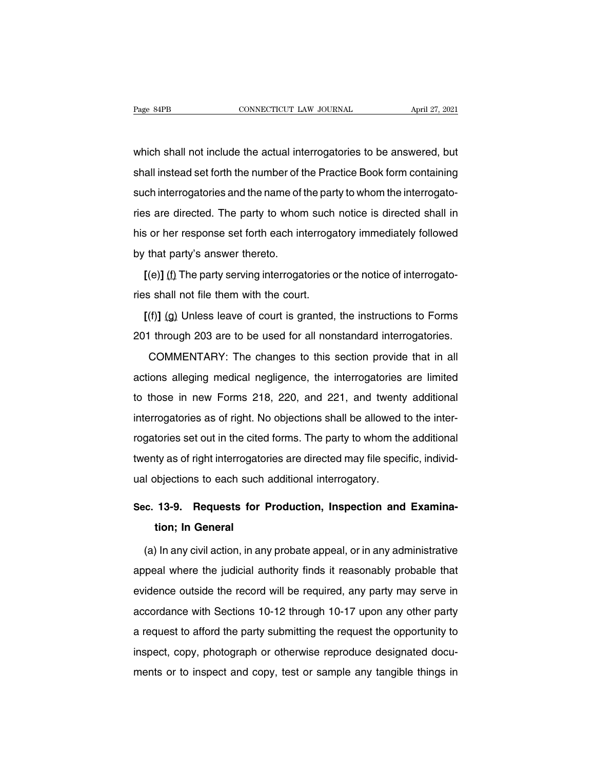Page 84PB<br>
CONNECTICUT LAW JOURNAL<br>
Which shall not include the actual interrogatories to be answered, but<br>
Shall instead set forth the number of the Practice Book form containing Page 84PB CONNECTICUT LAW JOURNAL April 27, 2021<br>which shall not include the actual interrogatories to be answered, but<br>shall instead set forth the number of the Practice Book form containing<br>such interrogatories and the n which shall not include the actual interrogatories to be answered, but<br>shall instead set forth the number of the Practice Book form containing<br>such interrogatories and the name of the party to whom the interrogato-<br>ries ar which shall not include the actual interrogatories to be answered, but<br>shall instead set forth the number of the Practice Book form containing<br>such interrogatories and the name of the party to whom the interrogato-<br>ries ar shall instead set forth the number of the Practice Book form containing<br>such interrogatories and the name of the party to whom the interrogato-<br>ries are directed. The party to whom such notice is directed shall in<br>his or h such interrogatories and the name of the standard set form the name of the standard set for the name of the star of the star of the star of the star by that party's answer thereto.<br>
[(e)] (f) The party serving interrogal **EXECUTE:** The party is the notice is directed shall in s or her response set forth each interrogatory immediately followed that party's answer thereto.<br> **[(e)]** (f) The party serving interrogatories or the notice of inter ries are arrected: The party to them edentified the court<br>his or her response set forth each interrogate by that party's answer thereto.<br>
[(e)] (f) The party serving interrogatories cries shall not file them with the court

**EXECUTE:** The very server thereto.<br> **[(e)]** (f) The party serving interrogatories or the notice of interrogato-<br> **[(f)]** (g) Unless leave of court is granted, the instructions to Forms<br>
11 through 203 are to be used for a  $[(e)]$  (f) The party serving interrogatories or the notice of interrogatories shall not file them with the court.<br>  $[(f)]$  (g) Unless leave of court is granted, the instructions to Forms<br>
201 through 203 are to be used for a Shall not file them with the court.<br>
(f)] (g) Unless leave of court is granted, the instructions to Forms<br>
I through 203 are to be used for all nonstandard interrogatories.<br>
COMMENTARY: The changes to this section provide

[(f)] (g) Unless leave of court is granted, the instructions to Forms<br>201 through 203 are to be used for all nonstandard interrogatories.<br>COMMENTARY: The changes to this section provide that in all<br>actions alleging medica 201 through 203 are to be used for all nonstandard interrogatories.<br>COMMENTARY: The changes to this section provide that in all<br>actions alleging medical negligence, the interrogatories are limited<br>to those in new Forms 218 COMMENTARY: The changes to this section provide that in all<br>actions alleging medical negligence, the interrogatories are limited<br>to those in new Forms 218, 220, and 221, and twenty additional<br>interrogatories as of right. N actions alleging medical negligence, the interrogatories are limited<br>to those in new Forms 218, 220, and 221, and twenty additional<br>interrogatories as of right. No objections shall be allowed to the inter-<br>rogatories set o to those in new Forms 218, 220, and 221, and twenty additional<br>interrogatories as of right. No objections shall be allowed to the inter-<br>rogatories set out in the cited forms. The party to whom the additional<br>twenty as of interrogatories as of right. No objections shall be allowed trogatories set out in the cited forms. The party to whom the twenty as of right interrogatories are directed may file specual objections to each such additional rogatories set out in the cited forms. The party to whom the additional<br>twenty as of right interrogatories are directed may file specific, individ-<br>ual objections to each such additional interrogatory.<br>**Sec. 13-9. Requests ty as of right interrogat<br>bbjections to each such<br><b>13-9. Requests for<br>tion; In General**<br>In any civil action, in a

(a) In any civil action, in any probate appeal, or in any administrative<br>(a) In any civil action, in any probate appeal, or in any administrative<br>peal where the judicial authority finds it reasonably probable that Sec. 13-9. Requests for Production, Inspection and Examina-<br>tion; In General<br>(a) In any civil action, in any probate appeal, or in any administrative<br>appeal where the judicial authority finds it reasonably probable that<br>ev tion; In General<br>
(a) In any civil action, in any probate appeal, or in any administrative<br>
appeal where the judicial authority finds it reasonably probable that<br>
evidence outside the record will be required, any party may (a) In any civil action, in any probate appeal, or in any administrative<br>appeal where the judicial authority finds it reasonably probable that<br>evidence outside the record will be required, any party may serve in<br>accordance appeal where the judicial authority finds it reasonably probable that<br>evidence outside the record will be required, any party may serve in<br>accordance with Sections 10-12 through 10-17 upon any other party<br>a request to aff evidence outside the record will be required, any party may serve in accordance with Sections 10-12 through 10-17 upon any other party a request to afford the party submitting the request the opportunity to inspect, copy, expective or to inspect and record will be required, any party may obver in accordance with Sections 10-12 through 10-17 upon any other party a request to afford the party submitting the request the opportunity to inspect,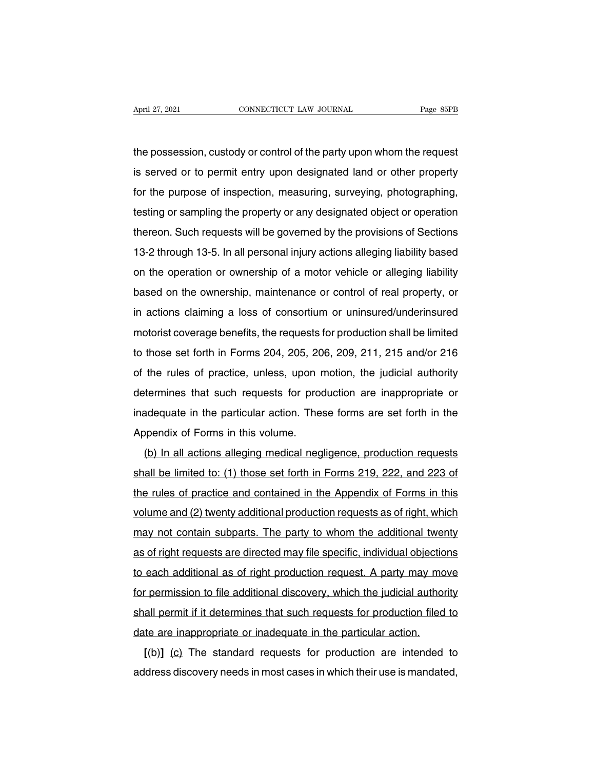April 27, 2021 CONNECTICUT LAW JOURNAL Page 85PB<br>the possession, custody or control of the party upon whom the request<br>is served or to permit entry upon designated land or other property April 27, 2021 CONNECTICUT LAW JOURNAL Page 85PB<br>the possession, custody or control of the party upon whom the request<br>is served or to permit entry upon designated land or other property<br>for the purpose of inspection, meas For the possession, custody or control of the party upon whom the request<br>is served or to permit entry upon designated land or other property<br>for the purpose of inspection, measuring, surveying, photographing,<br>testing or s the possession, custody or control of the party upon whom the request<br>is served or to permit entry upon designated land or other property<br>for the purpose of inspection, measuring, surveying, photographing,<br>testing or sampl the possession, castody of control of the party upon whom the request<br>is served or to permit entry upon designated land or other property<br>for the purpose of inspection, measuring, surveying, photographing,<br>testing or sampl 13 served of to permit emry upon designated rand of other property<br>for the purpose of inspection, measuring, surveying, photographing,<br>testing or sampling the property or any designated object or operation<br>thereon. Such re flore the purpose of inspection, measuring, surveying, photographing,<br>testing or sampling the property or any designated object or operation<br>thereon. Such requests will be governed by the provisions of Sections<br>13-2 throug thereon. Such requests will be governed by the provisions of Sections<br>13-2 through 13-5. In all personal injury actions alleging liability based<br>on the operation or ownership of a motor vehicle or alleging liability<br>based inereon: Such requests will be governed by the provisions of Sections<br>13-2 through 13-5. In all personal injury actions alleging liability based<br>on the operation or ownership of a motor vehicle or alleging liability<br>based Fo-2 through 15-5. In an personal hijury actions alreging hability based<br>on the operation or ownership of a motor vehicle or alleging liability<br>based on the ownership, maintenance or control of real property, or<br>in actions on the operation of ownership of a motor venicle of alleging habitity<br>based on the ownership, maintenance or control of real property, or<br>in actions claiming a loss of consortium or uninsured/underinsured<br>motorist coverage based on the ownership, maintenance of control of rear property, or<br>in actions claiming a loss of consortium or uninsured/underinsured<br>motorist coverage benefits, the requests for production shall be limited<br>to those set f m actions claiming a loss of consolution of dimisdical didentistical motorist coverage benefits, the requests for production shall be limited to those set forth in Forms 204, 205, 206, 209, 211, 215 and/or 216 of the rules Indictive set forth in Forms 204, 205, 206, 209, 211, 215 and/or 216<br>of the rules of practice, unless, upon motion, the judicial authority<br>determines that such requests for production are inappropriate or<br>inadequate in the to those set form in Forms 204, 200, 20<br>of the rules of practice, unless, upon r<br>determines that such requests for prod<br>inadequate in the particular action. The<br>Appendix of Forms in this volume.<br>(b) In all actions alleging termines that such requests for production are inappropriate or<br>adequate in the particular action. These forms are set forth in the<br>ppendix of Forms in this volume.<br>(b) In all actions alleging medical negligence, productio

inadequate in the particular action. These forms are set forth in the Appendix of Forms in this volume.<br>(b) In all actions alleging medical negligence, production requests shall be limited to: (1) those set forth in Forms Appendix of Forms in this volume.<br>(b) In all actions alleging medical negligence, production requests<br>shall be limited to: (1) those set forth in Forms 219, 222, and 223 of<br>the rules of practice and contained in the Append value.<br>
(b) In all actions alleging medical negligence, production requests<br>
shall be limited to: (1) those set forth in Forms 219, 222, and 223 of<br>
the rules of practice and contained in the Appendix of Forms in this<br>
vol may all be limited to: (1) those set forth in Forms 219, 222, and 223 of the rules of practice and contained in the Appendix of Forms in this volume and (2) twenty additional production requests as of right, which may not as and be immed to. (1) those set form in 1 omis 219, 222, and 225 of<br>the rules of practice and contained in the Appendix of Forms in this<br>volume and (2) twenty additional production requests as of right, which<br>may not con the fules of plactice and contained in the Appendix of Politis in this<br>volume and (2) twenty additional production requests as of right, which<br>may not contain subparts. The party to whom the additional twenty<br>as of right r For permission to file additional production requests as of right, which<br>may not contain subparts. The party to whom the additional twenty<br>as of right requests are directed may file specific, individual objections<br>to each as of right requests are directed may file specific, individual objections<br>to each additional as of right production request. A party may move<br>for permission to file additional discovery, which the judicial authority<br>shall date are inappropriate or inadequate in the particular action.<br>It is each additional as of right production request. A party may mo<br>for permission to file additional discovery, which the judicial author<br>shall permit if it r permission to file additional discovery, which the judicial authority<br>all permit if it determines that such requests for production filed to<br>te are inappropriate or inadequate in the particular action.<br>[(b)] (c) The stan and permission to the additional discovery, which the judicial additionty<br>shall permit if it determines that such requests for production filed to<br>date are inappropriate or inadequate in the particular action.<br>[(b)] (c) Th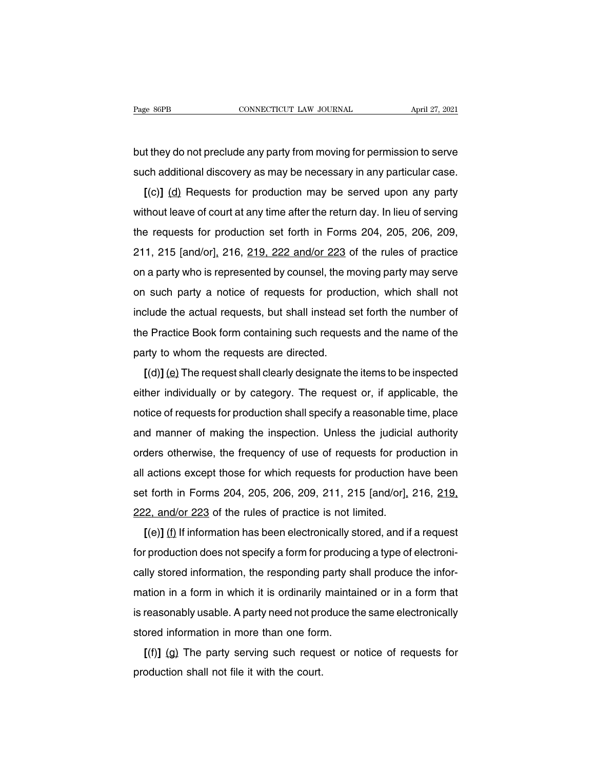Page 86PB<br>
connectricut LAW JOURNAL<br>
but they do not preclude any party from moving for permission to serve<br>
such additional discovery as may be necessary in any particular case. Fage 86PB CONNECTICUT LAW JOURNAL April 27, 2021<br>but they do not preclude any party from moving for permission to serve<br>such additional discovery as may be necessary in any particular case.<br>[(c)] <u>(d)</u> Requests for product

**Example 10**<br> **Example 10**<br> **Example 10**<br> **Example 10**<br> **Example 10**<br> **Example 10**<br> **Example 10**<br> **Example 10**<br> **Example 10**<br> **Example 10**<br> **Example 10**<br> **Example 10**<br> **Example 10**<br> **Example 10**<br> **Example 10**<br> **Example 10** but they do not preclude any party from moving for permission to serve<br>such additional discovery as may be necessary in any particular case.<br>[(c)] (d) Requests for production may be served upon any party<br>without leave of c such additional discovery as may be necessary in any particular case.<br>  $[(c)]$  (d) Requests for production may be served upon any party<br>
without leave of court at any time after the return day. In lieu of serving<br>
the reque  $[(c)]$  (d) Requests for production may be served upon any party<br>without leave of court at any time after the return day. In lieu of serving<br>the requests for production set forth in Forms 204, 205, 206, 209,<br>211, 215 [and/o without leave of court at any time after the return day. In lieu of serving<br>the requests for production set forth in Forms 204, 205, 206, 209,<br>211, 215 [and/or], 216, 219, 222 and/or 223 of the rules of practice<br>on a part whilout leave of court at any time after the return day. If hed of serving<br>the requests for production set forth in Forms 204, 205, 206, 209,<br>211, 215 [and/or], 216, 219, 222 and/or 223 of the rules of practice<br>on a party and requests for production set forth in Forms 204, 200, 200, 200, 200, 201, 211, 215 [and/or], 216, 219, 222 and/or 223 of the rules of practice on a party who is represented by counsel, the moving party may serve on such and a party who is represented by counsel, the moving party may serve<br>on a party who is represented by counsel, the moving party may serve<br>on such party a notice of requests for production, which shall not<br>include the act on a party who is represented by couriser, the river<br>on such party a notice of requests for produ<br>include the actual requests, but shall instead s<br>the Practice Book form containing such request<br>party to whom the requests a Exact party a notice of requests for production, which shall not<br>clude the actual requests, but shall instead set forth the number of<br>perfactice Book form containing such requests and the name of the<br>triv to whom the reque

finding the actual requests, but shall instead set form the humber of<br>the Practice Book form containing such requests and the name of the<br>party to whom the requests are directed.<br>[(d)] (e) The request shall clearly designa native book form containing such requests and the name of the<br>party to whom the requests are directed.<br>
[(d)] (e) The request shall clearly designate the items to be inspected<br>
either individually or by category. The reque party to whom the requests are unected.<br>  $[(d)]$  (e) The request shall clearly designate the items to be inspected<br>
either individually or by category. The request or, if applicable, the<br>
notice of requests for production sh either individually or by category. The request or, if applicable, the notice of requests for production shall specify a reasonable time, place and manner of making the inspection. Unless the judicial authority orders oth entier individually of by category. The request of, if applicable, the<br>notice of requests for production shall specify a reasonable time, place<br>and manner of making the inspection. Unless the judicial authority<br>orders othe showse of requests for production shall specify a reasonable time, place<br>and manner of making the inspection. Unless the judicial authority<br>orders otherwise, the frequency of use of requests for production in<br>all actions e and manner or making the inspection. Oness the judicial<br>orders otherwise, the frequency of use of requests for prod<br>all actions except those for which requests for production h<br>set forth in Forms 204, 205, 206, 209, 211, 2 actions except those for which requests for production have been<br>t forth in Forms 204, 205, 206, 209, 211, 215 [and/or], 216, 219,<br> $\frac{12}{2}$ , and/or 223 of the rules of practice is not limited.<br>[(e)] (f) If information h

for the information does not which requests for production have been<br>set forth in Forms 204, 205, 206, 209, 211, 215 [and/or], 216, 219,<br>222, and/or 223 of the rules of practice is not limited.<br>[(e)] (f) If information has Example 10111 in Forms 204, 205, 206, 209, 211, 215 [and/or  $J_{\mu}$  210, 219, 222, and/or 223 of the rules of practice is not limited.<br>
[(e)] (f) If information has been electronically stored, and if a request for product  $[(e)]$  (f) If information has been electronically stored, and if a request<br>for production does not specify a form for producing a type of electroni-<br>cally stored information, the responding party shall produce the infor-<br>m It is a party in information has been electronically stored, and if a request<br>for production does not specify a form for producing a type of electroni-<br>cally stored information, the responding party shall produce the info For production does not specify a form for product<br>cally stored information, the responding party short mation in a form in which it is ordinarily maintain<br>is reasonably usable. A party need not produce the<br>stored informat If y stored information, the responding party shall produce the infor-<br>ation in a form in which it is ordinarily maintained or in a form that<br>reasonably usable. A party need not produce the same electronically<br>pred informa mation in a form in which it is ordinarily<br>is reasonably usable. A party need not pro<br>stored information in more than one forr<br>[(f)] (g) The party serving such reque<br>production shall not file it with the court.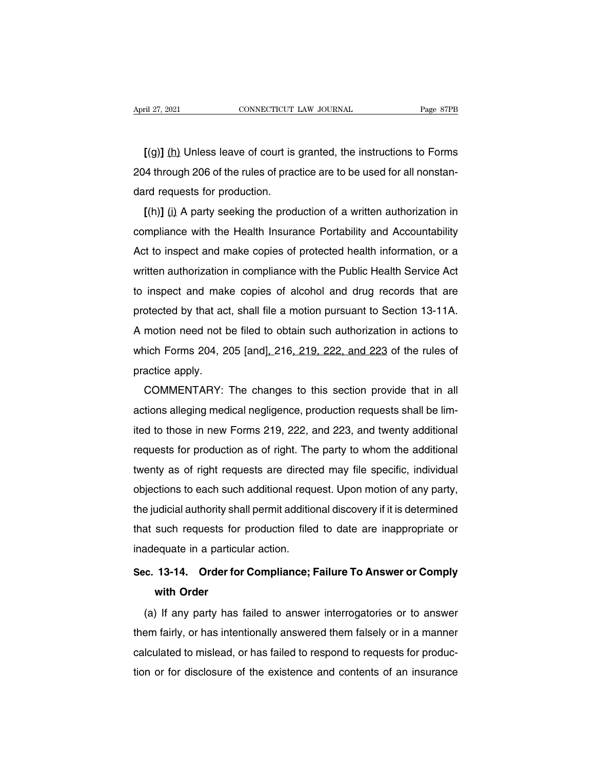**[**(g)**]** (h) Unless leave of court is granted, the instructions to Forms 2021 CONNECTICUT LAW JOURNAL Page 87PB<br>
204 through 206 of the rules of practice are to be used for all nonstan-<br>
204 through 206 of the rules of practice are to be used for all nonstan-<br>
204 through 206 of the rules of pr (g)] (h) Unless leave of court is<br>204 through 206 of the rules of praction.<br>dard requests for production.<br>((h)] (i) A party seeking the prod  $\Gamma$ [(g)] (h) Unless leave of court is granted, the instructions to Forms<br>4 through 206 of the rules of practice are to be used for all nonstan-<br>rd requests for production.<br> $\Gamma$ (h)] (i) A party seeking the production of a

COMPLETE IN THIS UNITED STATES IN THIS UP ONES LEAVE 100 UNITED 204 through 206 of the rules of practice are to be used for all nonstandard requests for production.<br>
[(h)] (i) A party seeking the production of a written a  $204$  through 206 of the rules of practice are to be used for all horistan-<br>dard requests for production.<br> $[(h)]$  (i) A party seeking the production of a written authorization in<br>compliance with the Health Insurance Portabi I(h)] (i) A party seeking the production of a written authorization in<br>compliance with the Health Insurance Portability and Accountability<br>Act to inspect and make copies of protected health information, or a<br>written author EXECT IN A party seeking the production of a whiteh addition and compliance with the Health Insurance Portability and Accountability<br>Act to inspect and make copies of protected health information, or a<br>written authorizati compliance with the Freatul filsulatice Portability and Accountability<br>Act to inspect and make copies of protected health information, or a<br>written authorization in compliance with the Public Health Service Act<br>to inspect Act to inspect and make copies of protected freatm information, of a<br>written authorization in compliance with the Public Health Service Act<br>to inspect and make copies of alcohol and drug records that are<br>protected by that whiten authorization in compilance with the Public Health Service Act<br>to inspect and make copies of alcohol and drug records that are<br>protected by that act, shall file a motion pursuant to Section 13-11A.<br>A motion need not to inspect and make<br>protected by that act<br>A motion need not b<br>which Forms 204, 2<br>practice apply.<br>COMMENTARY: olected by that act, shall life a motion pursuant to section 13-11A.<br>motion need not be filed to obtain such authorization in actions to<br>nich Forms 204, 205 [and], 216, 219, 222, and 223 of the rules of<br>actice apply.<br>COMME

A motion need not be filed to obtain such authorization in actions to<br>which Forms 204, 205 [and], 216, 219, 222, and 223 of the rules of<br>practice apply.<br>COMMENTARY: The changes to this section provide that in all<br>actions a practice apply.<br>
COMMENTARY: The changes to this section provide that in all<br>
actions alleging medical negligence, production requests shall be lim-<br>
ited to those in new Forms 219, 222, and 223, and twenty additional<br>
req practice apply.<br>COMMENTARY: The changes to this section provide that in all<br>actions alleging medical negligence, production requests shall be lim-<br>ited to those in new Forms 219, 222, and 223, and twenty additional<br>request COMMENTANT. The Changes to this section provide that in all<br>actions alleging medical negligence, production requests shall be lim-<br>ited to those in new Forms 219, 222, and 223, and twenty additional<br>requests for production actions alleging medical negligence, production requests shall be limited to those in new Forms 219, 222, and 223, and twenty additional requests for production as of right. The party to whom the additional twenty as of ri the judicial authority shall permit additional requests for production as of right. The party to whom the additional<br>twenty as of right requests are directed may file specific, individual<br>objections to each such additional requests for production as of right. The party to which the additional<br>twenty as of right requests are directed may file specific, individual<br>objections to each such additional request. Upon motion of any party,<br>the judici I in a bight requests are directed<br>objections to each such additional request<br>the judicial authority shall permit addition<br>that such requests for production filed<br>inadequate in a particular action.<br>Sec. 13-14. Order for Co **Sec.** 13-14. Order for Compliance; Failure To Answer or Comply<br>with Order for Compliance; Failure To Answer or Comply<br>with Order for Compliance; Failure To Answer or Comply<br>with Order such requests for<br>
equate in a particul<br> **13-14.** Order for<br>
with Order<br>
If any party has f

adequate in a particular action.<br>
C. 13-14. Order for Compliance; Failure To Answer or Comply<br>
with Order<br>
(a) If any party has failed to answer interrogatories or to answer<br>
em fairly, or has intentionally answered them f Sec. 13-14. Order for Compliance; Failure To Answer or Comply<br>with Order<br>(a) If any party has failed to answer interrogatories or to answer<br>them fairly, or has intentionally answered them falsely or in a manner<br>calculated order<br>with Order<br>(a) If any party has failed to answer interrogatories or to answer<br>them fairly, or has intentionally answered them falsely or in a manner<br>calculated to mislead, or has failed to respond to requests for pro (a) If any party has failed to answer interrogatories or to answer<br>them fairly, or has intentionally answered them falsely or in a manner<br>calculated to mislead, or has failed to respond to requests for produc-<br>tion or for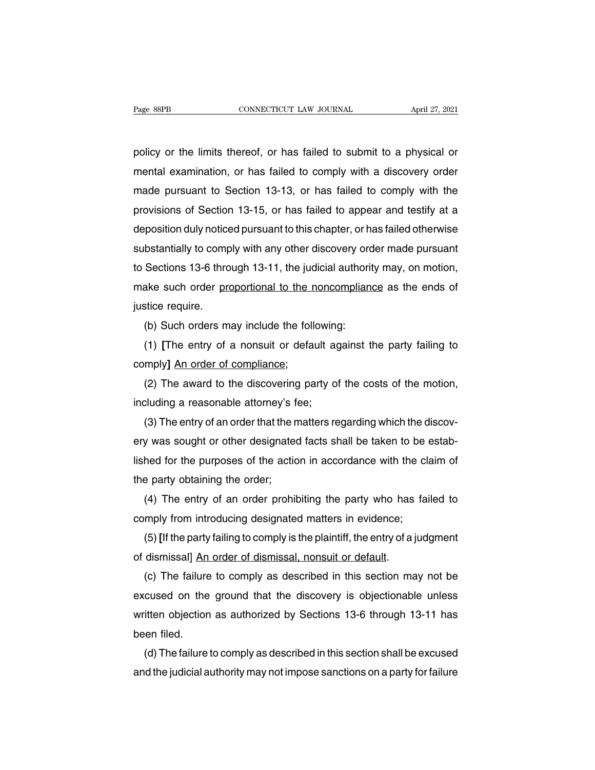Page 88PB<br>
connectricut LAW JOURNAL<br>
policy or the limits thereof, or has failed to submit to a physical or<br>
mental examination, or has failed to comply with a discovery order Page 88PB CONNECTICUT LAW JOURNAL April 27, 2021<br>policy or the limits thereof, or has failed to submit to a physical or<br>mental examination, or has failed to comply with a discovery order<br>made pursuant to Section 13-13, or made pursuant to Section 13-13, or has failed to submit to a physical or<br>mental examination, or has failed to comply with a discovery order<br>made pursuant to Section 13-13, or has failed to comply with the<br>provisions of Sec policy or the limits thereof, or has failed to submit to a physical or<br>mental examination, or has failed to comply with a discovery order<br>made pursuant to Section 13-13, or has failed to comply with the<br>provisions of Secti policy or the limits thereor, or has failed to submit to a physical or<br>mental examination, or has failed to comply with a discovery order<br>made pursuant to Section 13-13, or has failed to comply with the<br>provisions of Secti mental examination, or has failed to comply with a discovery order<br>made pursuant to Section 13-13, or has failed to comply with the<br>provisions of Section 13-15, or has failed to appear and testify at a<br>deposition duly noti made pursuant to Section 13-13, or has failed to comply with the<br>provisions of Section 13-15, or has failed to appear and testify at a<br>deposition duly noticed pursuant to this chapter, or has failed otherwise<br>substantially provisions of Section 13-15, or has failed to appear and testify at a<br>deposition duly noticed pursuant to this chapter, or has failed otherwise<br>substantially to comply with any other discovery order made pursuant<br>to Sectio deposition duly notice<br>substantially to comp<br>to Sections 13-6 thro<br>make such order <u>pr</u><br>justice require.<br>(b) Such orders m bstantially to comply with any other discovery order<br>Sections 13-6 through 13-11, the judicial authority<br>ake such order proportional to the noncomplian<br>stice require.<br>(b) Such orders may include the following:<br>(1) [The ent Sections 13-6 through 13-11, the judicial authority may, on motion,<br>ake such order <u>proportional to the noncompliance</u> as the ends of<br>stice require.<br>(b) Such orders may include the following:<br>(1) [The entry of a nonsuit or

make such order proportional to the r<br>justice require.<br>(b) Such orders may include the foll<br>(1) [The entry of a nonsuit or defa<br>comply] <u>An order of compliance;</u><br>(2) The award to the discovering pa

stice require.<br>(b) Such orders may include the following:<br>(1) [The entry of a nonsuit or default against the party failing to<br>mply] <u>An order of compliance;</u><br>(2) The award to the discovering party of the costs of the motio (b) Such orders may include the following<br>
(1) [The entry of a nonsuit or default ag<br>
comply] An order of compliance;<br>
(2) The award to the discovering party of<br>
including a reasonable attorney's fee;<br>
(3) The entry of an (1) [The entry of a nonsuit or default against the party failing to comply] An order of compliance;<br>
(2) The award to the discovering party of the costs of the motion, including a reasonable attorney's fee;<br>
(3) The entry

comply] An order of compliance;<br>
(2) The award to the discovering party of the costs of the motion,<br>
including a reasonable attorney's fee;<br>
(3) The entry of an order that the matters regarding which the discov-<br>
ery was s (2) The award to the discovering party of the costs of the motion,<br>including a reasonable attorney's fee;<br>(3) The entry of an order that the matters regarding which the discov-<br>ery was sought or other designated facts shal including a reasonable attorney's field (3) The entry of an order that the n<br>ery was sought or other designated<br>lished for the purposes of the actic<br>the party obtaining the order;<br>(4) The entry of an order prohit (3) The entry of an order that the matters regarding which the discov-<br>y was sought or other designated facts shall be taken to be estab-<br>hed for the purposes of the action in accordance with the claim of<br>e party obtaining ery was sought or other designated facts shall be taken to be<br>lished for the purposes of the action in accordance with the clare<br>the party obtaining the order;<br>(4) The entry of an order prohibiting the party who has fai<br>co

ned for the purposes of the action in accordance with the claim of<br>e party obtaining the order;<br>(4) The entry of an order prohibiting the party who has failed to<br>mply from introducing designated matters in evidence;<br>(5) [I the party obtaining the order;<br>
(4) The entry of an order prohibiting the party who has<br>
comply from introducing designated matters in evidence;<br>
(5) [If the party failing to comply is the plaintiff, the entry of a j<br>
of d

(4) The entry of an order prohibiting the party who has failed to<br>mply from introducing designated matters in evidence;<br>(5) [If the party failing to comply is the plaintiff, the entry of a judgment<br>dismissal] An order of d comply from introducing designated matters in evidence;<br>
(5) [If the party failing to comply is the plaintiff, the entry of a judgment<br>
of dismissal] An order of dismissal, nonsuit or default.<br>
(c) The failure to comply as (5) [If the party failing to comply is the plaintiff, the entry of a judgment<br>of dismissal] An order of dismissal, nonsuit or default.<br>(c) The failure to comply as described in this section may not be<br>excused on the ground of dismissal] <u>An</u><br>(c) The failure<br>excused on the<br>written objectior<br>been filed.<br>(d) The failure (c) The failure to comply as described in this section may not be<br>cused on the ground that the discovery is objectionable unless<br>itten objection as authorized by Sections 13-6 through 13-11 has<br>en filed.<br>(d) The failure to excused on the ground that the discovery is objectionable unless<br>written objection as authorized by Sections 13-6 through 13-11 has<br>been filed.<br>(d) The failure to comply as described in this section shall be excused<br>and th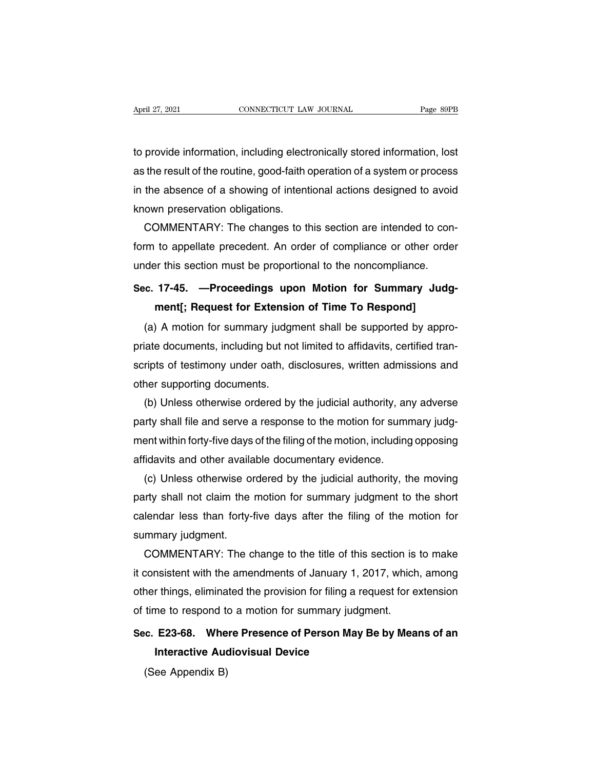to provide information, including electronically stored information, lost April 27, 2021 CONNECTICUT LAW JOURNAL Page 89PB<br>to provide information, including electronically stored information, lost<br>as the result of the routine, good-faith operation of a system or process<br>in the absence of a showi in the absence of a showing electronically stored information, lost<br>as the result of the routine, good-faith operation of a system or process<br>in the absence of a showing of intentional actions designed to avoid<br>known prese to provide information, including electre<br>as the result of the routine, good-faith of<br>in the absence of a showing of intent<br>known preservation obligations.<br>COMMENTARY: The changes to the provide information, including electronically stored information, lost<br>the result of the routine, good-faith operation of a system or process<br>the absence of a showing of intentional actions designed to avoid<br>own preservati

as the result of the routine, good-faith operation of a system or process<br>in the absence of a showing of intentional actions designed to avoid<br>known preservation obligations.<br>COMMENTARY: The changes to this section are int in the absence of a showing of intentional actions designed to avoid<br>known preservation obligations.<br>COMMENTARY: The changes to this section are intended to con<br>form to appellate precedent. An order of compliance or other **COMMENTARY:** The changes to this section are intended to conform to appellate precedent. An order of compliance or other order under this section must be proportional to the noncompliance.<br> **Sec. 17-45.** —**Proceedings upo** DIVINIENTANT. The changes to this section are intended to co<br>to appellate precedent. An order of compliance or other order<br>this section must be proportional to the noncompliance.<br>**17-45.** —**Proceedings upon Motion for Summ** 

(a) A motion for summary in the section must be proportional to the noncompliance.<br>
(a) A motion for Summary Judgment shall be supported by appro-<br>
(a) A motion for summary judgment shall be supported by appro-<br>
(a) A moti Sec. 17-45. —Proceedings upon Motion for Summary Judg-<br>ment[; Request for Extension of Time To Respond]<br>(a) A motion for summary judgment shall be supported by appro-<br>priate documents, including but not limited to affidavi Sec. 17-45. —Proceedings upon Motion for Summary Judg-<br>ment[; Request for Extension of Time To Respond]<br>(a) A motion for summary judgment shall be supported by appro-<br>priate documents, including but not limited to affidavi ment[; Request for Extensic<br>
(a) A motion for summary judger<br>
priate documents, including but no<br>
scripts of testimony under oath, di<br>
other supporting documents.<br>
(b) Unless otherwise ordered by (a) A motion for summary judgment shall be supported by appro-<br>iate documents, including but not limited to affidavits, certified tran-<br>ripts of testimony under oath, disclosures, written admissions and<br>ner supporting docu

priate documents, including but not limited to affidavits, certified transcripts of testimony under oath, disclosures, written admissions and other supporting documents.<br>
(b) Unless otherwise ordered by the judicial author scripts of testimony under oath, disclosures, written admissions and<br>other supporting documents.<br>(b) Unless otherwise ordered by the judicial authority, any adverse<br>party shall file and serve a response to the motion for s other supporting documents.<br>
(b) Unless otherwise ordered by the judicial authority, and party shall file and serve a response to the motion for summent within forty-five days of the filing of the motion, including affidav (b) Unless otherwise ordered by the judicial authority, any adverse<br>irty shall file and serve a response to the motion for summary judg-<br>ent within forty-five days of the filing of the motion, including opposing<br>iidavits a

party shall file and serve a response to the motion for summary judgment within forty-five days of the filing of the motion, including opposing affidavits and other available documentary evidence.<br>
(c) Unless otherwise ord ment within forty-five days of the filing of the motion, including opposing<br>affidavits and other available documentary evidence.<br>(c) Unless otherwise ordered by the judicial authority, the moving<br>party shall not claim the affidavits and other availa<br>(c) Unless otherwise or<br>party shall not claim the<br>calendar less than forty-i<br>summary judgment.<br>COMMENTARY: The c (c) Unless otherwise ordered by the judicial authority, the moving<br>irty shall not claim the motion for summary judgment to the short<br>lendar less than forty-five days after the filing of the motion for<br>mmary judgment.<br>COMME

party shall not claim the motion for summary judgment to the short<br>calendar less than forty-five days after the filing of the motion for<br>summary judgment.<br>COMMENTARY: The change to the title of this section is to make<br>it c calendar less than forty-five days after the filing of the motion for<br>summary judgment.<br>COMMENTARY: The change to the title of this section is to make<br>it consistent with the amendments of January 1, 2017, which, among<br>othe summary judgment.<br>COMMENTARY: The change to the title of this section is<br>it consistent with the amendments of January 1, 2017, which<br>other things, eliminated the provision for filing a request for e<br>of time to respond to a **SECUTE ANTITURE CONVERTANT FETTLE CONTREMENT ANTITURE OF A SECT AND AND SECT AND SECT AND SECT AND ONE THINGS, eliminated the provision for filing a request for extension of time to respond to a motion for summary judgmen** Interactive Audiovisual Device<br>Interactive Audiovisual Device<br>**Interactive Audiovisual Device**<br>The Appendix B)

# time to respond to<br>time to respond to<br>c. E23-68. Whe<br>Interactive Aud<br>(See Appendix B)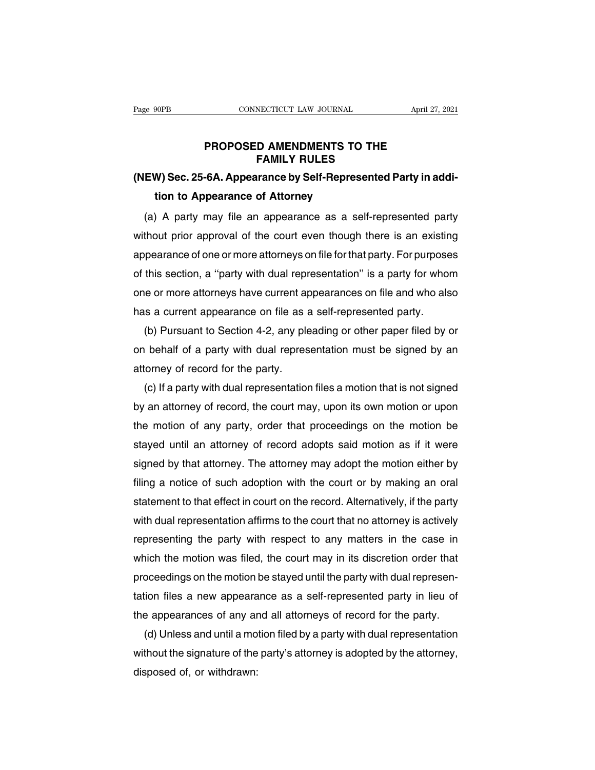## **PROPOSED AMENDMENTS TO THE<br>
FAMILY RULES NECTICUT LAW JOURNAL<br>D AMENDMENTS TO THE<br>FAMILY RULES<br>Irance by Self-Represented P**

## **Eage 90PB** CONNECTICUT LAW JOURNAL April 27, 2021<br> **PROPOSED AMENDMENTS TO THE**<br> **FAMILY RULES**<br> **(NEW) Sec. 25-6A. Appearance by Self-Represented Party in addition to Appearance of Attorney PROPOSED AMENDMENTS TO**<br>**FAMILY RULES**<br>W) Sec. 25-6A. Appearance by Self-Represe<br>tion to Appearance of Attorney<br>A party may file an appearance as a sel

PROPOSED AMENDMENTS TO THE<br>
FAMILY RULES<br>
EW) Sec. 25-6A. Appearance by Self-Represented Party in addi-<br>
tion to Appearance of Attorney<br>
(a) A party may file an appearance as a self-represented party<br>
thout prior approval FAMILY RULES<br>(NEW) Sec. 25-6A. Appearance by Self-Represented Party in addi-<br>tion to Appearance of Attorney<br>(a) A party may file an appearance as a self-represented party<br>without prior approval of the court even though the (NEW) Sec. 25-6A. Appearance by Self-Represented Party in addition to Appearance of Attorney<br>
(a) A party may file an appearance as a self-represented party<br>
without prior approval of the court even though there is an exis tion to Appearance of Attorney<br>
(a) A party may file an appearance as a self-represented party<br>
without prior approval of the court even though there is an existing<br>
appearance of one or more attorneys on file for that par (a) A party may file an appearance as a self-represented party<br>without prior approval of the court even though there is an existing<br>appearance of one or more attorneys on file for that party. For purposes<br>of this section, without prior approval of the court even though there is an existin<br>appearance of one or more attorneys on file for that party. For purpose<br>of this section, a "party with dual representation" is a party for who<br>one or more pearance of one or more attorneys on file for that party. For purposes<br>this section, a "party with dual representation" is a party for whom<br>e or more attorneys have current appearances on file and who also<br>s a current appe

of this section, a "party with dual representation" is a party for whom<br>one or more attorneys have current appearances on file and who also<br>has a current appearance on file as a self-represented party.<br>(b) Pursuant to Sect one or more attorneys have current ap<br>has a current appearance on file as  $\alpha$ <br>(b) Pursuant to Section 4-2, any ple<br>on behalf of a party with dual repres<br>attorney of record for the party.<br>(c) If a party with dual represent Solid a current appearance on file as a self-represented party.<br>
(b) Pursuant to Section 4-2, any pleading or other paper filed by or<br>
(b) Pursuant to Section 4-2, any pleading or other paper filed by or<br>
(c) If a party wi

(b) Pursuant to Section 4-2, any pleading or other paper filed by or<br>on behalf of a party with dual representation must be signed by an<br>attorney of record for the party.<br>(c) If a party with dual representation files a moti on behalf of a party with dual representation must be signed by an<br>attorney of record for the party.<br>(c) If a party with dual representation files a motion that is not signed<br>by an attorney of record, the court may, upon i attorney of record for the party.<br>
(c) If a party with dual representation files a motion that is not signed<br>
by an attorney of record, the court may, upon its own motion or upon<br>
the motion of any party, order that procee (c) If a party with dual representation files a motion that is not signed<br>by an attorney of record, the court may, upon its own motion or upon<br>the motion of any party, order that proceedings on the motion be<br>stayed until a by an attorney of record, the court may, upon its own motion or upon<br>the motion of any party, order that proceedings on the motion be<br>stayed until an attorney of record adopts said motion as if it were<br>signed by that attor the motion of any party, order that proceedings on the motion be<br>stayed until an attorney of record adopts said motion as if it were<br>signed by that attorney. The attorney may adopt the motion either by<br>filing a notice of s stayed until an attorney of record adopts said motion as if it were<br>signed by that attorney. The attorney may adopt the motion either by<br>filing a notice of such adoption with the court or by making an oral<br>statement to tha signed by that attorney. The attorney may adopt the motion either by<br>filing a notice of such adoption with the court or by making an oral<br>statement to that effect in court on the record. Alternatively, if the party<br>with du filing a notice of such adoption with the court or by making an oral<br>statement to that effect in court on the record. Alternatively, if the party<br>with dual representation affirms to the court that no attorney is actively<br>r statement to that effect in court on the record. Alternatively, if the party with dual representation affirms to the court that no attorney is actively representing the party with respect to any matters in the case in whic with dual representation affirms to the court that no attorney is actively<br>representing the party with respect to any matters in the case in<br>which the motion was filed, the court may in its discretion order that<br>proceeding representing the party with respect to any matters in the case in<br>which the motion was filed, the court may in its discretion order that<br>proceedings on the motion be stayed until the party with dual represen-<br>tation files hich the motion was filed, the court may in its discretion order that<br>oceedings on the motion be stayed until the party with dual represention files a new appearance as a self-represented party in lieu of<br>e appearances of

proceedings on the motion be stayed until the party with dual representation files a new appearance as a self-represented party in lieu of the appearances of any and all attorneys of record for the party.<br>
(d) Unless and u tation files a new appeara<br>the appearances of any ar<br>(d) Unless and until a mo<br>without the signature of the<br>disposed of, or withdrawn: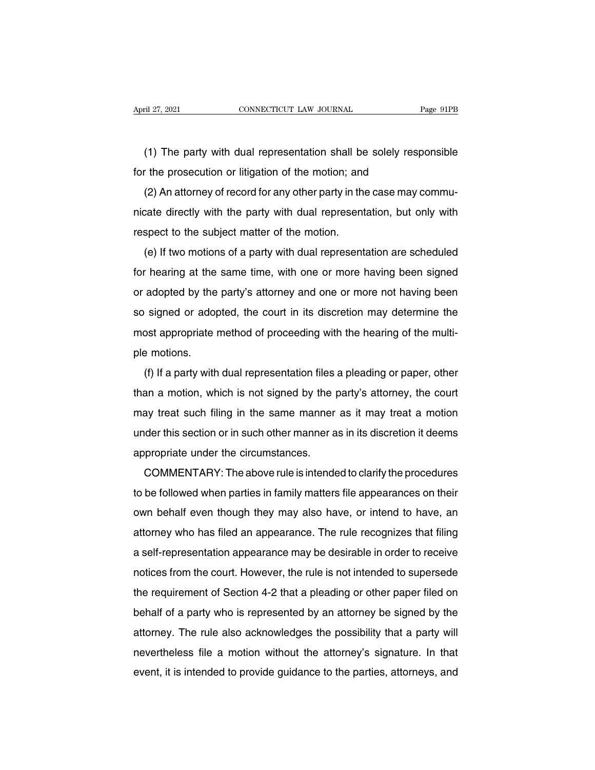The party with dual representation shall be solely responsible<br>
The party with dual representation shall be solely responsible<br>
The prosecution or litigation of the motion; and For the party with dual representation shall be solely resp<br>for the prosecution or litigation of the motion; and<br>(2) An attorney of record for any other party in the case may of

(1) The party with dual representation shall be solely responsible<br>
(2) An attorney of record for any other party in the case may commu-<br>
(2) An attorney of record for any other party in the case may commu-<br>
cate directly (1) The party with dual representation shall be solely responsible<br>for the prosecution or litigation of the motion; and<br>(2) An attorney of record for any other party in the case may commu-<br>nicate directly with the party wi For the prosecution or litigation of the motion; and<br>(2) An attorney of record for any other party in the<br>nicate directly with the party with dual represent<br>respect to the subject matter of the motion.<br>(e) If two motions o (2) An attorney of record for any other party in the case may commu-<br>cate directly with the party with dual representation, but only with<br>spect to the subject matter of the motion.<br>(e) If two motions of a party with dual r

For all directly with the party with dual representation, but only with<br>respect to the subject matter of the motion.<br>(e) If two motions of a party with dual representation are scheduled<br>for hearing at the same time, with respect to the subject matter of the motion.<br>
(e) If two motions of a party with dual representation are scheduled<br>
for hearing at the same time, with one or more having been signed<br>
or adopted by the party's attorney and (e) If two motions of a party with dual representation are scheduled<br>for hearing at the same time, with one or more having been signed<br>or adopted by the party's attorney and one or more not having been<br>so signed or adopted (e) If two motions of a party with dual representation are scheduled for hearing at the same time, with one or more having been signed or adopted by the party's attorney and one or more not having been so signed or adopted From Healing at the<br>or adopted by the<br>so signed or adop<br>most appropriate is<br>ple motions.<br>(f) If a party with signed or adopted, the court in its discretion may determine the<br>post appropriate method of proceeding with the hearing of the multi-<br>a motions.<br>(f) If a party with dual representation files a pleading or paper, other<br>an a

so signed or adopted, the court in its discretion may determine the<br>most appropriate method of proceeding with the hearing of the multi-<br>ple motions.<br>(f) If a party with dual representation files a pleading or paper, other most appropriate method of proceeding with the hearing of the matte-<br>ple motions.<br>(f) If a party with dual representation files a pleading or paper, other<br>than a motion, which is not signed by the party's attorney, the cou (f) If a party with dual representation files a pleading or paper, other<br>than a motion, which is not signed by the party's attorney, the court<br>may treat such filing in the same manner as it may treat a motion<br>under this se (i) if a party with dual representation lies<br>than a motion, which is not signed by the  $\mu$ <br>may treat such filing in the same manner<br>under this section or in such other manner a<br>appropriate under the circumstances.<br>COMMEN and a motion, which is not signed by the party's attomey, the court<br>ay treat such filing in the same manner as it may treat a motion<br>der this section or in such other manner as in its discretion it deems<br>propriate under th

they treat such lining in the same manner as it may treat a motion<br>under this section or in such other manner as in its discretion it deems<br>appropriate under the circumstances.<br>COMMENTARY: The above rule is intended to cla appropriate under the circumstances.<br>
COMMENTARY: The above rule is intended to clarify the procedures<br>
to be followed when parties in family matters file appearances on their<br>
own behalf even though they may also have, or appropriate under the chcurristances.<br>COMMENTARY: The above rule is intended to clarify the procedures<br>to be followed when parties in family matters file appearances on their<br>own behalf even though they may also have, or i COMMENTANTE. The above fue is interlued to clarify the procedures<br>to be followed when parties in family matters file appearances on their<br>own behalf even though they may also have, or intend to have, an<br>attorney who has fi notice included when parties in raming matters fire appearances on their<br>own behalf even though they may also have, or intend to have, an<br>attorney who has filed an appearance. The rule recognizes that filing<br>a self-represe behalf even though they may also have, or intend to have, and<br>attorney who has filed an appearance. The rule recognizes that filing<br>a self-representation appearance may be desirable in order to receive<br>notices from the cou a self-representation appearance. The fue recognizes that himg<br>a self-representation appearance may be desirable in order to receive<br>notices from the court. However, the rule is not intended to supersede<br>the requirement of a sen-representation appearance may be desirable in order to receive<br>notices from the court. However, the rule is not intended to supersede<br>the requirement of Section 4-2 that a pleading or other paper filed on<br>behalf of a notices from the court. However, the rule is not interided to supersede<br>the requirement of Section 4-2 that a pleading or other paper filed on<br>behalf of a party who is represented by an attorney be signed by the<br>attorney. the requirement of Section 4-2 that a pleading of other paper med on<br>behalf of a party who is represented by an attorney be signed by the<br>attorney. The rule also acknowledges the possibility that a party will<br>nevertheless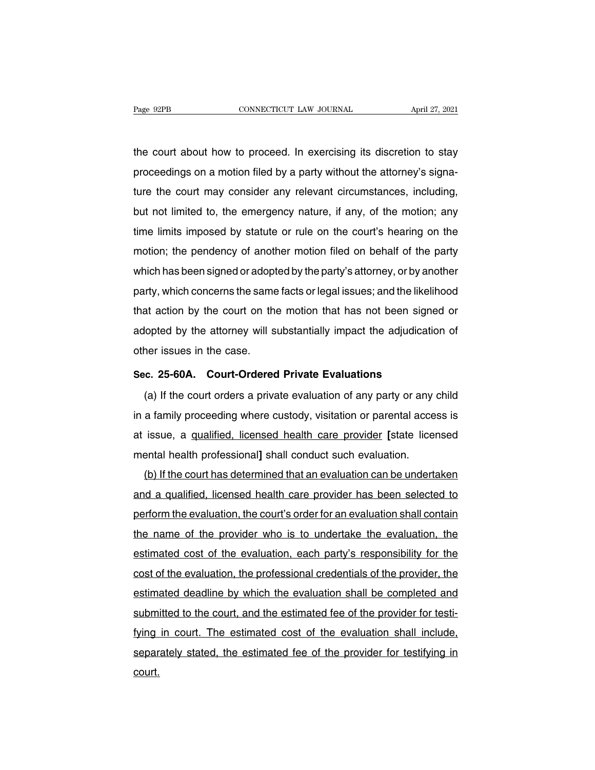The court about how to proceed. In exercising its discretion to stay<br>proceedings on a motion filed by a party without the attorney's signa-Page 92PB CONNECTICUT LAW JOURNAL April 27, 2021<br>the court about how to proceed. In exercising its discretion to stay<br>proceedings on a motion filed by a party without the attorney's signa-<br>ture the court may consider any r the court about how to proceed. In exercising its discretion to stay<br>proceedings on a motion filed by a party without the attorney's signa-<br>ture the court may consider any relevant circumstances, including,<br>but not limited the court about how to proceed. In exercising its discretion to stay<br>proceedings on a motion filed by a party without the attorney's signa-<br>ture the court may consider any relevant circumstances, including,<br>but not limited the court about how to proceed. In exercising its discretion to stay<br>proceedings on a motion filed by a party without the attorney's signa-<br>ture the court may consider any relevant circumstances, including,<br>but not limited proceedings on a motion filed by a party without the attorney's signa-<br>ture the court may consider any relevant circumstances, including,<br>but not limited to, the emergency nature, if any, of the motion; any<br>time limits imp full that has been signed or adopted by the party's attorney, and the motion; any time limits imposed by statute or rule on the court's hearing on the motion; the pendency of another motion filed on behalf of the party whi but not immed to, the emergency nature, if any, of the motion, any<br>time limits imposed by statute or rule on the court's hearing on the<br>motion; the pendency of another motion filed on behalf of the party<br>which has been sig that action, the pendency of another motion filed on behalf of the party<br>which has been signed or adopted by the party's attorney, or by another<br>party, which concerns the same facts or legal issues; and the likelihood<br>that motion, the peridency of another motion lied on behalf of the party<br>which has been signed or adopted by the party's attorney, or by another<br>party, which concerns the same facts or legal issues; and the likelihood<br>that acti which it as been sighed of adopt<br>party, which concerns the same<br>that action by the court on the<br>adopted by the attorney will s<br>other issues in the case.<br>Sec. 25-60A. Court-Ordered that action by the court on the motion that has not been signe<br>adopted by the attorney will substantially impact the adjudication<br>other issues in the case.<br>Sec. 25-60A. Court-Ordered Private Evaluations<br>(a) If the court or (b) If the attorney will substantially impact the adjudication of<br>
the rissues in the case.<br> **C. 25-60A.** Court-Ordered Private Evaluations<br>
(a) If the court orders a private evaluation of any party or any child<br>
a family

other issues in the case.<br>
Sec. 25-60A. Court-Ordered Private Evaluations<br>
(a) If the court orders a private evaluation of any party or any child<br>
in a family proceeding where custody, visitation or parental access is<br>
at Sec. 25-60A. Court-Ordered Private Evaluations<br>(a) If the court orders a private evaluation of any party or any child<br>in a family proceeding where custody, visitation or parental access is<br>at issue, a qualified, licensed h (a) If the court orders a private evaluation of any party or any<br>in a family proceeding where custody, visitation or parental acce<br>at issue, a <u>qualified, licensed health care provider</u> [state lice<br>mental health profession (a) if the court orders a private evaluation or any party or any child<br>a family proceeding where custody, visitation or parental access is<br>issue, a qualified, licensed health care provider [state licensed<br>ental health prof

and a qualified, licensed health care provider [state licensed<br>at issue, a qualified, licensed health care provider [state licensed<br>mental health professional] shall conduct such evaluation.<br>(b) If the court has determined at issue, a <u>qualified, licensed freatin care provider</u> [state licensed<br>mental health professional] shall conduct such evaluation.<br>(b) If the court has determined that an evaluation can be undertaken<br>and a qualified, licen the name of the court has determined that an evaluation can be undertaken<br>and a qualified, licensed health care provider has been selected to<br>perform the evaluation, the court's order for an evaluation shall contain<br>the na (b) if the court has determined that an evaluation can be undertakent<br>and a qualified, licensed health care provider has been selected to<br>perform the evaluation, the court's order for an evaluation shall contain<br>the name o and a qualified, licensed health care provider has been selected to<br>perform the evaluation, the court's order for an evaluation shall contain<br>the name of the provider who is to undertake the evaluation, the<br>estimated cost periorm the evaluation, the court s order for an evaluation shall contain<br>the name of the provider who is to undertake the evaluation, the<br>estimated cost of the evaluation, each party's responsibility for the<br>cost of the e the name of the provider who is to undertake the evaluation, the estimated cost of the evaluation, each party's responsibility for the cost of the evaluation, the professional credentials of the provider, the estimated dea estimated cost of the evaluation, each party's responsibility for the<br>cost of the evaluation, the professional credentials of the provider, the<br>estimated deadline by which the evaluation shall be completed and<br>submitted to cost of the evaluation, the professional credentials of the provider, the estimated deadline by which the evaluation shall be completed and submitted to the court, and the estimated fee of the provider for testifying in co court.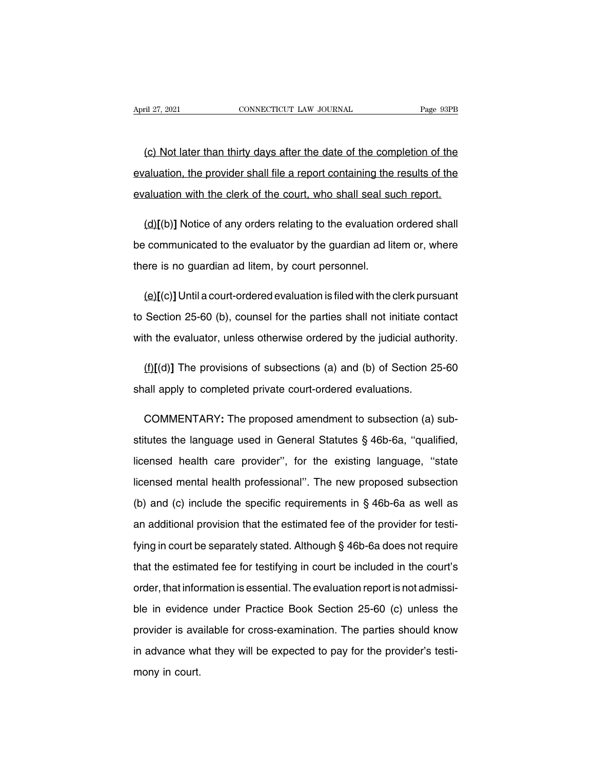(c) Not later than thirty days after the date of the completion of the datation, the provider shall file a report containing the results of the April 27, 2021 CONNECTICUT LAW JOURNAL Page 93PB<br>
(c) Not later than thirty days after the date of the completion of the<br>
evaluation, the provider shall file a report containing the results of the<br>
evaluation with the cler (c) Not later than thirty days after the date of the completion of the evaluation, the provider shall file a report containing the results of the evaluation with the clerk of the court, who shall seal such report. (c) Not later than thirty days after the date of the completion of the aluation, the provider shall file a report containing the results of the aluation with the clerk of the court, who shall seal such report.<br>(d)[(b)] No

evaluation, the provider shall file a report containing the results of the<br>evaluation with the clerk of the court, who shall seal such report.<br>(d)[(b)] Notice of any orders relating to the evaluation ordered shall<br>be commu evaluation with the clerk of the court, who shall seal su<br>
(d)[(b)] Notice of any orders relating to the evaluation<br>
be communicated to the evaluator by the guardian ad lit<br>
there is no guardian ad litem, by court personne  $(d)[(b)]$  Notice of any orders relating to the evaluation ordered shall<br>
communicated to the evaluator by the guardian ad litem or, where<br>
gere is no guardian ad litem, by court personnel.<br>  $(e)[(c)]$  Until a court-ordered eva

be communicated to the evaluator by the guardian ad litem or, where<br>there is no guardian ad litem, by court personnel.<br>(e)[(c)] Until a court-ordered evaluation is filed with the clerk pursuant<br>to Section 25-60 (b), counse there is no guardian ad litem, by court personnel.<br>  $(\underline{e})[(c)]$  Until a court-ordered evaluation is filed with the clerk pursuant<br>
to Section 25-60 (b), counsel for the parties shall not initiate contact<br>
with the evaluato (e)[(c)] Until a court-ordered evaluation is filed with the clerk pursuant<br>Section 25-60 (b), counsel for the parties shall not initiate contact<br>th the evaluator, unless otherwise ordered by the judicial authority.<br>(f)[(d) to Section 25-60 (b), counsel for the parties shall not initiate con<br>with the evaluator, unless otherwise ordered by the judicial author<br>(f)[(d)] The provisions of subsections (a) and (b) of Section 29<br>shall apply to comp

(f)[(d)] The provisions of subsections (a) and (b) of Section 25-60<br>all apply to completed private court-ordered evaluations.<br>COMMENTARY: The proposed amendment to subsection (a) sub-<br>tutes the language used in General Sta (f)[(d)] The provisions of subsections (a) and (b) of Section 25-60<br>shall apply to completed private court-ordered evaluations.<br>COMMENTARY: The proposed amendment to subsection (a) sub-<br>stitutes the language used in Gener shall apply to completed private court-ordered evaluations.<br>
COMMENTARY: The proposed amendment to subsection (a) sub-<br>
stitutes the language used in General Statutes § 46b-6a, "qualified,<br>
licensed health care provider", COMMENTARY: The proposed amendment to subsection (a) substitutes the language used in General Statutes § 46b-6a, "qualified, licensed health care provider", for the existing language, "state licensed mental health professi stitutes the language used in General Statutes § 46b-6a, "qualified,<br>licensed health care provider", for the existing language, "state<br>licensed mental health professional". The new proposed subsection<br>(b) and (c) include licensed health care provider", for the existing language, "state<br>licensed mental health professional". The new proposed subsection<br>(b) and (c) include the specific requirements in § 46b-6a as well as<br>an additional provisi licensed mental health professional". The new proposed subsection<br>(b) and (c) include the specific requirements in § 46b-6a as well as<br>an additional provision that the estimated fee of the provider for testi-<br>fying in cou (b) and (c) include the specific requirements in  $\S$  46b-6a as well as<br>an additional provision that the estimated fee of the provider for testi-<br>fying in court be separately stated. Although  $\S$  46b-6a does not require<br>th an additional provision that the estimated fee of the provider for testi-<br>fying in court be separately stated. Although § 46b-6a does not require<br>that the estimated fee for testifying in court be included in the court's<br>or fying in court be separately stated. Although  $\S$  46b-6a does not require<br>that the estimated fee for testifying in court be included in the court's<br>order, that information is essential. The evaluation report is not admiss that the estimated fee for testifying in court be included in the court's<br>order, that information is essential. The evaluation report is not admissi-<br>ble in evidence under Practice Book Section 25-60 (c) unless the<br>provide order, that information is essential. The evaluation report is not admissi-<br>ble in evidence under Practice Book Section 25-60 (c) unless the<br>provider is available for cross-examination. The parties should know<br>in advance w ble in evidenc<br>provider is ava<br>in advance wh<br>mony in court.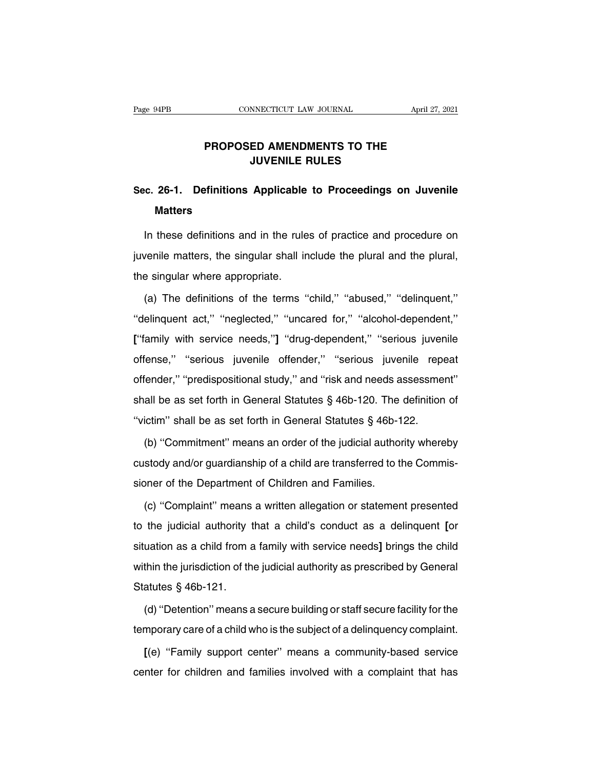## **PROPOSED AMENDMENTS TO THE<br>
JUVENILE RULES INDECTICUT LAW JOURNAL<br>
ED AMENDMENTS TO THE<br>
JUVENILE RULES<br>
A LILLLL ROLLER**

## **SEC.** 26-1. Definitions Applicable to Proceedings on Juvenile<br>Matters **Matters**

JUVENILE RULES<br>
E. 26-1. Definitions Applicable to Proceedings on Juvenile<br>
Matters<br>
In these definitions and in the rules of practice and procedure on<br>
venile matters, the singular shall include the plural and the plural, Sec. 26-1. Definitions Applicable to Proceedings on Juvenile<br>Matters<br>In these definitions and in the rules of practice and procedure on<br>juvenile matters, the singular shall include the plural and the plural,<br>the singular w In these definitions and in the rules of practice and procedure on<br>juvenile matters, the singular shall include the plural and the plural,<br>the singular where appropriate.<br>(a) The definitions of the terms "child," "abused," In these definitions and in the rules of practice and procedure on<br>venile matters, the singular shall include the plural and the plural,<br>e singular where appropriate.<br>(a) The definitions of the terms "child," "abused," "de

|<br>| juvenile matters, the singular shall include the plural and the plural,<br>
the singular where appropriate.<br>
(a) The definitions of the terms "child," "abused," "delinquent,"<br>
"delinquent act," "neglected," "uncared for," the singular where appropriate.<br>
(a) The definitions of the terms "child," "abused," "delinquent,"<br>
"delinquent act," "neglected," "uncared for," "alcohol-dependent,"<br>
["family with service needs,"] "drug-dependent," "seri (a) The definitions of the terms "child," "abused," "delinquent,"<br>"delinquent act," "neglected," "uncared for," "alcohol-dependent,"<br>["family with service needs,"] "drug-dependent," "serious juvenile<br>offense," "serious juv "delinquent act," "neglected," "uncared for," "alcobol-dependent,"<br>["family with service needs,"] "drug-dependent," "serious juvenile<br>offense," "serious juvenile offender," "serious juvenile repeat<br>offender," "predispositi If the asset forth in General Statutes § 46b-120. The definition of "victim" shall be as set forth in General Statutes § 46b-120. The definition of "victim" shall be as set forth in General Statutes § 46b-120. The definiti ["family with service needs,"] "drug-dependent," "serious juvenile offense," "serious juvenile offender," "serious juvenile repeat offender," "predispositional study," and "risk and needs assessment" shall be as set forth Fiender," "predispositional study," and "risk and needs assessment"<br>all be as set forth in General Statutes § 46b-120. The definition of<br>ictim" shall be as set forth in General Statutes § 46b-122.<br>(b) "Commitment" means a

shall be as set forth in General Statutes § 46b-120. The definition of "victim" shall be as set forth in General Statutes § 46b-122.<br>(b) "Commitment" means an order of the judicial authority whereby custody and/or guardia "victim" shall be as set forth in General Statutes § 46b-1<br>(b) "Commitment" means an order of the judicial author<br>custody and/or guardianship of a child are transferred to the<br>sioner of the Department of Children and Famil (b) "Commitment" means an order of the judicial authority whereby<br>stody and/or guardianship of a child are transferred to the Commis-<br>pner of the Department of Children and Families.<br>(c) "Complaint" means a written allegat

The interact of the Department of child are transferred to the Commissioner of the Department of Children and Families.<br>
(c) "Complaint" means a written allegation or statement presented to the judicial authority that a ch sioner of the Department of Children and Families.<br>
(c) "Complaint" means a written allegation or statement presented<br>
to the judicial authority that a child's conduct as a delinquent [or<br>
situation as a child from a famil (c) "Complaint" means a written allegation or statement presented to the judicial authority that a child's conduct as a delinquent [or situation as a child from a family with service needs] brings the child within the jur to the judicial authority to the judicial authority to situation as a child from a<br>within the jurisdiction of the Statutes  $\S$  46b-121.<br>(d) "Detention" means a uation as a child from a family with service needs] brings the child<br>thin the jurisdiction of the judicial authority as prescribed by General<br>atutes § 46b-121.<br>(d) "Detention" means a secure building or staff secure facili within the jurisdiction of the judicial authority as prescribed by General<br>Statutes § 46b-121.<br>(d) "Detention" means a secure building or staff secure facility for the<br>temporary care of a child who is the subject of a deli

atutes § 46b-121.<br>(d) "Detention" means a secure building or staff secure facility for the<br>mporary care of a child who is the subject of a delinquency complaint.<br>[(e) "Family support center" means a community-based service (d) "Detention" means a secure building or staff secure facility for the temporary care of a child who is the subject of a delinquency complaint.<br>
[(e) "Family support center" means a community-based service center for chi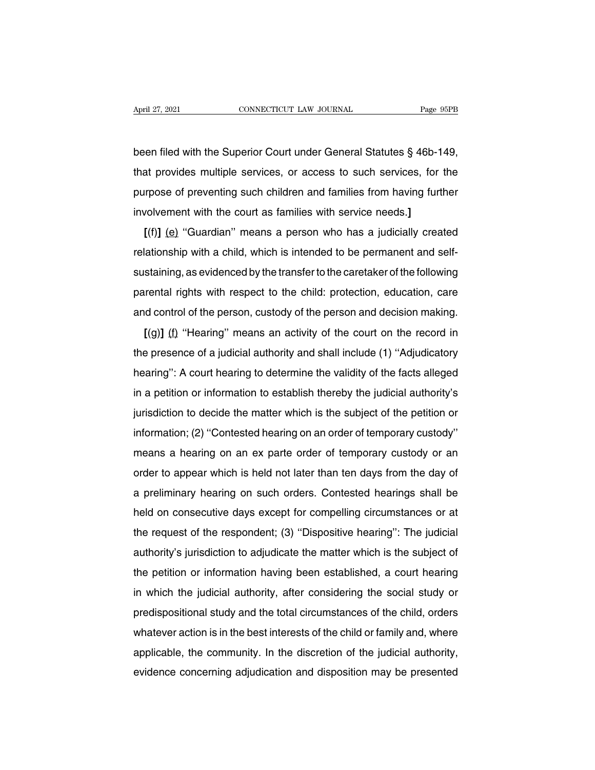April 27, 2021 CONNECTICUT LAW JOURNAL Page 95PB<br>been filed with the Superior Court under General Statutes § 46b-149,<br>that provides multiple services, or access to such services, for the April 27, 2021 CONNECTICUT LAW JOURNAL Page 95PB<br>been filed with the Superior Court under General Statutes § 46b-149,<br>that provides multiple services, or access to such services, for the<br>purpose of preventing such children been filed with the Superior Court under General Statutes § 46b-149,<br>that provides multiple services, or access to such services, for the<br>purpose of preventing such children and families from having further<br>involvement wit been filed with the Superior Court under General Statutes § 46b-1<br>that provides multiple services, or access to such services, for<br>purpose of preventing such children and families from having furt<br>involvement with the cour at provides multiple services, or access to such services, for the prose of preventing such children and families from having further volvement with the court as families with service needs.]<br>[(f)] (e) "Guardian" means a p

that provides multiple services, or access to such services, for the<br>purpose of preventing such children and families from having further<br>involvement with the court as families with service needs.]<br> $[(f)] (e)$  "Guardian" mea purpose or preventing such children and ramifies nonf having funder<br>involvement with the court as families with service needs.]<br>[(f)] (e) "Guardian" means a person who has a judicially created<br>relationship with a child, wh  $[(f)]$  (e) "Guardian" means a person who has a judicially created relationship with a child, which is intended to be permanent and self-<br>sustaining, as evidenced by the transfer to the caretaker of the following<br>parental r relationship with a child, which is intended to be permanent and self-<br>sustaining, as evidenced by the transfer to the caretaker of the following<br>parental rights with respect to the child: protection, education, care<br>and Examing, as evidenced by the transfer to the caretaker of the following<br> **Example 19 and 19 and 19 and 19 and 19 and 19 and 19 and 19 and 19 and 19 and 19 and 19 and 19 and 19 and 19 and 19 and 19 and 19 and 19 and 19 and** 

sustanting, as evidenced by the transfer to the caretaker of the following<br>parental rights with respect to the child: protection, education, care<br>and control of the person, custody of the person and decision making.<br>[(g)] parental rights with respect to the child. protection, education, care<br>and control of the person, custody of the person and decision making.<br>[(g)] (f) "Hearing" means an activity of the court on the record in<br>the presence  $[(9)]$  (f) "Hearing" means an activity of the court on the record in<br>the presence of a judicial authority and shall include (1) "Adjudicatory<br>hearing": A court hearing to determine the validity of the facts alleged<br>in a pe It is a meaning intention of the court of the record in the presence of a judicial authority and shall include (1) "Adjudicatory hearing": A court hearing to determine the validity of the facts alleged in a petition or in ine presence or a judicial additionly and shall include (1) Adjudicatory<br>hearing": A court hearing to determine the validity of the facts alleged<br>in a petition or information to establish thereby the judicial authority's<br>j meaning : A court nearing to determine the validity of the lacts alleged<br>in a petition or information to establish thereby the judicial authority's<br>jurisdiction to decide the matter which is the subject of the petition or<br> in a pention of information to establish thereby the judicial authority's<br>jurisdiction to decide the matter which is the subject of the petition or<br>information; (2) "Contested hearing on an order of temporary custody"<br>mean information to decide the matter which is the subject of the pention of<br>information; (2) "Contested hearing on an order of temporary custody"<br>means a hearing on an ex parte order of temporary custody or an<br>order to appear mionination,  $(z)$  Contested healing on an otder of temporary custody or an order to appear which is held not later than ten days from the day of a preliminary hearing on such orders. Contested hearings shall be held on co the request of the respondent; (3) "Dispositive hearing": The judicial authority's jurisdiction to adjudicate the matter which is the subject of the request of the respondent; (3) "Dispositive hearing": The judicial author a preliminary hearing on such orders. Contested hearings shall be<br>held on consecutive days except for compelling circumstances or at<br>the request of the respondent; (3) "Dispositive hearing": The judicial<br>authority's jurisd a premininary riearing on such orders. Contested riearings shall be<br>held on consecutive days except for compelling circumstances or at<br>the request of the respondent; (3) "Dispositive hearing": The judicial<br>authority's juri Theid on consecutive days except for completing circumstances of at<br>the request of the respondent; (3) "Dispositive hearing": The judicial<br>authority's jurisdiction to adjudicate the matter which is the subject of<br>the petit authority's jurisdiction to adjudicate the matter which is the subject of<br>authority's jurisdiction to adjudicate the matter which is the subject of<br>the petition or information having been established, a court hearing<br>in wh action or information is definite the matter which is the subject of<br>the petition or information having been established, a court hearing<br>in which the judicial authority, after considering the social study or<br>predispositio in which the judicial authority, after considering the social study or<br>predispositional study and the total circumstances of the child, orders<br>whatever action is in the best interests of the child or family and, where<br>appl In which the judicial additionty, after considering the social study of<br>predispositional study and the total circumstances of the child, orders<br>whatever action is in the best interests of the child or family and, where<br>app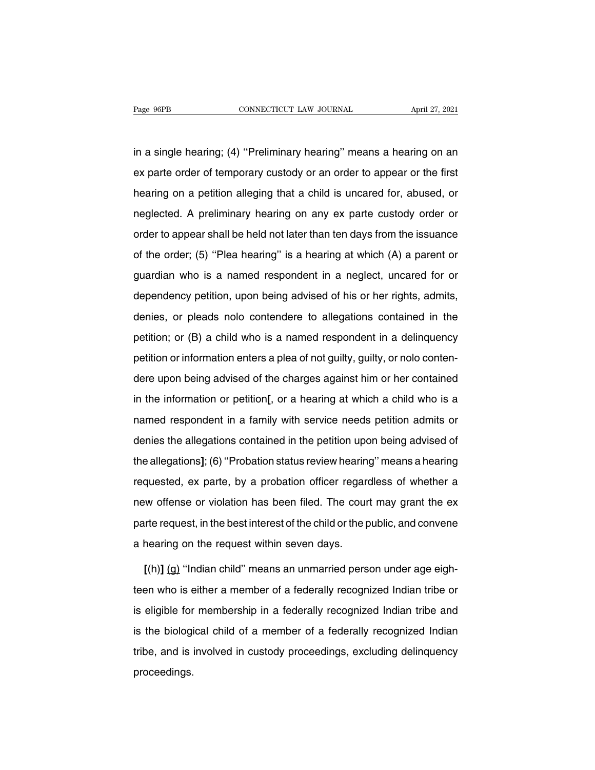Fage 96PB CONNECTICUT LAW JOURNAL April 27, 2021<br>in a single hearing; (4) "Preliminary hearing" means a hearing on an<br>ex parte order of temporary custody or an order to appear or the first Page 96PB CONNECTICUT LAW JOURNAL April 27, 2021<br>in a single hearing; (4) "Preliminary hearing" means a hearing on an<br>ex parte order of temporary custody or an order to appear or the first<br>hearing on a petition alleging th in a single hearing; (4) "Preliminary hearing" means a hearing on an<br>ex parte order of temporary custody or an order to appear or the first<br>hearing on a petition alleging that a child is uncared for, abused, or<br>neglected. in a single hearing; (4) "Preliminary hearing" means a hearing on an<br>ex parte order of temporary custody or an order to appear or the first<br>hearing on a petition alleging that a child is uncared for, abused, or<br>neglected. ex parte order of temporary custody or an order to appear or the first<br>hearing on a petition alleging that a child is uncared for, abused, or<br>neglected. A preliminary hearing on any ex parte custody order or<br>order to appea bearing on a petition alleging that a child is uncared for, abused, or neglected. A preliminary hearing on any ex parte custody order or order to appear shall be held not later than ten days from the issuance of the order; it and the distance for, assess, or<br>neglected. A preliminary hearing on any ex parte custody order or<br>order to appear shall be held not later than ten days from the issuance<br>of the order; (5) "Plea hearing" is a hearing at dependency petition, upon being advised of his or her rights, admits, denies, or pleads noto contendere to allegations contained in the ender; (5) "Plea hearing" is a hearing at which (A) a parent or guardian who is a name of the order; (5) "Plea hearing" is a hearing at which (A) a parent or<br>guardian who is a named respondent in a neglect, uncared for or<br>dependency petition, upon being advised of his or her rights, admits,<br>denies, or pleads per and strate state, (c) if the intention; or a neutring at minimal (ii) a particle.<br>guardian who is a named respondent in a neglect, uncared for or<br>dependency petition, upon being advised of his or her rights, admits,<br>de guardian who is a named respondent in a neglect, uncared for or dependency petition, upon being advised of his or her rights, admits, denies, or pleads nolo contendere to allegations contained in the petition; or (B) a chi denies, or pleads nolo contendere to allegations contained in the<br>petition; or (B) a child who is a named respondent in a delinquency<br>petition or information enters a plea of not guilty, guilty, or nolo conten-<br>dere upon b petition; or (B) a child who is a named respondent in a delinquency<br>petition or information enters a plea of not guilty, guilty, or nolo conten-<br>dere upon being advised of the charges against him or her contained<br>in the in petition or information enters a plea of not guilty, guilty, or nolo conten-<br>dere upon being advised of the charges against him or her contained<br>in the information or petition[, or a hearing at which a child who is a<br>named dere upon being advised of the charges against him or her contained<br>in the information or petition[, or a hearing at which a child who is a<br>named respondent in a family with service needs petition admits or<br>denies the alle in the information or petition[, or a hearing at which a child who is a<br>named respondent in a family with service needs petition admits or<br>denies the allegations contained in the petition upon being advised of<br>the allegati remains about the penaltry of a treating at time to entire the compared respondent in a family with service needs petition admits or denies the allegations contained in the petition upon being advised of the allegations]; nance responsement and a taking time vertice incode permonrolating.<br>
denies the allegations]; (6) "Probation status review hearing" means a hearing<br>
requested, ex parte, by a probation officer regardless of whether a<br>
new the allegations]; (6) "Probation status review hearing" means a hearing<br>requested, ex parte, by a probation officer regardless of whether a<br>new offense or violation has been filed. The court may grant the ex<br>parte request, requested, ex parte, by a probation officer regard<br>new offense or violation has been filed. The cour<br>parte request, in the best interest of the child or the p<br>a hearing on the request within seven days.<br> $I(h)I(r)$  "Indian ch <sup>1</sup> w offense or violation has been filed. The court may grant the exerte request, in the best interest of the child or the public, and convene hearing on the request within seven days.<br> **[**(h)] (g) "Indian child" means an

parte request, in the best interest of the child or the public, and convene<br>a hearing on the request within seven days.<br>
[(h)] (g) "Indian child" means an unmarried person under age eigh-<br>teen who is either a member of a f is eligible for membership in a federally recognized Indian tribe or<br>is eligible for membership in a federally recognized Indian tribe or<br>is eligible for membership in a federally recognized Indian tribe and<br>is the biologi  $[(h)] (g)$  "Indian child" means an unmarried person under age eighteen who is either a member of a federally recognized Indian tribe or is eligible for membership in a federally recognized Indian tribe and is the biological teen who is either a member of a federally recognized Indian tribe or<br>is eligible for membership in a federally recognized Indian tribe and<br>is the biological child of a member of a federally recognized Indian<br>tribe, and is proceedings.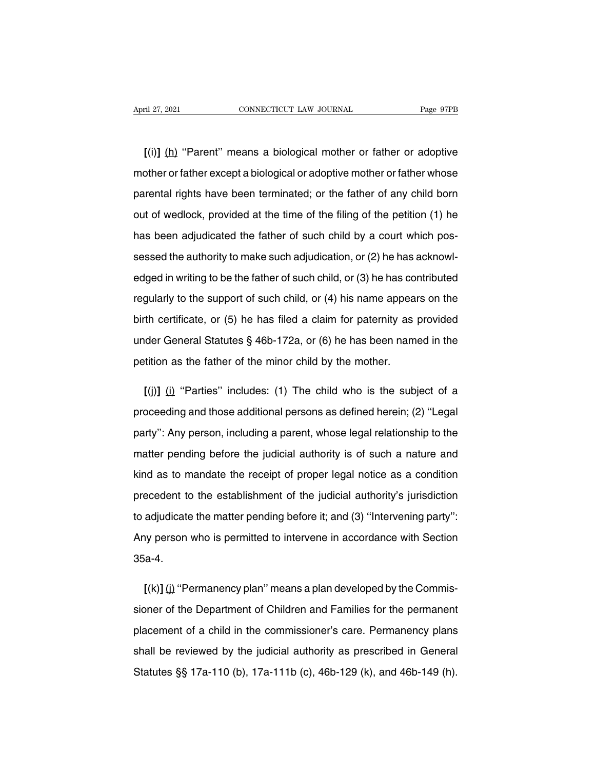**[**(i)**]** (h) ''Parent'' means a biological mother or father or adoptive April 27, 2021 CONNECTICUT LAW JOURNAL Page 97PB<br>
[(i)] (h) "Parent" means a biological mother or father or adoptive<br>
mother or father except a biological or adoptive mother or father whose<br>
parental rights have been termi  $\lbrack (i) \rbrack$  (h) "Parent" means a biological mother or father or adoptive<br>mother or father except a biological or adoptive mother or father whose<br>parental rights have been terminated; or the father of any child born<br>out  $\lbrack$  (i)] (h) "Parent" means a biological mother or father or adoptive mother or father except a biological or adoptive mother or father whose parental rights have been terminated; or the father of any child born out of mother or father except a biological or adoptive mother or father whose<br>parental rights have been terminated; or the father of any child born<br>out of wedlock, provided at the time of the filing of the petition (1) he<br>has be parental rights have been terminated; or the father of any child born<br>out of wedlock, provided at the time of the filing of the petition (1) he<br>has been adjudicated the father of such child by a court which pos-<br>sessed the out of wedlock, provided at the time of the filing of the petition (1) he<br>has been adjudicated the father of such child by a court which pos-<br>sessed the authority to make such adjudication, or (2) he has acknowl-<br>edged in has been adjudicated the father of such child by a court which pos-<br>sessed the authority to make such adjudication, or (2) he has acknowl-<br>edged in writing to be the father of such child, or (3) he has contributed<br>regularl sessed the authority to make such adjudication, or (2) he has acknowl-<br>edged in writing to be the father of such child, or (3) he has contributed<br>regularly to the support of such child, or (4) his name appears on the<br>birth edged in writing to be the father of such child, or (3) he has contributed<br>regularly to the support of such child, or (4) his name appears on the<br>birth certificate, or (5) he has filed a claim for paternity as provided<br>un edged in writing to be the father of such child, or (3) he has contributed<br>regularly to the support of such child, or (4) his name appears on the<br>birth certificate, or (5) he has filed a claim for paternity as provided<br>un **for the certificate, or (5) he has filed a claim for paternity as provided der General Statutes**  $\S$  **46b-172a, or (6) he has been named in the tition as the father of the minor child by the mother.<br>
<b>[(j)]** (i) "Parties"

under General Statutes § 46b-172a, or (6) he has been named in the<br>petition as the father of the minor child by the mother.<br>[(j)] (i) "Parties" includes: (1) The child who is the subject of a<br>proceeding and those additiona petition as the father of the minor child by the mother.<br>
[(j)] (i) "Parties" includes: (1) The child who is the subject of a<br>
proceeding and those additional persons as defined herein; (2) "Legal<br>
party": Any person, incl  $I(j)$ ] (i) "Parties" includes: (1) The child who is the subject of a proceeding and those additional persons as defined herein; (2) "Legal party": Any person, including a parent, whose legal relationship to the matter pen proceeding and those additional persons as defined herein; (2) "Legal<br>party": Any person, including a parent, whose legal relationship to the<br>matter pending before the judicial authority is of such a nature and<br>kind as to party": Any person, including a parent, whose legal relationship to the<br>matter pending before the judicial authority is of such a nature and<br>kind as to mandate the receipt of proper legal notice as a condition<br>precedent to matter pending before the judicial authority is of such a nature and<br>kind as to mandate the receipt of proper legal notice as a condition<br>precedent to the establishment of the judicial authority's jurisdiction<br>to adjudicat kind as to mandate the receipt of proper legal notice as a condition<br>precedent to the establishment of the judicial authority's jurisdiction<br>to adjudicate the matter pending before it; and (3) "Intervening party":<br>Any pers 35a-4. **follogy** and (3) "Intervening party":<br> **Any person who is permitted to intervene in accordance with Section**<br> **35a-4.**<br> **[(k)]** (j) "Permanency plan" means a plan developed by the Commis-<br>
sioner of the Department of Chil

Any person who is permitted to intervene in accordance with Section<br>35a-4.<br>[(k)] (j) "Permanency plan" means a plan developed by the Commis-<br>sioner of the Department of Children and Families for the permanent<br>placement of 35a-4.<br>
[(k)] (j) "Permanency plan" means a plan developed by the Commis-<br>
sioner of the Department of Children and Families for the permanent<br>
placement of a child in the commissioner's care. Permanency plans<br>
shall be re  $[(k)]$  (i) "Permanency plan" means a plan developed by the Commissioner of the Department of Children and Families for the permanent placement of a child in the commissioner's care. Permanency plans shall be reviewed by th Stoner of the Department of Children and Families for the permanent<br>placement of a child in the commissioner's care. Permanency plans<br>shall be reviewed by the judicial authority as prescribed in General<br>Statutes §§ 17a-110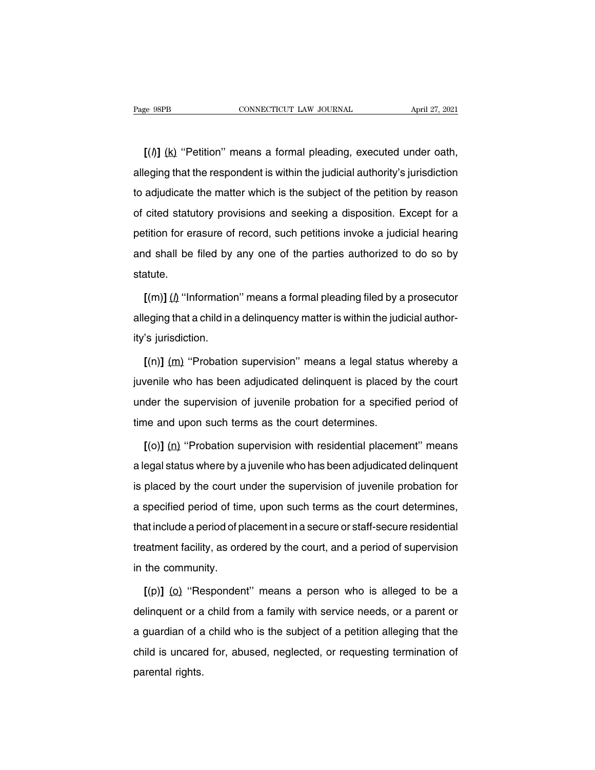**EXECUTE ACTE ACTE ACTE ACTE ACTE AT APPENDICAL**<br> **[(i)]** (k) "Petition" means a formal pleading, executed under oath,<br>
eging that the respondent is within the judicial authority's jurisdiction Fage 98PB CONNECTICUT LAW JOURNAL April 27, 2021<br>  $[(\hbar)]$  (k) "Petition" means a formal pleading, executed under oath,<br>
alleging that the respondent is within the judicial authority's jurisdiction<br>
to adjudicate the matter  $[(*h*)]$  ( $k$ ) "Petition" means a formal pleading, executed under oath, alleging that the respondent is within the judicial authority's jurisdiction to adjudicate the matter which is the subject of the petition by reas  $[(*h*)]$  ( $\underline{k}$ ) "Petition" means a formal pleading, executed under oath,<br>alleging that the respondent is within the judicial authority's jurisdiction<br>to adjudicate the matter which is the subject of the petition by petition for erasure of record, such petition invoke a judicial authority's jurisdiction<br>to adjudicate the matter which is the subject of the petition by reason<br>of cited statutory provisions and seeking a disposition. Exce and shall and subported the matter which is the subject of the petition by reason<br>of cited statutory provisions and seeking a disposition. Except for a<br>petition for erasure of record, such petitions invoke a judicial heari statute. Fition for erasure of record, such petitions invoke a judicial hearing<br>  $\frac{1}{2}$  of shall be filed by any one of the parties authorized to do so by<br>  $\frac{1}{2}$  (m)] ( $\frac{1}{2}$  "Information" means a formal pleading filed b

and shall be filed by any one of the parties authorized to do so by statute.<br>  $[(m)] (\hat{\mu}$  "Information" means a formal pleading filed by a prosecutor alleging that a child in a delinquency matter is within the judicial aut statute.<br>
[(m)] ( $\mu$  "Information<br>
alleging that a child in<br>
ity's jurisdiction.<br>
[(n)] (m) "Probation  $\left[\frac{m}{\mu}\right]$  ( $\mu$  "Information" means a formal pleading filed by a prosecutor<br>eging that a child in a delinquency matter is within the judicial author-<br>'s jurisdiction.<br> $\left[\frac{m}{\mu}\right]$  (m) (m) "Probation supervision" me

alleging that a child in a delinquency matter is within the judicial author-<br>ity's jurisdiction.<br>[(n)] (<u>m</u>) "Probation supervision" means a legal status whereby a<br>juvenile who has been adjudicated delinquent is placed by ity's jurisdiction.<br>  $[(n)]$  (m) "Probation supervision" means a legal status whereby a<br>
juvenile who has been adjudicated delinquent is placed by the court<br>
under the supervision of juvenile probation for a specified perio  $[(n)]$  (m) "Probation supervision" means a legal status<br>juvenile who has been adjudicated delinquent is placed k<br>under the supervision of juvenile probation for a specifie<br>time and upon such terms as the court determines.<br> Figure 1. The VI (v)<br> **Example who has been adjudicated delinquent is placed by the court**<br>
der the supervision of juvenile probation for a specified period of<br> **[(o)]** (n) "Probation supervision with residential placement

under the supervision of juvenile probation for a specified period of<br>time and upon such terms as the court determines.<br> $[(o)] (n)$  "Probation supervision with residential placement" means<br>a legal status where by a juvenile time and upon such terms as the court determines.<br>  $[(o)] (n)$  "Probation supervision with residential placement" means<br>
a legal status where by a juvenile who has been adjudicated delinquent<br>
is placed by the court under th  $[(o)] (n)$  "Probation supervision with residential placement" means<br>a legal status where by a juvenile who has been adjudicated delinquent<br>is placed by the court under the supervision of juvenile probation for<br>a specified p a legal status where by a juvenile who has been adjudicated delinquent<br>is placed by the court under the supervision of juvenile probation for<br>a specified period of time, upon such terms as the court determines,<br>that inclu is placed by the court under the supervision of juvenile probation for<br>a specified period of time, upon such terms as the court determines,<br>that include a period of placement in a secure or staff-secure residential<br>treatme Figure 3 as specified period of time<br>that include a period of p<br>treatment facility, as ord<br>in the community.<br> $[(p)]$  (o) "Responder **Example 3** at include a period of placement in a secure or staff-secure residential<br>
aatment facility, as ordered by the court, and a period of supervision<br>
the community.<br> **[(p)]** (**o**) "Respondent" means a person who is

treatment facility, as ordered by the court, and a period of supervision<br>in the community.<br> $[(p)]$  (o) "Respondent" means a person who is alleged to be a<br>delinquent or a child from a family with service needs, or a parent o in the community.<br>  $[(p)] (Q)$  "Respondent" means a person who is alleged to be a<br>
delinquent or a child from a family with service needs, or a parent or<br>
a guardian of a child who is the subject of a petition alleging that  $[(p)]$  (o) "Respondent" means a person who is alleged to be a delinquent or a child from a family with service needs, or a parent or a guardian of a child who is the subject of a petition alleging that the child is uncared delinquent or a<br>a guardian of a<br>child is uncare<br>parental rights.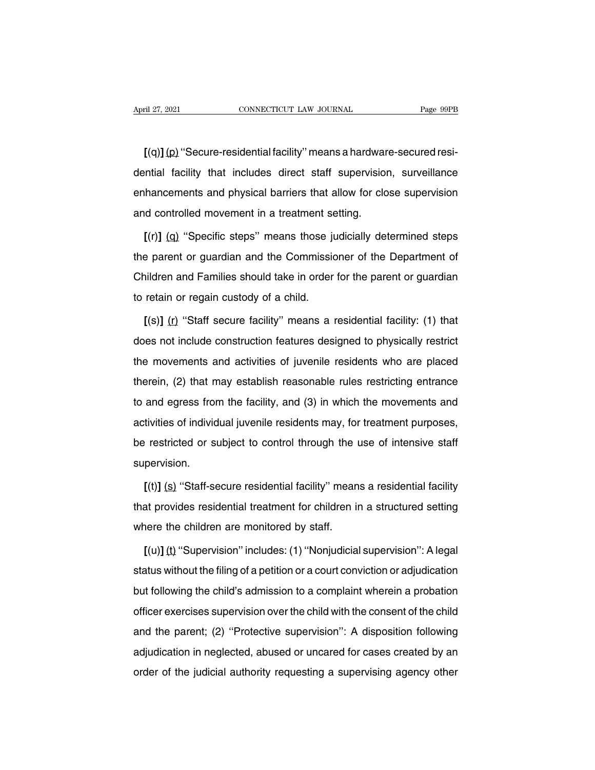**[**(q)**]**(p) ''Secure-residential facility'' means a hardware-secured resi-April 27, 2021 CONNECTICUT LAW JOURNAL Page 99PB<br>
[(q)] (p) "Secure-residential facility" means a hardware-secured residential facility that includes direct staff supervision, surveillance<br>
enhancements and physical barrie [(q)] (p) "Secure-residential facility" means a hardware-secured residential facility that includes direct staff supervision, surveillance<br>enhancements and physical barriers that allow for close supervision<br>and controlled  $[(q)] (p)$  "Secure-residential facility" means a hardward ential facility that includes direct staff supervision<br>enhancements and physical barriers that allow for clo<br>and controlled movement in a treatment setting.<br> $[(r)] (q)$ **EXACT MENTAL**<br> **Exactle includes direct staff supervision, surveillance**<br> **hancements and physical barriers that allow for close supervision**<br> **d** controlled movement in a treatment setting.<br> **[(r)]** (**q)** "Specific steps

enhancements and physical barriers that allow for close supervision<br>and controlled movement in a treatment setting.<br>
[(r)] (q) "Specific steps" means those judicially determined steps<br>
the parent or guardian and the Commis and controlled movement in a treatment setting.<br>
[(r)] (q) "Specific steps" means those judicially determined steps<br>
the parent or guardian and the Commissioner of the Department of<br>
Children and Families should take in or  $[(r)] (q)$  "Specific steps" means those jumpose the parent or guardian and the Commission<br>Children and Families should take in order<br>to retain or regain custody of a child.<br> $[(s)] (r)$  "Staff secure facility" means a **EXECT COVERTS**<br> **Extra cover the parent or guardian and Families should take in order for the parent or guardian retain or regain custody of a child.<br>
<b>[(s)]** ( $\uparrow$ ) "Staff secure facility" means a residential facility:

Children and Families should take in order for the parent or guardian<br>to retain or regain custody of a child.<br>[(s)] (r) "Staff secure facility" means a residential facility: (1) that<br>does not include construction features to retain or regain custody of a child.<br>
[(s)] (r) "Staff secure facility" means a residential facility: (1) that<br>
does not include construction features designed to physically restrict<br>
the movements and activities of juv  $[(s)]$  (r) "Staff secure facility" means a residential facility: (1) that does not include construction features designed to physically restrict the movements and activities of juvenile residents who are placed therein, (2 does not include construction features designed to physically restrict<br>the movements and activities of juvenile residents who are placed<br>therein, (2) that may establish reasonable rules restricting entrance<br>to and egress activities of individual individual individual purposes were placed therein, (2) that may establish reasonable rules restricting entrance to and egress from the facility, and (3) in which the movements and activities of in therein, (2) that may establish reasonable rules restricting entrance<br>to and egress from the facility, and (3) in which the movements and<br>activities of individual juvenile residents may, for treatment purposes,<br>be restrict supervision. **Exercise of individual juvenile residents may, for treatment purposes,<br>
<b>Exercited or subject to control through the use of intensive staff**<br> **pervision.**<br> **[(t)]** (s) "Staff-secure residential facility" means a residenti

be restricted or subject to control through the use of intensive staff<br>supervision.<br>[(t)] (s) "Staff-secure residential facility" means a residential facility<br>that provides residential treatment for children in a structure supervision.<br>
[(t)] (s) "Staff-secure residential facility" mean<br>
that provides residential treatment for children in<br>
where the children are monitored by staff.<br>
[(u)] (t) "Supervision" includes: (1) "Nonjudicia  $[(t)]$  (s) "Staff-secure residential facility" means a residential facility<br>at provides residential treatment for children in a structured setting<br>nere the children are monitored by staff.<br> $[(u)]$  (t) "Supervision" includes:

status with a provides residential treatment for children in a structured setting<br>where the children are monitored by staff.<br>
[(u)] (t) "Supervision" includes: (1) "Nonjudicial supervision": A legal<br>
status without the fil where the children are monitored by staff.<br>
[(u)] (t) "Supervision" includes: (1) "Nonjudicial supervision": A legal<br>
status without the filing of a petition or a court conviction or adjudication<br>
but following the child's  $[(u)]$  (t) "Supervision" includes: (1) "Nonjudicial supervision": A legal status without the filing of a petition or a court conviction or adjudication but following the child's admission to a complaint wherein a probation status without the filing of a petition or a court conviction or adjudication<br>but following the child's admission to a complaint wherein a probation<br>officer exercises supervision over the child with the consent of the chi but following the child's admission to a complaint wherein a probation<br>officer exercises supervision over the child with the consent of the child<br>and the parent; (2) "Protective supervision": A disposition following<br>adjudi officer exercises supervision over the child with the consent of the child<br>and the parent; (2) "Protective supervision": A disposition following<br>adjudication in neglected, abused or uncared for cases created by an<br>order of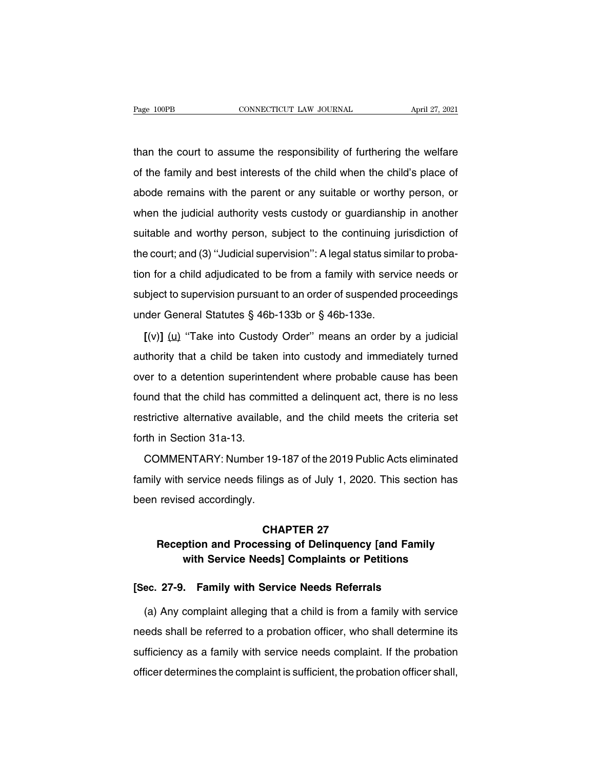The connecticut than the court to assume the responsibility of furthering the welfare<br>than the court to assume the responsibility of furthering the welfare<br>of the family and best interests of the child when the child's pla Page 100PB CONNECTICUT LAW JOURNAL April 27, 2021<br>than the court to assume the responsibility of furthering the welfare<br>of the family and best interests of the child when the child's place of<br>abode remains with the parent than the court to assume the responsibility of furthering the welfare<br>of the family and best interests of the child when the child's place of<br>abode remains with the parent or any suitable or worthy person, or<br>when the judi than the court to assume the responsibility of furthering the welfare<br>of the family and best interests of the child when the child's place of<br>abode remains with the parent or any suitable or worthy person, or<br>when the judi of the family and best interests of the child when the child's place of abode remains with the parent or any suitable or worthy person, or when the judicial authority vests custody or guardianship in another suitable and w abode remains with the parent or any suitable or worthy person, or when the judicial authority vests custody or guardianship in another suitable and worthy person, subject to the continuing jurisdiction of the court; and ( when the judicial authority vests custody or guardianship in another<br>suitable and worthy person, subject to the continuing jurisdiction of<br>the court; and (3) "Judicial supervision": A legal status similar to proba-<br>tion fo suitable and worthy person, subject to the continuing jurisdiction of<br>the court; and (3) "Judicial supervision": A legal status similar to proba-<br>tion for a child adjudicated to be from a family with service needs or<br>subje the court; and (3) "Judicial supervision": A legal status simition for a child adjudicated to be from a family with servisubject to supervision pursuant to an order of suspended punder General Statutes § 46b-133b or § 46b If for a child adjudicated to be from a family with service needs or<br>bject to supervision pursuant to an order of suspended proceedings<br>der General Statutes § 46b-133b or § 46b-133e.<br> $[(v)] (u)$  "Take into Custody Order" mea

authority that a child be taken into a child be taken into custody and immediately turned<br>
(v)] (u) "Take into Custody Order" means an order by a judicial<br>
authority that a child be taken into custody and immediately turne under General Statutes § 46b-133b or § 46b-133e.<br>  $[(v)] (u)$  "Take into Custody Order" means an order by a judicial<br>
authority that a child be taken into custody and immediately turned<br>
over to a detention superintendent wh  $[(v)]$  ( $(u)$  "Take into Custody Order" means an order by a judicial authority that a child be taken into custody and immediately turned over to a detention superintendent where probable cause has been found that the child authority that a child be taken into custody and immediately turned<br>over to a detention superintendent where probable cause has been<br>found that the child has committed a delinquent act, there is no less<br>restrictive alterna Example, that a stillar sollar<br>found that the child has come<br>restrictive alternative available<br>forth in Section 31a-13.<br>COMMENTARY: Number 1 or to a accommentary minor processive cases has been.<br>
und that the child has committed a delinquent act, there is no less<br>
strictive alternative available, and the child meets the criteria set<br>
th in Section 31a-13.<br>
COMM

family with service needs filings as of July 1, 2020. This section has been revised accordingly. been entertainty aramsasis,<br>forth in Section 31a-13.<br>COMMENTARY: Number 19-<br>family with service needs filings<br>been revised accordingly. COMMENTARY: Number 19-187 of the 2019 Public Acts eliminated<br>family with service needs filings as of July 1, 2020. This section has<br>been revised accordingly.<br>**CHAPTER 27<br>Reception and Processing of Delinquency [and Family<br>** Which service needs filings as of July 1, 2020. This section has<br>
revised accordingly.<br> **CHAPTER 27<br>
Reception and Processing of Delinquency [and Family<br>
with Service Needs] Complaints or Petitions** 

## **ed accordingly.**<br> **CHAPTER 27**<br> **CHAPTER 27**<br> **ption and Processing of Delinquency [and Family with Service Needs] Complaints or Petitions**<br> **Examily with Complaints or Petitions EXECTER 27<br>
<b>EXECTER 27**<br> **EXECTED FOREXE ALTER 27-9.** Family with Service Needs Complaints or Petitions<br>
[Sec. 27-9. Family with Service Needs Referrals<br>
(a) Any complaint alleging that a child is from a family with serv

(a) Any complaint alleging that a child is from a family<br>
ec. 27-9. Family with Service Needs Referrals<br>
(a) Any complaint alleging that a child is from a family with service<br>
eds shall be referred to a probation officer, with Service Needs] Complaints or Petitions<br>
[Sec. 27-9. Family with Service Needs Referrals<br>
(a) Any complaint alleging that a child is from a family with service<br>
needs shall be referred to a probation officer, who shall [Sec. 27-9. Family with Service Needs Referrals<br>
(a) Any complaint alleging that a child is from a family with service<br>
needs shall be referred to a probation officer, who shall determine its<br>
sufficiency as a family with (a) Any complaint alleging that a child is from a family with service<br>needs shall be referred to a probation officer, who shall determine its<br>sufficiency as a family with service needs complaint. If the probation<br>officer d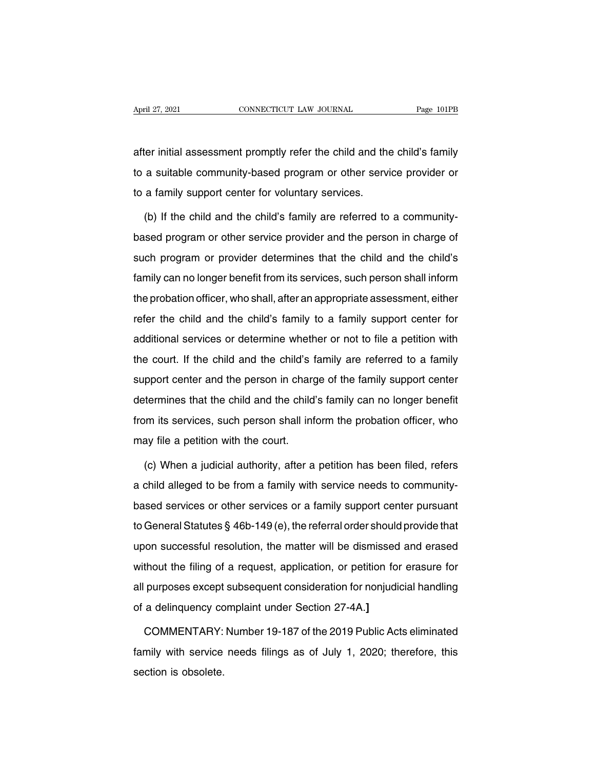April 27, 2021 CONNECTICUT LAW JOURNAL Page 101PB<br>after initial assessment promptly refer the child and the child's family<br>to a suitable community-based program or other service provider or April 27, 2021 CONNECTICUT LAW JOURNAL Page 101PB<br>after initial assessment promptly refer the child and the child's family<br>to a suitable community-based program or other service provider or<br>to a family support center for v after initial assessment promptly refer the child and the<br>to a suitable community-based program or other services.<br>To a family support center for voluntary services.<br>(b) If the child and the child's family are referred to ter initial assessment promptly refer the child and the child's family<br>a suitable community-based program or other service provider or<br>a family support center for voluntary services.<br>(b) If the child and the child's family

to a suitable community-based program or other service provider or<br>to a family support center for voluntary services.<br>(b) If the child and the child's family are referred to a community-<br>based program or other service prov to a family support center for voluntary services.<br>
(b) If the child and the child's family are referred to a community-<br>
based program or other service provider and the person in charge of<br>
such program or provider determ (b) If the child and the child's family are referred to a community-<br>based program or other service provider and the person in charge of<br>such program or provider determines that the child and the child's<br>family can no long the propriation of the person in charge of such program or other service provider and the person in charge of such program or provider determines that the child and the child's family can no longer benefit from its service succe program or onter cervice provider and the poteen in enarge of<br>such program or provider determines that the child and the child's<br>family can no longer benefit from its services, such person shall inform<br>the probation family can no longer benefit from its services, such person shall inform<br>the probation officer, who shall, after an appropriate assessment, either<br>refer the child and the child's family to a family support center for<br>addit the probation officer, who shall, after an appropriate assessment, either<br>refer the child and the child's family to a family support center for<br>additional services or determine whether or not to file a petition with<br>the co refer the child and the child's family to a family support center for additional services or determine whether or not to file a petition with the court. If the child and the child's family are referred to a family support additional services or determine whether or not to file a petition with<br>the court. If the child and the child's family are referred to a family<br>support center and the person in charge of the family support center<br>determine the court. If the child and the child's family are referred to a family support center and the person in charge of the family support center determines that the child and the child's family can no longer benefit from its s support center and the person in charged<br>termines that the child and the child<br>from its services, such person shall inf<br>may file a petition with the court.<br>(c) When a judicial authority, after a Framines that the child and the child's family can no longer benefit<br>termines that the child and the child's family can no longer benefit<br>ay file a petition with the court.<br>(c) When a judicial authority, after a petition h

from its services, such person shall inform the probation officer, who<br>may file a petition with the court.<br>(c) When a judicial authority, after a petition has been filed, refers<br>a child alleged to be from a family with ser may file a petition with the court.<br>
(c) When a judicial authority, after a petition has been filed, refers<br>
a child alleged to be from a family with service needs to community-<br>
based services or other services or a famil (c) When a judicial authority, after a petition has been filed, refers<br>a child alleged to be from a family with service needs to community-<br>based services or other services or a family support center pursuant<br>to General S (b) Whom a jaulolar datitolity, alter a polition has been mod, toleted<br>a child alleged to be from a family with service needs to community-<br>based services or other services or a family support center pursuant<br>to General St a of the districts of other services or a family support center pursuant<br>to General Statutes § 46b-149 (e), the referral order should provide that<br>upon successful resolution, the matter will be dismissed and erased<br>without all purposes of state services of a tantify support series paradarity<br>to General Statutes § 46b-149 (e), the referral order should provide that<br>upon successful resolution, the matter will be dismissed and erased<br>without t of a definite dialities g 105 110 (0), the follomal order official<br>upon successful resolution, the matter will be dismissed<br>without the filing of a request, application, or petition for<br>all purposes except subsequent consi thout the filing of a request, application, or petition for erasure for<br>purposes except subsequent consideration for nonjudicial handling<br>a delinquency complaint under Section 27-4A.]<br>COMMENTARY: Number 19-187 of the 2019

all purposes except subsequent consideration for nonjudicial handling<br>of a delinquency complaint under Section 27-4A.]<br>COMMENTARY: Number 19-187 of the 2019 Public Acts eliminated<br>family with service needs filings as of Ju of a delinquency co<br>COMMENTARY:<br>family with service<br>section is obsolete.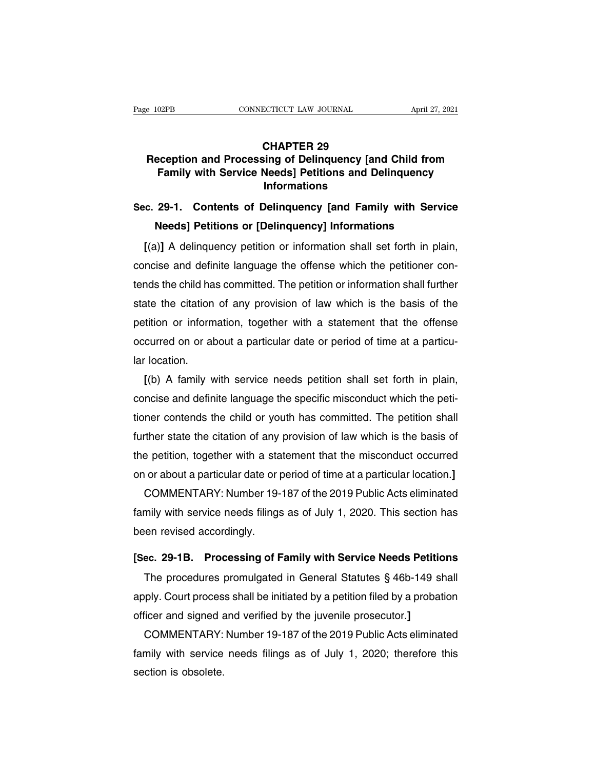## **ECTICUT LAW JOURNAL<br>CHAPTER 29<br>Sing of Delinquency [and<br>Needs] Petitions and De Reception and Processing of Delinquency [and Child from**<br> **Reception and Processing of Delinquency [and Child from**<br> **Reception and Processing of Delinquency [and Child from**<br> **Ramily with Service Needs** | Petitions and D **Family with Service Needs** Petitions and Delinquency<br> **Family with Service Needs** Petitions and Delinquency<br> **Family with Service Needs** Petitions and Delinquency<br>
Informations **Informations CHAPTER 29<br>
Reception and Processing of Delinquency [and Child from<br>
Family with Service Needs] Petitions and Delinquency<br>
Informations<br>
Sec. 29-1. Contents of Delinquency [and Family with Service<br>
Needs] Petitions or [De NEET LET 25**<br> **NEET LET 25**<br> **NEET LET 25**<br> **NEET LET 25**<br> **NEET LET 25**<br> **NEET LET 25**<br> **NEET LET 25**<br> **NEET LET 25**<br> **NEET INFORMATIONS**<br>
Informations<br> **NEET 29-1.**<br> **CONTERT DESCRIPED INFORMATIONS**<br> **NEET 25**<br> **NEET IN**

**Family with Service Needs] Petitions and Delinquency<br>
<b>Informations**<br> **c. 29-1. Contents of Delinquency [and Family with Service**<br> **Needs] Petitions or [Delinquency] Informations**<br> **[(a)] A delinquency petition or informa** mormations<br>Sec. 29-1. Contents of Delinquency [and Family with Service<br>Needs] Petitions or [Delinquency] Informations<br>[(a)] A delinquency petition or information shall set forth in plain,<br>concise and definite language the Sec. 29-1. Contents of Delinquency [and Family with Service<br>Needs] Petitions or [Delinquency] Informations<br>[(a)] A delinquency petition or information shall set forth in plain,<br>concise and definite language the offense whi Needs] Petitions or [Delinquency] Informations<br>
[(a)] A delinquency petition or information shall set forth in plain,<br>
concise and definite language the offense which the petitioner con-<br>
tends the child has committed. The [(a)] A delinquency petition or information shall set forth in plain,<br>concise and definite language the offense which the petitioner con-<br>tends the child has committed. The petition or information shall further<br>state the c concise and definite language the offense which the petitioner contends the child has committed. The petition or information shall further state the citation of any provision of law which is the basis of the petition or in tends the child ha<br>state the citation<br>petition or inform<br>occurred on or al<br>lar location.<br>[(b) A family v ate the citation of any provision of law which is the basis of the<br>
fittion or information, together with a statement that the offense<br>
curred on or about a particular date or period of time at a particu-<br>
location.<br>
[(b)

petition or information, together with a statement that the offense<br>occurred on or about a particular date or period of time at a particu-<br>lar location.<br>[(b) A family with service needs petition shall set forth in plain,<br>c occurred on or about a particular date or period of time at a particu-<br>lar location.<br>[(b) A family with service needs petition shall set forth in plain,<br>concise and definite language the specific misconduct which the petilar location.<br>
[(b) A family with service needs petition shall set forth in plain,<br>
concise and definite language the specific misconduct which the peti-<br>
tioner contends the child or youth has committed. The petition shal  $I(b)$  A family with service needs petition shall set forth in plain,<br>concise and definite language the specific misconduct which the peti-<br>tioner contends the child or youth has committed. The petition shall<br>further state concise and definite language the specific misconduct which the petitioner contends the child or youth has committed. The petition shall further state the citation of any provision of law which is the basis of the petition ner contends the child or youth has committed. The petition shall<br>ther state the citation of any provision of law which is the basis of<br>a petition, together with a statement that the misconduct occurred<br>or about a particul

further state the citation of any provision of law which is the basis of<br>the petition, together with a statement that the misconduct occurred<br>on or about a particular date or period of time at a particular location.]<br>COMME the petition, together with a sta<br>on or about a particular date or p<br>COMMENTARY: Number 19-<br>family with service needs filings<br>been revised accordingly.<br>ISee, 29-1B Processing of F **EXECUTE 19-187** of the 2019 Public Acts eliminated<br>
family with service needs filings as of July 1, 2020. This section has<br>
been revised accordingly.<br> **[Sec. 29-1B. Processing of Family with Service Needs Petitions**<br>
The mily with service needs filings as of July 1, 2020. This section has<br>en revised accordingly.<br>ec. 29-1B. Processing of Family with Service Needs Petitions<br>The procedures promulgated in General Statutes § 46b-149 shall<br>ply.

been revised accordingly.<br>
[Sec. 29-1B. Processing of Family with Service Needs Petitions<br>
The procedures promulgated in General Statutes § 46b-149 shall<br>
apply. Court process shall be initiated by a petition filed by a pr [Sec. 29-1B. Processing of Family with Service Needs Petitic<br>The procedures promulgated in General Statutes § 46b-149 sl<br>apply. Court process shall be initiated by a petition filed by a probat<br>officer and signed and verifi ec. 29-1B. Processing of Family with Service Needs Petitions<br>The procedures promulgated in General Statutes § 46b-149 shall<br>ply. Court process shall be initiated by a petition filed by a probation<br>ficer and signed and veri

The procedures promulgated in General Statutes § 46b-149 shall<br>apply. Court process shall be initiated by a petition filed by a probation<br>officer and signed and verified by the juvenile prosecutor.]<br>COMMENTARY: Number 19-1 apply. Court proces<br>officer and signed a<br>COMMENTARY:<br>family with service<br>section is obsolete.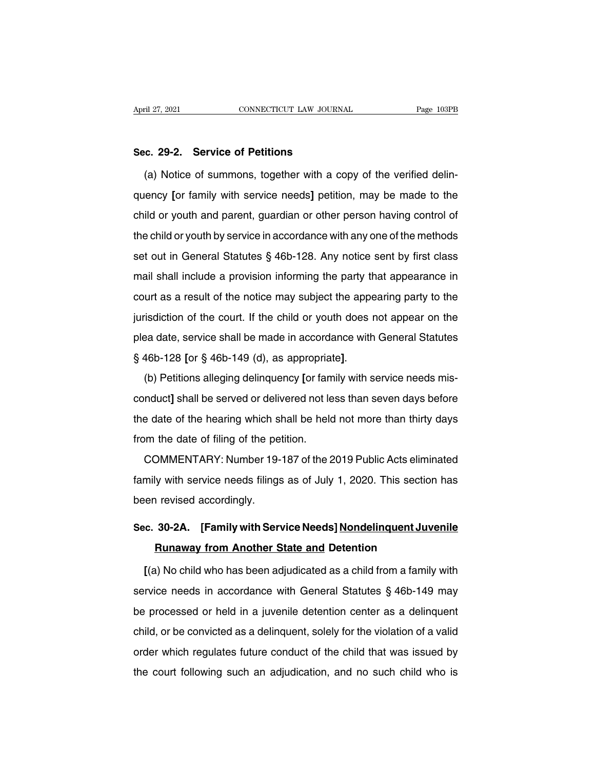**Sec. 29-2. Service of Petitions**<br> **Sec. 29-2. Service of Petitions**<br>
(a) Notice of summons, together with a co (a) Notice of summons, together with a copy of the verified delin-<br>
(a) Notice of summons, together with a copy of the verified delin-<br>
ency [or family with service needs] petition, may be made to the Sec. 29-2. Service of Petitions<br>(a) Notice of summons, together with a copy of the verified delin-<br>quency [or family with service needs] petition, may be made to the<br>child or youth and parent, guardian or other person havi Sec. 29-2. Service of Petitions<br>(a) Notice of summons, together with a copy of the verified delin-<br>quency [or family with service needs] petition, may be made to the<br>child or youth and parent, guardian or other person havi (a) Notice of summons, together with a copy of the verified delin-<br>quency [or family with service needs] petition, may be made to the<br>child or youth and parent, guardian or other person having control of<br>the child or yout quency [or family with service needs] petition, may be made to the child or youth and parent, guardian or other person having control of the child or youth by service in accordance with any one of the methods set out in G end of the child or youth and parent, guardian or other person having control of the child or youth by service in accordance with any one of the methods set out in General Statutes § 46b-128. Any notice sent by first class the child or youth by service in accordance with any one of the methods<br>set out in General Statutes § 46b-128. Any notice sent by first class<br>mail shall include a provision informing the party that appearance in<br>court as a set out in General Statutes § 46b-128. Any notice sent by first class<br>mail shall include a provision informing the party that appearance in<br>court as a result of the notice may subject the appearing party to the<br>jurisdictio mail shall include a provision informing the party that appearance in court as a result of the notice may subject the appearing party to the jurisdiction of the court. If the child or youth does not appear on the plea dat Fraction of the notice may subject the appearing party to the jurisdiction of the court. If the child or youth does not appear on the plea date, service shall be made in accordance with General Statutes § 46b-128 [or § 46b

plea date, service shall be made in accordance with General Statutes<br>§ 46b-128 [or § 46b-149 (d), as appropriate].<br>(b) Petitions alleging delinquency [or family with service needs mis-<br>conduct] shall be served or delivered  $\S$  46b-128 [or  $\S$  46b-149 (d), as appropriate].<br>(b) Petitions alleging delinquency [or family with service needs mis-<br>conduct] shall be served or delivered not less than seven days before<br>the date of the hearing which s (b) Petitions alleging delinquency [or fametion-orduct] shall be served or delivered not let<br>the date of the hearing which shall be held<br>from the date of filing of the petition.<br>COMMENTARY: Number 19-187 of the 2 (b) I statished analysting demiquency [or harmly with service hiseads hite<br>nduct] shall be served or delivered not less than seven days before<br>e date of the hearing which shall be held not more than thirty days<br>om the date

from the date of the hearing which shall be held not more than thirty days<br>from the date of filing of the petition.<br>COMMENTARY: Number 19-187 of the 2019 Public Acts eliminated<br>family with service needs filings as of July from the date of filing of the pe<br>from the date of filing of the pe<br>COMMENTARY: Number 19-<br>family with service needs filings<br>been revised accordingly. COMMENTARY: Number 19-187 of the 2019 Public Acts eliminated<br>family with service needs filings as of July 1, 2020. This section has<br>been revised accordingly.<br>**Sec. 30-2A.** [Family with Service Needs] Nondelinquent Juvenile Iy with service needs filings as of July 1, 2020. This section<br> **Runaway from Another State and Detention<br>
Runaway from Another State and Detention<br>
A) No child who has been adjudicated as a child from a family** 

**Example 10 concerned accordingly.**<br> **Examplem Service Needs] <u>Nondelinquent Juvenile</u><br>
<b>Runaway from Another State and Detention**<br> **[(a) No child who has been adjudicated as a child from a family with**<br>
rvice needs in acc Sec. 30-2A. [Family with Service Needs] Nondelinquent Juvenile<br>Runaway from Another State and Detention<br>[(a) No child who has been adjudicated as a child from a family with<br>service needs in accordance with General Statutes **Bunaway from Another State and Detention**<br>
[(a) No child who has been adjudicated as a child from a family with<br>
service needs in accordance with General Statutes § 46b-149 may<br>
be processed or held in a juvenile detentio [(a) No child who has been adjudicated as a child from a family with<br>service needs in accordance with General Statutes § 46b-149 may<br>be processed or held in a juvenile detention center as a delinquent<br>child, or be convicte service needs in accordance with General Statutes  $\S$  46b-149 may<br>be processed or held in a juvenile detention center as a delinquent<br>child, or be convicted as a delinquent, solely for the violation of a valid<br>order which be processed or held in a juvenile detention center as a delinquent<br>child, or be convicted as a delinquent, solely for the violation of a valid<br>order which regulates future conduct of the child that was issued by<br>the court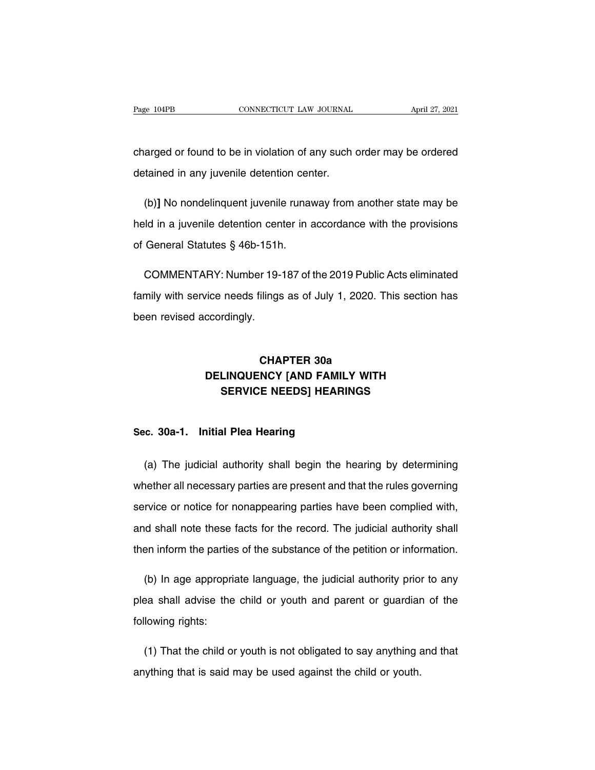Page 104PB CONNECTICUT LAW JOURNAL April 27, 2021<br>
charged or found to be in violation of any such order may be ordered<br>
detained in any juvenile detention center. Page 104PB CONNECTICUT LAW JOURNAL<br>
charged or found to be in violation of any such<br>
detained in any juvenile detention center.

arged or found to be in violation of any such order may be ordered<br>tained in any juvenile detention center.<br>(b)] No nondelinquent juvenile runaway from another state may be<br>ld in a juvenile detention center in accordance w charged or found to be in violation of any such order may be ordered<br>detained in any juvenile detention center.<br>(b)] No nondelinquent juvenile runaway from another state may be<br>held in a juvenile detention center in accord detained in any juvenile detention center.<br>
(b)] No nondelinquent juvenile runaway from another state may be<br>
held in a juvenile detention center in accordance with the provisions<br>
of General Statutes § 46b-151h.<br>
COMMENTA (b)] No nondelinquent juvenile runaway from another state may be<br>Id in a juvenile detention center in accordance with the provisions<br>General Statutes § 46b-151h.<br>COMMENTARY: Number 19-187 of the 2019 Public Acts eliminated

family with service needs filings as of July 1, 2020. This section has been revised accordingly. of General Statutes § 46b-151h.<br>COMMENTARY: Number 19-187 of the 2019 Public Acts eliminated<br>family with service needs filings as of July 1, 2020. This section has<br>been revised accordingly. ilings as of July 1, 2020. T<br>**CHAPTER 30a<br>NCY [AND FAMILY WITH** 

## Prote Heeds Inings as of July 1, 2020. This section has<br>ccordingly.<br>**DELINQUENCY [AND FAMILY WITH**<br>**SERVICE NEEDS] HEARINGS** rdingly.<br>CHAPTER 30a<br>LINQUENCY [AND FAMILY WITH<br>SERVICE NEEDS] HEARINGS **CHAPTER 30a<br>DELINQUENCY [AND FAMILY<br>SERVICE NEEDS] HEARIN<br>Sec. 30a-1. Initial Plea Hearing**

SERVICE NEEDS] HEARINGS<br>
(a) The judicial authority shall begin the hearing by determining<br>
(a) The judicial authority shall begin the hearing by determining<br>
nether all necessary parties are present and that the rules gov Sec. 30a-1. Initial Plea Hearing<br>
(a) The judicial authority shall begin the hearing by determining<br>
whether all necessary parties are present and that the rules governing<br>
service or notice for nonappearing parties have b Sec. 30a-1. Initial Plea Hearing<br>
(a) The judicial authority shall begin the hearing by determining<br>
whether all necessary parties are present and that the rules governing<br>
service or notice for nonappearing parties have b (a) The judicial authority shall begin the hearing by determining<br>whether all necessary parties are present and that the rules governing<br>service or notice for nonappearing parties have been complied with,<br>and shall note th whether all necessary parties are present and that the rules governing<br>service or notice for nonappearing parties have been complied with,<br>and shall note these facts for the record. The judicial authority shall<br>then inform rvice or notice for nonappearing parties have been complied with,<br>
d shall note these facts for the record. The judicial authority shall<br>
en inform the parties of the substance of the petition or information.<br>
(b) In age a

and shall note these facts for the record. The judicial authority shall<br>then inform the parties of the substance of the petition or information.<br>(b) In age appropriate language, the judicial authority prior to any<br>plea sha then inform the partie<br>
(b) In age appropriplea shall advise the<br>
following rights: (b) In age appropriate language, the judicial authority prior to any<br>ba shall advise the child or youth and parent or guardian of the<br>lowing rights:<br>(1) That the child or youth is not obligated to say anything and that<br>lyt plea shall advise the child or youth and parent or guardian<br>following rights:<br>(1) That the child or youth is not obligated to say anything a<br>anything that is said may be used against the child or youth.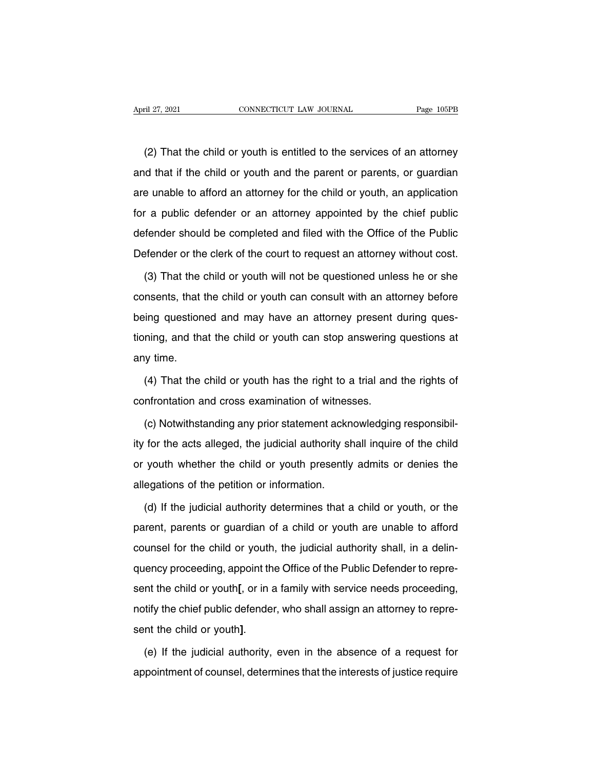(2) That the child or youth is entitled to the services of an attorney<br>
(2) That the child or youth is entitled to the services of an attorney<br>
d that if the child or youth and the parent or parents, or guardian April 27, 2021 CONNECTICUT LAW JOURNAL Page 105PB<br>
(2) That the child or youth is entitled to the services of an attorney<br>
and that if the child or youth and the parent or parents, or guardian<br>
are unable to afford an atto (2) That the child or youth is entitled to the services of an attorney<br>and that if the child or youth and the parent or parents, or guardian<br>are unable to afford an attorney for the child or youth, an application<br>for a pub (2) That the child or youth is entitled to the services of an attorney<br>and that if the child or youth and the parent or parents, or guardian<br>are unable to afford an attorney for the child or youth, an application<br>for a pub (L) That the shift of youth is shifted to the services of an attently<br>and that if the child or youth and the parent or parents, or guardian<br>are unable to afford an attorney for the child or youth, an application<br>for a publ and that it the sind of youth and the parent or parents, or guardant<br>are unable to afford an attorney for the child or youth, an application<br>for a public defender or an attorney appointed by the chief public<br>defender shoul (3) That the child or youth can consult with an attorney before the fublic stender or the clerk of the court to request an attorney without cost.<br>
(3) That the child or youth will not be questioned unless he or she msents,

defender should be completed and filed with the Office of the Public<br>Defender or the clerk of the court to request an attorney without cost.<br>(3) That the child or youth will not be questioned unless he or she<br>consents, tha Defender or the clerk of the court to request an attorney without cost.<br>
(3) That the child or youth will not be questioned unless he or she<br>
consents, that the child or youth can consult with an attorney before<br>
being que (3) That the child or youth will not be questioned unless he or she consents, that the child or youth can consult with an attorney before being questioned and may have an attorney present during questioning, and that the c consents, that<br>being question<br>tioning, and than<br>any time.<br>(4) That the (ing questioned and may have an attorney present during ques-<br>hing, and that the child or youth can stop answering questions at<br>y time.<br>(4) That the child or youth has the right to a trial and the rights of<br>nfrontation and tioning, and that the child or youth can stop answering<br>any time.<br>(4) That the child or youth has the right to a trial and<br>confrontation and cross examination of witnesses.<br>(c) Notwithstanding any prior statement acknowled

(4) That the child or youth has the right to a trial and the rights of<br>nfrontation and cross examination of witnesses.<br>(c) Notwithstanding any prior statement acknowledging responsibil-<br>for the acts alleged, the judicial a (4) That the child or youth has the right to a trial and the rights of<br>confrontation and cross examination of witnesses.<br>(c) Notwithstanding any prior statement acknowledging responsibil-<br>ity for the acts alleged, the judi confrontation and cross examination of witnesses.<br>
(c) Notwithstanding any prior statement acknowledging responsibil-<br>
ity for the acts alleged, the judicial authority shall inquire of the child<br>
or youth whether the child (c) Notwithstanding any prior statement acknaty for the acts alleged, the judicial authority shor youth whether the child or youth presently allegations of the petition or information.<br>(d) If the judicial authority determi for the acts alleged, the judicial authority shall inquire of the child<br>youth whether the child or youth presently admits or denies the<br>egations of the petition or information.<br>(d) If the judicial authority determines that

parent, whether the child or youth presently admits or denies the allegations of the petition or information.<br>
(d) If the judicial authority determines that a child or youth, or the parent, parents or guardian of a child o allegations of the petition or information.<br>
(d) If the judicial authority determines that a child or youth, or the<br>
parent, parents or guardian of a child or youth are unable to afford<br>
counsel for the child or youth, the (d) If the judicial authority determines that a child or youth, or the parent, parents or guardian of a child or youth are unable to afford counsel for the child or youth, the judicial authority shall, in a delin-<br>quency p parent, parents or guardian of a child or youth are unable to afford counsel for the child or youth, the judicial authority shall, in a delin-<br>quency proceeding, appoint the Office of the Public Defender to repre-<br>sent the parent, parents or gaardian or a onlid or youth are analoge to allocate<br>counsel for the child or youth, the judicial authority shall, in a delin-<br>quency proceeding, appoint the Office of the Public Defender to repre-<br>sent decarised for the child or youth<sub>1</sub>, the judicial authority shail, in a defined expressent the child or youth<sub>1</sub>, or in a family with service needs proceeding, notify the chief public defender, who shall assign an attorney appointment of counsel, determines that the interests of justice require<br>appointment of counsel, determines that the interests of justice require<br>appointment of counsel, determines that the interests of justice require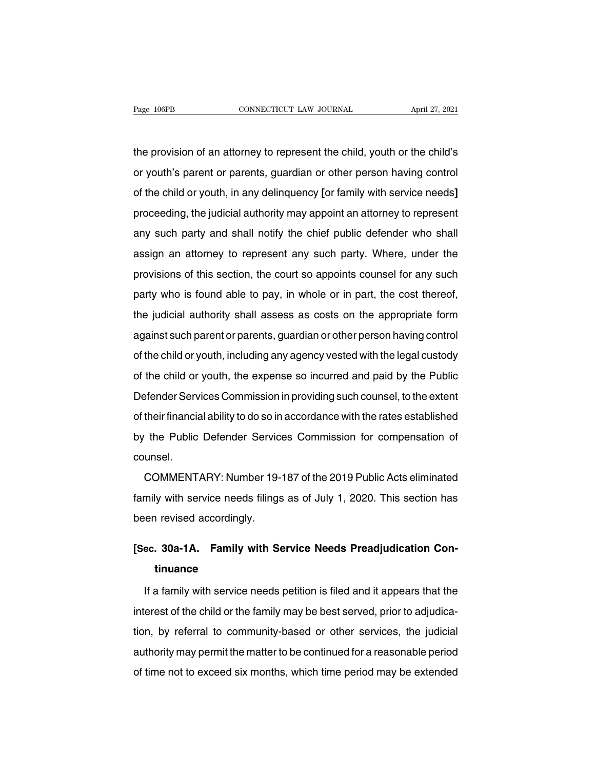The provision of an attorney to represent the child, youth or the child's<br>The provision of an attorney to represent the child, youth or the child's<br>The youth's parent or parents, guardian or other person having control Page 106PB CONNECTICUT LAW JOURNAL April 27, 2021<br>the provision of an attorney to represent the child, youth or the child's<br>or youth's parent or parents, guardian or other person having control<br>of the child or youth, in an the provision of an attorney to represent the child, youth or the child's<br>or youth's parent or parents, guardian or other person having control<br>of the child or youth, in any delinquency [or family with service needs]<br>proce the provision of an attorney to represent the child, youth or the child's<br>or youth's parent or parents, guardian or other person having control<br>of the child or youth, in any delinquency [or family with service needs]<br>proce any such party and shall notify the chief public defender who shall assign an attorney to represent any such party and shall notify the chief public defender who shall assign an attorney to represent any such party to repr as young paramer paramer, guaraian or onler percent naving content<br>of the child or youth, in any delinquency [or family with service needs]<br>proceeding, the judicial authority may appoint an attorney to represent<br>any such p proceeding, the judicial authority may appoint an attorney to represent<br>any such party and shall notify the chief public defender who shall<br>assign an attorney to represent any such party. Where, under the<br>provisions of thi proceeding, the judiolar dutionty may appoint an attomey to represent<br>any such party and shall notify the chief public defender who shall<br>assign an attorney to represent any such party. Where, under the<br>provisions of this assign an attorney to represent any such party. Where, under the<br>provisions of this section, the court so appoints counsel for any such<br>party who is found able to pay, in whole or in part, the cost thereof,<br>the judicial au against such parents, guardian or other person having control and party who is found able to pay, in whole or in part, the cost thereof, the judicial authority shall assess as costs on the appropriate form against such par provisions of this section, the coalt be appointe coalition tof any sachiever party who is found able to pay, in whole or in part, the cost thereof, the judicial authority shall assess as costs on the appropriate form agai party who is foand diste to pay, in whole or in part, the ocert increast,<br>the judicial authority shall assess as costs on the appropriate form<br>against such parent or parents, guardian or other person having control<br>of the and gainst such parent or parents, guardian or other person having control<br>against such parent or parents, guardian or other person having control<br>of the child or youth, the expense so incurred and paid by the Public<br>Defen of the child or youth, including any agency vested with the legal custody<br>of the child or youth, the expense so incurred and paid by the Public<br>Defender Services Commission in providing such counsel, to the extent<br>of their by the child or youth, the expense so incurred and paid by the Public<br>Defender Services Commission in providing such counsel, to the extent<br>of their financial ability to do so in accordance with the rates established<br>by th counsel. Their financial ability to do so in accordance with the rates established<br>the Public Defender Services Commission for compensation of<br>unsel.<br>COMMENTARY: Number 19-187 of the 2019 Public Acts eliminated<br>mily with service ne

by the Public Defender Services Commission for compensation of<br>counsel.<br>COMMENTARY: Number 19-187 of the 2019 Public Acts eliminated<br>family with service needs filings as of July 1, 2020. This section has<br>been revised accor by and I dank Beneficate Corvic<br>counsel.<br>family with service needs filings<br>been revised accordingly. **EXECUTE COMMENTARY:** Number 19-187 of the 2019 Public Acts eliminated family with service needs filings as of July 1, 2020. This section has been revised accordingly.<br> **[Sec. 30a-1A. Family with Service Needs Preadjudicat** 

## **tinuance**

If a family **A** Family with Service Needs Preadjudication Continuance<br>If a family with service needs petition is filed and it appears that the<br>If a family with service needs petition is filed and it appears that the<br>gerest [Sec. 30a-1A. Family with Service Needs Preadjudication Continuance<br>If a family with service needs petition is filed and it appears that the<br>interest of the child or the family may be best served, prior to adjudica-<br>tion, tinuance<br>If a family with service needs petition is filed and it appears that the<br>interest of the child or the family may be best served, prior to adjudica-<br>tion, by referral to community-based or other services, the judic If a family with service needs petition is filed and it appears that the<br>interest of the child or the family may be best served, prior to adjudica-<br>tion, by referral to community-based or other services, the judicial<br>autho In a farmly with service hoods perified more and it appeals that the<br>interest of the child or the family may be best served, prior to adjudica-<br>tion, by referral to community-based or other services, the judicial<br>authority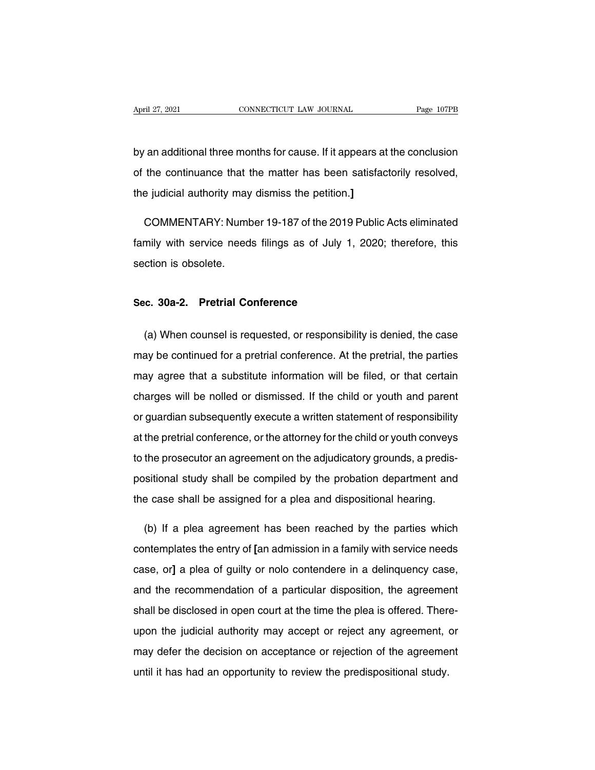April 27, 2021 CONNECTICUT LAW JOURNAL Page 107PB<br>by an additional three months for cause. If it appears at the conclusion<br>of the continuance that the matter has been satisfactorily resolved, April 27, 2021 CONNECTICUT LAW JOURNAL Page 107PB<br>by an additional three months for cause. If it appears at the conclusion<br>of the continuance that the matter has been satisfactorily resolved,<br>the judicial authority may dis by an additional three months for cause. If it appears a<br>of the continuance that the matter has been satisface<br>the judicial authority may dismiss the petition.] an additional three months for cause. If it appears at the conclusion<br>the continuance that the matter has been satisfactorily resolved,<br>e judicial authority may dismiss the petition.]<br>COMMENTARY: Number 19-187 of the 2019

of the continuance that the matter has been satisfactorily resolved,<br>the judicial authority may dismiss the petition.]<br>COMMENTARY: Number 19-187 of the 2019 Public Acts eliminated<br>family with service needs filings as of Ju the judicial authority may<br>COMMENTARY: Numt<br>family with service need<br>section is obsolete. **SCRIMBERTANT STATE 19-107 OF the 2018**<br> **Section is obsolete.**<br> **Sec. 30a-2. Pretrial Conference** 

(a) When counsel is requested, or responsibility is denied, the case<br>(a) When counsel is requested, or responsibility is denied, the case<br>ay be continued for a pretrial conference. At the pretrial, the parties Sec. 30a-2. Pretrial Conference<br>
(a) When counsel is requested, or responsibility is denied, the case<br>
may be continued for a pretrial conference. At the pretrial, the parties<br>
may agree that a substitute information will Sec. 30a-2. Pretrial Conference<br>
(a) When counsel is requested, or responsibility is denied, the case<br>
may be continued for a pretrial conference. At the pretrial, the parties<br>
may agree that a substitute information will (a) When counsel is requested, or responsibility is denied, the case<br>may be continued for a pretrial conference. At the pretrial, the parties<br>may agree that a substitute information will be filed, or that certain<br>charges w (a) Then coancerts requested, or responsibility to denied, the case<br>may agree that a substitute information will be filed, or that certain<br>charges will be nolled or dismissed. If the child or youth and parent<br>or guardian s may agree that a substitute information will be filed, or that certain<br>charges will be nolled or dismissed. If the child or youth and parent<br>or guardian subsequently execute a written statement of responsibility<br>at the pre may agree that a substitute information will be filed, or that certain charges will be nolled or dismissed. If the child or youth and parent or guardian subsequently execute a written statement of responsibility at the pre positional subsequently execute a written statement of responsibility<br>at the pretrial conference, or the attorney for the child or youth conveys<br>to the prosecutor an agreement on the adjudicatory grounds, a predis-<br>positio or gaardian subsequently shoodie a minimization or responsionity<br>at the pretrial conference, or the attorney for the child or youth conveys<br>to the prosecutor an agreement on the adjudicatory grounds, a predis-<br>positional s the prosecutor an agreement on the adjudicatory grounds, a predis-<br>sitional study shall be compiled by the probation department and<br>e case shall be assigned for a plea and dispositional hearing.<br>(b) If a plea agreement has

positional study shall be compiled by the probation department and<br>the case shall be assigned for a plea and dispositional hearing.<br>(b) If a plea agreement has been reached by the parties which<br>contemplates the entry of [a the case shall be assigned for a plea and dispositional hearing.<br>
(b) If a plea agreement has been reached by the parties which<br>
contemplates the entry of [an admission in a family with service needs<br>
case, or] a plea of g (b) If a plea agreement has been reached by the parties which contemplates the entry of [an admission in a family with service needs case, or] a plea of guilty or nolo contendere in a delinquency case, and the recommendati contemplates the entry of [an admission in a family with service needs case, or] a plea of guilty or nolo contendere in a delinquency case, and the recommendation of a particular disposition, the agreement shall be disclo case, or] a plea of guilty or nolo contendere in a delinquency case,<br>and the recommendation of a particular disposition, the agreement<br>shall be disclosed in open court at the time the plea is offered. There-<br>upon the judic ease, e.g. a piea or gain, or note contenance in a demiquency case,<br>and the recommendation of a particular disposition, the agreement<br>shall be disclosed in open court at the time the plea is offered. There-<br>upon the judici and are recemmendated of a panteatal disposition, the agreemed<br>shall be disclosed in open court at the time the plea is offered. Then<br>upon the judicial authority may accept or reject any agreement,<br>may defer the decision o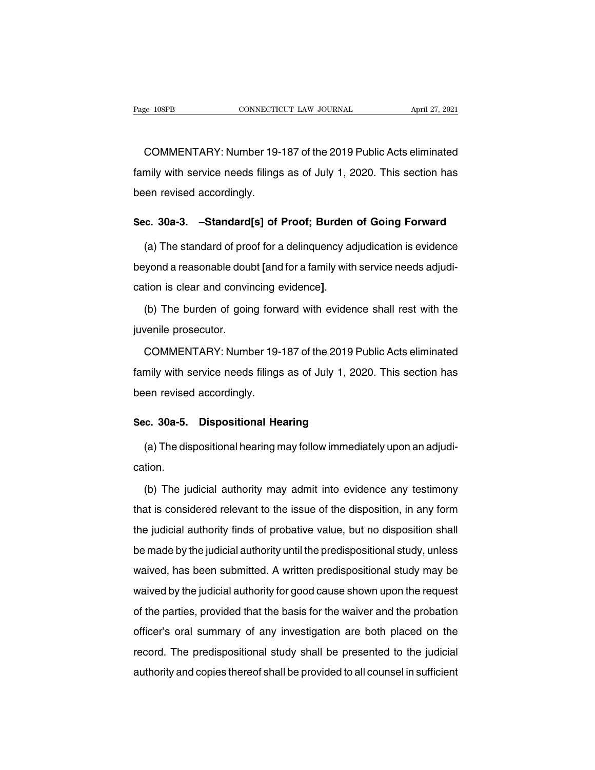EREK ENDEPTED THE CONNECTIOUT CONNECTION APPRESS AND THE 27, 2021<br>COMMENTARY: Number 19-187 of the 2019 Public Acts eliminated<br>Thily with service needs filings as of July 1, 2020. This section has Fage 108PB CONNECTICUT LAW JOURNAL April 27, 2021<br>COMMENTARY: Number 19-187 of the 2019 Public Acts eliminated<br>family with service needs filings as of July 1, 2020. This section has<br>been revised accordingly. **COMMENTARY: Number 19-**<br>family with service needs filings<br>been revised accordingly. COMMENTARY: Number 19-187 of the 2019 Public Acts eliminated<br>family with service needs filings as of July 1, 2020. This section has<br>been revised accordingly.<br>**Sec. 30a-3. –Standard[s] of Proof; Burden of Going Forward**<br>(

mily with service needs filings as of July 1, 2020. This section has<br>en revised accordingly.<br>c. 30a-3. -Standard[s] of Proof; Burden of Going Forward<br>(a) The standard of proof for a delinquency adjudication is evidence<br>yon been revised accordingly.<br> **Sec. 30a-3.** -Standard[s] of Proof; Burden of Going Forward<br>
(a) The standard of proof for a delinquency adjudication is evidence<br>
beyond a reasonable doubt [and for a family with service needs Sec. 30a-3. -Standard[s] of Proof; Burden of Going Forward<br>
(a) The standard of proof for a delinquency adjudication is evidence<br>
beyond a reasonable doubt [and for a family with service needs adjudi-<br>
cation is clear and beyond a reasonable doul<br>cation is clear and convir<br>(b) The burden of goin<br>juvenile prosecutor.<br>COMMENTARY: Numb

The burden of going forward with evidence shall rest with the<br>
venile prosecutor.<br>
COMMENTARY: Number 19-187 of the 2019 Public Acts eliminated<br>
mily with service needs filings as of July 1, 2020. This section has (b) The burden of going forward with evidence shall rest with the<br>juvenile prosecutor.<br>COMMENTARY: Number 19-187 of the 2019 Public Acts eliminated<br>family with service needs filings as of July 1, 2020. This section has<br>bee juvenile prosecutor.<br>
COMMENTARY: Number 19-<br>
family with service needs filings<br>
been revised accordingly. **COMMENTARY: Number 19-187 of the 2019 Pu**<br>family with service needs filings as of July 1, 202<br>been revised accordingly.<br>**Sec. 30a-5. Dispositional Hearing**<br>(a) The dispositional hearing may follow immedia mily with service needs filings as of July 1, 2020. This section has<br>en revised accordingly.<br>c. 30a-5. Dispositional Hearing<br>(a) The dispositional hearing may follow immediately upon an adjudi-<br>tion.

cation.

ince. **30a-5.** Dispositional Hearing<br>
(a) The dispositional hearing may follow immediately upon an adjudition.<br>
(b) The judicial authority may admit into evidence any testimony<br>
at is considered relevant to the issue of th (a) The dispositional hearing may follow immediately upon an adjudication.<br>
(b) The judicial authority may admit into evidence any testimony<br>
that is considered relevant to the issue of the disposition, in any form<br>
the ju the judicial authority may admit into evidence any testimony<br>that is considered relevant to the issue of the disposition, in any form<br>the judicial authority finds of probative value, but no disposition shall<br>be made by the (b) The judicial authority may admit into evidence any testimony<br>that is considered relevant to the issue of the disposition, in any form<br>the judicial authority finds of probative value, but no disposition shall<br>be made by (b) The jadiotal dationly fildy damk like evidence driv technicity<br>that is considered relevant to the issue of the disposition, in any form<br>the judicial authority finds of probative value, but no disposition shall<br>be made what is considered relevant to the issue of the disposition, in any form<br>the judicial authority finds of probative value, but no disposition shall<br>be made by the judicial authority until the predispositional study, unless<br> of the particle by the judicial authority until the predispositional study, unless<br>waived, has been submitted. A written predispositional study may be<br>waived by the judicial authority for good cause shown upon the request<br> bothace by the judicial authority antitine prodispositional study, antices<br>waived by the judicial authority for good cause shown upon the request<br>of the parties, provided that the basis for the waiver and the probation<br>off record. The predispositional study shall be presented to the judicial authority for good cause shown upon the request<br>of the parties, provided that the basis for the waiver and the probation<br>officer's oral summary of any i ally and parties, provided that the basis for the waiver and the probation<br>officer's oral summary of any investigation are both placed on the<br>record. The predispositional study shall be presented to the judicial<br>authority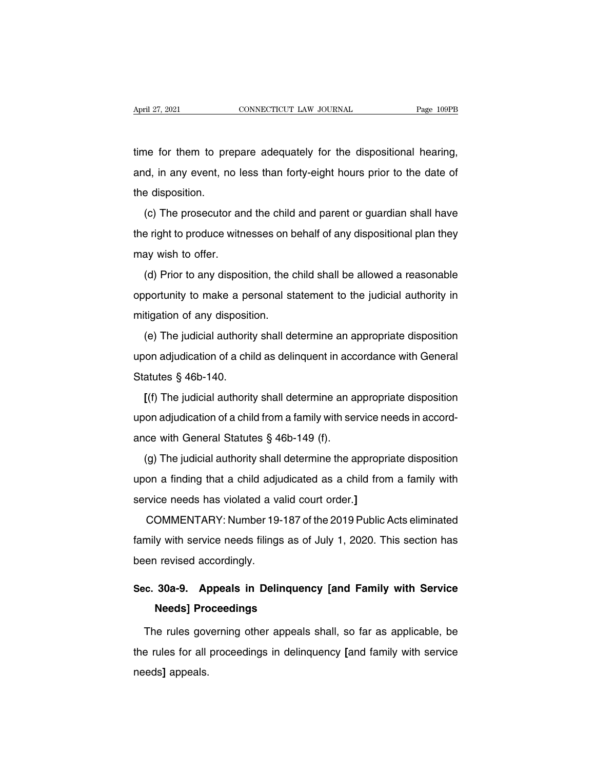April 27, 2021 CONNECTICUT LAW JOURNAL Page 109PB<br>time for them to prepare adequately for the dispositional hearing,<br>and, in any event, no less than forty-eight hours prior to the date of April 27, 2021 CONNECTICUT LAW JOURNAL Page 109PB<br>time for them to prepare adequately for the dispositional hearing,<br>and, in any event, no less than forty-eight hours prior to the date of<br>the disposition. time for them to pre<br>and, in any event, no<br>the disposition.<br>(c) The prosecutor The for them to prepare adequately for the dispositional hearing,<br>
d, in any event, no less than forty-eight hours prior to the date of<br>
e disposition.<br>
(c) The prosecutor and the child and parent or guardian shall have<br>
e

and, in any event, no less than forty-eight hours prior to the date of<br>the disposition.<br>(c) The prosecutor and the child and parent or guardian shall have<br>the right to produce witnesses on behalf of any dispositional plan the disposition.<br>
(c) The prosecutor and<br>
the right to produce with<br>
may wish to offer.<br>
(d) Prior to any dispos (c) The prosecutor and the child and parent or guardian shall have<br>e right to produce witnesses on behalf of any dispositional plan they<br>ay wish to offer.<br>(d) Prior to any disposition, the child shall be allowed a reasonab

(b) The presecutor and the shind and parent of gaardian shall have<br>the right to produce witnesses on behalf of any dispositional plan they<br>may wish to offer.<br>(d) Prior to any disposition, the child shall be allowed a reaso may wish to offer.<br>
(d) Prior to any disposition, the copportunity to make a personal st<br>
mitigation of any disposition.<br>
(e) The judicial authority shall de (d) Prior to any disposition, the child shall be allowed a reasonable<br>portunity to make a personal statement to the judicial authority in<br>tigation of any disposition.<br>(e) The judicial authority shall determine an appropria

upon adjudication of a child as delinquent in accordance with General<br>Statutes § 46b-140. mitigation of any dispositi<br>
(e) The judicial authority<br>
upon adjudication of a chi<br>
Statutes § 46b-140.<br>
[(f) The judicial authority **EXECT OF A FURNAL EXECT ADDEDED THE judicial authority shall determine an appropriate disposition**<br>
and adjudication of a child as delinquent in accordance with General<br>
atutes § 46b-140.<br> **[**(f) The judicial authority sh

upon adjudication of a child as delinquent in accordance with General<br>Statutes  $\S$  46b-140.<br>[(f) The judicial authority shall determine an appropriate disposition<br>upon adjudication of a child from a family with service ne Statutes § 46b-140.<br>
[(f) The judicial authority shall determine an a<br>
upon adjudication of a child from a family with ser<br>
ance with General Statutes § 46b-149 (f).<br>
(g) The judicial authority shall determine the a [(f) The judicial authority shall determine an appropriate disposition<br>on adjudication of a child from a family with service needs in accord-<br>ce with General Statutes § 46b-149 (f).<br>(g) The judicial authority shall determ

upon adjudication of a child from a family with service needs in accord-<br>ance with General Statutes  $\S$  46b-149 (f).<br>(g) The judicial authority shall determine the appropriate disposition<br>upon a finding that a child adjud ance with General Statutes § 46b-149 (f).<br>
(g) The judicial authority shall determine the appropri<br>
upon a finding that a child adjudicated as a child fron<br>
service needs has violated a valid court order.]<br>
COMMENTARY: Num (g) The judicial authority shall determine the appropriate disposition<br>on a finding that a child adjudicated as a child from a family with<br>rvice needs has violated a valid court order.]<br>COMMENTARY: Number 19-187 of the 201

family with service needs has violated a valid court order.]<br>COMMENTARY: Number 19-187 of the 2019 Public Acts eliminated<br>family with service needs filings as of July 1, 2020. This section has<br>been revised accordingly. service needs has violated a va<br>COMMENTARY: Number 19-<br>family with service needs filings<br>been revised accordingly. COMMENTARY: Number 19-187 of the 2019 Public Acts eliminated<br>family with service needs filings as of July 1, 2020. This section has<br>been revised accordingly.<br>**Sec. 30a-9.** Appeals in Delinquency [and Family with Service<br>Ne **Neta With service needs filings as of<br>
Needs accordingly.<br>
<b>Needs] Proceedings<br>
Needs] Proceedings**<br>
Needs proceedings

France revised accordingly.<br>
France Sona-9. Appeals in Delinquency [and Family with Service<br>
Needs] Proceedings<br>
The rules governing other appeals shall, so far as applicable, be<br>
France of all proceedings in delinquency [ Sec. 30a-9. Appeals in Delinquency [and Family with Service<br>Needs] Proceedings<br>The rules governing other appeals shall, so far as applicable, be<br>the rules for all proceedings in delinquency [and family with service<br>needs] needs**]** appeals.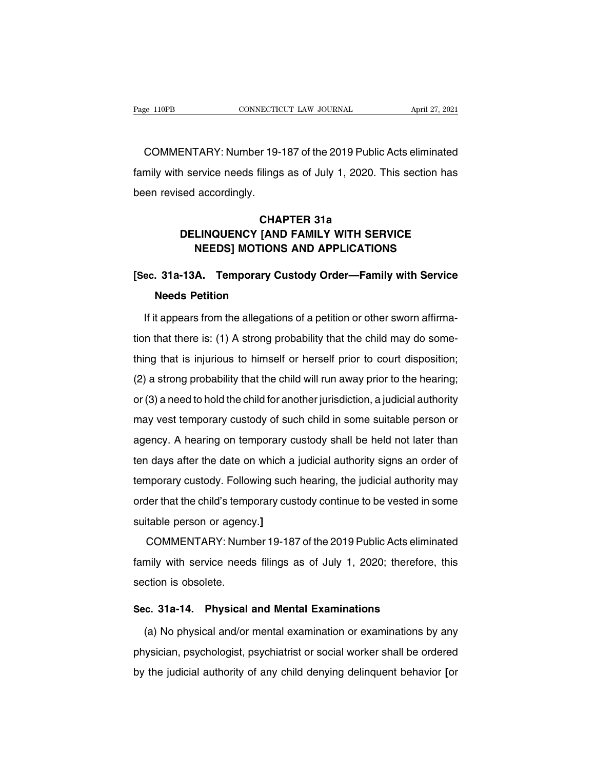ERECTE AND THE CONSECTION CONNECTION CONNECTION April 27, 2021<br>COMMENTARY: Number 19-187 of the 2019 Public Acts eliminated<br>Thily with service needs filings as of July 1, 2020. This section has Fage 110PB CONNECTICUT LAW JOURNAL April 27, 2021<br>COMMENTARY: Number 19-187 of the 2019 Public Acts eliminated<br>family with service needs filings as of July 1, 2020. This section has<br>been revised accordingly. COMMENTARY: Number 19-<br>
family with service needs filings<br>
been revised accordingly. **COMPTER 314**<br>
France 314<br>
CHAPTER 31a<br>
CHAPTER 31a<br>
COMPTER 31a **EXECUTE IS TO SERVICE OF A SUBDAMILY SERVICE SHOW ASSESS SERVICE**<br> **DELINQUENCY [AND FAMILY WITH SERVICE**<br> **DELINQUENCY [AND FAMILY WITH SERVICE**<br> **NEEDS] MOTIONS AND APPLICATIONS** 

# Provice needs filings as of July 1, 2020. This section has<br>accordingly.<br>**CHAPTER 31a**<br>LINQUENCY [AND FAMILY WITH SERVICE<br>NEEDS] MOTIONS AND APPLICATIONS<br>A Temporary Custody Order—Family with Service

## **EXEREM STREE STARF CHAPTER 31a<br>DELINQUENCY [AND FAMILY WITH SERVICE<br>NEEDS] MOTIONS AND APPLICATIONS<br>[Sec. 31a-13A. Temporary Custody Order—Family with Service<br>Needs Petition CHAP<br>DELINQUENCY [AND<br>NEEDS] MOTIONS<br>31a-13A. Temporary Cu<br>Needs Petition<br>t appears from the allegation**

**IF IT IT APPLICATIONS**<br> **IF IT 2016 CONDUCT APPLICATIONS**<br> **IF it appears from the allegations of a petition or other sworn affirma-**<br>
If it appears from the allegations of a petition or other sworn affirma-<br>
In that ther [Sec. 31a-13A. Temporary Custody Order—Family with Service<br>Needs Petition<br>If it appears from the allegations of a petition or other sworn affirma-<br>tion that there is: (1) A strong probability that the child may do some-<br>th Needs Petition<br>If it appears from the allegations of a petition or other sworn affirma-<br>tion that there is: (1) A strong probability that the child may do some-<br>thing that is injurious to himself or herself prior to court If it appears from the allegations of a petition or other sworn affirmation that there is: (1) A strong probability that the child may do something that is injurious to himself or herself prior to court disposition;<br>(2) a In a appears non-ano anogations or a petition of ether sworth animation that there is: (1) A strong probability that the child may do something that is injurious to himself or herself prior to court disposition;<br>(2) a stro mat there is. (1) A strong presumity that the similar may as some<br>thing that is injurious to himself or herself prior to court disposition;<br>(2) a strong probability that the child will run away prior to the hearing;<br>or (3) and the might and the might of the solid probability that the child will run away prior to the hearing;<br>or (3) a need to hold the child for another jurisdiction, a judicial authority<br>may vest temporary custody of such chil ( $\epsilon$ ) a satelig presumity and the similar and y phot to the hearing, or (3) a need to hold the child for another jurisdiction, a judicial authority may vest temporary custody of such child in some suitable person or agen or (c) a hocal chola are shirarer another jandabalon, a jadiotal authority<br>may vest temporary custody of such child in some suitable person or<br>agency. A hearing on temporary custody shall be held not later than<br>ten days af agency. A hearing on temporary custody shall be held not later than<br>ten days after the date on which a judicial authority signs an order of<br>temporary custody. Following such hearing, the judicial authority may<br>order that t sugding: A healing on temporary of<br>ten days after the date on which a<br>temporary custody. Following such<br>order that the child's temporary cus<br>suitable person or agency.]<br>COMMENTARY: Number 19-18 radys after the date off which a jadiotal datherity sights an order of<br>mporary custody. Following such hearing, the judicial authority may<br>ler that the child's temporary custody continue to be vested in some<br>itable person

family with service needs filings as of July 1, 2020; therefore, this section is obsolete. suitable person or agenc<br>COMMENTARY: Numl<br>family with service need<br>section is obsolete. COMMENTARY: Number 19-187 of the 2019 Public Acts elimin<br>family with service needs filings as of July 1, 2020; therefore<br>section is obsolete.<br>**Sec. 31a-14. Physical and Mental Examinations**<br>(a) No physical and/or mental ex mily with service needs filings as of July 1, 2020; therefore, this<br>
ction is obsolete.<br>
c. 31a-14. Physical and Mental Examinations<br>
(a) No physical and/or mental examination or examinations by any<br>
ysician, psychologist,

sec. 31a-14. Physical and Mental Examinations<br>
(a) No physical and/or mental examination or examinations by any<br>
physician, psychologist, psychiatrist or social worker shall be ordered<br>
by the judicial authority of any chi Sec. 31a-14. Physical and Mental Examinations<br>(a) No physical and/or mental examination or examinations by any<br>physician, psychologist, psychiatrist or social worker shall be ordered<br>by the judicial authority of any child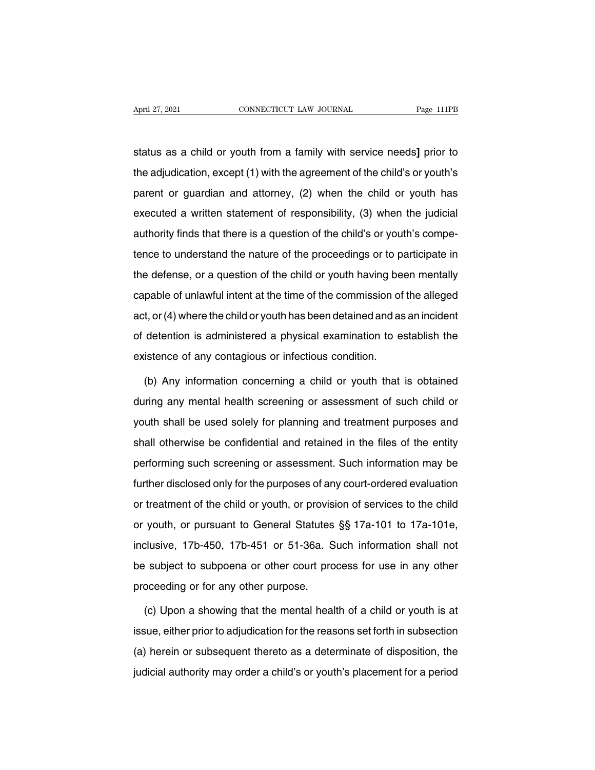April 27, 2021 CONNECTICUT LAW JOURNAL Page 111PB<br>status as a child or youth from a family with service needs] prior to<br>the adjudication, except (1) with the agreement of the child's or youth's April 27, 2021 CONNECTICUT LAW JOURNAL Page 111PB<br>status as a child or youth from a family with service needs] prior to<br>the adjudication, except (1) with the agreement of the child's or youth's<br>parent or guardian and attor status as a child or youth from a family with service needs] prior to<br>the adjudication, except (1) with the agreement of the child's or youth's<br>parent or guardian and attorney, (2) when the child or youth has<br>executed a wr status as a child or youth from a family with service needs] prior to<br>the adjudication, except (1) with the agreement of the child's or youth's<br>parent or guardian and attorney, (2) when the child or youth has<br>executed a wr status as a child or youth from a family with service needs] prior to<br>the adjudication, except (1) with the agreement of the child's or youth's<br>parent or guardian and attorney, (2) when the child or youth has<br>executed a wr parent or guardian and attorney, (2) when the child or youth has<br>executed a written statement of responsibility, (3) when the judicial<br>authority finds that there is a question of the child's or youth's compe-<br>tence to unde executed a written statement of responsibility, (3) when the judicial authority finds that there is a question of the child's or youth's competence to understand the nature of the proceedings or to participate in the defe at the defense of the responsive of the child's or youth's competence to understand the nature of the proceedings or to participate in the defense, or a question of the child or youth having been mentally capable of unlawf dationly inted that those is a question of the similar or youth completence to understand the nature of the proceedings or to participate in the defense, or a question of the child or youth having been mentally capable of of detention is administered a physical examination to establish the existence of any contagious or infectious condition. the defense, or a question of the child or youth having been mentally capable of unlawful intent at the time of the commission of the alleged act, or (4) where the child or youth has been detained and as an incident of det (b) there the child or youth has been detained and as an incident<br>detention is administered a physical examination to establish the<br>istence of any contagious or infectious condition.<br>(b) Any information concerning a child

of detention is administered a physical examination to establish the<br>existence of any contagious or infectious condition.<br>(b) Any information concerning a child or youth that is obtained<br>during any mental health screening existence of any contagious or infectious condition.<br>
(b) Any information concerning a child or youth that is obtained<br>
during any mental health screening or assessment of such child or<br>
youth shall be used solely for plan (b) Any information concerning a child or youth that is obtained<br>during any mental health screening or assessment of such child or<br>youth shall be used solely for planning and treatment purposes and<br>shall otherwise be confi during any mential health screening or assessment of such child or<br>youth shall be used solely for planning and treatment purposes and<br>shall otherwise be confidential and retained in the files of the entity<br>performing such Further disclosed only for planning and treatment purposes and<br>shall otherwise be confidential and retained in the files of the entity<br>performing such screening or assessment. Such information may be<br>further disclosed only shall otherwise be confidential and retained in the files of the entity<br>performing such screening or assessment. Such information may be<br>further disclosed only for the purposes of any court-ordered evaluation<br>or treatment orial stretting such screening or assessment. Such information may be<br>further disclosed only for the purposes of any court-ordered evaluation<br>or treatment of the child or youth, or provision of services to the child<br>or you further disclosed only for the purposes of any court-ordered evaluation<br>or treatment of the child or youth, or provision of services to the child<br>or youth, or pursuant to General Statutes §§ 17a-101 to 17a-101e,<br>inclusive, be subsected the parapeters of any other states or allows or treatment of the child or youth, or pursuant to General Statutes §§ 17a-101 to 17a-101e, inclusive, 17b-450, 17b-451 or 51-36a. Such information shall not be sub or treatment of the child or youth, or provision of services to the child<br>or youth, or pursuant to General Statutes §§ 17a-101 to 17a-101e,<br>inclusive, 17b-450, 17b-451 or 51-36a. Such information shall not<br>be subject to su Consider that the mental such information shall not<br>  $\alpha$  subject to subpoena or other court process for use in any other<br>
oceeding or for any other purpose.<br>
(c) Upon a showing that the mental health of a child or youth

is the subject to subpoena or other court process for use in any other<br>proceeding or for any other purpose.<br>(c) Upon a showing that the mental health of a child or youth is at<br>issue, either prior to adjudication for the re proceeding or for any other purpose.<br>
(c) Upon a showing that the mental health of a child or youth is at<br>
issue, either prior to adjudication for the reasons set forth in subsection<br>
(a) herein or subsequent thereto as a (c) Upon a showing that the mental health of a child or youth is at<br>issue, either prior to adjudication for the reasons set forth in subsection<br>(a) herein or subsequent thereto as a determinate of disposition, the<br>judicial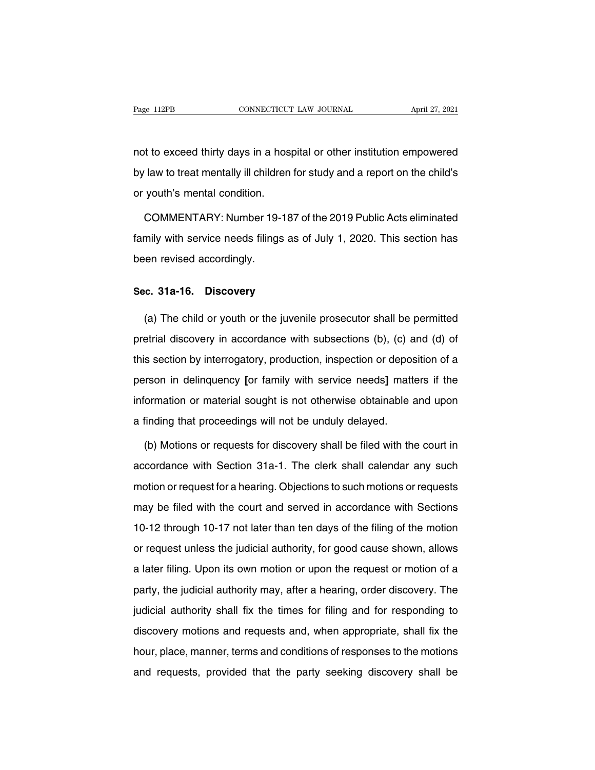Page 112PB CONNECTICUT LAW JOURNAL April 27, 2021<br>not to exceed thirty days in a hospital or other institution empowered<br>by law to treat mentally ill children for study and a report on the child's by law to treat mentally ill children for study and a report on the child's<br>provide mentally ill children for study and a report on the child's<br>or youth's mental condition. not to exceed thirty days in a hos<br>by law to treat mentally ill children<br>or youth's mental condition.<br>COMMENTARY: Number 19-18 It to exceed thirty days in a hospital or other institution empowered<br>
law to treat mentally ill children for study and a report on the child's<br>
youth's mental condition.<br>
COMMENTARY: Number 19-187 of the 2019 Public Acts

by law to treat mentally ill children for study and a report on the child's<br>or youth's mental condition.<br>COMMENTARY: Number 19-187 of the 2019 Public Acts eliminated<br>family with service needs filings as of July 1, 2020. Th or youth's mental condition.<br>COMMENTARY: Number 19-<br>family with service needs filings<br>been revised accordingly. **COMMENTARY: Number 19-187 of**<br>family with service needs filings as of<br>been revised accordingly.<br>**Sec. 31a-16. Discovery** 

(a) The child or youth or the juvenile prosecutor shall be permitted<br>etrial discovery<br>etrial discovery in accordance with subsections (b), (c) and (d) of Sec. 31a-16. Discovery<br>
(a) The child or youth or the juvenile prosecutor shall be permitted<br>
pretrial discovery in accordance with subsections (b), (c) and (d) of<br>
this section by interrogatory, production, inspection or Sec. 31a-16. Discovery<br>
(a) The child or youth or the juvenile prosecutor shall be permitted<br>
pretrial discovery in accordance with subsections (b), (c) and (d) of<br>
this section by interrogatory, production, inspection or (a) The child or youth or the juvenile prosecutor shall be permitted<br>pretrial discovery in accordance with subsections (b), (c) and (d) of<br>this section by interrogatory, production, inspection or deposition of a<br>person in pretrial discovery in accordance with subsections (b), (c) and (d) of<br>this section by interrogatory, production, inspection or deposition of a<br>person in delinquency [or family with service needs] matters if the<br>information promal disservity in decordance with sassections (c), (c) s<br>this section by interrogatory, production, inspection or depos<br>person in delinquency [or family with service needs] matt<br>information or material sought is not oth From in delinquency [or family with service needs] matters if the<br>formation or material sought is not otherwise obtainable and upon<br>finding that proceedings will not be unduly delayed.<br>(b) Motions or requests for discovery

information or material sought is not otherwise obtainable and upon<br>a finding that proceedings will not be unduly delayed.<br>(b) Motions or requests for discovery shall be filed with the court in<br>accordance with Section 31aa finding that proceedings will not be unduly delayed.<br>
(b) Motions or requests for discovery shall be filed with the court in<br>
accordance with Section 31a-1. The clerk shall calendar any such<br>
motion or request for a hear (b) Motions or requests for discovery shall be filed with the court in accordance with Section 31a-1. The clerk shall calendar any such motion or request for a hearing. Objections to such motions or requests may be filed w accordance with Section 31a-1. The clerk shall calendar any such<br>motion or request for a hearing. Objections to such motions or requests<br>may be filed with the court and served in accordance with Sections<br>10-12 through 10-1 motion or request for a hearing. Objections to such motions or requests<br>may be filed with the court and served in accordance with Sections<br>10-12 through 10-17 not later than ten days of the filing of the motion<br>or request moton or equest which the court and served in accordance with Sections<br>10-12 through 10-17 not later than ten days of the filing of the motion<br>or request unless the judicial authority, for good cause shown, allows<br>a later party, the judicial authority may, after a hearing of the motion<br>or request unless the judicial authority, for good cause shown, allows<br>a later filing. Upon its own motion or upon the request or motion of a<br>party, the judi For the times and the individual authority, for good cause shown, allows<br>a later filing. Upon its own motion or upon the request or motion of a<br>party, the judicial authority may, after a hearing, order discovery. The<br>judic a later filing. Upon its own motion or upon the request or motion of a<br>party, the judicial authority may, after a hearing, order discovery. The<br>judicial authority shall fix the times for filing and for responding to<br>discov hour, the judicial authority may, after a hearing, order discovery. The judicial authority shall fix the times for filing and for responding to discovery motions and requests and, when appropriate, shall fix the hour, plac party, the jacketh deliverity may, and a meaning, even discovery. The judicial authority shall fix the times for filing and for responding to discovery motions and requests and, when appropriate, shall fix the hour, place,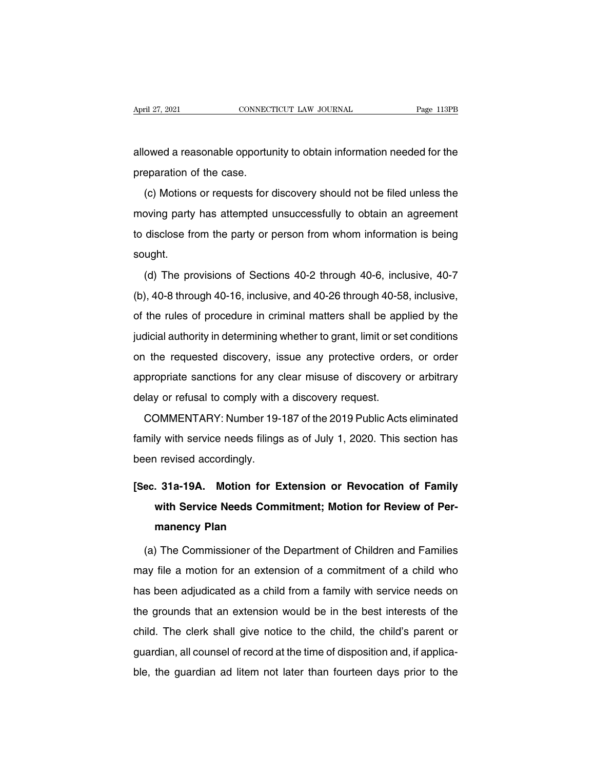April 27, 2021 CONNECTICUT LAW JOURNAL Page 113PB<br>allowed a reasonable opportunity to obtain information needed for the<br>preparation of the case. April 27, 2021<br>
allowed a reasonable opporture<br>
preparation of the case.<br>
(c) Motions or requests for o

(c) Motions or requests for discovery should not be filed unless the<br>eparation of the case.<br>(c) Motions or requests for discovery should not be filed unless the<br>poving party has attempted unsuccessfully to obtain an agreem allowed a reasonable opportunity to obtain information needed for the<br>preparation of the case.<br>(c) Motions or requests for discovery should not be filed unless the<br>moving party has attempted unsuccessfully to obtain an agr preparation of the case.<br>
(c) Motions or requests for discovery should not be filed unless the<br>
moving party has attempted unsuccessfully to obtain an agreement<br>
to disclose from the party or person from whom information i sought. (d) The provisions of Sections 40-2 through 40-58, inclusive, 40-7<br>(d) The provisions of Sections 40-2 through 40-6, inclusive, 40-7<br>(d) The provisions of Sections 40-2 through 40-6, inclusive, 40-7<br>(d) 40-8 through 40-16,

(b) disclose from the party or person from whom information is being<br>sought.<br>(d) The provisions of Sections 40-2 through 40-6, inclusive, 40-7<br>(b), 40-8 through 40-16, inclusive, and 40-26 through 40-58, inclusive,<br>of the sought.<br>
(d) The provisions of Sections 40-2 through 40-6, inclusive, 40-7<br>
(b), 40-8 through 40-16, inclusive, and 40-26 through 40-58, inclusive,<br>
of the rules of procedure in criminal matters shall be applied by the<br>
ju (d) The provisions of Sections 40-2 through 40-6, inclusive, 40-7<br>(b), 40-8 through 40-16, inclusive, and 40-26 through 40-58, inclusive,<br>of the rules of procedure in criminal matters shall be applied by the<br>judicial autho (b), 40-8 through 40-16, inclusive, and 40-26 through 40-58, inclusive, is  $\ell$ <br>of the rules of procedure in criminal matters shall be applied by the<br>judicial authority in determining whether to grant, limit or set condit (c), i.e. of the rules of procedure in criminal matters shall be applied by the judicial authority in determining whether to grant, limit or set conditions on the requested discovery, issue any protective orders, or order of the rules of procedure in criminal matters shall be applied by the judicial authority in determining whether to grant, limit or set conditions on the requested discovery, issue any protective orders, or order appropriat The requested discovery, issue any protective orders, or order<br>propriate sanctions for any clear misuse of discovery or arbitrary<br>lay or refusal to comply with a discovery request.<br>COMMENTARY: Number 19-187 of the 2019 Pub

appropriate sanctions for any clear misuse of discovery or arbitrary<br>delay or refusal to comply with a discovery request.<br>COMMENTARY: Number 19-187 of the 2019 Public Acts eliminated<br>family with service needs filings as of delay or refusal to comply with<br>COMMENTARY: Number 19-<br>family with service needs filings<br>been revised accordingly. **EXECUTE COMMENTARY:** Number 19-187 of the 2019 Public Acts eliminated<br>
family with service needs filings as of July 1, 2020. This section has<br>
been revised accordingly.<br> **[Sec. 31a-19A. Motion for Extension or Revocation** 

## Iy with service needs filings as of July 1, 2020. This section has<br>
I revised accordingly.<br> **. 31a-19A. Motion for Extension or Revocation of Family**<br>
with Service Needs Commitment; Motion for Review of Per-<br>
manency Plan **manumism of the condingly.**<br>**manency Alan Motion for Example 19.4 Motion for Example 20.4 Motion for Example 20.4 Motion**<br>**manency Plan**<br>The Commissioner of the I ec. 31a-19A. Motion for Extension or Revocation of Family<br>with Service Needs Commitment; Motion for Review of Per-<br>manency Plan<br>(a) The Commissioner of the Department of Children and Families<br>ay file a motion for an extens

with Service Needs Commitment; Motion for Review of Per-<br>manency Plan<br>(a) The Commissioner of the Department of Children and Families<br>may file a motion for an extension of a commitment of a child who<br>has been adjudicated a manency Plan<br>
(a) The Commissioner of the Department of Children and Families<br>
may file a motion for an extension of a commitment of a child who<br>
has been adjudicated as a child from a family with service needs on<br>
the gro (a) The Commissioner of the Department of Children and Families<br>may file a motion for an extension of a commitment of a child who<br>has been adjudicated as a child from a family with service needs on<br>the grounds that an exte ready file a motion for an extension of a commitment of a child who<br>has been adjudicated as a child from a family with service needs on<br>the grounds that an extension would be in the best interests of the<br>child. The clerk s That the grounds that an extension of a sommation of a simal with<br>has been adjudicated as a child from a family with service needs on<br>the grounds that an extension would be in the best interests of the<br>child. The clerk sha the grounds that an extension would be in the best interests of the child. The clerk shall give notice to the child, the child's parent or guardian, all counsel of record at the time of disposition and, if applicable, the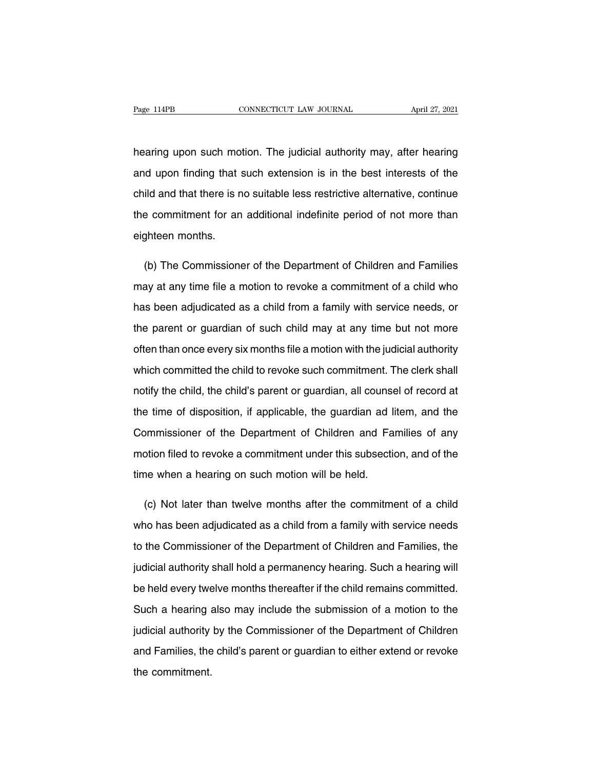Page 114PB CONNECTICUT LAW JOURNAL April 27, 2021<br>hearing upon such motion. The judicial authority may, after hearing<br>and upon finding that such extension is in the best interests of the Page 114PB CONNECTICUT LAW JOURNAL April 27, 2021<br>hearing upon such motion. The judicial authority may, after hearing<br>and upon finding that such extension is in the best interests of the<br>child and that there is no suitable hearing upon such motion. The judicial authority may, after hearing<br>and upon finding that such extension is in the best interests of the<br>child and that there is no suitable less restrictive alternative, continue<br>the commit hearing upon such motion. The judicial authority may, after hearing<br>and upon finding that such extension is in the best interests of the<br>child and that there is no suitable less restrictive alternative, continue<br>the commit and upon finding that schild and that there is not<br>the commitment for an eighteen months. ild and that there is no suitable less restrictive alternative, continue<br>
e commitment for an additional indefinite period of not more than<br>
ghteen months.<br>
(b) The Commissioner of the Department of Children and Families<br>

the commitment for an additional indefinite period of not more than<br>eighteen months.<br>(b) The Commissioner of the Department of Children and Families<br>may at any time file a motion to revoke a commitment of a child who<br>has b eighteen months.<br>
(b) The Commissioner of the Department of Children and Families<br>
may at any time file a motion to revoke a commitment of a child who<br>
has been adjudicated as a child from a family with service needs, or<br> (b) The Commissioner of the Department of Children and Families<br>may at any time file a motion to revoke a commitment of a child who<br>has been adjudicated as a child from a family with service needs, or<br>the parent or guardia may at any time file a motion to revoke a commitment of a child who<br>has been adjudicated as a child from a family with service needs, or<br>the parent or guardian of such child may at any time but not more<br>often than once eve has been adjudicated as a child from a family with service needs, or<br>the parent or guardian of such child may at any time but not more<br>often than once every six months file a motion with the judicial authority<br>which commit the parent or guardian of such child may at any time but not more<br>often than once every six months file a motion with the judicial authority<br>which committed the child to revoke such commitment. The clerk shall<br>notify the c often than once every six months file a motion with the judicial authority<br>which committed the child to revoke such commitment. The clerk shall<br>notify the child, the child's parent or guardian, all counsel of record at<br>the which committed the child to revoke such commitment. The clerk shall<br>notify the child, the child's parent or guardian, all counsel of record at<br>the time of disposition, if applicable, the guardian ad litem, and the<br>Commiss notify the child, the child's parent or guardian, all counsel of record at<br>the time of disposition, if applicable, the guardian ad litem, and the<br>Commissioner of the Department of Children and Families of any<br>motion filed the time of disposition, if applicable, the guardian ad li<br>Commissioner of the Department of Children and Fa<br>motion filed to revoke a commitment under this subsection<br>time when a hearing on such motion will be held. ordinations of the Department of Children and Families of any<br>otion filed to revoke a commitment under this subsection, and of the<br>ne when a hearing on such motion will be held.<br>(c) Not later than twelve months after the c

motion filed to revoke a commitment under this subsection, and of the<br>time when a hearing on such motion will be held.<br>(c) Not later than twelve months after the commitment of a child<br>who has been adjudicated as a child fr time when a hearing on such motion will be held.<br>
(c) Not later than twelve months after the commitment of a child<br>
who has been adjudicated as a child from a family with service needs<br>
to the Commissioner of the Departmen (c) Not later than twelve months after the commitment of a child<br>who has been adjudicated as a child from a family with service needs<br>to the Commissioner of the Department of Children and Families, the<br>judicial authority s who has been adjudicated as a child from a family with service needs<br>to the Commissioner of the Department of Children and Families, the<br>judicial authority shall hold a permanency hearing. Such a hearing will<br>be held every to the Commissioner of the Department of Children and Families, the<br>judicial authority shall hold a permanency hearing. Such a hearing will<br>be held every twelve months thereafter if the child remains committed.<br>Such a hear judicial authority shall hold a permanency hearing. Such a hearing will<br>be held every twelve months thereafter if the child remains committed.<br>Such a hearing also may include the submission of a motion to the<br>judicial auth be held every twelve months thereafter if the child remains committed.<br>Such a hearing also may include the submission of a motion to the<br>judicial authority by the Commissioner of the Department of Children<br>and Families, th Such a hearing a<br>judicial authority<br>and Families, the<br>the commitment.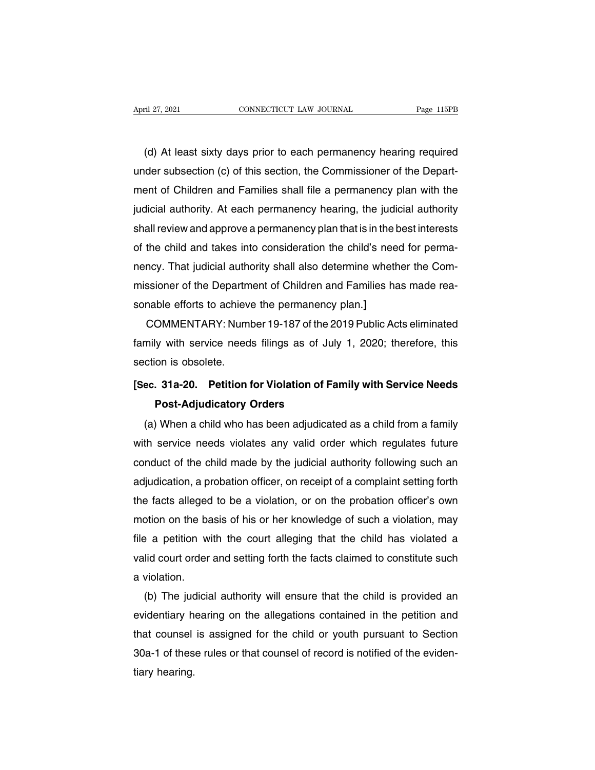(d) At least sixty days prior to each permanency hearing required<br>(d) At least sixty days prior to each permanency hearing required<br>der subsection (c) of this section, the Commissioner of the Depart-April 27, 2021 CONNECTICUT LAW JOURNAL Page 115PB<br>
(d) At least sixty days prior to each permanency hearing required<br>
under subsection (c) of this section, the Commissioner of the Depart-<br>
ment of Children and Families sha (d) At least sixty days prior to each permanency hearing required<br>under subsection (c) of this section, the Commissioner of the Depart-<br>ment of Children and Families shall file a permanency plan with the<br>judicial authority (d) At least sixty days prior to each permanency hearing required<br>under subsection (c) of this section, the Commissioner of the Depart-<br>ment of Children and Families shall file a permanency plan with the<br>judicial authority (d) At least sixty days prior to each permanency hearing required<br>under subsection (c) of this section, the Commissioner of the Depart-<br>ment of Children and Families shall file a permanency plan with the<br>judicial authority under subsection (c) of this section, the Commissioner of the Depart-<br>ment of Children and Families shall file a permanency plan with the<br>judicial authority. At each permanency hearing, the judicial authority<br>shall review ment of Children and Families shall file a permanency plan with the<br>judicial authority. At each permanency hearing, the judicial authority<br>shall review and approve a permanency plan that is in the best interests<br>of the chi judicial authority. At each permanency hearing, the judicial authority<br>shall review and approve a permanency plan that is in the best interests<br>of the child and takes into consideration the child's need for perma-<br>nency. T shall review and approve a permanency plan that is in the tof the child and takes into consideration the child's nee<br>nency. That judicial authority shall also determine wheth<br>missioner of the Department of Children and Fam the child and takes into consideration the child's need tor perma-<br>ncy. That judicial authority shall also determine whether the Com-<br>ssioner of the Department of Children and Families has made rea-<br>nable efforts to achiev

nency. That judicial authority shall also determine whether the Com-<br>missioner of the Department of Children and Families has made rea-<br>sonable efforts to achieve the permanency plan.]<br>COMMENTARY: Number 19-187 of the 2019 missioner of the Departm<br>sonable efforts to achiev<br>COMMENTARY: Numl<br>family with service need<br>section is obsolete.<br>Sec. 31a-20. Petition 1 **EXECUTE:** COMMENTARY: Number 19-187 of the 2019 Public Acts eliminated family with service needs filings as of July 1, 2020; therefore, this section is obsolete.<br>**[Sec. 31a-20.** Petition for Violation of Family with Servi **Post-Adjudicatory Orders**<br>**Post-Adjudicatory Orders**<br>**Post-Adjudicatory Orders**<br>When a child who has been adjudicate

(a) When school has been adjudicated as a child from a family<br>(a) When a child who has been adjudicated as a child from a family<br>(a) When a child who has been adjudicated as a child from a family<br>th service needs violates Section is essence.<br>
Sec. 31a-20. Petition for Violation of Family with Service Needs<br>
Post-Adjudicatory Orders<br>
(a) When a child who has been adjudicated as a child from a family<br>
with service needs violates any valid ord Sec. 31a-20. Petition for Violation of Family with Service Needs<br>Post-Adjudicatory Orders<br>(a) When a child who has been adjudicated as a child from a family<br>with service needs violates any valid order which regulates futur Post-Adjudicatory Orders<br>
(a) When a child who has been adjudicated as a child from a family<br>
with service needs violates any valid order which regulates future<br>
conduct of the child made by the judicial authority followin (a) When a child who has been adjudicated as a child from a tamily<br>with service needs violates any valid order which regulates future<br>conduct of the child made by the judicial authority following such an<br>adjudication, a pr with service needs violates any valid order which regulates tuture<br>conduct of the child made by the judicial authority following such an<br>adjudication, a probation officer, on receipt of a complaint setting forth<br>the facts conduct of the child made by the judicial authority following such an<br>adjudication, a probation officer, on receipt of a complaint setting forth<br>the facts alleged to be a violation, or on the probation officer's own<br>motion adjudication, a probation officer, on receipt of a complaint setting forth<br>the facts alleged to be a violation, or on the probation officer's own<br>motion on the basis of his or her knowledge of such a violation, may<br>file a the facts alleged<br>motion on the ba<br>file a petition wi<br>valid court order<br>a violation.<br>(b) The judicia be a petition with the court alleging that the child has violation, may<br>be a petition with the court alleging that the child has violated a<br>lid court order and setting forth the facts claimed to constitute such<br>violation.<br>

file a petition with the court alleging that the child has violated a<br>valid court order and setting forth the facts claimed to constitute such<br>a violation.<br>(b) The judicial authority will ensure that the child is provided valid court order and setting torth the tacts claimed to constitute such<br>a violation.<br>(b) The judicial authority will ensure that the child is provided an<br>evidentiary hearing on the allegations contained in the petition an a violation.<br>
(b) The judicial authority will ensure that the child is provided an<br>
evidentiary hearing on the allegations contained in the petition and<br>
that counsel is assigned for the child or youth pursuant to Section<br> (b) The judevidentiary https://www.thermole.com/<br>1904-1901 of thespace that counsel<br>1904-1901 of thespace that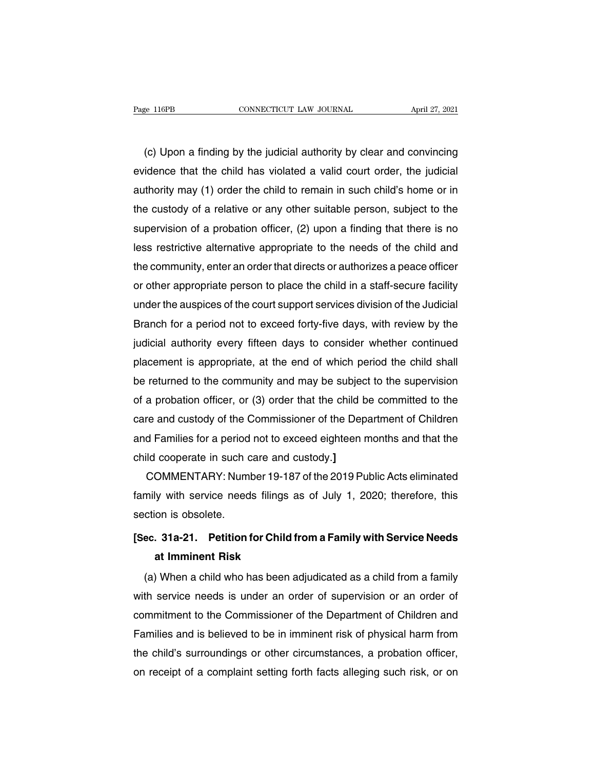(c) Upon a finding by the judicial authority by clear and convincing<br>idence that the child has violated a valid court order, the judicial Page 116PB **CONNECTICUT LAW JOURNAL** April 27, 2021<br>
(c) Upon a finding by the judicial authority by clear and convincing<br>
evidence that the child has violated a valid court order, the judicial<br>
authority may (1) order the (c) Upon a finding by the judicial authority by clear and convincing<br>evidence that the child has violated a valid court order, the judicial<br>authority may (1) order the child to remain in such child's home or in<br>the custod (c) Upon a finding by the judicial authority by clear and convincing<br>evidence that the child has violated a valid court order, the judicial<br>authority may (1) order the child to remain in such child's home or in<br>the custody (c) Upon a finding by the judicial authority by clear and convincing<br>evidence that the child has violated a valid court order, the judicial<br>authority may (1) order the child to remain in such child's home or in<br>the custody evidence that the child has violated a valid court order, the judicial<br>authority may (1) order the child to remain in such child's home or in<br>the custody of a relative or any other suitable person, subject to the<br>supervisi authority may (1) order the child to remain in such child's home or in<br>the custody of a relative or any other suitable person, subject to the<br>supervision of a probation officer, (2) upon a finding that there is no<br>less res the custody of a relative or any other suitable person, subject to the<br>supervision of a probation officer, (2) upon a finding that there is no<br>less restrictive alternative appropriate to the needs of the child and<br>the comm supervision of a probation officer, (2) upon a finding that there is no<br>less restrictive alternative appropriate to the needs of the child and<br>the community, enter an order that directs or authorizes a peace officer<br>or oth less restrictive alternative appropriate to the needs of the child and<br>the community, enter an order that directs or authorizes a peace officer<br>or other appropriate person to place the child in a staff-secure facility<br>unde the community, enter an order that directs or authorizes a peace officer<br>or other appropriate person to place the child in a staff-secure facility<br>under the auspices of the court support services division of the Judicial<br>B or other appropriate person to place the child in a staff-secure facility<br>under the auspices of the court support services division of the Judicial<br>Branch for a period not to exceed forty-five days, with review by the<br>judi under the auspices of the court support services division of the Judicial<br>Branch for a period not to exceed forty-five days, with review by the<br>judicial authority every fifteen days to consider whether continued<br>placement Branch for a period not to exceed forty-five days, with review by the<br>judicial authority every fifteen days to consider whether continued<br>placement is appropriate, at the end of which period the child shall<br>be returned to judicial authority every fifteen days to consider whether continued<br>placement is appropriate, at the end of which period the child shall<br>be returned to the community and may be subject to the supervision<br>of a probation off placement is appropriate, at the end of which period the child shall<br>be returned to the community and may be subject to the supervision<br>of a probation officer, or (3) order that the child be committed to the<br>care and custo be returned to the community and may be subjector<br>of a probation officer, or (3) order that the child b<br>care and custody of the Commissioner of the Dep<br>and Families for a period not to exceed eighteen n<br>child cooperate in a probation officer, or (3) order that the child be committed to the<br>re and custody of the Commissioner of the Department of Children<br>d Families for a period not to exceed eighteen months and that the<br>ild cooperate in such

care and custody of the Commissioner of the Department of Children<br>and Families for a period not to exceed eighteen months and that the<br>child cooperate in such care and custody.]<br>COMMENTARY: Number 19-187 of the 2019 Publi and Families tor a period<br>child cooperate in such c<br>COMMENTARY: Numl<br>family with service need<br>section is obsolete.<br>Sec. 31a-21. Petition f **EXECUTE 19.187 COMMENTARY:** Number 19-187 of the 2019 Public Acts eliminated<br>family with service needs filings as of July 1, 2020; therefore, this<br>section is obsolete.<br>**[Sec. 31a-21.** Petition for Child from a Family with **at Imminimal Property ATTL:**<br> **at Imminent Risk**<br> **at Imminent Risk**<br> **at Imminent Risk**<br> **at Imminent Risk**<br> **c** When a child who has been a

(a) When a child who has been adjudicated as a child from a family with Service Needs<br>at Imminent Risk<br>(a) When a child who has been adjudicated as a child from a family<br>th service needs is under an order of supervision or Section to essencto.<br> **Section 19 Section 19 Section for Child from a Family with Service Needs**<br> **at Imminent Risk**<br>
(a) When a child who has been adjudicated as a child from a family<br>
with service needs is under an order Sec. 31a-21. Petition for Child from a Family with Service Needs<br>at Imminent Risk<br>(a) When a child who has been adjudicated as a child from a family<br>with service needs is under an order of supervision or an order of<br>commit at Imminent Hisk<br>
(a) When a child who has been adjudicated as a child from a family<br>
with service needs is under an order of supervision or an order of<br>
commitment to the Commissioner of the Department of Children and<br>
Fa (a) When a child who has been adjudicated as a child from a tamily<br>with service needs is under an order of supervision or an order of<br>commitment to the Commissioner of the Department of Children and<br>Families and is believe with service needs is under an order of supervision or an order of<br>commitment to the Commissioner of the Department of Children and<br>Families and is believed to be in imminent risk of physical harm from<br>the child's surround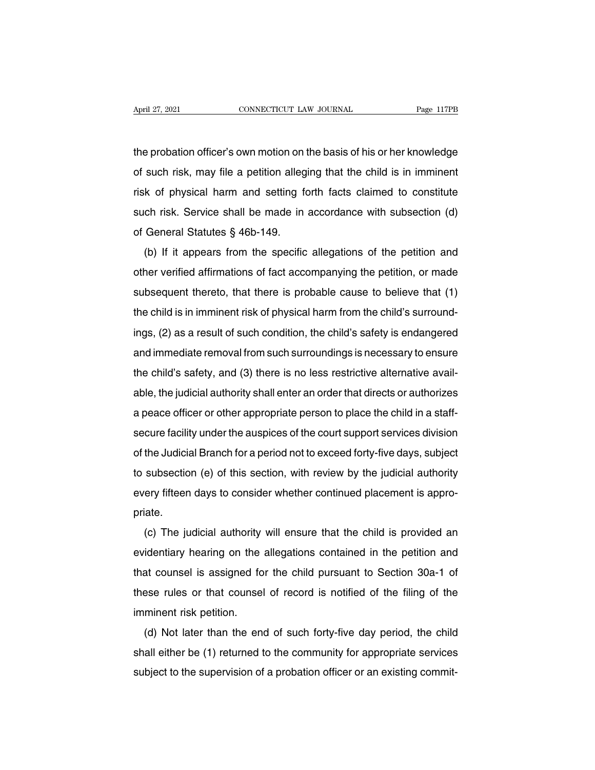April 27, 2021 CONNECTICUT LAW JOURNAL Page 117PB<br>the probation officer's own motion on the basis of his or her knowledge<br>of such risk, may file a petition alleging that the child is in imminent April 27, 2021 CONNECTICUT LAW JOURNAL Page 117PB<br>the probation officer's own motion on the basis of his or her knowledge<br>of such risk, may file a petition alleging that the child is in imminent<br>risk of physical harm and s The probation officer's own motion on the basis of his or her knowledge<br>of such risk, may file a petition alleging that the child is in imminent<br>risk of physical harm and setting forth facts claimed to constitute<br>such risk the probation officer's own motion on the basis of his or her knowledge<br>of such risk, may file a petition alleging that the child is in imminent<br>risk of physical harm and setting forth facts claimed to constitute<br>such risk of such risk, may file a petition alleg<br>risk of physical harm and setting for<br>such risk. Service shall be made in<br>of General Statutes § 46b-149.<br>(b) If it appears from the specific such fisk, may me a pennon aneging that the child is in immerite<br>k of physical harm and setting forth facts claimed to constitute<br>ch risk. Service shall be made in accordance with subsection (d)<br>General Statutes § 46b-149.

of privisical harm and setting form facts claimed to constitute<br>such risk. Service shall be made in accordance with subsection (d)<br>of General Statutes § 46b-149.<br>(b) If it appears from the specific allegations of the petit such fisk. Service shall be filade in accordance with subsection (d)<br>of General Statutes § 46b-149.<br>(b) If it appears from the specific allegations of the petition and<br>other verified affirmations of fact accompanying the of General Statutes § 46b-149.<br>
(b) If it appears from the specific allegations of the petition and other verified affirmations of fact accompanying the petition, or made subsequent thereto, that there is probable cause t (b) in it appears noth the specific allegations of the petition, or made<br>other verified affirmations of fact accompanying the petition, or made<br>subsequent thereto, that there is probable cause to believe that (1)<br>the child subsequent thereto, that there is probable cause to believe that (1)<br>the child is in imminent risk of physical harm from the child's surround-<br>ings, (2) as a result of such condition, the child's safety is endangered<br>and i subsequent thereto, that there is probable cause to believe that (1) the child is in imminent risk of physical harm from the child's surroundings, (2) as a result of such condition, the child's safety is endangered and imm ings, (2) as a result of such condition, the child's safety is endangered<br>and immediate removal from such surroundings is necessary to ensure<br>the child's safety, and (3) there is no less restrictive alternative avail-<br>able and immediate removal from such surroundings is necessary to ensure<br>and immediate removal from such surroundings is necessary to ensure<br>the child's safety, and (3) there is no less restrictive alternative avail-<br>able, the and immediate removal nom such surfoldings is necessary to ensure<br>the child's safety, and (3) there is no less restrictive alternative avail-<br>able, the judicial authority shall enter an order that directs or authorizes<br>a p able, the judicial authority shall enter an order that directs or authorizes<br>a peace officer or other appropriate person to place the child in a staff-<br>secure facility under the auspices of the court support services divis a peace officer or other appropriate person to place the child in a staff-<br>secure facility under the auspices of the court support services division<br>of the Judicial Branch for a period not to exceed forty-five days, subjec a peace oncer or oner appropriate person to place the child in a stan-<br>secure facility under the auspices of the court support services division<br>of the Judicial Branch for a period not to exceed forty-five days, subject<br>to priate. Intersual and proton of a period not to exceed forty-live days, subject<br>subsection (e) of this section, with review by the judicial authority<br>ery fifteen days to consider whether continued placement is appro-<br>iate.<br>(c) The

every fifteen days to consider whether continued placement is appropriate.<br>
(c) The judicial authority will ensure that the child is provided and<br>
evidentiary hearing on the allegations contained in the petition and<br>
that that counsel when the continued placement is appropriate.<br>
(c) The judicial authority will ensure that the child is provided an<br>
evidentiary hearing on the allegations contained in the petition and<br>
that counsel is assigne (c) The judicial authority will ensure that the child is provided an evidentiary hearing on the allegations contained in the petition and that counsel is assigned for the child pursuant to Section 30a-1 of these rules or t (c) The judicial additionty<br>evidentiary hearing on the<br>that counsel is assigned fo<br>these rules or that counsel<br>imminent risk petition.<br>(d) Not later than the en-(d) Not later than the end of such forty-five day period, the child<br>all either be (1) returned to the community for appropriate services

these rules or that counsel of the child pulsuant to section soa-1 of<br>these rules or that counsel of record is notified of the filing of the<br>imminent risk petition.<br>(d) Not later than the end of such forty-five day period, these rules or that counsel of record is notified of the filing of the<br>imminent risk petition.<br>(d) Not later than the end of such forty-five day period, the child<br>shall either be (1) returned to the community for appropria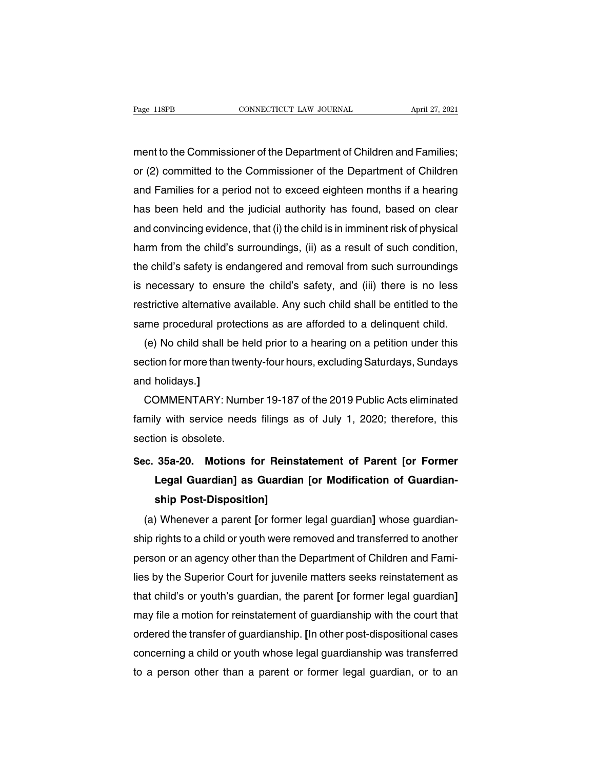Page 118PB CONNECTICUT LAW JOURNAL April 27, 2021<br>ment to the Commissioner of the Department of Children and Families;<br>or (2) committed to the Commissioner of the Department of Children Page 118PB CONNECTICUT LAW JOURNAL April 27, 2021<br>
ment to the Commissioner of the Department of Children and Families;<br>
or (2) committed to the Commissioner of the Department of Children<br>
and Families for a period not to ment to the Commissioner of the Department of Children and Families;<br>or (2) committed to the Commissioner of the Department of Children<br>and Families for a period not to exceed eighteen months if a hearing<br>has been held and ment to the Commissioner of the Department of Children and Families;<br>or (2) committed to the Commissioner of the Department of Children<br>and Families for a period not to exceed eighteen months if a hearing<br>has been held and ment to the Commissioner of the Department of Children and Families;<br>or (2) committed to the Commissioner of the Department of Children<br>and Families for a period not to exceed eighteen months if a hearing<br>has been held and or (2) committed to the Commissioner of the Department of Children<br>and Families for a period not to exceed eighteen months if a hearing<br>has been held and the judicial authority has found, based on clear<br>and convincing evid and Families for a period not to exceed eighteen months if a hearing<br>has been held and the judicial authority has found, based on clear<br>and convincing evidence, that (i) the child is in imminent risk of physical<br>harm from has been held and the judicial authority has tound, based on clear<br>and convincing evidence, that (i) the child is in imminent risk of physical<br>harm from the child's surroundings, (ii) as a result of such condition,<br>the chi and convincing evidence, that (i) the child is in imminent risk of physical<br>harm from the child's surroundings, (ii) as a result of such condition,<br>the child's safety is endangered and removal from such surroundings<br>is nec harm from the child's surroundings, (ii) as a result of such condition,<br>the child's safety is endangered and removal from such surroundings<br>is necessary to ensure the child's safety, and (iii) there is no less<br>restrictive e child's safety is endangered and removal from such surroundings<br>necessary to ensure the child's safety, and (iii) there is no less<br>strictive alternative available. Any such child shall be entitled to the<br>me procedural pr

is necessary to ensure the child's safety, and (iii) there is no less<br>restrictive alternative available. Any such child shall be entitled to the<br>same procedural protections as are afforded to a delinquent child.<br>(e) No chi restrictive alternative<br>same procedural pro<br>(e) No child shall b<br>section for more than<br>and holidays.]<br>COMMENTARY: N me procedural protections as are attorded to a delinquent child.<br>(e) No child shall be held prior to a hearing on a petition under this<br>ction for more than twenty-four hours, excluding Saturdays, Sundays<br>id holidays.]<br>COMM

(e) No child shall be held prior to a hearing on a petition under this<br>section for more than twenty-four hours, excluding Saturdays, Sundays<br>and holidays.]<br>COMMENTARY: Number 19-187 of the 2019 Public Acts eliminated<br>famil section for more than twer<br>and holidays.]<br>COMMENTARY: Numt<br>family with service need<br>section is obsolete.<br>Sec. 35a-20. Motions **COMMENTARY: Number 19-187 of the 2019 Public Acts eliminated**<br>family with service needs filings as of July 1, 2020; therefore, this<br>section is obsolete.<br>**Sec. 35a-20. Motions for Reinstatement of Parent [or Former**<br>**Legal** 

### **LEGAL COLOGET COLOGET AND ALL COLOGET AND ADDED**<br>
In with service needs filings as of July 1, 2020; therefore, this<br> **COLOGET AND ADDED**<br> **S5a-20.** Motions for Reinstatement of Parent [or Former<br>
Legal Guardian] as Guardi France Heeds hings at<br>
on is obsolete.<br> **S5a-20.** Motions for Reins<br>
Legal Guardian] as Guardian<br>
ship Post-Disposition]<br>
Whenever a parent [or former (a) Whenever a parent **[or former**<br> **c. 35a-20.** Motions for Reinstatement of Parent [or Former<br>
Legal Guardian] as Guardian [or Modification of Guardian-<br>
ship Post-Disposition]<br>
(a) Whenever a parent [or former legal gua

Sec. 35a-20. Motions for Heinstatement of Parent [or Former<br>Legal Guardian] as Guardian [or Modification of Guardian-<br>ship Post-Disposition]<br>(a) Whenever a parent [or former legal guardian] whose guardian-<br>ship rights to a Legal Guardian] as Guardian [or Modification or Guardian-<br>ship Post-Disposition]<br>(a) Whenever a parent [or former legal guardian] whose guardian-<br>ship rights to a child or youth were removed and transferred to another<br>pers ship Post-Disposition]<br>
(a) Whenever a parent [or former legal guardian] whose guardian-<br>
ship rights to a child or youth were removed and transferred to another<br>
person or an agency other than the Department of Children a (a) Whenever a parent [or former legal guardian] whose guardian-<br>ship rights to a child or youth were removed and transferred to another<br>person or an agency other than the Department of Children and Fami-<br>lies by the Super ship rights to a child or youth were removed and transferred to another<br>person or an agency other than the Department of Children and Fami-<br>lies by the Superior Court for juvenile matters seeks reinstatement as<br>that child' person or an agency other than the Department of Children and Fami-<br>lies by the Superior Court for juvenile matters seeks reinstatement as<br>that child's or youth's guardian, the parent [or former legal guardian]<br>may file a lies by the Superior Court tor juvenile matters seeks reinstatement as<br>that child's or youth's guardian, the parent [or former legal guardian]<br>may file a motion for reinstatement of guardianship with the court that<br>ordered that child's or youth's guardian, the parent [or former legal guardian]<br>may file a motion for reinstatement of guardianship with the court that<br>ordered the transfer of guardianship. [In other post-dispositional cases<br>conce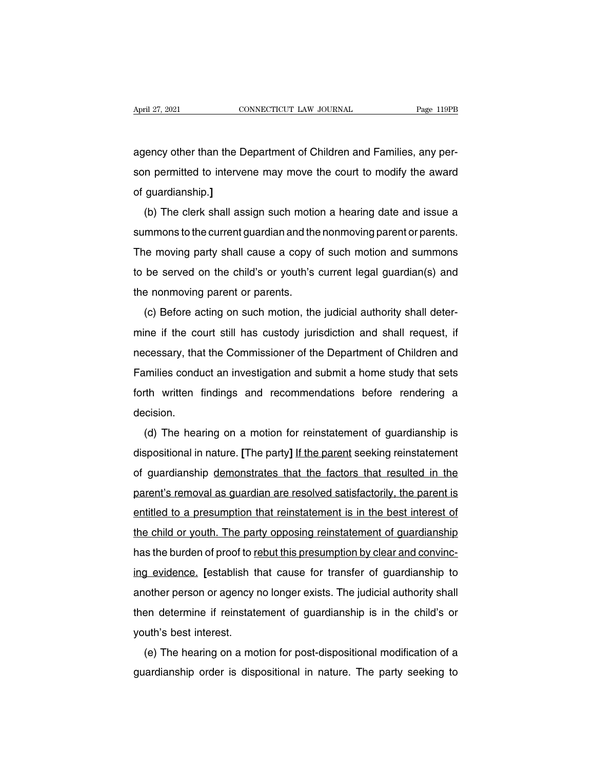April 27, 2021<br>
CONNECTICUT LAW JOURNAL<br>
agency other than the Department of Children and Families, any per-<br>
son permitted to intervene may move the court to modify the award Solution 27, 2021<br>Som permitted to intervene may move the court to modify the award<br>of guardianship.] agency other than the D<br>son permitted to interve<br>of guardianship.]<br>(b) The clerk shall as ency other than the Department of Children and Families, any per-<br>n permitted to intervene may move the court to modify the award<br>guardianship.]<br>(b) The clerk shall assign such motion a hearing date and issue a<br>mmons to th

summons to the current guardian and the nonmoving parent or parameters and the award<br>of guardianship.]<br>(b) The clerk shall assign such motion a hearing date and issue a<br>summons to the current guardian and the nonmoving par of guardianship.]<br>The clerk shall assign such motion a hearing date and issue a<br>summons to the current guardian and the nonmoving parent or parents.<br>The moving party shall cause a copy of such motion and summons<br>to be serv (b) The clerk shall assign such motion a hearing date and issue a<br>summons to the current guardian and the nonmoving parent or parents.<br>The moving party shall cause a copy of such motion and summons<br>to be served on the chil (b) The clenk shall assign such mold<br>summons to the current guardian and the<br>The moving party shall cause a copy c<br>to be served on the child's or youth's<br>the nonmoving parent or parents.<br>(c) Before acting on such motion, t Infinions to the current guardian and the nonfinoving parent or parents.<br>The moving party shall cause a copy of such motion and summons<br>be served on the child's or youth's current legal guardian(s) and<br>a nonmoving parent o

me moving party shall cause a copy of such motion and summons<br>to be served on the child's or youth's current legal guardian(s) and<br>the nonmoving parent or parents.<br>(c) Before acting on such motion, the judicial authority s the nonmoving parent or parents.<br>
(c) Before acting on such motion, the judicial authority shall deter-<br>
mine if the court still has custody jurisdiction and shall request, if<br>
necessary, that the Commissioner of the Depar Internationally parent or parents.<br>
(c) Before acting on such motion, the judicial authority shall deter-<br>
mine if the court still has custody jurisdiction and shall request, if<br>
necessary, that the Commissioner of the Dep (c) Before acting off stath motion, the judicial additionty shall deter-<br>mine if the court still has custody jurisdiction and shall request, if<br>necessary, that the Commissioner of the Department of Children and<br>Families co decision. (d) The hearing on a motion for reinstatement of dilection.<br>
(d) The hearing on a motion for reinstatement of guardianship is<br>
spositional in nature. [The party] If the parent seeking reinstatement

dispositional in nature. **[**The party] If the parent seeking reinstatement of guardianship is dispositional in nature. **[The party]** If the parent seeking reinstatement of guardianship demonstrates that the factors that re decision.<br>
(d) The hearing on a motion for reinstatement of guardianship is<br>
dispositional in nature. [The party] <u>If the parent</u> seeking reinstatement<br>
of guardianship demonstrates that the factors that resulted in the<br>
p (d) The hearing on a motion for reinstatement of guardianship is<br>dispositional in nature. [The party] If the parent seeking reinstatement<br>of guardianship demonstrates that the factors that resulted in the<br>parent's removal (a) The hearing on a motion for reinstatement or guardianship is<br>dispositional in nature. [The party] <u>If the parent</u> seeking reinstatement<br>of guardianship <u>demonstrates that the factors</u> that resulted in the<br>parent's remo of guardianship demonstrates that the factors that resulted in the parent's removal as guardian are resolved satisfactorily, the parent is entitled to a presumption that reinstatement is in the best interest of the child o or guardiariship definorishates that the factors that resulted in the parent's removal as guardian are resolved satisfactorily, the parent is entitled to a presumption that reinstatement is in the best interest of the chil parents removal as guardian are resolved salislactomy, the parent is<br>entitled to a presumption that reinstatement is in the best interest of<br>the child or youth. The party opposing reinstatement of guardianship<br>has the burd and the child or youth. The party opposing reinstatement of guardianship<br>the child or youth. The party opposing reinstatement of guardianship<br>has the burden of proof to <u>rebut this presumption by clear and convinc-</u><br>ing ev the child of youth. The party opposing reinstatement of guardianship<br>has the burden of proof to <u>rebut this presumption by clear and convinc-</u><br>ing evidence. [establish that cause for transfer of guardianship to<br>another per ing evidence. [establish the<br>ing evidence. [establish the<br>then determine if reinstate<br>youth's best interest.<br>(e) The hearing on a mo (e) The hearing on a motion for post-dispositional modification of a motion for post-dispositional modification of a<br>experiment of guardianship is in the child's or<br>uth's best interest.<br>(e) The hearing on a motion for post another person of agency no longer exists. The judicial additionty shall<br>then determine if reinstatement of guardianship is in the child's or<br>youth's best interest.<br>(e) The hearing on a motion for post-dispositional modifi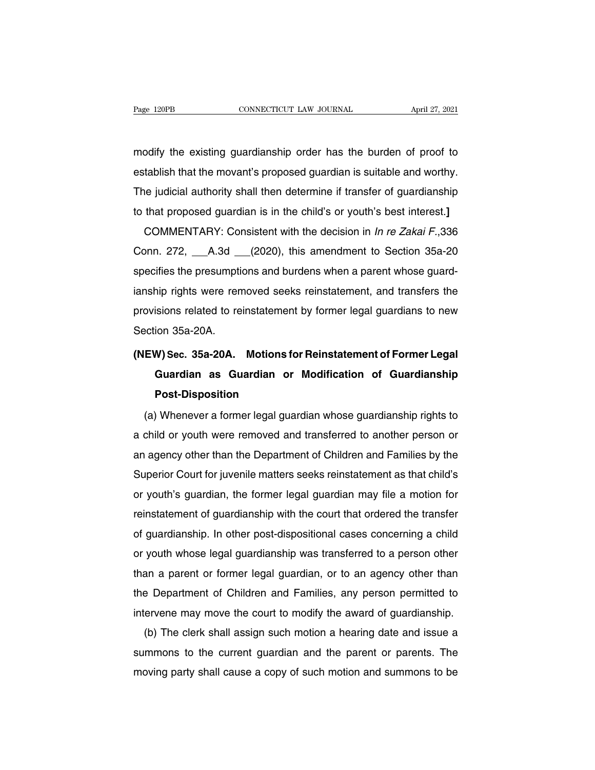Page 120PB CONNECTICUT LAW JOURNAL April 27, 2021<br>modify the existing guardianship order has the burden of proof to<br>establish that the movant's proposed guardian is suitable and worthy. Page 120PB CONNECTICUT LAW JOURNAL April 27, 2021<br>modify the existing guardianship order has the burden of proof to<br>establish that the movant's proposed guardian is suitable and worthy.<br>The judicial authority shall then de modify the existing guardianship order has the burden of proof to<br>establish that the movant's proposed guardian is suitable and worthy.<br>The judicial authority shall then determine if transfer of guardianship<br>to that propos modify the existing guardianship order has the burden of proof to<br>establish that the movant's proposed guardian is suitable and worthy.<br>The judicial authority shall then determine if transfer of guardianship<br>to that propos tablish that the movant's proposed guardian is suitable and worthy.<br>
The judicial authority shall then determine if transfer of guardianship<br>
that proposed guardian is in the child's or youth's best interest.]<br>
COMMENTARY

establish that the movalit s proposed guardian is suitable and worthy.<br>The judicial authority shall then determine if transfer of guardianship<br>to that proposed guardian is in the child's or youth's best interest.]<br>COMMENTA In the judicial authority shall then determine it transfer of guardianship<br>to that proposed guardian is in the child's or youth's best interest.]<br>COMMENTARY: Consistent with the decision in In re Zakai F.,336<br>Conn. 272, \_\_ io that proposed guardian is in the child s or youth's best interest.]<br>COMMENTARY: Consistent with the decision in *In re Zakai F.*,336<br>Conn. 272, A.3d (2020), this amendment to Section 35a-20<br>specifies the presumptions an COMMENTANT. CONSISTENT WILL THE GECSION IN *INTE* ZARAT P., 350<br>Conn. 272, \_\_\_\_A.3d \_\_\_\_(2020), this amendment to Section 35a-20<br>specifies the presumptions and burdens when a parent whose guard-<br>ianship rights were removed Com. 272, A.Su<br>specifies the presumpti<br>ianship rights were ren<br>provisions related to re<br>Section 35a-20A.<br>(NEW) Sec. 35a-20A. **Example 12 For Constraining Constrained Sections related to reinstatement by former legal guardians to new Section 35a-20A.<br>
<b>(NEW) Sec. 35a-20A.** Motions for Reinstatement of Former Legal<br> **Guardian as Guardian or Modifi** 

### isions related to reinstatement by former legal guardians to new<br>ion 35a-20A.<br>**W) Sec. 35a-20A.** Motions for Reinstatement of Former Legal<br>Guardian as Guardian or Modification of Guardianship<br>Post-Disposition **Post-Disposition** EW) Sec. 35a-20A. Motions for Reinstatement of Former Legal<br>Guardian as Guardian or Modification of Guardianship<br>Post-Disposition<br>(a) Whenever a former legal guardian whose guardianship rights to<br>child or youth were remove

Guardian as Guardian or Modification of Guardianship<br>Post-Disposition<br>(a) Whenever a former legal guardian whose guardianship rights to<br>a child or youth were removed and transferred to another person or<br>an agency other tha Post-Disposition<br>
(a) Whenever a former legal guardian whose guardianship rights to<br>
a child or youth were removed and transferred to another person or<br>
an agency other than the Department of Children and Families by the<br> (a) Whenever a former legal guardian whose guardianship rights to<br>a child or youth were removed and transferred to another person or<br>an agency other than the Department of Children and Families by the<br>Superior Court for ju (a) whenever a former legal guardian whose guardianship rights to<br>a child or youth were removed and transferred to another person or<br>an agency other than the Department of Children and Families by the<br>Superior Court for ju a child of youth were refiloved and transferred to another person of<br>an agency other than the Department of Children and Families by the<br>Superior Court for juvenile matters seeks reinstatement as that child's<br>or youth's gu an agency omer man the Department of Children and Parilies by the<br>Superior Court for juvenile matters seeks reinstatement as that child's<br>or youth's guardian, the former legal guardian may file a motion for<br>reinstatement o Superior Court for juverine matters seeks reinstatement as tratic child sor youth's guardian, the former legal guardian may file a motion for reinstatement of guardianship with the court that ordered the transferred of gua or yourn's guardian, the former legal guardian may life a motion for<br>reinstatement of guardianship with the court that ordered the transfer<br>of guardianship. In other post-dispositional cases concerning a child<br>or youth who reinstatement of guardianship with the court that ordered the transfer<br>of guardianship. In other post-dispositional cases concerning a child<br>or youth whose legal guardianship was transferred to a person other<br>than a parent or guardianship. In other post-dispositional cases concerning a critical or youth whose legal guardianship was transferred to a person other than a parent or former legal guardian, or to an agency other than the Department yount whose legal guardianship was transferred to a person other<br>an a parent or former legal guardian, or to an agency other than<br>e Department of Children and Families, any person permitted to<br>ervene may move the court to

Inan a parent or former legal guardian, or to an agency other than<br>the Department of Children and Families, any person permitted to<br>intervene may move the court to modify the award of guardianship.<br>(b) The clerk shall assi the Department of Children and Families, any person permitted to intervene may move the court to modify the award of guardianship.<br>(b) The clerk shall assign such motion a hearing date and issue a summons to the current gu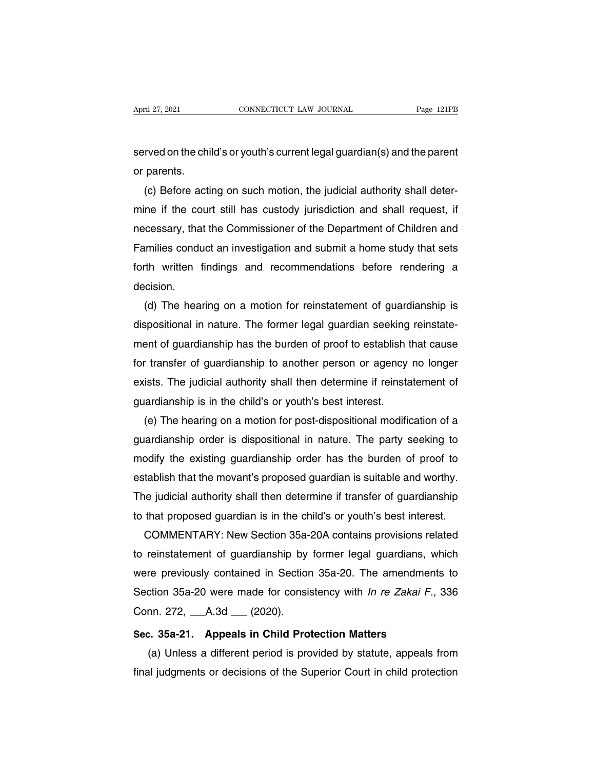April 27, 2021 CONNECTICUT LAW JOURNAL Page 121PB<br>Served on the child's or youth's current legal guardian(s) and the parent<br>or parents. April 27, 2021<br>served on the chi<br>or parents.<br>(c) Before acti

(c) Before acting on such motion, the judicial authority shall deter-<br>ne if the court still has custody jurisdiction and shall request, if served on the child's or youth's current legal guardian(s) and the parent<br>or parents.<br>(c) Before acting on such motion, the judicial authority shall deter-<br>mine if the court still has custody jurisdiction and shall request served on the child's or youth's current legal guardian(s) and the parent<br>or parents.<br>(c) Before acting on such motion, the judicial authority shall deter-<br>mine if the court still has custody jurisdiction and shall request or parents.<br>
(c) Before acting on such motion, the judicial authority shall deter-<br>
mine if the court still has custody jurisdiction and shall request, if<br>
necessary, that the Commissioner of the Department of Children and (c) Betore acting on such motion, the judicial authority shall deter-<br>mine if the court still has custody jurisdiction and shall request, if<br>necessary, that the Commissioner of the Department of Children and<br>Families condu decision. cessary, that the Commissioner of the Department of Children and<br>umilies conduct an investigation and submit a home study that sets<br>th written findings and recommendations before rendering a<br>ccision.<br>(d) The hearing on a m

Families conduct an investigation and submit a home study that sets<br>forth written findings and recommendations before rendering a<br>decision.<br>(d) The hearing on a motion for reinstatement of guardianship is<br>dispositional in forth written findings and recommendations before rendering a<br>decision.<br>(d) The hearing on a motion for reinstatement of guardianship is<br>dispositional in nature. The former legal guardian seeking reinstate-<br>ment of guardia decision.<br>
(d) The hearing on a motion for reinstatement of guardianship is<br>
dispositional in nature. The former legal guardian seeking reinstate-<br>
ment of guardianship has the burden of proof to establish that cause<br>
for (d) The hearing on a motion for reinstatement of guardianship is<br>dispositional in nature. The former legal guardian seeking reinstate-<br>ment of guardianship has the burden of proof to establish that cause<br>for transfer of gu dispositional in nature. The former legal guardian seeking reinstatement of guardianship has the burden of proof to establish that cause<br>for transfer of guardianship to another person or agency no longer<br>exists. The judici ent of guardianship has the burden of proof to establish that cause<br>
f transfer of guardianship to another person or agency no longer<br>
ists. The judicial authority shall then determine if reinstatement of<br>
ardianship is in

for transfer of guardianship to another person or agency no longer<br>exists. The judicial authority shall then determine if reinstatement of<br>guardianship is in the child's or youth's best interest.<br>(e) The hearing on a motio exists. The judicial authority shall then determine it reinstatement of<br>guardianship is in the child's or youth's best interest.<br>(e) The hearing on a motion for post-dispositional modification of a<br>guardianship order is di guardianship is in the child's or youth's best interest.<br>
(e) The hearing on a motion for post-dispositional modification of a<br>
guardianship order is dispositional in nature. The party seeking to<br>
modify the existing guard (e) The hearing on a motion for post-dispositional modification of a<br>guardianship order is dispositional in nature. The party seeking to<br>modify the existing guardianship order has the burden of proof to<br>establish that the guardianship order is dispositional in nature. The party seeking to<br>modify the existing guardianship order has the burden of proof to<br>establish that the movant's proposed guardian is suitable and worthy.<br>The judicial autho odity the existing guardianship order has the burden of proof to<br>tablish that the movant's proposed guardian is suitable and worthy.<br>ne judicial authority shall then determine if transfer of guardianship<br>that proposed guar

establish that the movant's proposed guardian is suitable and worthy.<br>The judicial authority shall then determine if transfer of guardianship<br>to that proposed guardian is in the child's or youth's best interest.<br>COMMENTARY The judicial authority shall then determine if transter of guardianship<br>to that proposed guardian is in the child's or youth's best interest.<br>COMMENTARY: New Section 35a-20A contains provisions related<br>to reinstatement of to that proposed guardian is in the child's or youth's best interest.<br>COMMENTARY: New Section 35a-20A contains provisions related<br>to reinstatement of guardianship by former legal guardians, which<br>were previously contained COMMENTARY: New Section 35a-<br>to reinstatement of guardianship by<br>were previously contained in Sectior<br>Section 35a-20 were made for consis<br>Conn. 272, \_\_\_A.3d \_\_\_ (2020).<br>Sec. 35a-21. Appeals in Child Pro Franklinent of guardianship by former legal guardians, where previously contained in Section 35a-20. The amendments<br>Section 35a-20 were made for consistency with *ln re Zakai F.*,<br>Conn. 272, \_\_\_A.3d \_\_\_ (2020).<br>**Sec. 35a-2** (a) Unless a different period is provided by statute, appeals from all judgments or decisions of the Superior Court in child protection all judgments or decisions of the Superior Court in child protection

Section 35a-20 were made for consistency with *in re Zakar 1 .,* 336<br>Conn. 272, \_\_\_A.3d \_\_\_ (2020).<br>Sec. 35a-21. Appeals in Child Protection Matters<br>(a) Unless a different period is provided by statute, appeals from<br>final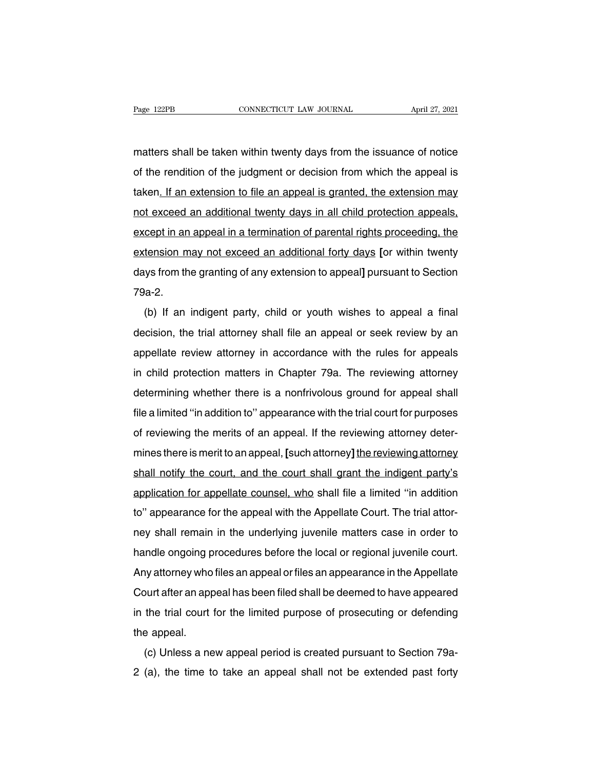Page 122PB CONNECTICUT LAW JOURNAL April 27, 2021<br>matters shall be taken within twenty days from the issuance of notice<br>of the rendition of the judgment or decision from which the appeal is Page 122PB **CONNECTICUT LAW JOURNAL** April 27, 2021<br>
matters shall be taken within twenty days from the issuance of notice<br>
of the rendition of the judgment or decision from which the appeal is<br>
taken<u>. If an extension to </u> matters shall be taken within twenty days from the issuance of notice<br>of the rendition of the judgment or decision from which the appeal is<br>taken. If an extension to file an appeal is granted, the extension may<br>not exceed matters shall be taken within twenty days from the issuance of notice<br>of the rendition of the judgment or decision from which the appeal is<br>taken<u>. If an extension to file an appeal is granted, the extension may</u><br>not excee except in an appeal in a termination of parental rights proceeding, the state of the rendition of the judgment or decision from which the appeal is taken. If an extension to file an appeal is granted, the extension may not taken<u>. If an extension to file an appeal is granted, the extension may not exceed an additional twenty days in all child protection appeals, except in an appeal in a termination of parental rights proceeding, the extensio</u> not exceed an additional twenty days in all child protection appeals, except in an appeal in a termination of parental rights proceeding, the extension may not exceed an additional forty days [or within twenty days from th 79a-2. (b) If an indigent party, child or youth wishes to appeal a final cision, the trial attorney shall file an appeal or seek review by an action, the trial attorney shall file an appeal or seek review by an

days from the granting of any extension to appeal] pursuant to Section<br>79a-2.<br>(b) If an indigent party, child or youth wishes to appeal a final<br>decision, the trial attorney shall file an appeal or seek review by an<br>appella appear pulstimate granting or any extension to appear pulstimative decition<br>79a-2.<br>(b) If an indigent party, child or youth wishes to appeal a final<br>decision, the trial attorney shall file an appeal or seek review by an<br>ap (b) If an indigent party, child or youth wishes to appeal a final<br>decision, the trial attorney shall file an appeal or seek review by an<br>appellate review attorney in accordance with the rules for appeals<br>in child protectio (b) if an indigent party, child of youth wishes to appear a linary<br>decision, the trial attorney shall file an appeal or seek review by an<br>appellate review attorney in accordance with the rules for appeals<br>in child protecti file a limited 'trial and the strategy' shall life and appear of seek feview by an<br>appellate review attorney in accordance with the rules for appeals<br>in child protection matters in Chapter 79a. The reviewing attorney<br>deter appenate Teview attorney in accordance with the rules for appears<br>in child protection matters in Chapter 79a. The reviewing attorney<br>determining whether there is a nonfrivolous ground for appeal shall<br>file a limited "in ad mines the protection matters in Orlapter 75a. The reviewing attorney<br>determining whether there is a nonfrivolous ground for appeal shall<br>file a limited "in addition to" appearance with the trial court for purposes<br>of revie shall notify the court, and the court shall grant the indigent party's application for appealism and the merits of an appeal. If the reviewing attorney determines there is merit to an appeal, [such attorney] the reviewing a minted in addition to appearance win the that count for puposes<br>of reviewing the merits of an appeal. If the reviewing attorney deter-<br>mines there is merit to an appeal, [such attorney] the reviewing attorney<br>shall notif or reviewing the ments or an appear. If the reviewing attorney deter-<br>mines there is merit to an appeal, [such attorney] the reviewing attorney<br>shall notify the court, and the court shall grant the indigent party's<br>applica nimes there is ment to an appear, [such attorney] <u>the reviewing attorney</u><br>shall notify the court, and the court shall grant the indigent party's<br>application for appellate counsel, who shall file a limited "in addition<br>to" shan houry the court, and the court shan grant the indigent party's<br>application for appellate counsel, who shall file a limited "in addition<br>to" appearance for the appeal with the Appellate Court. The trial attor-<br>ney shal application for appenate courtset, who shall file a limited film addition<br>to" appearance for the appeal with the Appellate Court. The trial attor-<br>ney shall remain in the underlying juvenile matters case in order to<br>handle The valid remain in the underlying juvenile matters case in order to<br>handle ongoing procedures before the local or regional juvenile court.<br>Any attorney who files an appeal or files an appearance in the Appellate<br>Court aft They shart fernal fill the diffusivity juvenile matters case in order to<br>handle ongoing procedures before the local or regional juvenile court.<br>Any attorney who files an appeal or files an appearance in the Appellate<br>Court Handle ongoing p<br>Any attorney who<br>Court after an app<br>in the trial court<br>the appeal.<br>(c) Unless a ne (c) Unless an appeal of lifes an appeal ance in the Appendie<br>burt after an appeal has been filed shall be deemed to have appeared<br>the trial court for the limited purpose of prosecuting or defending<br>e appeal.<br>(c) Unless a n 2 (a), the time to take an appeal shall not be extended past forty and the trial court for the limited purpose of prosecuting or defending the appeal.<br>
(c) Unless a new appeal period is created pursuant to Section 79a-<br>
2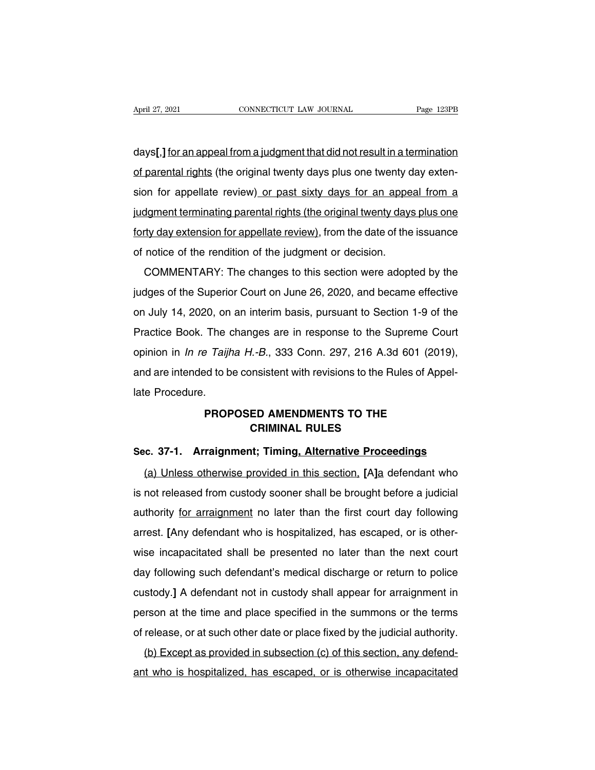April 27, 2021 CONNECTICUT LAW JOURNAL Page 123PB<br> **days[,]** for an appeal from a judgment that did not result in a termination<br>
of parental rights (the original twenty days plus one twenty day exten-April 27, 2021 CONNECTICUT LAW JOURNAL Page 123PB<br>
days[,] for an appeal from a judgment that did not result in a termination<br>
of parental rights (the original twenty days plus one twenty day exten-<br>
sion for appellate rev days[,] for an appeal from a judgment that did not result in a termination<br>of parental rights (the original twenty days plus one twenty day exten-<br>sion for appellate review) or past sixty days for an appeal from a<br>judgment days[,] <u>for an appeal from a judgment that did not result in a termination</u><br>of parental rights (the original twenty days plus one twenty day exten-<br>sion for appellate review<u>) or past sixty days for an appeal from a</u><br>judg of parental rights (the original twenty days plus one twenty day extension for appellate review) or past sixty days for an appeal from a judgment terminating parental rights (the original twenty days plus one forty day ext of parental rights (the original twenty days plus one twenty c<br>sion for appellate review) or past sixty days for an appe<br>judgment terminating parental rights (the original twenty days<br>forty day extension for appellate revi dgment terminating parental rights (the original twenty days plus one<br>dy day extension for appellate review), from the date of the issuance<br>notice of the rendition of the judgment or decision.<br>COMMENTARY: The changes to th

forty day extension for appellate review), from the date of the issuance<br>of notice of the rendition of the judgment or decision.<br>COMMENTARY: The changes to this section were adopted by the<br>judges of the Superior Court on J of notice of the rendition of the judgment or decision.<br>COMMENTARY: The changes to this section were adopted by the<br>judges of the Superior Court on June 26, 2020, and became effective<br>on July 14, 2020, on an interim basis, COMMENTARY: The changes to this section were adopted by the<br>judges of the Superior Court on June 26, 2020, and became effective<br>on July 14, 2020, on an interim basis, pursuant to Section 1-9 of the<br>Practice Book. The chang bolving triative the subsection were adopted by the judges of the Superior Court on June 26, 2020, and became effective<br>on July 14, 2020, on an interim basis, pursuant to Section 1-9 of the<br>Practice Book. The changes are i droges of the superior Court off suffer 20, 2020, and became enective<br>on July 14, 2020, on an interim basis, pursuant to Section 1-9 of the<br>Practice Book. The changes are in response to the Supreme Court<br>opinion in *In re* Practice Book. The copinion in *In re Taijh*<br>and are intended to b<br>late Procedure.<br>**PROP PROPOSED AMENDMENTS TO THE CRIMINAL RULES** *I.-B.*, 333 Conn. 297, 216 A.3d 6<br>pnsistent with revisions to the Rule<br>**ED AMENDMENTS TO THE<br>CRIMINAL RULES<br>ht: Timing, Alternative Proceed** and are interided to be consistent with revisions to the Rules of Appellate Procedure.<br> **PROPOSED AMENDMENTS TO THE**<br> **Sec. 37-1. Arraignment; Timing, Alternative Proceedings**<br>
(a) Unless otherwise provided in this section

PROPOSED AMENDMENTS TO THE<br>
CRIMINAL RULES<br>
c. 37-1. Arraignment; Timing<u>, Alternative Proceedings</u><br>
(a) Unless otherwise provided in this section, [A]a defendant who<br>
not released from custody sooner shall be brought befo PROPOSED AMENDMENTS TO THE<br>CRIMINAL RULES<br>Sec. 37-1. Arraignment; Timing, Alternative Proceedings<br>(a) Unless otherwise provided in this section, [A]a defendant who<br>is not released from custody sooner shall be brought befor Sec. 37-1. Arraignment; Timing, Alternative Proceedings<br>
(a) Unless otherwise provided in this section, [A]a defendant who<br>
is not released from custody sooner shall be brought before a judicial<br>
authority <u>for arraignment</u> (a) Unless otherwise provided in this section, [A]a defendant who is not released from custody sooner shall be brought before a judicial authority <u>for arraignment</u> no later than the first court day following arrest. [Any is not released from custody sooner shall be brought before a judicial<br>authority <u>for arraignment</u> no later than the first court day following<br>arrest. [Any defendant who is hospitalized, has escaped, or is other-<br>wise inca is not released from custody sooner shall be brought before a judicial<br>authority <u>for arraignment</u> no later than the first court day following<br>arrest. [Any defendant who is hospitalized, has escaped, or is other-<br>wise inca aturionly ior analymient no later than the first court day following<br>arrest. [Any defendant who is hospitalized, has escaped, or is other-<br>wise incapacitated shall be presented no later than the next court<br>day following su ariest. [Airy detendant who is hospitalized, has escaped, or is other-<br>wise incapacitated shall be presented no later than the next court<br>day following such defendant's medical discharge or return to police<br>custody.] A def of release, or at such other date or place fixed by the judicial authority.<br>
(b) Except as provided in subsection (c) of this section, any defend-<br>
(b) Except as provided in subsection (c) of this section, any defendday following such defendant's medical discharge or return to police custody.] A defendant not in custody shall appear for arraignment in person at the time and place specified in the summons or the terms of release, or at distinguistic in the summons or the terms<br>person at the time and place specified in the summons or the terms<br>of release, or at such other date or place fixed by the judicial authority.<br>(b) Except as provided in subsection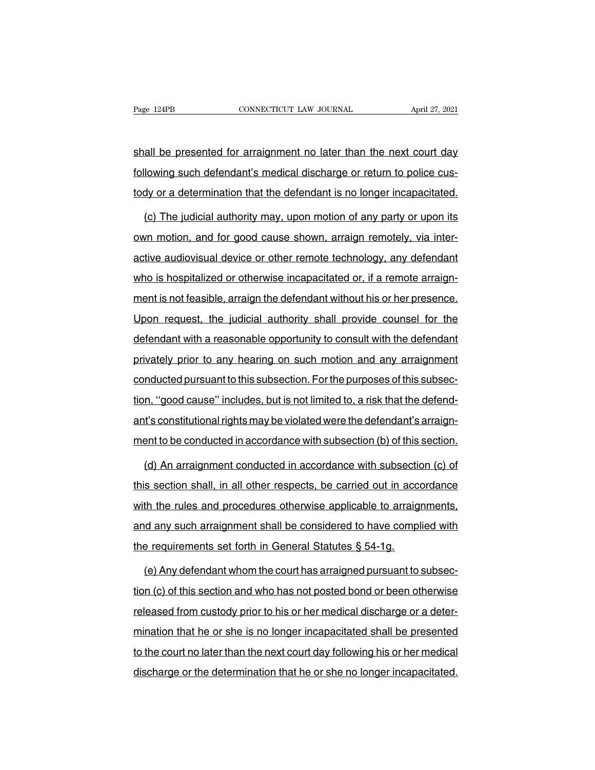Page 124PB<br>
shall be presented for arraignment no later than the next court day<br>
following such defendant's medical discharge or return to police cus-Fage 124PB CONNECTICUT LAW JOURNAL April 27, 2021<br>
Shall be presented for arraignment no later than the next court day<br>
following such defendant's medical discharge or return to police cus-<br>
tody or a determination that th shall be presented for arraignment no later than the next court day<br>following such defendant's medical discharge or return to police cus-<br>tody or a determination that the defendant is no longer incapacitated.<br>(c) The iudic (all be presented for arraignment no later than the next court day<br>lowing such defendant's medical discharge or return to police cus-<br>dy or a determination that the defendant is no longer incapacitated.<br>(c) The judicial au

following such defendant's medical discharge or return to police cus-<br>tody or a determination that the defendant is no longer incapacitated.<br>(c) The judicial authority may, upon motion of any party or upon its<br>own motion, tody or a determination that the defendant is no longer incapacitated.<br>
(c) The judicial authority may, upon motion of any party or upon its<br>
own motion, and for good cause shown, arraign remotely, via inter-<br>
active audio (c) The judicial authority may, upon motion of any party or upon its<br>own motion, and for good cause shown, arraign remotely, via inter-<br>active audiovisual device or other remote technology, any defendant<br>who is hospitalize own motion, and for good cause shown, arraign remotely, via inter-<br>active audiovisual device or other remote technology, any defendant<br>who is hospitalized or otherwise incapacitated or, if a remote arraign-<br>ment is not fea active audiovisual device or other remote technology, any defendant<br>who is hospitalized or otherwise incapacitated or, if a remote arraign-<br>ment is not feasible, arraign the defendant without his or her presence.<br>Upon requ who is hospitalized or otherwise incapacitated or, if a remote arraignment is not feasible, arraign the defendant without his or her presence.<br>Upon request, the judicial authority shall provide counsel for the defendant wi ment is not feasible, arraign the defendant without his or her presence.<br>Upon request, the judicial authority shall provide counsel for the<br>defendant with a reasonable opportunity to consult with the defendant<br>privately pr conducted pursuant of the indicate murder in the conduct.<br>Upon request, the judicial authority shall provide counsel for the<br>defendant with a reasonable opportunity to consult with the defendant<br>privately prior to any hear defendant with a reasonable opportunity to consult with the defendant<br>privately prior to any hearing on such motion and any arraignment<br>conducted pursuant to this subsection. For the purposes of this subsec-<br>tion, "good ca privately prior to any hearing on such motion and any arraignment<br>conducted pursuant to this subsection. For the purposes of this subsec-<br>tion, "good cause" includes, but is not limited to, a risk that the defend-<br>ant's co enducted pursuant to this subsection. For the purposes of this subsection, "good cause" includes, but is not limited to, a risk that the defendent's constitutional rights may be violated were the defendant's arraignment to m, "good cause" includes, but is not limited to, a risk that the defend-<br>it's constitutional rights may be violated were the defendant's arraign-<br>ent to be conducted in accordance with subsection (b) of this section.<br>(d) A

ant's constitutional rights may be violated were the defendant's arraignment to be conducted in accordance with subsection (b) of this section.<br>
(d) An arraignment conducted in accordance with subsection (c) of this sectio ment to be conducted in accordance with subsection (b) of this section.<br>
(d) An arraignment conducted in accordance with subsection (c) of<br>
this section shall, in all other respects, be carried out in accordance<br>
with the (d) An arraignment conducted in accordance with subsection (c) of<br>this section shall, in all other respects, be carried out in accordance<br>with the rules and procedures otherwise applicable to arraignments,<br>and any such arr this section shall, in all other respects, be carried out in according this section shall, in all other respects, be carried out in according with the rules and procedures otherwise applicable to arraiging and any such arr th the rules and procedures otherwise applicable to arraignments,<br>
d any such arraignment shall be considered to have complied with<br>
e requirements set forth in General Statutes § 54-1g.<br>
(e) Any defendant whom the court h

and any such arraignment shall be considered to have complied with<br>the requirements set forth in General Statutes § 54-1g.<br>(e) Any defendant whom the court has arraigned pursuant to subsec-<br>tion (c) of this section and who the requirements set forth in General Statutes § 54-1g.<br>
(e) Any defendant whom the court has arraigned pursuant to subsec-<br>
tion (c) of this section and who has not posted bond or been otherwise<br>
released from custody pri (e) Any defendant whom the court has arraigned pursuant to subsection (c) of this section and who has not posted bond or been otherwise released from custody prior to his or her medical discharge or a determination that he tion (c) of this section and who has not posted bond or been otherwise<br>released from custody prior to his or her medical discharge or a deter-<br>mination that he or she is no longer incapacitated shall be presented<br>to the co discharge or the determination that he or she is no longer incapacitated shall be presented<br>to the court no later than the next court day following his or her medical<br>discharge or the determination that he or she no longer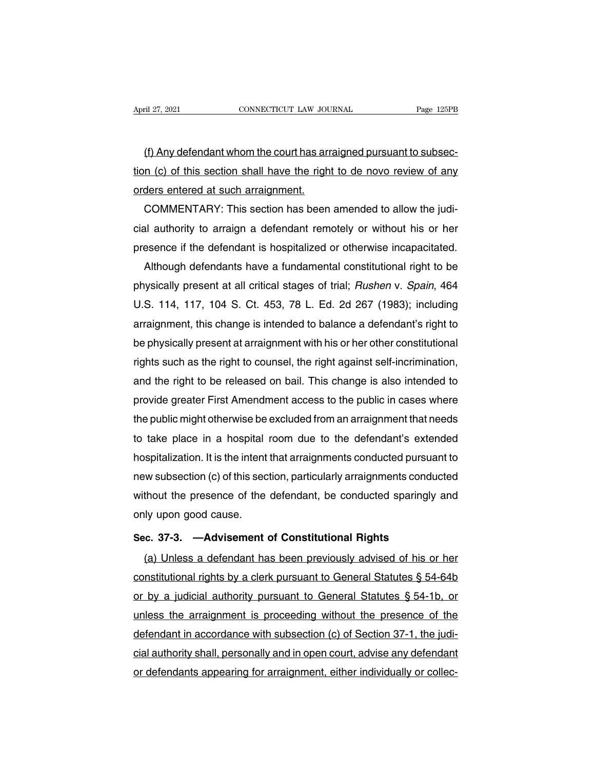(f) Any defendant whom the court has arraigned pursuant to subsection<br>(f) Any defendant whom the court has arraigned pursuant to subsection<br>of this section shall have the right to de novo review of any April 27, 2021 CONNECTICUT LAW JOURNAL Page 125PB<br>
(f) Any defendant whom the court has arraigned pursuant to subsec-<br>
tion (c) of this section shall have the right to de novo review of any<br>
orders entered at such arraignm ortherical Extra section<br>
(f) Any defendant whom the court has arr<br>
tion (c) of this section shall have the righ-<br>
orders entered at such arraignment.<br>
COMMENTARY: This section has been (f) Any defendant whom the court has arraigned pursuant to subsec-<br>n (c) of this section shall have the right to de novo review of any<br>ders entered at such arraignment.<br>COMMENTARY: This section has been amended to allow th

(f) Any detendant whom the court has arraigned pursuant to subsection (c) of this section shall have the right to de novo review of any orders entered at such arraignment.<br>COMMENTARY: This section has been amended to allow tion (c) of this section shall have the right to de novo review of any<br>orders entered at such arraignment.<br>COMMENTARY: This section has been amended to allow the judi-<br>cial authority to arraign a defendant remotely or with ders entered at such arraignment.<br>COMMENTARY: This section has been amended to allow the judi-<br>al authority to arraign a defendant remotely or without his or her<br>esence if the defendant is hospitalized or otherwise incapac

COMMENTARY: This section has been amended to allow the judi-<br>cial authority to arraign a defendant remotely or without his or her<br>presence if the defendant is hospitalized or otherwise incapacitated.<br>Although defendants ha cial authority to arraign a detendant remotely or without his or her<br>presence if the defendant is hospitalized or otherwise incapacitated.<br>Although defendants have a fundamental constitutional right to be<br>physically presen presence if the defendant is hospitalized or otherwise incapacitated.<br>Although defendants have a fundamental constitutional right to be<br>physically present at all critical stages of trial; *Rushen* v. *Spain*, 464<br>U.S. 114, Although detendants have a tundamental constitutional right to be<br>physically present at all critical stages of trial; *Rushen* v. *Spain*, 464<br>U.S. 114, 117, 104 S. Ct. 453, 78 L. Ed. 2d 267 (1983); including<br>arraignment, physically present at all critical stages of trial; *Rushen v. Spain*, 464<br>U.S. 114, 117, 104 S. Ct. 453, 78 L. Ed. 2d 267 (1983); including<br>arraignment, this change is intended to balance a defendant's right to<br>be physica U.S. 114, 117, 104 S. Ct. 453, 78 L. Ed. 2d 267 (1983); including<br>arraignment, this change is intended to balance a defendant's right to<br>be physically present at arraignment with his or her other constitutional<br>rights such arraignment, this change is intended to balance a detendant's right to<br>be physically present at arraignment with his or her other constitutional<br>rights such as the right to counsel, the right against self-incrimination,<br>an be physically present at arraignment with his or her other constitutional<br>rights such as the right to counsel, the right against self-incrimination,<br>and the right to be released on bail. This change is also intended to<br>pro rights such as the right to counsel, the right against self-incrimination,<br>and the right to be released on bail. This change is also intended to<br>provide greater First Amendment access to the public in cases where<br>the publi and the right to be released on bail. This change is also intended to<br>provide greater First Amendment access to the public in cases where<br>the public might otherwise be excluded from an arraignment that needs<br>to take place provide greater First Amendment access to the public in cases where<br>the public might otherwise be excluded from an arraignment that needs<br>to take place in a hospital room due to the defendant's extended<br>hospitalization. It the public might otherwise be excluded from an arraignment that needs<br>to take place in a hospital room due to the defendant's extended<br>hospitalization. It is the intent that arraignments conducted pursuant to<br>new subsectio to take place in a hospital<br>hospitalization. It is the intent<br>new subsection (c) of this sec<br>without the presence of the<br>only upon good cause.<br>Sec. 37-3. —Advisement **Sec.** 37-3. —**Advisement of Constitutional Rights**<br>
(a) Unless a defendant of Constitutional Rights<br>
(a) Unless a defendant has been previously advised of his or (b) of the section, particularly analymnome conducted<br>thout the presence of the defendant, be conducted sparingly and<br>ly upon good cause.<br>c. 37-3. —Advisement of Constitutional Rights<br>(a) Unless a defendant has been previo

only upon good cause.<br>Sec. 37-3. —Advisement of Constitutional Rights<br>(a) Unless a defendant has been previously advised of his or her<br>constitutional rights by a clerk pursuant to General Statutes § 54-64b<br>or by a judicial Sec. 37-3. — Advisement of Constitutional Rights<br>
(a) Unless a defendant has been previously advised of his or her<br>
constitutional rights by a clerk pursuant to General Statutes § 54-64b<br>
or by a judicial authority pursuan Sec. 37-3. —Advisement of Constitutional Hights<br>
(a) Unless a defendant has been previously advised of his or her<br>
constitutional rights by a clerk pursuant to General Statutes § 54-64b<br>
or by a judicial authority pursuan (a) Unless a detendant has been previously advised of his or her constitutional rights by a clerk pursuant to General Statutes § 54-64b<br>or by a judicial authority pursuant to General Statutes § 54-1b, or<br>unless the arraig constitutional rights by a clerk pursuant to General Statutes § 54-64b<br>or by a judicial authority pursuant to General Statutes § 54-1b, or<br>unless the arraignment is proceeding without the presence of the<br>defendant in accor or by a judicial authority pursuant to General Statutes § 54-1b, or<br>unless the arraignment is proceeding without the presence of the<br>defendant in accordance with subsection (c) of Section 37-1, the judi-<br>cial authority sha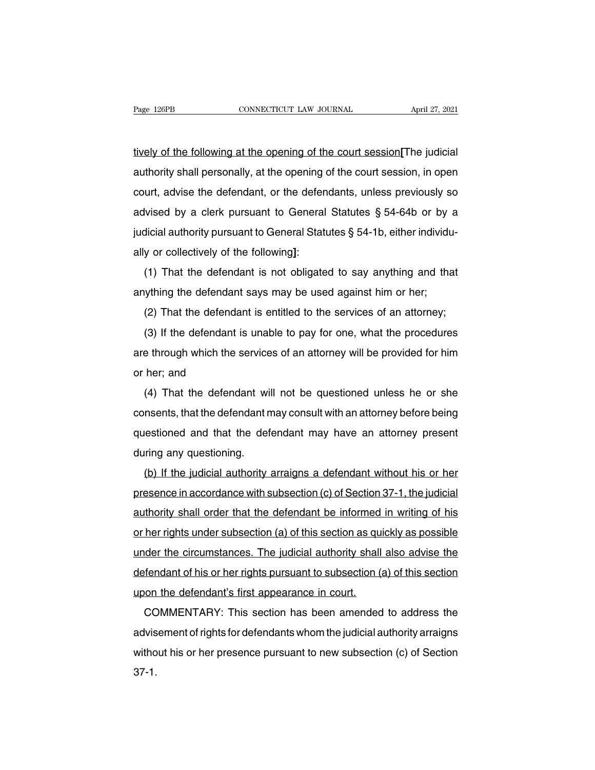tively of the following at the opening of the court session**[**The judicial Page 126PB CONNECTICUT LAW JOURNAL April 27, 2021<br>tively of the following at the opening of the court session. The judicial<br>authority shall personally, at the opening of the court session, in open<br>court, advise the defenda tively of the following at the opening of the court session[The judicial<br>authority shall personally, at the opening of the court session, in open<br>court, advise the defendant, or the defendants, unless previously so<br>advised tively of the following at the opening of the court session[The judicial<br>authority shall personally, at the opening of the court session, in open<br>court, advise the defendant, or the defendants, unless previously so<br>advised authority shall personally, at the opening of the court session, in open<br>authority shall personally, at the opening of the court session, in open<br>court, advise the defendant, or the defendants, unless previously so<br>advised additionly shall personally, at the operling<br>court, advise the defendant, or the defer<br>advised by a clerk pursuant to General<br>judicial authority pursuant to General Stat<br>ally or collectively of the following]:<br>(1) That the Unity durity and the defendant of the defendants, different Statutes  $\S$  54-64b or by a dicial authority pursuant to General Statutes  $\S$  54-1b, either individu-<br>y or collectively of the following]:<br>(1) That the defendant judicial authority pursuant to General Statutes  $\S$  54-0+b or by a<br>judicial authority pursuant to General Statutes  $\S$  54-1b, either individu<br>ally or collectively of the following]:<br>(1) That the defendant is not obligated

(1) That the defendant is not obligated to say anything and that<br>(1) That the defendant is not obligated to say anything and that<br>(2) That the defendant says may be used against him or her;<br>(2) That the defendant is entitl

(1) That the defendant is not obligated to say anything and that<br>ything the defendant says may be used against him or her;<br>(2) That the defendant is entitled to the services of an attorney;<br>(3) If the defendant is unable t anything the defendant is not obligated to say anything and that<br>anything the defendant says may be used against him or her;<br>(2) That the defendant is entitled to the services of an attorney;<br>(3) If the defendant is unabl anything the defendant says may be used against him or her;<br>
(2) That the defendant is entitled to the services of an attorney;<br>
(3) If the defendant is unable to pay for one, what the procedures<br>
are through which the ser (3) If the defendant is entitled to the services of an attorney,<br>
(3) If the defendant is unable to pay for one, what the procedures<br>
e through which the services of an attorney will be provided for him<br>
her; and<br>
(4) Tha

(c) if the defendant is unable to pay for one, what the procedures<br>are through which the services of an attorney will be provided for him<br>or her; and<br>(4) That the defendant will not be questioned unless he or she<br>consents, are through which the services of an attorney will be provided for him<br>or her; and<br>(4) That the defendant will not be questioned unless he or she<br>consents, that the defendant may consult with an attorney before being<br>quest (4) That the defendant wi<br>consents, that the defendant n<br>questioned and that the def<br>during any questioning.<br>(b) If the judicial authority (+) That the defendant will not be questioned different mission of she<br>insents, that the defendant may consult with an attorney before being<br>ring any questioning.<br>(b) If the judicial authority arraigns a defendant without

presence in accordance with subsection (c) of Section 37-1, the judicial authority shall order that the defendant of Open Section 17-1, the judicial authority arraigns a defendant without his or her presence in accordance during any questioning.<br>
(b) If the judicial authority arraigns a defendant without his or her<br>
presence in accordance with subsection (c) of Section 37-1, the judicial<br>
authority shall order that the defendant be informed (b) If the judicial authority arraigns a defendant without his or her<br>presence in accordance with subsection (c) of Section 37-1, the judicial<br>authority shall order that the defendant be informed in writing of his<br>or her r presence in accordance with subsection (c) of Section 37-1, the judicial authority shall order that the defendant be informed in writing of his or her rights under subsection (a) of this section as quickly as possible und authority shall order that the defendant be informed in writing of his<br>or her rights under subsection (a) of this section as quickly as possible<br>under the circumstances. The judicial authority shall also advise the<br>defenda addriving shall offer that the defendant be informed<br>or her rights under subsection (a) of this section as qui<br>under the circumstances. The judicial authority shall<br>defendant of his or her rights pursuant to subsection (a<br> The Fights under subsection (a) of this section as quickly as possible<br>der the circumstances. The judicial authority shall also advise the<br>fendant of his or her rights pursuant to subsection (a) of this section<br>on the defe

defendant of his or her rights pursuant to subsection (a) of this section<br>upon the defendant's first appearance in court.<br>COMMENTARY: This section has been amended to address the<br>advisement of rights for defendants whom th upon the defendant's first appearance in court.<br>
COMMENTARY: This section has been amended to address the<br>
advisement of rights for defendants whom the judicial authority arraigns<br>
without his or her presence pursuant to n 37-1.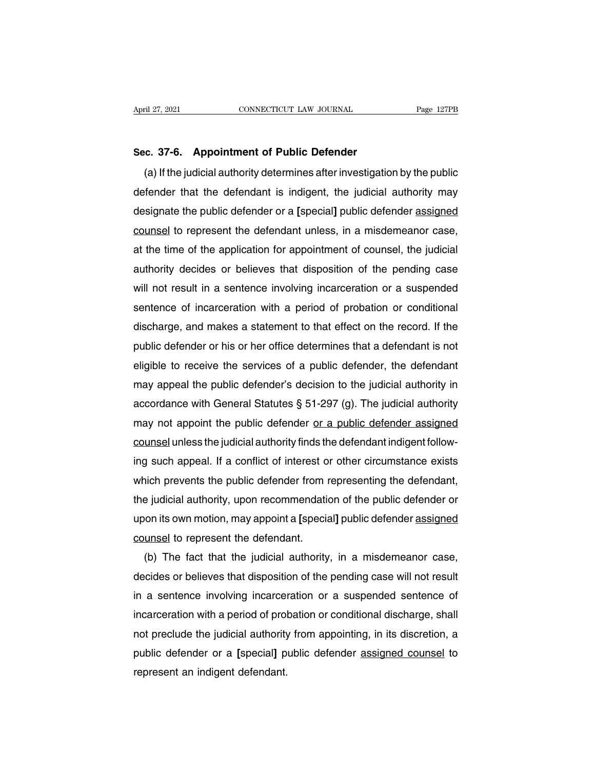April 27, 2021<br> **Sec. 37-6. Appointment of Public Defender**<br>
(a) If the judicial authority determines after investigation (a) If the judicial authority determines after investigation by the public<br>
(a) If the judicial authority determines after investigation by the public<br>
fender that the defendant is indigent, the judicial authority may Sec. 37-6. Appointment of Public Defender<br>
(a) If the judicial authority determines after investigation by the public<br>
defender that the defendant is indigent, the judicial authority may<br>
designate the public defender or a Sec. 37-6. Appointment of Public Defender<br>
(a) If the judicial authority determines after investigation by the public<br>
defender that the defendant is indigent, the judicial authority may<br>
designate the public defender or a sec. 37-6. Appointment or Public Detender<br>
(a) If the judicial authority determines after investigation by the public<br>
defender that the defendant is indigent, the judicial authority may<br>
designate the public defender or a (a) If the judicial authority determines after investigation by the public<br>defender that the defendant is indigent, the judicial authority may<br>designate the public defender or a [special] public defender <u>assigned</u><br>counsel derender that the detendant is indigent, the judicial authority may<br>designate the public defender or a [special] public defender <u>assigned</u><br>counsel to represent the defendant unless, in a misdemeanor case,<br>at the time of t designate the public detender or a [special] public detender assigned<br>counsel to represent the defendant unless, in a misdemeanor case,<br>at the time of the application for appointment of counsel, the judicial<br>authority deci counsel to represent the detendant unless, in a misdemeanor case,<br>at the time of the application for appointment of counsel, the judicial<br>authority decides or believes that disposition of the pending case<br>will not result i at the time of the application for appointment of counsel, the judicial<br>authority decides or believes that disposition of the pending case<br>will not result in a sentence involving incarceration or a suspended<br>sentence of in authority decides or believes that disposition of the pending case<br>will not result in a sentence involving incarceration or a suspended<br>sentence of incarceration with a period of probation or conditional<br>discharge, and mak will not result in a sentence involving incarceration or a suspended<br>sentence of incarceration with a period of probation or conditional<br>discharge, and makes a statement to that effect on the record. If the<br>public defender sentence of incarceration with a period of probation or conditional<br>discharge, and makes a statement to that effect on the record. If the<br>public defender or his or her office determines that a defendant is not<br>eligible to discharge, and makes a statement to that effect on the record. If the<br>public defender or his or her office determines that a defendant is not<br>eligible to receive the services of a public defender, the defendant<br>may appeal public defender or his or her office defermines that a defendant is not<br>eligible to receive the services of a public defender, the defendant<br>may appeal the public defender's decision to the judicial authority in<br>accordance eligible to receive the services of a public defender, the defendant<br>may appeal the public defender's decision to the judicial authority in<br>accordance with General Statutes § 51-297 (g). The judicial authority<br>may not appo may appeal the public detender's decision to the judicial authority in<br>accordance with General Statutes § 51-297 (g). The judicial authority<br>may not appoint the public defender <u>or a public defender assigned</u><br>counsel unles accordance with General Statutes § 51-297 (g). The judicial authority<br>may not appoint the public defender <u>or a public defender assigned</u><br>counsel unless the judicial authority finds the defendant indigent follow-<br>ing such may not appoint the public detender <u>or a public detender assigned</u><br>counsel unless the judicial authority finds the defendant indigent follow-<br>ing such appeal. If a conflict of interest or other circumstance exists<br>which p counsel unless the judicial authority tinds the detendant indigent following such appeal. If a conflict of interest or other circumstance exists which prevents the public defender from representing the defendant, the judic ing such appeal. If a conflict of interest of<br>which prevents the public defender from r<br>the judicial authority, upon recommendatio<br>upon its own motion, may appoint a [specia<br>counsel to represent the defendant.<br>(b) The fact inch prevents the public detender from representing the detendant,<br>e judicial authority, upon recommendation of the public defender or<br>on its own motion, may appoint a [special] public defender <u>assigned</u><br>unsel to represen

the judicial authority, upon recommendation of the public defender or<br>upon its own motion, may appoint a [special] public defender <u>assigned</u><br>counsel to represent the defendant.<br>(b) The fact that the judicial authority, in upon its own motion, may appoint a [special] public defender assigned<br>counsel to represent the defendant.<br>(b) The fact that the judicial authority, in a misdemeanor case,<br>decides or believes that disposition of the pending counsel to represent the detendant.<br>
(b) The fact that the judicial authority, in a misdemeanor case,<br>
decides or believes that disposition of the pending case will not result<br>
in a sentence involving incarceration or a su (b) The fact that the judicial authority, in a misdemeanor case,<br>decides or believes that disposition of the pending case will not result<br>in a sentence involving incarceration or a suspended sentence of<br>incarceration with decides or believes that disposition of the pending case will not result<br>in a sentence involving incarceration or a suspended sentence of<br>incarceration with a period of probation or conditional discharge, shall<br>not preclud in a sentence involving incarcer<br>incarceration with a period of prol<br>not preclude the judicial authority<br>public defender or a [special] p<br>represent an indigent defendant.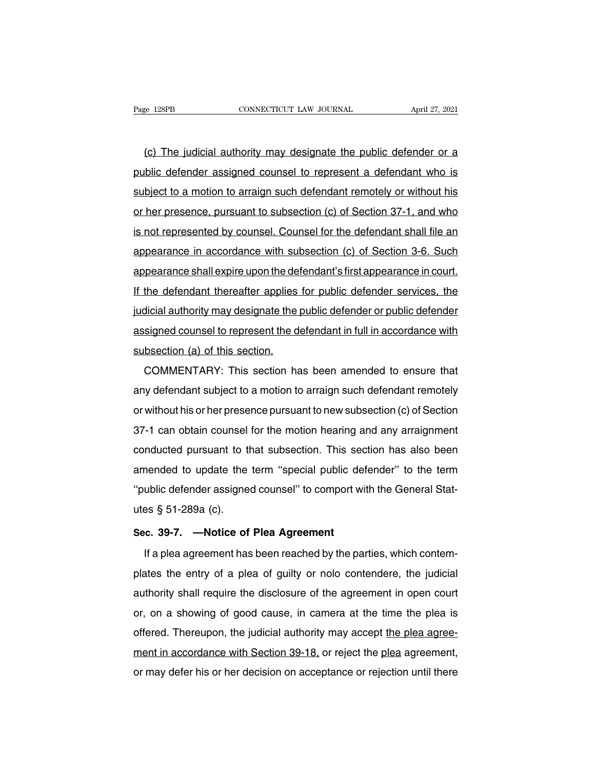ERE EREN CONNECTICUT LAW JOURNAL April 27, 2021<br>(c) The judicial authority may designate the public defender or a<br>blic defender assigned counsel to represent a defendant who is Page 128PB CONNECTICUT LAW JOURNAL April 27, 2021<br>
(c) The judicial authority may designate the public defender or a<br>
public defender assigned counsel to represent a defendant who is<br>
subject to a motion to arraign such de (c) The judicial authority may designate the public defender or a<br>public defender assigned counsel to represent a defendant who is<br>subject to a motion to arraign such defendant remotely or without his<br>or her presence, purs (c) The judicial authority may designate the public defender or a<br>public defender assigned counsel to represent a defendant who is<br>subject to a motion to arraign such defendant remotely or without his<br>or her presence, purs public defender assigned counsel to represent a defendant who is<br>subject to a motion to arraign such defendant remotely or without his<br>or her presence, pursuant to subsection (c) of Section 37-1, and who<br>is not represente public deferider assigned couriser to represent a defermed in write is<br>subject to a motion to arraign such defendant remotely or without his<br>or her presence, pursuant to subsection (c) of Section 37-1, and who<br>is not repre subject to a motion to analyn such detendant remotely of without his<br>or her presence, pursuant to subsection (c) of Section 37-1, and who<br>is not represented by counsel. Counsel for the defendant shall file an<br>appearance in If the presented by counsel. Counsel for the defendant shall file an<br>appearance in accordance with subsection (c) of Section 3-6. Such<br>appearance shall expire upon the defendant's first appearance in court.<br>If the defendan is not represented by counser. Counser for the defendant shall file and<br>appearance in accordance with subsection (c) of Section 3-6. Such<br>appearance shall expire upon the defendant's first appearance in court.<br>If the defen appearance in accordance wirl subsection (c) of section 3-6. Such<br>appearance shall expire upon the defendant's first appearance in court.<br>If the defendant thereafter applies for public defender services, the<br>judicial autho appearance shall explie upon the defendant thereafter applies<br>indicial authority may designate the<br>assigned counsel to represent the d<br>subsection (a) of this section.<br>COMMENTARY: This section ha Ine detendant inerealier applies for public defender services, the<br>dicial authority may designate the public defender or public defender<br>signed counsel to represent the defendant in full in accordance with<br>bsection (a) of

ductured authomy may designate the public defender of public defender<br>assigned counsel to represent the defendant in full in accordance with<br>subsection (a) of this section.<br>COMMENTARY: This section has been amended to ensu subsection (a) of this section.<br>
COMMENTARY: This section has been amended to ensure that<br>
any defendant subject to a motion to arraign such defendant remotely<br>
or without his or her presence pursuant to new subsection (c) Subsection (a) of this section.<br>COMMENTARY: This section has been amended to ensure that<br>any defendant subject to a motion to arraign such defendant remotely<br>or without his or her presence pursuant to new subsection (c) of comment and subject to a motion to arraign such defendant remotely<br>or without his or her presence pursuant to new subsection (c) of Section<br>37-1 can obtain counsel for the motion hearing and any arraignment<br>conducted pursu amy defendant subject to a motion to arraign such defendant remotely<br>or without his or her presence pursuant to new subsection (c) of Section<br>37-1 can obtain counsel for the motion hearing and any arraignment<br>conducted pur or without fils of her presence pursuant to hew subsection (c) or section<br>37-1 can obtain counsel for the motion hearing and any arraignment<br>conducted pursuant to that subsection. This section has also been<br>amended to upda s7-1 can obtain counser<br>conducted pursuant to the<br>imended to update the<br>"public defender assigne<br>utes § 51-289a (c).<br>Sec. 39-7. —Notice of Exampled to update the term "special public defender assigned counsel" to comport wites § 51-289a (c).<br>Sec. 39-7. —Notice of Plea Agreement<br>If a plea agreement has been reached by the pai ublic defender assigned counsel" to comport with the General Stat-<br>
If a plea agreement has been reached by the parties, which contem-<br>
If a plea agreement has been reached by the parties, which contem-<br>
If a plea agreemen

plates § 51-289a (c).<br> **Sec. 39-7.** — **Notice of Plea Agreement**<br>
If a plea agreement has been reached by the parties, which contem-<br>
plates the entry of a plea of guilty or nolo contendere, the judicial<br>
authority shall r Sec. 39-7. —Notice of Plea Agreement<br>If a plea agreement has been reached by the parties, which contem-<br>plates the entry of a plea of guilty or nolo contendere, the judicial<br>authority shall require the disclosure of the ag If a plea agreement has been reached by the parties, which contem-<br>plates the entry of a plea of guilty or nolo contendere, the judicial<br>authority shall require the disclosure of the agreement in open court<br>or, on a showin If a plea agreement has been reached by the parties, which contem-<br>plates the entry of a plea of guilty or nolo contendere, the judicial<br>authority shall require the disclosure of the agreement in open court<br>or, on a showin plates the entry of a plea of guilty of hold contendere, the judicial<br>authority shall require the disclosure of the agreement in open court<br>or, on a showing of good cause, in camera at the time the plea is<br>offered. Thereup addribing shall require the disclosure of the agreement in open court<br>or, on a showing of good cause, in camera at the time the plea is<br>offered. Thereupon, the judicial authority may accept the plea agree-<br>ment in accordan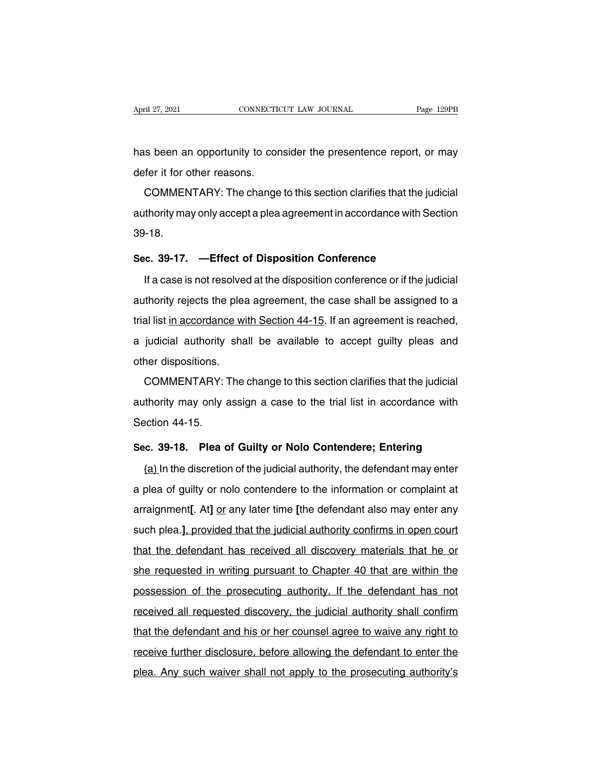April 27, 2021 CONNECTICUT LAW JOURNAL Page 129PB<br>has been an opportunity to consider the presentence report, or may<br>defer it for other reasons. April 27, 2021<br>
has been an opportunity to condefer it for other reasons.<br>
COMMENTARY: The change

Solid and a proportunity to consider the presentence report, or may<br>fer it for other reasons.<br>COMMENTARY: The change to this section clarifies that the judicial<br>thority may only accept a plea agreement in accordance with S has been an opportunity to consider the presentence report, or may<br>defer it for other reasons.<br>COMMENTARY: The change to this section clarifies that the judicial<br>authority may only accept a plea agreement in accordance wit 39-18. COMMENTARY: The change to this section clarifies that the ju<br>authority may only accept a plea agreement in accordance with S<br>39-18.<br>**Sec.** 39-17. —Effect of Disposition Conference<br>If a case is not resolved at the dispositi Ithority may only accept a plea agreement in accordance with Section<br>-18.<br>c. 39-17. —Effect of Disposition Conference<br>If a case is not resolved at the disposition conference or if the judicial<br>Ithority rejects the plea agr

39-18.<br>Sec. 39-17. —Effect of Disposition Conference<br>If a case is not resolved at the disposition conference or if the judicial<br>authority rejects the plea agreement, the case shall be assigned to a<br>trial list <u>in accordanc</u> Sec. 39-17. —Effect of Disposition Conference<br>If a case is not resolved at the disposition conference or if the judicial<br>authority rejects the plea agreement, the case shall be assigned to a<br>trial list <u>in accordance with </u> If a case is not resolved at the disposition conference or if the judicial<br>authority rejects the plea agreement, the case shall be assigned to a<br>trial list <u>in accordance with Section 44-15</u>. If an agreement is reached,<br>a It is a case is not receive<br>authority rejects the plear<br>trial list in accordance wi<br>a judicial authority sha<br>other dispositions.<br>COMMENTARY: The al list in accordance with Section 44-15. If an agreement is reached,<br>judicial authority shall be available to accept guilty pleas and<br>ner dispositions.<br>COMMENTARY: The change to this section clarifies that the judicial<br>th

a judicial authority shall be available to accept guilty pleas and<br>other dispositions.<br>COMMENTARY: The change to this section clarifies that the judicial<br>authority may only assign a case to the trial list in accordance wit other dispositions.<br>COMMENTARY: 1<br>authority may only a<br>Section 44-15.<br>Sec. 39-18. Plea o COMMENTARY: The change to this section clarifies that the judicial<br>authority may only assign a case to the trial list in accordance with<br>Section 44-15.<br>**Sec. 39-18. Plea of Guilty or Nolo Contendere; Entering**<br>(a) In the d thority may only assign a case to the trial list in accordance with<br>ection 44-15.<br>c. 39-18. Plea of Guilty or Nolo Contendere; Entering<br>(a) In the discretion of the judicial authority, the defendant may enter<br>plea of guilt

Section 44-15.<br>Sec. 39-18. Plea of Guilty or Nolo Contendere; Entering<br>(a) In the discretion of the judicial authority, the defendant may enter<br>a plea of guilty or nolo contendere to the information or complaint at<br>arraign Sec. 39-18. Plea of Guilty or Nolo Contendere; Entering<br>(a) In the discretion of the judicial authority, the defendant may enter<br>a plea of guilty or nolo contendere to the information or complaint at<br>arraignment[. At] <u>or</u> (a) In the discretion of the judicial authority, the defendant may enter<br>a plea of guilty or nolo contendere to the information or complaint at<br>arraignment[. At] <u>or</u> any later time [the defendant also may enter any<br>such p a plea of guilty or nolo contendere to the information or complaint at<br>arraignment[. At] or any later time [the defendant also may enter any<br>such plea.], provided that the judicial authority confirms in open court<br>that the a plea or gally of hold contendere to the information of complaint at<br>arraignment[. At] <u>or</u> any later time [the defendant also may enter any<br>such plea.], provided that the judicial authority confirms in open court<br>that th analymiont<sub>t</sub>. All <u>of</u> any later time the defendant dies may sinct any<br>such plea.], provided that the judicial authority confirms in open court<br>that the defendant has received all discovery materials that he or<br>she reques that the defendant has received all discovery materials that he or<br>she requested in writing pursuant to Chapter 40 that are within the<br>possession of the prosecuting authority. If the defendant has not<br>received all requeste that the defendant had footived all discovery inatenals that he of<br>she requested in writing pursuant to Chapter 40 that are within the<br>possession of the prosecuting authority. If the defendant has not<br>received all requeste possession of the prosecuting authority. If the defendant has not<br>received all requested discovery, the judicial authority shall confirm<br>that the defendant and his or her counsel agree to waive any right to<br>receive further possession of the prosecuting dationty. It the defendant has not<br>received all requested discovery, the judicial authority shall confirm<br>that the defendant and his or her counsel agree to waive any right to<br>receive further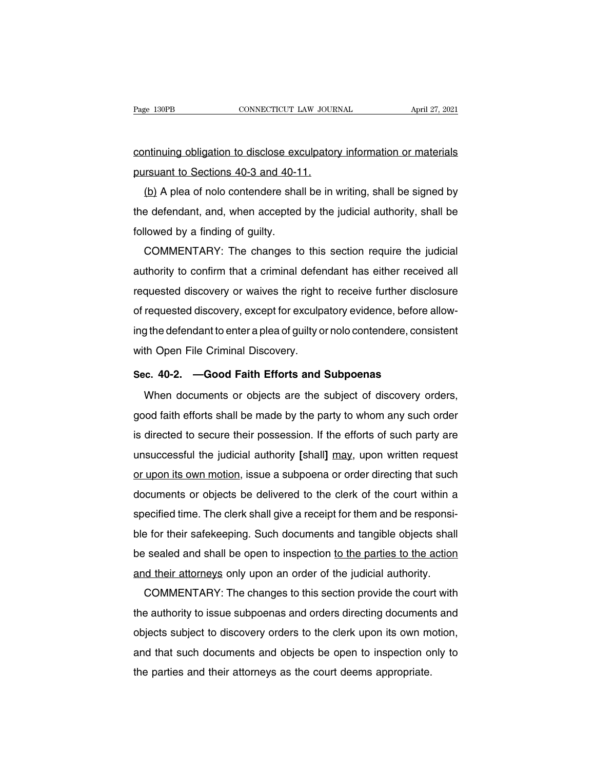Page 130PB CONNECTICUT LAW JOURNAL April 27, 2021<br>
continuing obligation to disclose exculpatory information or materials<br>
pursuant to Sections 40-3 and 40-11. Page 130PB<br>
continuing obligation to disclose exculpator<br>
pursuant to Sections 40-3 and 40-11.<br>
(b) A plea of nolo contendere shall be in \

(b) A plea of nolo contendere shall be in writing, shall be signed by<br>
(b) A plea of nolo contendere shall be in writing, shall be signed by<br>
e defendant, and, when accepted by the judicial authority, shall be continuing obligation to disclose exculpatory information or materials<br>pursuant to Sections 40-3 and 40-11.<br>(b) A plea of nolo contendere shall be in writing, shall be signed by<br>the defendant, and, when accepted by the jud continuing obigation to disclose except<br>pursuant to Sections 40-3 and 40-1<br>(b) A plea of nolo contendere sha<br>the defendant, and, when accepted<br>followed by a finding of guilty.<br>COMMENTARY: The changes to (b) A plea of nolo contendere shall be in writing, shall be signed by<br>e defendant, and, when accepted by the judicial authority, shall be<br>lowed by a finding of guilty.<br>COMMENTARY: The changes to this section require the ju

 $LQ$  A plea of nold conferidere shall be in whilling, shall be sighted by<br>the defendant, and, when accepted by the judicial authority, shall be<br>followed by a finding of guilty.<br>COMMENTARY: The changes to this section requ requested discovery, except for exculpatory evidence, before allow-<br>of requested discovery or waives the right to receive further disclosure<br>of requested discovery, except for exculpatory evidence, before allowcomment by a miding of gainy.<br>COMMENTARY: The changes to this section require the judicial<br>authority to confirm that a criminal defendant has either received all<br>requested discovery or waives the right to receive further d EUNINENTANT. The changes to this section require the judicial<br>authority to confirm that a criminal defendant has either received all<br>requested discovery or waives the right to receive further disclosure<br>of requested discov admonty to commit that a chrimial deter<br>requested discovery or waives the right<br>of requested discovery, except for exculpa<br>ing the defendant to enter a plea of guilty o<br>with Open File Criminal Discovery.<br>Sec. 40-2. —Good F of requested discovery, except for exculpatory evidence, before a<br>
ing the defendant to enter a plea of guilty or nolo contendere, consi<br>
with Open File Criminal Discovery.<br>
Sec. 40-2. —Good Faith Efforts and Subpoenas<br>
Wh g the defendant to enter a plea of guilty or nolo contendere, consistent<br>th Open File Criminal Discovery.<br>c. 40-2. —Good Faith Efforts and Subpoenas<br>When documents or objects are the subject of discovery orders,<br>ood faith

with Open File Criminal Discovery.<br>Sec. 40-2. —Good Faith Efforts and Subpoenas<br>When documents or objects are the subject of discovery orders,<br>good faith efforts shall be made by the party to whom any such order<br>is directe Sec. 40-2. —Good Faith Efforts and Subpoenas<br>When documents or objects are the subject of discovery orders,<br>good faith efforts shall be made by the party to whom any such order<br>is directed to secure their possession. If th When documents or objects are the subject of discovery orders,<br>good faith efforts shall be made by the party to whom any such order<br>is directed to secure their possession. If the efforts of such party are<br>unsuccessful the when documents or objects are the subject or discovery orders,<br>good faith efforts shall be made by the party to whom any such order<br>is directed to secure their possession. If the efforts of such party are<br>unsuccessful the good faint enorts shall be made by the party to whom any such other<br>is directed to secure their possession. If the efforts of such party are<br>unsuccessful the judicial authority [shall] <u>may</u>, upon written request<br>or upon i is directed to secure their possession. It the enorts of such party are<br>unsuccessful the judicial authority [shall] may, upon written request<br>or upon its own motion, issue a subpoena or order directing that such<br>documents ble for their safekeeping. Such documents and tangible objects shall give a subpoena or order directing that such documents or objects be delivered to the clerk of the court within a specified time. The clerk shall give a be upon its own motion, issue a subpoent of order directing that such<br>documents or objects be delivered to the clerk of the court within a<br>specified time. The clerk shall give a receipt for them and be responsi-<br>ble for th and their attorneys or by denivered to the clerk of the court within a<br>specified time. The clerk shall give a receipt for them and be responsi-<br>ble for their safekeeping. Such documents and tangible objects shall<br>be sealed e for their safekeeping. Such documents and tangible objects shall<br>excelled and shall be open to inspection to the parties to the action<br>d their attorneys only upon an order of the judicial authority.<br>COMMENTARY: The chang

be sealed and shall be open to inspection to the parties to the action<br>and their attorneys only upon an order of the judicial authority.<br>COMMENTARY: The changes to this section provide the court with<br>the authority to issue be sealed and shall be open to inspection to the parties to the action<br>and their attorneys only upon an order of the judicial authority.<br>COMMENTARY: The changes to this section provide the court with<br>the authority to issue and their attorneys only upon an order of the judicial additionty.<br>COMMENTARY: The changes to this section provide the court with<br>the authority to issue subpoenas and orders directing documents and<br>objects subject to disco COMMENTANT. The changes to this section provide the court<br>the authority to issue subpoenas and orders directing document<br>objects subject to discovery orders to the clerk upon its own m<br>and that such documents and objects b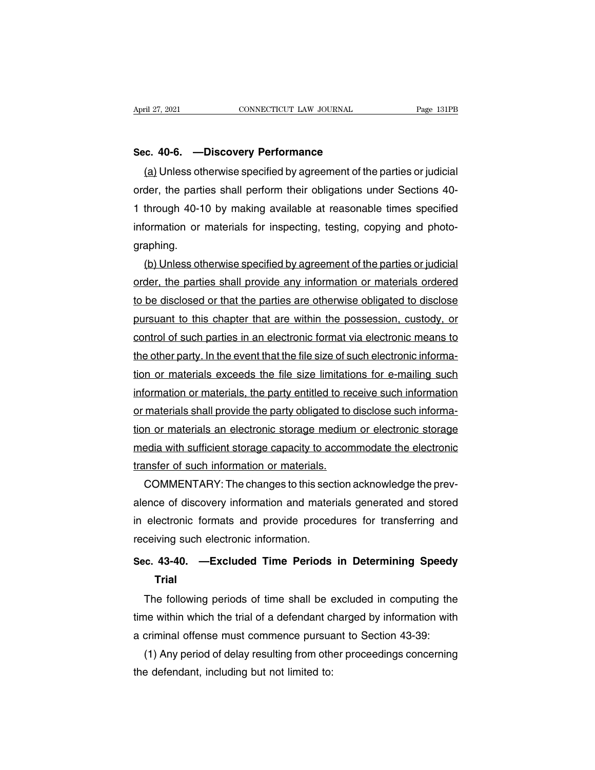**Sec. 40-6. —Discovery Performance**<br>
<u>(a)</u> Unless otherwise specified by agreement of the (a) Unless otherwise specified by agreement of the parties or judicial<br>der, the parties shall perform their obligations under Sections 40-<br>der, the parties shall perform their obligations under Sections 40-Sec. 40-6. —Discovery Performance<br>
(a) Unless otherwise specified by agreement of the parties or judicial<br>
order, the parties shall perform their obligations under Sections 40-<br>
1 through 40-10 by making available at reaso Sec. 40-6. —Discovery Performance<br>
(a) Unless otherwise specified by agreement of the parties or judicial<br>
order, the parties shall perform their obligations under Sections 40-<br>
1 through 40-10 by making available at reaso Sec. 40-6. — Discovery Performance<br>
(a) Unless otherwise specified by agreement of the parties or judicial<br>
order, the parties shall perform their obligations under Sections 40-<br>
1 through 40-10 by making available at reas graphing. der, the parties shall perform their obligations under Sections 40-<br>through 40-10 by making available at reasonable times specified<br>iormation or materials for inspecting, testing, copying and photo-<br>aphing.<br>(b) Unless othe

1 through 40-10 by making available at reasonable times specified<br>information or materials for inspecting, testing, copying and photo-<br>graphing.<br>(b) Unless otherwise specified by agreement of the parties or judicial<br>order, information or materials for inspecting, testing, copying and photographing.<br>
(b) Unless otherwise specified by agreement of the parties or judicial<br>
order, the parties shall provide any information or materials ordered<br>
t graphing.<br>
(b) Unless otherwise specified by agreement of the parties or judicial<br>
order, the parties shall provide any information or materials ordered<br>
to be disclosed or that the parties are otherwise obligated to discl (b) Unless otherwise specified by agreement of the parties or judicial order, the parties shall provide any information or materials ordered to be disclosed or that the parties are otherwise obligated to disclose pursuant order, the parties shall provide any information or materials ordered<br>to be disclosed or that the parties are otherwise obligated to disclose<br>pursuant to this chapter that are within the possession, custody, or<br>control of to be disclosed or that the parties are otherwise obligated to disclose<br>pursuant to this chapter that are within the possession, custody, or<br>control of such parties in an electronic format via electronic means to<br>the other pursuant to this chapter that are within the possession, custody, or<br>control of such parties in an electronic format via electronic means to<br>the other party. In the event that the file size of such electronic informa-<br>tion control of such parties in an electronic format via electronic means to<br>the other party. In the event that the file size of such electronic informa-<br>tion or materials exceeds the file size limitations for e-mailing such<br>in the other party. In the event that the file size of such electronic information or materials exceeds the file size limitations for e-mailing such information or materials, the party entitled to receive such information or tion or materials exceeds the file size limitations for e-mailing such<br>information or materials, the party entitled to receive such information<br>or materials shall provide the party obligated to disclose such informa-<br>tion information or materials, the party entitled to revail or materials shall provide the party obligated to tion or materials an electronic storage medium media with sufficient storage capacity to accom transfer of such infor materials shall provide the party obligated to disclose such informa-<br>n or materials an electronic storage medium or electronic storage<br>edia with sufficient storage capacity to accommodate the electronic<br>unsfer of such inf

tion or materials an electronic storage medium or electronic storage<br>media with sufficient storage capacity to accommodate the electronic<br>transfer of such information or materials.<br>COMMENTARY: The changes to this section a media with sufficient storage capacity to accommodate the electronic<br>transfer of such information or materials.<br>COMMENTARY: The changes to this section acknowledge the prev-<br>alence of discovery information and materials ge transfer of such information or materials.<br>COMMENTARY: The changes to this section acknowledge the prev-<br>alence of discovery information and materials generated and stored<br>in electronic formats and provide procedures for t COMMENTARY: The changes to this section acknowledge the prev-<br>alence of discovery information and materials generated and stored<br>in electronic formats and provide procedures for transferring and<br>receiving such electronic i

### **Trial**

electronic formats and provide procedures for transferring and<br>ceiving such electronic information.<br>c. 43-40. —Excluded Time Periods in Determining Speedy<br>Trial<br>The following periods of time shall be excluded in computing receiving such electronic information.<br>Sec. 43-40. —Excluded Time Periods in Determining Speedy<br>Trial<br>The following periods of time shall be excluded in computing the<br>time within which the trial of a defendant charged by i Sec. 43-40. — Excluded Time Periods in Determining Speedy<br>Trial<br>The following periods of time shall be excluded in computing the<br>time within which the trial of a defendant charged by information with<br>a criminal offense mus Trial<br>
The following periods of time shall be excluded in computing the<br>
ne within which the trial of a defendant charged by information with<br>
criminal offense must commence pursuant to Section 43-39:<br>
(1) Any period of de The following periods of time shall be a<br>time within which the trial of a defendant cl<br>a criminal offense must commence pursua<br>(1) Any period of delay resulting from oth<br>the defendant, including but not limited to: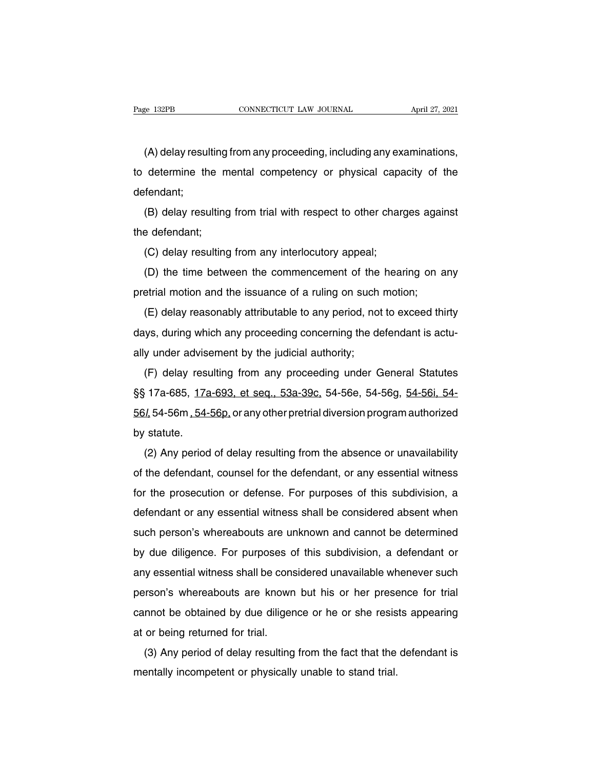(A) delay resulting from any proceeding, including any examinations,<br>determine the mental competency or physical capacity of the Fage 132PB CONNECTICUT LAW JOURNAL April 27, 2021<br>(A) delay resulting from any proceeding, including any examinations,<br>to determine the mental competency or physical capacity of the<br>defendant; defendant; (A) delay resulting from any proceeding, including any examinations,<br>determine the mental competency or physical capacity of the<br>fendant;<br>(B) delay resulting from trial with respect to other charges against<br>e defendant; to determine the m<br>defendant;<br>(B) delay resulting<br>the defendant;<br>(C) delay resulting

(B) delay resulting from trial with respect to other changed<br>efendant;<br>(C) delay resulting from any interlocutory appeal;<br>(C) delay resulting from any interlocutory appeal;<br>(D) the time between the commencement of the heal (B) delay resulting from trial with respect to other charges against<br>e defendant;<br>(C) delay resulting from any interlocutory appeal;<br>(D) the time between the commencement of the hearing on any<br>etrial motion and the issuanc

pretrial motion and the issuance of a ruling on such motion;<br>(D) the time between the commencement of the hearing on a<br>pretrial motion and the issuance of a ruling on such motion;<br>(E) delay reasonably attributable to any p

(C) delay resulting from any interlocutory appeal;<br>(D) the time between the commencement of the hearing on any<br>etrial motion and the issuance of a ruling on such motion;<br>(E) delay reasonably attributable to any period, not (D) the time between the commencement of the hearing on any pretrial motion and the issuance of a ruling on such motion;<br>(E) delay reasonably attributable to any period, not to exceed thirty days, during which any proceedi pretrial motion and the issuance of a ruling on such<br>(E) delay reasonably attributable to any period, not<br>days, during which any proceeding concerning the de<br>ally under advisement by the judicial authority;<br>(F) delay resul (E) delay reasonably attributable to any period, not to exceed thirty<br>ys, during which any proceeding concerning the defendant is actu-<br>y under advisement by the judicial authority;<br>(F) delay resulting from any proceeding

(L) delay reasonably althoulable to any penod, not to exceed thinty<br>days, during which any proceeding concerning the defendant is actu-<br>ally under advisement by the judicial authority;<br> $(F)$  delay resulting from any procee days, during which any proceeding concerning the detendant is actually under advisement by the judicial authority;<br>(F) delay resulting from any proceeding under General Statutes<br>§§ 17a-685, <u>17a-693, et seq., 53a-39c</u>, 54any under advise<br>
(F) delay rest<br>
§§ 17a-685, <u>17a</u><br>
<u>56/</u> 54-56m <u>, 54-</u><br>
by statute.<br>
(2) Any period (1) delay resulting from any proceeding dirter defiered statutes<br>  $\frac{1}{2}$  54-565, 17a-693, et seq., 53a-39c, 54-56e, 54-56g, 54-56i, 54-<br>  $\frac{1}{2}$  54-56m, 54-56p, or any other pretrial diversion program authorized<br>
(2)

 $56l$ , 54-56m, 54-56p, or any other pretrial diversion program authorized<br>by statute.<br>(2) Any period of delay resulting from the absence or unavailability<br>of the defendant, counsel for the defendant, or any essential witn for the prosecution or defense. For purposes of this subdivision, a<br>defendant, counsel for the defendant, or any essential witness<br>for the prosecution or defense. For purposes of this subdivision, a<br>defendant or any essent defendant or any essential witness for the defendant, counsel for the defendant, or any essential witness for the prosecution or defense. For purposes of this subdivision, a defendant or any essential witness shall be cons ( $\angle$ ) Any period of delay resulting from the absence of diffeometries of the defendant, counsel for the defendant, or any essential witness for the prosecution or defense. For purposes of this subdivision, a defendant or by the differentiant, counser for the detendant, or any essential witness<br>for the prosecution or defense. For purposes of this subdivision, a<br>defendant or any essential witness shall be considered absent when<br>such person's for the prosecution of defentse. For purposes of this subdivision, a<br>defendant or any essential witness shall be considered absent when<br>such person's whereabouts are unknown and cannot be determined<br>by due diligence. For p such person's whereabouts are unknown and cannot be determined<br>by due diligence. For purposes of this subdivision, a defendant or<br>any essential witness shall be considered unavailable whenever such<br>person's whereabouts are by due diligence. For purposes of this subdivision, a defendant or<br>any essential witness shall be considered unavailable whenever such<br>person's whereabouts are known but his or her presence for trial<br>cannot be obtained by by due differed. Tor purposes dany essential witness shall be constant person's whereabouts are known<br>cannot be obtained by due diliger<br>at or being returned for trial.<br>(3) Any period of delay resulting Friestand Willess Shall be considered unavailable whenever such<br>friend of the obtained by due diligence or he or she resists appearing<br>or being returned for trial.<br>(3) Any period of delay resulting from the fact that the d person's whereabouts are known but his of her prese<br>cannot be obtained by due diligence or he or she resis<br>at or being returned for trial.<br>(3) Any period of delay resulting from the fact that the<br>mentally incompetent or ph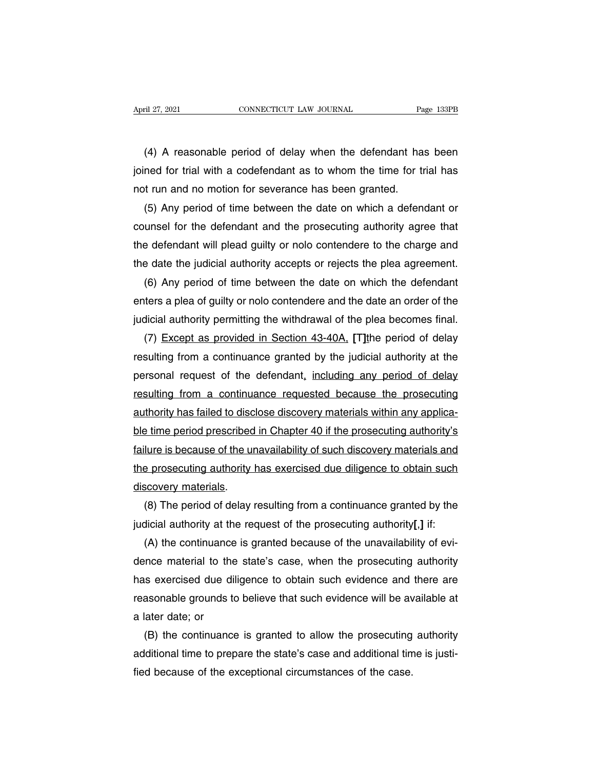The TV and the US contribution of delay when the defendant has been<br>
The defendant has been<br>
The defendant has been<br>
The time for trial with a codefendant as to whom the time for trial has<br>
The time for trial has<br>
The time April 27, 2021 CONNECTICUT LAW JOURNAL Page 133PB<br>
(4) A reasonable period of delay when the defendant has been<br>
joined for trial with a codefendant as to whom the time for trial has<br>
not run and no motion for severance ha not run and no motion for severance has been granted.<br>
(4) A reasonable period of delay when the defendant has<br>
joined for trial with a codefendant as to whom the time for tr<br>
not run and no motion for severance has been g (4) A reasonable period of delay when the defendant has been<br>ned for trial with a codefendant as to whom the time for trial has<br>it run and no motion for severance has been granted.<br>(5) Any period of time between the date o

(4) A reasonable period of delay when the defendant has been<br>joined for trial with a codefendant as to whom the time for trial has<br>not run and no motion for severance has been granted.<br>(5) Any period of time between the da ioined for trial with a codefendant as to whom the time for trial has<br>not run and no motion for severance has been granted.<br>(5) Any period of time between the date on which a defendant or<br>counsel for the defendant and the not run and no motion for severance has been granted.<br>
(5) Any period of time between the date on which a defendant or<br>
counsel for the defendant and the prosecuting authority agree that<br>
the defendant will plead guilty or (5) Any period of time between the date on which a defendant or<br>unsel for the defendant and the prosecuting authority agree that<br>e defendant will plead guilty or nolo contendere to the charge and<br>e date the judicial author

counsel for the defendant and the prosecuting authority agree that<br>the defendant will plead guilty or nolo contendere to the charge and<br>the date the judicial authority accepts or rejects the plea agreement.<br>(6) Any period the defendant will plead guilty or nolo contendere to the charge and<br>the date the judicial authority accepts or rejects the plea agreement.<br>(6) Any period of time between the date on which the defendant<br>enters a plea of gu e date the judicial authority accepts or rejects the plea agreement.<br>(6) Any period of time between the date on which the defendant<br>ters a plea of guilty or nolo contendere and the date an order of the<br>dicial authority per

(6) Any period of time between the date on which the defendant<br>enters a plea of guilty or nolo contendere and the date an order of the<br>judicial authority permitting the withdrawal of the plea becomes final.<br>(7) <u>Except as</u> enters a plea of guilty or nolo contendere and the date an order of the<br>judicial authority permitting the withdrawal of the plea becomes final.<br>(7) Except as provided in Section 43-40A, [T] the period of delay<br>resulting fr judicial authority permitting the withdrawal of the plea becomes final.<br>
(7) Except as provided in Section 43-40A, [T] the period of delay<br>
resulting from a continuance granted by the judicial authority at the<br>
personal re (7) Except as provided in Section 43-40A. [T] the period of delay resulting from a continuance granted by the judicial authority at the personal request of the defendant, including any period of delay resulting from a cont resulting from a continuance granted by the judicial authority at the<br>personal request of the defendant, including any period of delay<br>resulting from a continuance requested because the prosecuting<br>authority has failed to personal request of the defendant, including any period of delay<br>resulting from a continuance requested because the prosecuting<br>authority has failed to disclose discovery materials within any applica-<br>ble time period presc resulting from a continuance requested because the prosecuting<br>authority has failed to disclose discovery materials within any applica-<br>ble time period prescribed in Chapter 40 if the prosecuting authority's<br>failure is bec authority has failed to disc<br>ble time period prescribed<br>failure is because of the un<br>the prosecuting authority<br>discovery materials.<br>(8) The period of delay Experience in Chapter 40 if the prosecuting authority's<br>
iure is because of the unavailability of such discovery materials and<br>
Expresecuting authority has exercised due diligence to obtain such<br>
scovery materials.<br>
(8) Th is because of the unavailability of such discovery materials and<br>the prosecuting authority has exercised due diligence to obtain such<br>discovery materials.<br>(8) The period of delay resulting from a continuance granted by the

Express prosecuting authority has exercised due diligence to obtain such<br>scovery materials.<br>(8) The period of delay resulting from a continuance granted by the<br>dicial authority at the request of the prosecuting authority[, discovery materials.<br>
(8) The period of delay resulting from a continuance granted by the<br>
judicial authority at the request of the prosecuting authority[,] if:<br>
(A) the continuance is granted because of the unavailability (8) The period of delay resulting from a continuance granted by the judicial authority at the request of the prosecuting authority[,] if:<br>
(A) the continuance is granted because of the unavailability of evidence material judicial authority at the request of the prosecuting authority[,] if:<br>
(A) the continuance is granted because of the unavailability of evi-<br>
dence material to the state's case, when the prosecuting authority<br>
has exercised (A) the continuance<br>dence material to the<br>has exercised due dil<br>reasonable grounds to<br>a later date; or<br>(B) the continuance ince material to the state's case, when the prosecuting authority<br>is exercised due diligence to obtain such evidence and there are<br>asonable grounds to believe that such evidence will be available at<br>later date; or<br>(B) the has exercised due diligence to obtain such evidence and there are<br>reasonable grounds to believe that such evidence will be available at<br>a later date; or<br>(B) the continuance is granted to allow the prosecuting authority<br>add

reasonable grounds to believe that such evidence will be avealed to allater date; or<br>(B) the continuance is granted to allow the prosecuting<br>additional time to prepare the state's case and additional tim<br>fied because of th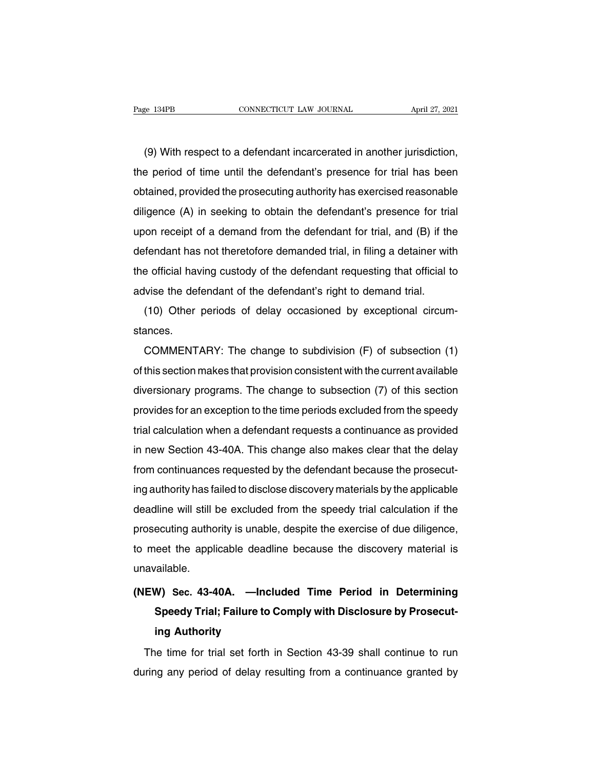(9) With respect to a defendant incarcerated in another jurisdiction,<br>
(9) With respect to a defendant incarcerated in another jurisdiction,<br>
e period of time until the defendant's presence for trial has been The period of time until the defendant incarcerated in another jurisdiction,<br>the period of time until the defendant's presence for trial has been<br>obtained, provided the prosecuting authority has exercised reasonable (9) With respect to a defendant incarcerated in another jurisdiction,<br>the period of time until the defendant's presence for trial has been<br>obtained, provided the prosecuting authority has exercised reasonable<br>diligence (A) (9) With respect to a defendant incarcerated in another jurisdiction,<br>the period of time until the defendant's presence for trial has been<br>obtained, provided the prosecuting authority has exercised reasonable<br>diligence (A) (9) With respect to a defendant incarcenated in another jurisdiction,<br>the period of time until the defendant's presence for trial has been<br>obtained, provided the prosecuting authority has exercised reasonable<br>diligence (A) the period of thre until the defendant s presence for that has been<br>obtained, provided the prosecuting authority has exercised reasonable<br>diligence (A) in seeking to obtain the defendant's presence for trial<br>upon receipt o diligence (A) in seeking to obtain the defendant's presence for trial<br>upon receipt of a demand from the defendant for trial, and (B) if the<br>defendant has not theretofore demanded trial, in filing a detainer with<br>the offici differice (A) in seeking to obtain the defendant s presence for that<br>upon receipt of a demand from the defendant for trial, and (B) if the<br>defendant has not theretofore demanded trial, in filing a detainer wit<br>the official (10) Other periods of delay occasioned by exceptional circum-<br>ances.<br>
(10) Other periods of delay occasioned by exceptional circum-<br>
ances.

stances.

Folicial having custody of the defendant requesting that official to<br>Vise the defendant of the defendant's right to demand trial.<br>(10) Other periods of delay occasioned by exceptional circum-<br>ances.<br>COMMENTARY: The change advise the deferidant of the defendant singht to definand that.<br>
(10) Other periods of delay occasioned by exceptional circum-<br>
stances.<br>
COMMENTARY: The change to subdivision (F) of subsection (1)<br>
of this section makes t (10) Other periods of delay occasioned by exceptional circum-<br>stances.<br>COMMENTARY: The change to subdivision (F) of subsection (1)<br>of this section makes that provision consistent with the current available<br>diversionary pro stances.<br>COMMENTARY: The change to subdivision (F) of subsection (1)<br>of this section makes that provision consistent with the current available<br>diversionary programs. The change to subsection (7) of this section<br>provides f COMMENTANT. The change to subdivision (F) or subsection (1)<br>of this section makes that provision consistent with the current available<br>diversionary programs. The change to subsection (7) of this section<br>provides for an exc diversionary programs. The change to subsection (7) of this section<br>provides for an exception to the time periods excluded from the speedy<br>trial calculation when a defendant requests a continuance as provided<br>in new Sectio diversionary programs. The change to subsection (7) or this section<br>provides for an exception to the time periods excluded from the speedy<br>trial calculation when a defendant requests a continuance as provided<br>in new Sectio provides for an exception to the time periods excluded from the speedy<br>trial calculation when a defendant requests a continuance as provided<br>in new Section 43-40A. This change also makes clear that the delay<br>from continuan In a calculation when a defendant requests a commutance as provided<br>in new Section 43-40A. This change also makes clear that the delay<br>from continuances requested by the defendant because the prosecut-<br>ing authority has fa In riew section 43-40A. This change also makes clear that the delay<br>from continuances requested by the defendant because the prosecut-<br>ing authority has failed to disclose discovery materials by the applicable<br>deadline wil from continuances requested by the deferidant because the prosecuting authority has failed to disclose discovery materials by the applicable deadline will still be excluded from the speedy trial calculation if the prosecut unavailable. **Example the state of state of the exercise of due diligence,**<br> **(NEW)** Sec. 43-40A. —Included Time Period in Determining<br>
Speedy Trial; Failure to Comply with Disclosure by Prosecut-

### **Speedy Trial; Failure to Comply with Disclosure by Prosecuting Authority**<br> **Speedy Trial; Failure to Comply with Disclosure by Prosecuting Authority** railable.<br>**M) Sec. 43-40A.** —Incl<br>Speedy Trial; Failure to (<br>ing Authority<br>le time for trial set forth EW) Sec. 43-40A. —Included Time Period in Determining<br>Speedy Trial; Failure to Comply with Disclosure by Prosecut-<br>ing Authority<br>The time for trial set forth in Section 43-39 shall continue to run<br>iring any period of delay Speedy Trial; Failure to Comply with Disclosure by Prosecut-<br>ing Authority<br>The time for trial set forth in Section 43-39 shall continue to run<br>during any period of delay resulting from a continuance granted by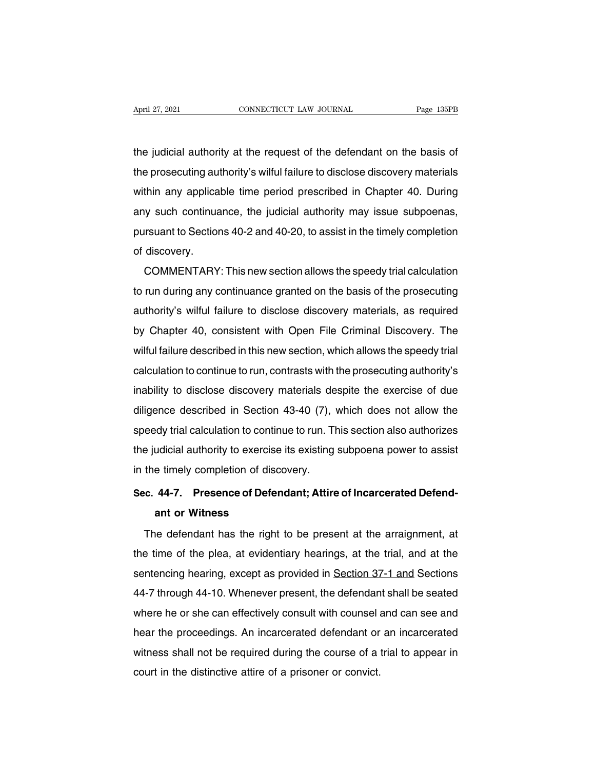April 27, 2021 CONNECTICUT LAW JOURNAL Page 135PB<br>the judicial authority at the request of the defendant on the basis of<br>the prosecuting authority's wilful failure to disclose discovery materials April 27, 2021 CONNECTICUT LAW JOURNAL Page 135PB<br>the judicial authority at the request of the defendant on the basis of<br>the prosecuting authority's wilful failure to disclose discovery materials<br>within any applicable time the judicial authority at the request of the defendant on the basis of<br>the prosecuting authority's wilful failure to disclose discovery materials<br>within any applicable time period prescribed in Chapter 40. During<br>any such the judicial authority at the request of the defendant on the basis of<br>the prosecuting authority's wilful failure to disclose discovery materials<br>within any applicable time period prescribed in Chapter 40. During<br>any such the prosecuting authority's wilful failure to disclose discovery materials<br>within any applicable time period prescribed in Chapter 40. During<br>any such continuance, the judicial authority may issue subpoenas,<br>pursuant to Se the prosecuting authority's wilful failure to disclose discovery materials<br>within any applicable time period prescribed in Chapter 40. During<br>any such continuance, the judicial authority may issue subpoenas,<br>pursuant to Se Infirm any applicable time period prescribed in Chapter 40. During<br>y such continuance, the judicial authority may issue subpoenas,<br>rsuant to Sections 40-2 and 40-20, to assist in the timely completion<br>discovery.<br>COMMENTARY

any such commutance, the judicial authority may issue subpoentas,<br>pursuant to Sections 40-2 and 40-20, to assist in the timely completion<br>of discovery.<br>COMMENTARY: This new section allows the speedy trial calculation<br>to ru pursuant to sections 40-2 and 40-20, to assist in the timely completion<br>of discovery.<br>COMMENTARY: This new section allows the speedy trial calculation<br>to run during any continuance granted on the basis of the prosecuting<br>a by COMMENTARY: This new section allows the speedy trial calculation<br>to run during any continuance granted on the basis of the prosecuting<br>authority's wilful failure to disclose discovery materials, as required<br>by Chapter 4 COMMENTANT. This new section allows the speedy that calculation<br>to run during any continuance granted on the basis of the prosecuting<br>authority's wilful failure to disclose discovery materials, as required<br>by Chapter 40, c to fun during any continuance granted on the basis of the prosecuting<br>authority's wilful failure to disclose discovery materials, as required<br>by Chapter 40, consistent with Open File Criminal Discovery. The<br>wilful failure authonly's wind Tallule to disclose discovery materials, as Tequited<br>by Chapter 40, consistent with Open File Criminal Discovery. The<br>wilful failure described in this new section, which allows the speedy trial<br>calculation by Chapter 40, consistent with Open File Chrimian Discovery. The<br>wilful failure described in this new section, which allows the speedy trial<br>calculation to continue to run, contrasts with the prosecuting authority's<br>inabil which landle described in this new section, which allows the speedy that<br>calculation to continue to run, contrasts with the prosecuting authority's<br>inability to disclose discovery materials despite the exercise of due<br>dili calculation to continue to run, contrasts with the prosecuting authority s<br>inability to disclose discovery materials despite the exercise of due<br>diligence described in Section 43-40 (7), which does not allow the<br>speedy tri mability to disclose discovery materials defiligence described in Section 43-40 (7),<br>speedy trial calculation to continue to run. Th<br>the judicial authority to exercise its existing<br>in the timely completion of discovery.<br>Se speedy trial calculation to continue to run. This section also authorizes<br>the judicial authority to exercise its existing subpoena power to assist<br>in the timely completion of discovery.<br>Sec. 44-7. Presence of Defendant; At Let the Union of discounting the time of the Union of discounting the time of the Union of discount or Witness<br>**ant or Witness**<br>and or Witness by defendant has the right

The timely completion of discovery.<br>
The defendant or Witness<br>
The defendant has the right to be present at the arraignment, at<br>
the defendant has the right to be present at the arraignment, at<br>
the of the plea, at evident Sec. 44-7. Presence of Defendant; Attire of Incarcerated Defend-<br>ant or Witness<br>The defendant has the right to be present at the arraignment, at<br>the time of the plea, at evidentiary hearings, at the trial, and at the<br>sente ant or Witness<br>ant or Witness<br>The defendant has the right to be present at the arraignment, at<br>the time of the plea, at evidentiary hearings, at the trial, and at the<br>sentencing hearing, except as provided in <u>Section 37-1</u> The defendant has the right to be present at the arraignment, at<br>the time of the plea, at evidentiary hearings, at the trial, and at the<br>sentencing hearing, except as provided in Section 37-1 and Sections<br>44-7 through 44-1 The detendant has the right to be present at the arrangmment, at<br>the time of the plea, at evidentiary hearings, at the trial, and at the<br>sentencing hearing, except as provided in <u>Section 37-1 and</u> Sections<br>44-7 through 44 the time of the plea, at evidentiary nearings, at the that, and at the<br>sentencing hearing, except as provided in <u>Section 37-1 and</u> Sections<br>44-7 through 44-10. Whenever present, the defendant shall be seated<br>where he or s sentencing nearing, except as provided in **Section 37-1 and** Sections<br>44-7 through 44-10. Whenever present, the defendant shall be seated<br>where he or she can effectively consult with counsel and can see and<br>hear the procee 44-7 through 44-10. Whenever present, the defendant<br>where he or she can effectively consult with counsel a<br>hear the proceedings. An incarcerated defendant or<br>witness shall not be required during the course of a<br>court in th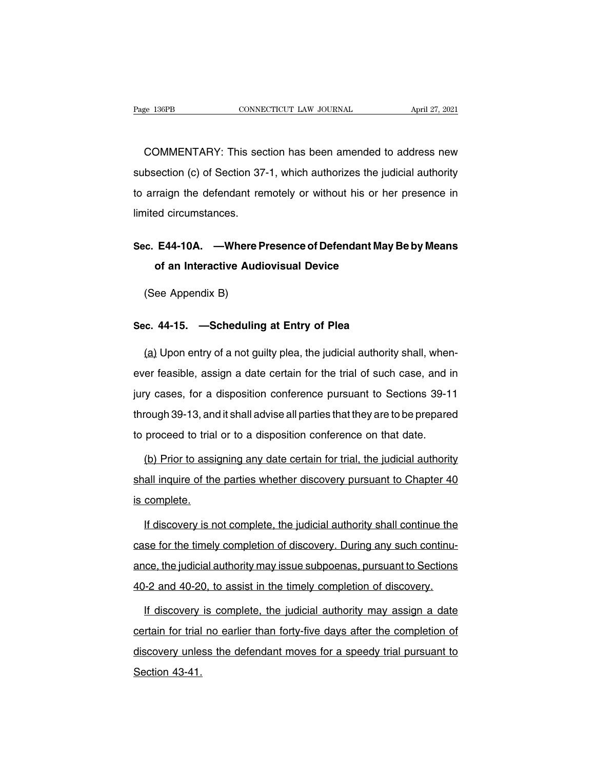EREK ENGTHE COMMENTARY: This section has been amended to address new<br>
SCOMMENTARY: This section has been amended to address new<br>
Section (c) of Section 37-1, which authorizes the judicial authority Fage 136PB CONNECTICUT LAW JOURNAL April 27, 2021<br>COMMENTARY: This section has been amended to address new<br>subsection (c) of Section 37-1, which authorizes the judicial authority<br>to arraign the defendant remotely or withou COMMENTARY: This section has been amended to address new<br>subsection (c) of Section 37-1, which authorizes the judicial authority<br>to arraign the defendant remotely or without his or her presence in<br>limited circumstances. COMMENTARY: This sed<br>subsection (c) of Section 37<br>to arraign the defendant rel<br>limited circumstances. subsection (c) of Section 37-1, which authorizes the judicial authority<br>to arraign the defendant remotely or without his or her presence in<br>limited circumstances.<br>Sec. E44-10A. —Where Presence of Defendant May Be by Means<br> raign the defendant remotely or without his or he<br>
ed circumstances.<br> **E44-10A.** —Where Presence of Defendant May<br>
of an Interactive Audiovisual Device<br>
on Appendix B)

## ned chedristances.<br>
C. E44-10A. —Where I<br>
of an Interactive Aud<br>
(See Appendix B) **Sec. 244-16A:** — Where Presence of Berendam May B<br>of an Interactive Audiovisual Device<br>(See Appendix B)<br>Sec. 44-15. — Scheduling at Entry of Plea<br>(a) Upon ontry of a not quilty plea, the judicial authority

(See Appendix B)<br> **Sec. 44-15.** — **Scheduling at Entry of Plea**<br>
(a) Upon entry of a not guilty plea, the judicial authority shall, when-<br>
ever feasible, assign a date certain for the trial of such case, and in Sec. 44-15. —Scheduling at Entry of Plea<br>
(a) Upon entry of a not guilty plea, the judicial authority shall, when-<br>
ever feasible, assign a date certain for the trial of such case, and in<br>
jury cases, for a disposition con Sec. 44-15. —Scheduling at Entry of Plea<br>
(a) Upon entry of a not guilty plea, the judicial authority shall, when-<br>
ever feasible, assign a date certain for the trial of such case, and in<br>
jury cases, for a disposition con (a) Upon entry of a not guilty plea, the judicial authority shall, when-<br>ever feasible, assign a date certain for the trial of such case, and in<br>jury cases, for a disposition conference pursuant to Sections 39-11<br>through the proceed to trial of such date certain for the trial of such case, and if jury cases, for a disposition conference pursuant to Sections 39-1<br>through 39-13, and it shall advise all parties that they are to be prepare<br>to (b) prior to a disposition conference pursuant to Sections 39-11<br>
proved 139-13, and it shall advise all parties that they are to be prepared<br>
proceed to trial or to a disposition conference on that date.<br>
(b) Prior to ass

through 39-13, and it shall advise all parties that they are to be prepared<br>to proceed to trial or to a disposition conference on that date.<br>(b) Prior to assigning any date certain for trial, the judicial authority<br>shall i to proceed to trial<br>
(b) Prior to assi<br>
shall inquire of the<br>
is complete.<br>
If discovery is n (b) Prior to assigning any date certain for trial, the judicial authority<br>all inquire of the parties whether discovery pursuant to Chapter 40<br>complete.<br>If discovery is not complete, the judicial authority shall continue th

case for the parties whether discovery pursuant to Chapter 40<br>is complete.<br>If discovery is not complete, the judicial authority shall continue the<br>case for the timely completion of discovery. During any such continu-<br>ance, is complete.<br>If discovery is not complete, the judicial authority shall continue the<br>case for the timely completion of discovery. During any such continu-<br>ance, the judicial authority may issue subpoenas, pursuant to Secti If discovery is not complete, the judicial authority shall continue the case for the timely completion of discovery. During any such continuance, the judicial authority may issue subpoenas, pursuant to Sections 40-2 and 40 If discovery is completion of discovery. During any such continuation of the judicial authority may issue subpoenas, pursuant to Sections<br>In the judicial authority may issue subpoenas, pursuant to Sections<br>If discovery is

ance, the judicial authority may issue subpoenas, pursuant to Sections<br>40-2 and 40-20, to assist in the timely completion of discovery.<br>If discovery is complete, the judicial authority may assign a date<br>certain for trial n 40-2 and 40-20, to assist in the timely completion of discovery.<br>If discovery is complete, the judicial authority may assign a date<br>certain for trial no earlier than forty-five days after the completion of<br>discovery unless <u>If discovery</u><br>certain for trial<br>discovery unle<br>Section 43-41.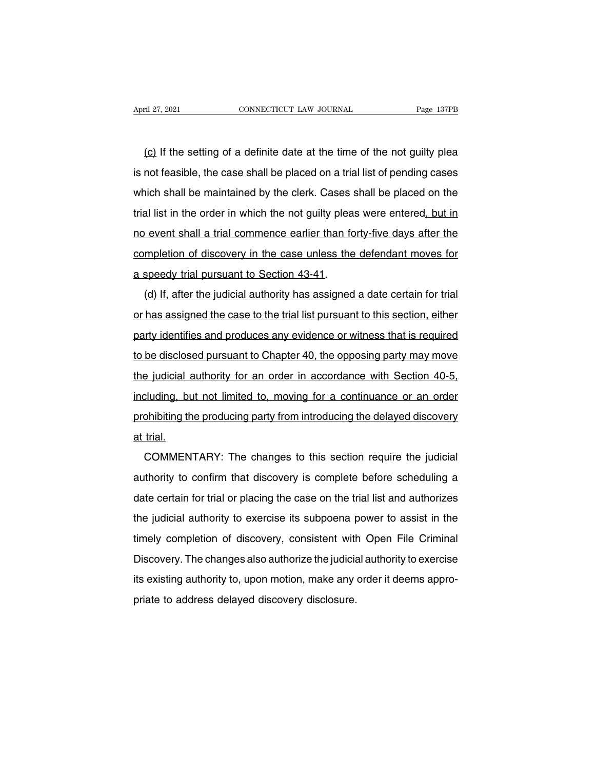(c) If the setting of a definite date at the time of the not guilty plear than the setting of a definite date at the time of the not guilty plear than the setting of a definite date at the time of the not guilty plear and April 27, 2021 CONNECTICUT LAW JOURNAL Page 137PB<br>
(c) If the setting of a definite date at the time of the not guilty plea<br>
is not feasible, the case shall be placed on a trial list of pending cases<br>
which shall be mainta (c) If the setting of a definite date at the time of the not guilty plea<br>is not feasible, the case shall be placed on a trial list of pending cases<br>which shall be maintained by the clerk. Cases shall be placed on the<br>trial  $(c)$  If the setting of a definite date at the time of the not guilty plea<br>is not feasible, the case shall be placed on a trial list of pending cases<br>which shall be maintained by the clerk. Cases shall be placed on the<br>tri is not feasible, the case shall be placed on a trial list of pending cases<br>which shall be maintained by the clerk. Cases shall be placed on the<br>trial list in the order in which the not guilty pleas were entered, but in<br>no be not reasible, and data be placed on a that het or portaing dated<br>which shall be maintained by the clerk. Cases shall be placed on the<br>trial list in the order in which the not guilty pleas were entered, but in<br>no event s a speedy trial pursuant to Section 43-41.<br>
a speedy trial pursuant to Section 43-41.<br>
(d) If, after the judicial authority has assigned (d) If, after the judicial authority has assigned a date certain for trial<br>has assigned the judicial authority has assigned a date certain for trial<br>has assigned the case to the trial list pursuant to this section, either

completion of discovery in the case unless the defendant moves for<br>a speedy trial pursuant to Section 43-41.<br>(d) If, after the judicial authority has assigned a date certain for trial<br>or has assigned the case to the trial a speedy trial pursuant to Section 43-41.<br>
(d) If, after the judicial authority has assigned a date certain for trial<br>
or has assigned the case to the trial list pursuant to this section, either<br>
party identifies and produ (d) If, after the judicial authority has assigned a date certain for trial<br>or has assigned the case to the trial list pursuant to this section, either<br>party identifies and produces any evidence or witness that is required<br> or has assigned the case to the trial list pursuant to this section, either<br>party identifies and produces any evidence or witness that is required<br>to be disclosed pursuant to Chapter 40, the opposing party may move<br>the jud party identifies and produces any evidence or witness that is required<br>to be disclosed pursuant to Chapter 40, the opposing party may move<br>the judicial authority for an order in accordance with Section 40-5,<br>including, but by the disclosed pursuant to Chapter 40, the opposing party may move<br>the judicial authority for an order in accordance with Section 40-5,<br>including, but not limited to, moving for a continuance or an order<br>prohibiting the to be disclosed pursuant to Chapter 40, the opposing party may move<br>the judicial authority for an order in accordance with Section 40-5,<br>including, but not limited to, moving for a continuance or an order<br>prohibiting the p Commission and the producing for a continuance or an order<br>chibiting the producing party from introducing the delayed discovery<br>trial.<br>COMMENTARY: The changes to this section require the judicial<br>thority to confirm that di

prohibiting the producing party from introducing the delayed discovery<br>at trial.<br>COMMENTARY: The changes to this section require the judicial<br>authority to confirm that discovery is complete before scheduling a<br>date certain at trial.<br>
COMMENTARY: The changes to this section require the judicial<br>
authority to confirm that discovery is complete before scheduling a<br>
date certain for trial or placing the case on the trial list and authorizes<br>
the COMMENTARY: The changes to this section require the judicial<br>authority to confirm that discovery is complete before scheduling a<br>date certain for trial or placing the case on the trial list and authorizes<br>the judicial auth Example to this solution of discovery is complete before scheduling a<br>date certain for trial or placing the case on the trial list and authorizes<br>the judicial authority to exercise its subpoena power to assist in the<br>timel date certain for trial or placing the case on the trial list and authorizes<br>the judicial authority to exercise its subpoena power to assist in the<br>timely completion of discovery, consistent with Open File Criminal<br>Discover the judicial authority to exercise its subpoena power to assist in the timely completion of discovery, consistent with Open File Criminal Discovery. The changes also authorize the judicial authority to exercise its existin timely completion of discovery, consistent with<br>Discovery. The changes also authorize the judicial<br>its existing authority to, upon motion, make any<br>priate to address delayed discovery disclosure.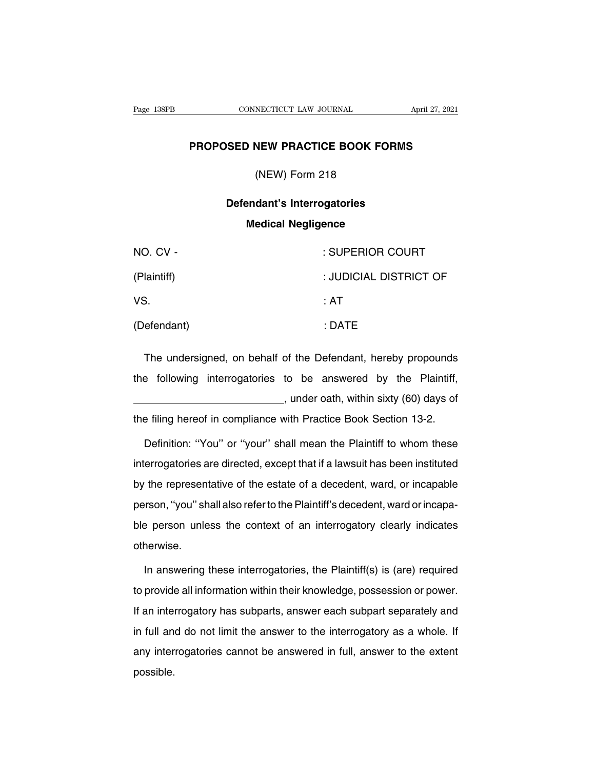## **PROPOSED NEW PRACTICE BOOK FORMS**<br> **PROPOSED NEW PRACTICE BOOK FORMS** NECTICUT LAW JOURNAL<br> **NEW PRACTICE BOOK FO**<br>
(NEW) Form 218<br> **dan's Interrectaries**

## **SED NEW PRACTICE BOOK FORMS<br>
(NEW) Form 218<br>
Defendant's Interrogatories<br>
Medical Negligence MEW PRACTICE BOOK FORE**<br>
(NEW) Form 218<br> **Property Supplement Control Negligence**

| $(NEVV)$ Form 218                                              |                        |
|----------------------------------------------------------------|------------------------|
| Defendant's Interrogatories<br><b>Medical Negligence</b>       |                        |
| NO. CV -                                                       | : SUPERIOR COURT       |
| (Plaintiff)                                                    | : JUDICIAL DISTRICT OF |
| VS.                                                            | : AT                   |
| (Defendant)                                                    | : DATE                 |
| The undersigned, on behalf of the Defendant, hereby propounds  |                        |
| the following interrogatories to be answered by the Plaintiff, |                        |

The undersigned, on behalf of the Defendant, hereby propounds<br>the following interrogatories to be answered by the Plaintiff,<br>the following interrogatories to be answered by the Plaintiff, : DATE<br>
of the Defendant, hereby propounds<br>
to be answered by the Plaintiff,<br>
, under oath, within sixty (60) days of<br>
with Practice Book Section 13-2. the filing hereof in compliance with Practice Book Section 13-2. of following interrogatories to be answered by the Plaintiff,<br>  $\ldots$  under oath, within sixty (60) days of<br>
persiting hereof in compliance with Practice Book Section 13-2.<br>
Definition: "You" or "your" shall mean the Plaint

interrogatories are directed, except that if a lawsuit has been instituted<br>by the representative of the estate of a decedent, ward, or incapable<br>by the representative of the estate of a decedent, ward, or incapable the filing hereof in compliance with Practice Book Section 13-2.<br>Definition: "You" or "your" shall mean the Plaintiff to whom these<br>interrogatories are directed, except that if a lawsuit has been instituted<br>by the represen Definition: "You" or "your" shall mean the Plaintiff to whom these<br>interrogatories are directed, except that if a lawsuit has been instituted<br>by the representative of the estate of a decedent, ward, or incapable<br>person, "y ble person and also refer to the Plainting of an instituted<br>by the representative of the estate of a decedent, ward, or incapable<br>person, "you" shall also refer to the Plaintiff's decedent, ward or incapa-<br>ble person unles otherwise. In answering these interrogatories, the Plaintiff's decedent, ward or incapa-<br>In answering these interrogatories, the Plaintiff(s) is (are) required<br>provide all information within their knowledge, possession or power.

ble person unless the context of an interrogatory clearly indicates<br>otherwise.<br>In answering these interrogatories, the Plaintiff(s) is (are) required<br>to provide all information within their knowledge, possession or power.<br> otherwise.<br>
In answering these interrogatories, the Plaintiff(s) is (are) required<br>
to provide all information within their knowledge, possession or power.<br>
If an interrogatory has subparts, answer each subpart separately In answering these interrogatories, the Plaintiff(s) is (are) required<br>to provide all information within their knowledge, possession or power.<br>If an interrogatory has subparts, answer each subpart separately and<br>in full an any interrogatories interrogatories, the Framming reduction of power.<br>If an interrogatory has subparts, answer each subpart separately and<br>in full and do not limit the answer to the interrogatory as a whole. If<br>any interro possible.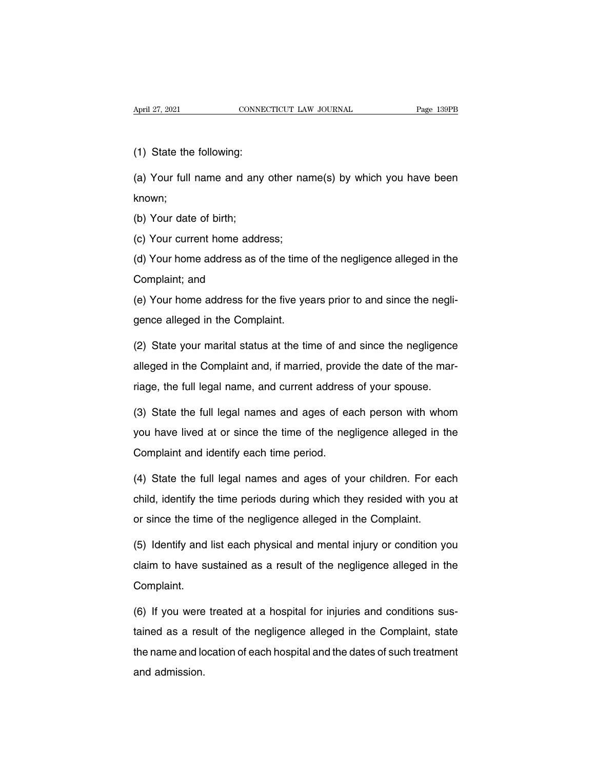April 27, 2021<br>
(1) State the following:<br>
(a) Your full name and any

April 27, 2021 CONNECTICUT LAW JOURNAL Page 139PB<br>
(1) State the following:<br>
(a) Your full name and any other name(s) by which you have been<br>
known; known; (1) State the following:<br>(a) Your full name and any<br>known;<br>(b) Your date of birth;<br>(c) Your current home addr (a) Your full name and any other nais<br>known;<br>(b) Your date of birth;<br>(c) Your current home address;<br>(d) Your home address as of the time

(a) Your date of birth;<br>
(b) Your date of birth;<br>
(c) Your current home address;<br>
(d) Your home address as of the time of the negligence alleged in the<br>
Complaint; and (b) Your date of birth;<br>(c) Your current home add<br>(d) Your home address as<br>Complaint; and<br>(e) Your home address for (c) Your current home address;<br>(d) Your home address as of the time of the negligence alleged in the<br>Complaint; and<br>(e) Your home address for the five years prior to and since the negli-<br>gence alleged in the Complaint. (d) Your home address as of the time<br>Complaint; and<br>(e) Your home address for the five year<br>gence alleged in the Complaint.<br>(2) State your marital status at the time

(e) Your home address for the five years prior to and since the negligence alleged in the Complaint.<br>(2) State your marital status at the time of and since the negligence alleged in the Complaint and, if married, provide t (e) Your home address for the five years prior to and since the negli-<br>gence alleged in the Complaint.<br>(2) State your marital status at the time of and since the negligence<br>alleged in the Complaint and, if married, provide required alleged in the Complaint.<br>
(2) State your marital status at the time of and since the negligence<br>
alleged in the Complaint and, if married, provide the date of the mar-<br>
riage, the full legal name, and current add (2) State your marital status at the time of and since the negligence<br>alleged in the Complaint and, if married, provide the date of the mar-<br>riage, the full legal name, and current address of your spouse.<br>(3) State the ful

alleged in the Complaint and, if married, provide the date of the mar-<br>riage, the full legal name, and current address of your spouse.<br>(3) State the full legal names and ages of each person with whom<br>you have lived at or s riage, the full legal name, and current address of your spouse.<br>
(3) State the full legal names and ages of each person with whom<br>
you have lived at or since the time of the negligence alleged in the<br>
Complaint and identif (3) State the full legal names and ages of each person with whom<br>you have lived at or since the time of the negligence alleged in the<br>Complaint and identify each time period.<br>(4) State the full legal names and ages of your

you have lived at or since the time of the negligence alleged in the<br>Complaint and identify each time period.<br>(4) State the full legal names and ages of your children. For each<br>child, identify the time periods during which (4) State the full legal names and ages of your children. For each child, identify the time periods during which they resided with you at or since the time of the negligence alleged in the Complaint. (4) State the full legal names and ages of your children. For each child, identify the time periods during which they resided with you at or since the time of the negligence alleged in the Complaint.<br>(5) Identify and list

child, identify the time periods during which they resided with you at<br>or since the time of the negligence alleged in the Complaint.<br>(5) Identify and list each physical and mental injury or condition you<br>claim to have sust Complaint. (5) Identify and list each physical and mental injury or condition you claim to have sustained as a result of the negligence alleged in the Complaint.<br>(6) If you were treated at a hospital for injuries and conditions susta

claim to have sustained as a result of the negligence alleged in the<br>Complaint.<br>(6) If you were treated at a hospital for injuries and conditions sus-<br>tained as a result of the negligence alleged in the Complaint, state<br>th Complaint.<br>(6) If you were treated at a hospital for injuries and conditions sus-<br>tained as a result of the negligence alleged in the Complaint, state<br>the name and location of each hospital and the dates of such treatment<br> (6) If you were<br>tained as a res<br>the name and lc<br>and admission.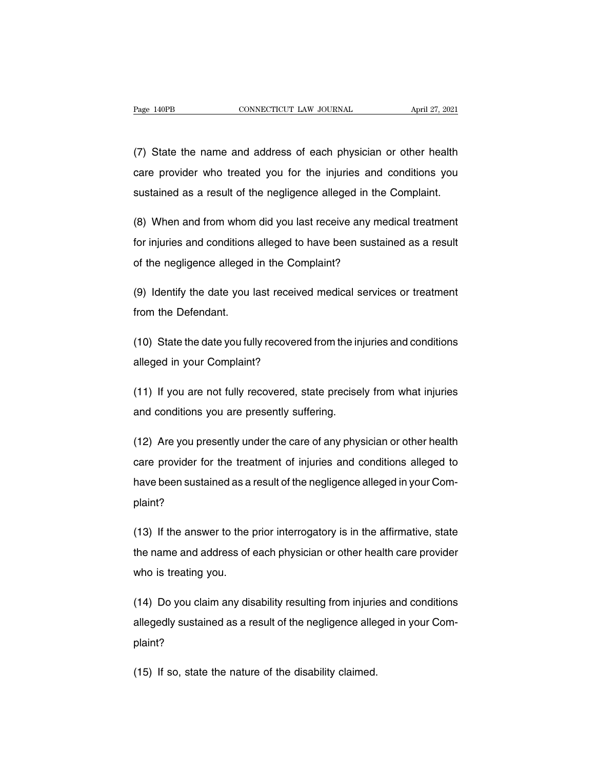Page 140PB CONNECTICUT LAW JOURNAL April 27, 2021<br>
(7) State the name and address of each physician or other health<br>
Care provider who treated you for the injuries and conditions you Page 140PB CONNECTICUT LAW JOURNAL April 27, 2021<br>(7) State the name and address of each physician or other health<br>care provider who treated you for the injuries and conditions you<br>sustained as a result of the negligence a (7) State the name and address of each physician or other health<br>care provider who treated you for the injuries and conditions you<br>sustained as a result of the negligence alleged in the Complaint. (7) State the name and address of each physician or other health<br>care provider who treated you for the injuries and conditions you<br>sustained as a result of the negligence alleged in the Complaint.<br>(8) When and from whom di

care provider who treated you for the injuries and conditions you<br>sustained as a result of the negligence alleged in the Complaint.<br>(8) When and from whom did you last receive any medical treatment<br>for injuries and conditi sustained as a result of the negligence alleged in the C<br>(8) When and from whom did you last receive any med<br>for injuries and conditions alleged to have been sustain<br>of the negligence alleged in the Complaint? (8) When and from whom did you last receive any medical treatment<br>for injuries and conditions alleged to have been sustained as a result<br>of the negligence alleged in the Complaint?<br>(9) Identify the date you last received m for injuries and conditions<br>of the negligence alleged<br>(9) Identify the date you I<br>from the Defendant.

(9) Identify the date you last received medical services or treatment<br>from the Defendant.<br>(10) State the date you fully recovered from the injuries and conditions<br>alleged in your Complaint? (9) Identify the date you last received<br>from the Defendant.<br>(10) State the date you fully recovered<br>alleged in your Complaint?

(10) State the date you fully recovered from the injuries and conditions<br>alleged in your Complaint?<br>(11) If you are not fully recovered, state precisely from what injuries<br>and conditions you are presently suffering. (10) State the date you fully recovered from the in<br>alleged in your Complaint?<br>(11) If you are not fully recovered, state precise<br>and conditions you are presently suffering.

(11) If you are not fully recovered, state precisely from what injuries<br>and conditions you are presently suffering.<br>(12) Are you presently under the care of any physician or other health<br>care provider for the treatment of (11) If you are not fully recovered, state precisely from what injuries<br>and conditions you are presently suffering.<br>(12) Are you presently under the care of any physician or other health<br>care provider for the treatment of and conditions you are presently suffering.<br>(12) Are you presently under the care of any physician or other health<br>care provider for the treatment of injuries and conditions alleged to<br>have been sustained as a result of th plaint? care provider for the treatment of injuries and conditions alleged to<br>have been sustained as a result of the negligence alleged in your Com-<br>plaint?<br>(13) If the answer to the prior interrogatory is in the affirmative, stat

the negligence alleged in your Complaint?<br>(13) If the answer to the prior interrogatory is in the affirmative, state<br>the name and address of each physician or other health care provider<br>who is treating you. plaint?<br>(13) If the answer to the<br>the name and address of<br>who is treating you. (13) If the answer to the prior interrogatory is in the affirmative, state<br>the name and address of each physician or other health care provider<br>who is treating you.<br>(14) Do you claim any disability resulting from injuries

the name and address of each physician or other health care provider<br>who is treating you.<br>(14) Do you claim any disability resulting from injuries and conditions<br>allegedly sustained as a result of the negligence alleged in plaint? (14) Do you claim any disability resulting from injurie<br>allegedly sustained as a result of the negligence alle<br>plaint?<br>(15) If so, state the nature of the disability claimed.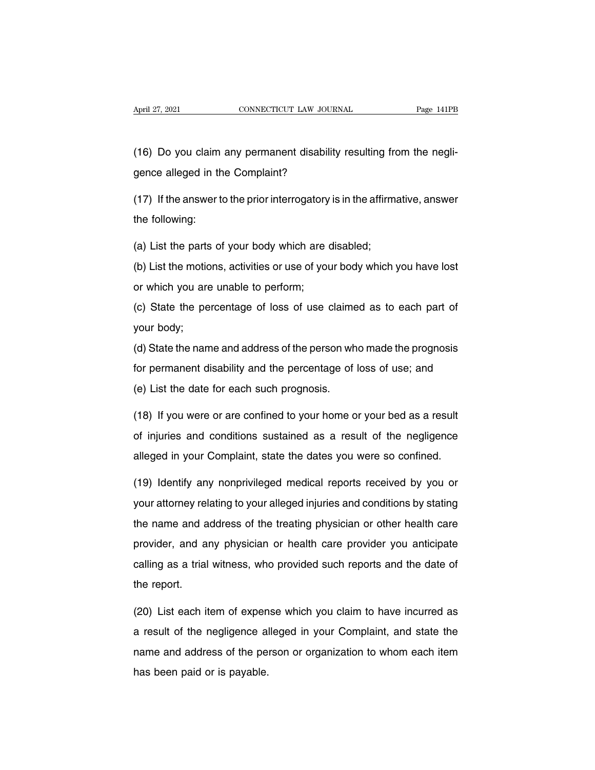April 27, 2021 CONNECTICUT LAW JOURNAL Page 141PB<br>
(16) Do you claim any permanent disability resulting from the negli-<br>
gence alleged in the Complaint? April 27, 2021 CONNECTICUT LAW JOURN<br>
(16) Do you claim any permanent disability<br>
gence alleged in the Complaint?<br>
(17) If the answer to the prior interroratory is (16) Do you claim any permanent disability resulting from the negligence alleged in the Complaint?<br>(17) If the answer to the prior interrogatory is in the affirmative, answer<br>the following: (16) Do you claim<br>gence alleged in the following:<br>the following:<br>(a) List the parts of

gence alleged in the Complaint?<br>(17) If the answer to the prior interrogatory is in the affirmathe following:<br>(a) List the parts of your body which are disabled;<br>(b) List the motions, activities or use of your body which

(17) If the answer to the prior interrogatory is in the affirmative, answer<br>the following:<br>(a) List the parts of your body which are disabled;<br>(b) List the motions, activities or use of your body which you have lost<br>or whi the following:<br>
(a) List the parts of your body which are (b)<br>
(b) List the motions, activities or use of you<br>
or which you are unable to perform;<br>
(c) State the percentage of loss of use of (a) List the parts of your body which are disabled;<br>(b) List the motions, activities or use of your body which you have lost<br>or which you are unable to perform;<br>(c) State the percentage of loss of use claimed as to each pa (a) List the part<br>(b) List the motic<br>(c) State the pe<br>your body;<br>(d) State the nam

(c) Elect the metal-net, detawated of deed of your body which you have flotted for which you are unable to perform;<br>(c) State the percentage of loss of use claimed as to each part of<br>your body;<br>(d) State the name and addre for which you are dilable to perform,<br>(c) State the percentage of loss of use claimed as to each part of<br>your body;<br>(d) State the name and address of the person who made the prognosis<br>for permanent disability and the perce (c) State the percentage of loss of use claimed as to each part of<br>your body;<br>(d) State the name and address of the person who made the prognosis<br>for permanent disability and the percentage of loss of use; and<br>(e) List the (d) State the name and address of the person who made the prognosis<br>for permanent disability and the percentage of loss of use; and<br>(e) List the date for each such prognosis.<br>(18) If you were or are confined to your home o

for permanent disability and the percentage of loss of use; and<br>
(e) List the date for each such prognosis.<br>
(18) If you were or are confined to your home or your bed as a result<br>
of injuries and conditions sustained as a (e) List the date for each such prognosis.<br>
(18) If you were or are confined to your home or your bed as a result<br>
of injuries and conditions sustained as a result of the negligence<br>
alleged in your Complaint, state the da (18) If you were or are confined to your home or your bed as a result<br>of injuries and conditions sustained as a result of the negligence<br>alleged in your Complaint, state the dates you were so confined.<br>(19) Identify any no

of injuries and conditions sustained as a result of the negligence<br>alleged in your Complaint, state the dates you were so confined.<br>(19) Identify any nonprivileged medical reports received by you or<br>your attorney relating alleged in your Complaint, state the dates you were so confined.<br>
(19) Identify any nonprivileged medical reports received by you or<br>
your attorney relating to your alleged injuries and conditions by stating<br>
the name and (19) Identify any nonprivileged medical reports received by you or<br>your attorney relating to your alleged injuries and conditions by stating<br>the name and address of the treating physician or other health care<br>provider, and your attorney relating to your alleged injuries and conditions by stating<br>the name and address of the treating physician or other health care<br>provider, and any physician or health care provider you anticipate<br>calling as a the name and a<br>provider, and a<br>calling as a trial<br>the report. provider, and any physician or health care provider you anticipate<br>calling as a trial witness, who provided such reports and the date of<br>the report.<br>(20) List each item of expense which you claim to have incurred as<br>a resu

calling as a trial witness, who provided such reports and the date of<br>the report.<br>(20) List each item of expense which you claim to have incurred as<br>a result of the negligence alleged in your Complaint, and state the<br>name the report.<br>(20) List each item of expense which you claim to have incurred as<br>a result of the negligence alleged in your Complaint, and state the<br>name and address of the person or organization to whom each item<br>has been p (20) List each item of expen<br>a result of the negligence al<br>name and address of the pe<br>has been paid or is payable.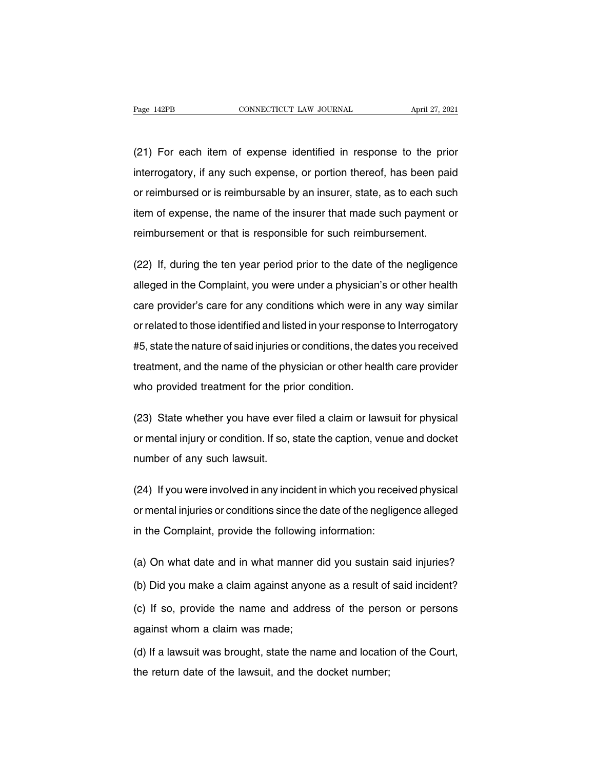Page 142PB CONNECTICUT LAW JOURNAL April 27, 2021<br>(21) For each item of expense identified in response to the prior<br>interrogatory, if any such expense, or portion thereof, has been paid Fage 142PB CONNECTICUT LAW JOURNAL April 27, 2021<br>(21) For each item of expense identified in response to the prior<br>interrogatory, if any such expense, or portion thereof, has been paid<br>or reimbursed or is reimbursable by (21) For each item of expense identified in response to the prior<br>interrogatory, if any such expense, or portion thereof, has been paid<br>or reimbursed or is reimbursable by an insurer, state, as to each such<br>item of expense (21) For each item of expense identified in response to the prior<br>interrogatory, if any such expense, or portion thereof, has been paid<br>or reimbursed or is reimbursable by an insurer, state, as to each such<br>item of expense interrogatory, if any such expense, or portion thereof, has been paid or reimbursed or is reimbursable by an insurer, state, as to each such item of expense, the name of the insurer that made such payment or reimbursement or reimbursed or is reimbursable by an insurer, state, as to each such<br>item of expense, the name of the insurer that made such payment or<br>reimbursement or that is responsible for such reimbursement.<br>(22) If, during the ten

item of expense, the name of the insurer that made such payment or<br>reimbursement or that is responsible for such reimbursement.<br>(22) If, during the ten year period prior to the date of the negligence<br>alleged in the Complai reimbursement or that is responsible for such reimbursement.<br>(22) If, during the ten year period prior to the date of the negligence<br>alleged in the Complaint, you were under a physician's or other health<br>care provider's ca (22) If, during the ten year period prior to the date of the negligence<br>alleged in the Complaint, you were under a physician's or other health<br>care provider's care for any conditions which were in any way similar<br>or relate alleged in the Complaint, you were under a physician's or other health<br>care provider's care for any conditions which were in any way similar<br>or related to those identified and listed in your response to Interrogatory<br>#5, and the name of the physical and the name of the physical reader health care provider's care for any conditions which were in any way similar or related to those identified and listed in your response to Interrogatory #5, bare provider 5 date for any domains in which were in<br>or related to those identified and listed in your response<br>#5, state the nature of said injuries or conditions, the da<br>treatment, and the name of the physician or other #5, state the nature of said injuries or conditions, the dates you received<br>treatment, and the name of the physician or other health care provider<br>who provided treatment for the prior condition.<br>(23) State whether you have

treatment, and the name of the physician or other health care provider<br>who provided treatment for the prior condition.<br>(23) State whether you have ever filed a claim or lawsuit for physical<br>or mental injury or condition. I who provided treatment for the pri<br>(23) State whether you have ever<br>or mental injury or condition. If so, s<br>number of any such lawsuit. (23) State whether you have ever filed a claim or lawsuit for physical<br>or mental injury or condition. If so, state the caption, venue and docket<br>number of any such lawsuit.<br>(24) If you were involved in any incident in whic

or mental injury or condition. If so, state the caption, venue and docket<br>number of any such lawsuit.<br>(24) If you were involved in any incident in which you received physical<br>or mental injuries or conditions since the date mumber of any such lawsuit.<br>
(24) If you were involved in any incident in which you receiv<br>
or mental injuries or conditions since the date of the neglige<br>
in the Complaint, provide the following information: (24) If you were involved in any incident in which you received physical<br>or mental injuries or conditions since the date of the negligence alleged<br>in the Complaint, provide the following information:<br>(a) On what date and i

or mental injuries or conditions since the date of the negligence alleged<br>in the Complaint, provide the following information:<br>(a) On what date and in what manner did you sustain said injuries?<br>(b) Did you make a claim aga (a) On what date and in what manner did you sustain said injuries?<br>(b) Did you make a claim against anyone as a result of said incident?<br>(c) If so, provide the name and address of the person or persons<br>against whom a claim (a) On what date and in what manner of<br>(b) Did you make a claim against anyon<br>(c) If so, provide the name and addre<br>against whom a claim was made;<br>(d) If a lawsuit was brought, state the na (b) Did you make a claim against anyone as a result of said incident?<br>(c) If so, provide the name and address of the person or persons<br>against whom a claim was made;<br>(d) If a lawsuit was brought, state the name and locatio (c) If so, provide the name and address of the person<br>against whom a claim was made;<br>(d) If a lawsuit was brought, state the name and locatio<br>the return date of the lawsuit, and the docket number;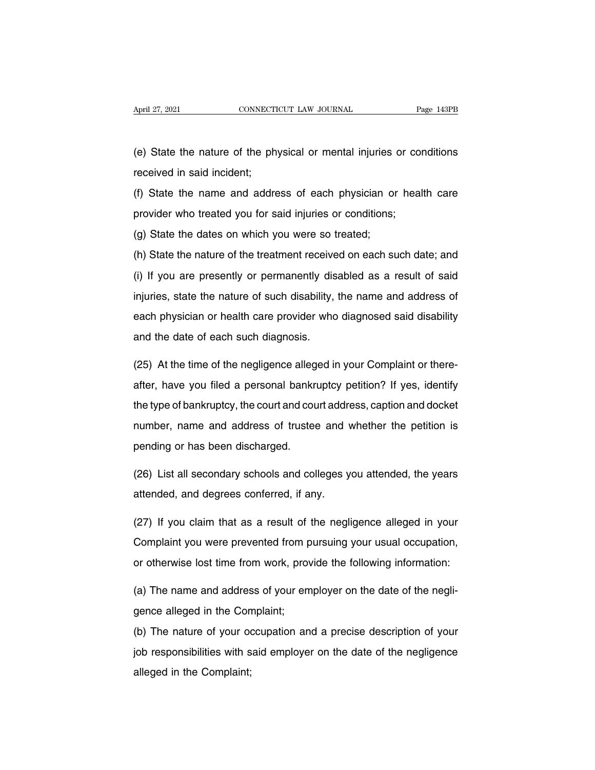(e) State the nature of the physical or mental injuries or conditions<br>received in said incident; April 27, 2021<br>
(e) State the nature of the phy<br>
received in said incident;<br>
(f) State the name and addre

(e) State the nature of the physical or mental injuries or conditions<br>received in said incident;<br>(f) State the name and address of each physician or health care<br>provider who treated you for said injuries or conditions; (e) State the nature of the physical or mental injuries or condine received in said incident;<br>(f) State the name and address of each physician or heal<br>provider who treated you for said injuries or conditions;<br>(g) State the (e) State the nature of the physical or mental injuries or conditions<br>received in said incident;<br>(f) State the name and address of each physician or health care<br>provider who treated you for said injuries or conditions;<br>(g)

(f) State the name and address of each physician or health care<br>provider who treated you for said injuries or conditions;<br>(g) State the dates on which you were so treated;<br>(h) State the nature of the treatment received on (i) State the hanne and dediced of said priysis. The meaning calculation<br>provider who treated you for said injuries or conditions;<br>(g) State the dates on which you were so treated;<br>(h) State the nature of the treatment rec (g) State the dates on which you were so treated;<br>(h) State the nature of the treatment received on each such date; and<br>(i) If you are presently or permanently disabled as a result of said<br>injuries, state the nature of suc (h) State the nature of the treatment received on each such date; and<br>(i) If you are presently or permanently disabled as a result of said<br>injuries, state the nature of such disability, the name and address of<br>each physici (i) If you are presently or permanently dis<br>injuries, state the nature of such disability,<br>each physician or health care provider who<br>and the date of each such diagnosis. injuries, state the nature of such disability, the name and address of<br>each physician or health care provider who diagnosed said disability<br>and the date of each such diagnosis.<br>(25) At the time of the negligence alleged in

each physician or health care provider who diagnosed said disability<br>and the date of each such diagnosis.<br>(25) At the time of the negligence alleged in your Complaint or there-<br>after, have you filed a personal bankruptcy p and the date of each such diagnosis.<br>(25) At the time of the negligence alleged in your Complaint or there-<br>after, have you filed a personal bankruptcy petition? If yes, identify<br>the type of bankruptcy, the court and court (25) At the time of the negligence alleged in your Complaint or there-<br>after, have you filed a personal bankruptcy petition? If yes, identify<br>the type of bankruptcy, the court and court address, caption and docket<br>number, after, have you filed a personal bankrite type of bankruptcy, the court and countumber, name and address of trustee pending or has been discharged. the type of bankruptcy, the court and court address, caption and docket<br>number, name and address of trustee and whether the petition is<br>pending or has been discharged.<br>(26) List all secondary schools and colleges you atten mumber, name and address of trustee and v<br>pending or has been discharged.<br>(26) List all secondary schools and colleges y<br>attended, and degrees conferred, if any.<br>(27) If you glaim that as a reault of the neal

pending or has been discharged.<br>(26) List all secondary schools and colleges you attended, the years<br>attended, and degrees conferred, if any.<br>(27) If you claim that as a result of the negligence alleged in your<br>Complaint y (26) List all secondary schools and colleges you attended, the years<br>attended, and degrees conferred, if any.<br>(27) If you claim that as a result of the negligence alleged in your<br>Complaint you were prevented from pursuing attended, and degrees conferred, if any.<br>
(27) If you claim that as a result of the negligence alleged in your<br>
Complaint you were prevented from pursuing your usual occupation,<br>
or otherwise lost time from work, provide t (27) If you claim that as a result of the negligence alleged in your<br>Complaint you were prevented from pursuing your usual occupation,<br>or otherwise lost time from work, provide the following information:<br>(a) The name and a Complaint you were prevented from p<br>or otherwise lost time from work, prov<br>(a) The name and address of your em<br>gence alleged in the Complaint;<br>(b) The nature of your occupation an

or otherwise lost time from work, provide the following information:<br>
(a) The name and address of your employer on the date of the negli-<br>
gence alleged in the Complaint;<br>
(b) The nature of your occupation and a precise de (a) The name and address of your employer on the date of the negligence alleged in the Complaint;<br>(b) The nature of your occupation and a precise description of your<br>job responsibilities with said employer on the date of t gence alleged in the Con<br>(b) The nature of your or<br>job responsibilities with s<br>alleged in the Complaint;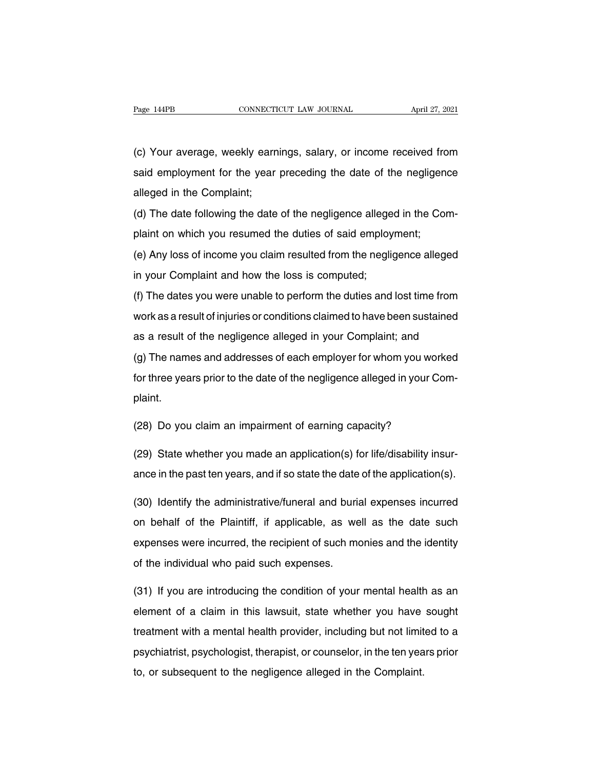Page 144PB CONNECTICUT LAW JOURNAL April 27, 2021<br>(c) Your average, weekly earnings, salary, or income received from<br>said employment for the year preceding the date of the negligence Fage 144PB CONNECTICUT LAW JOURNAL April 27, 2021<br>(c) Your average, weekly earnings, salary, or income received from<br>said employment for the year preceding the date of the negligence<br>alleged in the Complaint; (c) Your average, weekly earn<br>said employment for the year<br>alleged in the Complaint;<br>(d) The date following the date (c) Your average, weekly earnings, salary, or income received from<br>said employment for the year preceding the date of the negligence<br>alleged in the Complaint;<br>(d) The date following the date of the negligence alleged in th plant are all employment for the year preceding the date of the negligen-<br>said employment for the year preceding the date of the negligen-<br>alleged in the Complaint;<br>(d) The date following the date of the negligence alleged

alleged in the Complaint;<br>(d) The date following the date of the negligence alleged in the Com-<br>plaint on which you resumed the duties of said employment;<br>(e) Any loss of income you claim resulted from the negligence alleg In the Complaint,<br>
(d) The date following the date of the negligence allege<br>
plaint on which you resumed the duties of said employ<br>
(e) Any loss of income you claim resulted from the neglig<br>
in your Complaint and how the l

(e) The date tending are date of the higalgence alleged in the Complaint on which you resumed the duties of said employment;<br>(e) Any loss of income you claim resulted from the negligence alleged<br>in your Complaint and how t (e) Any loss of income you claim resulted from the negligence alleged<br>in your Complaint and how the loss is computed;<br>(f) The dates you were unable to perform the duties and lost time from<br>work as a result of injuries or c (c) Any idea of modify you diam recented from the negagenee alleged<br>in your Complaint and how the loss is computed;<br>(f) The dates you were unable to perform the duties and lost time from<br>work as a result of injuries or con (f) The dates you were unable to perform the duties and lost time from<br>work as a result of injuries or conditions claimed to have been sustained<br>as a result of the negligence alleged in your Complaint; and<br>(g) The names an

for the dates year three and set perform the dates and feet three ferms<br>work as a result of the negligence alleged in your Complaint; and<br>(g) The names and addresses of each employer for whom you worked<br>for three years pri plaint. (g) The names and addresses of each employer for whom you work<br>for three years prior to the date of the negligence alleged in your Co<br>plaint.<br>(28) Do you claim an impairment of earning capacity?<br>(29) State whether you mode

for three years prior to the date of the negligence alleged in your Com-<br>plaint.<br>(28) Do you claim an impairment of earning capacity?<br>(29) State whether you made an application(s) for life/disability insur-<br>ance in the pas plaint.<br>(28) Do you claim an impairment of earning capacity?<br>(29) State whether you made an application(s) for life/disability insur-<br>ance in the past ten years, and if so state the date of the application(s).<br>(20) Identif

(28) Do you claim an impairment of earning capacity?<br>(29) State whether you made an application(s) for life/disability insur-<br>ance in the past ten years, and if so state the date of the application(s).<br>(30) Identify the ad (29) State whether you made an application(s) for life/disability insur-<br>ance in the past ten years, and if so state the date of the application(s).<br>(30) Identify the administrative/funeral and burial expenses incurred<br>on ance in the past ten years, and if so state the date of the application(s).<br>(30) Identify the administrative/funeral and burial expenses incurred<br>on behalf of the Plaintiff, if applicable, as well as the date such<br>expenses (30) Identify the administrative/funeral and burion behalf of the Plaintiff, if applicable, as we expenses were incurred, the recipient of such most the individual who paid such expenses. (31) on behalf of the Plaintiff, if applicable, as well as the date such<br>expenses were incurred, the recipient of such monies and the identity<br>of the individual who paid such expenses.<br>(31) If you are introducing the condi

expenses were incurred, the recipient of such monies and the identity<br>of the individual who paid such expenses.<br>(31) If you are introducing the condition of your mental health as an<br>element of a claim in this lawsuit, stat of the individual who paid such expenses.<br>
(31) If you are introducing the condition of your mental health as an<br>
element of a claim in this lawsuit, state whether you have sought<br>
treatment with a mental health provider, (31) If you are introducing the condition of your mental health as an element of a claim in this lawsuit, state whether you have sought treatment with a mental health provider, including but not limited to a psychiatrist, to, the you are introducing the condition of your mortal heath<br>element of a claim in this lawsuit, state whether you have<br>treatment with a mental health provider, including but not limit<br>psychiatrist, psychologist, therapi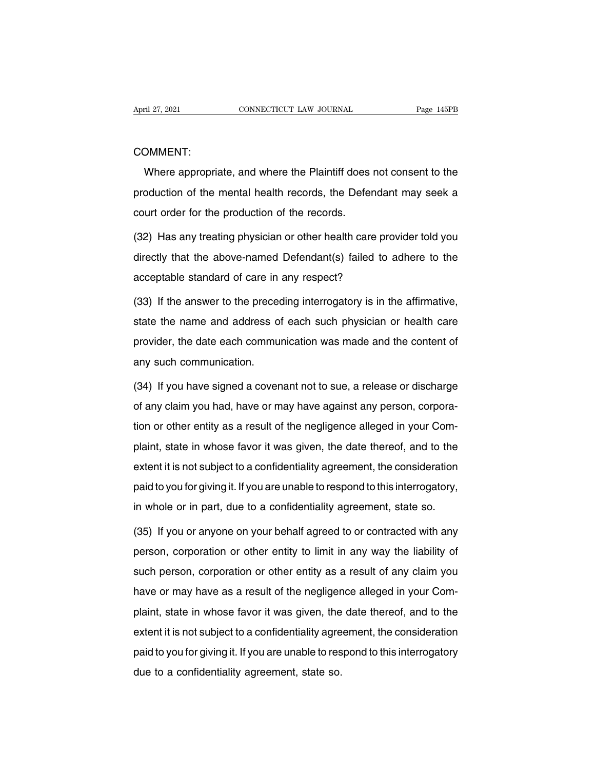#### COMMENT:

EVENTED MUNICITY CONNECTICUT LAW JOURNAL Page 145PB<br>
MUNICITY:<br>
Where appropriate, and where the Plaintiff does not consent to the<br>
Doduction of the mental health records, the Defendant may seek a COMMENT:<br>Where appropriate, and where the Plaintiff does not consent to the<br>production of the mental health records, the Defendant may seek a<br>court order for the production of the records. COMMENT:<br>Where appropriate, and where the Plaintiff does<br>production of the mental health records, the Defer<br>court order for the production of the records.<br>(32) Has any treating physician or other health care Where appropriate, and where the Plaintiff does not consent to the<br>production of the mental health records, the Defendant may seek a<br>court order for the production of the records.<br>(32) Has any treating physician or other h

production of the mental health records, the Defendant may seek a<br>court order for the production of the records.<br>(32) Has any treating physician or other health care provider told you<br>directly that the above-named Defendan court order for the production of the records.<br>
(32) Has any treating physician or other health care prov<br>
directly that the above-named Defendant(s) failed to a<br>
acceptable standard of care in any respect?<br>
(33) If the an (32) Has any treating physician or other health care provider told you<br>directly that the above-named Defendant(s) failed to adhere to the<br>acceptable standard of care in any respect?<br>(33) If the answer to the preceding inte

directly that the above-named Defendant(s) failed to adhere to the<br>acceptable standard of care in any respect?<br>(33) If the answer to the preceding interrogatory is in the affirmative,<br>state the name and address of each suc acceptable standard of care in any respect?<br>(33) If the answer to the preceding interrogatory is in the affirmative,<br>state the name and address of each such physician or health care<br>provider, the date each communication wa (33) If the answer to the preced<br>state the name and address of<br>provider, the date each commu<br>any such communication.<br>(34) If you have signed a cover state the name and address of each such physician or health care<br>provider, the date each communication was made and the content of<br>any such communication.<br>(34) If you have signed a covenant not to sue, a release or dischar

provider, the date each communication was made and the content of<br>any such communication.<br>(34) If you have signed a covenant not to sue, a release or discharge<br>of any claim you had, have or may have against any person, cor the any such communication.<br>
(34) If you have signed a covenant not to sue, a release or discharge<br>
of any claim you had, have or may have against any person, corpora-<br>
tion or other entity as a result of the negligence al (34) If you have signed a covenant not to sue, a release or discharge<br>of any claim you had, have or may have against any person, corpora-<br>tion or other entity as a result of the negligence alleged in your Com-<br>plaint, stat (54) If you have signed a coveriant flot to sac, a felease of discharge<br>of any claim you had, have or may have against any person, corpora-<br>tion or other entity as a result of the negligence alleged in your Com-<br>plaint, st brain you had, have of hay have against any person, corpora-<br>tion or other entity as a result of the negligence alleged in your Com-<br>plaint, state in whose favor it was given, the date thereof, and to the<br>extent it is not plaint, state in whose favor it was given, the date thereof, and to the extent it is not subject to a confidentiality agreement, the consideration paid to you for giving it. If you are unable to respond to this interrogato extent it is not subject to a confidentiality agreement, the consideration<br>paid to you for giving it. If you are unable to respond to this interrogatory,<br>in whole or in part, due to a confidentiality agreement, state so.<br>(

paid to you for giving it. If you are unable to respond to this interrogatory,<br>in whole or in part, due to a confidentiality agreement, state so.<br>(35) If you or anyone on your behalf agreed to or contracted with any<br>person in whole or in part, due to a confidentiality agreement, state so.<br>(35) If you or anyone on your behalf agreed to or contracted with any<br>person, corporation or other entity to limit in any way the liability of<br>such person, (35) If you or anyone on your behalf agreed to or contracted with any<br>person, corporation or other entity to limit in any way the liability of<br>such person, corporation or other entity as a result of any claim you<br>have or m person, corporation or other entity to limit in any way the liability of<br>such person, corporation or other entity as a result of any claim you<br>have or may have as a result of the negligence alleged in your Com-<br>plaint, sta person, corporation or other entity to limit in any way the liability of<br>such person, corporation or other entity as a result of any claim you<br>have or may have as a result of the negligence alleged in your Com-<br>plaint, sta particular person, corporation of other entity as a result of any claim you<br>have or may have as a result of the negligence alleged in your Com-<br>plaint, state in whose favor it was given, the date thereof, and to the<br>extent have of may have as a resair of the hegilger<br>plaint, state in whose favor it was given, the<br>extent it is not subject to a confidentiality agre<br>paid to you for giving it. If you are unable to res<br>due to a confidentiality ag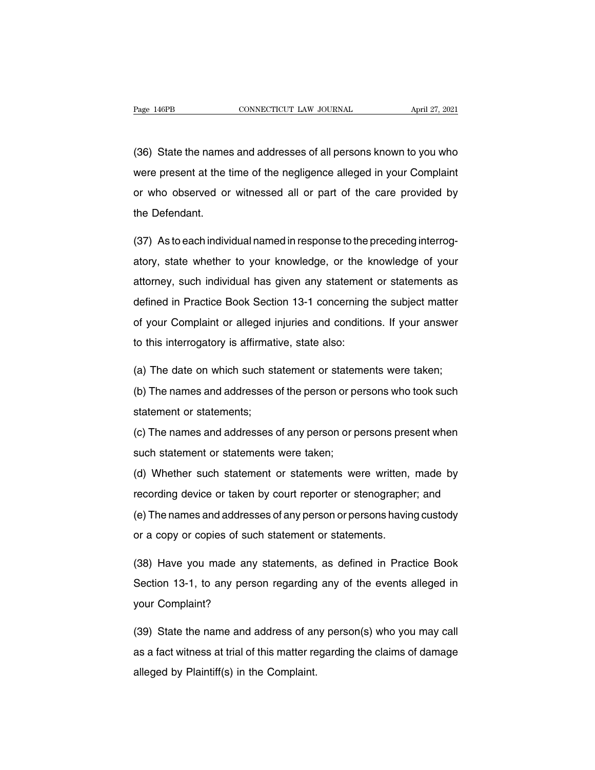Page 146PB CONNECTICUT LAW JOURNAL April 27, 2021<br>(36) State the names and addresses of all persons known to you who<br>were present at the time of the negligence alleged in your Complaint Page 146PB CONNECTICUT LAW JOURNAL April 27, 2021<br>(36) State the names and addresses of all persons known to you who<br>were present at the time of the negligence alleged in your Complaint<br>or who observed or witnessed all or (36) State the names and addresses of all persons known to you who<br>were present at the time of the negligence alleged in your Complaint<br>or who observed or witnessed all or part of the care provided by<br>the Defendant. (36) State the name:<br>were present at the tor who observed or<br>the Defendant. were present at the time of the negligence alleged in your Complaint<br>or who observed or witnessed all or part of the care provided by<br>the Defendant.<br>(37) As to each individual named in response to the preceding interrog-<br>a

or who observed or witnessed all or part of the care provided by<br>the Defendant.<br>(37) As to each individual named in response to the preceding interrog-<br>atory, state whether to your knowledge, or the knowledge of your<br>attor the Defendant.<br>
(37) As to each individual named in response to the preceding interrog-<br>
atory, state whether to your knowledge, or the knowledge of your<br>
attorney, such individual has given any statement or statements as<br> (37) As to each individual named in response to the preceding interrog-<br>atory, state whether to your knowledge, or the knowledge of your<br>attorney, such individual has given any statement or statements as<br>defined in Practic atory, state whether to your knowledge, or the knowledge of your attorney, such individual has given any statement or statements as defined in Practice Book Section 13-1 concerning the subject matter of your Complaint or a attorney, such individual has given any statement<br>defined in Practice Book Section 13-1 concerning<br>of your Complaint or alleged injuries and condition<br>to this interrogatory is affirmative, state also: defined in Practice Book Section 13-1 concerning the subject matter<br>of your Complaint or alleged injuries and conditions. If your answer<br>to this interrogatory is affirmative, state also:<br>(a) The date on which such statemen (b) our Complaint or alleged injuries and conditions. If your answer<br>to this interrogatory is affirmative, state also:<br>(a) The date on which such statement or statements were taken;<br>(b) The names and addresses of the perso

to this interrogatory is affirmati<br>(a) The date on which such statement<br>(b) The names and addresses of<br>statement or statements;<br>(c) The names and addresses of (b) The names and addresses of the person or pe<br>statement or statements;<br>(c) The names and addresses of any person or p<br>such statement or statements were taken;<br>(d) Whether such statement or statements we

(a) The date on which such statement or statements were taken;<br>(b) The names and addresses of the person or persons who took such<br>statement or statements;<br>(c) The names and addresses of any person or persons present when<br>s

(c) The names and addresses of any person or persons present when<br>statement or statements;<br>such statement or statements were taken;<br>(d) Whether such statement or statements were written, made by<br>recording device or taken b (c) The names and addresses of any person or persons present when<br>such statement or statements were taken;<br>(d) Whether such statement or statements were written, made by<br>recording device or taken by court reporter or steno (e) The names and addresses of any person or persons procent intentions.<br>
(d) Whether such statement or statements were written, made by<br>
recording device or taken by court reporter or stenographer; and<br>
(e) The names and (d) Whether such statement or statements were written,<br>recording device or taken by court reporter or stenographe<br>(e) The names and addresses of any person or persons havin<br>or a copy or copies of such statement or statemen recording device or taken by court reporter or stenographer; and<br>(e) The names and addresses of any person or persons having custody<br>or a copy or copies of such statement or statements.<br>(38) Have you made any statements, a

(e) The names and addresses of any person or persons having custody<br>or a copy or copies of such statement or statements.<br>(38) Have you made any statements, as defined in Practice Book<br>Section 13-1, to any person regarding or a copy or copies of such<br>(38) Have you made any s<br>Section 13-1, to any persor<br>your Complaint? (38) Have you made any statements, as defined in Practice Book<br>Section 13-1, to any person regarding any of the events alleged in<br>your Complaint?<br>(39) State the name and address of any person(s) who you may call<br>as a fact

Section 13-1, to any person regarding any of the events alleged in<br>your Complaint?<br>(39) State the name and address of any person(s) who you may call<br>as a fact witness at trial of this matter regarding the claims of damage<br> your Complaint?<br>(39) State the name and address of an<br>as a fact witness at trial of this matter re<br>alleged by Plaintiff(s) in the Complaint.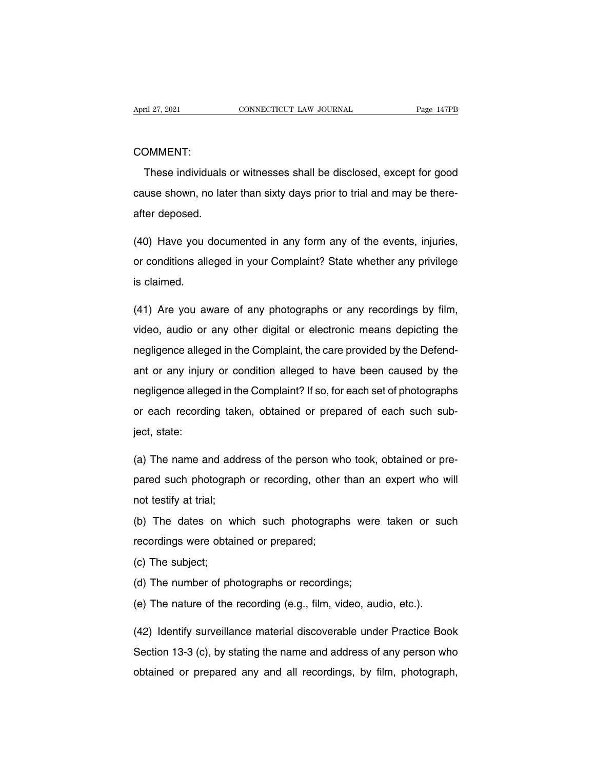#### COMMENT:

These individuals or witnesses shall be disclosed, except for good<br>These individuals or witnesses shall be disclosed, except for good<br>use shown, no later than sixty days prior to trial and may be there-COMMENT:<br>These individuals or witnesses shall be disclosed, except for good<br>cause shown, no later than sixty days prior to trial and may be there-<br>after deposed. COMMENT:<br>These individuals<br>cause shown, no late<br>after deposed. These individuals or witnesses shall be disclosed, except for good<br>cause shown, no later than sixty days prior to trial and may be there-<br>after deposed.<br>(40) Have you documented in any form any of the events, injuries,<br>or

cause shown, no later than sixty days prior to trial and may be there-<br>after deposed.<br>(40) Have you documented in any form any of the events, injuries,<br>or conditions alleged in your Complaint? State whether any privilege<br>i after deposed.<br>
(40) Have you documented in any form any of the events, injuries,<br>
or conditions alleged in your Complaint? State whether any privilege<br>
is claimed. (40) Have you documented in any form any of the events, injuries,<br>or conditions alleged in your Complaint? State whether any privilege<br>is claimed.<br>(41) Are you aware of any photographs or any recordings by film,<br>video, aud

or conditions alleged in your Complaint? State whether any privilege<br>is claimed.<br>(41) Are you aware of any photographs or any recordings by film,<br>video, audio or any other digital or electronic means depicting the<br>negligen (41) Are you aware of any photographs or any recordings by film, video, audio or any other digital or electronic means depicting the negligence alleged in the Complaint, the care provided by the Defend-<br>ant or any injury o (41) Are you aware of any photographs or any recordings by film,<br>video, audio or any other digital or electronic means depicting the<br>negligence alleged in the Complaint, the care provided by the Defend-<br>ant or any injury o video, audio or any other digital or electronic means depicting the<br>negligence alleged in the Complaint, the care provided by the Defend-<br>ant or any injury or condition alleged to have been caused by the<br>negligence alleged or each recording the Complaint, the care provided by the Defend-<br>ant or any injury or condition alleged to have been caused by the<br>negligence alleged in the Complaint? If so, for each set of photographs<br>or each recording magingonos anograficantes<br>ant or any injur<br>negligence alleg<br>or each recordi<br>ject, state: megligence alleged in the Complaint? If so, for each set of photographs<br>or each recording taken, obtained or prepared of each such sub-<br>ject, state:<br>(a) The name and address of the person who took, obtained or pre-<br>pared s

or each recording taken, obtained or prepared of each such sub-<br>ject, state:<br>(a) The name and address of the person who took, obtained or pre-<br>pared such photograph or recording, other than an expert who will<br>not testify a iect, state:<br>(a) The name and addi<br>pared such photograph<br>not testify at trial;<br>(b) The dates on wh (a) The name and address of the person who took, obtained or pre-<br>pared such photograph or recording, other than an expert who will<br>not testify at trial;<br>(b) The dates on which such photographs were taken or such<br>recording pared such photograph or recording, other<br>not testify at trial;<br>(b) The dates on which such photograph<br>recordings were obtained or prepared;<br>(c) The subject;

(b) The dates on w<br>recordings were obta<br>(c) The subject;<br>(d) The number of ph (b) The dates on which such photographs were taken or such<br>recordings were obtained or prepared;<br>(c) The subject;<br>(d) The number of photographs or recordings;<br>(e) The nature of the recording (e.g., film, video, audio, etc. (e) The subject;<br>
(c) The subject;<br>
(d) The number of photographs or recordings;<br>
(e) The nature of the recording (e.g., film, video, audio, etc.).<br>
(42) Identify surroillance metarial diseaserable under Precise Bes

(c) The subject;<br>(d) The number of photographs or recordings;<br>(e) The nature of the recording (e.g., film, video, audio, etc.).<br>(42) Identify surveillance material discoverable under Practice Book<br>Section 13-3 (c), by stat (d) The number of photographs or recordings;<br>
(e) The nature of the recording (e.g., film, video, audio, etc.).<br>
(42) Identify surveillance material discoverable under Practice Book<br>
Section 13-3 (c), by stating the name a (e) The nature of the recording (e.g., film, video, audio, etc.).<br>(42) Identify surveillance material discoverable under Practice Book<br>Section 13-3 (c), by stating the name and address of any person who<br>obtained or prepare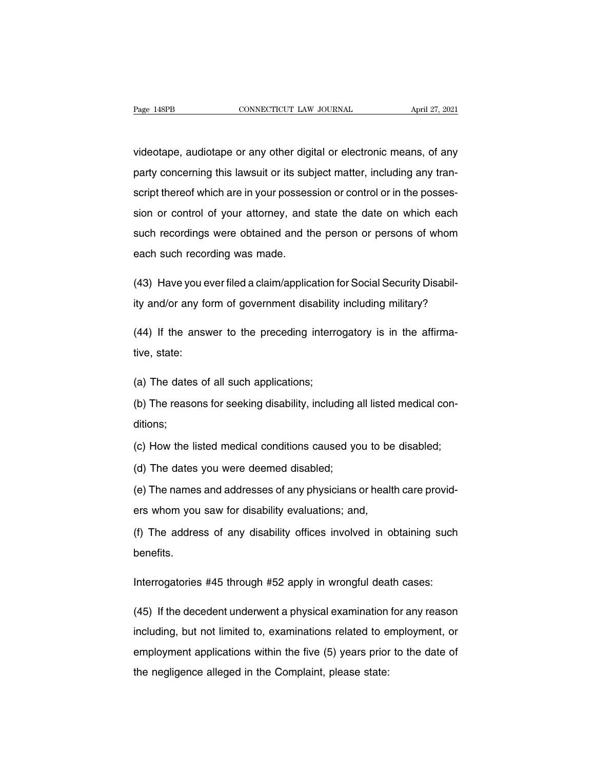Page 148PB CONNECTICUT LAW JOURNAL April 27, 2021<br>Videotape, audiotape or any other digital or electronic means, of any<br>party concerning this lawsuit or its subject matter, including any tran-Page 148PB CONNECTICUT LAW JOURNAL April 27, 2021<br>
videotape, audiotape or any other digital or electronic means, of any<br>
party concerning this lawsuit or its subject matter, including any tran-<br>
script thereof which are i videotape, audiotape or any other digital or electronic means, of any<br>party concerning this lawsuit or its subject matter, including any tran-<br>script thereof which are in your possession or control or in the posses-<br>sion o videotape, audiotape or any other digital or electronic means, of any<br>party concerning this lawsuit or its subject matter, including any tran-<br>script thereof which are in your possession or control or in the posses-<br>sion o vacodape, addicape or any other algital of electronic means, or any<br>party concerning this lawsuit or its subject matter, including any tran-<br>script thereof which are in your possession or control or in the posses-<br>sion or party concerning the lawcalt of his car<br>script thereof which are in your posses<br>sion or control of your attorney, and<br>such recordings were obtained and the<br>each such recording was made. (43) Have you ever filed a claim/application for Social Security Disabil-<br>(43) Have you ever filed a claim/application for Social Security Disabil-<br>ity and/or any form of government disability including military? ity and the person or persons of whom<br>the such any form disability and/or any form of government disability including military?<br>(44) If the arguments the government disability including military?

each such recording was made.<br>
(43) Have you ever filed a claim/application for Social Security Disabil-<br>
ity and/or any form of government disability including military?<br>
(44) If the answer to the preceding interrogatory (43) Have you e<br>ity and/or any fo<br>(44) If the answ<br>tive, state:

ity and/or any form of government disability<br>(44) If the answer to the preceding interro<br>tive, state:<br>(a) The dates of all such applications;<br>(b) The reasons for seeking disability, includ

(44) If the answer to the preceding interrogatory is in the affirmative, state:<br>(a) The dates of all such applications;<br>(b) The reasons for seeking disability, including all listed medical con-<br>ditions; ditions; (a) The dates of all such applications;<br>(b) The reasons for seeking disability, including all listed medical conditions;<br>(c) How the listed medical conditions caused you to be disabled;<br>(d) The dates you were deemed disabl (b) The reasons for seeking disability, including a<br>ditions;<br>(c) How the listed medical conditions caused you<br>(d) The dates you were deemed disabled;<br>(e) The names and addresses of any physicians

ditions;<br>(c) How the listed medical conditions caused you to be disabled;<br>(d) The dates you were deemed disabled;<br>(e) The names and addresses of any physicians or health care provid-<br>ers whom you saw for disability evaluat (c) How the listed medical conditions caused you to be<br>
(d) The dates you were deemed disabled;<br>
(e) The names and addresses of any physicians or healt<br>
ers whom you saw for disability evaluations; and,<br>
(f) The address of (d) The dates you were deemed disabled;<br>(e) The names and addresses of any physicians or health care provid-<br>ers whom you saw for disability evaluations; and,<br>(f) The address of any disability offices involved in obtaining

benefits. Interrogatories #45 through #52 apply in wrongful death cases:<br>
Interrogatories #45 through #52 apply in wrongful death cases:<br>
Interrogatories #45 through #52 apply in wrongful death cases:

(i) The address of any disability offices involved in obtaining such<br>benefits.<br>Interrogatories #45 through #52 apply in wrongful death cases:<br>(45) If the decedent underwent a physical examination for any reason<br>including, interrogatories #45 through #52 apply in wrongful death cases:<br>(45) If the decedent underwent a physical examination for any reason<br>including, but not limited to, examinations related to employment, or<br>employment applicati Interrogatories #45 through #52 apply in wrongful death cases:<br>(45) If the decedent underwent a physical examination for any reason<br>including, but not limited to, examinations related to employment, or<br>employment applicati (45) If the decedent underwent a physical examination<br>including, but not limited to, examinations related to e<br>employment applications within the five (5) years prior<br>the negligence alleged in the Complaint, please state: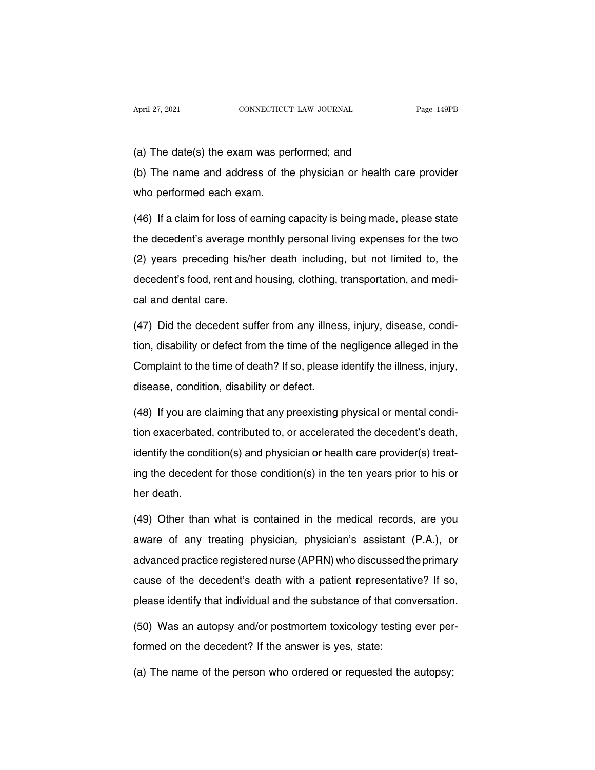April 27, 2021<br>(a) The date(s) the exam was performed; and<br>(b) The name and address of the physician or health ca (a) The date(s) the exam was performed; and<br>
(b) The name and address of the physician or health care provider<br>
who performed each exam. (a) The date(s) the exam was pe<br>(b) The name and address of the<br>who performed each exam.<br>(46) If a claim for loss of earning of

(a) The date(s) the exam was performed; and<br>(b) The name and address of the physician or health care provider<br>who performed each exam.<br>(46) If a claim for loss of earning capacity is being made, please state<br>the decedent's (b) The name and address of the physician or health care provider<br>who performed each exam.<br>(46) If a claim for loss of earning capacity is being made, please state<br>the decedent's average monthly personal living expenses fo who performed each exam.<br>(46) If a claim for loss of earning capacity is being made, please state<br>the decedent's average monthly personal living expenses for the two<br>(2) years preceding his/her death including, but not lim (46) If a claim for loss of earning capacity is being made, please state<br>the decedent's average monthly personal living expenses for the two<br>(2) years preceding his/her death including, but not limited to, the<br>decedent's f the decedent's average m<br>(2) years preceding his/h<br>decedent's food, rent and<br>cal and dental care.<br>(47) Did the decedent sui (2) years preceding his/her death including, but not limited to, the decedent's food, rent and housing, clothing, transportation, and medi-<br>cal and dental care.<br>(47) Did the decedent suffer from any illness, injury, diseas

decedent's food, rent and housing, clothing, transportation, and medical and dental care.<br>(47) Did the decedent suffer from any illness, injury, disease, condition, disability or defect from the time of the negligence alle cal and dental care.<br>(47) Did the decedent suffer from any illness, injury, disease, condition, disability or defect from the time of the negligence alleged in the<br>Complaint to the time of death? If so, please identify the (47) Did the decedent suffer from any illnes<br>tion, disability or defect from the time of the independent to the time of death? If so, please<br>disease, condition, disability or defect.<br>(48) If you are claiming that any pree tion, disability or defect from the time of the negligence alleged in the<br>Complaint to the time of death? If so, please identify the illness, injury,<br>disease, condition, disability or defect.<br>(48) If you are claiming that

Complaint to the time of death? If so, please identify the illness, injury,<br>disease, condition, disability or defect.<br>(48) If you are claiming that any preexisting physical or mental condi-<br>tion exacerbated, contributed to disease, condition, disability or defect.<br>(48) If you are claiming that any preexisting physical or mental condition<br>exacerbated, contributed to, or accelerated the decedent's death,<br>identify the condition(s) and physician (48) If you are claiming that any preexisting physical or mental condition exacerbated, contributed to, or accelerated the decedent's death, identify the condition(s) and physician or health care provider(s) treating the d  $h$  is the year of tion exacerbated<br>identify the conding the deceden<br>her death.<br> $(49)$  Other than identify the condition(s) and physician or health care provider(s) treat-<br>ing the decedent for those condition(s) in the ten years prior to his or<br>her death.<br>(49) Other than what is contained in the medical records, are yo

ing the decedent for those condition(s) in the ten years prior to his or<br>her death.<br>(49) Other than what is contained in the medical records, are you<br>aware of any treating physician, physician's assistant (P.A.), or<br>advanc her death.<br>(49) Other than what is contained in the medical records, are you<br>aware of any treating physician, physician's assistant (P.A.), or<br>advanced practice registered nurse (APRN) who discussed the primary<br>cause of th (49) Other than what is contained in the medical records, are you<br>aware of any treating physician, physician's assistant (P.A.), or<br>advanced practice registered nurse (APRN) who discussed the primary<br>cause of the decedent' aware of any treating physician, physician's assistant (P.A.), or<br>advanced practice registered nurse (APRN) who discussed the primary<br>cause of the decedent's death with a patient representative? If so,<br>please identify that advanced practice registered nurse (APRN) who discussed the primary<br>cause of the decedent's death with a patient representative? If so,<br>please identify that individual and the substance of that conversation.<br>(50) Was an au Formed on the decedent's death with a patient representat<br>please identify that individual and the substance of that cor<br>(50) Was an autopsy and/or postmortem toxicology testing<br>formed on the decedent? If the answer is yes,

please identify that individual and the substance of that conversation<br>(50) Was an autopsy and/or postmortem toxicology testing ever per<br>formed on the decedent? If the answer is yes, state:<br>(a) The name of the person who o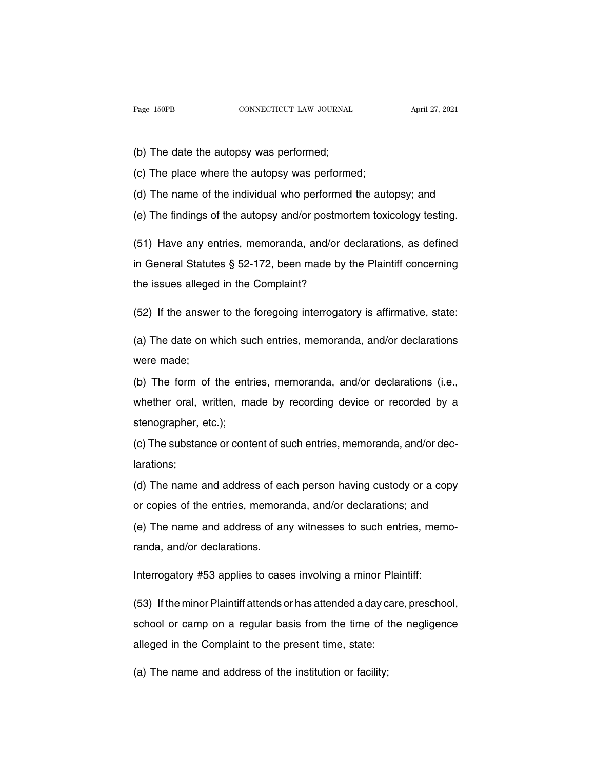Page 150PB<br>
CONNECTICUT LAW JOURNAL<br>
(b) The date the autopsy was performed;<br>
(c) The place where the autopsy was performe

Page 150PB CONNECTICUT LAW JOURNAL<br>
(b) The date the autopsy was performed;<br>
(c) The place where the autopsy was performed;<br>
(d) The name of the individual who performed the auto

(b) The date the autopsy was performed;<br>(c) The place where the autopsy was performed;<br>(d) The name of the individual who performed the autopsy; and<br>(e) The findings of the autopsy and/or postmortem toxicology testing. (b) The date the autopsy was performed;<br>
(c) The place where the autopsy was performed;<br>
(d) The name of the individual who performed the autopsy; and<br>
(e) The findings of the autopsy and/or postmortem toxicology testing.<br>

(c) The place where the autopsy was performed;<br>(d) The name of the individual who performed the autopsy; and<br>(e) The findings of the autopsy and/or postmortem toxicology testing.<br>(51) Have any entries, memoranda, and/or de (d) The name of the individual who performed the autopsy; and<br>(e) The findings of the autopsy and/or postmortem toxicology testing.<br>(51) Have any entries, memoranda, and/or declarations, as defined<br>in General Statutes § 52 (e) The findings of the autopsy and/or postmorte<br>
(51) Have any entries, memoranda, and/or dec<br>
in General Statutes § 52-172, been made by the<br>
the issues alleged in the Complaint?<br>
(52) If the apply to the foregoing inte (51) Have any entries, memoranda, and/or declarations, as defined<br>in General Statutes § 52-172, been made by the Plaintiff concerning<br>the issues alleged in the Complaint?<br>(52) If the answer to the foregoing interrogatory

in General Statutes § 52-172, been made by the Plaintiff concerning<br>the issues alleged in the Complaint?<br>(52) If the answer to the foregoing interrogatory is affirmative, state:<br>(a) The date on which such entries, memorand the issues alleged<br>(52) If the answe<br>(a) The date on w<br>were made;<br>(b) The form of

(52) If the answer to the foregoing interrogatory is affirmative, state:<br>
(a) The date on which such entries, memoranda, and/or declarations<br>
were made;<br>
(b) The form of the entries, memoranda, and/or declarations (i.e.,<br> (a) The date on which such entries, memoranda, and/or declarations<br>were made;<br>(b) The form of the entries, memoranda, and/or declarations (i.e.,<br>whether oral, written, made by recording device or recorded by a<br>stenographer were made;<br>were made;<br>(b) The form of the entr<br>whether oral, written, ma<br>stenographer, etc.);<br>(c) The substance or cont (b) The form of the entries, memoranda, and/or declarations (i.e., whether oral, written, made by recording device or recorded by a stenographer, etc.);<br>(c) The substance or content of such entries, memoranda, and/or decla

larations; stenographer, etc.);<br>(c) The substance or content of such entries, memoranda, and/or dec-<br>larations;<br>(d) The name and address of each person having custody or a copy<br>or copies of the entries, memoranda, and/or declarations (c) The substance or content of such entries, memoranda, and/or declarations;<br>(d) The name and address of each person having custody or a copy<br>or copies of the entries, memoranda, and/or declarations; and<br>(e) The name and

(d) The name and address of each person having custody or a copy<br>or copies of the entries, memoranda, and/or declarations; and<br>(e) The name and address of any witnesses to such entries, memo-<br>randa, and/or declarations. randa, and address of earthcare,<br>
(d) The name and address of an<br>
(e) The name and address of an<br>
randa, and/or declarations. or copies of the entries, memoranda, and/or declarations; and<br>
(e) The name and address of any witnesses to such entries, mem<br>
randa, and/or declarations.<br>
Interrogatory #53 applies to cases involving a minor Plaintiff:<br>
(

(e) The name and address of any witnesses to such entries, memo-<br>randa, and/or declarations.<br>Interrogatory #53 applies to cases involving a minor Plaintiff:<br>(53) If the minor Plaintiff attends or has attended a day care, p randa, and/or declarations.<br>Interrogatory #53 applies to cases involving a minor Plaintiff:<br>(53) If the minor Plaintiff attends or has attended a day care, preschool,<br>school or camp on a regular basis from the time of the Interrogatory #53 applies to cases involving a minor Plaint<br>(53) If the minor Plaintiff attends or has attended a day care<br>school or camp on a regular basis from the time of the<br>alleged in the Complaint to the present time (53) If the minor Plaintiff attends or has attended a day c<br>school or camp on a regular basis from the time of t<br>alleged in the Complaint to the present time, state:<br>(a) The name and address of the institution or facility;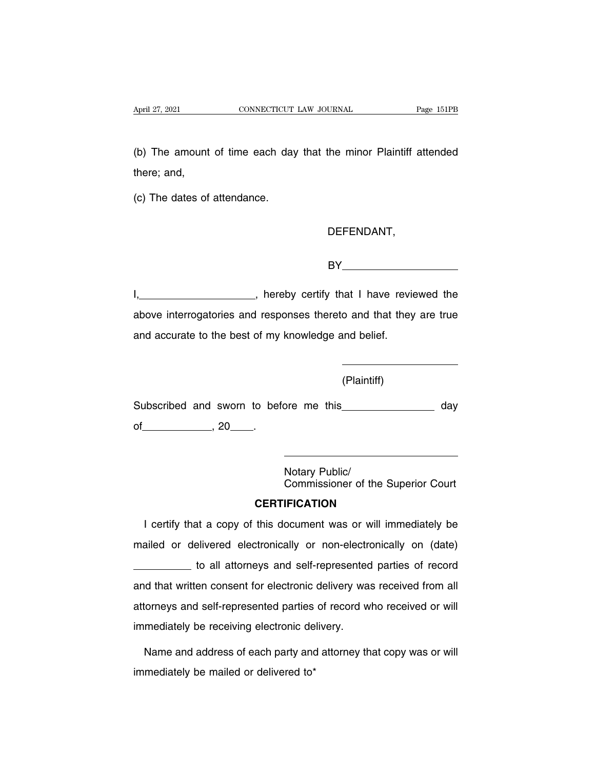April 27, 2021 CONNECTICUT LAW JOURNAL Page 151PB<br>(b) The amount of time each day that the minor Plaintiff attended<br>there; and, April 27, 2021<br>
(b) The amount<br>
there; and,<br>
(c) The dates of (b) The amount of time each day<br>there; and,<br>(c) The dates of attendance.

#### DEFENDANT,

BY

I, , hereby certify that I have reviewed the BY<br>
BY<br>
BY<br>
Reference interrogatories and responses thereto and that they are true<br>
and accurate to the best of my knowledge and belief. BY<br>
1, hereby certify that I have revised<br>
above interrogatories and responses thereto and that they<br>
and accurate to the best of my knowledge and belief.

(Plaintiff)

Subscribed and sworn to before me this day Subscribed and sworn to before the same state of the set of the set of the set of the set of the set of the set of the set of the set of the set of the set of the set of the set of the set of the set of the set of the set ore me this\_\_\_\_\_\_<br>Notary Public/<br>Commissioner of th Commissioner of the Superior Court

## **CERTIFICATION**

Notary Public/<br>
Commissioner of the Superior Court<br> **CERTIFICATION**<br>
I certify that a copy of this document was or will immediately be<br>
ailed or delivered electronically or non-electronically on (date) Motary Public/<br>Commissioner of the Superior Court<br>CERTIFICATION<br>I certify that a copy of this document was or will immediately be<br>mailed or delivered electronically or non-electronically on (date)<br>to all attorneys and self **CERTIFICATION**<br>to a copy of this document was or will immediately be<br>elivered electronically or non-electronically on (date)<br>to all attorneys and self-represented parties of record<br>en consent for electronic delivery was r I certify that a copy of this document was or will immediately be<br>mailed or delivered electronically or non-electronically on (date)<br>to all attorneys and self-represented parties of record<br>and that written consent for elec rectary that a copy of this december mas of this imministratory of mailed or delivered electronically or non-electronically on (date)<br>to all attorneys and self-represented parties of record<br>and that written consent for ele indicately delivered electronically efficient chemical<br>
to all attorneys and self-represented<br>
attorneys and self-represented parties of record w<br>
immediately be receiving electronic delivery.<br>
Name and address of each par In that written consent for electronic delivery was received from all<br>torneys and self-represented parties of record who received or will<br>mediately be receiving electronic delivery.<br>Name and address of each party and attor attorneys and self-represented parties of record who received or will<br>immediately be receiving electronic delivery.<br>Name and address of each party and attorney that copy was or will<br>immediately be mailed or delivered to\*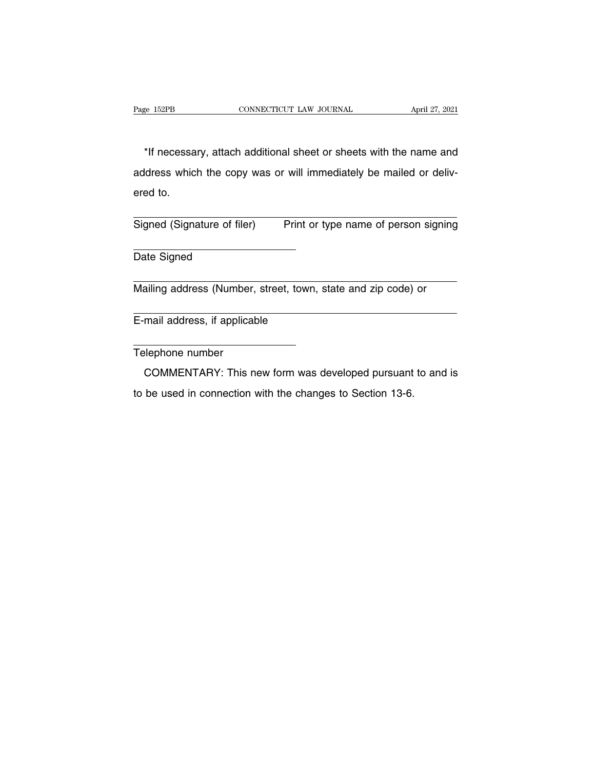EXEMBER APRIL 27, 2021<br>
\*If necessary, attach additional sheet or sheets with the name and<br>
dress which the copy was or will immediately be mailed or deliv-Page 152PB CONNECTICUT LAW JOURNAL April 27, 2021<br>
\*If necessary, attach additional sheet or sheets with the name and<br>
address which the copy was or will immediately be mailed or deliv-<br>
ered to. \*If necessa<br>address whic<br>ered to. \*If necessary, attach additional sheet or sheets with the name and<br>address which the copy was or will immediately be mailed or deliv-<br>ered to.<br>Signed (Signature of filer) Print or type name of person signing address which the copy was or will immediately be mailed or delivered to.<br>
Signed (Signature of filer) Print or type name of person signing<br>
Date Signed

Signed (Signature of filer) Print or type name of person signing<br>
Date Signed<br>
Mailing address (Number, street, town, state and zip code) or

Mailing address (Number, street, town, state and zip code) or<br>
E-mail address, if applicable<br>
Telephone number

E-mail address, if applicable

mail address, if applicable<br>
elephone number<br>
COMMENTARY: This new form was developed pursuant to and is<br>
be used in connection with the changes to Section 13-6. COMMENTARY: This new form was developed pursuant to and is to be used in connection with the changes to Section 13-6.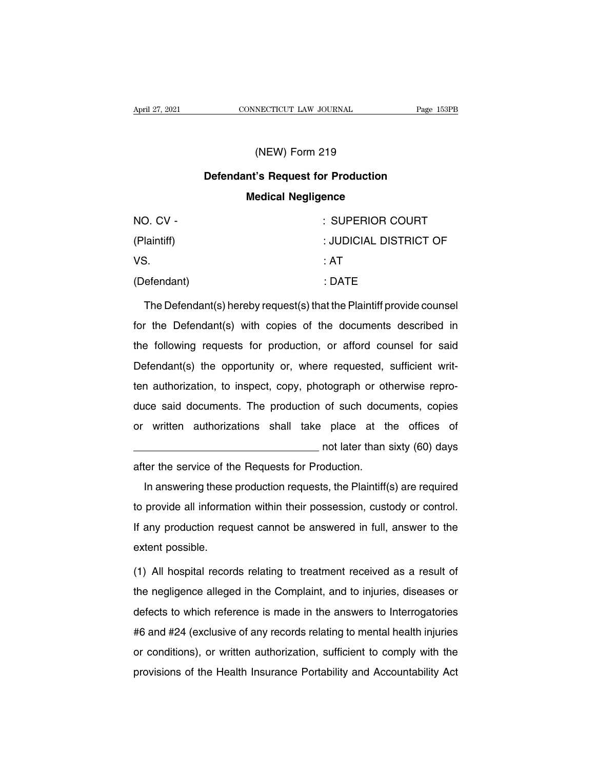## NECTICUT LAW JOURNAL<br>(NEW) Form 219<br>'s Request for Production **CONNECTICUT LAW JOURNAL** Page 153<br>
(NEW) Form 219<br> **Defendant's Request for Production<br>
Medical Negligence (NEW) Form 219<br>nt's Request for Production<br>Medical Negligence<br>COMPERIOR COMPERIOR COMPERIOR**

| (NEW) Form 219                                                        |                        |  |
|-----------------------------------------------------------------------|------------------------|--|
| <b>Defendant's Request for Production</b>                             |                        |  |
| <b>Medical Negligence</b>                                             |                        |  |
| NO. CV -                                                              | : SUPERIOR COURT       |  |
| (Plaintiff)                                                           | : JUDICIAL DISTRICT OF |  |
| VS.                                                                   | ∴AT                    |  |
| (Defendant)                                                           | : DATE                 |  |
| The Defendant(s) hereby request(s) that the Plaintiff provide counsel |                        |  |
| for the Defendant(s) with copies of the documents described in        |                        |  |

For the Defendant<br>(Defendant) (Defendant (s) hereby request(s) that the Plaintiff provide counsel<br>for the Defendant(s) with copies of the documents described in<br>the following requests for production, or afford counsel for (Defendant) : DATE<br>The Defendant(s) hereby request(s) that the Plaintiff provide counsel<br>for the Defendant(s) with copies of the documents described in<br>the following requests for production, or afford counsel for said<br>Defe The Defendant(s) hereby request(s) that the Plaintiff provide counsel<br>for the Defendant(s) with copies of the documents described in<br>the following requests for production, or afford counsel for said<br>Defendant(s) the opport The Defendant(s) nereby request(s) that the Framilii provide counser-<br>for the Defendant(s) with copies of the documents described in<br>the following requests for production, or afford counsel for said<br>Defendant(s) the opport duce said documents. The production, or afford counsel for said<br>Defendant(s) the opportunity or, where requested, sufficient writ-<br>ten authorization, to inspect, copy, photograph or otherwise repro-<br>duce said documents. Th Defendant(s) the opportunity or, where requested, sufficient writ-<br>ten authorization, to inspect, copy, photograph or otherwise repro-<br>duce said documents. The production of such documents, copies<br>or written authorizations or requested, samplem which<br>of such documents, copies<br>place at the offices of<br>not later than sixty (60) days<br>oduction. duce said documents. The production of such docu<br>or written authorizations shall take place at the<br>after the service of the Requests for Production.<br>In answering these production requests, the Plaintiff written authorizations shall take place at the offices of<br>not later than sixty (60) days<br>ter the service of the Requests for Production.<br>In answering these production requests, the Plaintiff(s) are required<br>provide all inf

In answering these production requests, the Plaintiff(s) are required<br>to provide all information within their possession, custody or control.<br>If any production request cannot be answered in full, answer to the If any production requests for Production.<br>In answering these production requests, the Plaintiff(s) are required<br>to provide all information within their possession, custody or control.<br>If any production request cannot be a In answering these<br>to provide all informa<br>If any production requestent possible.<br>(1) All hospital record to provide all information within their possession, custody or control.<br>If any production request cannot be answered in full, answer to the<br>extent possible.<br>(1) All hospital records relating to treatment received as a resu

If any production request cannot be answered in full, answer to the extent possible.<br>
(1) All hospital records relating to treatment received as a result of<br>
the negligence alleged in the Complaint, and to injuries, diseas extent possible.<br>
(1) All hospital records relating to treatment received as a result of<br>
the negligence alleged in the Complaint, and to injuries, diseases or<br>
defects to which reference is made in the answers to Interrog (1) All hospital records relating to treatment received as a result of<br>the negligence alleged in the Complaint, and to injuries, diseases or<br>defects to which reference is made in the answers to Interrogatories<br>#6 and #24 ( The negligence alleged in the Complaint, and to injuries, diseases or<br>defects to which reference is made in the answers to Interrogatories<br>#6 and #24 (exclusive of any records relating to mental health injuries<br>or conditio the negligence alleged in the Complaint, and to finances, diseases of<br>defects to which reference is made in the answers to Interrogatories<br>#6 and #24 (exclusive of any records relating to mental health injuries<br>or conditio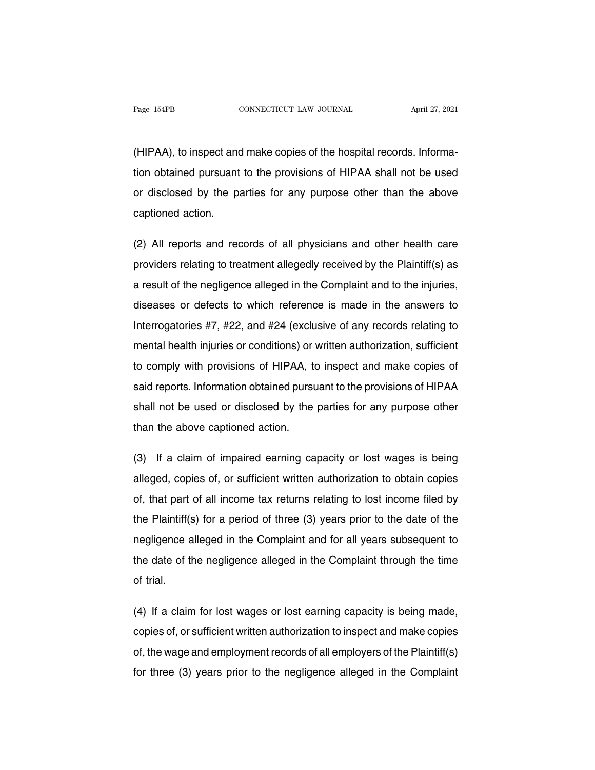Page 154PB<br>
CONNECTICUT LAW JOURNAL<br>
(HIPAA), to inspect and make copies of the hospital records. Informa-<br>
tion obtained pursuant to the provisions of HIPAA shall not be used The magnetic of the provisions of the provisions of HIPAA shall not be used<br>or disclosed by the parties for any purpose other than the above (HIPAA), to inspect and make copies of the hospital records. Informa-<br>tion obtained pursuant to the provisions of HIPAA shall not be used<br>or disclosed by the parties for any purpose other than the above<br>captioned action. (HIPAA), to inspect and<br>tion obtained pursuant<br>or disclosed by the pa<br>captioned action. tion obtained pursuant to the provisions of HIPAA shall not be used<br>or disclosed by the parties for any purpose other than the above<br>captioned action.<br>(2) All reports and records of all physicians and other health care<br>pro

or disclosed by the parties for any purpose other than the above<br>captioned action.<br>(2) All reports and records of all physicians and other health care<br>providers relating to treatment allegedly received by the Plaintiff(s) captioned action.<br>(2) All reports and records of all physicians and other health care<br>providers relating to treatment allegedly received by the Plaintiff(s) as<br>a result of the negligence alleged in the Complaint and to the (2) All reports and records of all physicians and other health care<br>providers relating to treatment allegedly received by the Plaintiff(s) as<br>a result of the negligence alleged in the Complaint and to the injuries,<br>disease providers relating to treatment allegedly received by the Plaintiff(s) as<br>a result of the negligence alleged in the Complaint and to the injuries,<br>diseases or defects to which reference is made in the answers to<br>Interroga mental of the negligence alleged in the Complaint and to the injuries, diseases or defects to which reference is made in the answers to Interrogatories #7, #22, and #24 (exclusive of any records relating to mental health i diseases or defects to which reference is made in the answers to<br>Interrogatories #7, #22, and #24 (exclusive of any records relating to<br>mental health injuries or conditions) or written authorization, sufficient<br>to comply w Interrogatories #7, #22, and #24 (exclusive of any records relating to<br>mental health injuries or conditions) or written authorization, sufficient<br>to comply with provisions of HIPAA, to inspect and make copies of<br>said repor mental health injuries or conditions) or written authorization, sufficient<br>to comply with provisions of HIPAA, to inspect and make copies of<br>said reports. Information obtained pursuant to the provisions of HIPAA<br>shall not to comply with provisions of HIPAA, to<br>said reports. Information obtained pursu<br>shall not be used or disclosed by the<br>than the above captioned action. said reports. Information obtained pursuant to the provisions of HIPAA<br>shall not be used or disclosed by the parties for any purpose other<br>than the above captioned action.<br>(3) If a claim of impaired earning capacity or los

shall not be used or disclosed by the parties for any purpose other<br>than the above captioned action.<br>(3) If a claim of impaired earning capacity or lost wages is being<br>alleged, copies of, or sufficient written authorizatio than the above captioned action.<br>
(3) If a claim of impaired earning capacity or lost wages is being<br>
alleged, copies of, or sufficient written authorization to obtain copies<br>
of, that part of all income tax returns relati (3) If a claim of impaired earning capacity or lost wages is being<br>alleged, copies of, or sufficient written authorization to obtain copies<br>of, that part of all income tax returns relating to lost income filed by<br>the Plain alleged, copies of, or sufficient written authorization to obtain copies<br>of, that part of all income tax returns relating to lost income filed by<br>the Plaintiff(s) for a period of three (3) years prior to the date of the<br>ne of, that part of all income tax returns relating to lost income filed by<br>the Plaintiff(s) for a period of three (3) years prior to the date of the<br>negligence alleged in the Complaint and for all years subsequent to<br>the dat of, that part of all income tax returns relating to lost income filed by<br>the Plaintiff(s) for a period of three (3) years prior to the date of the<br>negligence alleged in the Complaint and for all years subsequent to<br>the dat megligence alleged in the Complaint and for all years subsequent to<br>the date of the negligence alleged in the Complaint through the time<br>of trial.<br>(4) If a claim for lost wages or lost earning capacity is being made,<br>copie

the date of the negligence alleged in the Complaint through the time<br>of trial.<br>(4) If a claim for lost wages or lost earning capacity is being made,<br>copies of, or sufficient written authorization to inspect and make copies of trial.<br>(4) If a claim for lost wages or lost earning capacity is being made,<br>copies of, or sufficient written authorization to inspect and make copies<br>of, the wage and employment records of all employers of the Plaintif (4) If a claim for lost wages or lost earning capacity is being made, copies of, or sufficient written authorization to inspect and make copies of, the wage and employment records of all employers of the Plaintiff(s) for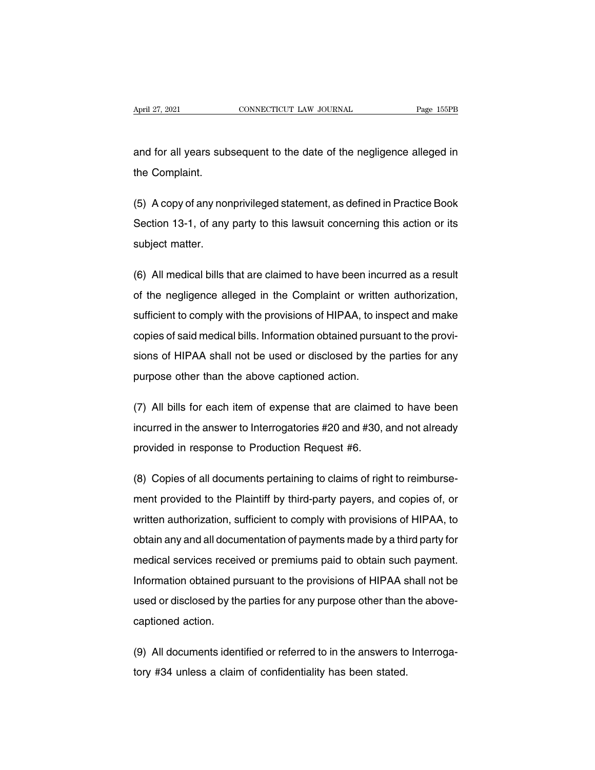April 27, 2021 CONNECTICUT LAW JOURNAL Page 155PB<br>and for all years subsequent to the date of the negligence alleged in<br>the Complaint. April 27, 2021<br>and for all years subt<br>the Complaint.

and for all years subsequent to the date of the negligence alleged in<br>the Complaint.<br>(5) A copy of any nonprivileged statement, as defined in Practice Book<br>Section 13-1, of any party to this lawsuit concerning this action and for all years subsequent to the date of the negligence alleged in<br>the Complaint.<br>(5) A copy of any nonprivileged statement, as defined in Practice Book<br>Section 13-1, of any party to this lawsuit concerning this action the Complaint.<br>
(5) A copy of any nonprivileged statement, as defined in Practice Book<br>
Section 13-1, of any party to this lawsuit concerning this action or its<br>
subject matter.<br>
(6) All medical bills that are claimed to h (5) A copy of any nonprivileged statement, as defined in Practice Book<br>Section 13-1, of any party to this lawsuit concerning this action or its<br>subject matter.<br>(6) All medical bills that are claimed to have been incurred a

Section 13-1, of any party to this lawsuit concerning this action or its<br>subject matter.<br>(6) All medical bills that are claimed to have been incurred as a result<br>of the negligence alleged in the Complaint or written author subject matter.<br>(6) All medical bills that are claimed to have been incurred as a result<br>of the negligence alleged in the Complaint or written authorization,<br>sufficient to comply with the provisions of HIPAA, to inspect an (6) All medical bills that are claimed to have been incurred as a result<br>of the negligence alleged in the Complaint or written authorization,<br>sufficient to comply with the provisions of HIPAA, to inspect and make<br>copies of of the negligence alleged in the Complaint or written authorization,<br>sufficient to comply with the provisions of HIPAA, to inspect and make<br>copies of said medical bills. Information obtained pursuant to the provi-<br>sions of sufficient to comply with the provisions of HIPAA, to insequence of said medical bills. Information obtained pursu<br>sions of HIPAA shall not be used or disclosed by the<br>purpose other than the above captioned action. copies of said medical bills. Information obtained pursuant to the provisions of HIPAA shall not be used or disclosed by the parties for any<br>purpose other than the above captioned action.<br>(7) All bills for each item of exp

sions of HIPAA shall not be used or disclosed by the parties for any<br>purpose other than the above captioned action.<br>(7) All bills for each item of expense that are claimed to have been<br>incurred in the answer to Interrogato purpose other than the above captioned action.<br>
(7) All bills for each item of expense that are claimed<br>
incurred in the answer to Interrogatories #20 and #30, a<br>
provided in response to Production Request #6. (7) All bills for each item of expense that are claimed to have been<br>incurred in the answer to Interrogatories #20 and #30, and not already<br>provided in response to Production Request #6.<br>(8) Copies of all documents pertain

incurred in the answer to Interrogatories #20 and #30, and not already<br>provided in response to Production Request #6.<br>(8) Copies of all documents pertaining to claims of right to reimburse-<br>ment provided to the Plaintiff b provided in response to Production Request #6.<br>(8) Copies of all documents pertaining to claims of right to reimbursement provided to the Plaintiff by third-party payers, and copies of, or written authorization, sufficient (8) Copies of all documents pertaining to claims of right to reimburse-<br>ment provided to the Plaintiff by third-party payers, and copies of, or<br>written authorization, sufficient to comply with provisions of HIPAA, to<br>obtai (c) copies or an assamble portaining to stamb or right to reimbarse<br>ment provided to the Plaintiff by third-party payers, and copies of, or<br>written authorization, sufficient to comply with provisions of HIPAA, to<br>obtain an Information provided to the Flamin by third party payore, and septies of, or<br>written authorization, sufficient to comply with provisions of HIPAA, to<br>obtain any and all documentation of payments made by a third party for<br>m which durionzation, samolont to comply with provisions of thirty to, to<br>obtain any and all documentation of payments made by a third party for<br>medical services received or premiums paid to obtain such payment.<br>Information medical services received<br>Information obtained pused or disclosed by the<br>captioned action. Information obtained pursuant to the provisions of HIPAA shall not be<br>used or disclosed by the parties for any purpose other than the above-<br>captioned action.<br>(9) All documents identified or referred to in the answers to I used or disclosed by the parties for any purpose other than<br>captioned action.<br>(9) All documents identified or referred to in the answers to<br>tory #34 unless a claim of confidentiality has been stated.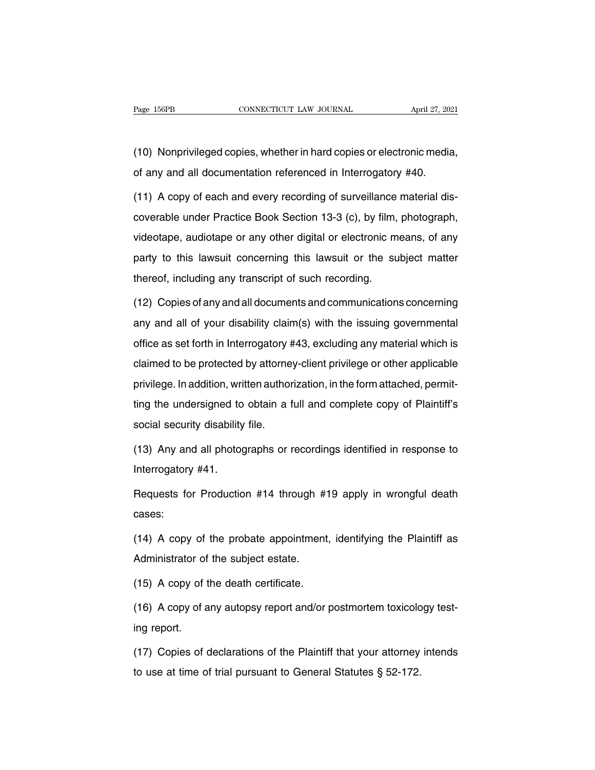Page 156PB CONNECTICUT LAW JOURNAL April 27, 2021<br>(10) Nonprivileged copies, whether in hard copies or electronic media,<br>of any and all documentation referenced in Interrogatory #40. Page 156PB CONNECTICUT LAW JOURNAL April 27, 202<br>
(10) Nonprivileged copies, whether in hard copies or electronic media<br>
of any and all documentation referenced in Interrogatory #40.<br>
(11) A copy of each and every recordin

(10) Nonprivileged copies, whether in hard copies or electronic media,<br>of any and all documentation referenced in Interrogatory #40.<br>(11) A copy of each and every recording of surveillance material dis-<br>coverable under Pra (10) Nonprivileged copies, whether in hard copies or electronic media,<br>of any and all documentation referenced in Interrogatory #40.<br>(11) A copy of each and every recording of surveillance material dis-<br>coverable under Pra of any and all documentation referenced in Interrogatory #40.<br>
(11) A copy of each and every recording of surveillance material dis-<br>
coverable under Practice Book Section 13-3 (c), by film, photograph,<br>
videotape, audiota (11) A copy of each and every recording of surveillance material dis-<br>coverable under Practice Book Section 13-3 (c), by film, photograph,<br>videotape, audiotape or any other digital or electronic means, of any<br>party to this thereof, including any transcript of such an above, the subsetion of the subsetion of the subsetion of the subsetion party to this lawsuit concerning this lawsuit or the subseteed, including any transcript of such recordin videotape, audiotape or any other digital or electronic means, of any<br>party to this lawsuit concerning this lawsuit or the subject matter<br>thereof, including any transcript of such recording.<br>(12) Copies of any and all docu

party to this lawsuit concerning this lawsuit or the subject matter<br>thereof, including any transcript of such recording.<br>(12) Copies of any and all documents and communications concerning<br>any and all of your disability cla thereof, including any transcript of such recording.<br>
(12) Copies of any and all documents and communications concerning<br>
any and all of your disability claim(s) with the issuing governmental<br>
office as set forth in Interr (12) Copies of any and all documents and communications concerning<br>any and all of your disability claim(s) with the issuing governmental<br>office as set forth in Interrogatory #43, excluding any material which is<br>claimed to any and all of your disability claim(s) with the issuing governmental<br>office as set forth in Interrogatory #43, excluding any material which is<br>claimed to be protected by attorney-client privilege or other applicable<br>privi office as set forth in Interrogatory #43, excluding any material which is<br>claimed to be protected by attorney-client privilege or other applicable<br>privilege. In addition, written authorization, in the form attached, permit since as section in interregately and<br>claimed to be protected by attorne<br>privilege. In addition, written author<br>ting the undersigned to obtain a f<br>social security disability file.<br>(13) Any and all photographs or privilege. In addition, written authorization, in the form attached, permitting the undersigned to obtain a full and complete copy of Plaintiff's social security disability file.<br>Social security disability file.<br>(13) Any a ting the undersigned to<br>social security disability<br>(13) Any and all photog<br>Interrogatory #41.<br>Requests for Productio

social security disability file.<br>(13) Any and all photographs or recordings identified in response to<br>Interrogatory #41.<br>Requests for Production #14 through #19 apply in wrongful death<br>cases: cases:

Interrogatory #41.<br>Requests for Production #14 through #19 apply in wrongful death<br>cases:<br>(14) A copy of the probate appointment, identifying the Plaintiff as<br>Administrator of the subject estate. Requests for Production #14 through #<br>cases:<br>(14) A copy of the probate appointment<br>Administrator of the subject estate.<br>(15) A copy of the death certificate. cases:<br>
(14) A copy of the probate appointment,<br>
Administrator of the subject estate.<br>
(15) A copy of the death certificate.<br>
(16) A copy of any autopsy report and/or i (14) A copy of the probate appointment, identifying the Plaintiff as<br>Administrator of the subject estate.<br>(15) A copy of the death certificate.<br>(16) A copy of any autopsy report and/or postmortem toxicology test-<br>ing repor

Administrator of<br>(15) A copy of t<br>(16) A copy of a<br>ing report.<br>(17) Copies of d (15) A copy of the death certificate.<br>
(16) A copy of any autopsy report and/or postmortem toxicology test-<br>
ing report.<br>
(17) Copies of declarations of the Plaintiff that your attorney intends<br>
to use at time of trial pu (16) A copy of any autopsy report and/or postmortem toxicolo<br>ing report.<br>(17) Copies of declarations of the Plaintiff that your attorney<br>to use at time of trial pursuant to General Statutes § 52-172.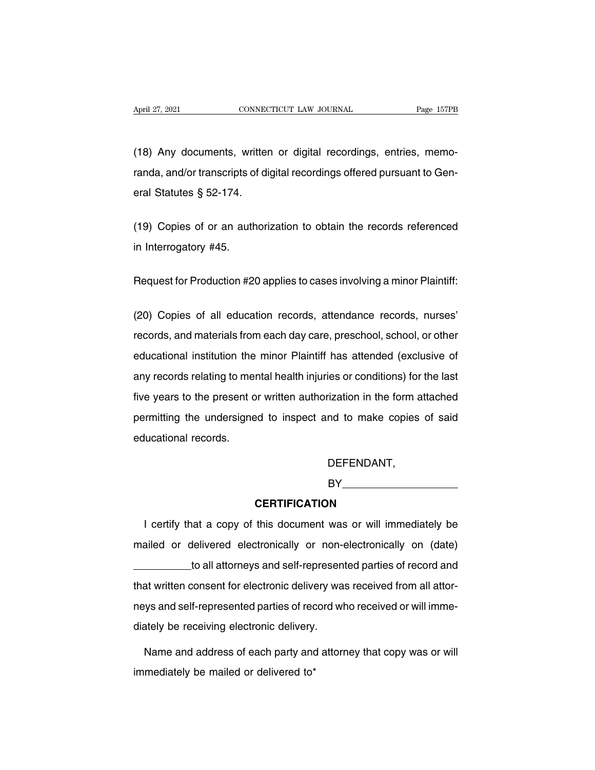April 27, 2021 CONNECTICUT LAW JOURNAL Page 157PB<br>(18) Any documents, written or digital recordings, entries, memo-<br>randa, and/or transcripts of digital recordings offered pursuant to Gen-Fage 157PB<br>(18) Any documents, written or digital recordings, entries, memo-<br>randa, and/or transcripts of digital recordings offered pursuant to Gen-<br>eral Statutes § 52-174. (18) Any documents, writter<br>
randa, and/or transcripts of di<br>
eral Statutes § 52-174. (18) Any documents, written or digital recordings, entries, memo-<br>randa, and/or transcripts of digital recordings offered pursuant to Gen-<br>eral Statutes § 52-174.<br>(19) Copies of or an authorization to obtain the records re randa, and/or transcripts o<br>eral Statutes § 52-174.<br>(19) Copies of or an auth<br>in Interrogatory #45.

(19) Copies of or an authorization to obtain the records referenced<br>in Interrogatory #45.<br>Request for Production #20 applies to cases involving a minor Plaintiff:

in Interrogatory #45.<br>Request for Production #20 applies to cases involving a minor Plaintiff:<br>(20) Copies of all education records, attendance records, nurses'<br>records, and materials from each day care, preschool, school, Request for Production #20 applies to cases involving a minor Plaintiff:<br>(20) Copies of all education records, attendance records, nurses'<br>records, and materials from each day care, preschool, school, or other<br>educational Request for Production #20 applies to cases involving a minor Plaintiff:<br>(20) Copies of all education records, attendance records, nurses'<br>records, and materials from each day care, preschool, school, or other<br>educational (20) Copies of all education records, attendance records, nurses'<br>records, and materials from each day care, preschool, school, or other<br>educational institution the minor Plaintiff has attended (exclusive of<br>any records re five years of the minor plaintiff has attended (exclusive of any records, and materials from each day care, preschool, school, or other educational institution the minor Plaintiff has attended (exclusive of any records rel permitting the undersigned to inspect and to make copies of said<br>educational institution the minor Plaintiff has attended (exclusive of<br>any records relating to mental health injuries or conditions) for the last<br>five years educational institution the minor Plaintiff has attended (exclusive of any records relating to mental health injuries or conditions) for the last five years to the present or written authorization in the form attached perm

DEFENDANT,

BY<sub>D</sub>

#### **CERTIFICATION**

DEFENDANT,<br>
BY<br> **CERTIFICATION**<br>
I certify that a copy of this document was or will immediately be<br>
ailed or delivered electronically or non-electronically on (date) BY<br>
BY<br>
CERTIFICATION<br>
I certify that a copy of this document was or will immediately be<br>
mailed or delivered electronically or non-electronically on (date)<br>
to all attorneys and self-represented parties of record and **CERTIFICATION**<br>at a copy of this document was or will immediately be<br>delivered electronically or non-electronically on (date)<br>to all attorneys and self-represented parties of record and<br>consent for electronic delivery was I certify that a copy of this document was or will immediately be<br>mailed or delivered electronically or non-electronically on (date)<br>to all attorneys and self-represented parties of record and<br>that written consent for elec next a copy of the document masks of the immediately be<br>mailed or delivered electronically or non-electronically on (date)<br>to all attorneys and self-represented parties of record and<br>that written consent for electronic del to all attorneys and self-representhat written consent for electronic delivery was<br>neys and self-represented parties of record with diately be receiving electronic delivery.<br>Name and address of each party and attorn at written consent for electronic delivery was received from all attor-<br>ys and self-represented parties of record who received or will imme-<br>ately be receiving electronic delivery.<br>Name and address of each party and attorn neys and self-represented parties of recelving electronic delivery.<br>
Name and address of each party and<br>
immediately be mailed or delivered to\*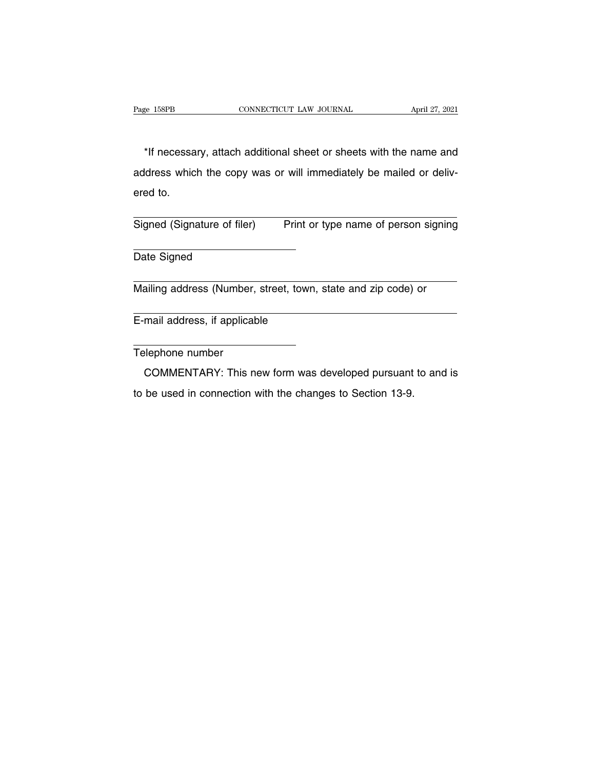EXEMBER ENGINEED CONNECTICUT LAW JOURNAL April 27, 2021<br>
The interessary, attach additional sheet or sheets with the name and<br>
Interess which the copy was or will immediately be mailed or deliv-Page 158PB CONNECTICUT LAW JOURNAL April 27, 2021<br>
\*If necessary, attach additional sheet or sheets with the name and<br>
address which the copy was or will immediately be mailed or deliv-<br>
ered to. \*If necessa<br>address whic<br>ered to. \*If necessary, attach additional sheet or sheets with the name and<br>address which the copy was or will immediately be mailed or deliv-<br>ered to.<br>Signed (Signature of filer) Print or type name of person signing address which the copy was or will immediately be mailed or delivered to.<br>
Signed (Signature of filer) Print or type name of person signing<br>
Date Signed

Signed (Signature of filer) Print or type name of person signing<br>
Date Signed<br>
Mailing address (Number, street, town, state and zip code) or

Mailing address (Number, street, town, state and zip code) or<br>
E-mail address, if applicable<br>
Telephone number

E-mail address, if applicable

mail address, if applicable<br>
elephone number<br>
COMMENTARY: This new form was developed pursuant to and is<br>
be used in connection with the changes to Section 13-9. COMMENTARY: This new form was developed pursuant to and is to be used in connection with the changes to Section 13-9.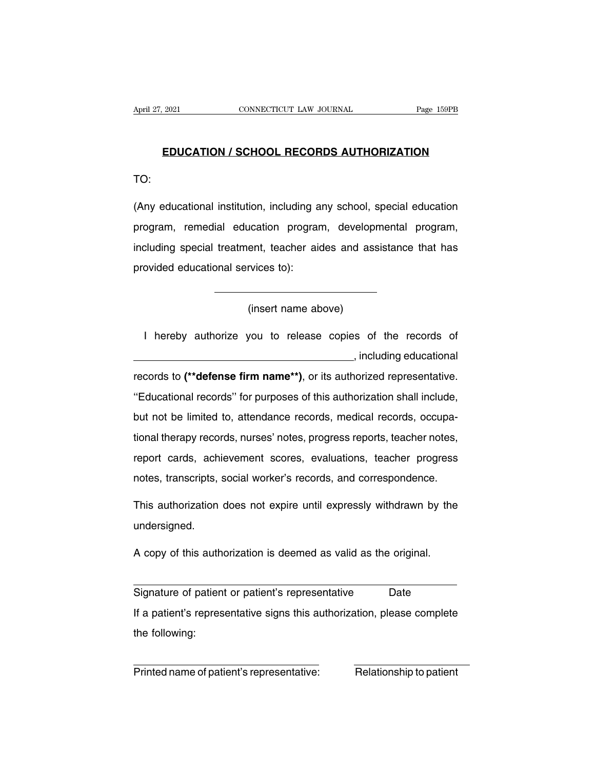# **EDUCATION / SCHOOL RECORDS AUTHORIZATION**

TO:

EDUCATION / SCHOOL RECORDS AUTHORIZATION<br>TO:<br>(Any educational institution, including any school, special education<br>program, remedial education program, developmental program, EDUCATION / SCHOOL RECORDS AUTHORIZATION<br>TO:<br>(Any educational institution, including any school, special education<br>program, remedial education program, developmental program,<br>including special treatment, teacher aides and TO:<br>(Any educational institution, including any school, special education<br>program, remedial education program, developmental program,<br>including special treatment, teacher aides and assistance that has<br>provided educational (Any educational institution, including a<br>program, remedial education program<br>including special treatment, teacher air<br>provided educational services to): ent, teacher aides and associated above)<br>ent, teacher aides and associated as<br>(insert name above)

I hereby authorize you to release copies of the records of , including educational (insert name above)<br>
1 hereby authorize you to release copies of the records of<br>
..., including educational<br>
records to (\*\*defense firm name\*\*), or its authorized representative.<br>
"Educational records" for purposes of this ''Educational records'' for purposes of this authorization shall include, but not be limited to, attendance records, medical records to (\*\*defense firm name\*\*), or its authorized representative.<br>"Educational records" for purposes of this authorization shall include,<br>but not be limited to, attend records to (\*\*defense firm name\*\*), or its authorized representative.<br>
"Educational records" for purposes of this authorization shall include,<br>
but not be limited to, attendance records, medical records, occupa-<br>
tional th "Educational records" for purposes of this authorization shall include,<br>but not be limited to, attendance records, medical records, occupa-<br>tional therapy records, nurses' notes, progress reports, teacher notes,<br>report car but not be limited to, attendance records, medical records, occupational therapy records, nurses' notes, progress reports, teacher notes, report cards, achievement scores, evaluations, teacher progress notes, transcripts, tional therapy records, nurses' notes, progress reports, teacher notes, report cards, achievement scores, evaluations, teacher progress<br>notes, transcripts, social worker's records, and correspondence.<br>This authorization do

undersigned. notes, transcripts, social worker's records, and correspondence.<br>This authorization does not expire until expressly withdrawn by the<br>undersigned.<br>A copy of this authorization is deemed as valid as the original.

undersigned.<br>A copy of this authorization is deemed as valid as the original.<br>Signature of patient or patient's representative Date<br>If a patient's representative signs this authorization, please complete If a patient's representative signs this authorization, please complete<br>
If a patient's representative signs this authorization, please complete<br>
If a patient's representative signs this authorization, please complete<br>
the A copy of this authorization is deemed as valid as the original.<br>
Signature of patient or patient's representative Date<br>
If a patient's representative signs this authorization, please complete<br>
the following: Bighature of patient of patient's representative<br>
If a patient's representative signs this authorization, please complete<br>
the following:<br>
Printed name of patient's representative:<br>
Relationship to patient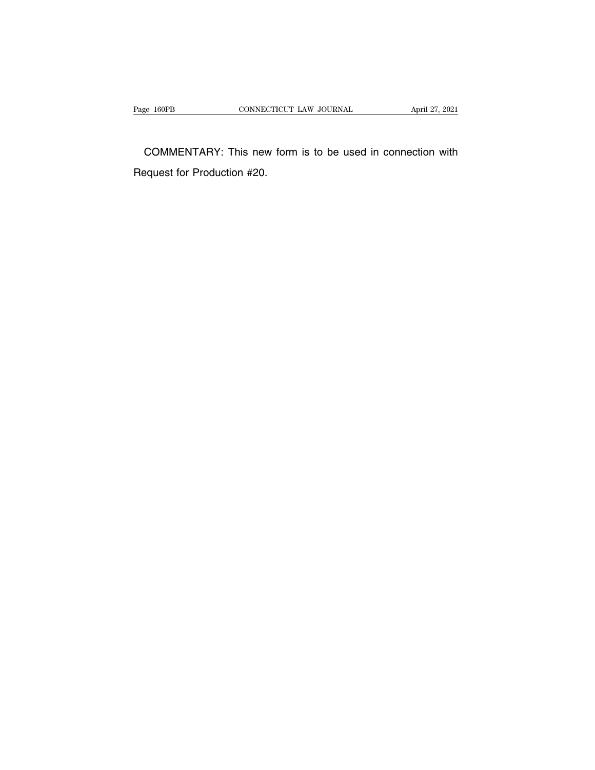Page 160PB CONNECTICUT LAW JOURNAL April 27, 2021<br>COMMENTARY: This new form is to be used in connection with Request for Production #20.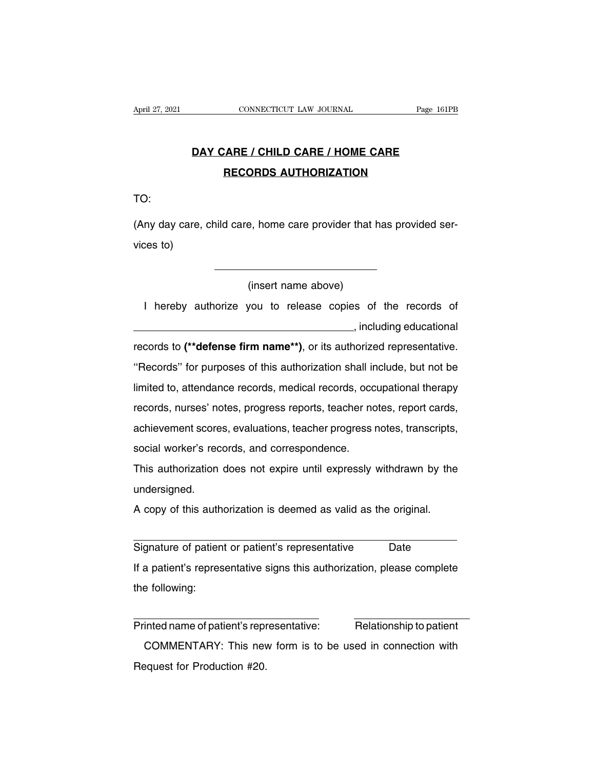# **CONNECTICUT LAW JOURNAL** Page 161PB<br> **DAY CARE / CHILD CARE / HOME CARE**<br>
RECORDS AUTHORIZATION **CONNECTICUT LAW JOURNAL** Page<br> **RECORDS AUTHORIZATION**

TO:

DAY CARE / CHILD CARE / HOME CARE<br>RECORDS AUTHORIZATION<br>TO:<br>(Any day care, child care, home care provider that has provided ser-<br>vices to) TO:<br>(Any day care,<br>vices to) e, home care provider that<br>(insert name above)<br>you to release copies of

I hereby authorize you to release copies of the records of ordex the records of<br>
including educational<br>
incrized representative. (insert name above)<br>
I hereby authorize you to release copies of the records of<br>
..., including educational<br>
records to (\*\*defense firm name\*\*), or its authorized representative.<br>
"Records" for purposes of this authorizati I hereby authorize you to release copies of the records of<br>
, including educational<br>
records to (\*\*defense firm name\*\*), or its authorized representative.<br>
"Records" for purposes of this authorization shall include, but no Indical you to heliade replied of the hedded of<br>Including educational<br>records to (\*\*defense firm name\*\*), or its authorized representative.<br>"Records" for purposes of this authorization shall include, but not be<br>limited to, records to (\*\*defense firm name\*\*), or its authorized representative.<br>
"Records" for purposes of this authorization shall include, but not be<br>
limited to, attendance records, medical records, occupational therapy<br>
records, records to (**acteries in manne** ), or its datitionzed representative.<br>
"Records" for purposes of this authorization shall include, but not be<br>
limited to, attendance records, medical records, occupational therapy<br>
records, "Records" for purposes of this authorization shall include, but not be<br>limited to, attendance records, medical records, occupational therapy<br>records, nurses' notes, progress reports, teacher notes, report cards,<br>achievemen minica to, anonaanso records, mealear records, eccupational inclupy<br>records, nurses' notes, progress reports, teacher notes, report cards,<br>achievement scores, evaluations, teacher progress notes, transcripts,<br>social worker

undersigned. A copy of this authorization is deemed as valid as the original.<br>A copy of this authorization does not expire until expressly withdrawn by the undersigned.<br>A copy of this authorization is deemed as valid as the original.

This authorization does not expire until expressly withdrawn by the<br>undersigned.<br>A copy of this authorization is deemed as valid as the original.<br>Signature of patient or patient's representative Date<br>If a patient's represe A copy of this authorization is deemed as valid as the original.<br>Signature of patient or patient's representative Date<br>If a patient's representative signs this authorization, please complete<br>the following: A copy of this auth<br>Signature of patien<br>If a patient's repres<br>the following: Signature of patient or patient s representative<br>
If a patient's representative signs this authorization, please complete<br>
the following:<br>
Printed name of patient's representative:<br>
COMMENTARY: This new form is to be used

a patient's representative signs this authorization, please complete<br>
e following:<br>
inted name of patient's representative:<br>
COMMENTARY: This new form is to be used in connection with<br>
equest for Production #20. the following:<br>
Printed name of patient's representative:<br>
COMMENTARY: This new form is to be used in connection with<br>
Request for Production #20.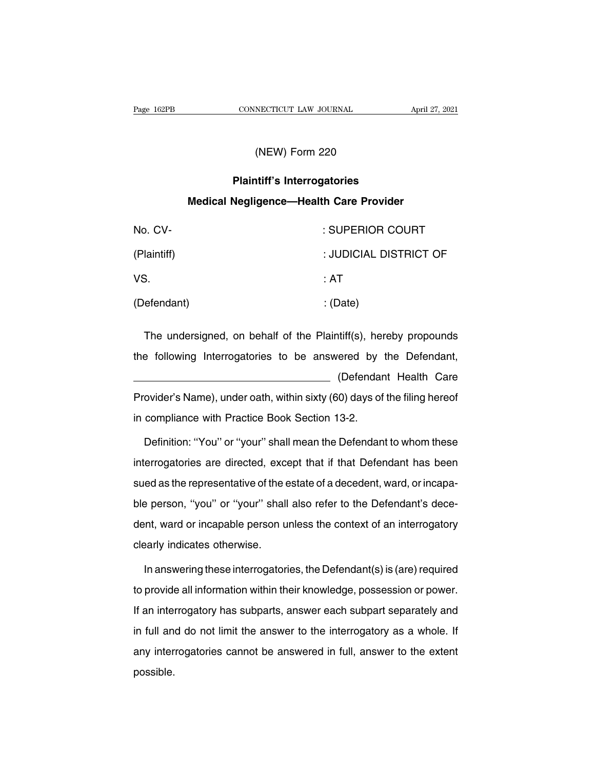# NECTICUT LAW JOURNAL<br>(NEW) Form 220<br>ht:ff: Interrectaries

# **PRONTE CONNECTICUT LAW JOURNAL**<br>
(NEW) Form 220<br> **Plaintiff's Interrogatories<br>
Negligence—Health Care Provider MEW) Form 220<br>
Plaintiff's Interrogatories<br>
Medical Negligence—Health Care Provider**

| (INEW) FORM 220                                                  |                        |  |  |  |
|------------------------------------------------------------------|------------------------|--|--|--|
| <b>Plaintiff's Interrogatories</b>                               |                        |  |  |  |
| <b>Medical Negligence-Health Care Provider</b>                   |                        |  |  |  |
| No. CV-                                                          | : SUPERIOR COURT       |  |  |  |
| (Plaintiff)                                                      | : JUDICIAL DISTRICT OF |  |  |  |
| VS.                                                              | : AT                   |  |  |  |
| (Defendant)                                                      | : (Date)               |  |  |  |
| The undersigned, on behalf of the Plaintiff(s), hereby propounds |                        |  |  |  |
| the following Interrogatories to be answered by the Defendant,   |                        |  |  |  |

The undersigned, on behalf of the Plaintiff(s), hereby propounds<br>the following Interrogatories to be answered by the Defendant,<br>(Defendant Health Care )<br>2016 (1997)<br>The propounds<br>The Defendant Health Care<br>19 (2016)<br>Care days of the filing here<br>of the filing here<br>of The undersigned, on behalf of the Plaintiff(s), hereby propounds<br>the following Interrogatories to be answered by the Defendant,<br>
(Defendant Health Care<br>
Provider's Name), under oath, within sixty (60) days of the filing he in compliance with Practice Book Section 13-2.<br>Defendance with Practice Book Section 13-2.<br>Definition: "You" or "your" shall mean the Defendance (Defendant Health Care<br>
ovider's Name), under oath, within sixty (60) days of the filing hereof<br>
compliance with Practice Book Section 13-2.<br>
Definition: "You" or "your" shall mean the Defendant to whom these<br>
errogatories

Provider's Name), under oath, within sixty (60) days of the filing hereof<br>in compliance with Practice Book Section 13-2.<br>Definition: "You" or "your" shall mean the Defendant to whom these<br>interrogatories are directed, exce in compliance with Practice Book Section 13-2.<br>Definition: "You" or "your" shall mean the Defendant to whom these<br>interrogatories are directed, except that if that Defendant has been<br>sued as the representative of the estat Definition: "You" or "your" shall mean the Defendant to whom these<br>interrogatories are directed, except that if that Defendant has been<br>sued as the representative of the estate of a decedent, ward, or incapa-<br>ble person, " interrogatories are directed, except that if that Defendant has been<br>sued as the representative of the estate of a decedent, ward, or incapa-<br>ble person, "you" or "your" shall also refer to the Defendant's dece-<br>dent, ward ments gatenes are allested, shelf<br>sued as the representative of the  $\epsilon$ <br>ble person, "you" or "your" shall<br>dent, ward or incapable person u<br>clearly indicates otherwise.<br>In answering these interroatori In answering these interrogatories, the Defendant is decent, ward or incapable person unless the context of an interrogatory<br>Parity indicates otherwise.<br>In answering these interrogatories, the Defendant(s) is (are) require

dent, ward or incapable person unless the context of an interrogatory<br>clearly indicates otherwise.<br>In answering these interrogatories, the Defendant(s) is (are) required<br>to provide all information within their knowledge, p clearly indicates otherwise.<br>In answering these interrogatories, the Defendant(s) is (are) required<br>to provide all information within their knowledge, possession or power.<br>If an interrogatory has subparts, answer each subp In answering these interrogatories, the Defendant(s) is (are) required<br>to provide all information within their knowledge, possession or power.<br>If an interrogatory has subparts, answer each subpart separately and<br>in full an any interrogatories cannot be answered in full, answer to the extent<br>possible.<br>If an interrogatory has subparts, answer each subpart separately and<br>in full and do not limit the answer to the interrogatory as a whole. If<br>an possible.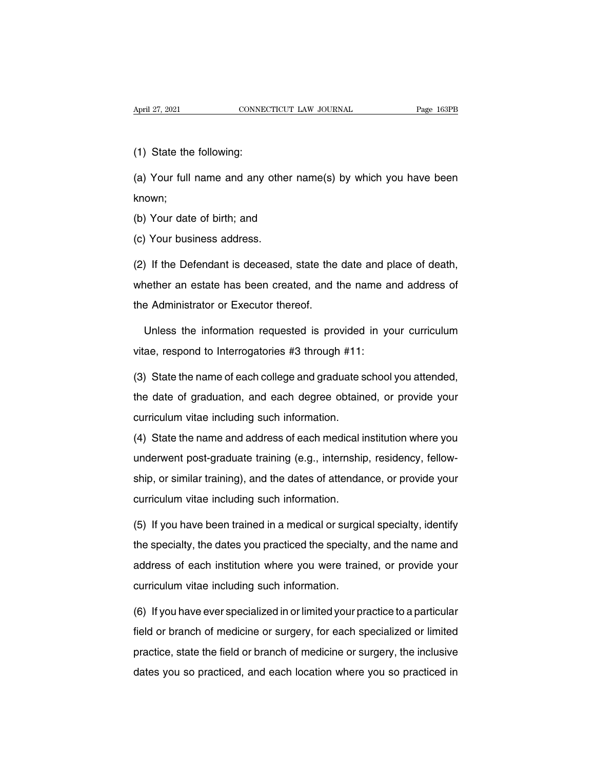April 27, 2021<br>
(1) State the following:<br>
(a) Your full name and any

April 27, 2021 CONNECTICUT LAW JOURNAL Page 163PB<br>
(1) State the following:<br>
(a) Your full name and any other name(s) by which you have been<br>
known; known; (1) State the following:<br>(a) Your full name and any other nar<br>known;<br>(b) Your date of birth; and<br>(c) Your business address. (a) Your full name and any othe<br>known;<br>(b) Your date of birth; and<br>(c) Your business address.<br>(2) If the Defendant is deceased

known;<br>(b) Your date of birth; and<br>(c) Your business address.<br>(2) If the Defendant is deceased, state the date and place of death,<br>whether an estate has been created, and the name and address of (b) Your date of birth; and<br>(c) Your business address.<br>(2) If the Defendant is deceased, state the date and place of death,<br>whether an estate has been created, and the name and address of<br>the Administrator or Executor ther (c) Your business address.<br>
(2) If the Defendant is deceased, state the<br>
whether an estate has been created, and t<br>
the Administrator or Executor thereof.<br>
Unless the information requested is pro If the Defendant is deceased, state the date and place of death,<br>nether an estate has been created, and the name and address of<br>a Administrator or Executor thereof.<br>Unless the information requested is provided in your curr whether an estate has been created, and the name a<br>the Administrator or Executor thereof.<br>Unless the information requested is provided in youtae, respond to Interrogatories #3 through #11:<br>(3) State the name of each colleg

the Administrator or Executor thereof.<br>
Unless the information requested is provided in your curriculum<br>
vitae, respond to Interrogatories #3 through #11:<br>
(3) State the name of each college and graduate school you attende

Unless the information requested is provided in your curriculum<br>vitae, respond to Interrogatories #3 through #11:<br>(3) State the name of each college and graduate school you attended,<br>the date of graduation, and each degree vitae, respond to Interrogatories #3 through #11:<br>(3) State the name of each college and graduate s<br>the date of graduation, and each degree obtaine<br>curriculum vitae including such information.<br>(4) State the name and addres (3) State the name of each college and graduate school you attended,<br>the date of graduation, and each degree obtained, or provide your<br>curriculum vitae including such information.<br>(4) State the name and address of each med

(c) date the hame of dadi bondge and graduate concer you attended,<br>the date of graduation, and each degree obtained, or provide your<br>curriculum vitae including such information.<br>(4) State the name and address of each medic ship, and the date of graduation, and called dividends of provide your<br>curriculum vitae including such information.<br>(4) State the name and address of each medical institution where you<br>underwent post-graduate training (e.g (4) State the name and address of each medical is<br>underwent post-graduate training (e.g., internship<br>ship, or similar training), and the dates of attendar<br>curriculum vitae including such information.<br>(5) If you have been t underwent post-graduate training (e.g., internship, residency, fellow-<br>ship, or similar training), and the dates of attendance, or provide your<br>curriculum vitae including such information.<br>(5) If you have been trained in a

ship, or similar training), and the dates of attendance, or provide your<br>curriculum vitae including such information.<br>(5) If you have been trained in a medical or surgical specialty, identify<br>the specialty, the dates you p curriculum vitae including such information.<br>(5) If you have been trained in a medical or surgical specialty, identify<br>the specialty, the dates you practiced the specialty, and the name and<br>address of each institution wher (5) If you have been trained in a medical or surgical specialty, identify<br>the specialty, the dates you practiced the specialty, and the name and<br>address of each institution where you were trained, or provide your<br>curriculu the specialty, the dates you practiced the specialty, and the name and<br>address of each institution where you were trained, or provide your<br>curriculum vitae including such information.<br>(6) If you have ever specialized in or

address of each institution where you were trained, or provide your<br>curriculum vitae including such information.<br>(6) If you have ever specialized in or limited your practice to a particular<br>field or branch of medicine or s curriculum vitae including such information.<br>(6) If you have ever specialized in or limited your practice to a particular<br>field or branch of medicine or surgery, for each specialized or limited<br>practice, state the field or (6) If you have ever specialized in or limited your practice to a particular<br>field or branch of medicine or surgery, for each specialized or limited<br>practice, state the field or branch of medicine or surgery, the inclusive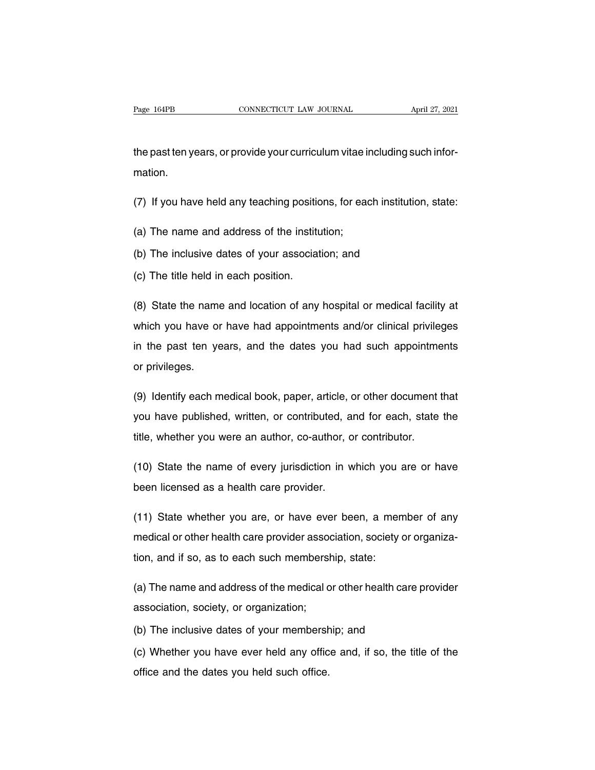the past ten years, or provide your curriculum vitae including such information. (7) If you have held any teaching positions, for each institution, state: Ine past ten years, or provide your curriculum vitae in<br>mation.<br>(7) If you have held any teaching positions, for ead<br>(a) The name and address of the institution;<br>(b) The inclusive dates of your association; and

(7) If you have held any teaching positions, for each institution;<br>(a) The name and address of the institution;<br>(b) The inclusive dates of your association; and<br>(c) The title held in each position. (7) If you have held any teaching position (a) The name and address of the institute (b) The inclusive dates of your association.

- 
- 
- 

(a) The name and address of the institution;<br>
(b) The inclusive dates of your association; and<br>
(c) The title held in each position.<br>
(8) State the name and location of any hospital or medical facility at<br>
which you have o (b) The inclusive dates of your association; and<br>
(c) The title held in each position.<br>
(8) State the name and location of any hospital or medical facility at<br>
which you have or have had appointments and/or clinical privil (c) The title held in each position.<br>
(8) State the name and location of any hospital or medical facility at<br>
which you have or have had appointments and/or clinical privileges<br>
in the past ten years, and the dates you had (8) State the name<br>which you have or<br>in the past ten ye<br>or privileges. which you have or have had appointments and/or clinical privileges<br>in the past ten years, and the dates you had such appointments<br>or privileges.<br>(9) Identify each medical book, paper, article, or other document that<br>you ha

in the past ten years, and the dates you had such appointments<br>or privileges.<br>(9) Identify each medical book, paper, article, or other document that<br>you have published, written, or contributed, and for each, state the<br>titl therefore privileges.<br>
(9) Identify each medical book, paper, article, or other document to<br>
you have published, written, or contributed, and for each, state<br>
title, whether you were an author, co-author, or contributor. (9) Identify each medical book, paper, article, or other document that<br>you have published, written, or contributed, and for each, state the<br>title, whether you were an author, co-author, or contributor.<br>(10) State the name between licensed, written, or contributed, a<br>title, whether you were an author, co-author, co<br>(10) State the name of every jurisdiction in v<br>been licensed as a health care provider.

(10) State the name of every jurisdiction in which you are or have<br>been licensed as a health care provider.<br>(11) State whether you are, or have ever been, a member of any<br>medical or other health care provider association, (10) State the name of every jurisdiction in which you are or have<br>been licensed as a health care provider.<br>(11) State whether you are, or have ever been, a member of any<br>medical or other health care provider association, been licensed as a health care provider.<br>
(11) State whether you are, or have ever been, a men<br>
medical or other health care provider association, society<br>
tion, and if so, as to each such membership, state: (11) State whether you are, or have ever been, a member of any<br>medical or other health care provider association, society or organiza-<br>tion, and if so, as to each such membership, state:<br>(a) The name and address of the med medical or other health care provider assoction, and if so, as to each such membersh<br>(a) The name and address of the medical of<br>association, society, or organization;<br>(b) The inclusive dates of your membersh

tion, and if so, as to each such membership, state:<br>
(a) The name and address of the medical or other health care<br>
association, society, or organization;<br>
(b) The inclusive dates of your membership; and<br>
(c) Whether you ha (a) The name and address of the medical or other health care provider<br>association, society, or organization;<br>(b) The inclusive dates of your membership; and<br>(c) Whether you have ever held any office and, if so, the title o

association, society, or organization;<br>(b) The inclusive dates of your membersh<br>(c) Whether you have ever held any office<br>office and the dates you held such office.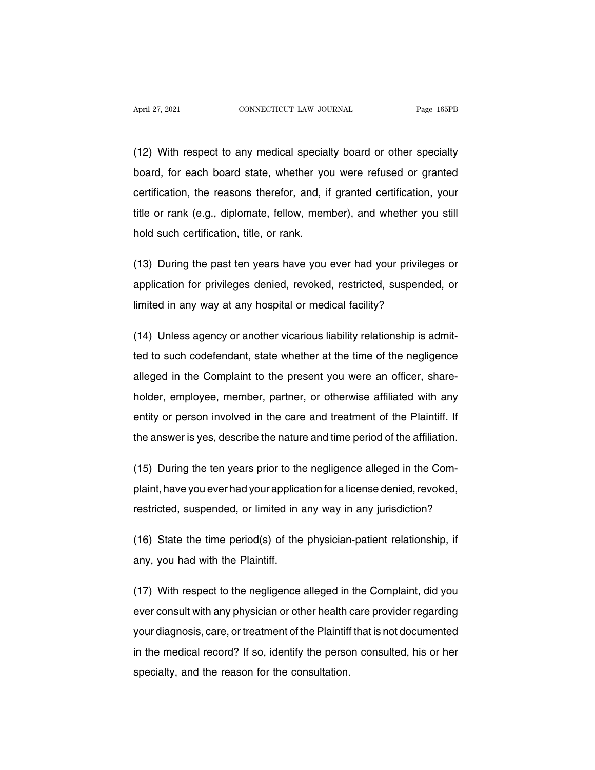April 27, 2021 CONNECTICUT LAW JOURNAL Page 165PB<br>
(12) With respect to any medical specialty board or other specialty<br>
board, for each board state, whether you were refused or granted April 27, 2021 CONNECTICUT LAW JOURNAL Page 165PB<br>
(12) With respect to any medical specialty board or other specialty<br>
board, for each board state, whether you were refused or granted<br>
certification, the reasons therefor, (12) With respect to any medical specialty board or other specialty<br>board, for each board state, whether you were refused or granted<br>certification, the reasons therefor, and, if granted certification, your<br>title or rank (e (12) With respect to any medical specialty board or other specialty<br>board, for each board state, whether you were refused or granted<br>certification, the reasons therefor, and, if granted certification, your<br>title or rank (e hold such certification, the reasons therefor, and, if<br>title or rank (e.g., diplomate, fellow, mem<br>hold such certification, title, or rank. certification, the reasons therefor, and, if granted certification, your<br>title or rank (e.g., diplomate, fellow, member), and whether you still<br>hold such certification, title, or rank.<br>(13) During the past ten years have y

itile or rank (e.g., diplomate, fellow, member), and whether you still<br>hold such certification, title, or rank.<br>(13) During the past ten years have you ever had your privileges or<br>application for privileges denied, revoked hold such certification, title, or rank.<br>
(13) During the past ten years have you ever had your privilege<br>
application for privileges denied, revoked, restricted, suspended<br>
limited in any way at any hospital or medical fa (13) During the past ten years have you ever had your privileges or<br>application for privileges denied, revoked, restricted, suspended, or<br>limited in any way at any hospital or medical facility?<br>(14) Unless agency or anothe

application for privileges denied, revoked, restricted, suspended, or<br>limited in any way at any hospital or medical facility?<br>(14) Unless agency or another vicarious liability relationship is admit-<br>ted to such codefendant limited in any way at any hospital or medical facility?<br>(14) Unless agency or another vicarious liability relationship is admit-<br>ted to such codefendant, state whether at the time of the negligence<br>alleged in the Complaint (14) Unless agency or another vicarious liability relationship is admitted to such codefendant, state whether at the time of the negligence alleged in the Complaint to the present you were an officer, share-holder, employe entity is an entity following in district that the time of the negligence alleged in the Complaint to the present you were an officer, shareholder, employee, member, partner, or otherwise affiliated with any entity or pers alleged in the Complaint to the present you were an officer, share-<br>holder, employee, member, partner, or otherwise affiliated with any<br>entity or person involved in the care and treatment of the Plaintiff. If<br>the answer is holder, employee, member, partner, or otherwise affiliated with any<br>entity or person involved in the care and treatment of the Plaintiff. If<br>the answer is yes, describe the nature and time period of the affiliation.<br>(15) D

entity or person involved in the care and treatment of the Plaintiff. If<br>the answer is yes, describe the nature and time period of the affiliation.<br>(15) During the ten years prior to the negligence alleged in the Com-<br>plai the answer is yes, describe the nature and time period of the affiliation.<br>
(15) During the ten years prior to the negligence alleged in the Com-<br>
plaint, have you ever had your application for a license denied, revoked,<br> (15) During the ten years prior to the negligence alleged in the Com-<br>plaint, have you ever had your application for a license denied, revoked,<br>restricted, suspended, or limited in any way in any jurisdiction?<br>(16) State t

restricted, suspended, or limited in any way in any jurisdiction?<br>
(16) State the time period(s) of the physician-patient relationship, if<br>
any, you had with the Plaintiff.<br>
(17) With respect to the negligence alleged in t

(16) State the time period(s) of the physician-patient relationship, if<br>any, you had with the Plaintiff.<br>(17) With respect to the negligence alleged in the Complaint, did you<br>ever consult with any physician or other health (16) State the time period(s) of the physician-patient relationship, if<br>any, you had with the Plaintiff.<br>(17) With respect to the negligence alleged in the Complaint, did you<br>ever consult with any physician or other health any, you had with the Plaintiff.<br>(17) With respect to the negligence alleged in the Complaint, did you<br>ever consult with any physician or other health care provider regarding<br>your diagnosis, care, or treatment of the Plain (17) With respect to the negligence alleged in the Complaint, did you<br>ever consult with any physician or other health care provider regarding<br>your diagnosis, care, or treatment of the Plaintiff that is not documented<br>in th specialt with any physician or other health of the reason for the Plaintiff in the medical record? If so, identify the perso specialty, and the reason for the consultation.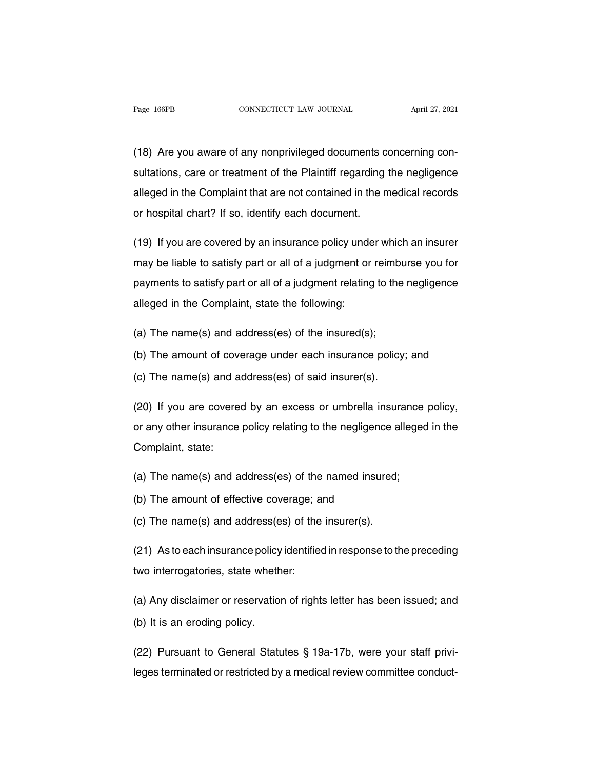Page 166PB<br>
CONNECTICUT LAW JOURNAL April 27, 2021<br>
(18) Are you aware of any nonprivileged documents concerning con-<br>
sultations, care or treatment of the Plaintiff regarding the negligence Fage 166PB CONNECTICUT LAW JOURNAL April 27, 2021<br>
(18) Are you aware of any nonprivileged documents concerning consultations, care or treatment of the Plaintiff regarding the negligence<br>
alleged in the Complaint that are (18) Are you aware of any nonprivileged documents concerning consultations, care or treatment of the Plaintiff regarding the negligence alleged in the Complaint that are not contained in the medical records or hospital cha (18) Are you aware of any nonprivileged documents c<br>sultations, care or treatment of the Plaintiff regarding<br>alleged in the Complaint that are not contained in the r<br>or hospital chart? If so, identify each document. sultations, care or treatment of the Plaintiff regarding the negligence<br>alleged in the Complaint that are not contained in the medical records<br>or hospital chart? If so, identify each document.<br>(19) If you are covered by an

alleged in the Complaint that are not contained in the medical records<br>or hospital chart? If so, identify each document.<br>(19) If you are covered by an insurance policy under which an insurer<br>may be liable to satisfy part o or hospital chart? If so, identify each document.<br>
(19) If you are covered by an insurance policy under which an insurer<br>
may be liable to satisfy part or all of a judgment or reimburse you for<br>
payments to satisfy part or (19) If you are covered by an insurance policy under<br>may be liable to satisfy part or all of a judgment or<br>payments to satisfy part or all of a judgment relating<br>alleged in the Complaint, state the following: may be liable to satisfy part or all of a judgment or reimbrew payments to satisfy part or all of a judgment relating to the alleged in the Complaint, state the following:<br>(a) The name(s) and address(es) of the insured(s); payments to satisfy part or all of a judgment relating to the negligence<br>alleged in the Complaint, state the following:<br>(a) The name(s) and address(es) of the insurance policy; and<br>(c) The name(s) and address(es) of said i alleged in the Complaint, state the following:<br>
(a) The name(s) and address(es) of the insured(s);<br>
(b) The amount of coverage under each insurance policy<br>
(c) The name(s) and address(es) of said insurer(s).

- 
- 
- 

(a) The name(s) and address(es) of the insured(s);<br>(b) The amount of coverage under each insurance policy; and<br>(c) The name(s) and address(es) of said insurer(s).<br>(20) If you are covered by an excess or umbrella insurance (b) The amount of coverage under each insurance policy; and<br>(c) The name(s) and address(es) of said insurer(s).<br>(20) If you are covered by an excess or umbrella insurance policy,<br>or any other insurance policy relating to t (c) The name(s) and a<br>(20) If you are covere<br>or any other insurance<br>Complaint, state: (20) If you are covered by an excess or umbrella insurance<br>or any other insurance policy relating to the negligence alleged<br>Complaint, state:<br>(a) The name(s) and address(es) of the named insured;<br>(b) The amount of effectiv or any other insurance policy relating to the negligence<br>Complaint, state:<br>(a) The name(s) and address(es) of the named insure<br>(b) The amount of effective coverage; and<br>(c) The name(s) and address(es) of the insurer(s). Complaint, state:<br>
(a) The name(s) and address(es) of the named insured;<br>
(b) The amount of effective coverage; and<br>
(c) The name(s) and address(es) of the insurer(s).<br>
(c) Astessekiesways and institution is assessed to th

- 
- 
- 

(a) The name(s) and address(es) of the named insured;<br>(b) The amount of effective coverage; and<br>(c) The name(s) and address(es) of the insurer(s).<br>(21) As to each insurance policy identified in response to the preceding<br>tw (b) The amount of effective coverage; a<br>
(c) The name(s) and address(es) of the<br>
(21) As to each insurance policy identifies<br>
two interrogatories, state whether:

(c) The hame(s) and address(es) of the firstner(s).<br>
(21) As to each insurance policy identified in response to the preceding<br>
two interrogatories, state whether:<br>
(a) Any disclaimer or reservation of rights letter has bee (21) As to each insurance policy<br>two interrogatories, state wheth<br>(a) Any disclaimer or reservation<br>(b) It is an eroding policy. (a) Any disclaimer or reservation of rights letter has been issued; and<br>(b) It is an eroding policy.<br>(22) Pursuant to General Statutes § 19a-17b, were your staff privi-<br>leges terminated or restricted by a medical review co (a) Any disclaimer or reservation of rights letter has been issued; and<br>
(b) It is an eroding policy.<br>
(22) Pursuant to General Statutes § 19a-17b, were your staff privi-<br>
leges terminated or restricted by a medical revie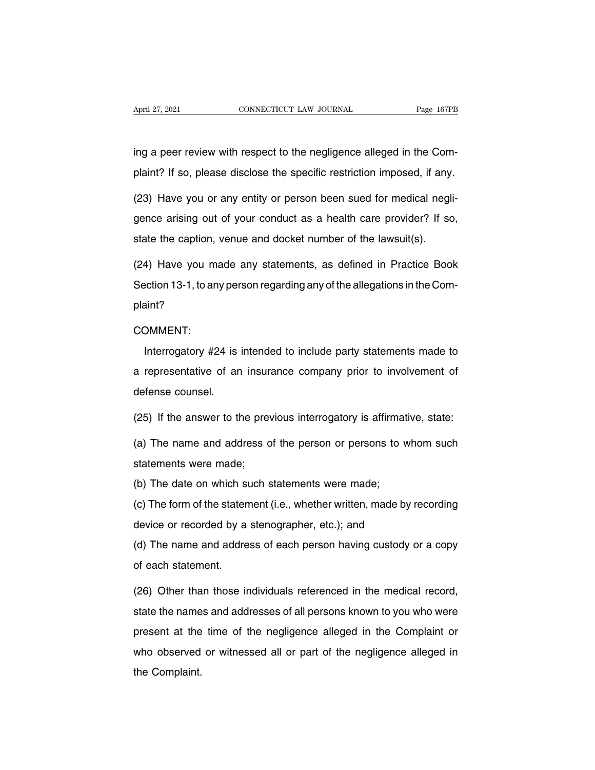April 27, 2021<br> **CONNECTICUT LAW JOURNAL**<br>
ing a peer review with respect to the negligence alleged in the Com-<br>
plaint? If so, please disclose the specific restriction imposed, if any. April 27, 2021 CONNECTICUT LAW JOURNAL Page 167PB<br>
ing a peer review with respect to the negligence alleged in the Com-<br>
plaint? If so, please disclose the specific restriction imposed, if any.<br>
(23) Have you or any entity

ing a peer review with respect to the negligence alleged in the Com-<br>plaint? If so, please disclose the specific restriction imposed, if any.<br>(23) Have you or any entity or person been sued for medical negli-<br>gence arising ing a peer review with respect to the negligence alleged in the Complaint? If so, please disclose the specific restriction imposed, if any.<br>(23) Have you or any entity or person been sued for medical negligence arising out plaint? If so, please disclose the specific restriction imposed, if any<br>(23) Have you or any entity or person been sued for medical negl<br>gence arising out of your conduct as a health care provider? If sc<br>state the caption, (23) Have you or any entity or person been sued for medical negli-<br>gence arising out of your conduct as a health care provider? If so,<br>state the caption, venue and docket number of the lawsuit(s).<br>(24) Have you made any st

gence arising out of your conduct as a health care provider? If so, state the caption, venue and docket number of the lawsuit(s).<br>(24) Have you made any statements, as defined in Practice Book<br>Section 13-1, to any person r plaint? Interior 13-1, to any person regarding any of the allegations in the Com-<br>
Interrogatory #24 is intended to include party statements made to<br>
representative of an insurance company prior to involvement of

COMMENT:

plaint?<br>COMMENT:<br>Interrogatory #24 is intended to include party statements made to<br>a representative of an insurance company prior to involvement of<br>defense counsel. COMMENT:<br>Interrogatory #24 is<br>a representative of ar<br>defense counsel.<br>(25) If the answer to the Interrogatory #24 is intended to include party statements made to<br>a representative of an insurance company prior to involvement of<br>defense counsel.<br>(25) If the answer to the previous interrogatory is affirmative, state:<br>(a is a representative of an insurance company prior to involvement of defense counsel.<br>
(25) If the answer to the previous interrogatory is affirmative, state:<br>
(a) The name and address of the person or persons to whom such

defense counsel.<br>(25) If the answer to the prev<br>(a) The name and address of<br>statements were made;<br>(b) The date on which such s (25) If the answer to the previous interrogatory is affirmat<br>(a) The name and address of the person or persons to v<br>statements were made;<br>(b) The date on which such statements were made;<br>(c) The form of the statement (i.e. (a) The name and address of the person or persons to whom such<br>statements were made;<br>(b) The date on which such statements were made;<br>(c) The form of the statement (i.e., whether written, made by recording<br>device or record

(a) The hame and dedices or the person or persons to wike<br>statements were made;<br>(b) The date on which such statements were made;<br>(c) The form of the statement (i.e., whether written, made by r<br>device or recorded by a steno

(b) The date on which such statements were made;<br>(c) The form of the statement (i.e., whether written, made by recording<br>device or recorded by a stenographer, etc.); and<br>(d) The name and address of each person having custo (c) The form of the statement of the statement.<br>
(d) The name and addre of each statement.<br>
(26) Other than those in

device or recorded by a stenographer, etc.); and<br>(d) The name and address of each person having custody or a copy<br>of each statement.<br>(26) Other than those individuals referenced in the medical record,<br>state the names and a (d) The name and address of each person having custody or a copy<br>of each statement.<br>(26) Other than those individuals referenced in the medical record,<br>state the names and addresses of all persons known to you who were<br>pre of each statement.<br>(26) Other than those individuals referenced in the medical record,<br>state the names and addresses of all persons known to you who were<br>present at the time of the negligence alleged in the Complaint or<br>wh (26) Other than those individuals referenced in the medical record,<br>state the names and addresses of all persons known to you who were<br>present at the time of the negligence alleged in the Complaint or<br>who observed or witne state the name<br>present at the<br>who observed<br>the Complaint.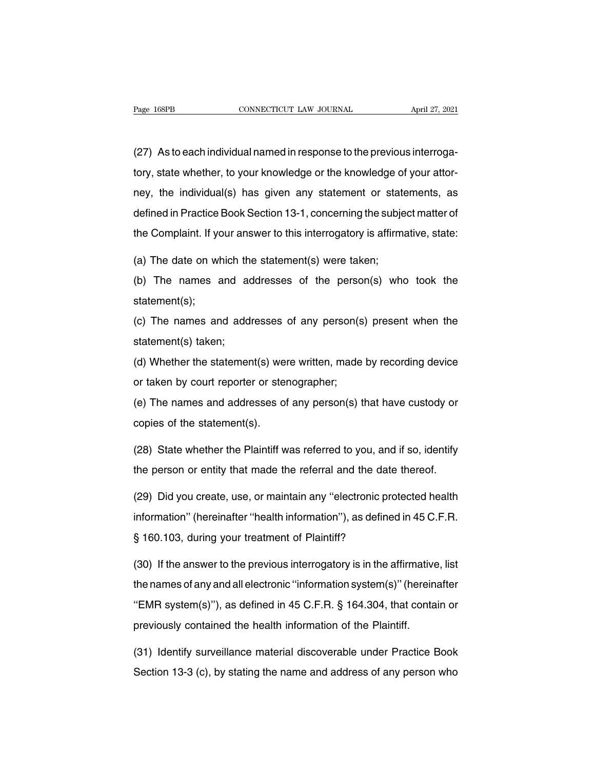(27) As to each individual named in response to the previous interroga-Trage 168PB<br>
CONNECTICUT LAW JOURNAL April 27, 2021<br>
(27) As to each individual named in response to the previous interroga-<br>
tory, state whether, to your knowledge or the knowledge of your attor-<br>
ney, the individual(s) h (27) As to each individual named in response to the previous interroga-<br>tory, state whether, to your knowledge or the knowledge of your attor-<br>ney, the individual(s) has given any statement or statements, as<br>defined in Pra (27) As to each individual named in response to the previous interrogatory, state whether, to your knowledge or the knowledge of your attorney, the individual(s) has given any statement or statements, as defined in Practic tory, state whether, to your knowledge or the knowledge of your attor-<br>ney, the individual(s) has given any statement or statements, as<br>defined in Practice Book Section 13-1, concerning the subject matter of<br>the Complaint ney, the individual(s) has given any statement or state<br>defined in Practice Book Section 13-1, concerning the subje<br>the Complaint. If your answer to this interrogatory is affirma<br>(a) The date on which the statement(s) were defined in Practice Book Section 13-1, concerning the subject matter of<br>the Complaint. If your answer to this interrogatory is affirmative, state:<br>(a) The date on which the statement(s) were taken;<br>(b) The names and addres

statement(s);

(a) The date on which the statement(s) were taken;<br>(b) The names and addresses of the person(s) who took the<br>statement(s);<br>(c) The names and addresses of any person(s) present when the<br>statement(s) taken; (a) The names and add statement(s);<br>(c) The names and add statement(s) taken;<br>(d) Whether the statement (c) The hames and addresses of any person(e) who test the statement(s);<br>(c) The names and addresses of any person(s) present when the<br>statement(s) taken;<br>(d) Whether the statement(s) were written, made by recording device<br> (c) The names and addresses of any person(s<br>statement(s) taken;<br>(d) Whether the statement(s) were written, made<br>or taken by court reporter or stenographer;<br>(e) The names and addresses of any person(s) t

(e) The names and addresses of any person(e) present when the<br>statement(s) taken;<br>(d) Whether the statement(s) were written, made by recording device<br>or taken by court reporter or stenographer;<br>(e) The names and addresses d) Whether the statement(s) we<br>or taken by court reporter or stel<br>(e) The names and addresses of<br>copies of the statement(s).<br>(28). State whether the Plaintiff w

or taken by court reporter or stenographer;<br>
(e) The names and addresses of any person(s) that have custody or<br>
copies of the statement(s).<br>
(28) State whether the Plaintiff was referred to you, and if so, identify<br>
the pe (e) The names and addresses of any person(s) that have custody or<br>copies of the statement(s).<br>(28) State whether the Plaintiff was referred to you, and if so, identify<br>the person or entity that made the referral and the da

copies of the statement(s).<br>
(28) State whether the Plaintiff was referred to you, and if so, identify<br>
the person or entity that made the referral and the date thereof.<br>
(29) Did you create, use, or maintain any "electron (28) State whether the Plaintiff was referred to you, and if so, identify<br>the person or entity that made the referral and the date thereof.<br>(29) Did you create, use, or maintain any "electronic protected health<br>information the person or entity that made the referral and the date thereof.<br>
(29) Did you create, use, or maintain any "electronic protected health<br>
information" (hereinafter "health information"), as defined in 45 C.F.R.<br>
§ 160.103 (29) Did you create, use, or maintain any "electronic protected health<br>information" (hereinafter "health information"), as defined in 45 C.F.R.<br>§ 160.103, during your treatment of Plaintiff?<br>(30) If the answer to the previ

information" (hereinafter "health information"), as defined in 45 C.F.R.<br>§ 160.103, during your treatment of Plaintiff?<br>(30) If the answer to the previous interrogatory is in the affirmative, list<br>the names of any and all § 160.103, during your treatment of Plaintiff?<br>(30) If the answer to the previous interrogatory is in the affirmative, list<br>the names of any and all electronic "information system(s)" (hereinafter<br>"EMR system(s)"), as defi (30) If the answer to the previous interrogatory is in the affirmative<br>the names of any and all electronic "information system(s)" (herein<br>"EMR system(s)"), as defined in 45 C.F.R. § 164.304, that conta<br>previously contain the names of any and all electronic "information system(s)" (hereinafter<br>"EMR system(s)"), as defined in 45 C.F.R. § 164.304, that contain or<br>previously contained the health information of the Plaintiff.<br>(31) Identify surv "EMR system(s)"), as defined in 45 C.F.R. § 164.304, that contain or<br>previously contained the health information of the Plaintiff.<br>(31) Identify surveillance material discoverable under Practice Book<br>Section 13-3 (c), by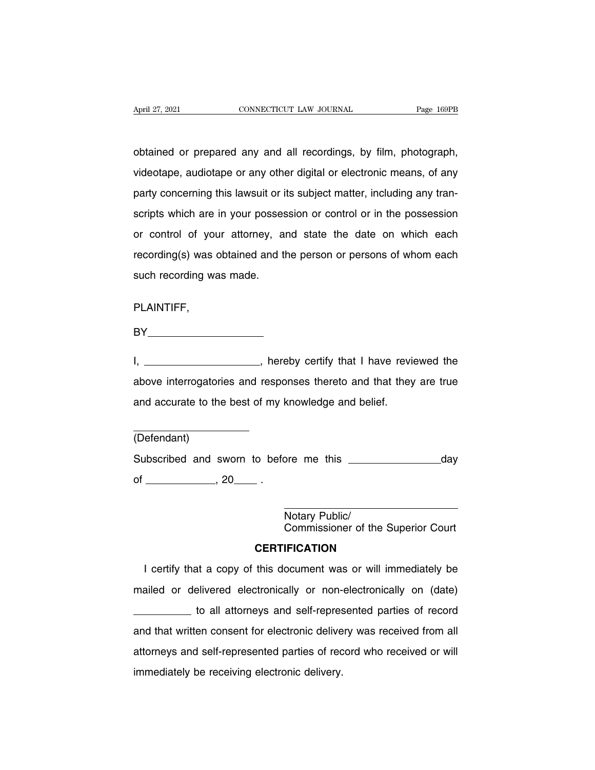April 27, 2021 CONNECTICUT LAW JOURNAL Page 169PB<br>
obtained or prepared any and all recordings, by film, photograph,<br>
videotape, audiotape or any other digital or electronic means, of any Vapril 27, 2021 CONNECTICUT LAW JOURNAL Page 169PB<br>
obtained or prepared any and all recordings, by film, photograph,<br>
videotape, audiotape or any other digital or electronic means, of any<br>
party concerning this lawsuit or obtained or prepared any and all recordings, by film, photograph,<br>videotape, audiotape or any other digital or electronic means, of any<br>party concerning this lawsuit or its subject matter, including any tran-<br>scripts which obtained or prepared any and all recordings, by film, photograph,<br>videotape, audiotape or any other digital or electronic means, of any<br>party concerning this lawsuit or its subject matter, including any tran-<br>scripts which or properties any and an recordings, by limit, protegraph,<br>videotape, audiotape or any other digital or electronic means, of any<br>party concerning this lawsuit or its subject matter, including any tran-<br>scripts which are in recording this lawsuit or its subject matter, including any transcripts which are in your possession or control or in the possession or control of your attorney, and state the date on which each recording(s) was obtained a party substituting and tansal of the<br>scripts which are in your posses<br>or control of your attorney, a<br>recording(s) was obtained and the<br>such recording was made.

PLAINTIFF,

**BY\_\_\_\_\_\_\_\_\_\_\_\_\_\_\_\_\_\_\_\_\_\_\_\_\_\_\_** 

PLAINTIFF,<br>BY \_\_\_\_\_\_\_\_\_\_\_\_\_\_\_\_\_\_\_, hereby certify that I have reviewed the<br>above interrogatories and responses thereto and that they are true PLAINTIFF,<br>BY\_\_\_\_\_\_\_\_\_\_\_\_\_\_\_\_\_, hereby certify that I have reviewed the<br>above interrogatories and responses thereto and that they are true<br>and accurate to the best of my knowledge and belief. I, \_\_\_\_\_\_\_\_\_\_\_\_\_\_\_\_, hereby certify that I have reviewed the above interrogatories and responses thereto and that they are true and accurate to the best of my knowledge and belief.

(Defendant)

Subscribed and sworn to before me this day of , 20 . ore me this \_\_\_\_\_<br>Notary Public/<br>Commissioner of th Commissioner of the Superior Court

### **CERTIFICATION**

Notary Public/<br>
Commissioner of the Superior Court<br> **CERTIFICATION**<br>
I certify that a copy of this document was or will immediately be<br>
ailed or delivered electronically or non-electronically on (date) Motary Public/<br>Commissioner of the Superior Court<br>CERTIFICATION<br>I certify that a copy of this document was or will immediately be<br>mailed or delivered electronically or non-electronically on (date)<br>to all attorneys and self **CERTIFICATION**<br>to a copy of this document was or will immediately be<br>elivered electronically or non-electronically on (date)<br>to all attorneys and self-represented parties of record<br>en consent for electronic delivery was r I certify that a copy of this document was or will immediately be<br>mailed or delivered electronically or non-electronically on (date)<br>to all attorneys and self-represented parties of record<br>and that written consent for elec mailed or delivered electronically or non-electronically on (date)<br>to all attorneys and self-represented parties of record<br>and that written consent for electronic delivery was received from all<br>attorneys and self-represent mailed or delivered electronically or non-electronically on (date)<br>
\_\_\_\_\_\_\_\_\_ to all attorneys and self-represented parties of record<br>
and that written consent for electronic delivery was received from all<br>
attorneys and s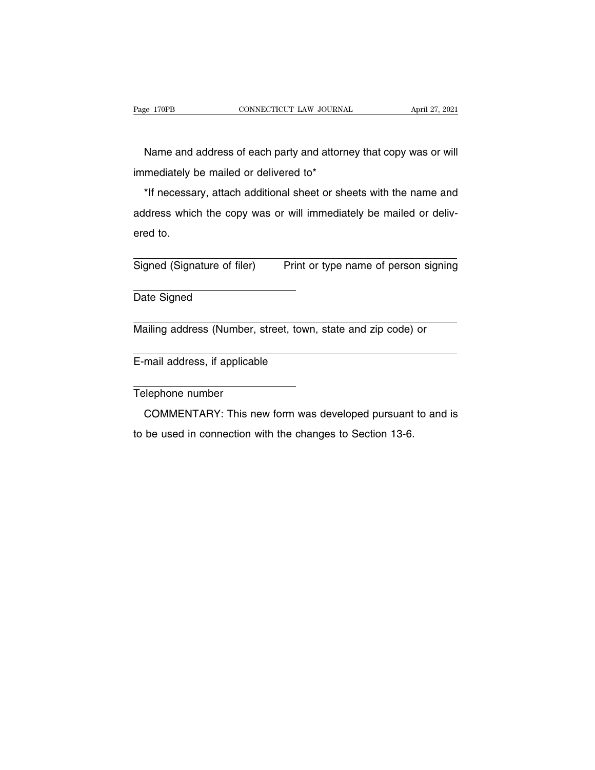EXECT ANDRESS OF EACH CONNECTICUT LAW JOURNAL April 27, 2021<br>Name and address of each party and attorney that copy was or will<br>Mediately be mailed or delivered to\* Page 170PB CONNECTICUT LAW JOURNAL<br>
Name and address of each party and attorne<br>
immediately be mailed or delivered to\*<br>
\*If necessary, attach additional sheet or shee immediately be mailed or delivered to\*

Name and address of each party and attorney that copy was or will<br>mediately be mailed or delivered to\*<br>\*If necessary, attach additional sheet or sheets with the name and<br>dress which the copy was or will immediately be mail Name and address of each party and attorney that copy was or will<br>immediately be mailed or delivered to\*<br>\*If necessary, attach additional sheet or sheets with the name and<br>address which the copy was or will immediately be \*If necessary, attach additional sheet or sheets with the name and<br>address which the copy was or will immediately be mailed or deliv-<br>ered to.<br>Signed (Signature of filer) Print or type name of person signing

Signed (Signature of filer)<br>Date Signed Signed (Signature of filer) Print or type name of person signing<br>
Date Signed<br>
Mailing address (Number, street, town, state and zip code) or

Date Signed<br>
Mailing address (Number, street, town,<br>
E-mail address, if applicable

Mailing address (Number,<br>E-mail address, if applical<br>Telephone number<br>COMMENTARY: This n mail address, if applicable<br>
elephone number<br>
COMMENTARY: This new form was developed pursuant to and is<br>
be used in connection with the changes to Section 13-6. E-mail address, if applicable<br>
Telephone number<br>
COMMENTARY: This new form was developed pursuant to and is<br>
to be used in connection with the changes to Section 13-6.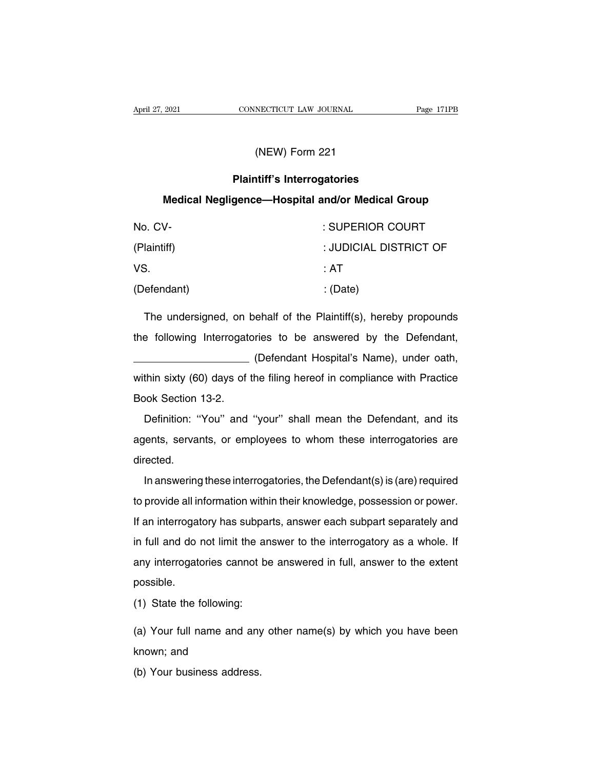# **PRONTE CONNECTICUT LAW JOURNAL<br>
(NEW) Form 221<br>
<b>Plaintiff's Interrogatories<br>
gence—Hospital and/or Medical Gro MEW) Form 221<br>
Plaintiff's Interrogatories<br>
Medical Negligence—Hospital and/or Medical Group**

| (NEW) Form 221                                                   |                        |  |  |
|------------------------------------------------------------------|------------------------|--|--|
| <b>Plaintiff's Interrogatories</b>                               |                        |  |  |
| Medical Negligence—Hospital and/or Medical Group                 |                        |  |  |
| No. CV-                                                          | : SUPERIOR COURT       |  |  |
| (Plaintiff)                                                      | : JUDICIAL DISTRICT OF |  |  |
| VS.                                                              | : AT                   |  |  |
| (Defendant)                                                      | : (Date)               |  |  |
| The undersigned, on behalf of the Plaintiff(s), hereby propounds |                        |  |  |
| the following Interrogatories to be answered by the Defendant,   |                        |  |  |

VS. : AT<br>
(Defendant) : (Date)<br>
The undersigned, on behalf of the Plaintiff(s), hereby propounds<br>
the following Interrogatories to be answered by the Defendant,<br>
(Defendant Hospital's Name), under oath, (Date)<br>
(Date)<br>
(ehalf of the Plaintiff(s), hereby propounds<br>
ries to be answered by the Defendant,<br>
(Defendant Hospital's Name), under oath,<br>
he filing hereof in compliance with Practice The undersigned, on behalf of the Plaintiff(s), hereby propounds<br>the following Interrogatories to be answered by the Defendant,<br>(Defendant Hospital's Name), under oath,<br>within sixty (60) days of the filing hereof in compli The undersigned, on behalf of the Plaintiff(s), hereby propounds<br>the following Interrogatories to be answered by the Defendant,<br>(Defendant Hospital's Name), under oath,<br>within sixty (60) days of the filing hereof in compli Defendant Hospital's Name), under oath,<br>
thin sixty (60) days of the filing hereof in compliance with Practice<br>
bok Section 13-2.<br>
Definition: "You" and "your" shall mean the Defendant, and its<br>
ents, servants, or employee

within sixty (60) days of the filing hereof in compliance with Practice<br>Book Section 13-2.<br>Definition: "You" and "your" shall mean the Defendant, and its<br>agents, servants, or employees to whom these interrogatories are<br>dir directed. Definition: "You" and "your" shall mean the Defendant, and its<br>lents, servants, or employees to whom these interrogatories are<br>rected.<br>In answering these interrogatories, the Defendant(s) is (are) required<br>provide all info

Examples and your onal mean are beforeand, and he agents, servants, or employees to whom these interrogatories are directed.<br>In answering these interrogatories, the Defendant(s) is (are) required to provide all information directed.<br>In answering these interrogatories, the Defendant(s) is (are) required<br>to provide all information within their knowledge, possession or power.<br>If an interrogatory has subparts, answer each subpart separately and<br> In answering these interrogatories, the Defendant(s) is (are) required<br>to provide all information within their knowledge, possession or power.<br>If an interrogatory has subparts, answer each subpart separately and<br>in full an any interrogatories, and botchading by any required<br>to provide all information within their knowledge, possession or power.<br>If an interrogatory has subparts, answer each subpart separately and<br>in full and do not limit the possible. (a) State the following:<br>
(a) State the following:<br>
(b) State the following:<br>
(c)  $\frac{1}{2}$  State the following: (a) Your full name and any other name (s) by which you have been<br>
thown; and<br>
thown; and

(1) State the following:<br>
(a) Your full name and any other name(s) by which you have been<br>
known; and<br>
(b) Your business address. (1) State the following:<br>(a) Your full name and any<br>known; and<br>(b) Your business address.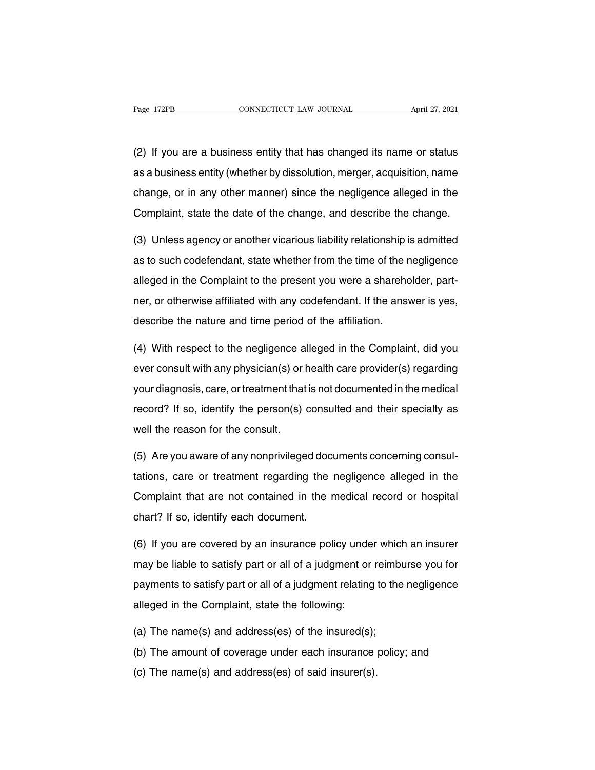Example 172PB<br>(2) If you are a business entity that has changed its name or status<br>as a business entity (whether by dissolution, merger, acquisition, name Page 172PB CONNECTICUT LAW JOURNAL April 27, 2021<br>(2) If you are a business entity that has changed its name or status<br>as a business entity (whether by dissolution, merger, acquisition, name<br>change, or in any other manner) (2) If you are a business entity that has changed its name or status<br>as a business entity (whether by dissolution, merger, acquisition, name<br>change, or in any other manner) since the negligence alleged in the<br>Complaint, st (2) If you are a business entity that has changed its name or status<br>as a business entity (whether by dissolution, merger, acquisition, name<br>change, or in any other manner) since the negligence alleged in the<br>Complaint, st as a business entity (whether by dissolution, merger, acquisition, name<br>change, or in any other manner) since the negligence alleged in the<br>Complaint, state the date of the change, and describe the change.<br>(3) Unless agenc

change, or in any other manner) since the negligence alleged in the<br>Complaint, state the date of the change, and describe the change.<br>(3) Unless agency or another vicarious liability relationship is admitted<br>as to such cod Complaint, state the date of the change, and describe the change.<br>
(3) Unless agency or another vicarious liability relationship is admitted<br>
as to such codefendant, state whether from the time of the negligence<br>
alleged i (3) Unless agency or another vicarious liability relationship is admitted<br>as to such codefendant, state whether from the time of the negligence<br>alleged in the Complaint to the present you were a shareholder, part-<br>ner, or (c) onloads agailay of another vicanous hashing relationship is<br>as to such codefendant, state whether from the time of the r<br>alleged in the Complaint to the present you were a shareho<br>ner, or otherwise affiliated with any alleged in the Complaint to the present you were a shareholder, part-<br>ner, or otherwise affiliated with any codefendant. If the answer is yes,<br>describe the nature and time period of the affiliation.<br>(4) With respect to the

ner, or otherwise affiliated with any codefendant. If the answer is yes,<br>describe the nature and time period of the affiliation.<br>(4) With respect to the negligence alleged in the Complaint, did you<br>ever consult with any ph describe the nature and time period of the affiliation.<br>
(4) With respect to the negligence alleged in the Complaint, did you<br>
ever consult with any physician(s) or health care provider(s) regarding<br>
your diagnosis, care, (4) With respect to the negligence alleged in the Complaint, did you<br>ever consult with any physician(s) or health care provider(s) regarding<br>your diagnosis, care, or treatment that is not documented in the medical<br>record? (4) With respect to the negligence alleged in the Complaint, did you ever consult with any physician(s) or health care provider(s) regarding your diagnosis, care, or treatment that is not documented in the medical record? (5) your diagnosis, care, or treatment that is not documented in the medical<br>record? If so, identify the person(s) consulted and their specialty as<br>well the reason for the consult.<br>(5) Are you aware of any nonprivileged do

the record? If so, identify the person(s) consulted and their specialty as<br>well the reason for the consult.<br>(5) Are you aware of any nonprivileged documents concerning consul-<br>tations, care or treatment regarding the negli well the reason for the consult.<br>
(5) Are you aware of any nonprivileged documents concerning consul-<br>
tations, care or treatment regarding the negligence alleged in the<br>
Complaint that are not contained in the medical rec tations, care or treatment regarding the negligence alleged in the Complaint that are not contained in the medical record or hospital chart? If so, identify each document. tations, care or treatment regarding the negligence alleged in the<br>Complaint that are not contained in the medical record or hospital<br>chart? If so, identify each document.<br>(6) If you are covered by an insurance policy unde

Complaint that are not contained in the medical record or hospital<br>chart? If so, identify each document.<br>(6) If you are covered by an insurance policy under which an insurer<br>may be liable to satisfy part or all of a judgme chart? If so, identify each document.<br>(6) If you are covered by an insurance policy under which an insurer<br>may be liable to satisfy part or all of a judgment or reimburse you for<br>payments to satisfy part or all of a judgme (6) If you are covered by an insurance policy under which an insurer<br>may be liable to satisfy part or all of a judgment or reimburse you for<br>payments to satisfy part or all of a judgment relating to the negligence<br>alleged may be liable to satisfy part or all of a judgment or reimbre<br>payments to satisfy part or all of a judgment relating to the<br>alleged in the Complaint, state the following:<br>(a) The name(s) and address(es) of the insured(s);<br> payments to satisfy part or all of a judgment relating to the negligence<br>alleged in the Complaint, state the following:<br>(a) The name(s) and address(es) of the insurance policy; and<br>(c) The name(s) and address(es) of said i alleged in the Complaint, state the following:<br>(a) The name(s) and address(es) of the insured(s);<br>(b) The amount of coverage under each insurance<br>(c) The name(s) and address(es) of said insurer(s).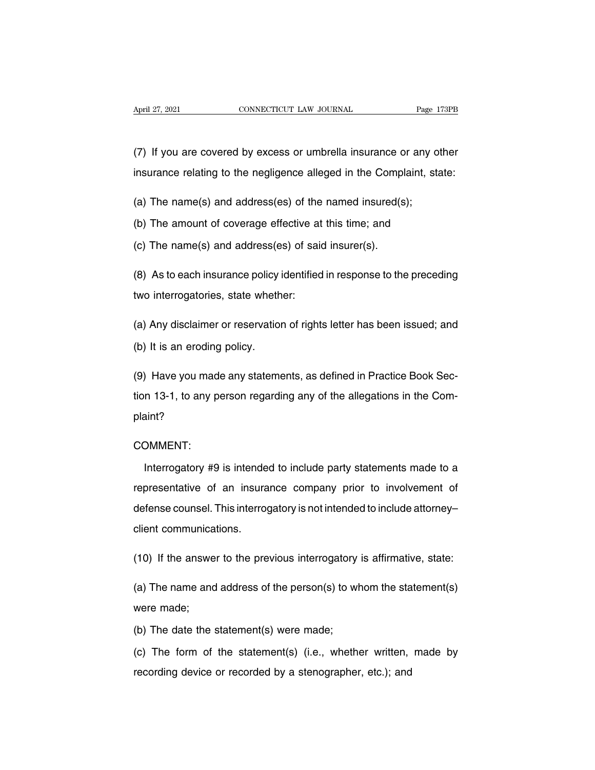(7) If you are covered by excess or umbrella insurance or any other<br>insurance relating to the negligence alleged in the Complaint, state: April 27, 2021 CONNECTICUT LAW JOURNAL Page 173PB<br>
(7) If you are covered by excess or umbrella insurance or any other<br>
insurance relating to the negligence alleged in the Complaint, state:<br>
(c) The neare (c) and address ( (7) If you are covered by excess or umbrella insurance or any official insurance relating to the negligence alleged in the Complaint, streament (a) The name(s) and address(es) of the named insured(s);<br>(b) The amount of cov (7) If you are covered by excess or umbrella insurance or any other<br>insurance relating to the negligence alleged in the Complaint, sta<br>(a) The name(s) and address(es) of the named insured(s);<br>(b) The amount of coverage ef insurance relating to the negligence alleged in the Compl<br>
(a) The name(s) and address(es) of the named insured(s<br>
(b) The amount of coverage effective at this time; and<br>
(c) The name(s) and address(es) of said insurer(s).

(a) The name(s) and address(es) of the named insured(s);<br>(b) The amount of coverage effective at this time; and<br>(c) The name(s) and address(es) of said insurer(s).<br>(8) As to each insurance policy identified in response to (b) The amount of coverage effective at this time; and<br>
(c) The name(s) and address(es) of said insurer(s).<br>
(8) As to each insurance policy identified in response to the preceding<br>
two interrogatories, state whether:<br>
(a)

(c) The name(s) and address(es) or said insurer(s).<br>
(8) As to each insurance policy identified in response to the preceding<br>
two interrogatories, state whether:<br>
(a) Any disclaimer or reservation of rights letter has been (8) As to each insurance policy<br>two interrogatories, state wheth<br>(a) Any disclaimer or reservation<br>(b) It is an eroding policy. (a) Any disclaimer or reservation of rights letter has been issued; and<br>(b) It is an eroding policy.<br>(9) Have you made any statements, as defined in Practice Book Sec-<br>tion 13-1, to any person regarding any of the allegati

(a) Any disclaimer or reservation of rights letter has been issued; and<br>(b) It is an eroding policy.<br>(9) Have you made any statements, as defined in Practice Book Section 13-1, to any person regarding any of the allegation plaint? n 13-1, to any person regarding any of the allegations in the Com-<br>
int?<br>
DMMENT:<br>
Interrogatory #9 is intended to include party statements made to a<br>
presentative of an insurance company prior to involvement of

### COMMENT:

plaint?<br>COMMENT:<br>Interrogatory #9 is intended to include party statements made to a<br>representative of an insurance company prior to involvement of<br>defense counsel. This interrogatory is not intended to include attorney– COMMENT:<br>Interrogatory #9 is intended to include party statements made to a<br>representative of an insurance company prior to involvement of<br>defense counsel. This interrogatory is not intended to include attorney–<br>client com Interrogatory #9 is intender<br>representative of an insura<br>defense counsel. This interrog<br>client communications. representative of an insurance company prior to involvement of<br>defense counsel. This interrogatory is not intended to include attorney-<br>client communications.<br>(10) If the answer to the previous interrogatory is affirmative

(10) If the answer to the previous interrogatory is affirmative, state:<br>(10) If the answer to the previous interrogatory is affirmative, state:<br>(a) The name and address of the person(s) to whom the statement(s)<br>were made; chent communica<br>(10) If the answe<br>(a) The name and<br>were made;<br>(b) The date the s (10) If the answer to the previous interrogatory<br>
(a) The name and address of the person(s) to wh<br>
were made;<br>
(b) The date the statement(s) were made;<br>
(c) The form of the statement(s) (i.e., wheth

(a) The name and address of the person(s) to whom the statement(s)<br>were made;<br>(b) The date the statement(s) were made;<br>(c) The form of the statement(s) (i.e., whether written, made by<br>recording device or recorded by a sten were made;<br>(b) The date the statement(s) were made;<br>(c) The form of the statement(s) (i.e., whether written,<br>recording device or recorded by a stenographer, etc.); and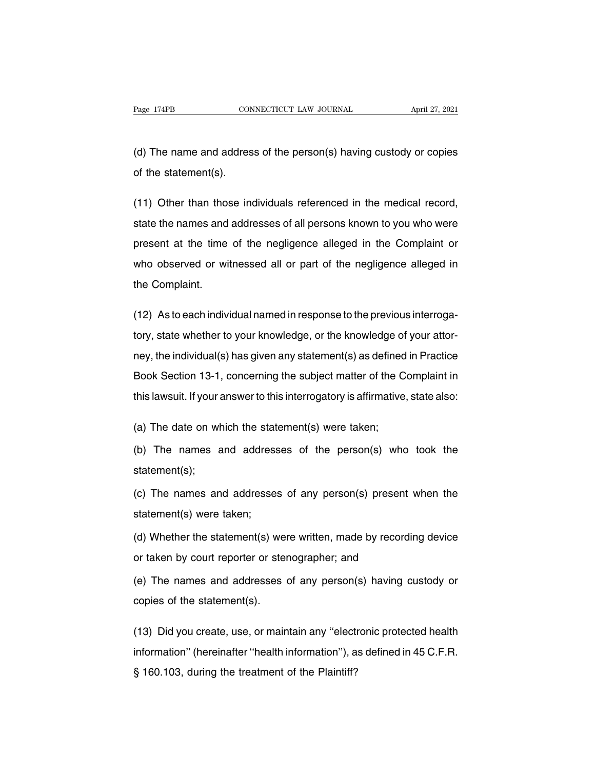Page 174PB CONNECTICUT LAW JOURNAL April 27, 2021<br>(d) The name and address of the person(s) having custody or copies<br>of the statement(s). Page 174PB CON<br>
(d) The name and addres<br>
of the statement(s).

(d) The name and address of the person(s) having custody or copies<br>of the statement(s).<br>(11) Other than those individuals referenced in the medical record,<br>state the names and addresses of all persons known to you who were (d) The name and address of the person(s) having custody or copies<br>of the statement(s).<br>(11) Other than those individuals referenced in the medical record,<br>state the names and addresses of all persons known to you who were of the statement(s).<br>
(11) Other than those individuals referenced in the medical record,<br>
state the names and addresses of all persons known to you who were<br>
present at the time of the negligence alleged in the Complaint (11) Other than those individuals referenced in the medical record,<br>state the names and addresses of all persons known to you who were<br>present at the time of the negligence alleged in the Complaint or<br>who observed or witne state the names and<br>present at the time<br>who observed or withe Complaint. present at the time of the negligence alleged in the Complaint or<br>who observed or witnessed all or part of the negligence alleged in<br>the Complaint.<br>(12) As to each individual named in response to the previous interroga-<br>to

who observed or witnessed all or part of the negligence alleged in<br>the Complaint.<br>(12) As to each individual named in response to the previous interroga-<br>tory, state whether to your knowledge, or the knowledge of your atto the Complaint.<br>
(12) As to each individual named in response to the previous interroga-<br>
tory, state whether to your knowledge, or the knowledge of your attor-<br>
ney, the individual(s) has given any statement(s) as defined (12) As to each individual named in response to the previous interrogatory, state whether to your knowledge, or the knowledge of your attorney, the individual(s) has given any statement(s) as defined in Practice Book Secti tory, state whether to your knowledge, or the knowledge of your attor-<br>ney, the individual(s) has given any statement(s) as defined in Practice<br>Book Section 13-1, concerning the subject matter of the Complaint in<br>this laws mey, the individual(s) has given any statement(s) as defined<br>Book Section 13-1, concerning the subject matter of the C<br>this lawsuit. If your answer to this interrogatory is affirmative<br>(a) The date on which the statement(s Book Section 13-1, concerning the subject matter of the Complaint in<br>this lawsuit. If your answer to this interrogatory is affirmative, state also:<br>(a) The date on which the statement(s) were taken;<br>(b) The names and addre

statement(s);

(a) The date on which the statement(s) were taken;<br>(b) The names and addresses of the person(s) who took the<br>statement(s);<br>(c) The names and addresses of any person(s) present when the<br>statement(s) were taken; (b) The names and address<br>statement(s);<br>(c) The names and addresses<br>statement(s) were taken;<br>(d) Whether the statement(s) w statement(s);<br>(c) The names and addresses of any person(s) present when the<br>statement(s) were taken;<br>(d) Whether the statement(s) were written, made by recording device<br>or taken by court reporter or stenographer; and (c) The names and addresses of any person(s) present<br>statement(s) were taken;<br>(d) Whether the statement(s) were written, made by recordi<br>or taken by court reporter or stenographer; and<br>(e) The names and addresses of any pe

(d) Whether the statement(s) we<br>or taken by court reporter or stel<br>(e) The names and addresses<br>copies of the statement(s).

statement(s) were taken;<br>(d) Whether the statement(s) were written, made by recording device<br>or taken by court reporter or stenographer; and<br>(e) The names and addresses of any person(s) having custody or<br>copies of the stat

or taken by court reporter or stenographer; and<br>
(e) The names and addresses of any person(s) having custody or<br>
copies of the statement(s).<br>
(13) Did you create, use, or maintain any "electronic protected health<br>
informat information'' (hereinafter ''health information''), as defined in 45 C.F.R.<br>
S 160.103, during the treatment of the Plaintiff? copies of the statement(s).<br>
(13) Did you create, use, or maintain any "electron<br>
information" (hereinafter "health information"), as<br>
§ 160.103, during the treatment of the Plaintiff?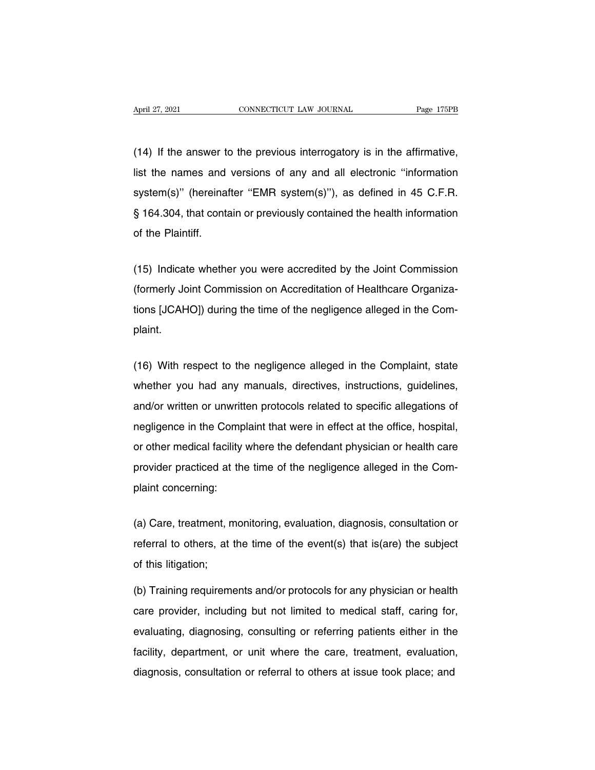April 27, 2021 CONNECTICUT LAW JOURNAL Page 175PB<br>
(14) If the answer to the previous interrogatory is in the affirmative,<br>
list the names and versions of any and all electronic "information April 27, 2021 CONNECTICUT LAW JOURNAL Page 175PB<br>
(14) If the answer to the previous interrogatory is in the affirmative,<br>
list the names and versions of any and all electronic "information<br>
system(s)" (hereinafter "EMR s (14) If the answer to the previous interrogatory is in the affirmative,<br>list the names and versions of any and all electronic "information<br>system(s)" (hereinafter "EMR system(s)"), as defined in 45 C.F.R.<br>§ 164.304, that c (14) If the answer to the previous interrogatory is in the affirmative,<br>list the names and versions of any and all electronic "information<br>system(s)" (hereinafter "EMR system(s)"), as defined in 45 C.F.R.<br>§ 164.304, that c list the names and<br>system(s)" (hereina<br>§ 164.304, that conta<br>of the Plaintiff. system(s)" (hereinatter "EMR system(s)"), as defined in 45 C.F.R.<br>§ 164.304, that contain or previously contained the health information<br>of the Plaintiff.<br>(15) Indicate whether you were accredited by the Joint Commission<br>(

§ 164.304, that contain or previously contained the health information<br>of the Plaintiff.<br>(15) Indicate whether you were accredited by the Joint Commission<br>(formerly Joint Commission on Accreditation of Healthcare Organizaof the Plaintiff.<br>(15) Indicate whether you were accredited by the Joint Commission<br>(formerly Joint Commission on Accreditation of Healthcare Organiza-<br>tions [JCAHO]) during the time of the negligence alleged in the Com-<br>p plaint. (formerly Joint Commission on Accreditation of Healthcare Organizations [JCAHO]) during the time of the negligence alleged in the Complaint.<br>plaint.<br>(16) With respect to the negligence alleged in the Complaint, state wheth

tions [JCAHO]) during the time of the negligence alleged in the Com-<br>plaint.<br>(16) With respect to the negligence alleged in the Complaint, state<br>whether you had any manuals, directives, instructions, guidelines,<br>and/or wri plaint.<br>(16) With respect to the negligence alleged in the Complaint, state<br>whether you had any manuals, directives, instructions, guidelines,<br>and/or written or unwritten protocols related to specific allegations of<br>neglig (16) With respect to the negligence alleged in the Complaint, state<br>whether you had any manuals, directives, instructions, guidelines,<br>and/or written or unwritten protocols related to specific allegations of<br>negligence in whether you had any manuals, directives, instructions, guidelines,<br>and/or written or unwritten protocols related to specific allegations of<br>negligence in the Complaint that were in effect at the office, hospital,<br>or other whether you had any manuals, directives, instructions, guidelines, and/or written or unwritten protocols related to specific allegations of negligence in the Complaint that were in effect at the office, hospital, or other and/or which or animated<br>negligence in the Comp<br>or other medical facility<br>provider practiced at th<br>plaint concerning: or other medical facility where the defendant physician or health care<br>provider practiced at the time of the negligence alleged in the Com-<br>plaint concerning:<br>(a) Care, treatment, monitoring, evaluation, diagnosis, consult

provider practiced at the time of the negligence alleged in the Com-<br>plaint concerning:<br>(a) Care, treatment, monitoring, evaluation, diagnosis, consultation or<br>referral to others, at the time of the event(s) that is(are) t plaint concerning:<br>(a) Care, treatment, m<br>referral to others, at t<br>of this litigation;<br>(b) Training requireme (a) Care, treatment, monitoring, evaluation, diagnosis, consultation or<br>referral to others, at the time of the event(s) that is(are) the subject<br>of this litigation;<br>(b) Training requirements and/or protocols for any physic

referral to others, at the time of the event(s) that is(are) the subject<br>of this litigation;<br>(b) Training requirements and/or protocols for any physician or health<br>care provider, including but not limited to medical staff, of this litigation;<br>(b) Training requirements and/or protocols for any physician or health<br>care provider, including but not limited to medical staff, caring for,<br>evaluating, diagnosing, consulting or referring patients eit (b) Training requirements and/or protocols for any physician or health<br>care provider, including but not limited to medical staff, caring for,<br>evaluating, diagnosing, consulting or referring patients either in the<br>facility, (e) Training requirements and/or protocols for any physician or healt<br>care provider, including but not limited to medical staff, caring for<br>evaluating, diagnosing, consulting or referring patients either in the<br>facility, d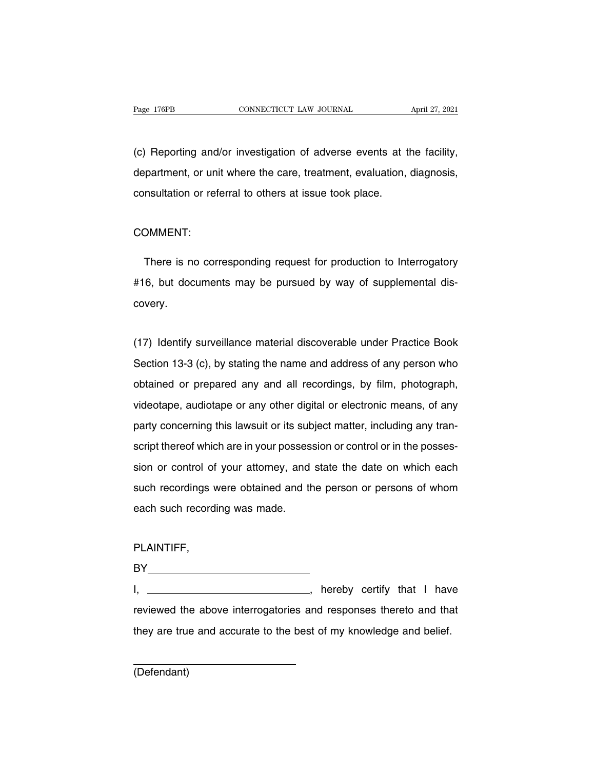Page 176PB CONNECTICUT LAW JOURNAL April 27, 2021<br>(c) Reporting and/or investigation of adverse events at the facility,<br>department, or unit where the care, treatment, evaluation, diagnosis, Page 176PB CONNECTICUT LAW JOURNAL April 27, 2021<br>(c) Reporting and/or investigation of adverse events at the facility,<br>department, or unit where the care, treatment, evaluation, diagnosis,<br>consultation or referral to othe (c) Reporting and/or investigation of adverse events at t<br>department, or unit where the care, treatment, evaluation,<br>consultation or referral to others at issue took place.

#### COMMENT:

nsultation or referral to others at issue took place.<br>
DMMENT:<br>
There is no corresponding request for production to Interrogatory<br>
6, but documents may be pursued by way of supplemental dis-There is no corresponding request for production to Interrogatory<br>#16, but documents may be pursued by way of supplemental discovery. Friete is no corresponding request for production to interrogatory<br>
#16, but documents may be pursued by way of supplemental dis-<br>
covery.<br>
(17) Identify surveillance material discoverable under Practice Book<br>
Section 13-3

Section 13-3 (c), by stating the name and address of any person who<br>obtained or prepared any and all recordings, by film, photograph, covery.<br>(17) Identify surveillance material discoverable under Practice Book<br>Section 13-3 (c), by stating the name and address of any person who<br>obtained or prepared any and all recordings, by film, photograph,<br>videotape, (17) Identify surveillance material discoverable under Practice Book<br>Section 13-3 (c), by stating the name and address of any person who<br>obtained or prepared any and all recordings, by film, photograph,<br>videotape, audiotap Section 13-3 (c), by stating the name and address of any person who obtained or prepared any and all recordings, by film, photograph, videotape, audiotape or any other digital or electronic means, of any party concerning t obtained or prepared any and all recordings, by film, photograph, videotape, audiotape or any other digital or electronic means, of any party concerning this lawsuit or its subject matter, including any transcript thereof videotape, audiotape or any other digital or electronic means, of any<br>party concerning this lawsuit or its subject matter, including any tran-<br>script thereof which are in your possession or control or in the posses-<br>sion o party concerning this lawsuit or its subject matter, including any transcript thereof which are in your possession or control or in the possession or control of your attorney, and state the date on which each such recordin early determing the finder of the different state<br>script thereof which are in your posses<br>sion or control of your attorney, and<br>such recordings were obtained and th<br>each such recording was made.

### PLAINTIFF,

BY PLAINTIFF,<br>BY \_\_\_\_\_\_\_\_\_\_\_\_\_\_\_\_\_\_\_\_\_\_\_\_\_\_\_\_\_, hereby certify that I have<br>reviewed the above interrogatories and responses thereto and that PLAINTIFF,<br>BY\_\_\_\_\_\_\_\_\_\_\_\_\_\_\_\_\_\_\_\_\_\_\_\_\_\_\_\_\_\_, hereby certify that I have<br>reviewed the above interrogatories and responses thereto and that<br>they are true and accurate to the best of my knowledge and belief. BY<br>I, \_\_\_\_\_\_\_\_\_\_\_\_\_\_\_\_\_\_\_\_\_\_\_\_\_\_\_, hereby certify that I have<br>reviewed the above interrogatories and responses thereto and that<br>they are true and accurate to the best of my knowledge and belief.

(Defendant)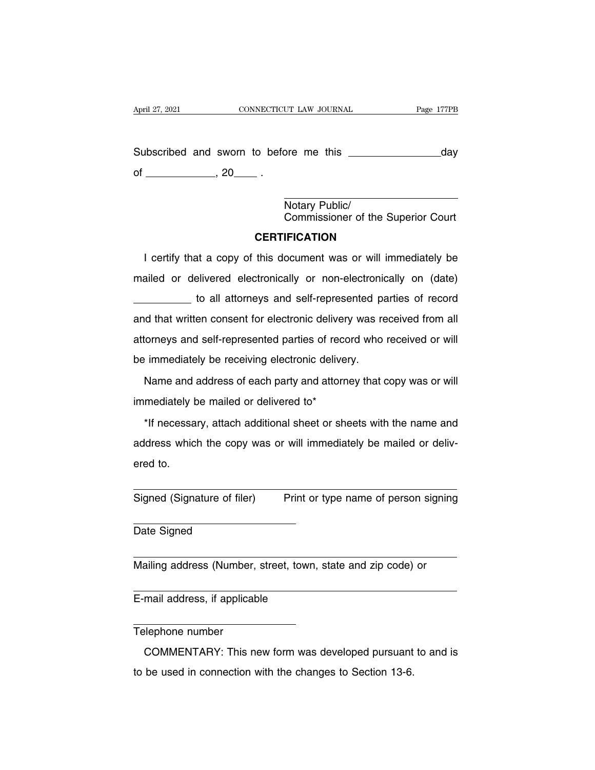Subscribed and sworn to before me this day of , 20 . ore me this<br>Notary Public/<br>Commissioner of th Commissioner of the Superior Court

### **CERTIFICATION**

Vertify that a copy of this document was or will immediately be<br>
ERTIFICATION<br>
I certify that a copy of this document was or will immediately be<br>
Riled or delivered electronically or non-electronically on (date) Motary Public/<br>Commissioner of the Superior Court<br>CERTIFICATION<br>I certify that a copy of this document was or will immediately be<br>mailed or delivered electronically or non-electronically on (date)<br>to all attorneys and self **CERTIFICATION**<br>to a copy of this document was or will immediately be<br>elivered electronically or non-electronically on (date)<br>to all attorneys and self-represented parties of record<br>en consent for electronic delivery was r I certify that a copy of this document was or will immediately be<br>mailed or delivered electronically or non-electronically on (date)<br>to all attorneys and self-represented parties of record<br>and that written consent for elec rectary that a copy of this document was of will immisculately be<br>mailed or delivered electronically or non-electronically on (date)<br>to all attorneys and self-represented parties of record and that written consent for elec be all attorneys and self-represented pand that written consent for electronic delivery was reattorneys and self-represented parties of record who be immediately be receiving electronic delivery.<br>Name and address of each p In that written consent for electronic delivery was received from all<br>torneys and self-represented parties of record who received or will<br>immediately be receiving electronic delivery.<br>Name and address of each party and att after that there center the sections dance,<br>attorneys and self-represented parties of recor<br>be immediately be receiving electronic delivery<br>Mame and address of each party and attorne<br>immediately be mailed or delivered to\*<br>

Find mediately be receiving electronic delivery.<br>
Name and address of each party and attorney that copy was or will<br>
mediately be mailed or delivered to\*<br>
\*If necessary, attach additional sheet or sheets with the name and<br> Name and address of each party and attorney that copy was or will<br>immediately be mailed or delivered to\*<br>\*If necessary, attach additional sheet or sheets with the name and<br>address which the copy was or will immediately be immediately b<br>
\*If necessa<br>
address whic<br>
ered to. \*If necessary, attach additional sheet or sheets with the name and<br>address which the copy was or will immediately be mailed or deliv-<br>ered to.<br>Signed (Signature of filer) Print or type name of person signing ered to.<br>
Signed (Signature of filer)<br>
Date Signed

Signed (Signature of filer) Print or type name of person signing<br>
Date Signed<br>
Mailing address (Number, street, town, state and zip code) or

Date Signed<br>
Mailing address (Number, street, town,<br>
E-mail address, if applicable

Mailing address (Number, street, town, state and zip code) or<br>
E-mail address, if applicable<br>
Telephone number<br>
COMMENTARY: This new form was developed pursuant to and is mail address, if applicable<br>
Elephone number<br>
COMMENTARY: This new form was developed pursuant to and is<br>
be used in connection with the changes to Section 13-6. E-mail address, if applicable<br>Telephone number<br>COMMENTARY: This new form was developed pursuant<br>to be used in connection with the changes to Section 13-6.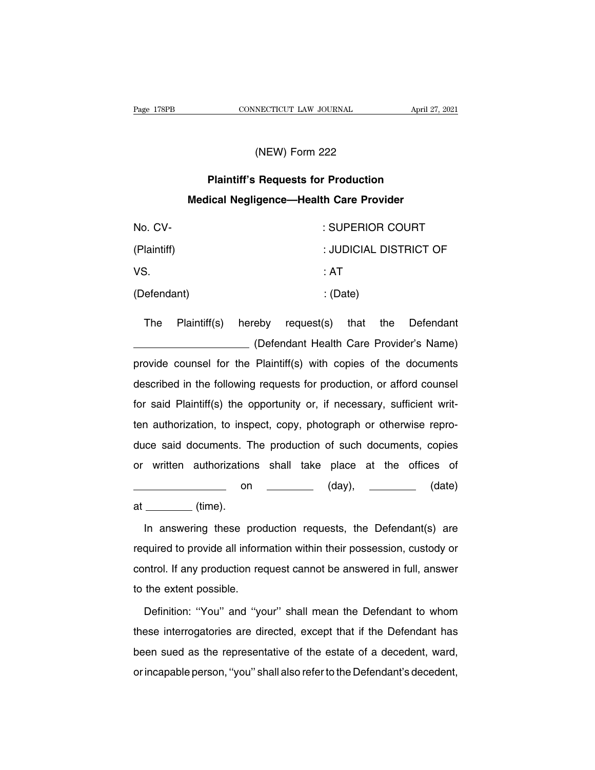# NECTICUT LAW JOURNAL<br>(NEW) Form 222<br>Poquests for Production

# **PROMEMAL CONNECTICUT LAW JOURNAL April 27,<br>
(NEW) Form 222<br>
Plaintiff's Requests for Production<br>
lical Negligence—Health Care Provider MEW) Form 222<br>
Plaintiff's Requests for Production<br>
Medical Negligence—Health Care Provider**

| (NEW) Form 222                                 |              |        |                                         |  |
|------------------------------------------------|--------------|--------|-----------------------------------------|--|
| <b>Plaintiff's Requests for Production</b>     |              |        |                                         |  |
| <b>Medical Negligence-Health Care Provider</b> |              |        |                                         |  |
| No. CV-                                        |              |        | : SUPERIOR COURT                        |  |
| (Plaintiff)                                    |              |        | : JUDICIAL DISTRICT OF                  |  |
| VS.                                            |              |        | : AT                                    |  |
| (Defendant)<br>: (Date)                        |              |        |                                         |  |
| <b>The</b>                                     | Plaintiff(s) | hereby | request(s)<br>that the<br>Defendant     |  |
|                                                |              |        | (Defendant Health Care Provider's Name) |  |

: AT<br>
: (Date)<br>
eby request(s) that the Defendant<br>
(Defendant Health Care Provider's Name)<br>
Plaintiff(s) with copies of the documents (Defendant) : (Date)<br>
The Plaintiff(s) hereby request(s) that the Defendant<br>
(Defendant Health Care Provider's Name)<br>
provide counsel for the Plaintiff(s) with copies of the documents<br>
described in the following requests f The Plaintiff(s) hereby request(s) that the Defendant<br>
(Defendant Health Care Provider's Name)<br>
provide counsel for the Plaintiff(s) with copies of the documents<br>
described in the following requests for production, or affo Friemming, Hereby Hequeen(e) that the Berehaant<br>
provide counsel for the Plaintiff(s) with copies of the documents<br>
described in the following requests for production, or afford counsel<br>
for said Plaintiff(s) the opportuni provide counsel for the Plaintiff(s) with copies of the documents<br>described in the following requests for production, or afford counsel<br>for said Plaintiff(s) the opportunity or, if necessary, sufficient writ-<br>ten authoriza described in the following requests for production, or afford counsel<br>for said Plaintiff(s) the opportunity or, if necessary, sufficient writ-<br>ten authorization, to inspect, copy, photograph or otherwise repro-<br>duce said d for said Plaintiff(s) the opportunity or, if necessary, sufficient writ-<br>ten authorization, to inspect, copy, photograph or otherwise repro-<br>duce said documents. The production of such documents, copies<br>or written authoriz on (day), (date) ten authorization, to inspect, copy, photograph or otherwise repro-<br>duce said documents. The production of such documents, copies<br>or written authorizations shall take place at the offices of<br>many on the place of (day), the written authorizations shall take place at the offices of<br>
in answering these production requests, the Defendant(s) are<br>
quired to provide all information within their possession, custody or

on (day), (date)<br>at (time).<br>In answering these production requests, the Defendant(s) are<br>required to provide all information within their possession, custody or<br>control. If any production request cannot be answered in full at \_\_\_\_\_\_\_ (time).<br>In answering these production requests, the Defendant(s) are<br>required to provide all information within their possession, custody or<br>control. If any production request cannot be answered in full, answer<br> In answering these prod<br>required to provide all inform<br>control. If any production red<br>to the extent possible.<br>Definition: "You" and "yo quired to provide all information within their possession, custody or<br>ntrol. If any production request cannot be answered in full, answer<br>the extent possible.<br>Definition: "You" and "your" shall mean the Defendant to whom<br>s

the previous and mean and the previously of the extent possible.<br>to the extent possible.<br>Definition: "You" and "your" shall mean the Defendant to whom<br>these interrogatories are directed, except that if the Defendant has<br>be been sued as the representative of the estate of a decedent, ward,<br>or incapable person, "you" shall mean the Defendant to whom<br>these interrogatories are directed, except that if the Defendant has<br>been sued as the represent Definition: "You" and "your" shall mean the Defendant to whom<br>these interrogatories are directed, except that if the Defendant has<br>been sued as the representative of the estate of a decedent, ward,<br>or incapable person, "yo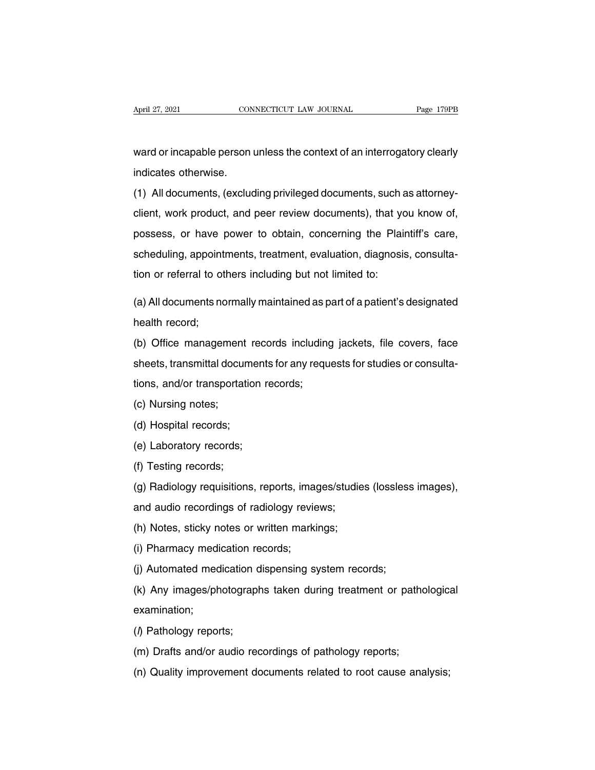April 27, 2021 CONNECTICUT LAW JOURNAL Page 179PB<br>Ward or incapable person unless the context of an interrogatory clearly<br>indicates otherwise. April 27, 2021<br>Ward or incapable person<br>indicates otherwise.<br>(1) All documents, (exclud

(1) All documents, (excluding privileged documents, such as attorney-<br>(1) All documents, (excluding privileged documents, such as attorney-<br>client, work product, and peer review documents), that you know of, ward or incapable person unless the context of an interrogatory clearly<br>indicates otherwise.<br>(1) All documents, (excluding privileged documents, such as attorney-<br>client, work product, and peer review documents), that you mara or meapable poteon amose the context or arrintentogatery elearly<br>indicates otherwise.<br>(1) All documents, (excluding privileged documents, such as attorney-<br>client, work product, and peer review documents), that you kn (1) All documents, (excluding privileged documents, such as attorney-<br>client, work product, and peer review documents), that you know of,<br>possess, or have power to obtain, concerning the Plaintiff's care,<br>scheduling, appoi the virial documents, the product, and peer review documents), that yerds disclusively possess, or have power to obtain, concerning the Plair scheduling, appointments, treatment, evaluation, diagnosition or referral to oth possess, or have power to obtain, concerning the Plaintiff's care,<br>scheduling, appointments, treatment, evaluation, diagnosis, consulta-<br>tion or referral to others including but not limited to:<br>(a) All documents normally m scheduling, appoint<br>tion or referral to ot<br>(a) All documents no<br>health record;<br>(b) Office manager

tion or referral to others including but not limited to:<br>
(a) All documents normally maintained as part of a patient's designated<br>
health record;<br>
(b) Office management records including jackets, file covers, face<br>
sheets, (a) All documents normally maintained as part of a patient's designated<br>health record;<br>(b) Office management records including jackets, file covers, face<br>sheets, transmittal documents for any requests for studies or consul (a) A m decemberishioning maintained as p<br>health record;<br>(b) Office management records including<br>sheets, transmittal documents for any requ<br>tions, and/or transportation records;<br>(c) Nursing notes; (b) Office management<br>sheets, transmittal docum<br>tions, and/or transportat<br>(c) Nursing notes;<br>(d) Hospital records; (c) Since management<br>sheets, transmittal docume<br>tions, and/or transportation<br>(c) Nursing notes;<br>(d) Hospital records;<br>(e) Laboratory records; (e) Nursing notes;<br>(c) Nursing notes;<br>(d) Hospital records;<br>(e) Laboratory records;<br>(f) Testing records;

- 
- 
- 
- 

(c) Nursing notes;<br>(d) Hospital records;<br>(e) Laboratory records;<br>(f) Testing records;<br>(g) Radiology requisitions (d) Hospital records;<br>(e) Laboratory records;<br>(f) Testing records;<br>(g) Radiology requisitions, reports, images/studies (lossless images),<br>and audio recordings of radiology reviews; (e) Laboratory records;<br>
(f) Testing records;<br>
(g) Radiology requisitions, reports, images/studie<br>
and audio recordings of radiology reviews;<br>
(h) Notes, sticky notes or written markings; (f) Testing records;<br>(g) Radiology requisitions, reports, images/studie<br>and audio recordings of radiology reviews;<br>(h) Notes, sticky notes or written markings;<br>(i) Pharmacy medication records; (f) Testing records;<br>
(g) Radiology requisitions, reports, images/studies (lossless images),<br>
and audio recordings of radiology reviews;<br>
(h) Notes, sticky notes or written markings;<br>
(i) Pharmacy medication records;<br>
(j)

(g) Autonegy requisitions, reports, images statise (records)<br>and audio recordings of radiology reviews;<br>(h) Notes, sticky notes or written markings;<br>(i) Pharmacy medication records;<br>(k) Any images/photographs taken during (h) Notes, sticky notes or written markings;<br>(i) Pharmacy medication records;<br>(j) Automated medication dispensing system records;<br>(k) Any images/photographs taken during treatment or pathological<br>examination; examination; (k) Any images/photographs taken during treatment or pathological<br>examination;<br>(/) Pathology reports;<br>(m) Drafts and/or audio recordings of pathology reports; (k) Any images/photographs taken during treatment or pathoroxamination;<br>
(h) Pathology reports;<br>
(m) Drafts and/or audio recordings of pathology reports;<br>
(n) Quality improvement documents related to root cause ana (n) They imaged price graphs taken damage acan nerver planning<br>examination;<br>(n) Drafts and/or audio recordings of pathology reports;<br>(n) Quality improvement documents related to root cause analysis;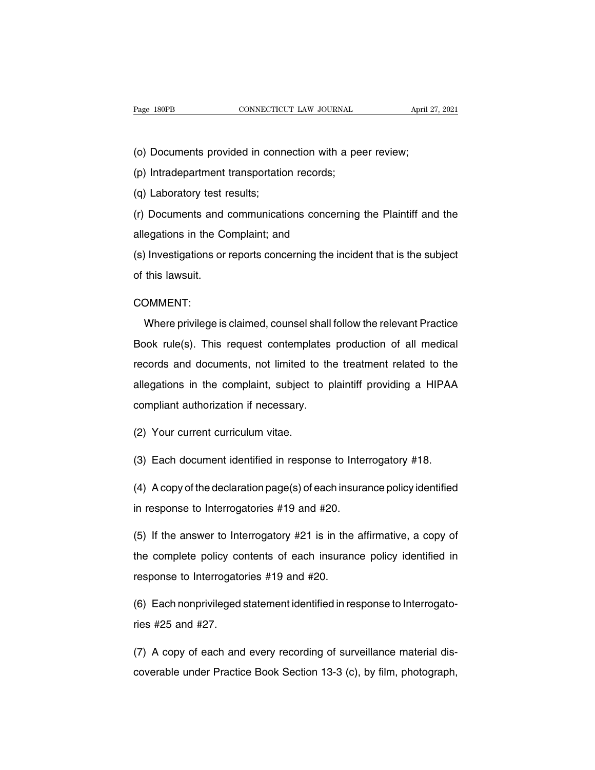Page 180PB<br>
CONNECTICUT LAW JOURNAL<br>
(o) Documents provided in connection with a peer review;<br>
(p) Intradepartment transportation records; Page 180PB CONNECTICUT LAW JOURNAL<br>
(o) Documents provided in connection with a pe<br>
(p) Intradepartment transportation records;<br>
(q) Laboratory test results;

(o) Documents provided in conn<br>(p) Intradepartment transportatic<br>(q) Laboratory test results;<br>(r) Documents and communicati (o) Documents provided in connection with a peer review;<br>(p) Intradepartment transportation records;<br>(q) Laboratory test results;<br>(r) Documents and communications concerning the Plaintiff and the<br>allegations in the Complai (b) Intradepartment transportation records;<br>
(q) Laboratory test results;<br>
(r) Documents and communications concerr<br>
allegations in the Complaint; and<br>
(s) Investigations or reports concerning the in

(q) Laboratory test results;<br>(r) Documents and communications concerning the Plaintiff and the<br>allegations in the Complaint; and<br>(s) Investigations or reports concerning the incident that is the subject<br>of this lawsuit. (r) Documents and<br>allegations in the Co<br>(s) Investigations or<br>of this lawsuit.

### COMMENT:

Munder privilege is claimed, counsel shall follow the relevant Practice<br>Where privilege is claimed, counsel shall follow the relevant Practice<br>where privilege is claimed, counsel shall follow the relevant Practice<br>wok rule of this lawsuit.<br>COMMENT:<br>Where privilege is claimed, counsel shall follow the relevant Practice<br>Book rule(s). This request contemplates production of all medical<br>records and documents, not limited to the treatment related COMMENT:<br>Where privilege is claimed, counsel shall follow the relevant Practice<br>Book rule(s). This request contemplates production of all medical<br>records and documents, not limited to the treatment related to the<br>allegatio Where privilege is claimed, counsel shall follow the relevant Practice<br>Book rule(s). This request contemplates production of all medical<br>records and documents, not limited to the treatment related to the<br>allegations in the Mook rule(s). This request contemplates<br>records and documents, not limited to the<br>allegations in the complaint, subject to p<br>compliant authorization if necessary. records and documents, not limited to<br>allegations in the complaint, subject to<br>compliant authorization if necessary.<br>(2) Your current curriculum vitae. allegations in the complaint, subject to plaintiff providing a HIPAA<br>compliant authorization if necessary.<br>(2) Your current curriculum vitae.<br>(3) Each document identified in response to Interrogatory #18.<br>(4) A sepuct the

(2) Your current curriculum vitae.<br>
(3) Each document identified in response to Interrogatory #18.<br>
(4) A copy of the declaration page(s) of each insurance policy identified<br>
in response to Interrogatories #19 and #20. (2) Your current curriculum vitae.<br>
(3) Each document identified in response to Interrogatory #18.<br>
(4) A copy of the declaration page(s) of each insurance policy identified<br>
in response to Interrogatories #19 and #20.<br>
(

(3) Each document identified in response to Interrogatory #18.<br>
(4) A copy of the declaration page(s) of each insurance policy identified<br>
in response to Interrogatories #19 and #20.<br>
(5) If the answer to Interrogatory #2 (4) A copy of the declaration page(s) of each insurance policy identified<br>in response to Interrogatories  $\#19$  and  $\#20$ .<br>(5) If the answer to Interrogatory  $\#21$  is in the affirmative, a copy of<br>the complete policy co in response to Interrogatories #19 and #20.<br>(5) If the answer to Interrogatory #21 is in the<br>the complete policy contents of each insurane<br>response to Interrogatories #19 and #20.<br>(6) Each penarivileged eterment identifie (5) If the answer to Interrogatory  $#21$  is in the affirmative, a copy of<br>the complete policy contents of each insurance policy identified in<br>response to Interrogatories  $#19$  and  $#20$ .<br>(6) Each nonprivileged statement i the complete policy co<br>response to Interrogato<br>(6) Each nonprivileged<br>ries #25 and #27.

response to Interrogatories #19 and #20.<br>(6) Each nonprivileged statement identified in response to Interrogato-<br>ries #25 and #27.<br>(7) A copy of each and every recording of surveillance material dis-<br>coverable under Practi (6) Each nonprivileged statement identified in response to Interrogato-<br>ries #25 and #27.<br>(7) A copy of each and every recording of surveillance material dis-<br>coverable under Practice Book Section 13-3 (c), by film, photog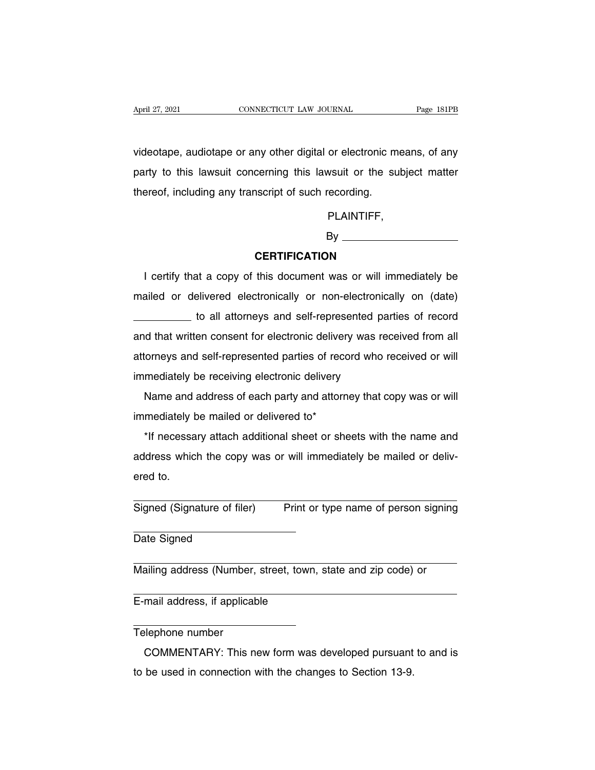April 27, 2021 CONNECTICUT LAW JOURNAL Page 181PB<br>
videotape, audiotape or any other digital or electronic means, of any<br>
party to this lawsuit concerning this lawsuit or the subject matter April 27, 2021 CONNECTICUT LAW JOURNAL Page 181PB<br>videotape, audiotape or any other digital or electronic means, of any<br>party to this lawsuit concerning this lawsuit or the subject matter<br>thereof, including any transcript April 27, 2021 CONNECTICUT LAW JOURNAL Page 181PB<br>videotape, audiotape or any other digital or electronic means, of any<br>party to this lawsuit concerning this lawsuit or the subject matter<br>thereof, including any transcript

PLAINTIFF,

## By

## **CERTIFICATION**

PLAINTIFF,<br>By<br>**CERTIFICATION**<br>I certify that a copy of this document was or will immediately be<br>ailed or delivered electronically or non-electronically on (date) EXINTIFICATION<br>
I certify that a copy of this document was or will immediately be<br>
mailed or delivered electronically or non-electronically on (date)<br>
to all attorneys and self-represented parties of record CERTIFICATION<br>at a copy of this document was or will immediately be<br>elivered electronically or non-electronically on (date)<br>to all attorneys and self-represented parties of record<br>en consent for electronic delivery was rec I certify that a copy of this document was or will immediately be<br>mailed or delivered electronically or non-electronically on (date)<br>\_\_\_\_\_\_\_\_\_\_\_\_\_ to all attorneys and self-represented parties of record<br>and that written co recting that a copy of this document was of will immediately be<br>mailed or delivered electronically or non-electronically on (date)<br>to all attorneys and self-represented parties of record<br>and that written consent for electr mailed or delivered electronically or non-electronically on (date)<br>
\_\_\_\_\_\_\_\_\_ to all attorneys and self-represented parties of record<br>
and that written consent for electronic delivery was received from all<br>
attorneys and s If that written consent for electronic delivery was received from all<br>d that written consent for electronic delivery was received or will<br>mediately be receiving electronic delivery<br>Name and address of each party and attorn and that whiteh consent for electronic delivery<br>attorneys and self-represented parties of recor<br>immediately be receiving electronic delivery<br>Name and address of each party and attorne<br>immediately be mailed or delivered to\*

onleys and sen-represented parties of record who received or will<br>mediately be receiving electronic delivery<br>Name and address of each party and attorney that copy was or will<br>mediately be mailed or delivered to\*<br>The name a Mame and address of each party and attorney that copy was or will<br>immediately be mailed or delivered to\*<br>\*If necessary attach additional sheet or sheets with the name and<br>address which the copy was or will immediately be m immediately be mailed or delivered to\*<br>\*If necessary attach additional sheet or sheets with the name and<br>address which the copy was or will immediately be mailed or deliv-<br>ered to. \*If necessary attach additional sheet or sheets with the name and<br>address which the copy was or will immediately be mailed or deliv-<br>ered to.<br>Signed (Signature of filer) Print or type name of person signing

Signed (Signature of filer)<br>Date Signed Signed (Signature of filer) Print or type name of person signing<br>
Date Signed<br>
Mailing address (Number, street, town, state and zip code) or

Date Signed<br>
Mailing address (Number, street, town,<br>
E-mail address, if applicable

Mailing address (Number,<br>E-mail address, if applical<br>Telephone number<br>COMMENTARY: This n Example and address, if applicable<br>
<br>
Example 2008, if applicable<br>

COMMENTARY: This new form was developed pursuant to and is<br>
be used in connection with the changes to Section 13-9. E-mail address, if applicable<br>Telephone number<br>COMMENTARY: This new form was developed pursuant<br>to be used in connection with the changes to Section 13-9.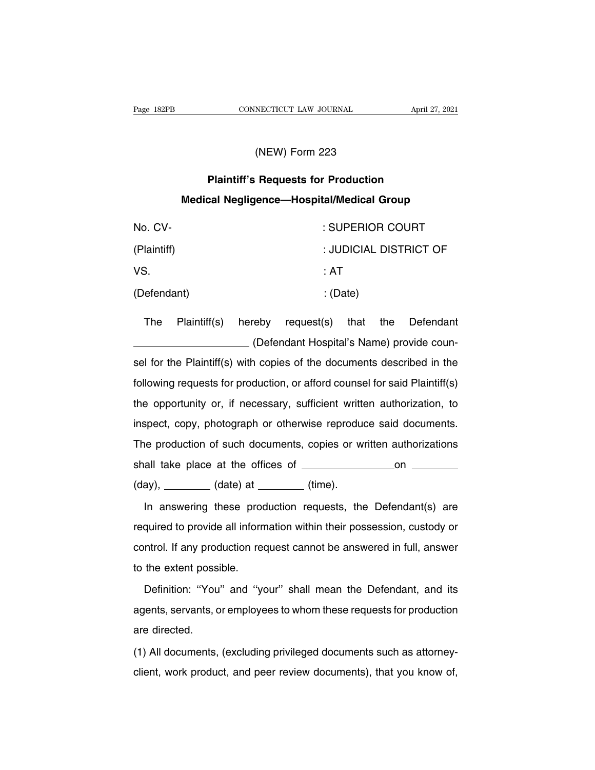# NECTICUT LAW JOURNAL<br>(NEW) Form 223<br>Poquests for Production

# **PROMECTICUT LAW JOURNAL April 27,<br>
(NEW) Form 223<br>
Plaintiff's Requests for Production<br>
Plaintiff's Requests for Production<br>
Plaintiff's Requests for Production<br>
Plaintiff's Requests for Production MEW) Form 223<br>
Plaintiff's Requests for Production<br>
Medical Negligence—Hospital/Medical Group**

| (NEW) Form 223                                   |              |        |            |                        |     |           |  |
|--------------------------------------------------|--------------|--------|------------|------------------------|-----|-----------|--|
| <b>Plaintiff's Requests for Production</b>       |              |        |            |                        |     |           |  |
| <b>Medical Negligence-Hospital/Medical Group</b> |              |        |            |                        |     |           |  |
| No. CV-                                          |              |        |            | : SUPERIOR COURT       |     |           |  |
| (Plaintiff)                                      |              |        |            | : JUDICIAL DISTRICT OF |     |           |  |
| VS.                                              |              |        |            | : AT                   |     |           |  |
| (Defendant)                                      |              |        | : (Date)   |                        |     |           |  |
| <b>The</b>                                       | Plaintiff(s) | hereby | request(s) | that                   | the | Defendant |  |
| (Defendant Hospital's Name) provide coun-        |              |        |            |                        |     |           |  |

The Plaintiff(s) hereby request(s) that the Defendant<br>
(Defendant Hospital's Name) provide coun-<br>
sel for the Plaintiff(s) with copies of the documents described in the (Defendant) : (Date)<br>
The Plaintiff(s) hereby request(s) that the Defendant<br>
(Defendant Hospital's Name) provide coun-<br>
sel for the Plaintiff(s) with copies of the documents described in the<br>
following requests for product

The Plaintiff(s) hereby request(s) that the Defendant<br>
(Defendant Hospital's Name) provide coun-<br>
sel for the Plaintiff(s) with copies of the documents described in the<br>
following requests for production, or afford counsel (Defendant Hospital's Name) provide counsel for the Plaintiff(s) with copies of the documents described in the following requests for production, or afford counsel for said Plaintiff(s) the opportunity or, if necessary, su sel for the Plaintiff(s) with copies of the documents described in the following requests for production, or afford counsel for said Plaintiff(s) the opportunity or, if necessary, sufficient written authorization, to inspe following requests for production, or afford counsel for said Plaintiff(s)<br>the opportunity or, if necessary, sufficient written authorization, to<br>inspect, copy, photograph or otherwise reproduce said documents.<br>The product the opportunity or, if necessary, sufficient written authorization, to<br>inspect, copy, photograph or otherwise reproduce said documents.<br>The production of such documents, copies or written authorizations<br>shall take place at (day), (date) at (time). In answering these production within their possession, custody or<br>applied to provide all information within their possession, custody or<br>quired to provide all information within their possession, custody or

required to provide all information within their possession, custody or (day), \_\_\_\_\_\_ (date) at \_\_\_\_\_ (time).<br>In answering these production requests, the Defendant(s) are<br>required to provide all information within their possession, custody or<br>control. If any production request cannot be answe In answering these prod<br>required to provide all inform<br>control. If any production red<br>to the extent possible.<br>Definition: "You" and "you" mean there any prediction request, the Extendant (c) are<br>quired to provide all information within their possession, custody or<br>ntrol. If any production request cannot be answered in full, answer<br>the extent possible.<br>Defini

control. If any production request cannot be answered in full, answer<br>to the extent possible.<br>Definition: "You" and "your" shall mean the Defendant, and its<br>agents, servants, or employees to whom these requests for product to the extent poss<br>Definition: "You<br>agents, servants, c<br>are directed.<br>(1) All documents, Definition: "You" and "your" shall mean the Defendant, and its<br>agents, servants, or employees to whom these requests for production<br>are directed.<br>(1) All documents, (excluding privileged documents such as attorney-<br>client, collient, servants, or employees to whom these requests for production<br>are directed.<br>(1) All documents, (excluding privileged documents such as attorney-<br>client, work product, and peer review documents), that you know of,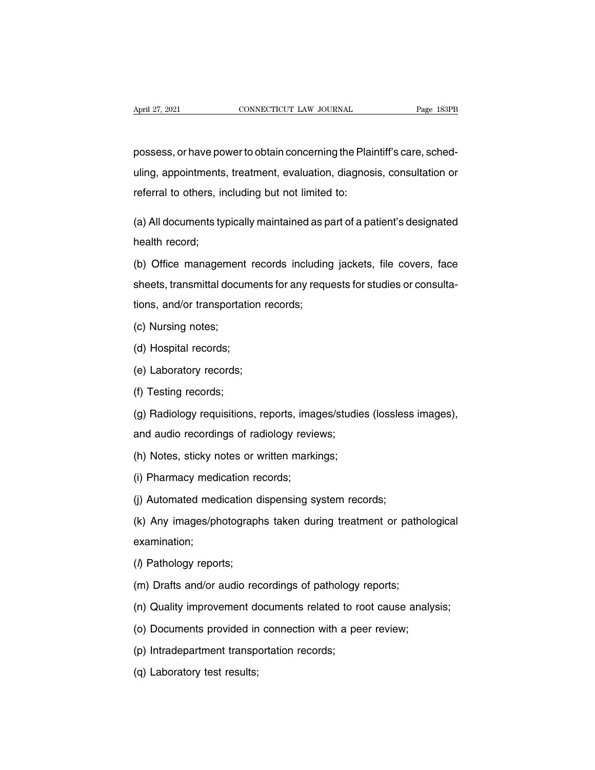April 27, 2021 CONNECTICUT LAW JOURNAL Page 183PB<br>possess, or have power to obtain concerning the Plaintiff's care, sched-<br>uling, appointments, treatment, evaluation, diagnosis, consultation or April 27, 2021 CONNECTICUT LAW JOURNAL Page 183PB<br>possess, or have power to obtain concerning the Plaintiff's care, sched-<br>uling, appointments, treatment, evaluation, diagnosis, consultation or<br>referral to others, includin possess, or have power to obtain concerning the Plainting, appointments, treatment, evaluation, diagnos<br>referral to others, including but not limited to: possess, or have power to obtain concerning the Plaintiff's care, sched-<br>uling, appointments, treatment, evaluation, diagnosis, consultation or<br>referral to others, including but not limited to:<br>(a) All documents typically uling, appointments<br>referral to others, ir<br>(a) All documents ty<br>health record;<br>(b) Office manager

referral to others, including but not limited to:<br>
(a) All documents typically maintained as part of a patient's designated<br>
health record;<br>
(b) Office management records including jackets, file covers, face<br>
sheets, trans (a) All documents typically maintained as part of a patient's designated<br>health record;<br>(b) Office management records including jackets, file covers, face<br>sheets, transmittal documents for any requests for studies or consu (b) Office management records including<br>sheets, transmittal documents for any requestions, and/or transportation records;<br>(c) Nursing notes; (b) Office management<br>sheets, transmittal docum<br>tions, and/or transportat<br>(c) Nursing notes;<br>(d) Hospital records; sheets, transmittal docume<br>tions, and/or transportation<br>(c) Nursing notes;<br>(d) Hospital records;<br>(e) Laboratory records; tions, and/or transportation m<br>(c) Nursing notes;<br>(d) Hospital records;<br>(e) Laboratory records;<br>(f) Testing records;

- 
- 
- 
- 

(c) Nursing notes;<br>(d) Hospital records;<br>(e) Laboratory records;<br>(f) Testing records;<br>(g) Radiology requisitions (d) Hospital records;<br>(e) Laboratory records;<br>(f) Testing records;<br>(g) Radiology requisitions, reports, images/studies (lossless images),<br>and audio recordings of radiology reviews; (e) Laboratory records;<br>(f) Testing records;<br>(g) Radiology requisitions, reports, images/studie<br>and audio recordings of radiology reviews;<br>(h) Notes, sticky notes or written markings; (f) Testing records;<br>(g) Radiology requisitions, reports, images/studie<br>and audio recordings of radiology reviews;<br>(h) Notes, sticky notes or written markings;<br>(i) Pharmacy medication records; (g) Radiology requisitions, reports, imag<br>and audio recordings of radiology revie<br>(h) Notes, sticky notes or written marki<br>(i) Pharmacy medication records;<br>(j) Automated medication dispensing sy

and audio recordings of radiology reviews;<br>(h) Notes, sticky notes or written markings;<br>(i) Pharmacy medication records;<br>(j) Automated medication dispensing system records;<br>(k) Any images/photographs taken during treatment (h) Notes, sticky notes or written markings;<br>(i) Pharmacy medication records;<br>(j) Automated medication dispensing system records;<br>(k) Any images/photographs taken during treatment or pathological<br>examination; examination; (j) Automated medication c<br>(k) Any images/photograpl<br>examination;<br>(*l*) Pathology reports;<br>(m) Drafts and/or audio rec (k) Any images/photographs taken during treatment or pathonor examination;<br>(*l*) Pathology reports;<br>(m) Drafts and/or audio recordings of pathology reports;<br>(n) Quality improvement documents related to root cause ana examination;<br>(*l*) Pathology reports;<br>(m) Drafts and/or audio recordings of pathology reports;<br>(n) Quality improvement documents related to root cause analysis;<br>(o) Documents provided in connection with a peer review;

- (m) Drafts and/or audio recordings of pathology<br>(n) Quality improvement documents related to re<br>(o) Documents provided in connection with a pe<br>(p) Intradepartment transportation records;<br>(q) Laboratory test results;
- (*l*) Pathology reports;<br>(m) Drafts and/or audio recordings of pathology reports;<br>(n) Quality improvement documents related to root cause analy<br>(o) Documents provided in connection with a peer review;<br>(p) Intradepartment t
- 
- 
- (n) Quality improvement de<br>(o) Documents provided in<br>(p) Intradepartment transpe<br>(q) Laboratory test results;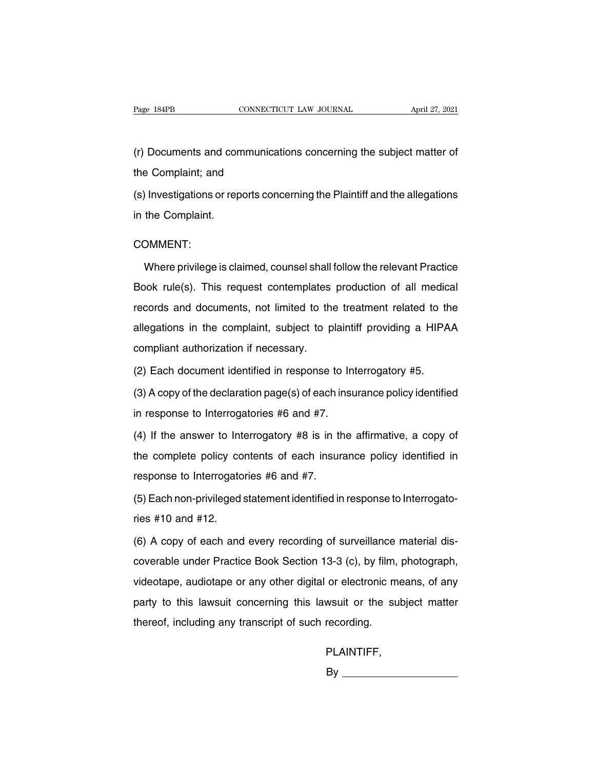Page 184PB CONNECTICUT LAW JOURNAL April 27, 2021<br>(r) Documents and communications concerning the subject matter of<br>the Complaint; and Page 184PB<br>
(r) Documents and communica<br>
the Complaint; and<br>
(s) Investigations or reports cor (r) Documents and communications concerning the subject matter of<br>the Complaint; and<br>(s) Investigations or reports concerning the Plaintiff and the allegations<br>in the Complaint. (r) Documents and con<br>the Complaint; and<br>(s) Investigations or rep<br>in the Complaint.

## COMMENT:

Munder privilege is claimed, counsel shall follow the relevant Practice<br>Where privilege is claimed, counsel shall follow the relevant Practice<br>where privilege is claimed, counsel shall follow the relevant Practice<br>wok rule in the Complaint.<br>
COMMENT:<br>
Where privilege is claimed, counsel shall follow the relevant Practice<br>
Book rule(s). This request contemplates production of all medical<br>
records and documents, not limited to the treatment re COMMENT:<br>Where privilege is claimed, counsel shall follow the relevant Practice<br>Book rule(s). This request contemplates production of all medical<br>records and documents, not limited to the treatment related to the<br>allegatio Where privilege is claimed, counsel shall follow the relevant Practice<br>Book rule(s). This request contemplates production of all medical<br>records and documents, not limited to the treatment related to the<br>allegations in the More privilege to elamined, coalities entain<br>Book rule(s). This request contemplates<br>records and documents, not limited to the<br>allegations in the complaint, subject to p<br>compliant authorization if necessary.<br>(2) Each docum (2) Face is and documents, not limited to the treatment related to the allegations in the complaint, subject to plaintiff providing a HIPA compliant authorization if necessary.<br>(2) Each document identified in response to I allegations in the complaint, subject to plaintiff providing a HIPAA<br>compliant authorization if necessary.<br>(2) Each document identified in response to Interrogatory #5.<br>(3) A copy of the declaration page(s) of each insuran

compliant authorization if necessary.<br>
(2) Each document identified in response to Interrogatories #6 and #7.<br>
(4) If the answer to Interrogatories #6 and #7.<br>
(4) If the answer to Interrogatory #8 is in the

(2) Each document identified in response to Interrogatory #5.<br>
(3) A copy of the declaration page(s) of each insurance policy identified<br>
in response to Interrogatories #6 and #7.<br>
(4) If the answer to Interrogatory #8 is (3) A copy of the declaration page(s) of each insurance policy identified<br>in response to Interrogatories  $#6$  and  $#7$ .<br>(4) If the answer to Interrogatory  $#8$  is in the affirmative, a copy of<br>the complete policy contents in response to Interrogatories #6 and #7.<br>(4) If the answer to Interrogatory #8 is in the complete policy contents of each insur-<br>response to Interrogatories #6 and #7.<br>(5) Each non-privileged statement identified in (4) If the answer to Interrogatory  $#8$  is in the affirmative, a copy of<br>the complete policy contents of each insurance policy identified in<br>response to Interrogatories  $#6$  and  $#7$ .<br>(5) Each non-privileged statement ide the complete policy co<br>response to Interrogato<br>(5) Each non-privileged<br>ries #10 and #12.<br>(6) A copy of each and

response to Interrogatories #6 and #7.<br>(5) Each non-privileged statement identified in response to Interrogato-<br>ries #10 and #12.<br>(6) A copy of each and every recording of surveillance material dis-<br>coverable under Practic (5) Each non-privileged statement identified in response to Interrogato-<br>ries #10 and #12.<br>(6) A copy of each and every recording of surveillance material dis-<br>coverable under Practice Book Section 13-3 (c), by film, photo videotape, audiotape or any other digital or electronic means, of any<br>party to this lawsuit concerning this lawsuit or the subject matter<br>party to this lawsuit concerning this lawsuit or the subject matter (6) A copy of each and every recording of surveillance material dis-<br>coverable under Practice Book Section 13-3 (c), by film, photograph,<br>videotape, audiotape or any other digital or electronic means, of any<br>party to this thereof, including any transcript of such recording.<br>thereof, including any transcript of such recording.<br>thereof, including any transcript of such recording.

## PLAINTIFF,

By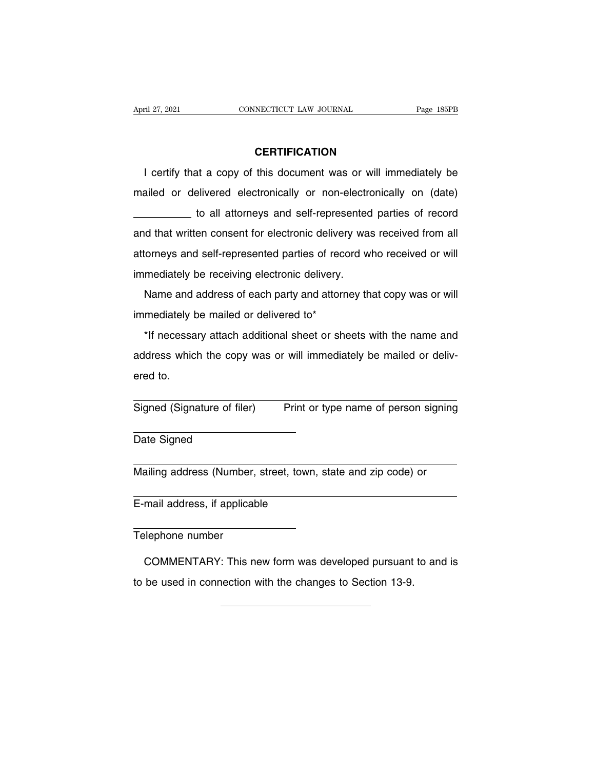## **CERTIFICATION**

I certify that a copy of this document was or will immediately be<br>
ailed or delivered electronically or non-electronically on (date) **CERTIFICATION**<br>
I certify that a copy of this document was or will immediately be<br>
mailed or delivered electronically or non-electronically on (date)<br>
to all attorneys and self-represented parties of record **CERTIFICATION**<br>at a copy of this document was or will immediately be<br>elivered electronically or non-electronically on (date)<br>to all attorneys and self-represented parties of record<br>en consent for electronic delivery was r I certify that a copy of this document was or will immediately be<br>mailed or delivered electronically or non-electronically on (date)<br>to all attorneys and self-represented parties of record<br>and that written consent for elec rectary that a copy of this document was of will immitediately be<br>mailed or delivered electronically or non-electronically on (date)<br>to all attorneys and self-represented parties of record from all<br>attorneys and self-repre indicately delivered electronically of field electronic<br>
and that written consent for electronic delivery wa<br>
attorneys and self-represented parties of record w<br>
immediately be receiving electronic delivery.<br>
Name and addr If that written consent for electronic delivery was received from all<br>torneys and self-represented parties of record who received or will<br>mediately be receiving electronic delivery.<br>Name and address of each party and attor alled that which concent for clockeling delivery<br>attorneys and self-represented parties of recor<br>immediately be receiving electronic delivery.<br>Mame and address of each party and attorne<br>immediately be mailed or delivered t

mediately be receiving electronic delivery.<br>
Name and address of each party and attorney that copy was or will<br>
mediately be mailed or delivered to\*<br>
\*If necessary attach additional sheet or sheets with the name and<br>
dress Mame and address of each party and attorney that copy was or will<br>immediately be mailed or delivered to\*<br>\*If necessary attach additional sheet or sheets with the name and<br>address which the copy was or will immediately be m Name and address of each party and attorney that copy was or will<br>immediately be mailed or delivered to\*<br>\*If necessary attach additional sheet or sheets with the name and<br>address which the copy was or will immediately be m \*If necessary attach additional sheet or sheets with the name and<br>address which the copy was or will immediately be mailed or deliv-<br>ered to.<br>Signed (Signature of filer) Print or type name of person signing

Signed (Signature of filer) Print or type name of person s<br>
Date Signed<br>
Mailing address (Number, street, town, state and zip code) or Signed (Signature of filer) Print or type name of person signing<br>
Date Signed<br>
Mailing address (Number, street, town, state and zip code) or

Date Signed<br>
Mailing address (Number, street, town,<br>
E-mail address, if applicable

E-mail address, if applicable<br>
Telephone number<br>
COMMENTARY: This new form was developed pursuant to and is mail address, if applicable<br>
Elephone number<br>
COMMENTARY: This new form was developed pursuant to and is<br>
be used in connection with the changes to Section 13-9. to be used in connection with the changes to Section 13-9.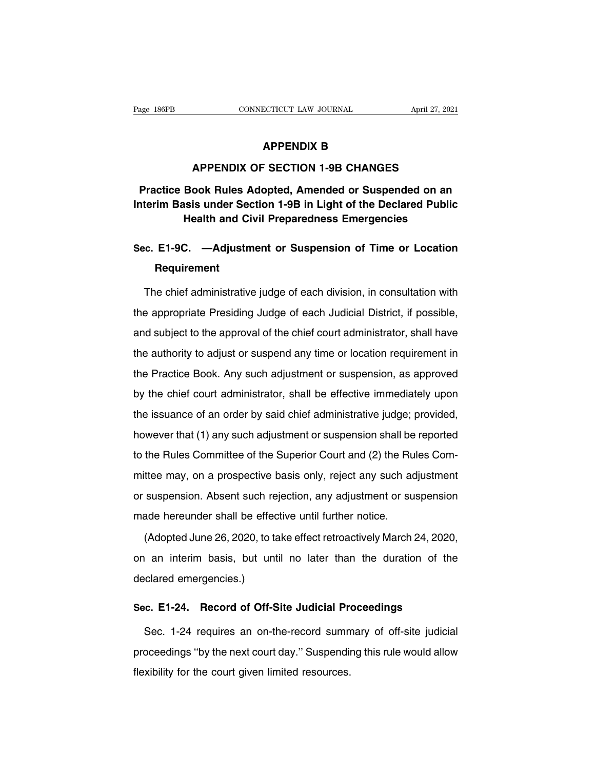# **ECTICUT LAW JOURNAL**<br>**APPENDIX B<br>F SECTION 1-9B CHANGES**

## **APPENDIX B**<br> **APPENDIX B**<br> **APPENDIX OF SECTION 1-9B CHANGES**<br> **APPENDIX OF SECTION 1-9B CHANGES PRACTICE BOOKSPERSE ADDENSITY OF SECTION 1-9B CHANGES**<br>
Practice Book Rules Adopted, Amended or Suspended on an<br>
Interim Basis under Section 1-9B in Light of the Declared Public<br>
Use the order of Susting Presenting or Fre **INTER APPENDIX B<br>
INTEREM APPENDIX OF SECTION 1-9B CHANGES<br>
Practice Book Rules Adopted, Amended or Suspended on an<br>
Interim Basis under Section 1-9B in Light of the Declared Public<br>
Health and Civil Preparedness Emergenc APPENDIX OF SECTION 1-9B CHANGES<br>
Book Rules Adopted, Amended or Suspended on an<br>
sis under Section 1-9B in Light of the Declared Public<br>
Health and Civil Preparedness Emergencies<br>
Adjustment or Gueraraian of Time or Leas SECTION 1-9B CHANGES**<br> **Practice Book Rules Adopted, Amended or Suspended on an**<br> **Interim Basis under Section 1-9B in Light of the Declared Public<br>
Health and Civil Preparedness Emergencies<br>
Sec. E1-9C. —Adjustment or Su**

## **Requirement**

Health and Civil Preparedness Emergencies<br>
c. E1-9C. —Adjustment or Suspension of Time or Location<br>
Requirement<br>
The chief administrative judge of each division, in consultation with<br>
e appropriate Presiding Judge of each Sec. E1-9C. —Adjustment or Suspension of Time or Location<br>Requirement<br>The chief administrative judge of each division, in consultation with<br>the appropriate Presiding Judge of each Judicial District, if possible,<br>and subjec Requirement<br>The chief administrative judge of each division, in consultation with<br>the appropriate Presiding Judge of each Judicial District, if possible,<br>and subject to the approval of the chief court administrator, shall The chief administrative judge of each division, in consultation with<br>the appropriate Presiding Judge of each Judicial District, if possible,<br>and subject to the approval of the chief court administrator, shall have<br>the aut The ember daminionality jadge of each divident, in consultation with<br>the appropriate Presiding Judge of each Judicial District, if possible,<br>and subject to the approval of the chief court administrator, shall have<br>the auth and subject to the approval of the chief court administrator, a possible, and subject to the approval of the chief court administrator, shall have the authority to adjust or suspend any time or location requirement in the the authority to adjust or suspend any time or location requirement in<br>the Practice Book. Any such adjustment or suspension, as approved<br>by the chief court administrator, shall be effective immediately upon<br>the issuance of the Practice Book. Any such adjustment or suspension, as approved<br>by the chief court administrator, shall be effective immediately upon<br>the issuance of an order by said chief administrative judge; provided,<br>however that (1 the Fractice Book. Any cach adjacition or saepension, as approved<br>by the chief court administrator, shall be effective immediately upon<br>the issuance of an order by said chief administrative judge; provided,<br>however that (1 by the enter eeart daminicater, shall be encence immediatery apont<br>the issuance of an order by said chief administrative judge; provided,<br>however that (1) any such adjustment or suspension shall be reported<br>to the Rules Co Increasure of an order by earl oner daminimentative jauge, provided,<br>however that (1) any such adjustment or suspension shall be reported<br>to the Rules Committee of the Superior Court and (2) the Rules Com-<br>mittee may, on a mowever that (1) any such adjacement or suspension shall be<br>to the Rules Committee of the Superior Court and (2) the Ru<br>mittee may, on a prospective basis only, reject any such at<br>or suspension. Absent such rejection, any The France Committed Chine Coppertivation (L) are France Computed the Hine 26, 2020, the Suspension and a hereunder shall be effective until further notice.<br>(Adopted June 26, 2020, to take effect retroactively March 24, 20

or suspension. Absent such rejection, any adjustment or suspension<br>made hereunder shall be effective until further notice.<br>(Adopted June 26, 2020, to take effect retroactively March 24, 2020,<br>on an interim basis, but until made hereunder shall be effect<br>(Adopted June 26, 2020, to ta<br>on an interim basis, but unt<br>declared emergencies.) (Adopted June 26, 2020, to take effect retroactively March 24, 2020,<br>on an interim basis, but until no later than the duration of the<br>declared emergencies.)<br>**Sec. E1-24. Record of Off-Site Judicial Proceedings**<br>Sec. 1-24 r I an interim basis, but until no later than the duration of the<br>clared emergencies.)<br>c. E1-24. Record of Off-Site Judicial Proceedings<br>Sec. 1-24 requires an on-the-record summary of off-site judicial<br>oceedings "by the next

declared emergencies.)<br>
Sec. E1-24. Record of Off-Site Judicial Proceedings<br>
Sec. 1-24 requires an on-the-record summary of off-site judicial<br>
proceedings "by the next court day." Suspending this rule would allow<br>
flexibil Sec. E1-24. Record of Off-Site Judicial Pre<br>Sec. 1-24 requires an on-the-record sumn<br>proceedings "by the next court day." Suspendin<br>flexibility for the court given limited resources.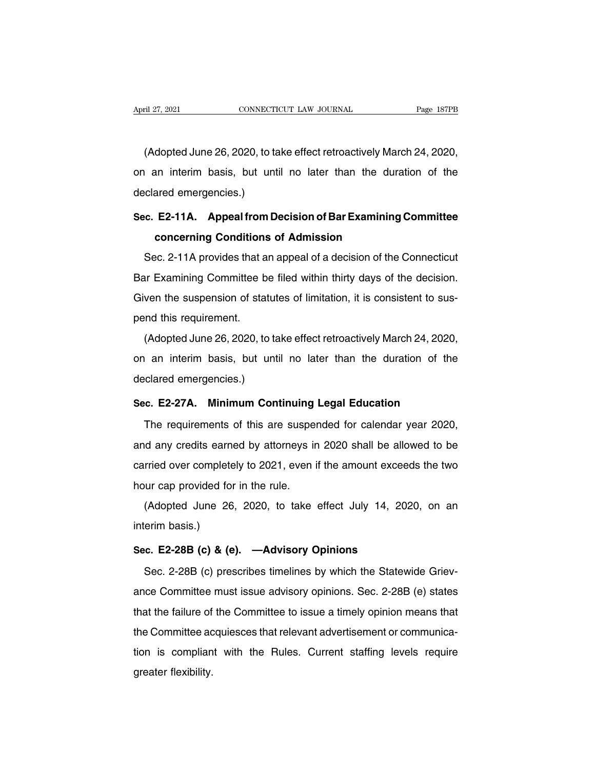ril 27, 2021<br>CONNECTICUT LAW JOURNAL Page 187PB<br>(Adopted June 26, 2020, to take effect retroactively March 24, 2020,<br>an interim basis, but until no later than the duration of the April 27, 2021 CONNECTICUT LAW JOURNAL Page 187PB<br>(Adopted June 26, 2020, to take effect retroactively March 24, 2020,<br>on an interim basis, but until no later than the duration of the<br>declared emergencies.) (Adopted June 26, 2020, to ta<br>on an interim basis, but unt<br>declared emergencies.)<br>Sec. E2-11A. Appeal from D (Adopted June 26, 2020, to take effect retroactively March 24, 2020,<br>on an interim basis, but until no later than the duration of the<br>declared emergencies.)<br>**Sec. E2-11A.** Appeal from Decision of Bar Examining Committee<br>co Familian interim basis, but until no later than the duranced emergencies.)<br> **concerning Conditions of Admission**<br>
Familian Conditions of Admission<br>
Familian Concerning Conditions of Admission<br>
Familian Concerning Condition

clared emergencies.)<br>
C. E2-11A. Appeal from Decision of Bar Examining Committee<br>
concerning Conditions of Admission<br>
Sec. 2-11A provides that an appeal of a decision of the Connecticut<br>
our Examining Committee be filed wi Sec. E2-11A. Appeal from Decision of Bar Examining Committee<br>concerning Conditions of Admission<br>Sec. 2-11A provides that an appeal of a decision of the Connecticut<br>Bar Examining Committee be filed within thirty days of the Given the Suppention Bedision of Bar Examining Committee<br>
Given the Connecticut<br>
Bar Examining Committee be filed within thirty days of the decision.<br>
Given the suspension of statutes of limitation, it is consistent to sus Sec. 2-11A provides that a<br>Bar Examining Committee b<br>Given the suspension of sta<br>pend this requirement.<br>(Adopted June 26, 2020, to Sec. 2 TIX provides that an appear of a decision of the connection of<br>the suspension of statutes of limitation, it is consistent to sus-<br>and this requirement.<br>(Adopted June 26, 2020, to take effect retroactively March 24,

But Examining committed be fired within antly days of the decision.<br>Given the suspension of statutes of limitation, it is consistent to sus-<br>pend this requirement.<br>(Adopted June 26, 2020, to take effect retroactively March end this requirement.<br>
(Adopted June 26, 2020, to ta<br>
on an interim basis, but unt<br>
declared emergencies.)<br>
Sec. E2-27A. Minimum Con (Adopted June 26, 2020, to take effect retroactively March 24, 2020,<br>on an interim basis, but until no later than the duration of the<br>declared emergencies.)<br>**Sec. E2-27A. Minimum Continuing Legal Education**<br>The requirement I an interim basis, but until no later than the duration of the clared emergencies.)<br>
C. E2-27A. Minimum Continuing Legal Education<br>
The requirements of this are suspended for calendar year 2020,<br>
Id any credits earned by

declared emergencies.)<br>
Sec. E2-27A. Minimum Continuing Legal Education<br>
The requirements of this are suspended for calendar year 2020,<br>
and any credits earned by attorneys in 2020 shall be allowed to be<br>
carried over comp Sec. E2-27A. Minimum Continuing Legal Education<br>The requirements of this are suspended for calendar year 2020,<br>and any credits earned by attorneys in 2020 shall be allowed to be<br>carried over completely to 2021, even if the The requirements of this are suspe<br>and any credits earned by attorneys in<br>carried over completely to 2021, even in<br>hour cap provided for in the rule.<br>(Adopted June 26, 2020, to take (Adopted June 26, 2020, to take effect July 14, 2020, on an erim basis.) and any creats earn<br>carried over complete<br>hour cap provided fo<br>(Adopted June 26<br>interim basis.)<br>Sec. E2-28B (c) & (e

hour cap provided for in the rule.<br>
(Adopted June 26, 2020, to take effect July 14, 202<br>
interim basis.)<br> **Sec. E2-28B (c) & (e).** —**Advisory Opinions**<br>
Sec. 2-28B (c) prescribes timelines by which the Statew (Adopted June 26, 2020, to take effect July 14, 2020, on an interim basis.)<br>
Sec.  $E2-28B$  (c) & (e).  $-Adivisory$  Opinions<br>
Sec. 2-28B (c) prescribes timelines by which the Statewide Griev-<br>
ance Committee must issue advisory

interim basis.)<br>
Sec. E2-28B (c) & (e). —Advisory Opinions<br>
Sec. 2-28B (c) prescribes timelines by which the Statewide Griev-<br>
ance Committee must issue advisory opinions. Sec. 2-28B (e) states<br>
that the failure of the Com Sec. E2-28B (c) & (e). —Advisory Opinions<br>Sec. 2-28B (c) prescribes timelines by which the Statewide Griev-<br>ance Committee must issue advisory opinions. Sec. 2-28B (e) states<br>that the failure of the Committee to issue a ti Sec. 2-28B (c) prescribes timelines by which the Statewide Grievance Committee must issue advisory opinions. Sec. 2-28B (e) states that the failure of the Committee to issue a timely opinion means that the Committee acqui dec. 2-200 (c) prescribes infidintes by which the Glatewide Griev-<br>ance Committee must issue advisory opinions. Sec. 2-28B (e) states<br>that the failure of the Committee to issue a timely opinion means that<br>the Committee acq ance committee<br>that the failure of<br>the Committee ac<br>tion is complian<br>greater flexibility.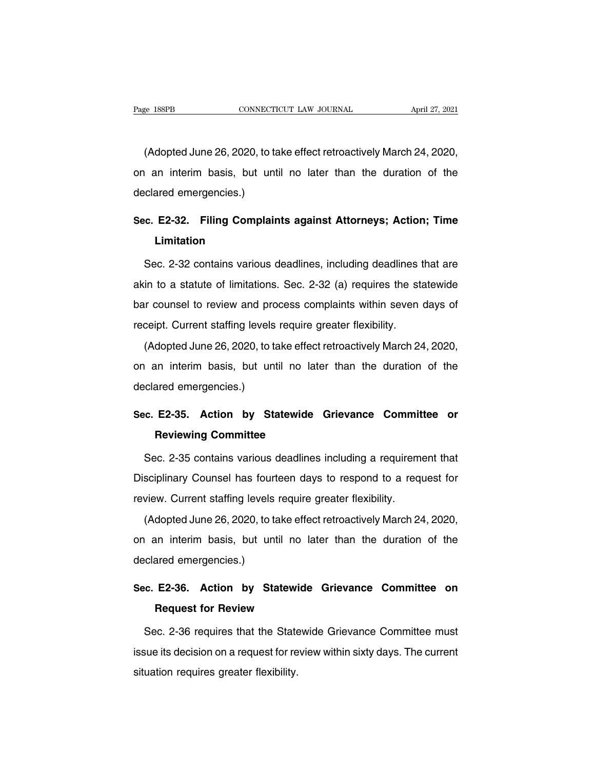EXECTE ANDREAL THE MAINTED CONNECTICUT CONNECTICUT LAW JOURNAL April 27, 2021<br>(Adopted June 26, 2020, to take effect retroactively March 24, 2020,<br>an interim basis, but until no later than the duration of the Page 188PB CONNECTICUT LAW JOURNAL April 27, 2021<br>(Adopted June 26, 2020, to take effect retroactively March 24, 2020,<br>on an interim basis, but until no later than the duration of the<br>declared emergencies.) (Adopted June 26, 2020, to ta<br>on an interim basis, but unt<br>declared emergencies.)<br>See 53.33 Filing Compleir (Adopted June 26, 2020, to take effect retroactively March 24, 2020,<br>on an interim basis, but until no later than the duration of the<br>declared emergencies.)<br>Sec. E2-32. Filing Complaints against Attorneys; Action; Time<br>Lim

## **Limitation**

clared emergencies.)<br>
Sec. E2-32. Filing Complaints against Attorneys; Action; Time<br>
Limitation<br>
Sec. 2-32 contains various deadlines, including deadlines that are<br>
tin to a statute of limitations. Sec. 2-32 (a) requires t Sec. E2-32. Filing Complaints against Attorneys; Action; Time<br>Limitation<br>Sec. 2-32 contains various deadlines, including deadlines that are<br>akin to a statute of limitations. Sec. 2-32 (a) requires the statewide<br>bar counsel Limitation<br>Sec. 2-32 contains various deadlines, including deadlines that are<br>akin to a statute of limitations. Sec. 2-32 (a) requires the statewide<br>bar counsel to review and process complaints within seven days of<br>receipt Sec. 2-32 contains various deadlines, including deadlines t<br>akin to a statute of limitations. Sec. 2-32 (a) requires the sta-<br>bar counsel to review and process complaints within seven<br>receipt. Current staffing levels requi (Adopted June 26, 2020, to take effect retroactively March 24, 2020, an interim basis, but until no later than the duration of the

bar counsel to review and process complaints within seven days of<br>receipt. Current staffing levels require greater flexibility.<br>(Adopted June 26, 2020, to take effect retroactively March 24, 2020,<br>on an interim basis, but bar bounder to review and provided the receipt. Current staffing levels<br>(Adopted June 26, 2020, to ta<br>on an interim basis, but unt<br>declared emergencies.) (Adopted June 26, 2020, to take effect retroactively March 24, 2020,<br>on an interim basis, but until no later than the duration of the<br>declared emergencies.)<br>Sec. E2-35. Action by Statewide Grievance Committee or<br>Reviewing Framerian basis, but until no lat<br>
Reviewing Committee<br>
Reviewing Committee<br>
Reviewing Committee<br>
Reviewing Committee<br>
Reviewing Committee

clared emergencies.)<br>
C. E2-35. Action by Statewide Grievance Committee or<br>
Reviewing Committee<br>
Sec. 2-35 contains various deadlines including a requirement that<br>
sciplinary Counsel has fourteen days to respond to a reque Sec. E2-35. Action by Statewide Grievance Committee or<br>Reviewing Committee<br>Sec. 2-35 contains various deadlines including a requirement that<br>Disciplinary Counsel has fourteen days to respond to a request for<br>review. Curren **Reviewing Committee**<br>Sec. 2-35 contains various deadlines including a requirem<br>Disciplinary Counsel has fourteen days to respond to a req<br>review. Current staffing levels require greater flexibility.<br>(Adopted June 26, 2020 Sec. 2-35 contains various deadlines including a requirement that<br>sciplinary Counsel has fourteen days to respond to a request for<br>view. Current staffing levels require greater flexibility.<br>(Adopted June 26, 2020, to take

Disciplinary Counsel has fourteen days to respond to a request for<br>review. Current staffing levels require greater flexibility.<br>(Adopted June 26, 2020, to take effect retroactively March 24, 2020,<br>on an interim basis, but Disciplinary Counsel has fourteen days to respond to a request for<br>review. Current staffing levels require greater flexibility.<br>(Adopted June 26, 2020, to take effect retroactively March 24, 2020,<br>on an interim basis, but (Adopted June 26, 2020, to take effect retroactively March 24, 2020,<br>on an interim basis, but until no later than the duration of the<br>declared emergencies.)<br>Sec. E2-36. Action by Statewide Grievance Committee on<br>Request fo

# Sec. E2-36. Action by Statewide Grievance Committee on<br>Request for Review<br>Sec. 2-36 requires that the Statewide Grievance Committee must

clared emergencies.)<br>
C. E2-36. Action by Statewide Grievance Committee on<br>
Request for Review<br>
Sec. 2-36 requires that the Statewide Grievance Committee must<br>
sue its decision on a request for review within sixty days. Th Sec. E2-36. Action by Statewide Grievance Committee on<br>Request for Review<br>Sec. 2-36 requires that the Statewide Grievance Committee must<br>issue its decision on a request for review within sixty days. The current<br>situation r Request for Review<br>Sec. 2-36 requires that the State<br>issue its decision on a request for re<br>situation requires greater flexibility.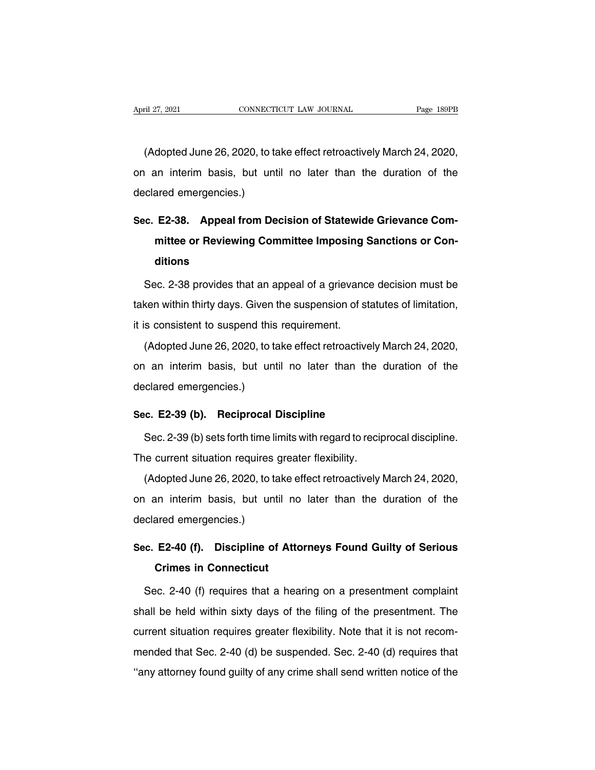ril 27, 2021<br>CONNECTICUT LAW JOURNAL Page 189PB<br>(Adopted June 26, 2020, to take effect retroactively March 24, 2020,<br>an interim basis, but until no later than the duration of the April 27, 2021 CONNECTICUT LAW JOURNAL Page 189PB<br>(Adopted June 26, 2020, to take effect retroactively March 24, 2020,<br>on an interim basis, but until no later than the duration of the<br>declared emergencies.) (Adopted June 26, 2020, to ta<br>on an interim basis, but unt<br>declared emergencies.)<br>See 53.38 Appel from De (Adopted June 26, 2020, to take effect retroactively March 24, 2020,<br>
on an interim basis, but until no later than the duration of the<br>
declared emergencies.)<br> **Sec. E2-38. Appeal from Decision of Statewide Grievance Com-**

## Imposime than the duration of the ared emergencies.)<br> **E2-38.** Appeal from Decision of Statewide Grievance Com-<br>
mittee or Reviewing Committee Imposing Sanctions or Con-<br>
ditions **ditions** Follow: E2-38. Appeal from Decision of Statewide Grievance Committee or Reviewing Committee Imposing Sanctions or Conditions<br>Sec. 2-38 provides that an appeal of a grievance decision must be<br>Ken within thirty days. Given t

mittee or Reviewing Committee Imposing Sanctions or Conditions<br>Sec. 2-38 provides that an appeal of a grievance decision must be<br>taken within thirty days. Given the suspension of statutes of limitation,<br>it is consistent to ditions<br>
Sec. 2-38 provides that an appeal of a grievanc<br>
taken within thirty days. Given the suspension of s<br>
it is consistent to suspend this requirement.<br>
(Adopted June 26, 2020, to take effect retroactive Sec. 2-38 provides that an appeal of a grievance decision must be<br>ken within thirty days. Given the suspension of statutes of limitation,<br>s consistent to suspend this requirement.<br>(Adopted June 26, 2020, to take effect ret

diate within thirty days. Given the suspension of statutes of limitation,<br>it is consistent to suspend this requirement.<br>(Adopted June 26, 2020, to take effect retroactively March 24, 2020,<br>on an interim basis, but until no declared them and years. Since the internal state of the CA<br>dopted June 26, 2020, to the internal basis, but until<br>declared emergencies.) (Adopted June 26, 2020, to take effect retroactively<br>on an interim basis, but until no later than the<br>declared emergencies.)<br>**Sec. E2-39 (b). Reciprocal Discipline**<br>Sec. 2-39 (b) sets forth time limits with regard to rec France in the duration of the clared emergencies.)<br>Sec. 2-39 (b). Reciprocal Discipline<br>Sec. 2-39 (b) sets forth time limits with regard to reciprocal discipline.<br>The current situation requires greater flexibility.

declared emergencies.)<br> **Sec. E2-39 (b). Reciprocal Discipline**<br>
Sec. 2-39 (b) sets forth time limits with regard to recip<br>
The current situation requires greater flexibility.<br>
(Adopted June 26, 2020, to take effect retroa

c. E2-39 (b). Reciprocal Discipline<br>Sec. 2-39 (b) sets forth time limits with regard to reciprocal discipline.<br>ne current situation requires greater flexibility.<br>(Adopted June 26, 2020, to take effect retroactively March Sec. 2-39 (b) sets forth time limits with regard to reciprocal discipline.<br>The current situation requires greater flexibility.<br>(Adopted June 26, 2020, to take effect retroactively March 24, 2020,<br>on an interim basis, but u The current situation requires<br>(Adopted June 26, 2020, to ta<br>on an interim basis, but unt<br>declared emergencies.) (Adopted June 26, 2020, to take effect retroactively March 24, 2020,<br>on an interim basis, but until no later than the duration of the<br>declared emergencies.)<br>Sec. E2-40 (f). Discipline of Attorneys Found Guilty of Serious<br>C Frame interim basis, but until not<br>ared emergencies.)<br>**E2-40 (f). Discipline of Atto<br>Crimes in Connecticut**<br>ec. 2-40 (f) requires that a hea

clared emergencies.)<br>
C. E2-40 (f). Discipline of Attorneys Found Guilty of Serious<br>
Crimes in Connecticut<br>
Sec. 2-40 (f) requires that a hearing on a presentment complaint<br>
all be held within sixty days of the filing of t Sec. E2-40 (f). Discipline of Attorneys Found Guilty of Serious<br>Crimes in Connecticut<br>Sec. 2-40 (f) requires that a hearing on a presentment complaint<br>shall be held within sixty days of the filing of the presentment. The<br>c Crimes in Connecticut<br>Sec. 2-40 (f) requires that a hearing on a presentment complaint<br>shall be held within sixty days of the filing of the presentment. The<br>current situation requires greater flexibility. Note that it is n Sec. 2-40 (f) requires that a hearing on a presentment complaint<br>shall be held within sixty days of the filing of the presentment. The<br>current situation requires greater flexibility. Note that it is not recom-<br>mended that shall be held within sixty days of the filing of the presentment. The current situation requires greater flexibility. Note that it is not recommended that Sec. 2-40 (d) be suspended. Sec. 2-40 (d) requires that "any attor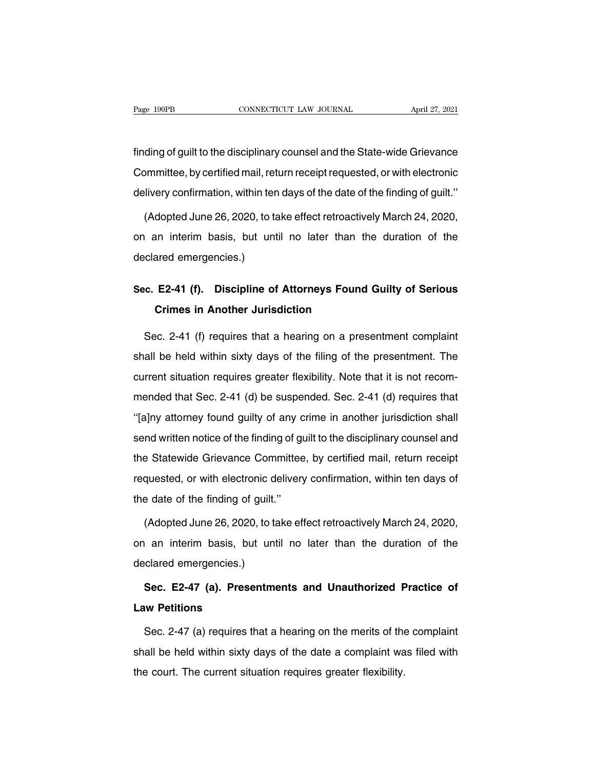Fage 190PB<br>
CONNECTICUT LAW JOURNAL April 27, 2021<br>
finding of guilt to the disciplinary counsel and the State-wide Grievance<br>
Committee, by certified mail, return receipt requested, or with electronic Page 190PB CONNECTICUT LAW JOURNAL April 27, 2021<br>
finding of guilt to the disciplinary counsel and the State-wide Grievance<br>
Committee, by certified mail, return receipt requested, or with electronic<br>
delivery confirmatio finding of guilt to the disciplinary counsel and the State-wide Grievance<br>Committee, by certified mail, return receipt requested, or with electronic<br>delivery confirmation, within ten days of the date of the finding of guil ding of guilt to the disciplinary counsel and the State-wide Grievance<br>ommittee, by certified mail, return receipt requested, or with electronic<br>livery confirmation, within ten days of the date of the finding of guilt."<br>(A

Committee, by certified mail, return receipt requested, or with electronic<br>delivery confirmation, within ten days of the date of the finding of guilt."<br>(Adopted June 26, 2020, to take effect retroactively March 24, 2020,<br>o delivery confirmation, within ter<br>(Adopted June 26, 2020, to ta<br>on an interim basis, but unt<br>declared emergencies.) (Adopted June 26, 2020, to take effect retroactively March 24, 2020,<br>on an interim basis, but until no later than the duration of the<br>declared emergencies.)<br>Sec. E2-41 (f). Discipline of Attorneys Found Guilty of Serious<br>C an interim basis, but until no later than the<br>ared emergencies.)<br>**E2-41 (f). Discipline of Attorneys Found<br>Crimes in Another Jurisdiction** 

clared emergencies.)<br>
C. E2-41 (f). Discipline of Attorneys Found Guilty of Serious<br>
Crimes in Another Jurisdiction<br>
Sec. 2-41 (f) requires that a hearing on a presentment complaint<br>
all be held within sixty days of the fi Sec. E2-41 (f). Discipline of Attorneys Found Guilty of Serious<br>Crimes in Another Jurisdiction<br>Sec. 2-41 (f) requires that a hearing on a presentment complaint<br>shall be held within sixty days of the filing of the presentme Crimes in Another Jurisdiction<br>Sec. 2-41 (f) requires that a hearing on a presentment complaint<br>shall be held within sixty days of the filing of the presentment. The<br>current situation requires greater flexibility. Note tha Sec. 2-41 (f) requires that a hearing on a presentment complaint<br>shall be held within sixty days of the filing of the presentment. The<br>current situation requires greater flexibility. Note that it is not recom-<br>mended that shall be held within sixty days of the filing of the presentment. The current situation requires greater flexibility. Note that it is not recommended that Sec. 2-41 (d) be suspended. Sec. 2-41 (d) requires that "[a]ny att send written notice of the suspended. Sec. 2-41 (d) requires that<br>"[a]ny attorney found guilty of any crime in another jurisdiction shall<br>"[a]ny attorney found guilty of any crime in another jurisdiction shall<br>send written batter states requires greater hexibility: roce that it is not recent<br>mended that Sec. 2-41 (d) be suspended. Sec. 2-41 (d) requires that<br>"[a]ny attorney found guilty of any crime in another jurisdiction shall<br>send written "[a]ny attorney found guilty of any crime in another jurisdiction shall<br>
send written notice of the finding of guilt to the disciplinary counsel and<br>
the Statewide Grievance Committee, by certified mail, return receipt<br>
r the date of the finding of any send written notice of the finding of g<br>the Statewide Grievance Committed<br>requested, or with electronic deliver<br>the date of the finding of guilt."<br>(Adopted June 26, 2020, to take ef Example 3 Statewide Grievance Committee, by certified mail, return receipt<br>quested, or with electronic delivery confirmation, within ten days of<br>e date of the finding of guilt."<br>(Adopted June 26, 2020, to take effect retro

requested, or with electronic delivery confirmation, within ten days of<br>the date of the finding of guilt."<br>(Adopted June 26, 2020, to take effect retroactively March 24, 2020,<br>on an interim basis, but until no later than t the date of the finding of guilt.<br>
(Adopted June 26, 2020, to ta<br>
on an interim basis, but unt<br>
declared emergencies.)<br>
Sec. E2-47 (a). Presentment (Adopted June 26, 2020, to take effect retroactively March 24, 2020,<br>
an interim basis, but until no later than the duration of the<br>
clared emergencies.)<br> **Sec. E2-47 (a). Presentments and Unauthorized Practice of**<br> **w Pet** on an interim basis, but<br>declared emergencies.)<br>**Sec. E2-47 (a). Prese**<br>**Law Petitions**<br>Sec. 2-47 (a) requires the

clared emergencies.)<br>Sec. E2-47 (a). Presentments and Unauthorized Practice of<br>w Petitions<br>Sec. 2-47 (a) requires that a hearing on the merits of the complaint<br>all be held within sixty days of the date a complaint was file Sec. E2-47 (a). Presentments and Unauthorized Practice of<br>Law Petitions<br>Sec. 2-47 (a) requires that a hearing on the merits of the complaint<br>shall be held within sixty days of the date a complaint was filed with<br>the court. Law Petitions<br>Sec. 2-47 (a) requires that a hearing on the merits of the<br>shall be held within sixty days of the date a complaint wa<br>the court. The current situation requires greater flexibility.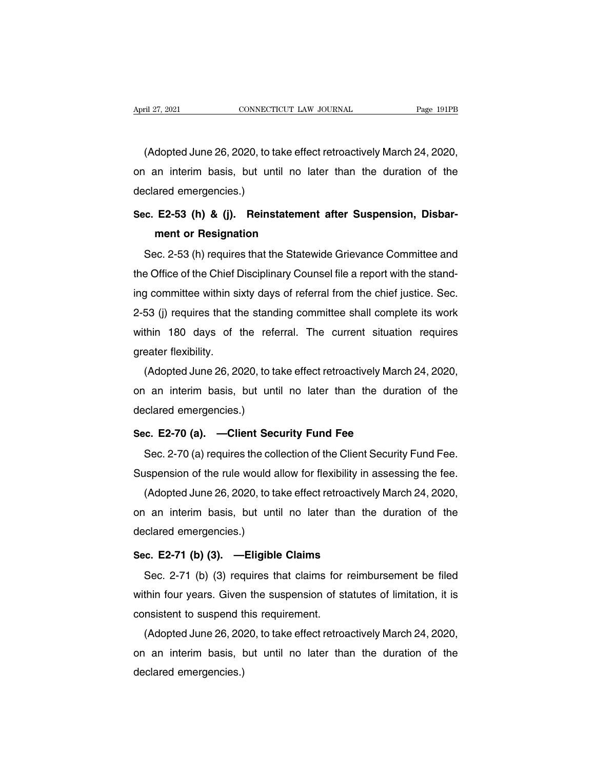ril 27, 2021<br>CONNECTICUT LAW JOURNAL Page 191PB<br>(Adopted June 26, 2020, to take effect retroactively March 24, 2020,<br>an interim basis, but until no later than the duration of the April 27, 2021 CONNECTICUT LAW JOURNAL Page 191PB<br>(Adopted June 26, 2020, to take effect retroactively March 24, 2020,<br>on an interim basis, but until no later than the duration of the<br>declared emergencies.) (Adopted June 26, 2020, to ta<br>on an interim basis, but unt<br>declared emergencies.)<br>Sec. E2-53 (h) & (i). Reinst (Adopted June 26, 2020, to take effect retroactively March 24, 2020,<br>
on an interim basis, but until no later than the duration of the<br>
declared emergencies.)<br> **Sec. E2-53 (h) & (j). Reinstatement after Suspension, Disbar**an interim basis, but until no lat<br>ared emergencies.)<br>**E2-53 (h) & (j). Reinstatement**<br>ment or Resignation<br>ec. 2-53 (h) requires that the Statew

Sec. 2-53 (h) & (j). Reinstatement after Suspension, Disbarment or Resignation<br>Sec. 2-53 (h) requires that the Statewide Grievance Committee and<br>9 Office of the Chief Disciplinary Counsel file a report with the stand-Sec. E2-53 (h) & (j). Reinstatement after Suspension, Disbarment or Resignation<br>Sec. 2-53 (h) requires that the Statewide Grievance Committee and<br>the Office of the Chief Disciplinary Counsel file a report with the stand-<br>i sec. Ez-33 (ii) & (j). Heliistatement after Susperision, Disbarment or Resignation<br>ment or Resignation<br>Sec. 2-53 (h) requires that the Statewide Grievance Committee and<br>the Office of the Chief Disciplinary Counsel file a r Sec. 2-53 (h) requires that the Statewide Grievance Committee and<br>the Office of the Chief Disciplinary Counsel file a report with the stand-<br>ing committee within sixty days of referral from the chief justice. Sec.<br>2-53 (j) Sec. 2-53 (n) requires that the statewide Grievance Committee and<br>the Office of the Chief Disciplinary Counsel file a report with the stand-<br>ing committee within sixty days of referral from the chief justice. Sec.<br>2-53 (j) the Office of the Chief L<br>ing committee within si<br>2-53 (j) requires that th<br>within 180 days of<br>greater flexibility.<br>(Adopted June 26, 20 g committee within sixty days of referral from the chief justice. Sec.<br>53 (j) requires that the standing committee shall complete its work<br>thin 180 days of the referral. The current situation requires<br>eater flexibility.<br>(A

2-53 (J) requires that the standing committee shall complete its work<br>within 180 days of the referral. The current situation requires<br>greater flexibility.<br>(Adopted June 26, 2020, to take effect retroactively March 24, 2020 within 180 days of the referred greater flexibility.<br>
(Adopted June 26, 2020, to ta<br>
on an interim basis, but unt<br>
declared emergencies.)<br>
Sec. E2-70 (a). —Client Sec (Adopted June 26, 2020, to take effect retroactively Marcon an interim basis, but until no later than the durat declared emergencies.)<br>Sec. E2-70 (a). —Client Security Fund Fee<br>Sec. 2-70 (a) requires the collection of the Sec. 2-70 (a). —Client Security Fund Fee.<br>Sec. 2-70 (a). —Client Security Fund Fee.<br>Sec. 2-70 (a) requires the collection of the Client Security Fund Fee.<br>Sec. 2-70 (a) requires the collection of the Client Security Fund

Suspension of the rule would allow for flexibility in assessing the fee.<br>Suspension of the rule would allow for flexibility in assessing the fee.<br>(Adopted June 26, 2020, to take effect retroactively March 24, 2020,

(C. E2-70 (a). —Client Security Fund Fee<br>Sec. 2-70 (a) requires the collection of the Client Security Fund Fee.<br>uspension of the rule would allow for flexibility in assessing the fee.<br>(Adopted June 26, 2020, to take effect Sec. E2-70 (a). —Chent Security Fund Fee<br>Sec. 2-70 (a) requires the collection of the Client Security Fund Fee.<br>Suspension of the rule would allow for flexibility in assessing the fee.<br>(Adopted June 26, 2020, to take effec Sec. 2-70 (a) requires the col<br>Suspension of the rule would a<br>(Adopted June 26, 2020, to ta<br>on an interim basis, but unt<br>declared emergencies.)<br>Sec. E2-71 (b) (3). —Eligibl (Adopted June 26, 2020, to take effect retroactivel<br>on an interim basis, but until no later than the<br>declared emergencies.)<br>**Sec. E2-71 (b) (3).** —**Eligible Claims**<br>Sec. 2-71 (b) (3) requires that claims for reimb Franchine Let  $\sim$  2010, to take encerrementatively indicate. The claims can interim basis, but until no later than the duration of the clared emergencies.)<br>
Sec. **E2-71 (b) (3).** —**Eligible Claims** for reimbursement be f

Sec. E2-71 (b) (3). —Eligible Claims<br>Sec. 2-71 (b) (3). —Eligible Claims<br>within four years. Given the suspension of statutes of limitation, it is<br>consistent to suspend this requirement. Sec. E2-71 (b) (3). — Eligible Claims<br>Sec. 2-71 (b) (3) requires that claims for<br>within four years. Given the suspension of st<br>consistent to suspend this requirement.<br>(Adopted June 26, 2020, to take effect retros Sec. 2-71 (b) (3). — Eligible Claims<br>Sec. 2-71 (b) (3) requires that claims for reimbursement be filed<br>thin four years. Given the suspension of statutes of limitation, it is<br>nsistent to suspend this requirement.<br>(Adopted

Sec. 2-/1 (b) (3) requires that claims for reimbursement be filed<br>within four years. Given the suspension of statutes of limitation, it is<br>consistent to suspend this requirement.<br>(Adopted June 26, 2020, to take effect retr within four years. Giver<br>consistent to suspend t<br>(Adopted June 26, 20)<br>on an interim basis, t<br>declared emergencies.)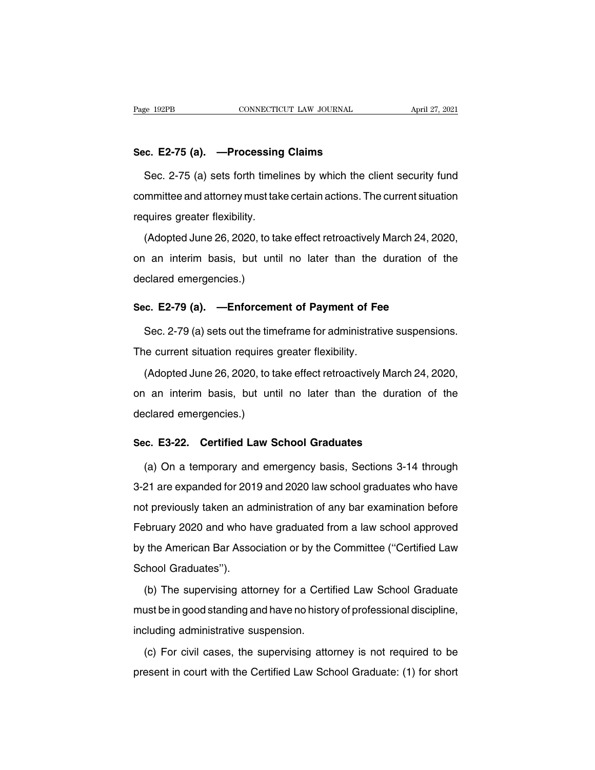Page 192PB<br> **Sec. E2-75 (a).** —**Processing Claims**<br>
Sec. 2-75 (a) sets forth timelines by which the cl SEC. 2-75 (a). —**Processing Claims**<br>Sec. 2-75 (a) sets forth timelines by which the client security fund<br>mmittee and attorney must take certain actions. The current situation Sec. E2-75 (a). —Processing Claims<br>Sec. 2-75 (a) sets forth timelines by which the client security fund<br>committee and attorney must take certain actions. The current situation<br>requires greater flexibility. Sec. E2-75 (a). —Processing<br>Sec. 2-75 (a) sets forth timeli<br>committee and attorney must tak<br>requires greater flexibility.<br>(Adopted June 26, 2020, to tal Sec. 2-75 (a) sets forth timelines by which the client security fund<br>mmittee and attorney must take certain actions. The current situation<br>quires greater flexibility.<br>(Adopted June 26, 2020, to take effect retroactively Ma

committee and attorney must take certain actions. The current situation<br>requires greater flexibility.<br>(Adopted June 26, 2020, to take effect retroactively March 24, 2020,<br>on an interim basis, but until no later than the du requires greater flexibility.<br>
(Adopted June 26, 2020, to ta<br>
on an interim basis, but unt<br>
declared emergencies.) (Adopted June 26, 2020, to take effect retroactively March 24, 20<br>on an interim basis, but until no later than the duration of<br>declared emergencies.)<br>**Sec. E2-79 (a). —Enforcement of Payment of Fee**<br>Sec. 2-79 (a) sets out an interim basis, but until no later than the duration of the clared emergencies.)<br>
Sec. 2-79 (a). —Enforcement of Payment of Fee<br>
Sec. 2-79 (a) sets out the timeframe for administrative suspensions.<br>
Referent situation re

declared emergencies.)<br> **Sec. E2-79 (a).** —**Enforcement of Payment of Fe**<br>
Sec. 2-79 (a) sets out the timeframe for administrativ<br>
The current situation requires greater flexibility.<br>
(Adopted June 26, 2020, to take effect

o. E2-79 (a). —Enforcement of Payment of Fee<br>Sec. 2-79 (a) sets out the timeframe for administrative suspensions.<br>ne current situation requires greater flexibility.<br>(Adopted June 26, 2020, to take effect retroactively Marc Sec. 2-79 (a) sets out the timeframe for administrative suspensions.<br>The current situation requires greater flexibility.<br>(Adopted June 26, 2020, to take effect retroactively March 24, 2020,<br>on an interim basis, but until n The current situation requires<br>(Adopted June 26, 2020, to ta<br>on an interim basis, but unt<br>declared emergencies.) (Adopted June 26, 2020, to take effect retroactively March 2<br>
on an interim basis, but until no later than the duratio<br>
declared emergencies.)<br> **Sec. E3-22. Certified Law School Graduates**<br>
(a) On a temporary and emergency

(a) on a temporary and emergency basis, Sections 3-14 through<br>
1 are expanded for 2019 and 2020 law school graduates<br>
21 are expanded for 2019 and 2020 law school graduates who have declared emergencies.)<br>
Sec. E3-22. Certified Law School Graduates<br>
(a) On a temporary and emergency basis, Sections 3-14 through<br>
3-21 are expanded for 2019 and 2020 law school graduates who have<br>
not previously taken an Sec. E3-22. Certified Law School Graduates<br>
(a) On a temporary and emergency basis, Sections 3-14 through<br>
3-21 are expanded for 2019 and 2020 law school graduates who have<br>
not previously taken an administration of any ba (a) On a temporary and emergency basis, Sections 3-14 through<br>3-21 are expanded for 2019 and 2020 law school graduates who have<br>not previously taken an administration of any bar examination before<br>February 2020 and who hav (a) Off a temporary and emergency sacid, economic of it anough<br>3-21 are expanded for 2019 and 2020 law school graduates who have<br>not previously taken an administration of any bar examination before<br>February 2020 and who ha 3-21 are expanded for 2019 and 2020 law school graduates who have<br>not previously taken an administration of any bar examination before<br>February 2020 and who have graduated from a law school approved<br>by the American Bar Ass (b) The supervisity and who have graduated from a law school approved<br>the American Bar Association or by the Committee ("Certified Law<br>shool Graduates").<br>(b) The supervising attorney for a Certified Law School Graduate<br>ust

must be in good standing and have no history of professional discipline,<br>including administrative suspension.<br>including administrative suspension. gene American Battrice<br>School Graduates").<br>(b) The supervising attorney for a Certi<br>must be in good standing and have no histo<br>including administrative suspension.<br>(c) For civil cases, the supervising atto (b) The supervising attorney for a Certified Law School Graduate<br>ust be in good standing and have no history of professional discipline,<br>cluding administrative suspension.<br>(c) For civil cases, the supervising attorney is n present in court with the Certified Law School Graduate: (1) for short<br>present in court with the Certified Law School Graduate: (1) for short<br>present in court with the Certified Law School Graduate: (1) for short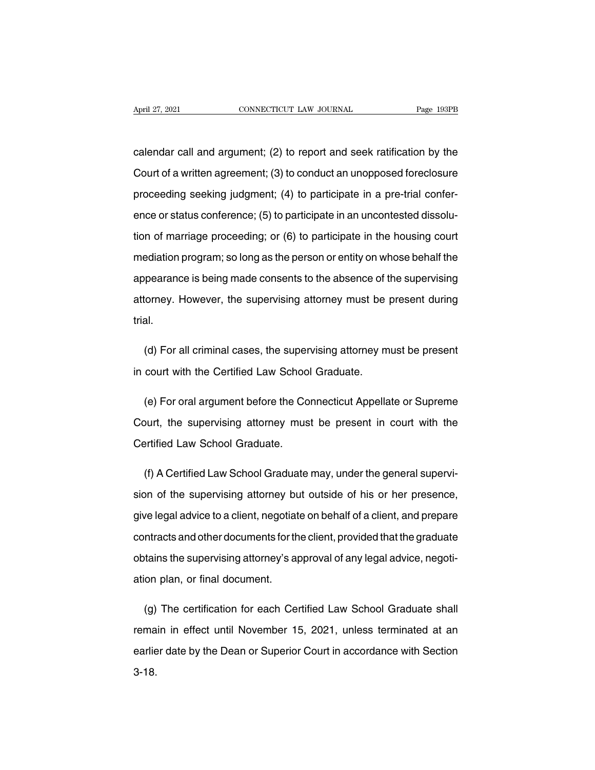April 27, 2021 CONNECTICUT LAW JOURNAL Page 193PB<br>
calendar call and argument; (2) to report and seek ratification by the<br>
Court of a written agreement; (3) to conduct an unopposed foreclosure April 27, 2021 CONNECTICUT LAW JOURNAL Page 193PB<br>
Calendar call and argument; (2) to report and seek ratification by the<br>
Court of a written agreement; (3) to conduct an unopposed foreclosure<br>
proceeding seeking judgment; calendar call and argument; (2) to report and seek ratification by the<br>Court of a written agreement; (3) to conduct an unopposed foreclosure<br>proceeding seeking judgment; (4) to participate in a pre-trial confer-<br>ence or st calendar call and argument; (2) to report and seek ratification by the<br>Court of a written agreement; (3) to conduct an unopposed foreclosure<br>proceeding seeking judgment; (4) to participate in a pre-trial confer-<br>ence or st Court of a written agreement; (3) to conduct an unopposed foreclosure<br>proceeding seeking judgment; (4) to participate in a pre-trial confer-<br>ence or status conference; (5) to participate in an uncontested dissolu-<br>tion of proceeding seeking judgment; (4) to participate in a pre-trial conference or status conference; (5) to participate in an uncontested dissolution of marriage proceeding; or (6) to participate in the housing court mediation ence or status conference; (5) to participate in an uncontested dissolution of marriage proceeding; or (6) to participate in the housing court mediation program; so long as the person or entity on whose behalf the appearan tion of marriage proceeding; or (6) to participate in the housing court<br>mediation program; so long as the person or entity on whose behalf the<br>appearance is being made consents to the absence of the supervising<br>attorney. H trial. pearance is being made consents to the absence of the supervising<br>torney. However, the supervising attorney must be present during<br>al.<br>(d) For all criminal cases, the supervising attorney must be present<br>court with the Cer attorney. However, the supervising attorney must be<br>trial.<br>(d) For all criminal cases, the supervising attorney m<br>in court with the Certified Law School Graduate.

(d) For all criminal cases, the supervising attorney must be present<br>court with the Certified Law School Graduate.<br>(e) For oral argument before the Connecticut Appellate or Supreme<br>burt, the supervising attorney must be pr (d) For all criminal cases, the supervising attorney must be present<br>in court with the Certified Law School Graduate.<br>(e) For oral argument before the Connecticut Appellate or Supreme<br>Court, the supervising attorney must b in court with the Certified Law Schoo<br>
(e) For oral argument before the Co<br>
Court, the supervising attorney mus<br>
Certified Law School Graduate. (e) For oral argument before the Connecticut Appellate or Supreme<br>burt, the supervising attorney must be present in court with the<br>ertified Law School Graduate.<br>(f) A Certified Law School Graduate may, under the general su

Court, the supervising attorney must be present in court with the<br>Certified Law School Graduate.<br>(f) A Certified Law School Graduate may, under the general supervi-<br>sion of the supervising attorney but outside of his or he Certified Law School Graduate.<br>
(f) A Certified Law School Graduate may, under the general supervision of the supervising attorney but outside of his or her presence,<br>
give legal advice to a client, negotiate on behalf of (f) A Certified Law School Graduate may, under the general supervision of the supervising attorney but outside of his or her presence, give legal advice to a client, negotiate on behalf of a client, and prepare contracts a sion of the supervising attorney but outside of his or her presence,<br>give legal advice to a client, negotiate on behalf of a client, and prepare<br>contracts and other documents for the client, provided that the graduate<br>obta give legal advice to a client, negotiat<br>contracts and other documents for the<br>obtains the supervising attorney's ap<br>ation plan, or final document. contracts and other documents for the client, provided that the graduate<br>obtains the supervising attorney's approval of any legal advice, negoti-<br>ation plan, or final document.<br>(g) The certification for each Certified Law

obtains the supervising attorney's approval of any legal advice, negotiation plan, or final document.<br>
(g) The certification for each Certified Law School Graduate shall<br>
remain in effect until November 15, 2021, unless te ation plan, or final document.<br>
(g) The certification for each Certified Law School Graduate shall<br>
remain in effect until November 15, 2021, unless terminated at an<br>
earlier date by the Dean or Superior Court in accordanc 3-18.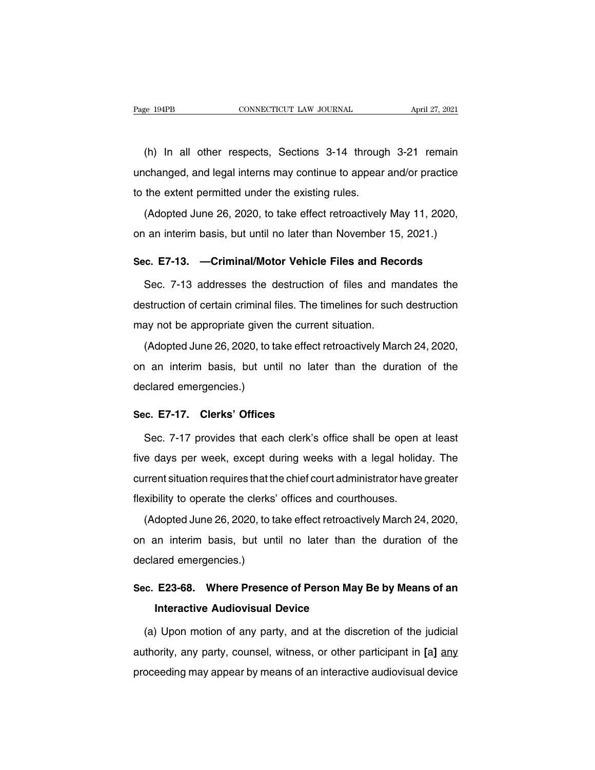EXEMBERT CONNECTICUT LAW JOURNAL THE April 27, 2021<br>(h) In all other respects, Sections 3-14 through 3-21 remain<br>changed, and legal interns may continue to appear and/or practice Page 194PB CONNECTICUT LAW JOURNAL April 27, 2021<br>
(h) In all other respects, Sections 3-14 through 3-21 remain<br>
unchanged, and legal interns may continue to appear and/or practice<br>
to the extent permitted under the existi (h) In all other respects, Sections 3-14 through<br>unchanged, and legal interns may continue to appear<br>to the extent permitted under the existing rules.<br>(Adopted June 26, 2020, to take effect retroactively (h) In all other respects, Sections 3-14 through 3-21 remain changed, and legal interns may continue to appear and/or practice the extent permitted under the existing rules.<br>(Adopted June 26, 2020, to take effect retroact unchanged, and legal interns may continue to appear and/or practice<br>to the extent permitted under the existing rules.<br>(Adopted June 26, 2020, to take effect retroactively May 11, 2020,<br>on an interim basis, but until no la

**Sec.** Fig. 2020, to take effect retroactively May 11, 2020, an an interim basis, but until no later than November 15, 2021.)<br> **Sec. E7-13. —Criminal/Motor Vehicle Files and Records**<br>
Sec. 7-13 addresses the destruction of

(Adopted June 26, 2020, to take effect retroactively May 11, 2020,<br>
an interim basis, but until no later than November 15, 2021.)<br> **c. E7-13.** —**Criminal/Motor Vehicle Files and Records**<br>
Sec. 7-13 addresses the destructio on an interim basis, but until no later than November 15, 2021.)<br> **Sec. E7-13.** — Criminal/Motor Vehicle Files and Records<br>
Sec. 7-13 addresses the destruction of files and mandates the<br>
destruction of certain criminal fil Sec. E7-13. — Criminal/Motor Vehicle Files and Rece.<br>Sec. 7-13 addresses the destruction of files and mateuration of certain criminal files. The timelines for such<br>may not be appropriate given the current situation.<br>(Adopt Sec. 7-13 addresses the destruction of files and mandates the<br>struction of certain criminal files. The timelines for such destruction<br>ay not be appropriate given the current situation.<br>(Adopted June 26, 2020, to take effec

destruction of certain criminal files. The timelines for such destruction<br>may not be appropriate given the current situation.<br>(Adopted June 26, 2020, to take effect retroactively March 24, 2020,<br>on an interim basis, but un may not be appropriate given<br>(Adopted June 26, 2020, to ta<br>on an interim basis, but unt<br>declared emergencies.) (Adopted June 26, 2020, to take effect re<br>on an interim basis, but until no later<br>declared emergencies.)<br>**Sec. E7-17. Clerks' Offices**<br>Sec. 7-17 provides that each clerk's o Frank interim basis, but until no later than the duration of the<br>Clared emergencies.)<br>C. E7-17. Clerks' Offices<br>Sec. 7-17 provides that each clerk's office shall be open at least<br>e days per week, except during weeks with a

Five declared emergencies.)<br>
Sec. E7-17. Clerks' Offices<br>
Sec. 7-17 provides that each clerk's office shall be open at least<br>
five days per week, except during weeks with a legal holiday. The<br>
current situation requires th Sec. E7-17. Clerks' Offices<br>Sec. 7-17 provides that each clerk's office shall be open at least<br>five days per week, except during weeks with a legal holiday. The<br>current situation requires that the chief court administrator Sec. 7-17 provides that each clerk's office shall be open a<br>five days per week, except during weeks with a legal holida<br>current situation requires that the chief court administrator have<br>flexibility to operate the clerks' e days per week, except during weeks with a legal holiday. The<br>rrent situation requires that the chief court administrator have greater<br>xibility to operate the clerks' offices and courthouses.<br>(Adopted June 26, 2020, to ta

on an interim basis, but until no later than the duration of the declared emergencies.)<br>and interior and courthouses.<br>(Adopted June 26, 2020, to take effect retroactively March 24, 2020,<br>on an interim basis, but until no l flexibility to operate the clerks'<br>(Adopted June 26, 2020, to take on an interim basis, but untideclared emergencies.) (Adopted June 26, 2020, to take effect retroactively March 24, 2020,<br>on an interim basis, but until no later than the duration of the<br>declared emergencies.)<br>Sec. E23-68. Where Presence of Person May Be by Means of an<br>Inter on an interim basis, but until no later than the duration of the<br>declared emergencies.)<br>**Sec. E23-68. Where Presence of Person May Be by Means of an<br>Interactive Audiovisual Device**<br>(a) Upon motion of any party, and at the

(c. E23-68. Where Presence of Person May Be by Means of an<br>Interactive Audiovisual Device<br>(a) Upon motion of any party, and at the discretion of the judicial<br>Ithority, any party, counsel, witness, or other participant in [ **Sec. E23-68. Where Presence of Person May Be by Means of an<br>Interactive Audiovisual Device<br>(a) Upon motion of any party, and at the discretion of the judicial<br>authority, any party, counsel, witness, or other participant i** Interactive Audiovisual Device<br>
(a) Upon motion of any party, and at the discretion of the judicial<br>
authority, any party, counsel, witness, or other participant in [a] any<br>
proceeding may appear by means of an interactive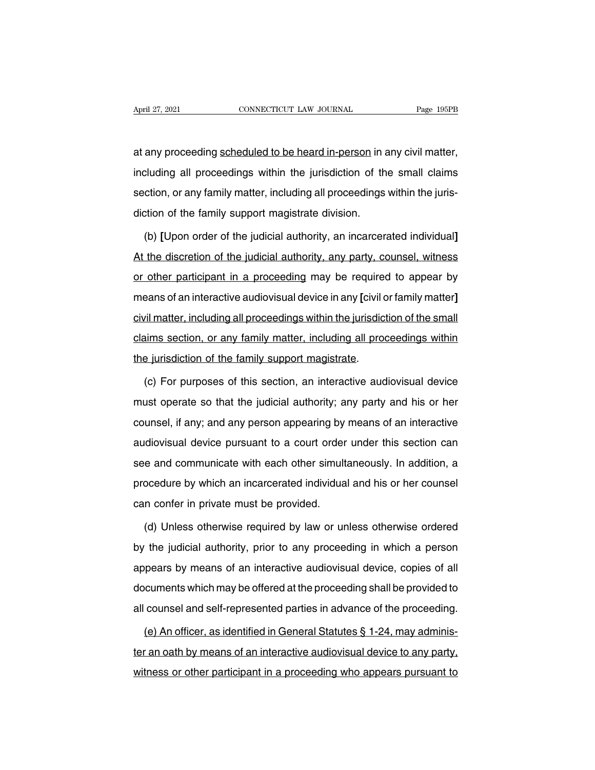April 27, 2021<br>
at any proceeding scheduled to be heard in-person in any civil matter,<br>
including all proceedings within the jurisdiction of the small claims April 27, 2021 CONNECTICUT LAW JOURNAL Page 195PB<br>at any proceeding scheduled to be heard in-person in any civil matter,<br>including all proceedings within the jurisdiction of the small claims<br>section, or any family matter, at any proceeding scheduled to be heard in-person in any civil matter,<br>including all proceedings within the jurisdiction of the small claims<br>section, or any family matter, including all proceedings within the juris-<br>dictio at any proceeding scheduled to be heard in-person in a<br>including all proceedings within the jurisdiction of th<br>section, or any family matter, including all proceedings<br>diction of the family support magistrate division.<br>(b) cluding all proceedings within the jurisdiction of the small claims<br>ction, or any family matter, including all proceedings within the juris-<br>tion of the family support magistrate division.<br>(b) [Upon order of the judicial a

section, or any family matter, including all proceedings within the juris-<br>diction of the family support magistrate division.<br>(b) [Upon order of the judicial authority, an incarcerated individual]<br>At the discretion of the diction of the family support magistrate division.<br>
(b) [Upon order of the judicial authority, an incarcerated individual]<br>
At the discretion of the judicial authority, any party, counsel, witness<br>
or other participant in (b) [Upon order of the judicial authority, an incarcerated individual]<br>At the discretion of the judicial authority, any party, counsel, witness<br>or other participant in a proceeding may be required to appear by<br>means of an (b) [open stast of the judicial authority, ant instructed inativately]<br>At the discretion of the judicial authority, any party, counsel, witness<br>or other participant in a proceeding may be required to appear by<br>means of an or other participant in a proceeding may be required to appear by<br>means of an interactive audiovisual device in any [civil or family matter]<br>civil matter, including all proceedings within the jurisdiction of the small<br>clai or other participant in a proceeding may be required to appear by<br>means of an interactive audiovisual device in any [civil or family matter]<br>civil matter, including all proceedings within the jurisdiction of the small<br>clai vil matter, including all proceedings within the jurisdiction of the small<br>aims section, or any family matter, including all proceedings within<br>e jurisdiction of the family support magistrate.<br>(c) For purposes of this sect

claims section, or any family matter, including all proceedings within<br>the jurisdiction of the family support magistrate.<br>(c) For purposes of this section, an interactive audiovisual device<br>must operate so that the judicia the jurisdiction of the family support magistrate.<br>
(c) For purposes of this section, an interactive audiovisual device<br>
must operate so that the judicial authority; any party and his or her<br>
counsel, if any; and any perso (c) For purposes of this section, an interactive audiovisual device<br>must operate so that the judicial authority; any party and his or her<br>counsel, if any; and any person appearing by means of an interactive<br>audiovisual dev (c) For parpected of this economy, and interactive dideovided device<br>must operate so that the judicial authority; any party and his or her<br>counsel, if any; and any person appearing by means of an interactive<br>audiovisual de procedure by and any person appearing by means of an interactive audiovisual device pursuant to a court order under this section can see and communicate with each other simultaneously. In addition, a procedure by which an courioor, if any, and any person appearing by<br>audiovisual device pursuant to a court order<br>see and communicate with each other simult<br>procedure by which an incarcerated individua<br>can confer in private must be provided.<br>(d) (d) Unless otherwise required by law or unless otherwise ordered<br>
(d) Unless otherwise required by law or unless otherwise ordered<br>
(d) Unless otherwise required by law or unless otherwise ordered<br>
(he judicial authority,

procedure by which an incarcerated individual and his or her counsel<br>can confer in private must be provided.<br>(d) Unless otherwise required by law or unless otherwise ordered<br>by the judicial authority, prior to any proceedi can confer in private must be provided.<br>
(d) Unless otherwise required by law or unless otherwise ordered<br>
by the judicial authority, prior to any proceeding in which a person<br>
appears by means of an interactive audiovisua (d) Unless otherwise required by law or unless otherwise ordered<br>by the judicial authority, prior to any proceeding in which a person<br>appears by means of an interactive audiovisual device, copies of all<br>documents which may by the judicial authority, prior to any proceeding in which a person<br>appears by means of an interactive audiovisual device, copies of all<br>documents which may be offered at the proceeding shall be provided to<br>all counsel an by the judicial authority, prior to any proceeding in which a person<br>appears by means of an interactive audiovisual device, copies of all<br>documents which may be offered at the proceeding shall be provided to<br>all counsel a

documents which may be offered at the proceeding shall be provided to<br>all counsel and self-represented parties in advance of the proceeding.<br>(e) An officer, as identified in General Statutes § 1-24, may adminis-<br>ter an oat all counsel and self-represented parties in advance of the proceeding.<br>
(e) An officer, as identified in General Statutes § 1-24, may adminis-<br>
ter an oath by means of an interactive audiovisual device to any party,<br>
witne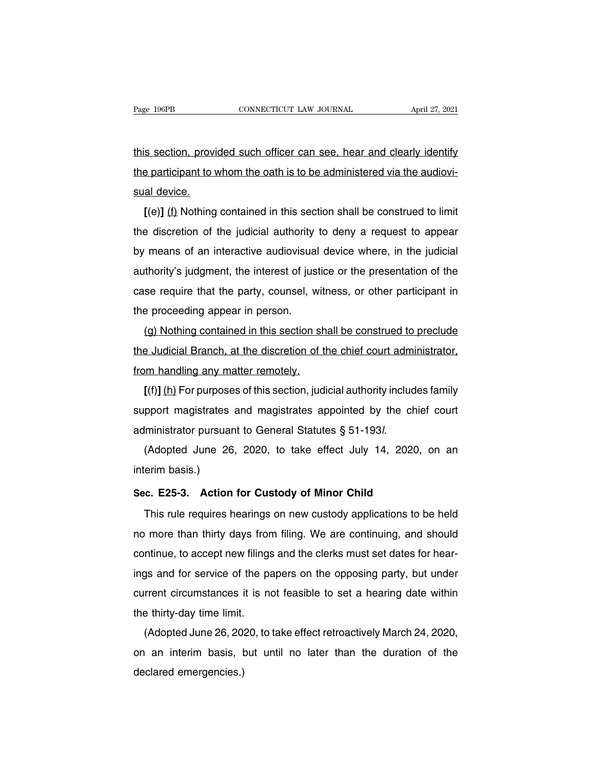The Fage 196PB<br>this section, provided such officer can see, hear and clearly identify<br>the participant to whom the oath is to be administered via the audiovi-Page 196PB CONNECTICUT LAW JOURNAL April 27, 2021<br>this section, provided such officer can see, hear and clearly identify<br>the participant to whom the oath is to be administered via the audiovi-<br>sual device. this section, provi<br>the participant to v<br>sual device.<br>[(e)] <u>(f</u>) Nothing **Example 10** section, provided such officer can see, hear and clearly identify<br> **Example: A participant to whom the oath is to be administered via the audiovi-<br>
<b>E**(e)] (f) Nothing contained in this section shall be constr

the participant to whom the oath is to be administered via the audiovisual device.<br>
[(e)] (f) Nothing contained in this section shall be construed to limit<br>
the discretion of the judicial authority to deny a request to app by means of an interactive audiovisual device.<br>
[(e)] (f) Nothing contained in this section shall be construed to limit<br>
the discretion of the judicial authority to deny a request to appear<br>
by means of an interactive audi I(e)] (f) Nothing contained in this section shall be construed to limit<br>the discretion of the judicial authority to deny a request to appear<br>by means of an interactive audiovisual device where, in the judicial<br>authority's It is discretion of the judicial authority to deny a request to appear<br>the discretion of the judicial authority to deny a request to appear<br>by means of an interactive audiovisual device where, in the judicial<br>authority's the discretion of the judicial authority<br>by means of an interactive audiovisual<br>authority's judgment, the interest of jus<br>case require that the party, counsel, w<br>the proceeding appear in person.<br>(g) Nothing contained in th The first of an interactive additionsdal device where, in the judicial<br>thority's judgment, the interest of justice or the presentation of the<br>se require that the party, counsel, witness, or other participant in<br>e proceedin

additionty's judgment, the interest of justice of the presentation of the<br>case require that the party, counsel, witness, or other participant in<br>the proceeding appear in person.<br>(g) Nothing contained in this section shall case require that the party, counsel, with<br>the proceeding appear in person.<br>(g) Nothing contained in this section sh<br>the Judicial Branch, at the discretion of the<br>from handling any matter remotely.<br>[(f)] (h) For purposes o **[(g)** Nothing contained in this section shall be construed to preclude<br> **E** Judicial Branch, at the discretion of the chief court administrator,<br>
In handling any matter remotely.<br> **[(f)]** (h) For purposes of this section,

(g) Nothing contained in this section shall be construed to precide<br>the Judicial Branch, at the discretion of the chief court administrator,<br>from handling any matter remotely.<br> $[(f)] (h)$  For purposes of this section, judici from handling any matter remotely.<br>
[(f)] (h) For purposes of this section, judicial authority includes family<br>
support magistrates and magistrates appointed by the chief court<br>
administrator pursuant to General Statutes  $\frac{1}{11}$  (ii)  $\frac{1}{111}$  Por purpose<br>support magistrates<br>administrator pursual<br>(Adopted June 26<br>interim basis.)<br>Sec. E25-3. Action

Examples administrator pursuant to General Statutes § 51-193*l*.<br>
(Adopted June 26, 2020, to take effect July 14, 2020, conterim basis.)<br> **Sec. E25-3. Action for Custody of Minor Child**<br>
This rule requires hearings on new

(Adopted June 26, 2020, to take effect July 14, 2020, on an<br>erim basis.)<br>c. E25-3. Action for Custody of Minor Child<br>This rule requires hearings on new custody applications to be held<br>more than thirty days from filing. We interim basis.)<br>Sec. E25-3. Action for Custody of Minor Child<br>This rule requires hearings on new custody applications to be held<br>no more than thirty days from filing. We are continuing, and should<br>continue, to accept new f Sec. E25-3. Action for Custody of Minor Child<br>This rule requires hearings on new custody applications to be held<br>no more than thirty days from filing. We are continuing, and should<br>continue, to accept new filings and the c This rule requires hearings on new custody applications to be held<br>no more than thirty days from filing. We are continuing, and should<br>continue, to accept new filings and the clerks must set dates for hear-<br>ings and for se This rule requires hearings on hew custody applications to be held<br>no more than thirty days from filing. We are continuing, and should<br>continue, to accept new filings and the clerks must set dates for hear-<br>ings and for se no more than thirty days from filing. We are continuing, and should<br>continue, to accept new filings and the clerks must set dates for hear-<br>ings and for service of the papers on the opposing party, but under<br>current circum Finitial the clear strust set dates for hear-<br>gs and for service of the papers on the opposing party, but under<br>rrent circumstances it is not feasible to set a hearing date within<br>e thirty-day time limit.<br>(Adopted June 26,

rigs and for service of the papers on the opposing party, but under<br>current circumstances it is not feasible to set a hearing date within<br>the thirty-day time limit.<br>(Adopted June 26, 2020, to take effect retroactively Marc current circumstances<br>the thirty-day time limit.<br>(Adopted June 26, 20)<br>on an interim basis, t<br>declared emergencies.)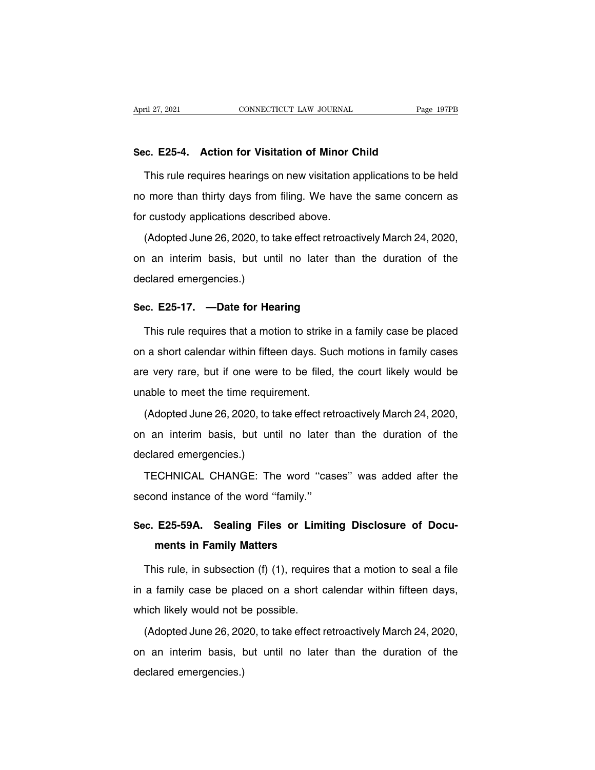April 27, 2021<br> **Sec. E25-4.** Action for Visitation of Minor Child<br>
This rule requires hearings on new visitation applications to be This rule requires hearings on new visitation applications to be held<br>This rule requires hearings on new visitation applications to be held<br>This rule requires hearings on new visitation applications to be held<br>onore than t Sec. E25-4. Action for Visitation of Minor Child<br>This rule requires hearings on new visitation applications to be held<br>no more than thirty days from filing. We have the same concern as<br>for custody applications described ab Sec. E25-4. Action for Visitation of Minor C<br>This rule requires hearings on new visitation a<br>no more than thirty days from filing. We have tor custody applications described above.<br>(Adopted June 26, 2020, to take effect re This rule requires hearings on new visitation applications to be held<br>of more than thirty days from filing. We have the same concern as<br>custody applications described above.<br>(Adopted June 26, 2020, to take effect retroacti

Interior equilibration is contained a pplications of the same concern as<br>for custody applications described above.<br>(Adopted June 26, 2020, to take effect retroactively March 24, 2020,<br>on an interim basis, but until no late declared emergencies.<br>
(Adopted June 26, 2020, to ta<br>
on an interim basis, but unt<br>
declared emergencies.) (Adopted June 26, 2020, to take effect retroact<br>on an interim basis, but until no later than<br>declared emergencies.)<br>**Sec. E25-17.** —**Date for Hearing**<br>This rule requires that a motion to strike in a fa I an interim basis, but until no later than the duration of the<br>clared emergencies.)<br>**c. E25-17.** —**Date for Hearing**<br>This rule requires that a motion to strike in a family case be placed<br>a short calendar within fifteen da

declared emergencies.)<br>
Sec. E25-17. —Date for Hearing<br>
This rule requires that a motion to strike in a family case be placed<br>
on a short calendar within fifteen days. Such motions in family cases<br>
are very rare, but if on Sec. E25-17. —Date for Hearing<br>This rule requires that a motion to strike in a family case be placed<br>on a short calendar within fifteen days. Such motions in family cases<br>are very rare, but if one were to be filed, the cou This rule requires that a motion to strike i<br>on a short calendar within fifteen days. Sud<br>are very rare, but if one were to be filed,<br>unable to meet the time requirement.<br>(Adopted June 26, 2020, to take effect reti (Adopted June 26, 2020, to take effect retroactively March 24, 2020, an interim basis, but until no later than the duration of the

on a short calcridation minimized any of section in family sases<br>are very rare, but if one were to be filed, the court likely would be<br>unable to meet the time requirement.<br>(Adopted June 26, 2020, to take effect retroactive and the time required unable to meet the time required (Adopted June 26, 2020, to take on an interim basis, but until declared emergencies.)<br>TECHNICAL CHANGE: The (Adopted June 26, 2020, to take effect retroactively March 24, 2020,<br>
an interim basis, but until no later than the duration of the<br>
clared emergencies.)<br>
TECHNICAL CHANGE: The word "cases" was added after the<br>
cond instan on an interim basis, but until no later<br>declared emergencies.)<br>TECHNICAL CHANGE: The word "casecond instance of the word "family."

declared emergencies.)<br>
TECHNICAL CHANGE: The word "cases" was added after the<br>
second instance of the word "family."<br> **Sec. E25-59A. Sealing Files or Limiting Disclosure of Docu-<br>
ments in Family Matters** TECHNICAL CHANGE: The word "cases" was added after the second instance of the word "family."<br>**Sec. E25-59A. Sealing Files or Limiting Disclosure of Documents in Family Matters**<br>This rule, in subsection (f) (1), requires th

cond instance of the word "family."<br>
C. E25-59A. Sealing Files or Limiting Disclosure of Docu-<br>
ments in Family Matters<br>
This rule, in subsection (f) (1), requires that a motion to seal a file<br>
a family case be placed on a Sec. E25-59A. Sealing Files or Limiting Disclosure of Documents in Family Matters<br>This rule, in subsection (f) (1), requires that a motion to seal a file<br>in a family case be placed on a short calendar within fifteen days,<br> ments in Family Matters<br>This rule, in subsection (f) (1), require<br>in a family case be placed on a short of<br>which likely would not be possible.<br>(Adopted June 26, 2020, to take effect r This rule, in subsection (f) (1), requires that a motion to seal a file<br>a family case be placed on a short calendar within fifteen days,<br>nich likely would not be possible.<br>(Adopted June 26, 2020, to take effect retroactiv

in a family case be placed on a short calendar within fifteen days,<br>which likely would not be possible.<br>(Adopted June 26, 2020, to take effect retroactively March 24, 2020,<br>on an interim basis, but until no later than the mer a rammy sass see prairing<br>which likely would not b<br>(Adopted June 26, 20)<br>on an interim basis, b<br>declared emergencies.)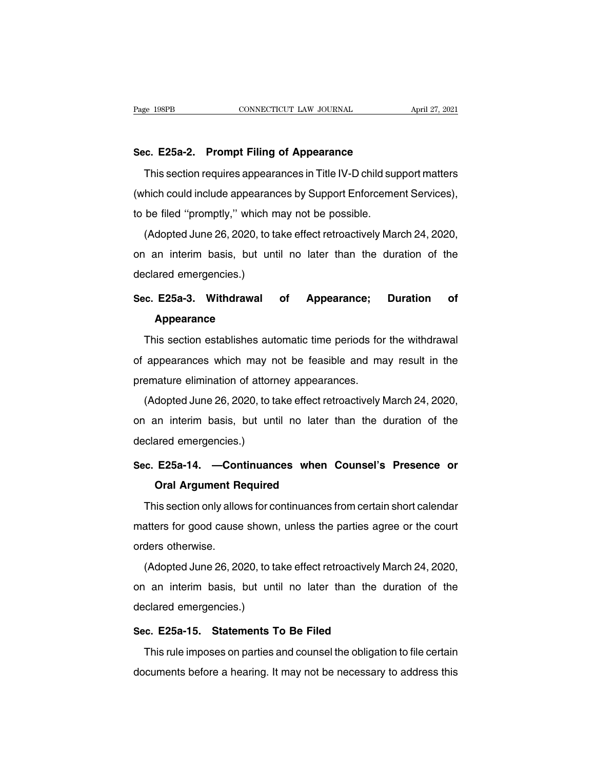Page 198PB<br> **Sec. E25a-2. Prompt Filing of Appearance**<br>
This section requires appearances in Title IV-D child supp The 198PB<br>
This section requires appearances in Title IV-D child support matters<br>
This section requires appearances in Title IV-D child support matters<br>
thich could include appearances by Support Enforcement Services), Sec. E25a-2. Prompt Filing of Appearance<br>
This section requires appearances in Title IV-D child support matters<br>
(which could include appearances by Support Enforcement Services),<br>
to be filed "promptly," which may not be Sec. E25a-2. Prompt Filing of Appearance<br>This section requires appearances in Title IV-D child sup<br>(which could include appearances by Support Enforceme<br>to be filed "promptly," which may not be possible.<br>(Adopted June 26, This section requires appearances in Title IV-D child support matters<br>hich could include appearances by Support Enforcement Services),<br>be filed "promptly," which may not be possible.<br>(Adopted June 26, 2020, to take effect

This section requires appearances in Thie TV-D critic support matters<br>(which could include appearances by Support Enforcement Services),<br>to be filed "promptly," which may not be possible.<br>(Adopted June 26, 2020, to take ef (which could include appearances by Support Enforcement Services),<br>to be filed "promptly," which may not be possible.<br>(Adopted June 26, 2020, to take effect retroactively March 24, 2020,<br>on an interim basis, but until no l (Adopted June 26, 2020, to take effect retroactively March 24, 2020,<br>on an interim basis, but until no later than the duration of the<br>declared emergencies.)<br>**Sec. E25a-3. Withdrawal of Appearance; Duration of**<br>**Appearance** 

## **Appearance**

clared emergencies.)<br>
C. E25a-3. Withdrawal of Appearance; Duration of<br>
Appearance<br>
This section establishes automatic time periods for the withdrawal<br>
appearances which may not be feasible and may result in the Sec. E25a-3. Withdrawal of Appearance; Duration of<br>Appearance<br>This section establishes automatic time periods for the withdrawal<br>of appearances which may not be feasible and may result in the<br>premature elimination of attor **SECT LEGENT MINIMUM:**<br> **Appearance**<br>
This section establishes automatic time periods for<br>
of appearances which may not be feasible and ma<br>
premature elimination of attorney appearances.<br>
(Adopted June 26, 2020, to take ef This section establishes automatic time periods for the withdrawal<br>appearances which may not be feasible and may result in the<br>emature elimination of attorney appearances.<br>(Adopted June 26, 2020, to take effect retroactive

This section establishes automatic time periods for the withdraward<br>of appearances which may not be feasible and may result in the<br>premature elimination of attorney appearances.<br>(Adopted June 26, 2020, to take effect retro or appearances which hay in<br>premature elimination of attorr<br>(Adopted June 26, 2020, to ta<br>on an interim basis, but unt<br>declared emergencies.)<br>Sec. E25a-14. —Continuand (Adopted June 26, 2020, to take effect retroactively March 24, 2020,<br>on an interim basis, but until no later than the duration of the<br>declared emergencies.)<br>Sec. E25a-14. —Continuances when Counsel's Presence or<br>Oral Argum in interim basis, but until no later to<br>ared emergencies.)<br>**E25a-14. —Continuances when (**<br>**Oral Argument Required**<br>is section only allows for continuances f

clared emergencies.)<br> **C. E25a-14. —Continuances when Counsel's Presence or<br>
Oral Argument Required**<br>
This section only allows for continuances from certain short calendar<br>
atters for good cause shown, unless the parties a Sec. E25a-14. —Continuances when Counsel's Presence or<br>Oral Argument Required<br>This section only allows for continuances from certain short calendar<br>matters for good cause shown, unless the parties agree or the court<br>orders Oral Argument Re<br>
This section only allow<br>
matters for good cause<br>
orders otherwise.<br>
(Adopted June 26, 20 This section only allows for continuances from certain short calendar<br>atters for good cause shown, unless the parties agree or the court<br>ders otherwise.<br>(Adopted June 26, 2020, to take effect retroactively March 24, 2020,<br>

This section only allows for continuances from certain short calendar<br>matters for good cause shown, unless the parties agree or the court<br>orders otherwise.<br>(Adopted June 26, 2020, to take effect retroactively March 24, 202 matters for good cause shown<br>orders otherwise.<br>(Adopted June 26, 2020, to ta<br>on an interim basis, but unt<br>declared emergencies.)<br>Sec. E25a-15. Statements T (Adopted June 26, 2020, to take effect retroactively M<br>on an interim basis, but until no later than the d<br>declared emergencies.)<br>**Sec. E25a-15. Statements To Be Filed**<br>This rule imposes on parties and counsel the obligatio This rule imposes, but until no later than the duration of the<br>clared emergencies.)<br>c. E25a-15. Statements To Be Filed<br>This rule imposes on parties and counsel the obligation to file certain<br>cuments before a hearing. It ma

declared emergencies.)<br>
Sec. E25a-15. Statements To Be Filed<br>
This rule imposes on parties and counsel the obligation to file certain<br>
documents before a hearing. It may not be necessary to address this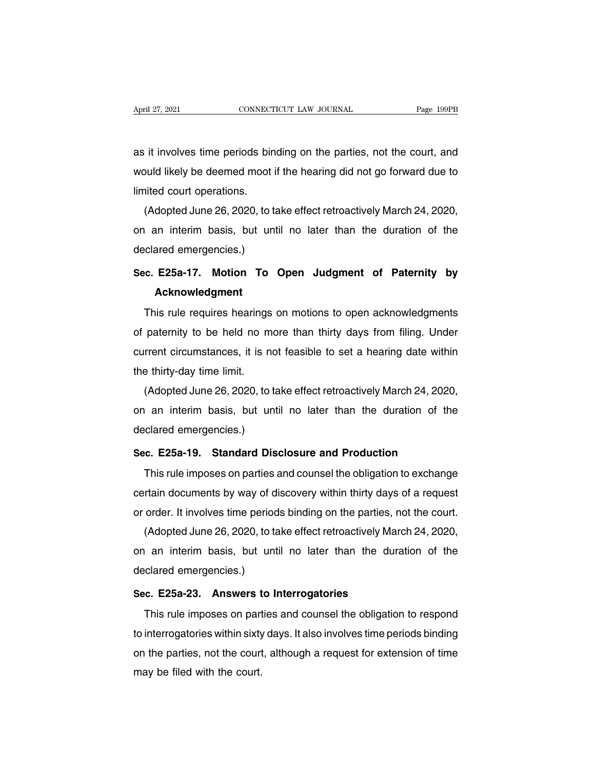April 27, 2021 CONNECTICUT LAW JOURNAL Page 199PB<br>as it involves time periods binding on the parties, not the court, and<br>would likely be deemed moot if the hearing did not go forward due to April 27, 2021 CONNECTICUT LAW JOURNAL Page 199PB<br>as it involves time periods binding on the parties, not the court, and<br>would likely be deemed moot if the hearing did not go forward due to<br>limited court operations. Mathematical contracts<br>as it involves time periods bir<br>would likely be deemed moot<br>limited court operations.<br>(Adopted June 26, 2020, to t It involves time periods binding on the parties, not the court, and<br>buld likely be deemed moot if the hearing did not go forward due to<br>ited court operations.<br>(Adopted June 26, 2020, to take effect retroactively March 24,

as it involves time periods binding on the parties, not the court, and<br>would likely be deemed moot if the hearing did not go forward due to<br>limited court operations.<br>(Adopted June 26, 2020, to take effect retroactively Mar would likely be deemed moot i<br>limited court operations.<br>(Adopted June 26, 2020, to ta<br>on an interim basis, but unt<br>declared emergencies.)<br>Sec. E25a-17. Motion To Adopted June 26, 2020, to take effect retroactively March 24, 2020,<br>
on an interim basis, but until no later than the duration of the<br>
declared emergencies.)<br>
Sec. E25a-17. Motion To Open Judgment of Paternity by<br>
Acknowle

## **Acknowledgment**

This rule requires hearings on motions to open acknowledgment<br>paternity by<br>Acknowledgment<br>This rule requires hearings on motions to open acknowledgments<br>paternity to be held no more than thirty days from filing. Under Sec. E25a-17. Motion To Open Judgment of Paternity by<br>Acknowledgment<br>This rule requires hearings on motions to open acknowledgments<br>of paternity to be held no more than thirty days from filing. Under<br>current circumstances, Sec. E25a-17. Motion 10 Open Judgment of Paternity by<br>Acknowledgment<br>This rule requires hearings on motions to open acknowledgments<br>of paternity to be held no more than thirty days from filing. Under<br>current circumstances, This rule requires hearings on motions to open acknowledgments<br>of paternity to be held no more than thirty days from filing. Under<br>current circumstances, it is not feasible to set a hearing date within<br>the thirty-day time This rule requires nearings on motions to open acknowledgments<br>paternity to be held no more than thirty days from filing. Under<br>rrent circumstances, it is not feasible to set a hearing date within<br>e thirty-day time limit.<br>

or paternity to be held no more than thirty days from filling. Under<br>current circumstances, it is not feasible to set a hearing date within<br>the thirty-day time limit.<br>(Adopted June 26, 2020, to take effect retroactively Ma current circumstances, it is not<br>the thirty-day time limit.<br>(Adopted June 26, 2020, to ta<br>on an interim basis, but unt<br>declared emergencies.)<br>Sec. E25a-19. Standard Dis (Adopted June 26, 2020, to take effect retroactively March 24, 2020,<br>on an interim basis, but until no later than the duration of the<br>declared emergencies.)<br>Sec. E25a-19. Standard Disclosure and Production<br>This rule impose The interferom of the duration of the clared emergencies.)<br>The interferometers and the duration of the clared emergencies.)<br>This rule imposes on parties and counsel the obligation to exchange<br>This rule imposes on parties a

care in the means by the same the tand the conduction<br>Sec. E25a-19. Standard Disclosure and Production<br>This rule imposes on parties and counsel the obligation to exchange<br>certain documents by way of discovery within thirty Sec. E25a-19. Standard Disclosure and Production<br>This rule imposes on parties and counsel the obligation to exchange<br>certain documents by way of discovery within thirty days of a request<br>or order. It involves time periods E. Ez5a-19. Standard Disclosure and Production<br>This rule imposes on parties and counsel the obligation to exchange<br>rtain documents by way of discovery within thirty days of a request<br>order. It involves time periods binding

This rule imposes on parties and counsel the obligation to exchange<br>certain documents by way of discovery within thirty days of a request<br>or order. It involves time periods binding on the parties, not the court.<br>(Adopted J certain documents by way of dor order. It involves time period<br>(Adopted June 26, 2020, to ta<br>on an interim basis, but unt<br>declared emergencies.)<br>Sec. E25a-23. Answers to I E25a-23. Answers to Interrogatories<br>This rule imposes that the particle, it<br>Sec. E25a-23. Answers to Interrogatories<br>This rule imposes on parties and counsel the obligation This rule imposes on parties and counsel the obligation to respondent inputer and counsel the obligation to respondent interrogatories within sixty days. It also involves time periods binding

the anti-interrory statement interrogator and the statement of the<br>declared emergencies.)<br>Sec. E25a-23. Answers to Interrogatories<br>This rule imposes on parties and counsel the obligation to respond<br>to interrogatories withi Sec. E25a-23. Answers to Interrogatories<br>This rule imposes on parties and counsel the obligation to respond<br>to interrogatories within sixty days. It also involves time periods binding<br>on the parties, not the court, althoug Sec. Ezsa-zs. Answers that<br>This rule imposes on part<br>to interrogatories within sixty<br>on the parties, not the court.<br>may be filed with the court.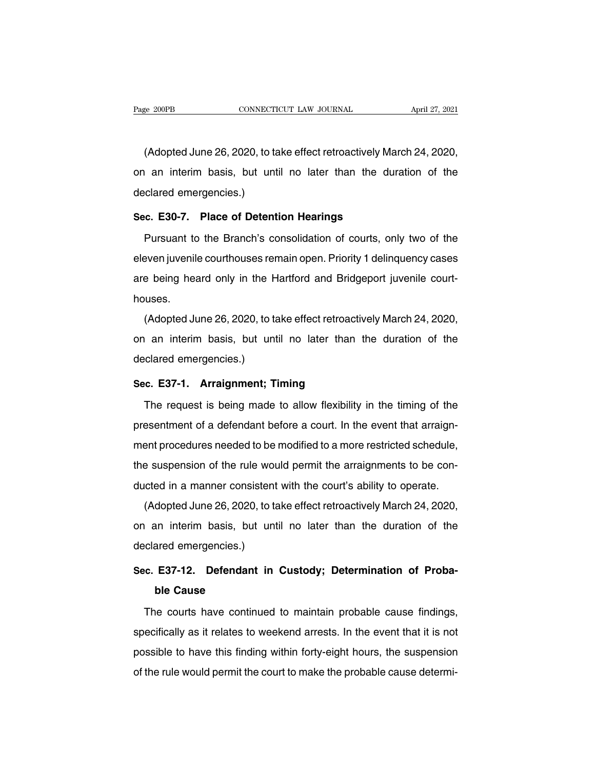EXECTE ANDREAL THE MAINTENTION CONSECTICUT LAW JOURNAL April 27, 2021<br>(Adopted June 26, 2020, to take effect retroactively March 24, 2020,<br>an interim basis, but until no later than the duration of the Page 200PB CONNECTICUT LAW JOURNAL April 27, 2021<br>(Adopted June 26, 2020, to take effect retroactively March 24, 2020,<br>on an interim basis, but until no later than the duration of the<br>declared emergencies.) (Adopted June 26, 2020, to ta<br>on an interim basis, but unt<br>declared emergencies.)<br>Sec. E30-7. Place of Detent (Adopted June 26, 2020, to take effect retroactively Ma<br>on an interim basis, but until no later than the dured<br>declared emergencies.)<br>Sec. E30-7. Place of Detention Hearings<br>Pursuant to the Branch's consolidation of courts nd an interim basis, but until no later than the duration of the clared emergencies.)<br> **Example:**<br> **Pursuant to the Branch's consolidation of courts, only two of the sven juvenile courthouses remain open. Priority 1 delinq** 

declared emergencies.)<br>
Sec. E30-7. Place of Detention Hearings<br>
Pursuant to the Branch's consolidation of courts, only two of the<br>
eleven juvenile courthouses remain open. Priority 1 delinquency cases<br>
are being heard onl Sec. E30-7. Place of Detention Hearings<br>Pursuant to the Branch's consolidation of courts, only two of the<br>eleven juvenile courthouses remain open. Priority 1 delinquency cases<br>are being heard only in the Hartford and Bridg houses. Fusaant to the Branch's consolidation of coarts, only two of the<br>even juvenile courthouses remain open. Priority 1 delinquency cases<br>e being heard only in the Hartford and Bridgeport juvenile court-<br>uses.<br>(Adopted June 26,

are being heard only in the Hartford and Bridgeport juvenile court-<br>houses.<br>(Adopted June 26, 2020, to take effect retroactively March 24, 2020,<br>on an interim basis, but until no later than the duration of the<br>declared eme are being heard only in the r<br>houses.<br>(Adopted June 26, 2020, to ta<br>on an interim basis, but unt<br>declared emergencies.)<br>Sec. E37-1. Arraignment: T (Adopted June 26, 2020, to take effect retroactiv<br>on an interim basis, but until no later than t<br>declared emergencies.)<br>**Sec. E37-1. Arraignment; Timing**<br>The request is being made to allow flexibility I an interim basis, but until no later than the duration of the<br>clared emergencies.)<br>c. **E37-1. Arraignment; Timing**<br>The request is being made to allow flexibility in the timing of the<br>esentment of a defendant before a cou

declared emergencies.)<br> **Sec. E37-1. Arraignment: Timing**<br>
The request is being made to allow flexibility in the timing of the<br>
presentment of a defendant before a court. In the event that arraign-<br>
ment procedures needed Sec. E37-1. Arraignment; Timing<br>The request is being made to allow flexibility in the timing of the<br>presentment of a defendant before a court. In the event that arraign-<br>ment procedures needed to be modified to a more rest The request is being made to allow flexibility in the timing of the presentment of a defendant before a court. In the event that arraignment procedures needed to be modified to a more restricted schedule, the suspension of The request is being made to allow hexibility in the timing of the presentment of a defendant before a court. In the event that arraignment procedures needed to be modified to a more restricted schedule, the suspension of estimient of a detendant before a court. In the event that analynent procedures needed to be modified to a more restricted schedule,<br>a suspension of the rule would permit the arraignments to be con-<br>idea in a manner consis

Then procedures needed to be modified to a more restricted scriedale,<br>the suspension of the rule would permit the arraignments to be con-<br>ducted in a manner consistent with the court's ability to operate.<br>(Adopted June 26, ducted in a manner consistent<br>(Adopted June 26, 2020, to ta<br>on an interim basis, but unt<br>declared emergencies.)<br>Sec. E37-12. Defendant in (Adopted June 26, 2020, to take effect retroactively March 24, 2020, on an interim basis, but until no later than the duration of the declared emergencies.)<br>**Sec. E37-12. Defendant in Custody; Determination of Proba-**<br>**ble Example 18 interim basis, but**<br>ared emergencies.)<br>**E37-12. Defendant**<br>**ble Cause**<br>ne courts have continu

c. E37-12. Defendant in Custody; Determination of Proba-<br>ble Cause<br>The courts have continued to maintain probable cause findings,<br>ecifically as it relates to weekend arrests. In the event that it is not Sec. E37-12. Defendant in Custody; Determination of Proba-<br>ble Cause<br>The courts have continued to maintain probable cause findings,<br>specifically as it relates to weekend arrests. In the event that it is not<br>possible to hav ble Cause<br>
The courts have continued to maintain probable cause findings,<br>
specifically as it relates to weekend arrests. In the event that it is not<br>
possible to have this finding within forty-eight hours, the suspension<br> The courts have continued to maintain probable cause findings, specifically as it relates to weekend arrests. In the event that it is not possible to have this finding within forty-eight hours, the suspension of the rule w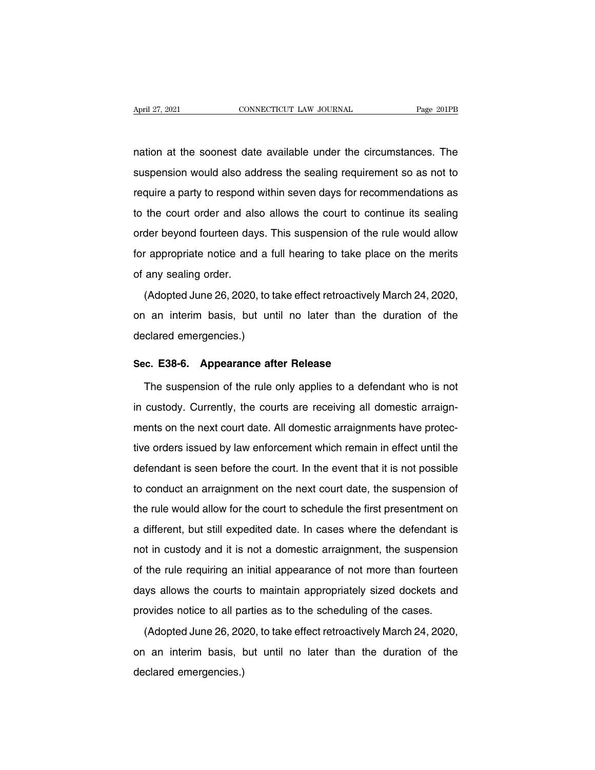April 27, 2021 CONNECTICUT LAW JOURNAL Page 201PB<br>
nation at the soonest date available under the circumstances. The<br>
suspension would also address the sealing requirement so as not to Superifier 27, 2021<br>
Superior CONNECTICUT LAW JOURNAL<br>
Suspension would also address the sealing requirement so as not to<br>
Suspension would also address the sealing requirement so as not to<br>
The require a party to respond require a party to respond within seven days for recommendations as<br>to the court order and also aldress the sealing requirement so as not to<br>require a party to respond within seven days for recommendations as<br>to the court nation at the soonest date available under the circumstances. The<br>suspension would also address the sealing requirement so as not to<br>require a party to respond within seven days for recommendations as<br>to the court order an suspension would also address the sealing requirement so as not to require a party to respond within seven days for recommendations as to the court order and also allows the court to continue its sealing order beyond fourt Frequire a party to respond within seven days for recommendations as<br>to the court order and also allows the court to continue its sealing<br>order beyond fourteen days. This suspension of the rule would allow<br>for appropriate to the court order and als<br>order beyond fourteen day<br>for appropriate notice and<br>of any sealing order.<br>(Adopted June 26, 2020, (Adopted June 26, 2020, to take effect retroactively March 24, 2020, an interim basis, but until no later than the duration of the

for appropriate notice and a full hearing to take place on the merits<br>of any sealing order.<br>(Adopted June 26, 2020, to take effect retroactively March 24, 2020,<br>on an interim basis, but until no later than the duration of declared emergencies.)<br>
Second the property of the control of the control of the control of the declared emergencies.)<br>
Second 28.6 Concerning of the control of the control of the control of the control of the control of t (Adopted June 26, 2020, to take effect retroactively l<br>on an interim basis, but until no later than the declared emergencies.)<br>Sec. E38-6. Appearance after Release<br>The suspension of the rule only applies to a defen I an interim basis, but until no later than the duration of the<br>clared emergencies.)<br>c. E38-6. Appearance after Release<br>The suspension of the rule only applies to a defendant who is not<br>custody. Currently, the courts are r

declared emergencies.)<br>
Sec. E38-6. Appearance after Release<br>
The suspension of the rule only applies to a defendant who is not<br>
in custody. Currently, the courts are receiving all domestic arraign-<br>
ments on the next cour Sec. E38-6. Appearance after Release<br>The suspension of the rule only applies to a defendant who is not<br>in custody. Currently, the courts are receiving all domestic arraign-<br>ments on the next court date. All domestic arraig The suspension of the rule only applies to a defendant who is not<br>in custody. Currently, the courts are receiving all domestic arraign-<br>ments on the next court date. All domestic arraignments have protec-<br>tive orders issue In custody. Currently, the courts are receiving all domestic arraignments on the next court date. All domestic arraignments have protective orders issued by law enforcement which remain in effect until the defendant is see the conduct and next court date. All domestic arraignments have protective orders issued by law enforcement which remain in effect until the defendant is seen before the court. In the event that it is not possible to condu tive orders issued by law enforcement which remain in effect until the<br>defendant is seen before the court. In the event that it is not possible<br>to conduct an arraignment on the next court date, the suspension of<br>the rule w defendant is seen before the court. In the event that it is not possible<br>to conduct an arraignment on the next court date, the suspension of<br>the rule would allow for the court to schedule the first presentment on<br>a differe not conduct an arraignment on the next court date, the suspension of<br>the rule would allow for the court to schedule the first presentment on<br>a different, but still expedited date. In cases where the defendant is<br>not in cus the rule would allow for the court to schedule the first presentment on<br>a different, but still expedited date. In cases where the defendant is<br>not in custody and it is not a domestic arraignment, the suspension<br>of the rule a different, but still expedited date. In cases where the defendant is<br>not in custody and it is not a domestic arraignment, the suspension<br>of the rule requiring an initial appearance of not more than fourteen<br>days allows t a amoroni, but diff diplomate date. In dadde whole the detendant is<br>not in custody and it is not a domestic arraignment, the suspension<br>of the rule requiring an initial appearance of not more than fourteen<br>days allows the The rule requiring an initial appearance of not more than fourteen ys allows the courts to maintain appropriately sized dockets and ovides notice to all parties as to the scheduling of the cases.<br>(Adopted June 26, 2020, to

days allows the courts to maintain appropriately sized dockets and<br>provides notice to all parties as to the scheduling of the cases.<br>(Adopted June 26, 2020, to take effect retroactively March 24, 2020,<br>on an interim basis, adje alle the educe<br>provides notice to all pa<br>(Adopted June 26, 20)<br>on an interim basis, t<br>declared emergencies.)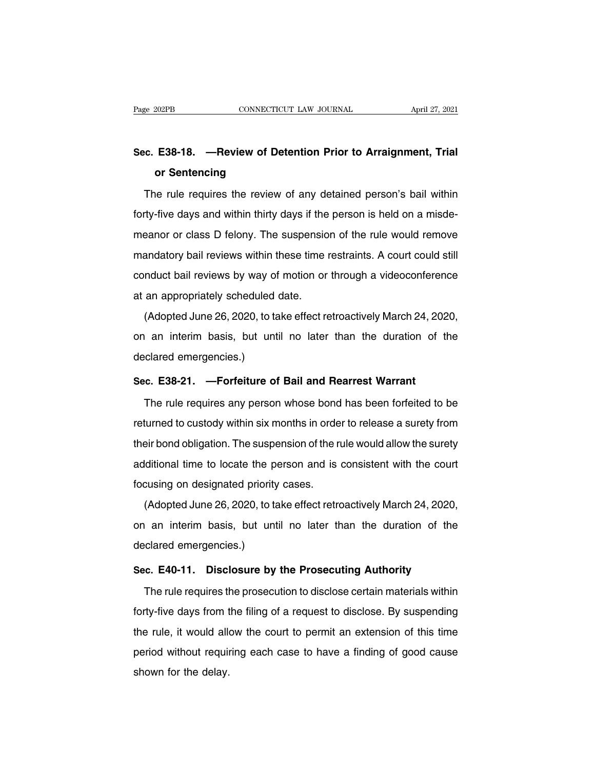# Page 202PB CONNECTICUT LAW JOURNAL April 27, 2021<br>Sec. E38-18. —Review of Detention Prior to Arraignment, Trial<br>or Sentencing **CONNECTICE**<br> **E38-18.** — **Review of De**<br> **or Sentencing**<br> **le rule requires the review**

on E38-18. — Review of Detention Prior to Arraignment, Trial<br>or Sentencing<br>The rule requires the review of any detained person's bail within<br>ty-five days and within thirty days if the person is held on a misde-Sec. E38-18. — Review of Detention Prior to Arraignment, Trial<br>or Sentencing<br>The rule requires the review of any detained person's bail within<br>forty-five days and within thirty days if the person is held on a misde-<br>meanor or Sentencing<br>The rule requires the review of any detained person's bail within<br>forty-five days and within thirty days if the person is held on a misde-<br>meanor or class D felony. The suspension of the rule would remove<br>man The rule requires the review of any detained person's bail within<br>forty-five days and within thirty days if the person is held on a misde-<br>meanor or class D felony. The suspension of the rule would remove<br>mandatory bail re forty-five days and within thirty days if the person is held on a misde-<br>meanor or class D felony. The suspension of the rule would remove<br>mandatory bail reviews within these time restraints. A court could still<br>conduct ba meanor or class D felony. The suspension<br>mandatory bail reviews within these time<br>conduct bail reviews by way of motion or<br>at an appropriately scheduled date.<br>(Adopted June 26, 2020, to take effect re Sandatory bail reviews within these time restraints. A court could still<br>nduct bail reviews by way of motion or through a videoconference<br>an appropriately scheduled date.<br>(Adopted June 26, 2020, to take effect retroactivel

reduct bail reviews by way of motion or through a videoconference<br>at an appropriately scheduled date.<br>(Adopted June 26, 2020, to take effect retroactively March 24, 2020,<br>on an interim basis, but until no later than the du declared emergencies.)<br>
declared emergencies.)<br>
declared emergencies.)<br>
Sec. E38-21. —Forfeiture of (Adopted June 26, 2020, to take effect retroactively March 24, 202<br>on an interim basis, but until no later than the duration of the<br>declared emergencies.)<br>**Sec. E38-21. —Forfeiture of Bail and Rearrest Warrant**<br>The rule re an interim basis, but until no later than the duration of the<br>clared emergencies.)<br>c. **E38-21.** —**Forfeiture of Bail and Rearrest Warrant**<br>The rule requires any person whose bond has been forfeited to be<br>turned to custody

declared emergencies.)<br>Sec. E38-21. —Forfeiture of Bail and Rearrest Warrant<br>The rule requires any person whose bond has been forfeited to be<br>returned to custody within six months in order to release a surety from<br>their bo Sec. E38-21. —Forfeiture of Bail and Rearrest Warrant<br>The rule requires any person whose bond has been forfeited to be<br>returned to custody within six months in order to release a surety from<br>their bond obligation. The susp The rule requires any person whose bond has been forfeited to be<br>returned to custody within six months in order to release a surety from<br>their bond obligation. The suspension of the rule would allow the surety<br>additional t Focus in the rate required any person whose send<br>returned to custody within six months in order<br>their bond obligation. The suspension of the r<br>additional time to locate the person and is<br>focusing on designated priority cas eir bond obligation. The suspension of the rule would allow the surety<br>Iditional time to locate the person and is consistent with the court<br>cusing on designated priority cases.<br>(Adopted June 26, 2020, to take effect retroa

additional time to locate the person and is consistent with the court<br>focusing on designated priority cases.<br>(Adopted June 26, 2020, to take effect retroactively March 24, 2020,<br>on an interim basis, but until no later than declared and the to locate the p<br>focusing on designated priority<br>(Adopted June 26, 2020, to ta<br>on an interim basis, but unt<br>declared emergencies.)<br>Sec. E40-11. Disclosure by (Adopted June 26, 2020, to take effect retroactively March 24, 2020,<br>on an interim basis, but until no later than the duration of the<br>declared emergencies.)<br>**Sec. E40-11. Disclosure by the Prosecuting Authority**<br>The rule r an interim basis, but until no later than the duration of the<br>clared emergencies.)<br>c. E40-11. Disclosure by the Prosecuting Authority<br>The rule requires the prosecution to disclose certain materials within<br>ty-five days from

declared emergencies.)<br>Sec. E40-11. Disclosure by the Prosecuting Authority<br>The rule requires the prosecution to disclose certain materials within<br>forty-five days from the filing of a request to disclose. By suspending<br>the Sec. E40-11. Disclosure by the Prosecuting Authority<br>The rule requires the prosecution to disclose certain materials within<br>forty-five days from the filing of a request to disclose. By suspending<br>the rule, it would allow t The rule requires the prosecution to disclose certain materials within<br>forty-five days from the filing of a request to disclose. By suspending<br>the rule, it would allow the court to permit an extension of this time<br>period w Fire rate requires a<br>forty-five days from t<br>the rule, it would alle<br>period without requine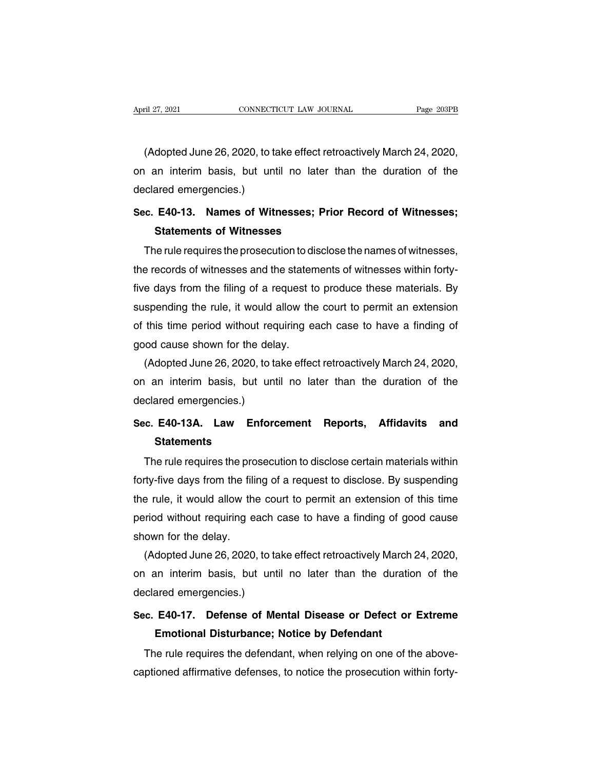ril 27, 2021<br>CONNECTICUT LAW JOURNAL Page 203PB<br>(Adopted June 26, 2020, to take effect retroactively March 24, 2020,<br>an interim basis, but until no later than the duration of the April 27, 2021 CONNECTICUT LAW JOURNAL Page 203PB<br>(Adopted June 26, 2020, to take effect retroactively March 24, 2020,<br>on an interim basis, but until no later than the duration of the<br>declared emergencies.) Mapril 21, 2021<br>(Adopted June 26, 2020, to ta<br>on an interim basis, but unt<br>declared emergencies.)<br>Sec. E40-13. Names of Witt (Adopted June 26, 2020, to take effect retroactively March 24, 2020,<br>on an interim basis, but until no later than the duration of the<br>declared emergencies.)<br>**Sec. E40-13. Names of Witnesses; Prior Record of Witnesses;<br><b>Sta** dopted Jurie 26, 2020, to take enect ret<br>an interim basis, but until no later<br>ared emergencies.)<br>**E40-13. Names of Witnesses; Pric<br>Statements of Witnesses**<br>ne rule requires the prosecution to disclo

The rule requires the prosecution to disclose the names of witnesses;<br>The rule requires the prosecution to disclose the names of witnesses,<br>a records of witnesses and the statements of witnesses within forty-Sec. E40-13. Names of Witnesses; Prior Record of Witnesses;<br>Statements of Witnesses<br>The rule requires the prosecution to disclose the names of witnesses,<br>the records of witnesses and the statements of witnesses within fort Sec. E40-13. Names of Witnesses; Prior Record of Witnesses;<br>Statements of Witnesses<br>The rule requires the prosecution to disclose the names of witnesses,<br>the records of witnesses and the statements of witnesses within fort Statements of Witnesses<br>The rule requires the prosecution to disclose the names of witnesses,<br>the records of witnesses and the statements of witnesses within forty-<br>five days from the filing of a request to produce these m The rule requires the prosecution to disclose the names of witnesses,<br>the records of witnesses and the statements of witnesses within forty-<br>five days from the filing of a request to produce these materials. By<br>suspending the records of witnesses and the staten<br>five days from the filing of a request to<br>suspending the rule, it would allow the<br>of this time period without requiring ea<br>good cause shown for the delay.<br>(Adopted June 26, 2020, to e days from the filing of a request to produce these materials. By<br>spending the rule, it would allow the court to permit an extension<br>this time period without requiring each case to have a finding of<br>od cause shown for the suspending the rule, it would allow the court to permit an extension<br>of this time period without requiring each case to have a finding of<br>good cause shown for the delay.<br>(Adopted June 26, 2020, to take effect retroactively

of this time period without rec<br>good cause shown for the dela<br>(Adopted June 26, 2020, to ta<br>on an interim basis, but unt<br>declared emergencies.)<br>Sec. E40-13A. Law Enford Good cause shown for the delay.<br>
(Adopted June 26, 2020, to take effect retroactively March 24, 2020,<br>
on an interim basis, but until no later than the duration of the<br>
declared emergencies.)<br> **Sec. E40-13A. Law Enforcemen** 

## **Statements**

The rule requires the prosecution to disclose certain materials within<br>The rule requires the prosecution to disclose certain materials within<br>The rule requires the prosecution to disclose certain materials within<br>Ty-five d Sec. E40-13A. Law Enforcement Reports, Affidavits and<br>Statements<br>The rule requires the prosecution to disclose certain materials within<br>forty-five days from the filing of a request to disclose. By suspending<br>the rule, it w Sec. E40-13A. Law Enforcement Reports, Affidavits and<br>Statements<br>The rule requires the prosecution to disclose certain materials within<br>forty-five days from the filing of a request to disclose. By suspending<br>the rule, it w Statements<br>The rule requires the prosecution to disclose certain materials within<br>forty-five days from the filing of a request to disclose. By suspending<br>the rule, it would allow the court to permit an extension of this ti The rule requires the prosecution to disclose certain materials within<br>forty-five days from the filing of a request to disclose. By suspending<br>the rule, it would allow the court to permit an extension of this time<br>period w rty-five days from the filing of a request to disclose. By suspending<br>
e rule, it would allow the court to permit an extension of this time<br>
riod without requiring each case to have a finding of good cause<br>
own for the del

the rule, it would allow the court to permit an extension of this time<br>period without requiring each case to have a finding of good cause<br>shown for the delay.<br>(Adopted June 26, 2020, to take effect retroactively March 24, period without requiring each<br>shown for the delay.<br>(Adopted June 26, 2020, to ta<br>on an interim basis, but unt<br>declared emergencies.)<br>Sec. E40-17. Defense of Mo Shown for the delay.<br>
(Adopted June 26, 2020, to take effect retroactively March 24, 2020,<br>
on an interim basis, but until no later than the duration of the<br>
declared emergencies.)<br> **Sec. E40-17. Defense of Mental Disease** dopted Jurie 26, 2020, to take effect retroactively march<br>an interim basis, but until no later than the duratic<br>ared emergencies.)<br>**E40-17. Defense of Mental Disease or Defect or**<br>**Emotional Disturbance; Notice by Defendan** 

The rule rule requires the defendant rule requires the clared emergencies.)<br>
C. E40-17. Defense of Mental Disease or Defect or Extreme<br>
Emotional Disturbance; Notice by Defendant<br>
The rule requires the defendant, when rely Sec. E40-17. Defense of Mental Disease or Defect or Extreme<br>Emotional Disturbance; Notice by Defendant<br>The rule requires the defendant, when relying on one of the above-<br>captioned affirmative defenses, to notice the prosec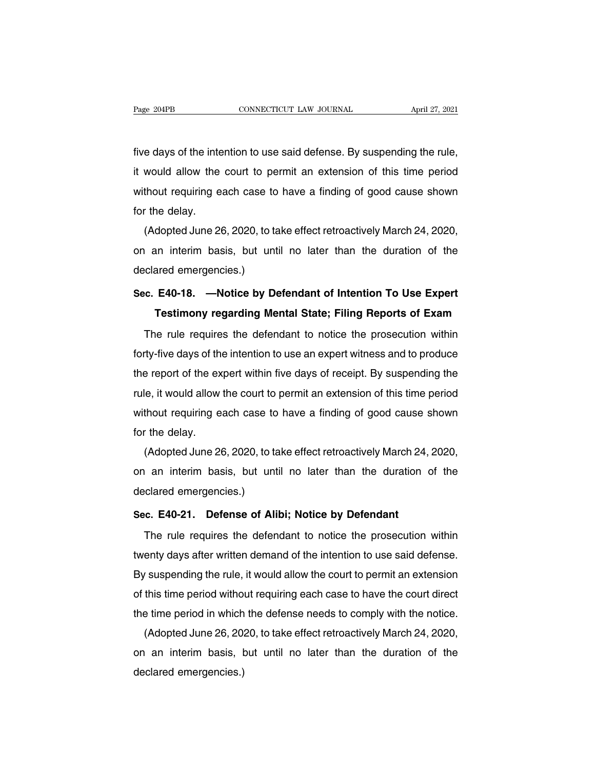Fage 204PB CONNECTICUT LAW JOURNAL April 27, 2021<br>five days of the intention to use said defense. By suspending the rule,<br>it would allow the court to permit an extension of this time period Fage 204PB CONNECTICUT LAW JOURNAL April 27, 2021<br>five days of the intention to use said defense. By suspending the rule,<br>it would allow the court to permit an extension of this time period<br>without requiring each case to h Five days of the intention to use said defense. By suspending the rule,<br>it would allow the court to permit an extension of this time period<br>without requiring each case to have a finding of good cause shown<br>for the delay. five days of the inte<br>it would allow the<br>without requiring e<br>for the delay.<br>(Adopted June 26 e days of the intention to use said defense. By susperiding the rule,<br>would allow the court to permit an extension of this time period<br>thout requiring each case to have a finding of good cause shown<br>the delay.<br>(Adopted Jun

It would allow the court to permit an extension of this time period<br>without requiring each case to have a finding of good cause shown<br>for the delay.<br>(Adopted June 26, 2020, to take effect retroactively March 24, 2020,<br>on a without requiring each case to<br>for the delay.<br>(Adopted June 26, 2020, to ta<br>on an interim basis, but unt<br>declared emergencies.)<br>Sec. E40-18. —Notice by D (Adopted June 26, 2020, to take effect retroactively March 24, 2020,<br>on an interim basis, but until no later than the duration of the<br>declared emergencies.)<br>Sec. E40-18. —Notice by Defendant of Intention To Use Expert<br>Test **Testimony regarding Mental State; Filing Reports of Expert**<br>**Testimony regarding Mental State; Filing Reports of Exam**<br>**Testimony regarding Mental State; Filing Reports of Exam**<br>**Testimony regarding Mental State; Filing R** 

clared emergencies.)<br>
c. E40-18. —Notice by Defendant of Intention To Use Expert<br>
Testimony regarding Mental State; Filing Reports of Exam<br>
The rule requires the defendant to notice the prosecution within<br>
ty-five days of Sec. E40-18. —Notice by Defendant of Intention To Use Expert<br>Testimony regarding Mental State; Filing Reports of Exam<br>The rule requires the defendant to notice the prosecution within<br>forty-five days of the intention to use Testimony regarding Mental State; Filing Reports of Exam<br>The rule requires the defendant to notice the prosecution within<br>forty-five days of the intention to use an expert witness and to produce<br>the report of the expert wi The rule requires the defendant to notice the prosecution within<br>forty-five days of the intention to use an expert witness and to produce<br>the report of the expert within five days of receipt. By suspending the<br>rule, it wou The rule requires the defendant to houce the prosecution within<br>forty-five days of the intention to use an expert witness and to produce<br>the report of the expert within five days of receipt. By suspending the<br>rule, it woul forty-five days of the intention to use an expert witness and to produce<br>the report of the expert within five days of receipt. By suspending the<br>rule, it would allow the court to permit an extension of this time period<br>wit Example, it would allow the court to permit an extension of this time period<br>thout requiring each case to have a finding of good cause shown<br>the delay.<br>(Adopted June 26, 2020, to take effect retroactively March 24, 2020,<br>a

rule, it would allow the court to permit an exterision of this time period<br>without requiring each case to have a finding of good cause shown<br>for the delay.<br>(Adopted June 26, 2020, to take effect retroactively March 24, 202 without requiring each case to<br>for the delay.<br>(Adopted June 26, 2020, to ta<br>on an interim basis, but unt<br>declared emergencies.)<br>Sec. E40-21. Defense of Ali (Adopted June 26, 2020, to take effect retroactively March 24,<br>on an interim basis, but until no later than the duration of<br>declared emergencies.)<br>Sec. E40-21. Defense of Alibi; Notice by Defendant<br>The rule requires the de The rule requires the duration of the clared emergencies.)<br>
The rule requires the defendant to notice the prosecution within<br>
The rule requires the defendant to notice the prosecution within<br>
enty days after written demand

declared emergencies.)<br>
Sec. E40-21. Defense of Alibi; Notice by Defendant<br>
The rule requires the defendant to notice the prosecution within<br>
twenty days after written demand of the intention to use said defense.<br>
By suspe Sec. E40-21. Defense of Alibi; Notice by Defendant<br>The rule requires the defendant to notice the prosecution within<br>twenty days after written demand of the intention to use said defense.<br>By suspending the rule, it would al The rule requires the defendant to notice by Defermant<br>The rule requires the defendant to notice the prosecution within<br>twenty days after written demand of the intention to use said defense.<br>By suspending the rule, it woul The rule requires the defendant to holde the prosecution within<br>twenty days after written demand of the intention to use said defense.<br>By suspending the rule, it would allow the court to permit an extension<br>of this time pe enty days after written dernand of the intention to use said defense.<br>
In suspending the rule, it would allow the court to permit an extension<br>
this time period without requiring each case to have the court direct<br>
e time

By suspending the rule, it would allow the court to permit an extension<br>of this time period without requiring each case to have the court direct<br>the time period in which the defense needs to comply with the notice.<br>(Adopte or this time period withot<br>the time period in which<br>(Adopted June 26, 20)<br>on an interim basis, t<br>declared emergencies.)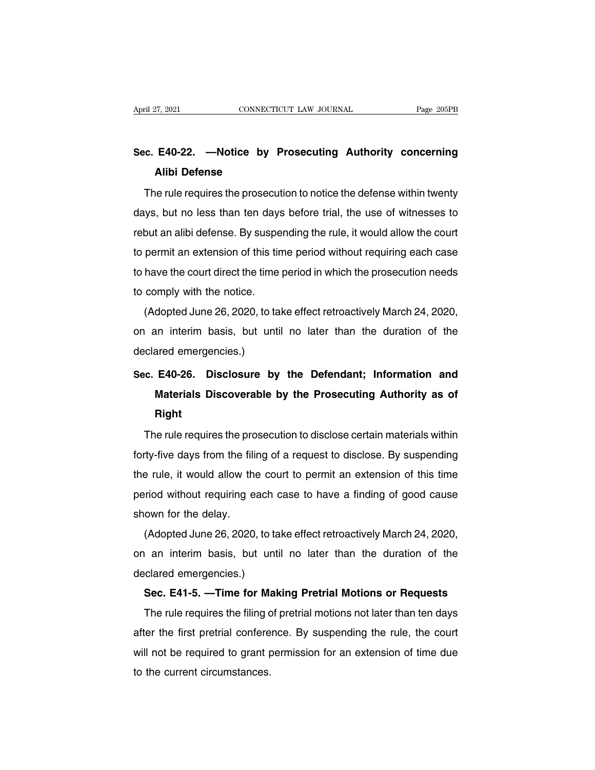# **Sec. E40-22. —Notice by Prosecuting Authority concerning** April 27, 2021 CONNECTICUT LAW JOURNAL Page 205PB<br> **Sec. E40-22.** —**Notice by Prosecuting Authority concerning**<br> **Alibi Defense**<br>
The rule requires the prosecution to notice the defense within twenty

e. E40-22. —Notice by Prosecuting Authority concerning<br>Alibi Defense<br>The rule requires the prosecution to notice the defense within twenty<br>ys, but no less than ten days before trial, the use of witnesses to Sec. E40-22. —Notice by Prosecuting Authority concerning<br>Alibi Defense<br>The rule requires the prosecution to notice the defense within twenty<br>days, but no less than ten days before trial, the use of witnesses to<br>rebut an al days, but no less than ten days before trial, the use of witnesses to<br>rebut an alibi defense. By suspending the rule, it would allow the court<br>to permit an extension of this time period without requiring each case The rule requires the prosecution to notice the defense within twenty<br>days, but no less than ten days before trial, the use of witnesses to<br>rebut an alibi defense. By suspending the rule, it would allow the court<br>to permit The rule requires the prosecution to holice the defense within twenty<br>days, but no less than ten days before trial, the use of witnesses to<br>rebut an alibi defense. By suspending the rule, it would allow the court<br>to permit days, but no less than ten days<br>rebut an alibi defense. By suspe<br>to permit an extension of this tir<br>to have the court direct the time<br>to comply with the notice.<br>(Adopted June 26, 2020, to ta but an allot detense. By susperiding the rule, it would allow the court<br>permit an extension of this time period without requiring each case<br>have the court direct the time period in which the prosecution needs<br>comply with t

to have the court direct the time period in which the prosecution needs<br>to comply with the notice.<br>(Adopted June 26, 2020, to take effect retroactively March 24, 2020,<br>on an interim basis, but until no later than the durat to nave the court direct the time<br>to comply with the notice.<br>(Adopted June 26, 2020, to ta<br>on an interim basis, but unt<br>declared emergencies.)<br>Sec. E40-26. Disclosure by (Adopted June 26, 2020, to take effect retroactively March 24, 2020,<br>on an interim basis, but until no later than the duration of the<br>declared emergencies.)<br>Sec. E40-26. Disclosure by the Defendant; Information and<br>Materia

## **Materials Discoverable by the Prosecuting Authority as of**<br>Right<br>Right<br>Right **Right** inc. E40-26. Disclosure by the Defendant; Information and<br>Materials Discoverable by the Prosecuting Authority as of<br>Right<br>The rule requires the prosecution to disclose certain materials within<br>ty-five days from the filing

Materials Discoverable by the Prosecuting Authority as of<br>Right<br>The rule requires the prosecution to disclose certain materials within<br>forty-five days from the filing of a request to disclose. By suspending<br>the rule, it wo Right<br>The rule requires the prosecution to disclose certain materials within<br>forty-five days from the filing of a request to disclose. By suspending<br>the rule, it would allow the court to permit an extension of this time<br>pe The rule requires the prosecution to disclose certain materials within<br>forty-five days from the filing of a request to disclose. By suspending<br>the rule, it would allow the court to permit an extension of this time<br>period w The rule requires the proforty-five days from the fillif<br>the rule, it would allow the<br>period without requiring eshown for the delay.<br>(Adopted June 26, 2020, (Adopted June 26, 2020, to take effect retroactively March 24, 2020, an interim basis, but until no later than the duration of the delay.

the rule, it would allow the court to permit an extension of this time<br>period without requiring each case to have a finding of good cause<br>shown for the delay.<br>(Adopted June 26, 2020, to take effect retroactively March 24, period without requiring each<br>shown for the delay.<br>(Adopted June 26, 2020, to ta<br>on an interim basis, but unt<br>declared emergencies.)<br>**Sec. E41-5.** —**Time for Ma**l OWIT for the delay.<br>
(Adopted June 26, 2020, to take effect retroactively March 24, 2020,<br>
an interim basis, but until no later than the duration of the<br>
clared emergencies.)<br> **Sec. E41-5. —Time for Making Pretrial Motions** (Adopted June 26, 2020, to take enect retroactively march 24, 2020,<br>an interim basis, but until no later than the duration of the<br>clared emergencies.)<br>**Sec. E41-5.** —**Time for Making Pretrial Motions or Requests**<br>The rule

declared emergencies.)<br>
Sec. E41-5. —Time for Making Pretrial Motions or Requests<br>
The rule requires the filing of pretrial motions not later than ten days<br>
after the first pretrial conference. By suspending the rule, the Sec. E41-5. —Time for Making Pretrial Motions or Requests<br>The rule requires the filing of pretrial motions not later than ten days<br>after the first pretrial conference. By suspending the rule, the court<br>will not be required Sec. E41-5. — Time for Ma<br>The rule requires the filing c<br>after the first pretrial confere<br>will not be required to grant p<br>to the current circumstances.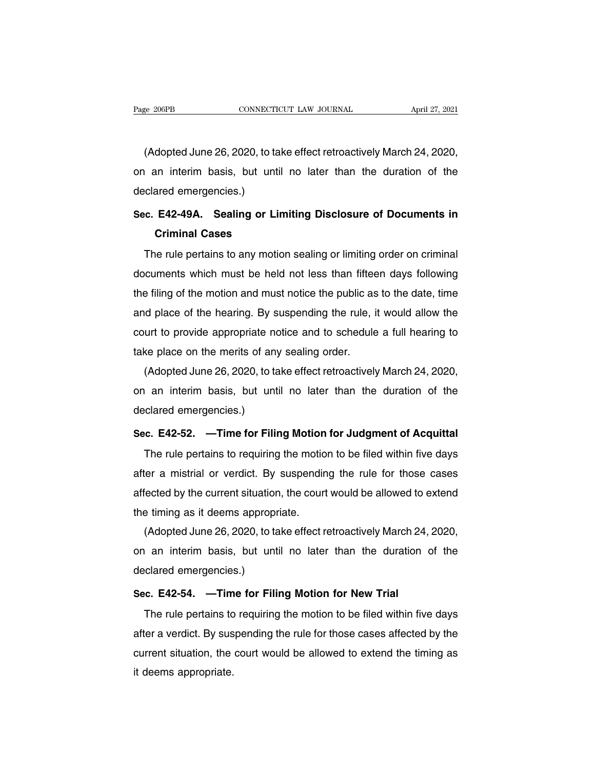EXECTE ANDREAL THE MAINTENTION CONSECTICUT LAW JOURNAL April 27, 2021<br>(Adopted June 26, 2020, to take effect retroactively March 24, 2020,<br>an interim basis, but until no later than the duration of the Page 206PB CONNECTICUT LAW JOURNAL April 27, 2021<br>(Adopted June 26, 2020, to take effect retroactively March 24, 2020,<br>on an interim basis, but until no later than the duration of the<br>declared emergencies.) (Adopted June 26, 2020, to ta<br>on an interim basis, but unt<br>declared emergencies.)<br>Sec. E42-49A. Sealing or L (Adopted June 26, 2020, to take effect retroactively March 24, 2020,<br>on an interim basis, but until no later than the duration of the<br>declared emergencies.)<br>Sec. E42-49A. Sealing or Limiting Disclosure of Documents in<br>Crim an interim basis, but until<br>ared emergencies.)<br>**E42-49A. Sealing or Line Criminal Cases**<br>e rule pertains to any motio

The rule pertains to any motion sealing or limiting **Disclosure of Documents in**<br>Criminal Cases<br>The rule pertains to any motion sealing or limiting order on criminal<br>cuments which must be held not less than fifteen days fo Sec. E42-49A. Sealing or Limiting Disclosure of Documents in<br>Criminal Cases<br>The rule pertains to any motion sealing or limiting order on criminal<br>documents which must be held not less than fifteen days following<br>the filing Criminal Cases<br>Criminal Cases<br>The rule pertains to any motion sealing or limiting order on criminal<br>documents which must be held not less than fifteen days following<br>the filing of the motion and must notice the public as t The rule pertains to any motion sealing or limiting order on criminal<br>documents which must be held not less than fifteen days following<br>the filing of the motion and must notice the public as to the date, time<br>and place of The rule pertains to any motion sealing or limiting order on criminal<br>documents which must be held not less than fifteen days following<br>the filing of the motion and must notice the public as to the date, time<br>and place of documents which must be held not less than fifted<br>the filing of the motion and must notice the public as<br>and place of the hearing. By suspending the rule, if<br>court to provide appropriate notice and to schedule<br>take place o E filling of the motion and must notice the public as to the date, time<br>id place of the hearing. By suspending the rule, it would allow the<br>urt to provide appropriate notice and to schedule a full hearing to<br>ke place on th

and place of the hearing. By suspending the rule, it would allow the<br>court to provide appropriate notice and to schedule a full hearing to<br>take place on the merits of any sealing order.<br>(Adopted June 26, 2020, to take effe court to provide appropriate merals of an take place on the merits of an (Adopted June 26, 2020, to ta<br>on an interim basis, but unt declared emergencies.)<br>Sec. E42-52. —Time for Fili (Adopted June 26, 2020, to take effect retroactively March 24, 2020,<br>on an interim basis, but until no later than the duration of the<br>declared emergencies.)<br>Sec. E42-52. —Time for Filing Motion for Judgment of Acquittal<br>Th The rule pertains to requiring the motion for the duration of the clared emergencies.)<br> **E. E42-52.** — Time for Filing Motion for Judgment of Acquittal<br>
The rule pertains to requiring the motion to be filed within five day

after a mistrial or verdict. By suspending the rule for those cases<br>after a mistrial or verdict. By suspending the rule for those cases<br>affected by the current situation, the court would be allowed to extend Sec. E42-52. —Time for Filing Motion for Judgment of Acquittal<br>The rule pertains to requiring the motion to be filed within five days<br>after a mistrial or verdict. By suspending the rule for those cases<br>affected by the curr sec. E42-52. — Time for Filing Motion<br>The rule pertains to requiring the motio<br>after a mistrial or verdict. By suspendir<br>affected by the current situation, the court<br>the timing as it deems appropriate.<br>(Adopted June 26, 20 The rule pertains to requiring the motion to be filed within five days<br>ter a mistrial or verdict. By suspending the rule for those cases<br>fected by the current situation, the court would be allowed to extend<br>e timing as it

affected by the current situation, the court would be allowed to extend<br>affected by the current situation, the court would be allowed to extend<br>the timing as it deems appropriate.<br>(Adopted June 26, 2020, to take effect ret arrected by the current situation<br>the timing as it deems appropi<br>(Adopted June 26, 2020, to ta<br>on an interim basis, but unt<br>declared emergencies.)<br>Sec. E42-54. —Time for Fili (Adopted June 26, 2020, to take effect retroactively March 24<br>on an interim basis, but until no later than the duration<br>declared emergencies.)<br>Sec. E42-54. —Time for Filing Motion for New Trial<br>The rule pertains to requiri The rule pertains to requiring the motion for the duration of the clared emergencies.)<br> **E. E42-54.** — Time for Filing Motion for New Trial<br>
The rule pertains to requiring the motion to be filed within five days<br>
ter a ve

and internal state), set shall the rated and the detailer of any<br>declared emergencies.)<br>Sec. E42-54. —Time for Filing Motion for New Trial<br>The rule pertains to requiring the motion to be filed within five days<br>after a verd Sec. E42-54. —Time for Filing Motion for New Trial<br>The rule pertains to requiring the motion to be filed within five days<br>after a verdict. By suspending the rule for those cases affected by the<br>current situation, the court sec. E42-54. — Tim<br>The rule pertains to<br>after a verdict. By sus<br>current situation, the<br>it deems appropriate.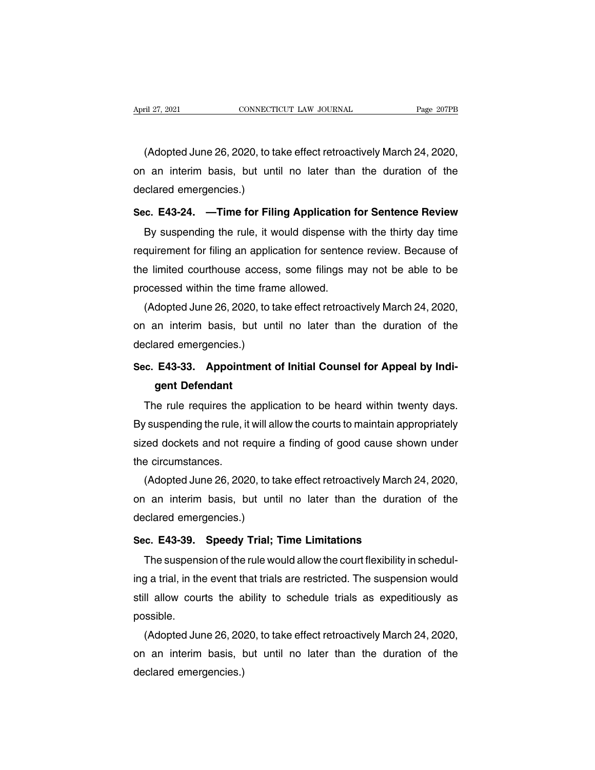ril 27, 2021<br>CONNECTICUT LAW JOURNAL Page 207PB<br>(Adopted June 26, 2020, to take effect retroactively March 24, 2020,<br>an interim basis, but until no later than the duration of the April 27, 2021 CONNECTICUT LAW JOURNAL Page 207PB<br>(Adopted June 26, 2020, to take effect retroactively March 24, 2020,<br>on an interim basis, but until no later than the duration of the<br>declared emergencies.) Mapril 21, 2021<br>(Adopted June 26, 2020, to ta<br>on an interim basis, but unt<br>declared emergencies.)<br>Sec. E43-24. —Time for Fili (Adopted June 26, 2020, to take effect retroactively March 24, 2020,<br>on an interim basis, but until no later than the duration of the<br>declared emergencies.)<br>**Sec. E43-24.** —**Time for Filing Application for Sentence Review** (Adopted June 20, 2020, to take enectromactively March 24, 2020,<br>an interim basis, but until no later than the duration of the<br>clared emergencies.)<br>c. **E43-24.** —**Time for Filing Application for Sentence Review**<br>By suspen

Frequirement for filing an application for sentence Review.<br>By suspending the rule, it would dispense with the thirty day time<br>requirement for filing an application for sentence review. Because of<br>the limited courthouse ac Sec. E43-24. —Time for Filing Application for Sentence Review<br>By suspending the rule, it would dispense with the thirty day time<br>requirement for filing an application for sentence review. Because of<br>the limited courthouse Sec. E43-24. —Time for Filing Application i<br>By suspending the rule, it would dispense w<br>requirement for filing an application for sentence<br>the limited courthouse access, some filings m<br>processed within the time frame allow By suspending the rule, it would dispense with the thirty day time<br>quirement for filing an application for sentence review. Because of<br>e limited courthouse access, some filings may not be able to be<br>ocessed within the time requirement for filing an application for sentence review. Because of<br>the limited courthouse access, some filings may not be able to be<br>processed within the time frame allowed.<br>(Adopted June 26, 2020, to take effect retroa

the limited courthouse access<br>processed within the time fram<br>(Adopted June 26, 2020, to ta<br>on an interim basis, but unt<br>declared emergencies.)<br>Sec. E43-33. Appointment o processed within the time frame allowed.<br>
(Adopted June 26, 2020, to take effect retroactively March 24, 2020,<br>
on an interim basis, but until no later than the duration of the<br>
declared emergencies.)<br> **Sec. E43-33.** Appoi dopted Jurie 26, 2020, then<br>an interim basis, but<br>ared emergencies.)<br>**E43-33. Appointmer<br>gent Defendant**<br>he rule requires the app

The rule requires the application to be heard within twenty days.<br>The rule requires the application to be heard within twenty days.<br>The rule requires the application to be heard within twenty days.<br>Suspending the rule, it Sec. E43-33. Appointment of Initial Counsel for Appeal by Indigent Defendant<br>The rule requires the application to be heard within twenty days.<br>By suspending the rule, it will allow the courts to maintain appropriately<br>size Sec. E43-33. Appointment of Initial Counsel for Appeal by Indigent Defendant<br>The rule requires the application to be heard within twenty days.<br>By suspending the rule, it will allow the courts to maintain appropriately<br>size gent Defendant<br>The rule requires the<br>By suspending the rule, it<br>sized dockets and not re<br>the circumstances.<br>(Adopted June 26, 202 The rule requires the application to be heard within twenty days.<br>
Suspending the rule, it will allow the courts to maintain appropriately<br>
red dockets and not require a finding of good cause shown under<br>
e circumstances.<br>

By suspending the rule, it will allow the courts to maintain appropriately<br>sized dockets and not require a finding of good cause shown under<br>the circumstances.<br>(Adopted June 26, 2020, to take effect retroactively March 24, sized dockets and not require<br>the circumstances.<br>(Adopted June 26, 2020, to ta<br>on an interim basis, but unt<br>declared emergencies.)<br>Sec. E43-39. Speedy Trial; Interactively March 3.<br>
(Adopted June 26, 2020, to take effect retroactively March 3.<br>
on an interim basis, but until no later than the duration<br>
declared emergencies.)<br>
Sec. E43-39. Speedy Trial; Time Limitations<br>
The sus (Adopted Jurie 20, 2020, to take enect retroactively match 24, 2020,<br>an interim basis, but until no later than the duration of the<br>clared emergencies.)<br>**c. E43-39. Speedy Trial; Time Limitations**<br>The suspension of the rul

Solid and internity basis, but until the later than the duration of the<br>declared emergencies.)<br>Sec. E43-39. Speedy Trial; Time Limitations<br>The suspension of the rule would allow the court flexibility in schedul-<br>ing a tria Sec. E43-39. Speedy Trial; Time Limitations<br>The suspension of the rule would allow the court flexibility in schedul-<br>ing a trial, in the event that trials are restricted. The suspension would<br>still allow courts the ability possible. The suspension of the rule would allow the court flexibility in schedul-<br>g a trial, in the event that trials are restricted. The suspension would<br>ll allow courts the ability to schedule trials as expeditiously as<br>ssible.<br>( ing a trial, in the event that trials are restricted. The suspension would<br>still allow courts the ability to schedule trials as expeditiously as<br>possible.<br>(Adopted June 26, 2020, to take effect retroactively March 24, 2020

still allow courts the a<br>possible.<br>(Adopted June 26, 20:<br>on an interim basis, t<br>declared emergencies.)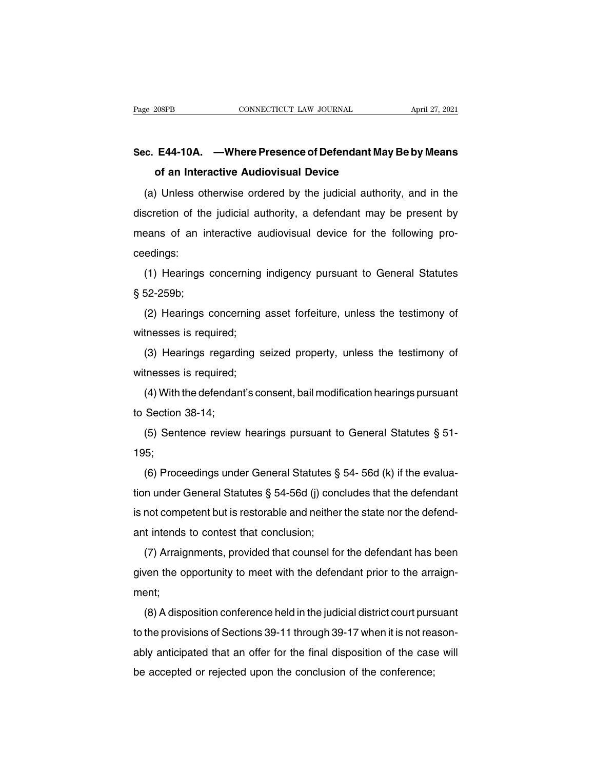# Page 208PB CONNECTICUT LAW JOURNAL April 27, 2021<br>**Sec. E44-10A. —Where Presence of Defendant May Be by Means**<br>**of an Interactive Audiovisual Device CONNECTICUT LAW JOURNAL**<br> **E44-10A.** — **Where Presence of Defendant May**<br> **of an Interactive Audiovisual Device**<br>
Unless otherwise ordered by the judicial authori

(a) Unless otherwise ordered by the judicial authority, and in the scretion of the judicial authority, a defendant may be present by Sec. E44-10A. —Where Presence of Defendant May Be by Means<br>of an Interactive Audiovisual Device<br>(a) Unless otherwise ordered by the judicial authority, and in the<br>discretion of the judicial authority, a defendant may be pr Sec. E44-10A. —Where Presence of Defendant May Be by Means<br>of an Interactive Audiovisual Device<br>(a) Unless otherwise ordered by the judicial authority, and in the<br>discretion of the judicial authority, a defendant may be pr ceedings: (a) Oness offerwise ordered by the judicial authority, and in the scretion of the judicial authority, a defendant may be present by eans of an interactive audiovisual device for the following pro-<br>edings:<br>(1) Hearings conc means of an in<br>means of an in<br>ceedings:<br>(1) Hearings of<br>§ 52-259b;<br>(2) Hearings of

Earlis of an interactive addiovisual device for the following pro-<br>edings:<br>(1) Hearings concerning indigency pursuant to General Statutes<br>52-259b;<br>(2) Hearings concerning asset forfeiture, unless the testimony of<br>tnesses i ceedings.<br>
(1) Hearings concerning<br>
§ 52-259b;<br>
(2) Hearings concerning<br>
witnesses is required;<br>
(3) Hearings regarding s

(1) Hearings concerning indigency pursuant to defieral statutes<br>52-259b;<br>(2) Hearings concerning asset forfeiture, unless the testimony of<br>tnesses is required;<br>(3) Hearings regarding seized property, unless the testimony o (2) Hearings concerning<br>witnesses is required;<br>(3) Hearings regarding s<br>witnesses is required;<br>(4) With the defendant's co (2) Freamigs concerning asset foriendre, different defendant the defendant's consent, bail modification hearings pursuant Section  $38-14$ ; witnesses is required,<br>
(3) Hearings regardi<br>
witnesses is required;<br>
(4) With the defendan<br>
to Section 38-14;<br>
(5) Sentence review

(5) Treatings regarding seized property, unless the testimony of<br>thesses is required;<br>(4) With the defendant's consent, bail modification hearings pursuant<br>Section 38-14;<br>(5) Sentence review hearings pursuant to General S

195;

(4) With the detendant sconsent, ball modification heatings pursuant<br>Section 38-14;<br>(5) Sentence review hearings pursuant to General Statutes § 51-<br>5;<br>(6) Proceedings under General Statutes § 54- 56d (k) if the evalua-<br>n to Section 36-14,<br>
(5) Sentence review hearings pursuant to General Statutes § 51-<br>
195;<br>
(6) Proceedings under General Statutes § 54- 56d (k) if the evalua-<br>
tion under General Statutes § 54-56d (j) concludes that the de (5) Sentence review hearings pursuant to General Statutes  $\frac{1}{3}$  J1-<br>195;<br>(6) Proceedings under General Statutes  $\frac{1}{3}$  54- 56d (k) if the evalua-<br>tion under General Statutes  $\frac{1}{3}$  54-56d (j) concludes that the 195,<br>
(6) Proceedings under General Statutes §<br>
tion under General Statutes § 54-56d (j) cond<br>
is not competent but is restorable and neither<br>
ant intends to contest that conclusion;<br>
(7) Arraignments, provided that counse (b) Proceedings under deneral statutes  $\frac{1}{3}$  J-4-300 (k) if the evalua-<br>n under General Statutes  $\frac{2}{3}$  54-56d (j) concludes that the defendant<br>not competent but is restorable and neither the state nor the defend-<br>

is not competent but is restorable and neither the state nor the defend-<br>is not competent but is restorable and neither the state nor the defend-<br>ant intends to contest that conclusion;<br>(7) Arraignments, provided that coun ment; (7) Arraignments, provided that counsel for the defendant has been<br>ven the opportunity to meet with the defendant prior to the arraign-<br>ent;<br>(8) A disposition conference held in the judicial district court pursuant<br>the pro

to the provisions of Sections 39-11 through 39-17 when it is not reason-<br>ably anticipated that an offer for the final district court pursuant<br>to the provisions of Sections 39-11 through 39-17 when it is not reason-<br>ably an given the opportunity to meet with the detendant phot to the arraign-<br>ment;<br>(8) A disposition conference held in the judicial district court pursuant<br>to the provisions of Sections 39-11 through 39-17 when it is not reason-(8) A disposition conference held in the judicial district court purs<br>to the provisions of Sections 39-11 through 39-17 when it is not rea<br>ably anticipated that an offer for the final disposition of the case<br>be accepted or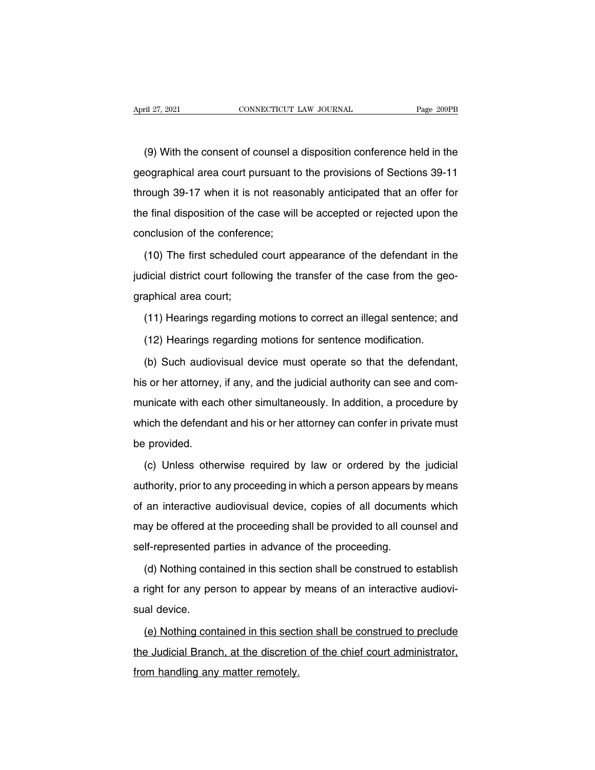(9) With the consent of counsel a disposition conference held in the ographical area court pursuant to the provisions of Sections 39-11 April 27, 2021 CONNECTICUT LAW JOURNAL Page 209PB<br>(9) With the consent of counsel a disposition conference held in the<br>geographical area court pursuant to the provisions of Sections 39-11<br>through 39-17 when it is not reaso (9) With the consent of counsel a disposition conference held in the geographical area court pursuant to the provisions of Sections 39-11 through 39-17 when it is not reasonably anticipated that an offer for the final disp (9) With the consent of counsel a disposition conference held in the geographical area court pursuant to the provisions of Sections 39-11 through 39-17 when it is not reasonably anticipated that an offer for the final disp (c) with the concommon countient<br>geographical area court pursuant to<br>through 39-17 when it is not reasor<br>the final disposition of the case will<br>conclusion of the conference;<br>(10) The first scheduled court ap From 1994.<br>
The final disposition of the case will be accepted or rejected upon the<br>
nclusion of the conference;<br>
(10) The first scheduled court appearance of the defendant in the<br>
dicial district court following the trans

the final disposition of the case will be accepted or rejected upon the conclusion of the conference;<br>(10) The first scheduled court appearance of the defendant in the judicial district court following the transfer of the conclusion of the conference<br>(10) The first scheduled<br>judicial district court follow<br>graphical area court;<br>(11) Hearings regarding (10) The first scheduled court appearance of the defendant in the dicial district court following the transfer of the case from the geo-<br>aphical area court;<br>(11) Hearings regarding motions to correct an illegal sentence; a dicial district court following the transfer of the case from the georaphical area court;<br>(11) Hearings regarding motions to correct an illegal sentence; an<br>(12) Hearings regarding motions for sentence modification.<br>(b) Su

in Suphical area court;<br>(11) Hearings regarding motions to correct an illegal sentence; and<br>(12) Hearings regarding motions for sentence modification.<br>(b) Such audiovisual device must operate so that the defendant,<br>s or he (11) Hearings regarding motions to correct an illegal sentence; and<br>(12) Hearings regarding motions for sentence modification.<br>(b) Such audiovisual device must operate so that the defendant,<br>his or her attorney, if any, an (12) Hearings regarding motions for sentence modification.<br>
(b) Such audiovisual device must operate so that the defendant,<br>
his or her attorney, if any, and the judicial authority can see and com-<br>
municate with each othe (b) Such audiovisual device must operate so that the defendant, his or her attorney, if any, and the judicial authority can see and communicate with each other simultaneously. In addition, a procedure by which the defendan his or her attorney<br>municate with eac<br>which the defenda<br>be provided.<br>(c) Unless othe (c) Unless otherwise required by law or ordered by the judicial<br>thority, prior to any proceeding in which a person appears by means<br>thority, prior to any proceeding in which a person appears by means

which the defendant and his or her attorney can confer in private must<br>be provided.<br>(c) Unless otherwise required by law or ordered by the judicial<br>authority, prior to any proceeding in which a person appears by means<br>of a of an interactive audiovisual device, copies of all documents which approach authority, prior to any proceeding in which a person appears by means of an interactive audiovisual device, copies of all documents which may be (c) Unless otherwise required by law or ordered by the judicial<br>authority, prior to any proceeding in which a person appears by means<br>of an interactive audiovisual device, copies of all documents which<br>may be offered at th (b) binded by take of biddied by the<br>authority, prior to any proceeding in which a person appears b<br>of an interactive audiovisual device, copies of all documen<br>may be offered at the proceeding shall be provided to all cou<br> an interactive audiovisual device, copies of all documents which<br>ay be offered at the proceeding shall be provided to all counsel and<br>If-represented parties in advance of the proceeding.<br>(d) Nothing contained in this secti

an interactive transformation to appear of the provided to all counsel and self-represented parties in advance of the proceeding.<br>
(d) Nothing contained in this section shall be construed to establish a right for any perso self-represented p<br>
(d) Nothing con<br>
a right for any pe<br>
sual device.<br>
(e) Nothing con (d) Nothing contained in this section shall be construed to establish<br>right for any person to appear by means of an interactive audiovi-<br>al device.<br>(e) Nothing contained in this section shall be construed to preclude<br>a Jud

the Judicial Branch, at the discretion of the chief court administrator,<br>the Judicial Branch, at the discretion of the chief court administrator,<br>from handling any matter remotely. sual device.<br>(e) Nothing contained in this section<br>the Judicial Branch, at the discretion<br>from handling any matter remotely.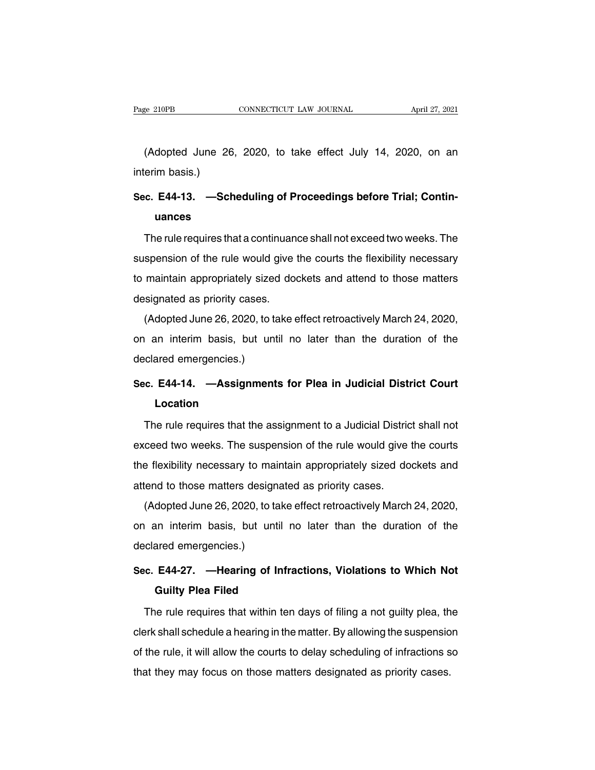EXECTIVE CONNECTICUT LAW JOURNAL April 27, 2021<br>(Adopted June 26, 2020, to take effect July 14, 2020, on an area basis.) Page 210PB<br>(Adopted June 26<br>interim basis.)<br>Sec. E44-13. —Scl

# (Adopted June 26, 2020, to take effect July 14, 2020, on an<br>
interim basis.)<br> **Sec. E44-13. —Scheduling of Proceedings before Trial; Contin-**<br> **uances uances**

erim basis.)<br> **E. E44-13.** —Scheduling of Proceedings before Trial; Contin-<br>
uances<br>
The rule requires that a continuance shall not exceed two weeks. The<br>
spension of the rule would give the courts the flexibility necessar Sec. E44-13. —Scheduling of Proceedings before Trial; Contin-<br>uances<br>The rule requires that a continuance shall not exceed two weeks. The<br>suspension of the rule would give the courts the flexibility necessary<br>to maintain a The rule requires that a continuance shall not exceed two weeks. The<br>suspension of the rule would give the courts the flexibility necessary<br>to maintain appropriately sized dockets and attend to those matters<br>designated as The rule requires that a continuan<br>suspension of the rule would give<br>to maintain appropriately sized do<br>designated as priority cases.<br>(Adopted June 26, 2020, to take  $\epsilon$ Spension of the rule would give the courts the flexibility necessary<br>maintain appropriately sized dockets and attend to those matters<br>signated as priority cases.<br>(Adopted June 26, 2020, to take effect retroactively March 2

susperision of the rule would give the coults the hexibility frecessary<br>to maintain appropriately sized dockets and attend to those matters<br>designated as priority cases.<br>(Adopted June 26, 2020, to take effect retroactively designated as priority cases.<br>
(Adopted June 26, 2020, to ta<br>
on an interim basis, but unt<br>
declared emergencies.)<br>
Sec. E44-14. —Assignment (Adopted June 26, 2020, to take effect retroactively March 24, 2020,<br>on an interim basis, but until no later than the duration of the<br>declared emergencies.)<br>**Sec. E44-14.** —Assignments for Plea in Judicial District Court<br>L

## **Location**

clared emergencies.)<br>
F. E44-14. —Assignments for Plea in Judicial District Court<br>
Location<br>
The rule requires that the assignment to a Judicial District shall not<br>
ceed two weeks. The suspension of the rule would give the Sec. E44-14. —Assignments for Plea in Judicial District Court<br>Location<br>The rule requires that the assignment to a Judicial District shall not<br>exceed two weeks. The suspension of the rule would give the courts<br>the flexibili Location<br>
The rule requires that the assignment to a Judicial District shall not<br>
exceed two weeks. The suspension of the rule would give the courts<br>
the flexibility necessary to maintain appropriately sized dockets and<br>
a The rule requires that the assignment to a Judicial Distric<br>exceed two weeks. The suspension of the rule would give<br>the flexibility necessary to maintain appropriately sized do<br>attend to those matters designated as priorit The rule requires that the assignment to a budicial District shall not<br>ceed two weeks. The suspension of the rule would give the courts<br>a flexibility necessary to maintain appropriately sized dockets and<br>tend to those matt

exceed two weeks. The suspension of the rule would give the courts<br>the flexibility necessary to maintain appropriately sized dockets and<br>attend to those matters designated as priority cases.<br>(Adopted June 26, 2020, to take the flexibility necessary to maintain appropriately sized dockets and<br>attend to those matters designated as priority cases.<br>(Adopted June 26, 2020, to take effect retroactively March 24, 2020,<br>on an interim basis, but unti (Adopted June 26, 2020, to take effect retroactively March 24, 2020,<br>on an interim basis, but until no later than the duration of the<br>declared emergencies.)<br>**Sec. E44-27.** —**Hearing of Infractions, Violations to Which Not** an interim basis, but until no<br>ared emergencies.)<br>**E44-27.** —**Hearing of Infra**<br>**Guilty Plea Filed**<br>ne rule requires that within ten

clared emergencies.)<br> **E. E44-27. —Hearing of Infractions, Violations to Which Not<br>
Guilty Plea Filed**<br>
The rule requires that within ten days of filing a not guilty plea, the<br>
prk shall schedule a hearing in the matter. B Sec. E44-27. —Hearing of Infractions, Violations to Which Not<br>Guilty Plea Filed<br>The rule requires that within ten days of filing a not guilty plea, the<br>clerk shall schedule a hearing in the matter. By allowing the suspensi Guilty Plea Filed<br>The rule requires that within ten days of filing a not guilty plea, the<br>clerk shall schedule a hearing in the matter. By allowing the suspension<br>of the rule, it will allow the courts to delay scheduling o The rule requires that within ten days of filing a not guilty plea, the clerk shall schedule a hearing in the matter. By allowing the suspensio of the rule, it will allow the courts to delay scheduling of infractions s tha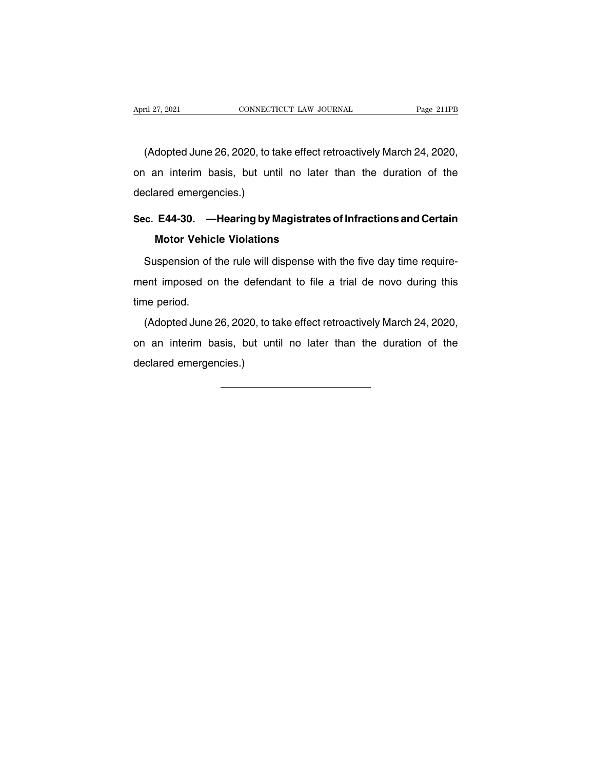ril 27, 2021<br>CONNECTICUT LAW JOURNAL Page 211PB<br>(Adopted June 26, 2020, to take effect retroactively March 24, 2020,<br>an interim basis, but until no later than the duration of the April 27, 2021 CONNECTICUT LAW JOURNAL Page 211PB<br>(Adopted June 26, 2020, to take effect retroactively March 24, 2020,<br>on an interim basis, but until no later than the duration of the<br>declared emergencies.) (Adopted June 26, 2020, to ta<br>on an interim basis, but unt<br>declared emergencies.)<br>Sec. E44-30. — Hearing by M (Adopted June 26, 2020, to take effect retroactively March 24, 2020,<br>on an interim basis, but until no later than the duration of the<br>declared emergencies.)<br>**Sec. E44-30. —Hearing by Magistrates of Infractions and Certain** warm interim basis, but until no latern<br>ared emergencies.)<br>**E44-30.** — **Hearing by Magistrates<br>Motor Vehicle Violations**<br>uspension of the rule will dispense with

Suspension of the rule will dispense with the five day time require-<br>Suspension of the rule will dispense with the five day time require-<br>ant imposed on the defendant to file a trial de novo during this Sec. E44-30. — Hearing by Magistrates of Infractions and Certain<br>Motor Vehicle Violations<br>Suspension of the rule will dispense with the five day time require-<br>ment imposed on the defendant to file a trial de novo during th Motor Vehicle Violations<br>Suspension of the rule will dispense with the five day time require-<br>ment imposed on the defendant to file a trial de novo during this<br>time period.<br>(Adopted June 26, 2020, to take effect retroactiv Suspension of the rule will dispense with the five day time require-<br>ent imposed on the defendant to file a trial de novo during this<br>ne period.<br>(Adopted June 26, 2020, to take effect retroactively March 24, 2020,<br>an inter

outperision of the task will displace with the two day time requirement imposed on the defendant to file a trial de novo during this time period.<br>
(Adopted June 26, 2020, to take effect retroactively March 24, 2020, on an on an interim basis, but until no later than the duration of the declared emergencies.)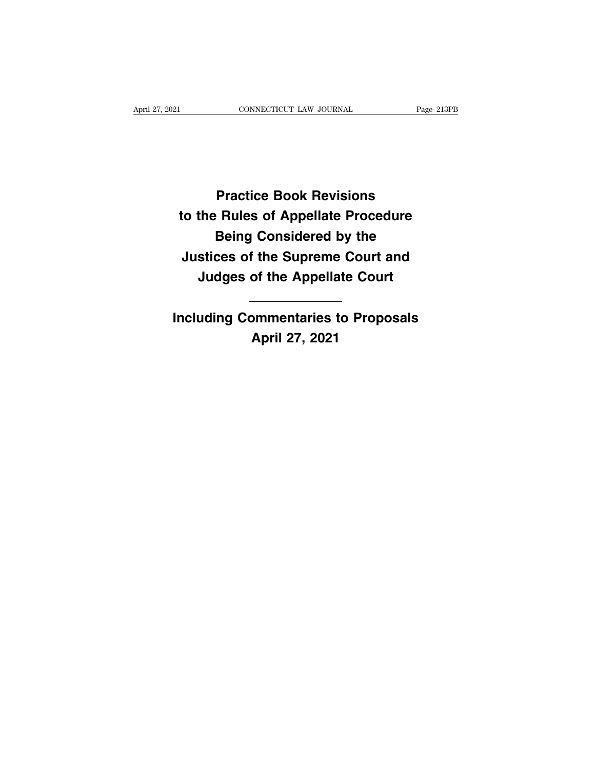**PRACTICUT LAW JOURNAL Page 21**<br>Practice Book Revisions<br>Rules of Appellate Procedure **Practice Book Revisions<br>to the Rules of Appellate Procedure<br>Being Considered by the Practice Book Revisions<br>• Rules of Appellate Procedure<br>Being Considered by the<br>ces of the Supreme Court and Practice Book Revisions<br>to the Rules of Appellate Procedure<br>Being Considered by the<br>Justices of the Supreme Court and<br>Judges of the Appellate Court Practice Book Revisions<br>the Rules of Appellate Procedure<br>Being Considered by the<br>stices of the Supreme Court and<br>Judges of the Appellate Court INCRED THE CONSIDER INCRED THE SURFER CONTRED SURFERIST SURFERIST OF THE UPPENDITE CONTRET INCLUDING Commentaries to Proposals<br>
April 27, 2021 Express to Supreme**<br>
of the Appella<br> **April 27, 2021**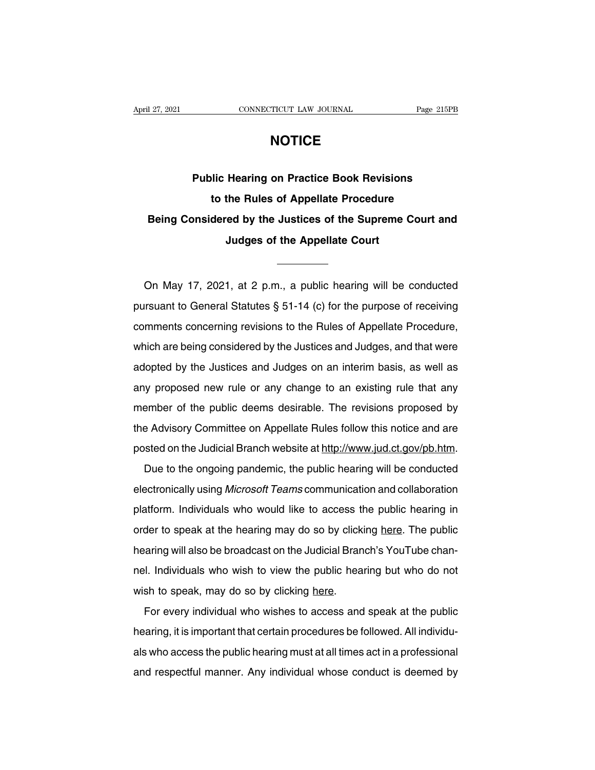## **NOTICE**

**Page 215PB**<br> **Public Hearing on Practice Book Revisions**<br> **Public Hearing on Practice Book Revisions**<br> **to the Rules of Appellate Procedure the Rules of Appellate Procedure**<br>**to the Rules of Appellate Procedure**<br>**to the Rules of Appellate Procedure**<br>**dered by the Justices of the Supreme Court are Public Hearing on Practice Book Revisions<br>to the Rules of Appellate Procedure<br>Being Considered by the Justices of the Supreme Court and<br>Judges of the Appellate Court** Hearing on Practice Book Revisions<br>the Rules of Appellate Procedure<br>red by the Justices of the Supreme C<br>Judges of the Appellate Court Being Considered by the Justices of the Supreme Court and<br>Judges of the Appellate Court<br>
Con May 17, 2021, at 2 p.m., a public hearing will be conducted<br>
In May 17, 2021, at 2 p.m., a public hearing will be conducted<br>
In M

Judges of the Appellate Court<br>
The Court<br>
On May 17, 2021, at 2 p.m., a public hearing will be conducted<br>
pursuant to General Statutes § 51-14 (c) for the purpose of receiving<br>
comments concerning revisions to the Rules of On May 17, 2021, at 2 p.m., a public hearing will be conducted<br>pursuant to General Statutes § 51-14 (c) for the purpose of receiving<br>comments concerning revisions to the Rules of Appellate Procedure,<br>which are being consid On May 17, 2021, at 2 p.m., a public hearing will be conducted<br>pursuant to General Statutes § 51-14 (c) for the purpose of receiving<br>comments concerning revisions to the Rules of Appellate Procedure,<br>which are being consid pursuant to General Statutes  $\S 51-14$  (c) for the purpose of receiving<br>comments concerning revisions to the Rules of Appellate Procedure,<br>which are being considered by the Justices and Judges, and that were<br>adopted by th parodain to defined otatated y or FF (o) for the parpeted or receiving<br>comments concerning revisions to the Rules of Appellate Procedure,<br>which are being considered by the Justices and Judges, and that were<br>adopted by the which are being considered by the Justices and Judges, and that were<br>adopted by the Justices and Judges on an interim basis, as well as<br>any proposed new rule or any change to an existing rule that any<br>member of the public adopted by the Justices and Judges on an interim basis, as well as<br>any proposed new rule or any change to an existing rule that any<br>member of the public deems desirable. The revisions proposed by<br>the Advisory Committee on adopted by the Justices and Judges on an interim basis, as well as<br>any proposed new rule or any change to an existing rule that any<br>member of the public deems desirable. The revisions proposed by<br>the Advisory Committee on groups of the public deems desirable. The revisions proposed by<br>a Advisory Committee on Appellate Rules follow this notice and are<br>sted on the Judicial Branch website at http://www.jud.ct.gov/pb.htm.<br>Due to the ongoing pan

the Advisory Committee on Appellate Rules follow this notice and are<br>posted on the Judicial Branch website at http://www.jud.ct.gov/pb.htm.<br>Due to the ongoing pandemic, the public hearing will be conducted<br>electronically u posted on the Judicial Branch website at http://www.jud.ct.gov/pb.htm.<br>Due to the ongoing pandemic, the public hearing will be conducted<br>electronically using *Microsoft Teams* communication and collaboration<br>platform. Indi Due to the ongoing pandemic, the public hearing will be conducted<br>electronically using *Microsoft Teams* communication and collaboration<br>platform. Individuals who would like to access the public hearing in<br>order to speak a electronically using *Microsoft Teams* communication and collaboration<br>platform. Individuals who would like to access the public hearing in<br>order to speak at the hearing may do so by clicking here. The public<br>hearing will platform.Individuals who would like to access the public hearing in order to speak at the hearing may do so by clicking here. The public hearing will also be broadcast on the Judicial Branch's YouTube channel. Individuals platform: individuals who would like to assess to<br>order to speak at the hearing may do so by click<br>hearing will also be broadcast on the Judicial Bran<br>nel. Individuals who wish to view the public hea<br>wish to speak, may do For every individual who wish to view the public hearing but who do not<br>sh to speak, may do so by clicking here.<br>For every individual who wishes to access and speak at the public<br>aring, it is important that certain procedu

hearing will also be breadded on the dational Branch's 1 cartable channel.<br>
Individuals who wish to view the public hearing but who do not<br>
wish to speak, may do so by clicking here.<br>
For every individual who wishes to acc wish to speak, may do so by clicking here.<br>
For every individual who wishes to access and speak at the public<br>
hearing, it is important that certain procedures be followed. All individu-<br>
als who access the public hearing For every individual who wishes to access and speak at the public<br>hearing, it is important that certain procedures be followed. All individu-<br>als who access the public hearing must at all times act in a professional<br>and re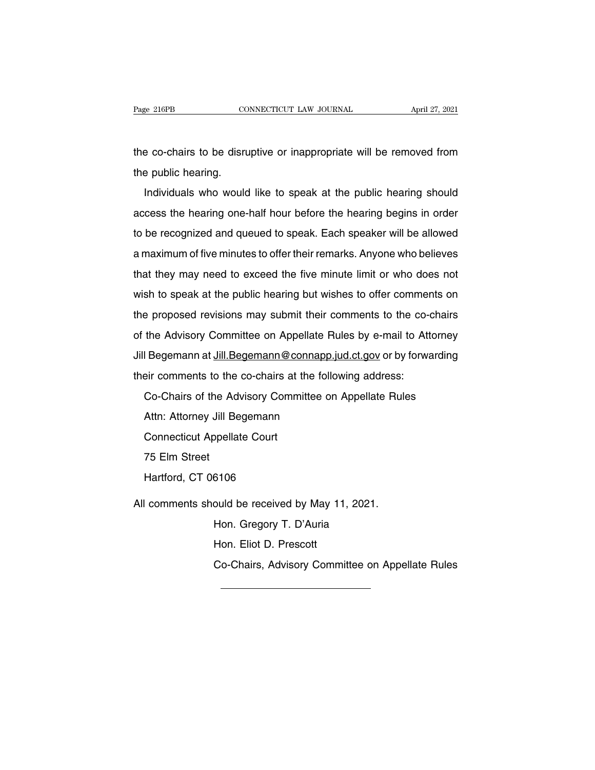The co-chairs to be disruptive or inappropriate will be removed from<br>the public hearing. Page 216PB CONNECTICUT LAW JOURNAL April 27, 2021<br>the co-chairs to be disruptive or inappropriate will be removed from<br>the public hearing.<br>Individuals who would like to speak at the public hearing should

Individuals who would like to speak at the public hearing should<br>Individuals who would like to speak at the public hearing should<br>cess the hearing one-half hour before the hearing begins in order the co-chairs to be disruptive or inappropriate will be removed from<br>the public hearing.<br>Individuals who would like to speak at the public hearing should<br>access the hearing one-half hour before the hearing begins in order<br> the public hearing.<br>
Individuals who would like to speak at the public hearing should<br>
access the hearing one-half hour before the hearing begins in order<br>
to be recognized and queued to speak. Each speaker will be allowed Individuals who would like to speak at the public hearing should<br>access the hearing one-half hour before the hearing begins in order<br>to be recognized and queued to speak. Each speaker will be allowed<br>a maximum of five minu Individuals who weald like to epeak at the pashe hearing eneated access the hearing one-half hour before the hearing begins in order to be recognized and queued to speak. Each speaker will be allowed a maximum of five minu to be recognized and queued to speak. Each speaker will be allowed<br>a maximum of five minutes to offer their remarks. Anyone who believes<br>that they may need to exceed the five minute limit or who does not<br>wish to speak at t a maximum of five minutes to offer their remarks. Anyone who believes<br>that they may need to exceed the five minute limit or who does not<br>wish to speak at the public hearing but wishes to offer comments on<br>the proposed revi that they may need to exceed the five minute limit or who does not<br>wish to speak at the public hearing but wishes to offer comments on<br>the proposed revisions may submit their comments to the co-chairs<br>of the Advisory Commi Wish to speak at the public hearing but wishes to offer comments on<br>the proposed revisions may submit their comments to the co-chairs<br>of the Advisory Committee on Appellate Rules by e-mail to Attorney<br>Jill Begemann at Jill wish to speak at the public hearing but wishes to offer comments on<br>the proposed revisions may submit their comments to the co-chairs<br>of the Advisory Committee on Appellate Rules by e-mail to Attorney<br>Jill Begemann at Jill of the Advisory Committee on Appellate Rules by e-mail to Attorney

The Framesty Schmintes on Figgemate Proportion.<br>The Begemann at Jill Begemann@connapp.<br>Pir comments to the co-chairs at the foll<br>Co-Chairs of the Advisory Committee on<br>Attn: Attorney Jill Begemann<br>Connecticut Appellate Cou Exponsion at **Chairs to the co-chairs at the Co-Chairs of the Advisory Comming Attn: Attorney Jill Begemann**<br>Connecticut Appellate Court<br>75 Elm Street Shreemmerks to the<br>Co-Chairs of the Ad<br>Attn: Attorney Jill B<br>Connecticut Appella<br>75 Elm Street<br>Hartford, CT 06106 Se Shalle of the Advisory Son<br>Attn: Attorney Jill Begemann<br>Connecticut Appellate Court<br>75 Elm Street<br>Hartford, CT 06106 Connecticut Appellate Court<br>
75 Elm Street<br>
Hartford, CT 06106<br>
All comments should be received by May 11, 2021.<br>
Hon. Gregory T. D'Auria 6106<br>ould be received by May 11, 2021.<br>Hon. Gregory T. D'Auria<br>Hon. Eliot D. Prescott 6106<br>ould be received by May 11<br>Hon. Gregory T. D'Auria<br>Hon. Eliot D. Prescott<br>Co-Chairs, Advisory Comm ould be received by May 11, 2021.<br>Hon. Gregory T. D'Auria<br>Hon. Eliot D. Prescott<br>Co-Chairs, Advisory Committee on Appellate Rules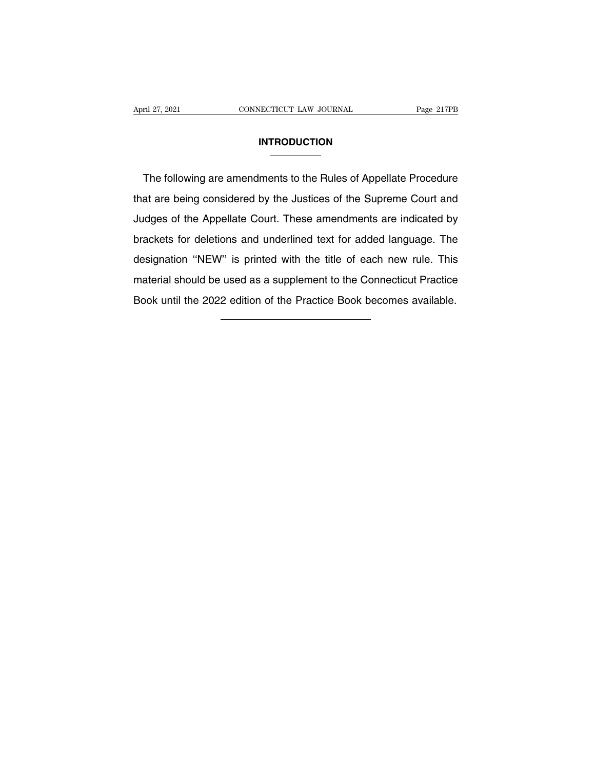### **INTRODUCTION**

The following are amendments to the Rules of Appellate Procedure<br>at are being considered by the Justices of the Supreme Court and INTRODUCTION<br>
The following are amendments to the Rules of Appellate Procedure<br>
that are being considered by the Justices of the Supreme Court and<br>
Judges of the Appellate Court. These amendments are indicated by INTRODUCTION<br>
The following are amendments to the Rules of Appellate Procedure<br>
that are being considered by the Justices of the Supreme Court and<br>
Judges of the Appellate Court. These amendments are indicated by<br>
brackets The following are amendments to the Rules of Appellate Procedure<br>that are being considered by the Justices of the Supreme Court and<br>Judges of the Appellate Court. These amendments are indicated by<br>brackets for deletions an The following are amonalments to the France of Appenate Freedearch<br>that are being considered by the Justices of the Supreme Court and<br>Judges of the Appellate Court. These amendments are indicated by<br>brackets for deletions Judges of the Appellate Court. These amendments are indicated by<br>brackets for deletions and underlined text for added language. The<br>designation "NEW" is printed with the title of each new rule. This<br>material should be used Judges of the Appellate Court. These amendments are indicated by brackets for deletions and underlined text for added language. The designation "NEW" is printed with the title of each new rule. This material should be used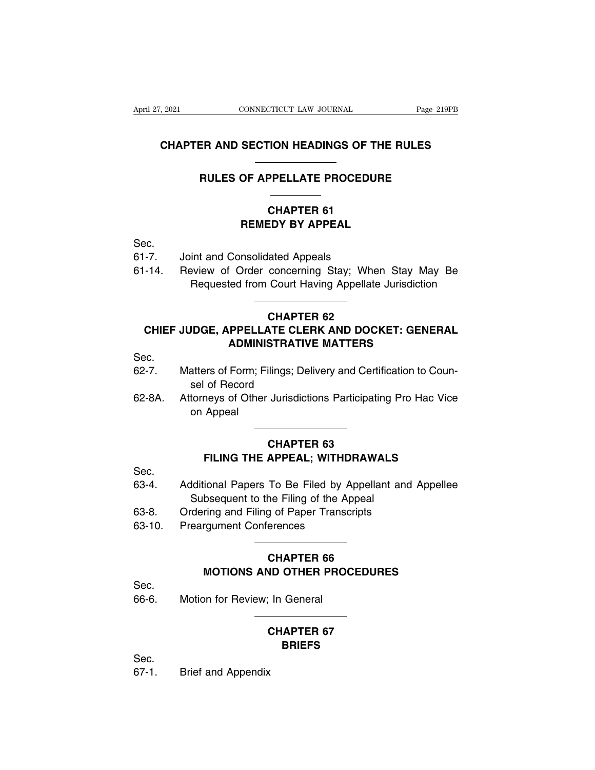# CONNECTICUT LAW JOURNAL Page 219PB<br> **CHAPTER AND SECTION HEADINGS OF THE RULES EXECUTE CONNECTICUT LAW JOURNAL** Page 219PE<br> **RULES OF APPELLATE PROCEDURE**<br>
PROCEDURE CHAPTER AND SECTION HEADINGS OF THE RULES<br>
RULES OF APPELLATE PROCEDURE<br>
CHAPTER 61<br>
REMEDY BY APPEAL

# **RECTION HEADINGS OF THE RUNAWAY OF APPELLATE PROCEDURE**<br> **CHAPTER 61<br>
REMEDY BY APPEAL**

Sec.

REMEDY BY APPEAL<br>
GHAPTER 61<br>
REMEDY BY APPEAL<br>
Sec.<br>
61-7. Joint and Consolidated Appeals<br>
61-14. Review of Order concerning Stay; Whe CHAPTER 61<br> **CHAPTER 61<br>
Sec.**<br>
61-7. Joint and Consolidated Appeals<br>
61-14. Review of Order concerning Stay; When Stay May Be<br>
Requested from Court Having Appellate Jurisdiction CHAPTER 61<br>
REMEDY BY APPEAL<br>
FRAMEDY BY APPEAL<br>
FRAMEDY BY APPEAL<br>
FRAMEDY STAMES Appellate Jurisdiction<br>
Requested from Court Having Appellate Jurisdiction **COMBON SET AND SET AND SET ATTLE CLERK AND DOCKLY**<br> **CHAPTER 62<br>
STE CLERK AND DOCKLY** 

### -7. Joint and Consolidated Appeals<br>
-14. Review of Order concerning Stay; When Stay May Be<br>
Requested from Court Having Appellate Jurisdiction<br>
CHAPTER 62<br>
CHIEF JUDGE, APPELLATE CLERK AND DOCKET: GENERAL<br>
ADMINISTRATIVE M Form Court Having Appellate Jurisdiction<br> **CHAPTER 62<br>
PPELLATE CLERK AND DOCKET: GENE!**<br>
ADMINISTRATIVE MATTERS<br>
Form: Filings: Dolivery and Contification to Communistry CHIEF JUDGE, APPELLATE CLERK AND DOCKET: GENERAL<br>ADMINISTRATIVE MATTERS<br>Sec.<br>62-7. Matters of Form; Filings; Delivery and Certification to Coun-<br>sel of Record **CHAPTE**<br> **IDGE, APPELLATE CLE<br>
ADMINISTRATIV<br>
atters of Form; Filings; De<br>
sel of Record<br>
torneys of Other Jurisdic<br>
on Appoal** CHIEF JUDGE, APPELLATE CLERK AND DOCKET: GENERAL<br>ADMINISTRATIVE MATTERS<br>Sec.<br>62-7. Matters of Form; Filings; Delivery and Certification to Counsel of Record<br>62-8A. Attorneys of Other Jurisdictions Participating Pro Hac Vic

Sec.

- 
- APPENTIFICATIONS<br>
ADMIN<br>
Atters of Form;<br>
sel of Record<br>
torneys of Othe<br>
on Appeal ilings; Delivery and Certific<br>Jurisdictions Participating<br>**CHAPTER 63**<br>**APPEAL; WITHDRAWAI** of Record<br>
meys of Other Jurisdictions Participating Pro Hac Vice<br>
Appeal<br> **FILING THE APPEAL; WITHDRAWALS**<br>
FILING THE APPEAL; WITHDRAWALS<br>
FIGURE PROCE TO Be Filed by Appellant and Appellon

- Sec.
- on Appeal<br> **CHAPTER 63<br>
FILING THE APPEAL; WITHDRAWALS**<br>
Sec.<br>
Additional Papers To Be Filed by Appellant and Appellee<br>
Subsequent to the Filing of the Appeal<br>
Contaring and Eiling of Baper Transcripts CHAPTER 63<br>FILING THE APPEAL; WITHDRAWALS<br>dditional Papers To Be Filed by Appellant<br>Subsequent to the Filing of the Appeal<br>dering and Filing of Paper Transcripts CHAPTER 63<br>
FILING THE APPEAL; WITHDRAWALS<br>
63-4. Additional Papers To Be Filed by Appellant and A<br>
Subsequent to the Filing of the Appeal<br>
63-8. Ordering and Filing of Paper Transcripts<br>
63-10. Preargument Conferences FILING THE APPEAL; WITHD<br>
Sec.<br>
63-4. Additional Papers To Be Filed by A<br>
Subsequent to the Filing of the Ap<br>
63-8. Ordering and Filing of Paper Transci<br>
63-10. Preargument Conferences To Be Filed by Appellan<br>he Filing of the Appeal<br>g of Paper Transcripts<br>erences<br>**CHAPTER 66**<br>ND OTHER PROCEDURE
- 
- 

# bsequent to the Filing of the Appeal<br>
ring and Filing of Paper Transcripts<br>
rgument Conferences<br> **MOTIONS AND OTHER PROCEDURES**<br>
NOTIONS AND OTHER PROCEDURES 63-10. Preargument Conferences<br>
CHAPTER 66<br>
MOTIONS AND OTHER PRO<br>
Sec.<br>
66-6. Motion for Review; In General **CHAPTER 66<br>
ND OTHER PROCEDURE<br>
The General<br>
CHAPTER 67<br>
BRIEFS**

Sec.

67-1. Brief and Appendix

### **BRIEFS**

Sec.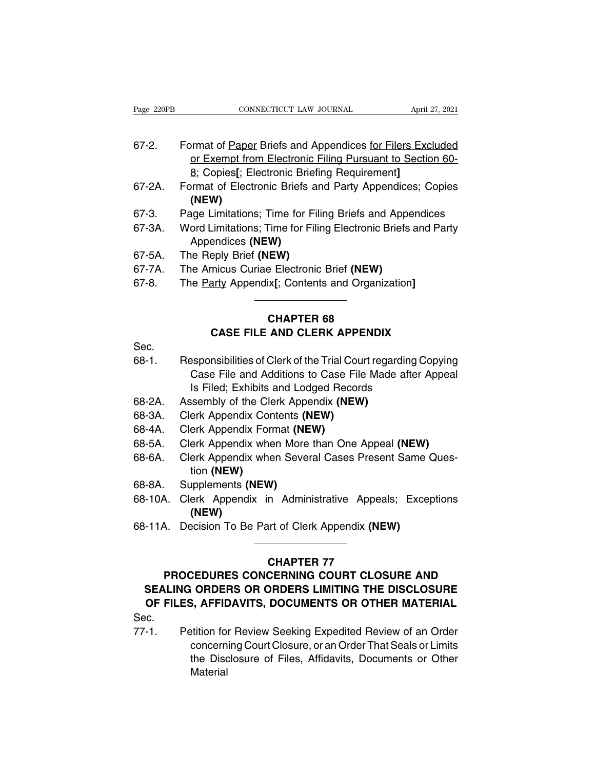| Page 220PB | CONNECTICUT LAW JOURNAL<br>April 27, 2021                     |
|------------|---------------------------------------------------------------|
|            |                                                               |
| $67 - 2.$  | Format of Paper Briefs and Appendices for Filers Excluded     |
|            | or Exempt from Electronic Filing Pursuant to Section 60-      |
|            | 8; Copies[; Electronic Briefing Requirement]                  |
| 67-2A.     | Format of Electronic Briefs and Party Appendices; Copies      |
|            | (NEW)                                                         |
| 67-3.      | Page Limitations; Time for Filing Briefs and Appendices       |
| 67-3A.     | Word Limitations; Time for Filing Electronic Briefs and Party |
|            | Appendices (NEW)                                              |
| 67-5A.     | The Reply Brief (NEW)                                         |
| 67-7A.     | The Amicus Curiae Electronic Brief (NEW)                      |
| 27 O       | The Derty Appendix $L$ Centente and Organization $L$          |

- Appendices **(NEW)** (NEW)<br>67-3. Page Limitations; Time for Filing Briefs and Appe<br>67-3A. Word Limitations; Time for Filing Electronic Briefs<br>Appendices (NEW)<br>67-5A. The Amicus Curiae Electronic Brief (NEW)<br>67-8. The <u>Party</u> Appendix[; Content Frage Limitations; Time for Filing Briefs and Appendices<br>
67-3A. Word Limitations; Time for Filing Electronic Briefs and Party<br>
Appendices (NEW)<br>
67-5A. The Reply Brief (NEW)<br>
67-7A. The Amicus Curiae Electronic Brief (NEW
- 
- 
- 

# 67-5A. The Reply Brief (NEW)<br>67-7A. The Amicus Curiae Electronic Brief (NEW)<br>67-8. The <u>Party</u> Appendix[; Contents and Organization]<br>**CHAPTER 68**<br>**CASE FILE AND CLERK APPENDIX** Poly Brief (NEW)<br>micus Curiae Electronic Brief (NEW)<br>arty Appendix[; Contents and Organization]<br>**CHAPTER 68<br>CASE FILE <u>AND CLERK APPENDIX</u>**

- Sec.
- 67-8. The <u>Party</u> Appendix[; Contents and Organization]<br> **CHAPTER 68**<br> **CASE FILE AND CLERK APPENDIX**<br>
Sec.<br>
68-1. Responsibilities of Clerk of the Trial Court regarding Copying<br>
Case File and Additions to Case File Made a CHAPTER 68<br>
CASE FILE AND CLERK APPENDIX<br>
esponsibilities of Clerk of the Trial Court regarding Copying<br>
Case File and Additions to Case File Made after Appeal<br>
Is Filed; Exhibits and Lodged Records **CHAPTER 68<br>
CASE FILE AND CLERK APPENDIX**<br>
esponsibilities of Clerk of the Trial Court regarding<br>
Case File and Additions to Case File Made after<br>
Is Filed; Exhibits and Lodged Records<br>
sembly of the Clerk Appendix (NEW)<br> **CASE FILE AND CLERK APPENDIX**<br>
68-1. Responsibilities of Clerk of the Trial Court regard<br>
Case File and Additions to Case File Made<br>
Is Filed; Exhibits and Lodged Records<br>
68-2A. Assembly of the Clerk Appendix (NEW)<br>
68-3 Sec.<br>
68-1. Responsibilities of Clerk of the Trial Cour<br>
Case File and Additions to Case File<br>
Is Filed; Exhibits and Lodged Record<br>
68-2A. Assembly of the Clerk Appendix (NEW)<br>
68-4A. Clerk Appendix Format (NEW)<br>
68-4A. C 68-1. Responsibilities of Clerk of the Trial Co<br>Case File and Additions to Case Fi<br>Is Filed; Exhibits and Lodged Reco<br>68-2A. Assembly of the Clerk Appendix (NEW)<br>68-3A. Clerk Appendix Format (NEW)<br>68-5A. Clerk Appendix whe Case File and Additions to Case File Made after Appeal<br>
Is Filed; Exhibits and Lodged Records<br>
68-2A. Assembly of the Clerk Appendix (NEW)<br>
68-3A. Clerk Appendix Contents (NEW)<br>
68-4A. Clerk Appendix Format (NEW)<br>
68-5A. C
- 
- 
- 
- 
- Is Filed; Exhibits and Lodged Records<br>68-2A. Assembly of the Clerk Appendix (NEW)<br>68-3A. Clerk Appendix Format (NEW)<br>68-4A. Clerk Appendix when More than One Appeal (NEW)<br>68-6A. Clerk Appendix when Several Cases Present Sa tion **(NEW)** 68-6A. Clerk Appendix when Several Cases Present Same (tion (NEW)<br>68-8A. Supplements (NEW)<br>68-10A. Clerk Appendix in Administrative Appeals; Excep (NEW)<br>68-11A. Decision To Be Part of Clerk Appendix (NEW)
- 68-8A. Supplements **(NEW)**
- 68-4A. Clerk Appendix Format (NEW)<br>68-5A. Clerk Appendix when More than One Appeal (NEW)<br>68-6A. Clerk Appendix when Several Cases Present Same Ques-<br>tion (NEW)<br>68-8A. Supplements (NEW)<br>68-10A. Clerk Appendix in Administrat **(NEW) n**<br>
Administrative Appea<br>
Art of Clerk Appendix (NET<br>
CHAPTER 77<br>
CERNING COURT CLOS<br>
NPDEPS LIMITING THE
- 

### **PROCEDURES OR ORDERS LIMITING THE DISCLOSURE**<br>
FROCEDURES CONCERNING COURT CLOSURE AND<br>
PROCEDURES CONCERNING COURT CLOSURE AND<br>
LING ORDERS OR ORDERS LIMITING THE DISCLOSURE<br>
FILES AFFIDAVITS DOCUMENTS OR OTHER MATERIAL **SEALING ORDERS OR ORDERS LIMITING THE DISCLOSURE** -11A. Decision To Be Part of Clerk Appendix (NEW)<br>
CHAPTER 77<br>
PROCEDURES CONCERNING COURT CLOSURE AND<br>
SEALING ORDERS OR ORDERS LIMITING THE DISCLOSURE<br>
OF FILES, AFFIDAVITS, DOCUMENTS OR OTHER MATERIAL<br>
C. CHAPTER 77<br>
PROCEDURES CONCERNING COURT CLOSURE AND<br>
SEALING ORDERS OR ORDERS LIMITING THE DISCLOSURE<br>
OF FILES, AFFIDAVITS, DOCUMENTS OR OTHER MATERIAL<br>
Sec.<br>
77-1. Petition for Review Seeking Expedited Review of an Order

- Sec.
- CEDURES CONCERNING COURT CLOSURE AND<br>
i ORDERS OR ORDERS LIMITING THE DISCLOSURE<br>
S, AFFIDAVITS, DOCUMENTS OR OTHER MATERIAL<br>
etition for Review Seeking Expedited Review of an Order<br>
concerning Court Closure, or an Order T i ORDERS OR ORDERS LIMITING THE DISCLOSURE<br>
S, AFFIDAVITS, DOCUMENTS OR OTHER MATERIAL<br>
etition for Review Seeking Expedited Review of an Order<br>
concerning Court Closure, or an Order That Seals or Limits<br>
the Disclosure of Material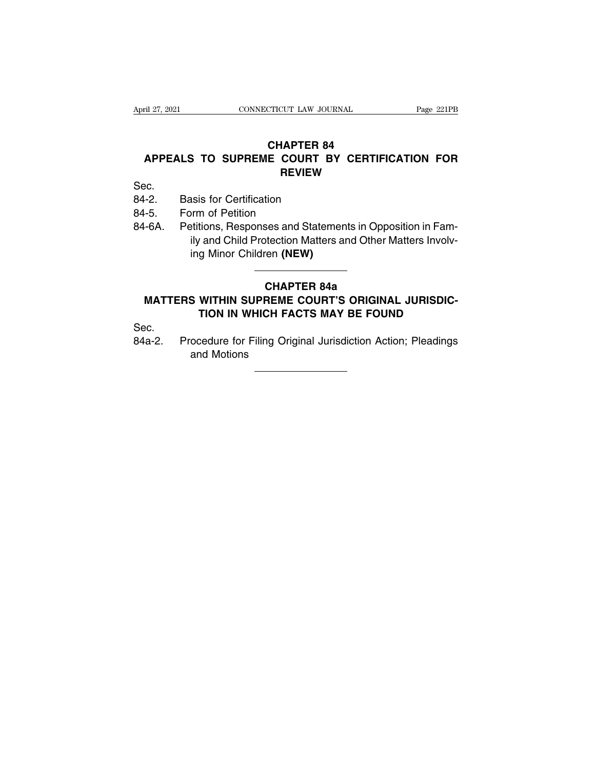### ril 27, 2021 CONNECTICUT LAW JOURNAL Page 221PB<br>**CHAPTER 84**<br>**APPEALS TO SUPREME COURT BY CERTIFICATION FOR** Fil 27, 2021 CONNECTICUT LAW JOURNAL Page 221PB<br> **CHAPTER 84**<br> **APPEALS TO SUPREME COURT BY CERTIFICATION FOR**<br>
REVIEW **REVIEW CHAPTER 84<br>
APPEALS TO SUPREME COURT B<br>
REVIEW<br>
Sec.<br>
84-2. Basis for Certification<br>
84-5. Form of Petition<br>
84-6A Potitions Bosponsos and Statem CHAPTE<br>APPEALS TO SUPREME COUF<br>REVIE<br>Sec. Basis for Certification<br>84-5. Form of Petition<br>84-6A. Petitions, Responses and Service in the and Child Protection M**

Sec.

- 
- 
- **APPEALS TO SUPREME COURT BY CERTIFICATION FOR**<br>REVIEW<br>Sec.<br>84-2. Basis for Certification<br>84-5. Form of Petition<br>84-6A. Petitions, Responses and Statements in Opposition in Fam-<br>ily and Child Protection Matters and Other M Fig. 2013<br>
In the Court Court of Petitication<br>
Insis for Certification<br>
Statements in Opposition in Fam-<br>
In The Matters Involv-<br>
In Matters and Other Matters Involv-<br>
In Minor Children (NEW) **EXAMPLE SERVERT**<br>Increases in the Petition<br>Filips and Child Protection Matters a<br>Ing Minor Children (NEW) **Ses and Statements in Oppotection Matters and Other I<br>
ren (NEW)<br>
CHAPTER 84a<br>
REME COURT'S ORIGINA<br>
CH FACTS MAY BE FOUL** Factor Petitions, Responses and Statements in Opposition in Family and Child Protection Matters and Other Matters Involving Minor Children (NEW)<br> **MATTERS WITHIN SUPREME COURT'S ORIGINAL JURISDICTION IN WHICH FACTS MAY BE** The Action Science of Matters And Other Matters Involving Minor Children (NEW)<br>
THE SUPPEME COURT'S ORIGINAL JURISDICTION<br>
IN WHICH FACTS MAY BE FOUND<br>
THE SOLIT OF STRING ORIGINAL SCIENCE COURT<br>
THE SOLIT OF STRING ORIGIN

# CHAPTER 84a<br>MATTERS WITHIN SUPREME COURT'S ORIGINAL JURISDIC-<br>TION IN WHICH FACTS MAY BE FOUND<br>Sec.<br>Procedure for Filing Original Jurisdiction Action; Pleadings<br>and Motions

Sec.

TION IN WHICH FACTS MAY BE FOUND<br>Procedure for Filing Original Jurisdiction Action; Pleadings<br>and Motions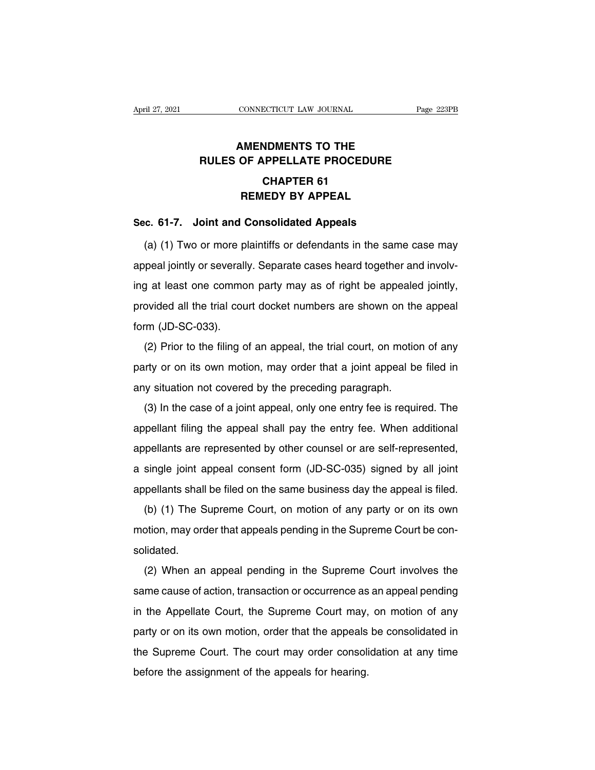### **CONNECTICUT LAW JOURNAL**<br> **AMENDMENTS TO THE<br>
OF APPELLATE PROCEDURE EXAMPLE CONNECTICUT LAW JOURNAL** Page 223PE<br> **RULES OF APPELLATE PROCEDURE**<br> **CHAPTER 61 ECTICUT LAW JOURNAL<br>NDMENTS TO THE<br>NPPELLATE PROCEDUR<br>CHAPTER 61<br>IEDY BY APPEAL MENDMENTS TO THE<br>OF APPELLATE PROCEDURE<br>CHAPTER 61<br>REMEDY BY APPEAL<br>Consolidated Appeals SEC. 61-7.** Joint and Consolidated Appeals<br>
(a) (1) Two or more plaintiffs or defendants in the same

CHAPTER 61<br>
REMEDY BY APPEAL<br>
E. 61-7. Joint and Consolidated Appeals<br>
(a) (1) Two or more plaintiffs or defendants in the same case may<br>
peal jointly or severally. Separate cases heard together and involv-**APPEAL**<br>**Sec. 61-7.** Joint and Consolidated Appeals<br>(a) (1) Two or more plaintiffs or defendants in the same case may<br>appeal jointly or severally. Separate cases heard together and involv-<br>ing at least one common party ma Sec. 61-7. Joint and Consolidated Appeals<br>
(a) (1) Two or more plaintiffs or defendants in the same case may<br>
appeal jointly or severally. Separate cases heard together and involv-<br>
ing at least one common party may as of (a) (1) Two or more plaintiffs or defendants in the same case may appeal jointly or severally. Separate cases heard together and involving at least one common party may as of right be appealed jointly, provided all the tri appeal jointly or severall<br>ing at least one commo<br>provided all the trial courtorm (JD-SC-033).<br>(2) Prior to the filing of (2) Prior to the filing of an appeal, the trial court, on motion of any<br>
(2) Prior to the filing of an appeal, the trial court, on motion of any<br>
(2) Prior to the filing of an appeal, the trial court, on motion of any<br>
try

provided all the trial court docket numbers are shown on the appeal form (JD-SC-033).<br>
(2) Prior to the filing of an appeal, the trial court, on motion of any<br>
party or on its own motion, may order that a joint appeal be f form (JD-SC-033).<br>(2) Prior to the filing of an appeal, the trial court, on motio<br>party or on its own motion, may order that a joint appeal be<br>any situation not covered by the preceding paragraph.<br>(3) In the case of a join (2) Prior to the filing of an appeal, the trial court, on motion of any<br>
urty or on its own motion, may order that a joint appeal be filed in<br>
y situation not covered by the preceding paragraph.<br>
(3) In the case of a join

party or on its own motion, may order that a joint appeal be filed in<br>any situation not covered by the preceding paragraph.<br>(3) In the case of a joint appeal, only one entry fee is required. The<br>appellant filing the appea party of on its own motion, may order that a joint appear be incent.<br>any situation not covered by the preceding paragraph.<br>(3) In the case of a joint appeal, only one entry fee is required. The<br>appellant filing the appeal (3) In the case of a joint appeal, only one entry fee is required. The appellant filing the appeal shall pay the entry fee. When additional appellants are represented by other counsel or are self-represented, a single join appellant filing the appeal shall pay the entry fee. When additional<br>appellants are represented by other counsel or are self-represented,<br>a single joint appeal consent form (JD-SC-035) signed by all joint<br>appellants shall pellants are represented by other counsel or are self-represented,<br>single joint appeal consent form (JD-SC-035) signed by all joint<br>pellants shall be filed on the same business day the appeal is filed.<br>(b) (1) The Supreme

a single joint appeal consent form (JD-SC-035) signed by all joint appellants shall be filed on the same business day the appeal is filed.<br>(b) (1) The Supreme Court, on motion of any party or on its own motion, may order t solidated. (b) (1) The Supreme Court, on motion of any party or on its own<br>otion, may order that appeals pending in the Supreme Court be con-<br>lidated.<br>(2) When an appeal pending in the Supreme Court involves the<br>me cause of action, t

same cause of action, transaction or occurrence as an appeal pending<br>in the Supreme Court be consolidated.<br>Same cause of action, transaction or occurrence as an appeal pending<br>in the Appellate Court, the Supreme Court may solidated.<br>
(2) When an appeal pending in the Supreme Court involves the<br>
same cause of action, transaction or occurrence as an appeal pending<br>
in the Appellate Court, the Supreme Court may, on motion of any<br>
party or on i (2) When an appeal pending in the Supreme Court involves the<br>same cause of action, transaction or occurrence as an appeal pending<br>in the Appellate Court, the Supreme Court may, on motion of any<br>party or on its own motion, (L) Wholf an appear pollomig in the expreme Court inverted the<br>same cause of action, transaction or occurrence as an appeal pending<br>in the Appellate Court, the Supreme Court may, on motion of any<br>party or on its own motion before the Appellate Court, the Supreme Court may,<br>party or on its own motion, order that the appeals<br>the Supreme Court. The court may order consoli<br>before the assignment of the appeals for hearing.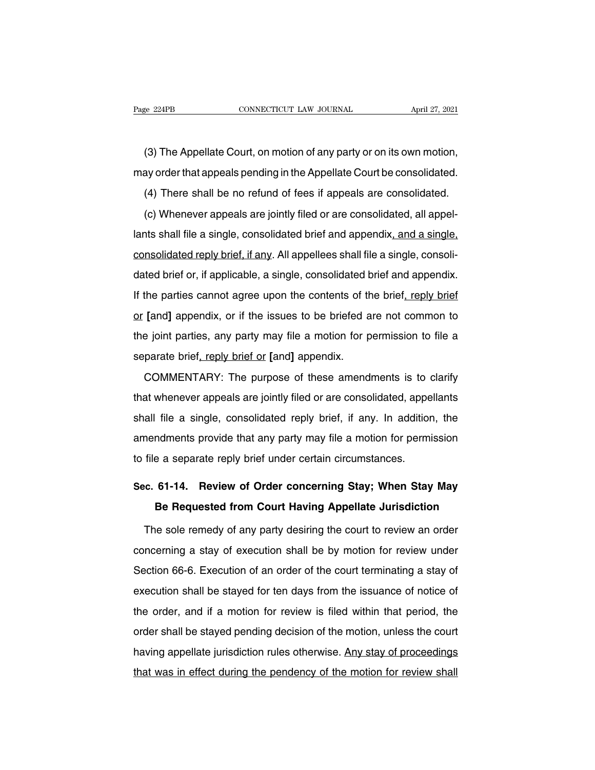e 224PB<br>
CONNECTICUT LAW JOURNAL<br>
(3) The Appellate Court, on motion of any party or on its own motion,<br>
ay order that appeals pending in the Appellate Court be consolidated. Page 224PB CONNECTICUT LAW JOURNAL April 27, 2021<br>
(3) The Appellate Court, on motion of any party or on its own motion,<br>
may order that appeals pending in the Appellate Court be consolidated.<br>
(4) There shall be no refund (3) The Appellate Court, on motion of any party or on its own motion,<br>ay order that appeals pending in the Appellate Court be consolidated.<br>(4) There shall be no refund of fees if appeals are consolidated.<br>(c) Whenever app

(3) The Appellate Court, on motion of any party or on its own motion,<br>ay order that appeals pending in the Appellate Court be consolidated.<br>(4) There shall be no refund of fees if appeals are consolidated.<br>(c) Whenever app (a) the repeature sealty shall file a single pending in the Appellate Court be consolidated.<br>
(4) There shall be no refund of fees if appeals are consolidated.<br>
(c) Whenever appeals are jointly filed or are consolidated, a (4) There shall be no refund of fees if appeals are consolidated.<br>
(c) Whenever appeals are jointly filed or are consolidated, all appel-<br>
lants shall file a single, consolidated brief and appendix, and a single,<br>
consolid (c) Whenever appeals are jointly filed or are consolidated, all appel-<br>lants shall file a single, consolidated brief and appendix, and a single,<br>consolidated reply brief, if any. All appellees shall file a single, consoli-Iants shall file a single, consolidated brief and appendix, and a single, consolidated reply brief, if any. All appellees shall file a single, consolidated brief or, if applicable, a single, consolidated brief and appendix consolidated reply brief, if any. All appellees shall file a single, consolidated brief or, if applicable, a single, consolidated brief and appendix.<br>If the parties cannot agree upon the contents of the brief, reply brief dated brief or, if applicable, a single, consolidated brief and appendix.<br>If the parties cannot agree upon the contents of the brief, reply brief<br>or [and] appendix, or if the issues to be briefed are not common to<br>the join If the parties cannot agree upon the contents of the parties cannot agree upon the contents of the **[**and**]** appendix, or if the issues to be briefed a the joint parties, any party may file a motion for p separate brief, r [and] appendix, or if the issues to be briefed are not common to<br>a joint parties, any party may file a motion for permission to file a<br>parate brief, reply brief or [and] appendix.<br>COMMENTARY: The purpose of these amendment

the joint parties, any party may file a motion for permission to file a<br>separate brief, reply brief or [and] appendix.<br>COMMENTARY: The purpose of these amendments is to clarify<br>that whenever appeals are jointly filed or ar separate brief, reply brief or [and] appendix.<br>COMMENTARY: The purpose of these amendments is to clarify<br>that whenever appeals are jointly filed or are consolidated, appellants<br>shall file a single, consolidated reply brief comments is to clarify<br>comments is to clarify<br>that whenever appeals are jointly filed or are consolidated, appellants<br>shall file a single, consolidated reply brief, if any. In addition, the<br>amendments provide that any part that whenever appeals are jointly filed or are consolidated, appe<br>shall file a single, consolidated reply brief, if any. In additior<br>amendments provide that any party may file a motion for permi<br>to file a separate reply br Shall file a single, consolidated reply brief, if any. In addition, the amendments provide that any party may file a motion for permission<br>to file a separate reply brief under certain circumstances.<br>Sec. 61-14. Review of O Indments provide that any party may file a motion for permission<br> **Be Appellate From Court Having Appellate Jurisdiction**<br> **Be Requested from Court Having Appellate Jurisdiction**<br>
The sole remedy of any party desiring the

file a separate reply brief under certain circumstances.<br> **c. 61-14. Review of Order concerning Stay; When Stay May**<br> **Be Requested from Court Having Appellate Jurisdiction**<br>
The sole remedy of any party desiring the court Sec. 61-14. Review of Order concerning Stay; When Stay May<br>Be Requested from Court Having Appellate Jurisdiction<br>The sole remedy of any party desiring the court to review an order<br>concerning a stay of execution shall be by Be Requested from Court Having Appellate Jurisdiction<br>The sole remedy of any party desiring the court to review an order<br>concerning a stay of execution shall be by motion for review under<br>Section 66-6. Execution of an orde The sole remedy of any party desiring the court to review an order<br>concerning a stay of execution shall be by motion for review under<br>Section 66-6. Execution of an order of the court terminating a stay of<br>execution shall b the octor can be can be by motion for review under<br>Section 66-6. Execution of an order of the court terminating a stay of<br>execution shall be stayed for ten days from the issuance of notice of<br>the order, and if a motion for Section 66-6. Execution of an order of the court terminating a stay of execution shall be stayed for ten days from the issuance of notice of the order, and if a motion for review is filed within that period, the order shal execution shall be stayed for ten days from the issuance of notice of<br>the order, and if a motion for review is filed within that period, the<br>order shall be stayed pending decision of the motion, unless the court<br>having app the order, and if a motion for review is filed within that period, the order shall be stayed pending decision of the motion, unless the court having appellate jurisdiction rules otherwise. Any stay of proceedings that was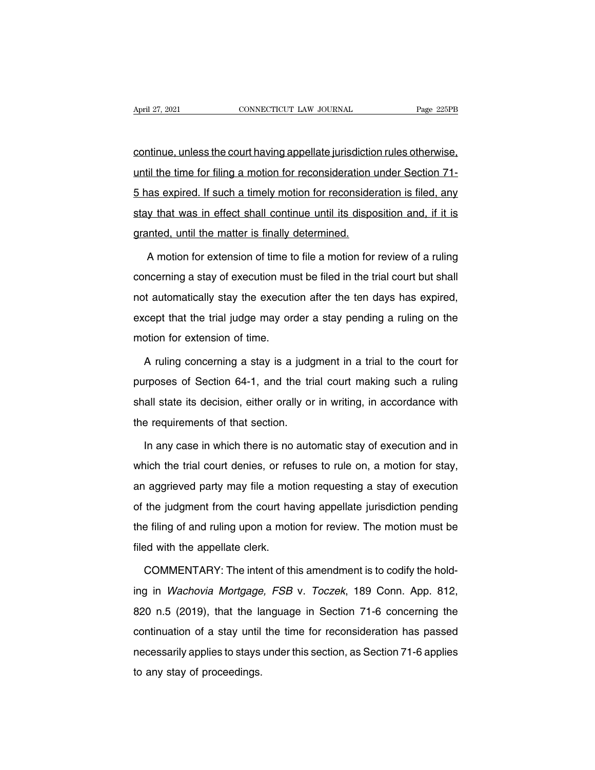April 27, 2021 CONNECTICUT LAW JOURNAL Page 225PB<br>
continue, unless the court having appellate jurisdiction rules otherwise,<br>
until the time for filing a motion for reconsideration under Section 71-April 27, 2021 CONNECTICUT LAW JOURNAL Page 225PB<br>
continue, unless the court having appellate jurisdiction rules otherwise,<br>
until the time for filing a motion for reconsideration under Section 71-<br>
5 has expired. If such Franciscontinue, unless the court having appellate jurisdiction rules otherwise,<br>
until the time for filing a motion for reconsideration under Section 71-<br>
5 has expired. If such a timely motion for reconsideration is file station in the state court in a single payallate jurisdiction rules otherwise,<br>that it he time for filing a motion for reconsideration under Section 71-<br>5 has expired. If such a timely motion for reconsideration is filed, granted, and the south having appoint of pricedure<br>until the time for filing a motion for reconsideration is<br>5 has expired. If such a timely motion for reconside<br>stay that was in effect shall continue until its dispo<br>grant as expired. If such a timely motion for reconsideration is filed, any<br>y that was in effect shall continue until its disposition and, if it is<br>anted, until the matter is finally determined.<br>A motion for extension of time to

concerning a stay of execution must be filed in the trial control.<br>A motion for extension of time to file a motion for review of a ruling<br>concerning a stay of execution must be filed in the trial court but shall<br>not automa granted, until the matter is finally determined.<br>A motion for extension of time to file a motion for review of a ruling<br>concerning a stay of execution must be filed in the trial court but shall<br>not automatically stay the e A motion for extension of time to file a motion for review of a ruling<br>concerning a stay of execution must be filed in the trial court but shall<br>not automatically stay the execution after the ten days has expired,<br>except t concerning a stay of execution must<br>not automatically stay the execution<br>except that the trial judge may ore<br>motion for extension of time.<br>A ruling concerning a stay is a It automatically stay the execution after the ten days has expired,<br>cept that the trial judge may order a stay pending a ruling on the<br>otion for extension of time.<br>A ruling concerning a stay is a judgment in a trial to the

except that the trial judge may order a stay pending a ruling on the<br>motion for extension of time.<br>A ruling concerning a stay is a judgment in a trial to the court for<br>purposes of Section 64-1, and the trial court making s shall state its decision of time.<br>A ruling concerning a stay is a judgment in a trial to the court for<br>purposes of Section 64-1, and the trial court making such a ruling<br>shall state its decision, either orally or in writin A ruling concerning a stay is a judg<br>purposes of Section 64-1, and the tri<br>shall state its decision, either orally or<br>the requirements of that section.<br>In any case in which there is no auto Im any case of Section 64-1, and the trial court making such a ruling<br>all state its decision, either orally or in writing, in accordance with<br>e requirements of that section.<br>In any case in which there is no automatic stay

shall state its decision, either orally or in writing, in accordance with<br>the requirements of that section.<br>In any case in which there is no automatic stay of execution and in<br>which the trial court denies, or refuses to ru the requirements of that section.<br>
In any case in which there is no automatic stay of execution and in<br>
which the trial court denies, or refuses to rule on, a motion for stay,<br>
an aggrieved party may file a motion requesti In any case in which there is no automatic stay of execution and in<br>which the trial court denies, or refuses to rule on, a motion for stay,<br>an aggrieved party may file a motion requesting a stay of execution<br>of the judgmen which the trial court denies, or refuses to rule on, a motion for stay,<br>an aggrieved party may file a motion requesting a stay of execution<br>of the judgment from the court having appellate jurisdiction pending<br>the filing of an aggrieved party may file a mot<br>of the judgment from the court ha<br>the filing of and ruling upon a moti-<br>filed with the appellate clerk.<br>COMMENTARY: The intent of th the judgment from the court having appellate jurisdiction pending<br>e filing of and ruling upon a motion for review. The motion must be<br>ed with the appellate clerk.<br>COMMENTARY: The intent of this amendment is to codify the h

the filing of and ruling upon a motion for review. The motion must be<br>filed with the appellate clerk.<br>COMMENTARY: The intent of this amendment is to codify the hold-<br>ing in Wachovia Mortgage, FSB v. Toczek, 189 Conn. App. filed with the appellate clerk.<br>
COMMENTARY: The intent of this amendment is to codify the hold-<br>
ing in Wachovia Mortgage, FSB v. Toczek, 189 Conn. App. 812,<br>
820 n.5 (2019), that the language in Section 71-6 concerning t COMMENTARY: The intent of this amendment is to codify the hold-<br>ing in Wachovia Mortgage, FSB v. Toczek, 189 Conn. App. 812,<br>820 n.5 (2019), that the language in Section 71-6 concerning the<br>continuation of a stay until the ing in *Wachovia Mortgage, FSB v. Toczek*, 189 Conn. App. 812, 820 n.5 (2019), that the language in Section 71-6 concerning the continuation of a stay until the time for reconsideration has passed necessarily applies to st to any state of a stay until<br>the continuation of a stay until<br>necessarily applies to stays<br>to any stay of proceedings.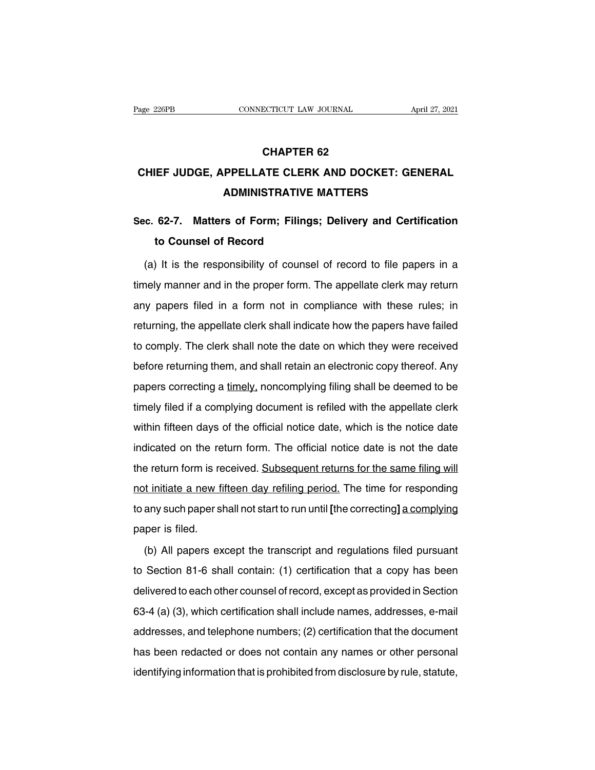## **ECTICUT LAW JOURNAL<br>CHAPTER 62<br>TE CLERK AND DOCK CONNECTICUT LAW JOURNAL** April 27, 2021<br> **CHAPTER 62<br>
CHIEF JUDGE, APPELLATE CLERK AND DOCKET: GENERAL<br>
ADMINISTRATIVE MATTERS CHAPTER 62<br>
PPELLATE CLERK AND DOCKET: GENE<br>
ADMINISTRATIVE MATTERS<br>
Configures: Delivery and Contific**

# **CHAPTER 62<br>CHIEF JUDGE, APPELLATE CLERK AND DOCKET: GENERAL<br>ADMINISTRATIVE MATTERS<br>Sec. 62-7. Matters of Form; Filings; Delivery and Certification<br>to Counsel of Record the Full of Science Separate Seart Seart Seart Seart Seart Seart Seart Seart Seart Seart Seart Seart Seart Seart Seart Seart Seart Seart Seart Seart Seart Seart Seart Seart Seart Seart Seart Seart Seart Seart Seart Seart**

ADMINISTRATIVE MATTERS<br>
(c. 62-7. Matters of Form; Filings; Delivery and Certification<br>
to Counsel of Record<br>
(a) It is the responsibility of counsel of record to file papers in a<br>
nely manner and in the proper form. The a Sec. 62-7. Matters of Form; Filings; Delivery and Certification<br>to Counsel of Record<br>(a) It is the responsibility of counsel of record to file papers in a<br>timely manner and in the proper form. The appellate clerk may retur to Counsel of Record<br>
(a) It is the responsibility of counsel of record to file papers in a<br>
timely manner and in the proper form. The appellate clerk may return<br>
any papers filed in a form not in compliance with these rul (a) It is the responsibility of counsel of record to file papers in a timely manner and in the proper form. The appellate clerk may return any papers filed in a form not in compliance with these rules; in returning, the ap timely manner and in the proper form. The appellate clerk may return<br>any papers filed in a form not in compliance with these rules; in<br>returning, the appellate clerk shall indicate how the papers have failed<br>to comply. The any papers filed in a form not in compliance with these rules; in<br>returning, the appellate clerk shall indicate how the papers have failed<br>to comply. The clerk shall note the date on which they were received<br>before returni papers mode in a form frot in compliance with those falled to comply. The clerk shall note the date on which they were received before returning them, and shall retain an electronic copy thereof. Any papers correcting a ti to comply. The clerk shall note the date on which they were received<br>before returning them, and shall retain an electronic copy thereof. Any<br>papers correcting a timely, noncomplying filing shall be deemed to be<br>timely file before returning them, and shall retain an electronic copy thereof. Any<br>papers correcting a timely, noncomplying filing shall be deemed to be<br>timely filed if a complying document is refiled with the appellate clerk<br>within papers correcting a timely, noncomplying filing shall be deemed to be<br>timely filed if a complying document is refiled with the appellate clerk<br>within fifteen days of the official notice date, which is the notice date<br>indic papers sensoang a **annoty** nonsomplying imity shall be decided to be timely filed if a complying document is refiled with the appellate clerk within fifteen days of the official notice date, which is the notice date indica within fifteen days of the official notice date, which is the notice date<br>indicated on the return form. The official notice date is not the date<br>the return form is received. Subsequent returns for the same filing will<br>not indicated on the return form. The official notice date is not the date<br>the return form is received. Subsequent returns for the same filing will<br>not initiate a new fifteen day refiling period. The time for responding<br>to any the return form is re<br>the return form is re<br>not initiate a new fi<br>to any such paper sh<br>paper is filed.<br>(b) All papers ex It initiate a new fifteen day refiling period. The time for responding<br>any such paper shall not start to run until [the correcting] a complying<br>per is filed.<br>(b) All papers except the transcript and regulations filed pursu

to any such paper shall not start to run until [the correcting] a complying<br>paper is filed.<br>(b) All papers except the transcript and regulations filed pursuant<br>to Section 81-6 shall contain: (1) certification that a copy h paper is filed.<br>
(b) All papers except the transcript and regulations filed pursuant<br>
to Section 81-6 shall contain: (1) certification that a copy has been<br>
delivered to each other counsel of record, except as provided in (b) All papers except the transcript and regulations filed pursuant<br>to Section 81-6 shall contain: (1) certification that a copy has been<br>delivered to each other counsel of record, except as provided in Section<br>63-4 (a) ( to Section 81-6 shall contain: (1) certification that a copy has been delivered to each other counsel of record, except as provided in Section 63-4 (a) (3), which certification shall include names, addresses, e-mail addres delivered to each other counsel of record, except as provided in Section<br>63-4 (a) (3), which certification shall include names, addresses, e-mail<br>addresses, and telephone numbers; (2) certification that the document<br>has be dentified to eddition occurred or riceord, exceptual provided in economic 63-4 (a) (3), which certification shall include names, addresses, e-mail addresses, and telephone numbers; (2) certification that the document has b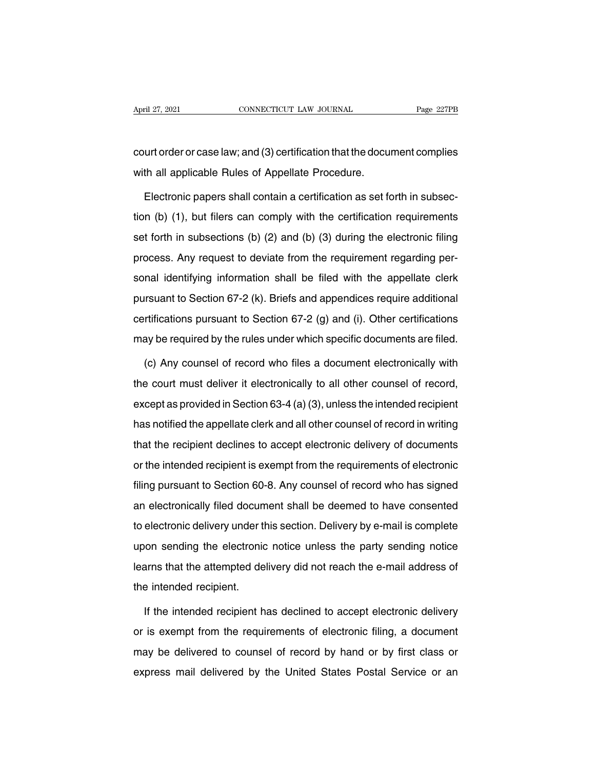April 27, 2021 CONNECTICUT LAW JOURNAL Page 227PB<br>
court order or case law; and (3) certification that the document complies<br>
with all applicable Rules of Appellate Procedure. April 27, 2021 CONNECTICUT LAW JOURNAL<br>Court order or case law; and (3) certification that the docu<br>with all applicable Rules of Appellate Procedure.<br>Electronic papers shall contain a certification as set fo

urt order or case law; and (3) certification that the document complies<br>th all applicable Rules of Appellate Procedure.<br>Electronic papers shall contain a certification as set forth in subsec-<br>n (b) (1), but filers can comp court order or case law; and (3) certification that the document complies<br>with all applicable Rules of Appellate Procedure.<br>Electronic papers shall contain a certification as set forth in subsec-<br>tion (b) (1), but filers c with all applicable Rules of Appellate Procedure.<br>Electronic papers shall contain a certification as set forth in subsec-<br>tion (b) (1), but filers can comply with the certification requirements<br>set forth in subsections (b) Electronic papers shall contain a certification as set forth in subsection (b) (1), but filers can comply with the certification requirements set forth in subsections (b) (2) and (b) (3) during the electronic filing proces Licentifying information is continued be first in transies tion (b) (1), but filers can comply with the certification requirements set forth in subsections (b) (2) and (b) (3) during the electronic filing process. Any requ set forth in subsections (b) (2) and (b) (3) during the electronic filing<br>process. Any request to deviate from the requirement regarding per-<br>sonal identifying information shall be filed with the appellate clerk<br>pursuant process. Any request to deviate from the requirement regarding per-<br>sonal identifying information shall be filed with the appellate clerk<br>pursuant to Section 67-2 (k). Briefs and appendices require additional<br>certificatio sonal identifying information shall be filed with the appellate clerk<br>pursuant to Section 67-2 (k). Briefs and appendices require additional<br>certifications pursuant to Section 67-2 (g) and (i). Other certifications<br>may be Insuant to Section 67-2 (k). Briefs and appendices require additional<br>
rtifications pursuant to Section 67-2 (g) and (i). Other certifications<br>
ay be required by the rules under which specific documents are filed.<br>
(c) Any

certifications pursuant to Section 67-2 (g) and (i). Other certifications<br>may be required by the rules under which specific documents are filed.<br>(c) Any counsel of record who files a document electronically with<br>the court may be required by the rules under which specific documents are filed.<br>
(c) Any counsel of record who files a document electronically with<br>
the court must deliver it electronically to all other counsel of record,<br>
except a (c) Any counsel of record who files a document electronically with<br>the court must deliver it electronically to all other counsel of record,<br>except as provided in Section 63-4 (a) (3), unless the intended recipient<br>has noti the court must deliver it electronically to all other counsel of record,<br>except as provided in Section 63-4 (a) (3), unless the intended recipient<br>has notified the appellate clerk and all other counsel of record in writin except as provided in Section 63-4 (a) (3), unless the intended recipient<br>has notified the appellate clerk and all other counsel of record in writing<br>that the recipient declines to accept electronic delivery of documents<br>o Filing provided in Section 60-8. And all other counsel of record in writing<br>that the recipient declines to accept electronic delivery of documents<br>or the intended recipient is exempt from the requirements of electronic<br>fi That the recipient declines to accept electronic delivery of documents<br>or the intended recipient is exempt from the requirements of electronic<br>filing pursuant to Section 60-8. Any counsel of record who has signed<br>an electr or the intended recipient is exempt from the requirements of electronic<br>filing pursuant to Section 60-8. Any counsel of record who has signed<br>an electronically filed document shall be deemed to have consented<br>to electronic filing pursuant to Section 60-8. Any counsel of record who has signed<br>an electronically filed document shall be deemed to have consented<br>to electronic delivery under this section. Delivery by e-mail is complete<br>upon sendin learns that the attempted delivery did not reach the e-mail address of the intended recipient.<br>Here are a section of the e-mail is complete upon sending the electronic notice unless the party sending notice<br>learns that the to electronic delivery under the vision sending the electronic<br>learns that the attempted de<br>the intended recipient.<br>If the intended recipient h If the intended recipient as declined to accept electronic delivery<br>is exempt from the requirements of electronic delivery<br>is exempt from the requirements of electronic filing, a document

learns that the attempted delivery did not reach the e-mail address of<br>the intended recipient.<br>If the intended recipient has declined to accept electronic delivery<br>or is exempt from the requirements of electronic filing, a the intended recipient.<br>If the intended recipient has declined to accept electronic delivery<br>or is exempt from the requirements of electronic filing, a document<br>may be delivered to counsel of record by hand or by first cla If the intended recipient has declined to accept electronic delivery<br>or is exempt from the requirements of electronic filing, a document<br>may be delivered to counsel of record by hand or by first class or<br>express mail deliv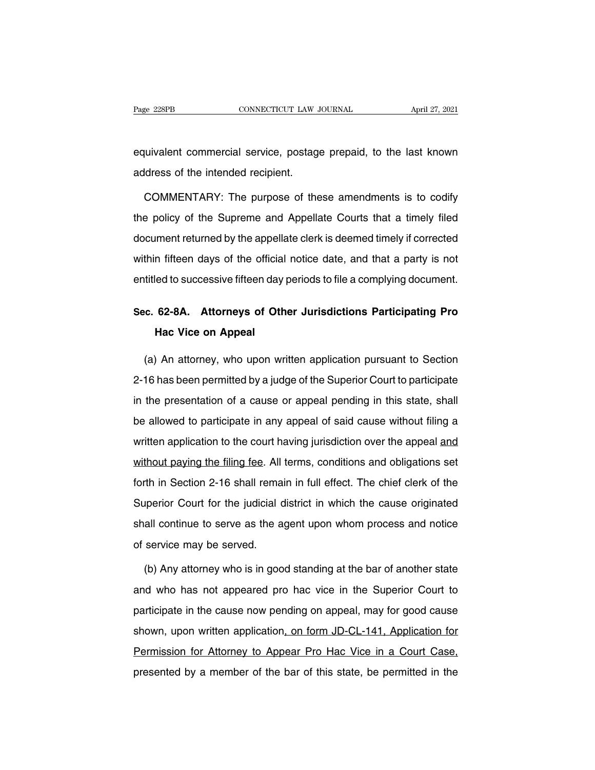Page 228PB<br>
equivalent commercial service, postage prepaid, to the last known<br>
equivalent commercial service, postage prepaid, to the last known<br>
address of the intended recipient. Page 228PB<br>
equivalent commercial service, postage<br>
address of the intended recipient.<br>
COMMENTARY: The purpose of the

uivalent commercial service, postage prepaid, to the last known<br>Idress of the intended recipient.<br>COMMENTARY: The purpose of these amendments is to codify<br>Pe policy of the Supreme and Appellate Courts that a timely filed equivalent commercial service, postage prepaid, to the last known<br>address of the intended recipient.<br>COMMENTARY: The purpose of these amendments is to codify<br>the policy of the Supreme and Appellate Courts that a timely fil address of the intended recipient.<br>
COMMENTARY: The purpose of these amendments is to codify<br>
the policy of the Supreme and Appellate Courts that a timely filed<br>
document returned by the appellate clerk is deemed timely if COMMENTARY: The purpose of these amendments is to codify<br>the policy of the Supreme and Appellate Courts that a timely filed<br>document returned by the appellate clerk is deemed timely if corrected<br>within fifteen days of the dentifier to successive fifteen day periods to file a complying document.<br>
When policy of the Supreme and Appellate Courts that a timely filed<br>
document returned by the appellate clerk is deemed timely if corrected<br>
within document returned by the appellate clerk is deemed timely if corrected<br>within fifteen days of the official notice date, and that a party is not<br>entitled to successive fifteen day periods to file a complying document.<br>Sec. m fifteen days of the official<br>**Hac Vice on Appeal**<br>**Hac Vice on Appeal**<br>An attorneys who upon w

(a) An attorney, who upon written applications Participating Pro<br>
(a) An attorney, who upon written application pursuant to Section<br>
16 has been permitted by a judge of the Superior Court to participate Sec. 62-8A. Attorneys of Other Jurisdictions Participating Pro<br>Hac Vice on Appeal<br>(a) An attorney, who upon written application pursuant to Section<br>2-16 has been permitted by a judge of the Superior Court to participate<br>in in the Vice on Appeal<br>
(a) An attorney, who upon written application pursuant to Section<br>
2-16 has been permitted by a judge of the Superior Court to participate<br>
in the presentation of a cause or appeal pending in this st (a) An attorney, who upon written application pursuant to Section<br>2-16 has been permitted by a judge of the Superior Court to participate<br>in the presentation of a cause or appeal pending in this state, shall<br>be allowed to 2-16 has been permitted by a judge of the Superior Court to participate<br>in the presentation of a cause or appeal pending in this state, shall<br>be allowed to participate in any appeal of said cause without filing a<br>written a In the presentation of a cause or appeal pending in this state, shall<br>be allowed to participate in any appeal of said cause without filing a<br>written application to the court having jurisdiction over the appeal and<br>without for allowed to participate in any appeal of said cause without filing a<br>written application to the court having jurisdiction over the appeal and<br>without paying the filing fee. All terms, conditions and obligations set<br>fort Superior Court for the court having jurisdiction over the appeal and<br>without paying the filing fee. All terms, conditions and obligations set<br>forth in Section 2-16 shall remain in full effect. The chief clerk of the<br>Superi without paying the filing fee. All terms, conditions and obligations set<br>forth in Section 2-16 shall remain in full effect. The chief clerk of the<br>Superior Court for the judicial district in which the cause originated<br>shal without paying the filing fee. All terms, conditions and obligations set<br>forth in Section 2-16 shall remain in full effect. The chief clerk of the<br>Superior Court for the judicial district in which the cause originated<br>shal (b) Any attorney who is in good standing at the Superior Court to has not appeared pro hac vice in the Superior Court to

shall continue to serve as the agent upon whom process and notice<br>of service may be served.<br>(b) Any attorney who is in good standing at the bar of another state<br>and who has not appeared pro hac vice in the Superior Court t of service may be served.<br>
(b) Any attorney who is in good standing at the bar of another state<br>
and who has not appeared pro hac vice in the Superior Court to<br>
participate in the cause now pending on appeal, may for good (b) Any attorney who is in good standing at the bar of another state<br>and who has not appeared pro hac vice in the Superior Court to<br>participate in the cause now pending on appeal, may for good cause<br>shown, upon written app and who has not appeared pro hac vice in the Superior Court to<br>participate in the cause now pending on appeal, may for good cause<br>shown, upon written application<u>, on form JD-CL-141, Application for</u><br>Permission for Attorne participate in the cause now pending on appeal, may for good cause<br>shown, upon written application, on form JD-CL-141, Application for<br>Permission for Attorney to Appear Pro Hac Vice in a Court Case,<br>presented by a member o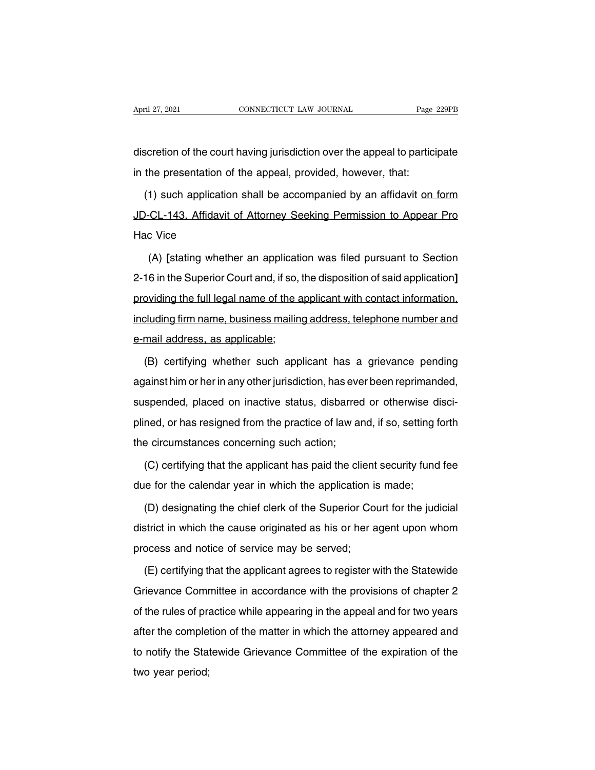April 27, 2021 CONNECTICUT LAW JOURNAL Page 229PB<br>discretion of the court having jurisdiction over the appeal to participate<br>in the presentation of the appeal, provided, however, that: April 27, 2021 CONNECTICUT LAW JOURNAL Page<br>discretion of the court having jurisdiction over the appeal to partici<br>in the presentation of the appeal, provided, however, that:<br>(1) such application shall be accompanied by an

Scretion of the court having jurisdiction over the appeal to participate<br>
the presentation of the appeal, provided, however, that:<br>
(1) such application shall be accompanied by an affidavit <u>on form</u><br>
D-CL-143, Affidavit o discretion of the court having jurisdiction over the appeal to participate<br>in the presentation of the appeal, provided, however, that:<br>(1) such application shall be accompanied by an affidavit <u>on form</u><br>JD-CL-143, Affidavi in the presentation c<br>
(1) such application<br>
JD-CL-143, Affidavit<br>
Hac Vice<br>
(A) [stating wheth 1) such application shall be accompanied by an affidavit <u>on form</u><br>CL-143, Affidavit of Attorney Seeking Permission to Appear Pro<br>c Vice<br>(A) [stating whether an application was filed pursuant to Section<br>6 in the Superior C

2-16 in the Superior Court and, if so, the disposition of said application<br>2-16 in the Superior Court and, if so, the disposition of said application<br>2-16 in the Superior Court and, if so, the disposition of said applicati From Frontier Hac Vice<br>
(A) [stating whether an application was filed pursuant to Section<br>
2-16 in the Superior Court and, if so, the disposition of said application]<br>
providing the full legal name of the applicant with co (A) [stating whether an application was filed pursuant to Section<br>2-16 in the Superior Court and, if so, the disposition of said application]<br>providing the full legal name of the applicant with contact information,<br>includi (A) [stating whether an application was filed pursuant to Section<br>2-16 in the Superior Court and, if so, the disposition of said application]<br>providing the full legal name of the applicant with contact information,<br>includi (b) coviding the full legal name of the applicant with contact information,<br>
cluding firm name, business mailing address, telephone number and<br>
mail address, as applicable;<br>
(B) certifying whether such applicant has a grie

and including firm name, business mailing address, telephone number and<br>e-mail address, as applicable;<br>(B) certifying whether such applicant has a grievance pending<br>against him or her in any other jurisdiction, has ever be e-mail address, as applicable;<br>
(B) certifying whether such applicant has a grievance pending<br>
against him or her in any other jurisdiction, has ever been reprimanded,<br>
suspended, placed on inactive status, disbarred or ot (B) certifying whether such applicant has a grievance pending<br>against him or her in any other jurisdiction, has ever been reprimanded,<br>suspended, placed on inactive status, disbarred or otherwise disci-<br>plined, or has resi against him or her in any other jurisdiction, has every suspended, placed on inactive status, disbarred plined, or has resigned from the practice of law are the circumstances concerning such action; (C) certifying that th spended, placed on inactive status, disbarred or otherwise disci-<br>ned, or has resigned from the practice of law and, if so, setting forth<br>e circumstances concerning such action;<br>(C) certifying that the applicant has paid t plined, or has resigned from the practice of law and, if so, setting f<br>the circumstances concerning such action;<br>(C) certifying that the applicant has paid the client security fund<br>due for the calendar year in which the ap

e circumstances concerning such action;<br>(C) certifying that the applicant has paid the client security fund fee<br>le for the calendar year in which the application is made;<br>(D) designating the chief clerk of the Superior Cou (C) certifying that the applicant has paid the client security fund fee<br>due for the calendar year in which the application is made;<br>(D) designating the chief clerk of the Superior Court for the judicial<br>district in which t due for the calendar year in which the application is<br>
(D) designating the chief clerk of the Superior Cordistrict in which the cause originated as his or her a<br>
process and notice of service may be served;<br>
(E) certifying (D) designating the chief clerk of the Superior Court for the judicial<br>strict in which the cause originated as his or her agent upon whom<br>ocess and notice of service may be served;<br>(E) certifying that the applicant agrees

district in which the cause originated as his or her agent upon whom<br>process and notice of service may be served;<br>(E) certifying that the applicant agrees to register with the Statewide<br>Grievance Committee in accordance wi process and notice of service may be served;<br>
(E) certifying that the applicant agrees to register with the Statewide<br>
Grievance Committee in accordance with the provisions of chapter 2<br>
of the rules of practice while appe (E) certifying that the applicant agrees to register with the Statewide<br>Grievance Committee in accordance with the provisions of chapter 2<br>of the rules of practice while appearing in the appeal and for two years<br>after the Grievance Committee in accordance with the provisions of chapter 2<br>of the rules of practice while appearing in the appeal and for two years<br>after the completion of the matter in which the attorney appeared and<br>to notify th of the rules of pra<br>after the comple<br>to notify the Stat<br>two year period;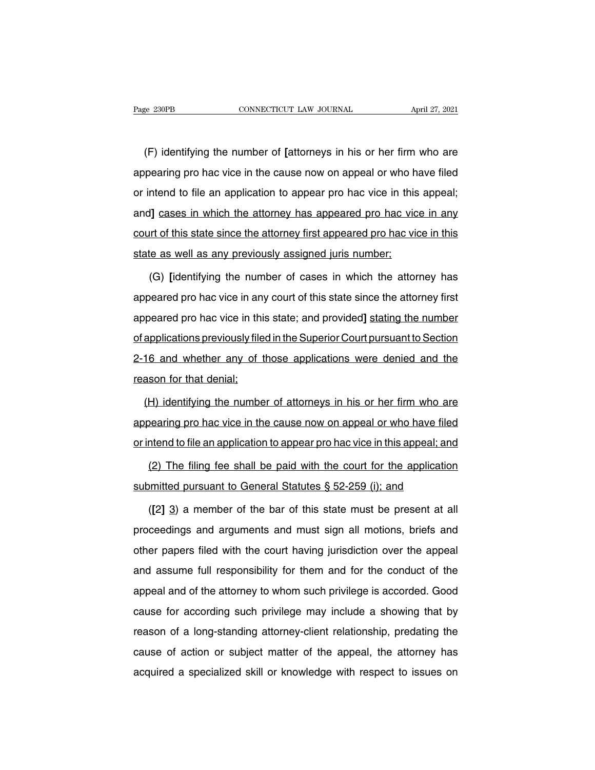EXECTE THE MULTER OF THE 27, 2021<br>
(F) identifying the number of **[attorneys** in his or her firm who are<br>
pearing pro hac vice in the cause now on appeal or who have filed Page 230PB CONNECTICUT LAW JOURNAL April 27, 2021<br>
(F) identifying the number of [attorneys in his or her firm who are<br>
appearing pro hac vice in the cause now on appeal or who have filed<br>
or intend to file an application (F) identifying the number of [attorneys in his or her firm who are<br>appearing pro hac vice in the cause now on appeal or who have filed<br>or intend to file an application to appear pro hac vice in this appeal;<br>and] cases in (F) identifying the number of [attorneys in his or her firm who are appearing pro hac vice in the cause now on appeal or who have filed or intend to file an application to appear pro hac vice in this appeal; and] cases in appearing pro hac vice in the cause now on appeal or who have filed<br>or intend to file an application to appear pro hac vice in this appeal;<br>and] cases in which the attorney has appeared pro hac vice in any<br>court of this st or intend to file an application to appear pro hac vice in this<br>and] cases in which the attorney has appeared pro hac vice<br>court of this state since the attorney first appeared pro hac vice<br>state as well as any previously (I) cases in which the attorney has appeared pro hac vice in any<br>the number of this state since the attorney first appeared pro hac vice in this<br>te as well as any previously assigned juris number;<br>(G) [identifying the numb

court of this state since the attorney first appeared pro hac vice in this<br>state as well as any previously assigned juris number;<br>(G) [identifying the number of cases in which the attorney has<br>appeared pro hac vice in any state as well as any previously assigned juris number;<br>(G) [identifying the number of cases in which the attorney has<br>appeared pro hac vice in any court of this state since the attorney first<br>appeared pro hac vice in this (G) [identifying the number of cases in which the attorney has<br>appeared pro hac vice in any court of this state since the attorney first<br>appeared pro hac vice in this state; and provided] stating the number<br>of applications (e) plasmarying are namber of eaces in which are attorney has<br>appeared pro hac vice in any court of this state since the attorney first<br>appeared pro hac vice in this state; and provided] stating the number<br>of applications appeared pro hac vice in this<br>appeared pro hac vice in this<br>of applications previously file<br>2-16 and whether any of the reason for that denial;<br>(H) identifying the numbe explications previously filed in the Superior Court pursuant to Section<br>16 and whether any of those applications were denied and the<br>ason for that denial;<br>(H) identifying the number of attorneys in his or her firm who are<br>

2-16 and whether any of those applications were denied and the<br>reason for that denial;<br>(H) identifying the number of attorneys in his or her firm who are<br>appearing pro hac vice in the cause now on appeal or who have filed<br> reason for that denial;<br>
(H) identifying the number of attorneys in his or her firm who are<br>
appearing pro hac vice in the cause now on appeal or who have filed<br>
or intend to file an application to appear pro hac vice in t (2) H) identifying the number of attorneys in his or her firm who are bearing pro hac vice in the cause now on appeal or who have filed intend to file an application to appear pro hac vice in this appeal; and (2) The fili appearing pro hac vice in the cause now on appeal or who have filed<br>or intend to file an application to appear pro hac vice in this appeal; and<br>(2) The filing fee shall be paid with the court for the application<br>submitted

ntend to file an application to appear pro hac vice in this appeal; and<br>(2) The filing fee shall be paid with the court for the application<br>omitted pursuant to General Statutes § 52-259 (i); and<br>([2] 3) a member of the bar (2) The filing fee shall be paid with the court for the application<br>submitted pursuant to General Statutes  $\S$  52-259 (i); and<br>([2] 3) a member of the bar of this state must be present at all<br>proceedings and arguments and submitted pursuant to General Statutes § 52-259 (i); and<br>
([2] 3) a member of the bar of this state must be present at all<br>
proceedings and arguments and must sign all motions, briefs and<br>
other papers filed with the cour ([2] 3) a member of the bar of this state must be present at all proceedings and arguments and must sign all motions, briefs and other papers filed with the court having jurisdiction over the appeal and assume full respons proceedings and arguments and must sign all motions, briefs and other papers filed with the court having jurisdiction over the appeal and assume full responsibility for them and for the conduct of the appeal and of the at prococallige and argamonic and matter eight an motions, shore and other papers filed with the court having jurisdiction over the appeal and assume full responsibility for them and for the conduct of the appeal and of the a early papers meal with the essaid having jameabased over the appear<br>and assume full responsibility for them and for the conduct of the<br>appeal and of the attorney to whom such privilege is accorded. Good<br>cause for according and assums fail responsibility for them and for the schladet of the<br>appeal and of the attorney to whom such privilege is accorded. Good<br>cause for according such privilege may include a showing that by<br>reason of a long-stan appoarant or the attempt to whom back priviting to accord at. dood cause for according such privilege may include a showing that by reason of a long-standing attorney-client relationship, predating the cause of action or s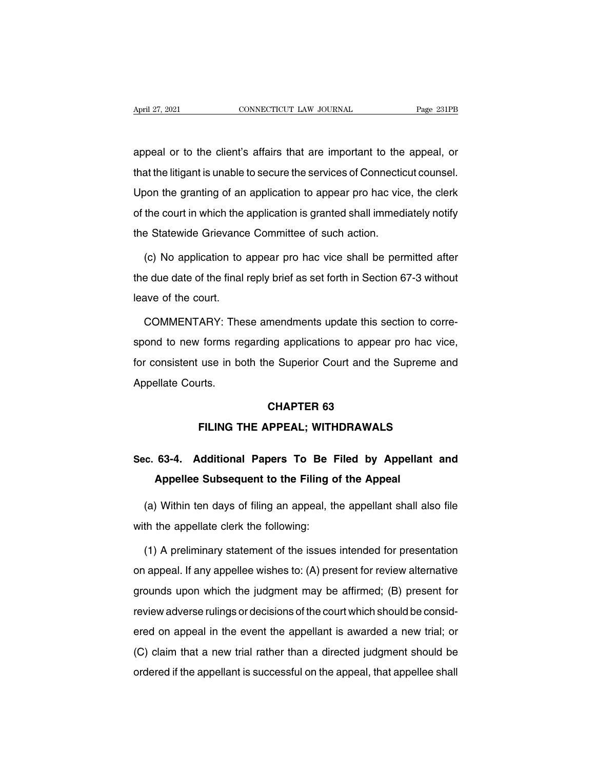April 27, 2021 CONNECTICUT LAW JOURNAL Page 231PB<br>
appeal or to the client's affairs that are important to the appeal, or<br>
that the litigant is unable to secure the services of Connecticut counsel. April 27, 2021 CONNECTICUT LAW JOURNAL Page 231PB<br>
appeal or to the client's affairs that are important to the appeal, or<br>
that the litigant is unable to secure the services of Connecticut counsel.<br>
Upon the granting of an appeal or to the client's affairs that are important to the appeal, or<br>that the litigant is unable to secure the services of Connecticut counsel.<br>Upon the granting of an application to appear pro hac vice, the clerk<br>of the appeal or to the client's affairs that are important to the appeal, or<br>that the litigant is unable to secure the services of Connecticut counsel.<br>Upon the granting of an application to appear pro hac vice, the clerk<br>of the that the litigant is unable to secure the services of Connectic<br>Upon the granting of an application to appear pro hac vic<br>of the court in which the application is granted shall immed<br>the Statewide Grievance Committee of su (c) oon the granting of an application to appear pro hac vice, the clerk<br>
the court in which the application is granted shall immediately notify<br>
e Statewide Grievance Committee of such action.<br>
(c) No application to appea

of the court in which the application is granted shall immediately notify<br>the Statewide Grievance Committee of such action.<br>(c) No application to appear pro hac vice shall be permitted after<br>the due date of the final reply the Statewide Grievance<br>(c) No application to<br>the due date of the final<br>leave of the court.<br>COMMENTARY: The (c) No application to appear pro hac vice shall be permitted after<br>e due date of the final reply brief as set forth in Section 67-3 without<br>ave of the court.<br>COMMENTARY: These amendments update this section to corre-<br>ond t

the due date of the final reply brief as set forth in Section 67-3 without<br>leave of the court.<br>COMMENTARY: These amendments update this section to corre-<br>spond to new forms regarding applications to appear pro hac vice,<br>fo For comments update this section to correspond to new forms regarding applications to appear pro hac vice,<br>for consistent use in both the Superior Court and the Supreme and<br>Appellate Courts. COMMENTARY: The<br>spond to new forms re<br>for consistent use in be<br>Appellate Courts. ng applications to appea<br>
e Superior Court and the<br> **CHAPTER 63<br>
RPEAL; WITHDRAWAL FILING THE APPEAL; WITHDRAWALS**<br>FILING THE APPEAL; WITHDRAWALS

# Appellate Courts.<br> **SEC. 63-4.** Additional Papers To Be Filed by Appellant and<br>
Appellee Subsequent to the Filing of the Appeal **Appellent CHAPTER 63<br>
FILING THE APPEAL; WITHDRAWALS<br>
63-4. Additional Papers To Be Filed by Appellan<br>
Appellee Subsequent to the Filing of the Appeal<br>
Mithin ten days of filing an appeal, the appellant shall a**

(a) Within ten days of filing an appeal, the appellant shall also file<br>the the appellant change of the appellant shall also file<br>th the appellate clerk the following: Sec. 63-4. Additional Papers To Be I<br>Appellee Subsequent to the Filing c<br>(a) Within ten days of filing an appeal, the<br>with the appellate clerk the following:<br>(1) A preliminary statement of the issues

Appellee Subsequent to the Filing of the Appeal<br>
(a) Within ten days of filing an appeal, the appellant shall also file<br>
th the appellate clerk the following:<br>
(1) A preliminary statement of the issues intended for present (a) Within ten days of filing an appeal, the appellant shall also file<br>with the appellate clerk the following:<br>(1) A preliminary statement of the issues intended for presentation<br>on appeal. If any appellee wishes to: (A) p with the appellate clerk the following:<br>
(1) A preliminary statement of the issues intended for presentation<br>
on appeal. If any appellee wishes to: (A) present for review alternative<br>
grounds upon which the judgment may be (1) A preliminary statement of the issues intended for presentation<br>on appeal. If any appellee wishes to: (A) present for review alternative<br>grounds upon which the judgment may be affirmed; (B) present for<br>review adverse r on appeal. If any appellee wishes to: (A) present for review alternative<br>grounds upon which the judgment may be affirmed; (B) present for<br>review adverse rulings or decisions of the court which should be consid-<br>ered on ap grounds upon which the judgment may be affirmed; (B) present for<br>review adverse rulings or decisions of the court which should be consid-<br>ered on appeal in the event the appellant is awarded a new trial; or<br>(C) claim that review adverse rulings or decisions of the court which should be considered on appeal in the event the appellant is awarded a new trial; or (C) claim that a new trial rather than a directed judgment should be ordered if t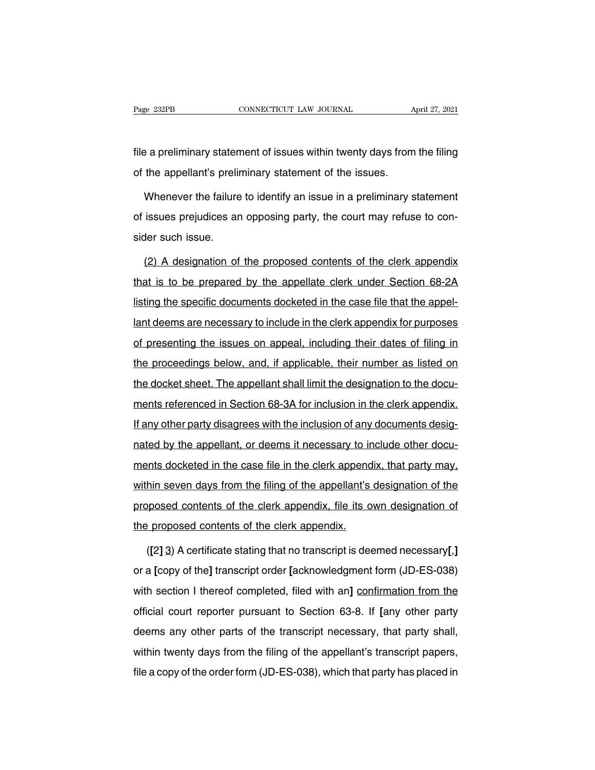Fage 232PB<br>
connectricut LAW JOURNAL<br>
file a preliminary statement of issues within twenty days from the filing<br>
of the appellant's preliminary statement of the issues. Page 232PB CONNECTICUT LAW JOURNAL<br>
file a preliminary statement of issues within twenty days from<br>
of the appellant's preliminary statement of the issues.<br>
Whenever the failure to identify an issue in a preliminary s

e a preliminary statement of issues within twenty days from the filing<br>the appellant's preliminary statement of the issues.<br>Whenever the failure to identify an issue in a preliminary statement<br>issues prejudices an opposing file a preliminary statement of issues within twenty days from the filing<br>of the appellant's preliminary statement of the issues.<br>Whenever the failure to identify an issue in a preliminary statement<br>of issues prejudices an of the appellant's prelif<br>Whenever the failure<br>of issues prejudices ar<br>sider such issue.<br>(2) A designation of Whenever the failure to identify an issue in a preliminary statement<br>issues prejudices an opposing party, the court may refuse to con-<br>der such issue.<br>(2) A designation of the proposed contents of the clerk appendix<br>at is

of issues prejudices an opposing party, the court may refuse to consider such issue.<br>
(2) A designation of the proposed contents of the clerk appendix<br>
that is to be prepared by the appellate clerk under Section 68-2A<br>
lis sider such issue.<br>
(2) A designation of the proposed contents of the clerk appendix<br>
that is to be prepared by the appellate clerk under Section 68-2A<br>
listing the specific documents docketed in the case file that the appe (2) A designation of the proposed contents of the clerk appendix<br>that is to be prepared by the appellate clerk under Section 68-2A<br>listing the specific documents docketed in the case file that the appel-<br>lant deems are nec that is to be prepared by the appellate clerk under Section 68-2A<br>listing the specific documents docketed in the case file that the appel-<br>lant deems are necessary to include in the clerk appendix for purposes<br>of presentin listing the specific documents docketed in the case file that the appel-<br>lant deems are necessary to include in the clerk appendix for purposes<br>of presenting the issues on appeal, including their dates of filing in<br>the pro the docket sheet. The appellant shall limit the designation to the docket sheet. The appellant shall limit the designation to the docket sheet. The appellant shall limit the designation to the docu-<br>ments referenced in Sec of presenting the issues on appeal, including their dates of filing in<br>the proceedings below, and, if applicable, their number as listed on<br>the docket sheet. The appellant shall limit the designation to the docu-<br>ments ref If any other proceedings below, and, if applicable, their number as listed on<br>the docket sheet. The appellant shall limit the designation to the docu-<br>ments referenced in Section 68-3A for inclusion in the clerk appendix.<br> the docket sheet. The appellant shall limit the designation to the docu-<br>ments referenced in Section 68-3A for inclusion in the clerk appendix.<br>If any other party disagrees with the inclusion of any documents desig-<br>nated ments referenced in Section 68-3A for inclusion in the clerk appendix.<br>If any other party disagrees with the inclusion of any documents desig-<br>nated by the appellant, or deems it necessary to include other docu-<br>ments dock If any other party disagrees with the inclusion of any documents designated by the appellant, or deems it necessary to include other documents docketed in the case file in the clerk appendix, that party may, within seven d many officing party disagreed with the includent of any decarteries docketed in the case file in the clerk appendix, that party may, within seven days from the filing of the appellant's designation of the proposed contents ments docketed in the case file in the clerk appendix.<br>
The proposed contents of the clerk appendix, file its of<br>
the proposed contents of the clerk appendix, file its of<br>
the proposed contents of the clerk appendix.<br>
([2] (**l**in seven days from the filing of the appellant's designation of the pposed contents of the clerk appendix, file its own designation of proposed contents of the clerk appendix.<br>([2] 3) A certificate stating that no tran

proposed contents of the clerk appendix, file its own designation of<br>the proposed contents of the clerk appendix.<br>([2] 3) A certificate stating that no transcript is deemed necessary[,]<br>or a [copy of the] transcript order the proposed contents of the clerk appendix.<br>
([2] 3) A certificate stating that no transcript is deemed necessary[,]<br>
or a [copy of the] transcript order [acknowledgment form (JD-ES-038)<br>
with section I thereof completed, ([2] 3) A certificate stating that no transcript is deemed necessary[,]<br>or a [copy of the] transcript order [acknowledgment form (JD-ES-038)<br>with section 1 thereof completed, filed with an] <u>confirmation from the</u><br>official or a [copy of the] transcript order [acknowledgment form (JD-ES-038) with section I thereof completed, filed with an] confirmation from the official court reporter pursuant to Section 63-8. If [any other party deems any o with section I thereof completed, filed with an] confirmation from the official court reporter pursuant to Section 63-8. If [any other party deems any other parts of the transcript necessary, that party shall, within twent official court reporter pursuant to Section 63-8. If [any other party<br>deems any other parts of the transcript necessary, that party shall,<br>within twenty days from the filing of the appellant's transcript papers,<br>file a cop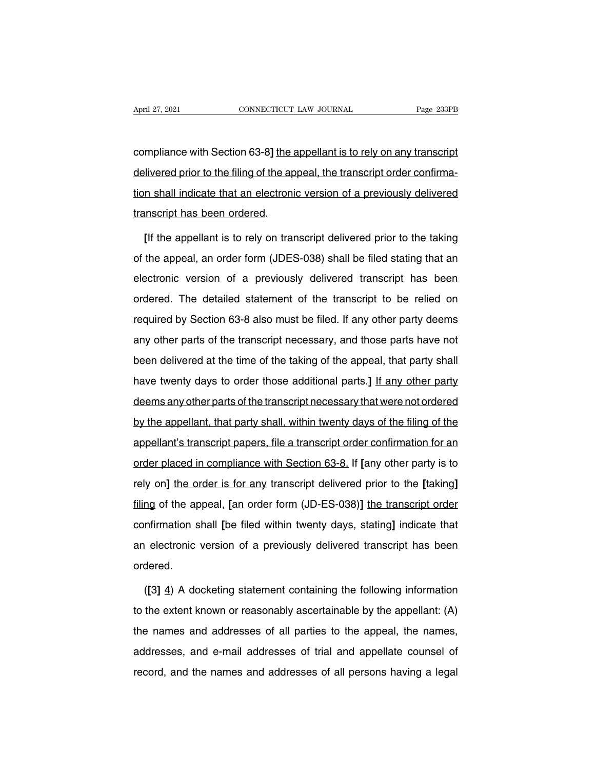April 27, 2021<br>CONNECTICUT LAW JOURNAL Page 233PB<br>Compliance with Section 63-8**]** the appellant is to rely on any transcript<br>delivered prior to the filing of the appeal, the transcript order confirma-April 27, 2021 CONNECTICUT LAW JOURNAL Page 233PB<br>
compliance with Section 63-8] <u>the appellant is to rely on any transcript</u><br>
delivered prior to the filing of the appeal, the transcript order confirma-<br>
tion shall indicat compliance with Section 63-8] the appellant is to rely on any transcript<br>delivered prior to the filing of the appeal, the transcript order confirma-<br>tion shall indicate that an electronic version of a previously delivered<br> compliance with Section 63-8] the andelivered prior to the filing of the approximal indicate that an electronic<br>transcript has been ordered.<br>In the appellant is to rely on transcript has been ordered. Fivered prior to the filing of the appeal, the transcript order confirmalned in shall indicate that an electronic version of a previously delivered inscript has been ordered.<br>If the appellant is to rely on transcript deliv

tion shall indicate that an electronic version of a previously delivered<br>transcript has been ordered.<br>[If the appellant is to rely on transcript delivered prior to the taking<br>of the appeal, an order form (JDES-038) shall b transcript has been ordered.<br>
[If the appellant is to rely on transcript delivered prior to the taking<br>
of the appeal, an order form (JDES-038) shall be filed stating that an<br>
electronic version of a previously delivered t [If the appellant is to rely on transcript delivered prior to the taking<br>of the appeal, an order form (JDES-038) shall be filed stating that an<br>electronic version of a previously delivered transcript has been<br>ordered. The of the appeal, an order form (JDES-038) shall be filed stating that an electronic version of a previously delivered transcript has been ordered. The detailed statement of the transcript to be relied on required by Section any of the uppear, an erast ferm (ebuce esec) shall be filed elasting that an<br>electronic version of a previously delivered transcript has been<br>ordered. The detailed statement of the transcript to be relied on<br>required by S been delivered. The detailed statement of the transcript to be relied on required by Section 63-8 also must be filed. If any other party deems any other parts of the transcript necessary, and those parts have not been deli required by Section 63-8 also must be filed. If any other party deems<br>any other parts of the transcript necessary, and those parts have not<br>been delivered at the time of the taking of the appeal, that party shall<br>have twen deems any other parts of the transcript necessary, and those parts have not<br>been delivered at the time of the taking of the appeal, that party shall<br>have twenty days to order those additional parts.] If any other party<br>dee been delivered at the time of the taking of the appeal, that party shall<br>have twenty days to order those additional parts.] If any other party<br>deems any other parts of the transcript necessary that were not ordered<br>by the about delivered at the time of the tanting of the appear, that party shall<br>have twenty days to order those additional parts.] If any other party<br>deems any other parts of the transcript necessary that were not ordered<br>by th deems any other parts of the transcript necessary that were not ordered<br>by the appellant, that party shall, within twenty days of the filing of the<br>appellant's transcript papers, file a transcript order confirmation for an by the appellant, that party shall, within twenty days of the filing of the appellant's transcript papers, file a transcript order confirmation for an order placed in compliance with Section 63-8. If [any other party is to filing of the appeal, and pairly shall manimum the appeal of the appellant's transcript papers, file a transcript order confirmation for an order placed in compliance with Section 63-8. If [any other party is to rely on] t order placed in compliance with Section 63-8. If [any other party is to<br>rely on] the order is for any transcript delivered prior to the [taking]<br>filing of the appeal, [an order form (JD-ES-038)] the transcript order<br>confir rely on] the order is for any transcript delivered prior to the [taking]<br>filing of the appeal, [an order form (JD-ES-038)] the transcript order<br>confirmation shall [be filed within twenty days, stating] indicate that<br>an ele ordered. mation shall [be filed within twenty days, stating] indicate that<br>
electronic version of a previously delivered transcript has been<br>
dered.<br>
([3] 4) A docketing statement containing the following information<br>
the extent kn

an electronic version of a previously delivered transcript has been<br>ordered.<br>([3] 4) A docketing statement containing the following information<br>to the extent known or reasonably ascertainable by the appellant: (A)<br>the name ordered.<br>
([3] 4) A docketing statement containing the following information<br>
to the extent known or reasonably ascertainable by the appellant: (A)<br>
the names and addresses of all parties to the appeal, the names,<br>
address  $(31 4)$  A docketing statement containing the following information<br>to the extent known or reasonably ascertainable by the appellant: (A)<br>the names and addresses of all parties to the appeal, the names,<br>addresses, and e-m to the extent known or reasonably ascertainable by the appellant: (A) the names and addresses of all parties to the appeal, the names, addresses, and e-mail addresses of trial and appellate counsel of record, and the name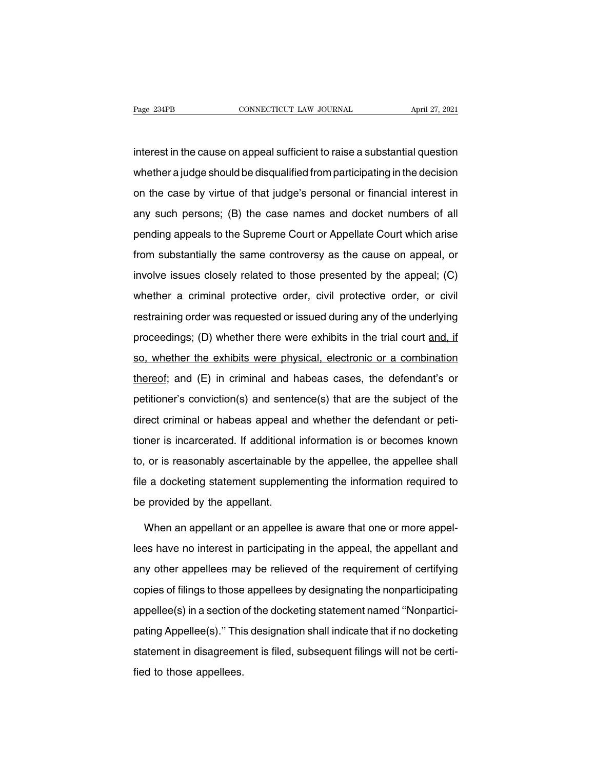Page 234PB<br>interest in the cause on appeal sufficient to raise a substantial question<br>whether a judge should be disqualified from participating in the decision Page 234PB CONNECTICUT LAW JOURNAL April 27, 2021<br>interest in the cause on appeal sufficient to raise a substantial question<br>whether a judge should be disqualified from participating in the decision<br>on the case by virtue o interest in the cause on appeal sufficient to raise a substantial question<br>whether a judge should be disqualified from participating in the decision<br>on the case by virtue of that judge's personal or financial interest in<br>a interest in the cause on appeal sufficient to raise a substantial question<br>whether a judge should be disqualified from participating in the decision<br>on the case by virtue of that judge's personal or financial interest in<br>a meteom are cases on appeal samstern to takes a sabstantial quosity.<br>
whether a judge should be disqualified from participating in the decision<br>
on the case by virtue of that judge's personal or financial interest in<br>
any s from the case by virtue of that judge's personal or financial interest in<br>any such persons; (B) the case names and docket numbers of all<br>pending appeals to the Supreme Court or Appellate Court which arise<br>from substantiall any such persons; (B) the case names and docket numbers of all<br>pending appeals to the Supreme Court or Appellate Court which arise<br>from substantially the same controversy as the cause on appeal, or<br>involve issues closely r ending appeals to the Supreme Court or Appellate Court which arise<br>from substantially the same controversy as the cause on appeal, or<br>involve issues closely related to those presented by the appeal; (C)<br>whether a criminal from substantially the same controversy as the cause on appeal, or<br>involve issues closely related to those presented by the appeal; (C)<br>whether a criminal protective order, civil protective order, or civil<br>restraining orde proceedings; (D) whether there were exhibits in the trial court and, if so, whether the exhibits were physical, electronic or a combination whether the exhibits were physical, electronic or a combination whether a criminal protective order, civil protective order, or civil<br>restraining order was requested or issued during any of the underlying<br>proceedings; (D) whether there were exhibits in the trial court and, if<br>so, wheth thereof a chinnal precedure creed, can precedure creed, or can<br>restraining order was requested or issued during any of the underlying<br>proceedings; (D) whether there were exhibits in the trial court and, if<br>so, whether the proceedings; (D) whether there were exhibits in the trial court and, if<br>so, whether the exhibits were physical, electronic or a combination<br>thereof; and (E) in criminal and habeas cases, the defendant's or<br>petitioner's con so, whether the exhibits were physical, electronic or a combination<br>thereof; and (E) in criminal and habeas cases, the defendant's or<br>petitioner's conviction(s) and sentence(s) that are the subject of the<br>direct criminal o thereof; and (E) in criminal and habeas cases, the defendant's or<br>petitioner's conviction(s) and sentence(s) that are the subject of the<br>direct criminal or habeas appeal and whether the defendant or peti-<br>tioner is incarce to a set of the subject of the direct criminal or habeas appeal and whether the defendant or peti-<br>direct criminal or habeas appeal and whether the defendant or peti-<br>tioner is incarcerated. If additional information is o direct criminal or habeas appeal and whether the defendant or petitioner is incarcerated. If additional information is or becomes known<br>to, or is reasonably ascertainable by the appellee, the appellee shall<br>file a docketin all continuities of the care appear all<br>tioner is incarcerated. If additional<br>to, or is reasonably ascertainable b<br>file a docketing statement supplem<br>be provided by the appellant.<br>When an appellant or an appeller or is reasonably ascertainable by the appellee, the appellee shall<br>and a docketing statement supplementing the information required to<br>provided by the appellant.<br>When an appellant or an appellee is aware that one or more a

file a docketing statement supplementing the information required to<br>be provided by the appellant.<br>When an appellant or an appellee is aware that one or more appel-<br>lees have no interest in participating in the appeal, the be provided by the appellant.<br>When an appellant or an appellee is aware that one or more appel-<br>lees have no interest in participating in the appeal, the appellant and<br>any other appellees may be relieved of the requirement When an appellant or an appellee is aware that one or more appel-<br>lees have no interest in participating in the appeal, the appellant and<br>any other appellees may be relieved of the requirement of certifying<br>copies of filin Then an appending in an appellee that the domestion of the separation of the docketing in the appellant and any other appellees may be relieved of the requirement of certifying copies of filings to those appellees by desig patition is interest in participating in the appear, the appearant anti-<br>any other appellees may be relieved of the requirement of certifying<br>copies of filings to those appellees by designating the nonparticipating<br>appelle statement in disagreement is filed, subsequent filings will not be certi-<br>field to those appellees by designating the nonparticipating<br>appellee(s) in a section of the docketing statement named "Nonpartici-<br>pating Appellee( appellee(s) in a section or<br>pating Appellee(s)." This<br>statement in disagreemerfied to those appellees.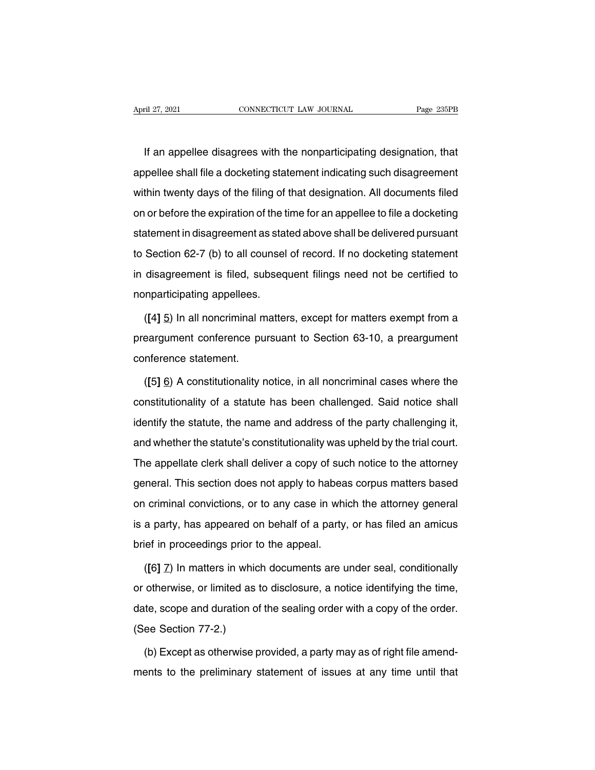IF an appellee disagrees with the nonparticipating designation, that<br>If an appellee disagrees with the nonparticipating designation, that<br>pellee shall file a docketing statement indicating such disagreement April 27, 2021 CONNECTICUT LAW JOURNAL Page 235PB<br>If an appellee disagrees with the nonparticipating designation, that<br>appellee shall file a docketing statement indicating such disagreement<br>within twenty days of the filing If an appellee disagrees with the nonparticipating designation, that<br>appellee shall file a docketing statement indicating such disagreement<br>within twenty days of the filing of that designation. All documents filed<br>on or be If an appellee disagrees with the nonparticipating designation, that<br>appellee shall file a docketing statement indicating such disagreement<br>within twenty days of the filing of that designation. All documents filed<br>on or be It an appence disagrees with the nonparticipating designation, that<br>appellee shall file a docketing statement indicating such disagreement<br>within twenty days of the filing of that designation. All documents filed<br>on or bef within twenty days of the filing of that designation. All documents filed<br>on or before the expiration of the time for an appellee to file a docketing<br>statement in disagreement as stated above shall be delivered pursuant<br>to on or before the expiration of the time for an appellee to file a docketing<br>statement in disagreement as stated above shall be delivered pursuant<br>to Section 62-7 (b) to all counsel of record. If no docketing statement<br>in d statement in disagreement as statement in disagreement as statement is filed, subseq<br>in disagreement is filed, subseq<br>nonparticipating appellees.<br>([4] 5) In all noncriminal matter Section 62-7 (b) to all counsel of record. If no docketing statement<br>disagreement is filed, subsequent filings need not be certified to<br>nparticipating appellees.<br>([4] <u>5</u>) In all noncriminal matters, except for matters exe

in disagreement is filed, subsequent filings need not be certified to<br>nonparticipating appellees.<br>([4] 5) In all noncriminal matters, except for matters exempt from a<br>preargument conference pursuant to Section 63-10, a pre nonparticipating appellees.<br>
([4] 5) In all noncriminal m<br>
preargument conference pu<br>
conference statement.<br>
([5] 6) A constitutionality r ([4] <u>5</u>) In all noncriminal matters, except for matters exempt from a<br>eargument conference pursuant to Section 63-10, a preargument<br>nference statement.<br>([5] <u>6</u>) A constitutionality notice, in all noncriminal cases where

preargument conference pursuant to Section 63-10, a preargument<br>conference statement.<br>([5] 6) A constitutionality notice, in all noncriminal cases where the<br>constitutionality of a statute has been challenged. Said notice s conference statement.<br>
([5] 6) A constitutionality notice, in all noncriminal cases where the<br>
constitutionality of a statute has been challenged. Said notice shall<br>
identify the statute, the name and address of the party ([5] <u>6</u>) A constitutionality notice, in all noncriminal cases where the constitutionality of a statute has been challenged. Said notice shall identify the statute, the name and address of the party challenging it, and whe Constitutionality of a statute has been challenged. Said notice shall<br>identify the statute, the name and address of the party challenging it,<br>and whether the statute's constitutionality was upheld by the trial court.<br>The identify the statute, the name and address of the party challenging it,<br>and whether the statute's constitutionality was upheld by the trial court.<br>The appellate clerk shall deliver a copy of such notice to the attorney<br>gen aboratify the statute, the hame and dedices of the party onalleliging it,<br>and whether the statute's constitutionality was upheld by the trial court.<br>The appellate clerk shall deliver a copy of such notice to the attorney<br>g The appellate clerk shall deliver a copy of such notice to the attorney<br>general. This section does not apply to habeas corpus matters based<br>on criminal convictions, or to any case in which the attorney general<br>is a party, First appearate stark shall deliver a sopy of sudgeneral. This section does not apply to habea<br>on criminal convictions, or to any case in whi<br>is a party, has appeared on behalf of a party,<br>brief in proceedings prior to the (*criminal convictions, or to any case in which the attorney general<br>a party, has appeared on behalf of a party, or has filed an amicus<br>ief in proceedings prior to the appeal.<br>([6] <u>7</u>) In matters in which documents are un* 

is a party, has appeared on behalf of a party, or has filed an amicus<br>brief in proceedings prior to the appeal.<br>([6] Z) In matters in which documents are under seal, conditionally<br>or otherwise, or limited as to disclosure, brief in proceedings prior to the appeal.<br>
([6] Z) In matters in which documents are under seal, conditionally<br>
or otherwise, or limited as to disclosure, a notice identifying the time,<br>
date, scope and duration of the sea ( $[6]$   $\overline{Z}$ ) In matters in which<br>or otherwise, or limited as<br>date, scope and duration of<br>(See Section 77-2.)<br>(b) Except as otherwise p otherwise, or limited as to disclosure, a notice identifying the time,<br>te, scope and duration of the sealing order with a copy of the order.<br>ee Section 77-2.)<br>(b) Except as otherwise provided, a party may as of right file date, scope and duration of the sealing order with a copy of the order.<br>(See Section 77-2.)<br>(b) Except as otherwise provided, a party may as of right file amend-<br>ments to the preliminary statement of issues at any time unt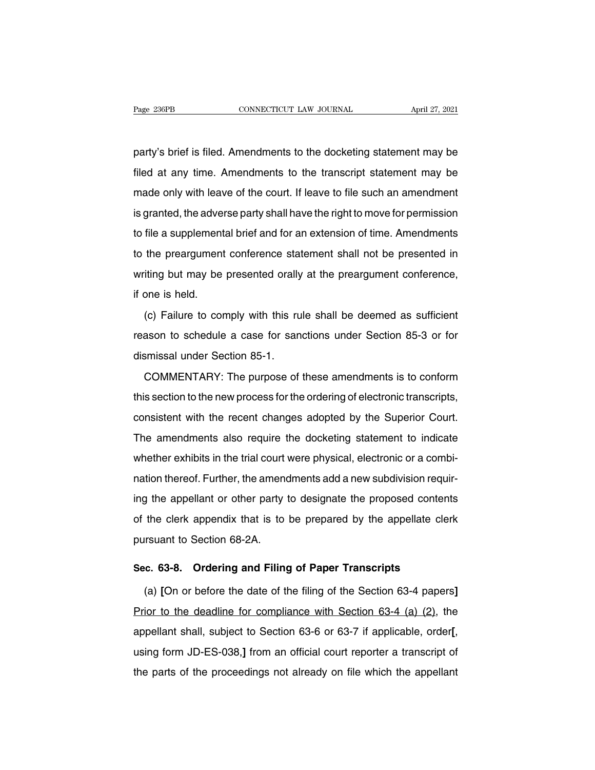Page 236PB<br>
party's brief is filed. Amendments to the docketing statement may be<br>
filed at any time. Amendments to the transcript statement may be Fage 236PB CONNECTICUT LAW JOURNAL April 27, 2021<br>party's brief is filed. Amendments to the docketing statement may be<br>filed at any time. Amendments to the transcript statement may be<br>made only with leave of the court. If party's brief is filed. Amendments to the docketing statement may be<br>filed at any time. Amendments to the transcript statement may be<br>made only with leave of the court. If leave to file such an amendment<br>is granted, the ad party's brief is filed. Amendments to the docketing statement may be<br>filed at any time. Amendments to the transcript statement may be<br>made only with leave of the court. If leave to file such an amendment<br>is granted, the ad party 3 Shorts filed. Amonianions to the decisioning elaterment may be filed at any time. Amendments to the transcript statement may be made only with leave of the court. If leave to file such an amendment is granted, the mod at any time. This interfact of the court. If leave to file such an amendment<br>is granted, the adverse party shall have the right to move for permission<br>to file a supplemental brief and for an extension of time. Amendmen is granted, the adverse party shall have the right to move for permission<br>to file a supplemental brief and for an extension of time. Amendments<br>to the preargument conference statement shall not be presented in<br>writing but is granted, the daver<br>to file a supplement<br>writing but may be<br>if one is held.<br>(c) Failure to cor The a suppremental shot and totall shot and shot and the minitary intertainshes<br>the preargument conference statement shall not be presented in<br>iting but may be presented orally at the preargument conference,<br>one is held.<br>(

reason to schedule a case for sanctions under Section 85-3 or for<br>dismissal under Section 85-1. mining set may be presented erally<br>if one is held.<br>(c) Failure to comply with this ru<br>reason to schedule a case for san<br>dismissal under Section 85-1.<br>COMMENTARY: The purpose of (c) Failure to comply with this rule shall be deemed as sufficient<br>ason to schedule a case for sanctions under Section 85-3 or for<br>smissal under Section 85-1.<br>COMMENTARY: The purpose of these amendments is to conform<br>s sec

the section to schedule a case for sanctions under Section 85-3 or for<br>dismissal under Section 85-1.<br>COMMENTARY: The purpose of these amendments is to conform<br>this section to the new process for the ordering of electronic dismissal under Section 85-1.<br>
COMMENTARY: The purpose of these amendments is to conform<br>
this section to the new process for the ordering of electronic transcripts,<br>
consistent with the recent changes adopted by the Super COMMENTARY: The purpose of these amendments is to conform<br>this section to the new process for the ordering of electronic transcripts,<br>consistent with the recent changes adopted by the Superior Court.<br>The amendments also re Whis section to the new process for the ordering of electronic transcripts,<br>this section to the new process for the ordering of electronic transcripts,<br>consistent with the recent changes adopted by the Superior Court.<br>The and becaust a the new process for the cracinity or electronic transcripts, consistent with the recent changes adopted by the Superior Court.<br>The amendments also require the docketing statement to indicate whether exhibits The amendments also require the docketing statement to indicate<br>whether exhibits in the trial court were physical, electronic or a combi-<br>nation thereof. Further, the amendments add a new subdivision requir-<br>ing the appell whether exhibits in the trial court were physical, electronic or a combi-<br>nation thereof. Further, the amendments add a new subdivision requir-<br>ing the appellant or other party to designate the proposed contents<br>of the cle mistrich of the three that count<br>nation thereof. Further, the ament<br>ing the appellant or other party<br>of the clerk appendix that is to<br>pursuant to Section 68-2A. Ing the appellant or other party to designate the proposed contents<br>of the clerk appendix that is to be prepared by the appellate clerk<br>pursuant to Section 68-2A.<br>**Sec. 63-8. Ordering and Filing of Paper Transcripts**<br>(a) [ the clerk appendix that is to be prepared by the appellate clerk<br>
Irsuant to Section 68-2A.<br> **c. 63-8.** Ordering and Filing of Paper Transcripts<br>
(a) [On or before the date of the filing of the Section 63-4 papers]<br>
ior to

pursuant to Section 68-2A.<br>
Sec. 63-8. Ordering and Filing of Paper Transcripts<br>
(a) [On or before the date of the filing of the Section 63-4 papers]<br>
Prior to the deadline for compliance with Section 63-4 (a) (2), the<br>
ap Sec. 63-8. Ordering and Filing of Paper Transcripts<br>
(a) [On or before the date of the filing of the Section 63-4 papers]<br>
Prior to the deadline for compliance with Section 63-4 (a) (2), the<br>
appellant shall, subject to Se Prior to the deadline for compliance with Section 63-4 (a) (2), the appellant shall, subject to Section 63-6 or 63-7 if applicable, order[, using form JD-ES-038,] from an official court reporter a transcript of the parts o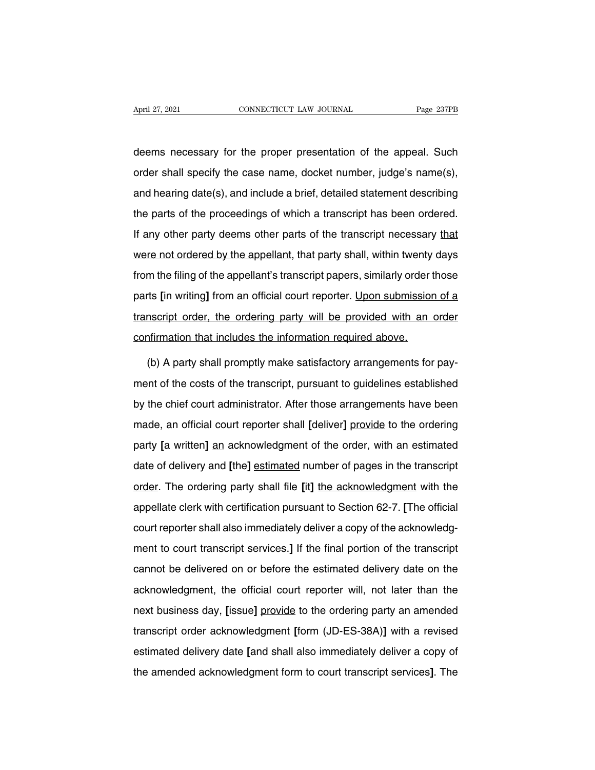April 27, 2021 CONNECTICUT LAW JOURNAL Page 237PB<br>deems necessary for the proper presentation of the appeal. Such<br>order shall specify the case name, docket number, judge's name(s), April 27, 2021 CONNECTICUT LAW JOURNAL Page 237PB<br>deems necessary for the proper presentation of the appeal. Such<br>order shall specify the case name, docket number, judge's name(s),<br>and hearing date(s), and include a brief, deems necessary for the proper presentation of the appeal. Such<br>order shall specify the case name, docket number, judge's name(s),<br>and hearing date(s), and include a brief, detailed statement describing<br>the parts of the pr deems necessary for the proper presentation of the appeal. Such<br>order shall specify the case name, docket number, judge's name(s),<br>and hearing date(s), and include a brief, detailed statement describing<br>the parts of the pr If any other party deems of the proper presentation of the apppear been order shall specify the case name, docket number, judge's name(s), and hearing date(s), and include a brief, detailed statement describing the parts o and hearing date(s), and include a brief, detailed statement describing<br>the parts of the proceedings of which a transcript has been ordered.<br>If any other party deems other parts of the transcript necessary that<br>were not or the parts of the proceedings of which a transcript has been ordered.<br>If any other party deems other parts of the transcript necessary that<br>were not ordered by the appellant, that party shall, within twenty days<br>from the fi If any other party deems other parts of the transcript necessary that<br>were not ordered by the appellant, that party shall, within twenty days<br>from the filing of the appellant's transcript papers, similarly order those<br>part transcript ordered by the appellant, that party shall, within twenty days<br>from the filing of the appellant's transcript papers, similarly order those<br>parts [in writing] from an official court reporter. Upon submission of a from the filing of the appellant's transcript papers, similarly order t<br>parts [in writing] from an official court reporter. <u>Upon submissior</u><br>transcript order, the ordering party will be provided with an<br>confirmation that parts [in writing] from an official court reporter. Upon submission of a transcript order, the ordering party will be provided with an order confirmation that includes the information required above.<br>
(b) A party shall pro

transcript order, the ordering party will be provided with an order<br>confirmation that includes the information required above.<br>(b) A party shall promptly make satisfactory arrangements for pay-<br>ment of the costs of the tra confirmation that includes the information required above.<br>
(b) A party shall promptly make satisfactory arrangements for pay-<br>
ment of the costs of the transcript, pursuant to guidelines established<br>
by the chief court ad (b) A party shall promptly make satisfactory arrangements for pay-<br>ment of the costs of the transcript, pursuant to guidelines established<br>by the chief court administrator. After those arrangements have been<br>made, an offic party from party and premittent pursuant to guidelines established<br>by the chief court administrator. After those arrangements have been<br>made, an official court reporter shall [deliver] provide to the ordering<br>party [a writ deliver and the mailtenips, particular to galaximous constantiver.<br>By the chief court administrator. After those arrangements have been<br>made, an official court reporter shall [deliver] provide to the ordering<br>party [a writ made, an official court reporter shall [deliver] provide to the ordering<br>party [a written] an acknowledgment of the order, with an estimated<br>date of delivery and [the] estimated number of pages in the transcript<br>order. The mate) an embate certification chain period, phenomenon party [a written] an acknowledgment of the order, with an estimated date of delivery and [the] estimated number of pages in the transcript order. The ordering party sh pair, the unitary and [the] estimated number of pages in the transcript<br>order. The ordering party shall file [it] the acknowledgment with the<br>appellate clerk with certification pursuant to Section 62-7. [The official<br>court enter to court transcript shall file [it] the acknowledgment with the appellate clerk with certification pursuant to Section 62-7. [The official court reporter shall also immediately deliver a copy of the acknowledgment to appellate clerk with certification pursuant to Section 62-7. [The official<br>court reporter shall also immediately deliver a copy of the acknowledg-<br>ment to court transcript services.] If the final portion of the transcript<br> court reporter shall also immediately deliver a copy of the acknowledgment to court transcript services.] If the final portion of the transcript cannot be delivered on or before the estimated delivery date on the acknowled next business day, [issue] provide to the ordering party and active to court transcript cannot be delivered on or before the estimated delivery date on the acknowledgment, the official court reporter will, not later than t transcript order acknowledgment, the official court reporter will, not later than the acknowledgment, the official court reporter will, not later than the next business day, [issue] provide to the ordering party an amended estimate the sentence on the sentence and sentence dentery date on the acknowledgment, the official court reporter will, not later than the next business day, [issue] provide to the ordering party an amended transcript ord the amended acknowledgment form to court transcript and amended transcript order acknowledgment [form (JD-ES-38A)] with a revised estimated delivery date [and shall also immediately deliver a copy of the amended acknowledg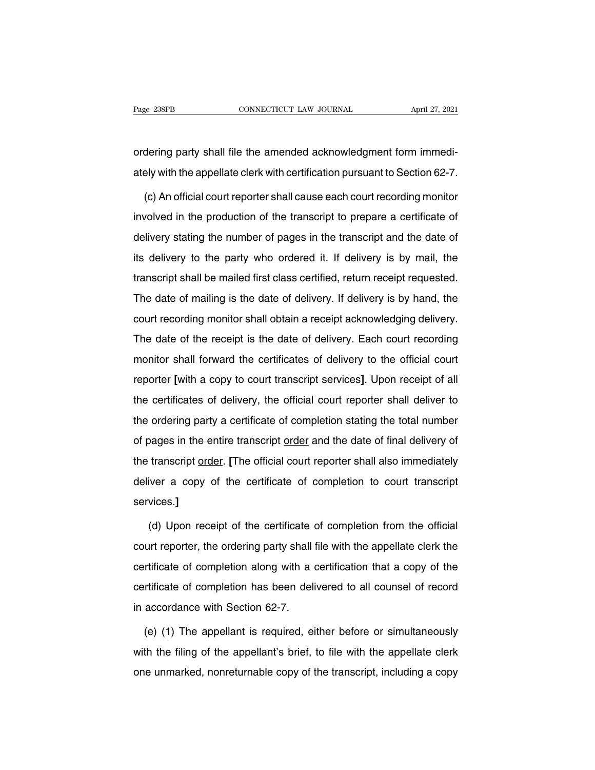Page 238PB<br>
CONNECTICUT LAW JOURNAL April 27, 2021<br>
ordering party shall file the amended acknowledgment form immedi-<br>
ately with the appellate clerk with certification pursuant to Section 62-7. Page 238PB CONNECTICUT LAW JOURNAL April 27, 2021<br>
ordering party shall file the amended acknowledgment form immedi-<br>
ately with the appellate clerk with certification pursuant to Section 62-7.<br>
(c) An official court repor

dering party shall file the amended acknowledgment form immedi-<br>ely with the appellate clerk with certification pursuant to Section 62-7.<br>(c) An official court reporter shall cause each court recording monitor<br>volved in th ordering party shall file the amended acknowledgment form immedi-<br>ately with the appellate clerk with certification pursuant to Section 62-7.<br>(c) An official court reporter shall cause each court recording monitor<br>involved ately with the appellate clerk with certification pursuant to Section 62-7.<br>
(c) An official court reporter shall cause each court recording monitor<br>
involved in the production of the transcript to prepare a certificate of (c) An official court reporter shall cause each court recording monitor<br>involved in the production of the transcript to prepare a certificate of<br>delivery stating the number of pages in the transcript and the date of<br>its de (e) whence example it shall be transcript to prepare a certificate of delivery stating the number of pages in the transcript and the date of its delivery to the party who ordered it. If delivery is by mail, the transcript delivery stating the number of pages in the transcript and the date of<br>its delivery to the party who ordered it. If delivery is by mail, the<br>transcript shall be mailed first class certified, return receipt requested.<br>The d delivery belowing the namber of pages in the transcript and the date of<br>its delivery to the party who ordered it. If delivery is by mail, the<br>transcript shall be mailed first class certified, return receipt requested.<br>The The date of mailing is the date of delivery. If delivery is by hand, the transcript shall be mailed first class certified, return receipt requested.<br>The date of mailing is the date of delivery. If delivery is by hand, the manisonpt shall be malled lifet slass serimed, retain receipt requested.<br>The date of mailing is the date of delivery. If delivery is by hand, the<br>court recording monitor shall obtain a receipt acknowledging delivery.<br>The d rifusion and the metally is the date of delivery. It delivery to by hand, the court recording monitor shall obtain a receipt acknowledging delivery.<br>The date of the receipt is the date of delivery. Each court recording mon The date of the receipt is the date of delivery. Each court recording<br>monitor shall forward the certificates of delivery to the official court<br>reporter [with a copy to court transcript services]. Upon receipt of all<br>the ce the date of the foculpt is the date of delivery. Each coart foculting<br>monitor shall forward the certificates of delivery to the official court<br>reporter [with a copy to court transcript services]. Upon receipt of all<br>the ce reporter [with a copy to court transcript services]. Upon receipt of all<br>the certificates of delivery, the official court reporter shall deliver to<br>the ordering party a certificate of completion stating the total number<br>of the certificates of delivery, the official court reporter shall deliver to<br>the ordering party a certificate of completion stating the total number<br>of pages in the entire transcript <u>order</u> and the date of final delivery of the ordering party a certificate of completion stating the total number<br>of pages in the entire transcript <u>order</u> and the date of final delivery of<br>the transcript <u>order</u>. [The official court reporter shall also immediatel services.**]** transcript <u>order</u>. [The official court reporter shall also immediately<br>iver a copy of the certificate of completion to court transcript<br>vices.]<br>(d) Upon receipt of the certificate of completion from the official<br>urt repor

deliver a copy of the certificate of completion to court transcript<br>services.]<br>(d) Upon receipt of the certificate of completion from the official<br>court reporter, the ordering party shall file with the appellate clerk the<br> services.]<br>(d) Upon receipt of the certificate of completion from the official<br>court reporter, the ordering party shall file with the appellate clerk the<br>certificate of completion along with a certification that a copy of (d) Upon receipt of the certificate of completion from the official<br>court reporter, the ordering party shall file with the appellate clerk the<br>certificate of completion along with a certification that a copy of the<br>certifi (a) open receipt of the continuate (court reporter, the ordering party shall for contrificate of completion along with a cordificate of completion has been deli<br>in accordance with Section 62-7.<br>(e) (1) The appellant is req rtificate of completion along with a certification that a copy of the<br>rtificate of completion has been delivered to all counsel of record<br>accordance with Section 62-7.<br>(e) (1) The appellant is required, either before or si

certificate of completion has been delivered to all counsel of record<br>in accordance with Section 62-7.<br>(e) (1) The appellant is required, either before or simultaneously<br>with the filing of the appellant's brief, to file wi in accordance with Section 62-7.<br>
(e) (1) The appellant is required, either before or simultaneously<br>
with the filing of the appellant's brief, to file with the appellate clerk<br>
one unmarked, nonreturnable copy of the tran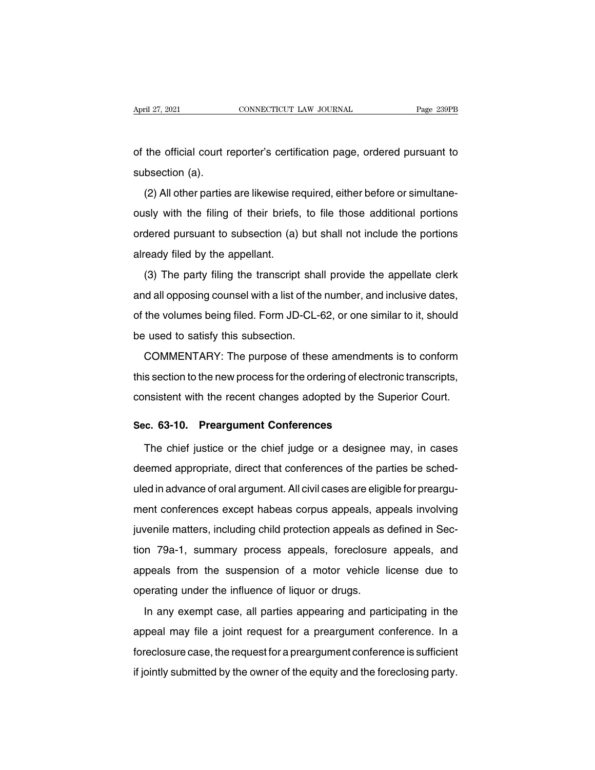April 27, 2021 CONNECTICUT LAW JOURNAL Page 239PB<br>
of the official court reporter's certification page, ordered pursuant to<br>
subsection (a). April 27, 2021<br>of the official court r<br>subsection (a).<br>(2) All other parties

(2) the official court reporter's certification page, ordered pursuant to<br>bsection (a).<br>(2) All other parties are likewise required, either before or simultane-<br>sly with the filing of their briefs, to file those additional of the official court reporter's certification page, ordered pursuant to<br>subsection (a).<br>(2) All other parties are likewise required, either before or simultane-<br>ously with the filing of their briefs, to file those additio subsection (a).<br>(2) All other parties are likewise required, either before or simultane-<br>ously with the filing of their briefs, to file those additional portions<br>ordered pursuant to subsection (a) but shall not include the (2) All other parties are likewise re<br>ously with the filing of their briefs,<br>ordered pursuant to subsection (a)<br>already filed by the appellant.<br>(3) The party filing the transcript ( $\angle$ ) The particle are increased in the particle of shall provide the methods dened pursuant to subsection (a) but shall not include the portions ready filed by the appellant.<br>(3) The party filing the transcript shall pr

and all opposing counsel with a list of the number, and include the portions<br>already filed by the appellant.<br>(3) The party filing the transcript shall provide the appellate clerk<br>and all opposing counsel with a list of the already filed by the appellant.<br>
(3) The party filing the transcript shall provide the appellate clerk<br>
and all opposing counsel with a list of the number, and inclusive dates,<br>
of the volumes being filed. Form JD-CL-62, o (3) The party filing the transcript sha<br>and all opposing counsel with a list of the<br>of the volumes being filed. Form JD-CL-6<br>be used to satisfy this subsection.<br>COMMENTARY: The purpose of thes (c) The party hing are darisonly enall provide are appointed only.<br>
In all opposing counsel with a list of the number, and inclusive dates,<br>
the volumes being filed. Form JD-CL-62, or one similar to it, should<br>
cused to sa

of the volumes being filed. Form JD-CL-62, or one similar to it, should<br>be used to satisfy this subsection.<br>COMMENTARY: The purpose of these amendments is to conform<br>this section to the new process for the ordering of elec be used to satisfy this subsection.<br>COMMENTARY: The purpose of these amendments is to conform<br>this section to the new process for the ordering of electronic transcripts,<br>consistent with the recent changes adopted by the Su COMMENTARY: The purpose of these amendment<br>this section to the new process for the ordering of electro<br>consistent with the recent changes adopted by the Street.<br>**Sec. 63-10. Preargument Conferences**<br>The chief justice or th Solation to the new process for the ordering of electronic transcripts,<br>
Insistent with the recent changes adopted by the Superior Court.<br> **c. 63-10. Preargument Conferences**<br>
The chief justice or the chief judge or a desi

consistent with the recent changes adopted by the Superior Court.<br> **Sec. 63-10. Preargument Conferences**<br>
The chief justice or the chief judge or a designee may, in cases<br>
deemed appropriate, direct that conferences of the Sec. 63-10. Preargument Conferences<br>The chief justice or the chief judge or a designee may, in cases<br>deemed appropriate, direct that conferences of the parties be sched-<br>uled in advance of oral argument. All civil cases ar The chief justice or the chief judge or a designee may, in cases<br>deemed appropriate, direct that conferences of the parties be sched-<br>uled in advance of oral argument. All civil cases are eligible for preargu-<br>ment confere deemed appropriate, direct that conferences of the parties be sched-<br>uled in advance of oral argument. All civil cases are eligible for preargu-<br>ment conferences except habeas corpus appeals, appeals involving<br>juvenile mat ded in advance of oral argument. All civil cases are eligible for preargument conferences except habeas corpus appeals, appeals involving<br>juvenile matters, including child protection appeals as defined in Section 79a-1, su also in davanties of oral digament. All other suspension of prodigation ment conferences except habeas corpus appeals, appeals involving<br>juvenile matters, including child protection appeals as defined in Sec-<br>tion 79a-1, s inch concretions oxopt hascal corpus appeals, ap<br>juvenile matters, including child protection appeals as<br>tion 79a-1, summary process appeals, foreclosure<br>appeals from the suspension of a motor vehicle I<br>operating under the In 79a-1, summary process appeals, foreclosure appeals, and<br>peals from the suspension of a motor vehicle license due to<br>erating under the influence of liquor or drugs.<br>In any exempt case, all parties appearing and particip

appeals from the suspension of a motor vehicle license due to<br>operating under the influence of liquor or drugs.<br>In any exempt case, all parties appearing and participating in the<br>appeal may file a joint request for a prear Supposite from the exceptioner of a motor volusio hechos data to<br>operating under the influence of liquor or drugs.<br>In any exempt case, all parties appearing and participating in the<br>appeal may file a joint request for a pr In any exempt case, all parties appearing and participating in the appeal may file a joint request for a preargument conference. In a foreclosure case, the request for a preargument conference is sufficient if jointly subm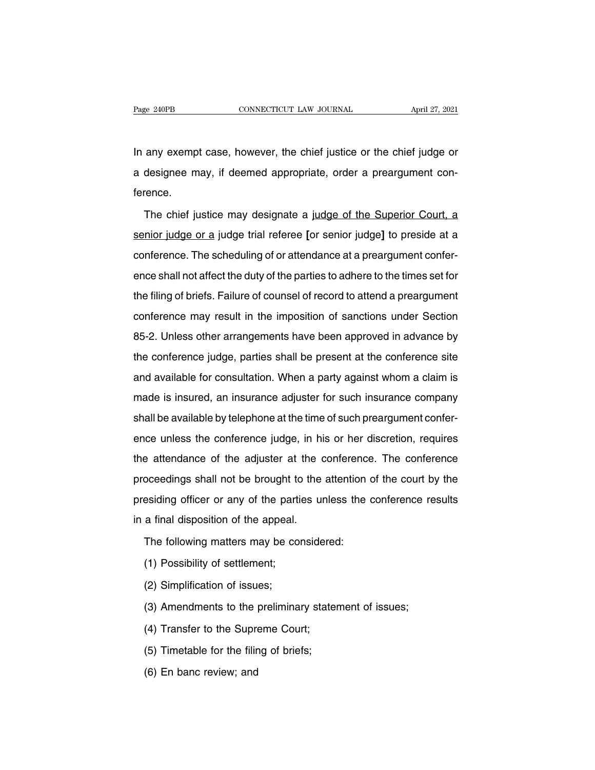Page 240PB CONNECTICUT LAW JOURNAL April 27, 2021<br>In any exempt case, however, the chief justice or the chief judge or<br>a designee may, if deemed appropriate, order a preargument con-Page 240PB CONNECTICUT LAW JOURNAL April 27, 2021<br>In any exempt case, however, the chief justice or the chief judge or<br>a designee may, if deemed appropriate, order a preargument con-<br>ference. ference. any exempt case, however, the chief justice or the chief judge or<br>designee may, if deemed appropriate, order a preargument con-<br>rence.<br>The chief justice may designate a judge of the Superior Court, a<br>nior judge or a judge

senior judge or a judge of the Superior Court, a<br>senior judge or a judge of the Superior Court, a<br>senior judge or a judge trial referee [or senior judge] to preside at a<br>conference. The scheduling of or attendance at a pre a designee may, if deemed appropriate, order a preargument conference.<br>The chief justice may designate a judge of the Superior Court, a senior judge or a judge trial referee [or senior judge] to preside at a conference. Th The chief justice may designate a judge of the Superior Court, a<br>senior judge or a judge trial referee [or senior judge] to preside at a<br>conference. The scheduling of or attendance at a preargument confer-<br>ence shall not a senior judge or a judge trial referee [or senior judge] to preside at a conference. The scheduling of or attendance at a preargument conference shall not affect the duty of the parties to adhere to the times set for the fi conference. The scheduling of or attendance at a preargument conference shall not affect the duty of the parties to adhere to the times set for the filing of briefs. Failure of counsel of record to attend a preargument con Befinding of the particlaries at a preargament series<br>ence shall not affect the duty of the parties to adhere to the times set for<br>the filing of briefs. Failure of counsel of record to attend a preargument<br>conference may r the filing of briefs. Failure of counsel of record to attend a preargument<br>conference may result in the imposition of sanctions under Section<br>85-2. Unless other arrangements have been approved in advance by<br>the conference and a prodighment<br>conference may result in the imposition of sanctions under Section<br>85-2. Unless other arrangements have been approved in advance by<br>the conference judge, parties shall be present at the conference site<br>an 85-2. Unless other arrangements have been approved in advance by<br>the conference judge, parties shall be present at the conference site<br>and available for consultation. When a party against whom a claim is<br>made is insured, a 85-2. Unless other arrangements have been approved in advance by<br>the conference judge, parties shall be present at the conference site<br>and available for consultation. When a party against whom a claim is<br>made is insured, a and available for consultation. When a party against whom a claim is<br>made is insured, an insurance adjuster for such insurance company<br>shall be available by telephone at the time of such preargument confer-<br>ence unless the and dvaliable for concentration. When a party against whom a claim is<br>made is insured, an insurance adjuster for such insurance company<br>shall be available by telephone at the time of such preargument confer-<br>ence unless th shall be available by telephone at the time of such instance company<br>shall be available by telephone at the time of such preargument confer-<br>ence unless the conference judge, in his or her discretion, requires<br>the attendan ence unless the conference judge, in his or her discretion, requires<br>the attendance of the adjuster at the conference. The conference<br>proceedings shall not be brought to the attention of the court by the<br>presiding officer the attendance of the adjuster at the conceedings shall not be brought to the presiding officer or any of the parties unit a final disposition of the appeal.<br>The following matters may be considered oceedings shall not be brought to the attention<br>esiding officer or any of the parties unless the<br>a final disposition of the appeal.<br>The following matters may be considered:<br>(1) Possibility of settlement; esiding officer or any of the partion<br>a final disposition of the appeal.<br>The following matters may be cor<br>(1) Possibility of settlement;<br>(2) Simplification of issues; (2) a final disposition of the appeal.<br>
The following matters may be co<br>
(1) Possibility of settlement;<br>
(2) Simplification of issues;<br>
(3) Amendments to the prelimina

- 
- 
- The following matters may be considered:<br>(1) Possibility of settlement;<br>(2) Simplification of issues;<br>(3) Amendments to the preliminary statement of issues;<br>(4) Transfer to the Supreme Court; (1) Possibility of settlement;<br>(2) Simplification of issues;<br>(3) Amendments to the preliminary state<br>(4) Transfer to the Supreme Court;<br>(5) Timetable for the filing of briefs; (2) Simplification of issues;<br>(3) Amendments to the preliminary stater<br>(4) Transfer to the Supreme Court;<br>(5) Timetable for the filing of briefs;<br>(6) En banc review; and (3) Amendments to the  $|$ <br>(4) Transfer to the Supre<br>(5) Timetable for the filir<br>(6) En banc review; and
- 
- 
-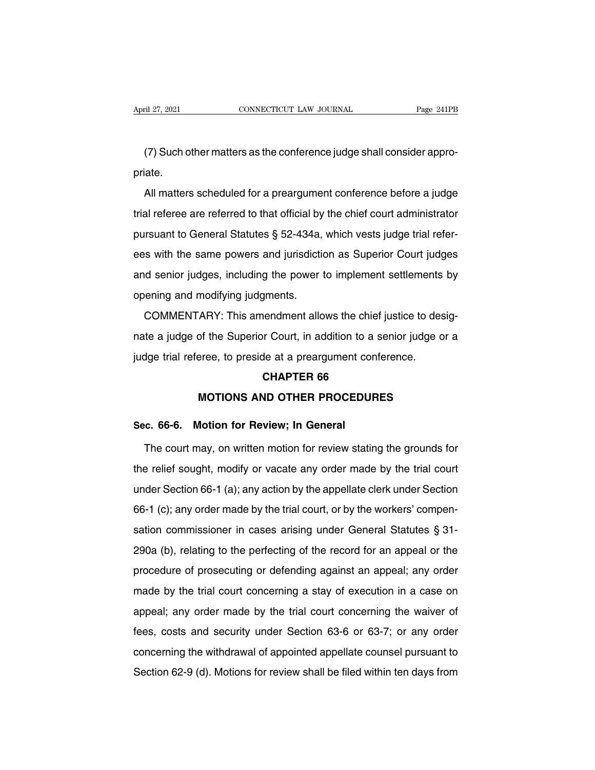(7) Such other matters as the conference judge shall consider appro-<br>
That example is the conference judge shall consider appro-<br>
Such other matters as the conference judge shall consider appropriate.

(7) Such other matters as the conference judge shall consider appro-<br>iate.<br>All matters scheduled for a preargument conference before a judge<br>al referee are referred to that official by the chief court administrator (7) Such other matters as the conference judge shall consider appro-<br>priate.<br>
All matters scheduled for a preargument conference before a judge<br>
trial referee are referred to that official by the chief court administrator (7) Such other matters as the conference judge shall consider appro-<br>priate.<br>
All matters scheduled for a preargument conference before a judge<br>
trial referee are referred to that official by the chief court administrator All matters scheduled for a preargument conference before a judge<br>trial referee are referred to that official by the chief court administrator<br>pursuant to General Statutes § 52-434a, which vests judge trial refer-<br>ees with The induction of the produgation is contributed by the chief court administrator<br>pursuant to General Statutes § 52-434a, which vests judge trial refer-<br>ees with the same powers and jurisdiction as Superior Court judges<br>and onal referee are referred to that efficial by<br>pursuant to General Statutes § 52-434a,<br>ees with the same powers and jurisdictic<br>and senior judges, including the power<br>opening and modifying judgments.<br>COMMENTARY: This amendm Exam to definite durated 3 of 10 kg, milent reck judge indirection<br>is with the same powers and jurisdiction as Superior Court judges<br>d senior judges, including the power to implement settlements by<br>ening and modifying judg

and senior judges, including the power to implement settlements by<br>opening and modifying judgments.<br>COMMENTARY: This amendment allows the chief justice to desig-<br>nate a judge of the Superior Court, in addition to a senior opening and modifying judgments.<br>COMMENTARY: This amendment allows the chief justice to des<br>nate a judge of the Superior Court, in addition to a senior judge c<br>judge trial referee, to preside at a preargument conference.<br>C Framerical<br>**CHAPTER 66**<br>**CHAPTER 66<br>CHAPTER 66**<br>**CHAPTER 66** of the Superior Court, in addition to a senior judge or a<br>eree, to preside at a preargument conference.<br>**CHAPTER 66**<br>MOTIONS AND OTHER PROCEDURES indige trial referee, to preside at a preargument co<br> **CHAPTER 66<br>
MOTIONS AND OTHER PROCEDU**<br> **Sec. 66-6. Motion for Review; In General**<br>
The court may, on written motion for review stati

CHAPTER 66<br>MOTIONS AND OTHER PROCEDURES<br>c. 66-6. Motion for Review; In General<br>The court may, on written motion for review stating the grounds for<br>e relief sought, modify or vacate any order made by the trial court MOTIONS AND OTHER PROCEDURES<br>Sec. 66-6. Motion for Review; In General<br>The court may, on written motion for review stating the grounds for<br>the relief sought, modify or vacate any order made by the trial court<br>under Section Sec. 66-6. Motion for Review; In General<br>The court may, on written motion for review stating the grounds for<br>the relief sought, modify or vacate any order made by the trial court<br>under Section 66-1 (a); any action by the a The court may, on written motion for review stating the grounds for<br>the relief sought, modify or vacate any order made by the trial court<br>under Section 66-1 (a); any action by the appellate clerk under Section<br>66-1 (c); a The seart may, on which measured fevrow elaling the greaties for<br>the relief sought, modify or vacate any order made by the trial court<br>under Section 66-1 (a); any action by the appellate clerk under Section<br>66-1 (c); any o and the relation 66-1 (a); any action by the appellate clerk under Section 66-1 (c); any order made by the trial court, or by the workers' compensation commissioner in cases arising under General Statutes § 31-<br>290a (b), r 66-1 (c); any order made by the trial court, or by the workers' compensation commissioner in cases arising under General Statutes  $\S 31-290a$  (b), relating to the perfecting of the record for an appeal or the procedure of sation commissioner in cases arising under General Statutes  $\S$  31-<br>290a (b), relating to the perfecting of the record for an appeal or the<br>procedure of prosecuting or defending against an appeal; any order<br>made by the tr 290a (b), relating to the perfecting of the record for an appeal or the procedure of prosecuting or defending against an appeal; any order made by the trial court concerning a stay of execution in a case on appeal; any or given the trial court concerning and securities and appear of the procedure of prosecuting or defending against an appeal; any order made by the trial court concerning the waiver of fees, costs and security under Section 6 made by the trial court concerning a stay of execution in a case on<br>appeal; any order made by the trial court concerning the waiver of<br>fees, costs and security under Section 63-6 or 63-7; or any order<br>concerning the withdr shade by the that beart beholding a blay or biobation in a babe on<br>appeal; any order made by the trial court concerning the waiver of<br>fees, costs and security under Section 63-6 or 63-7; or any order<br>concerning the withdra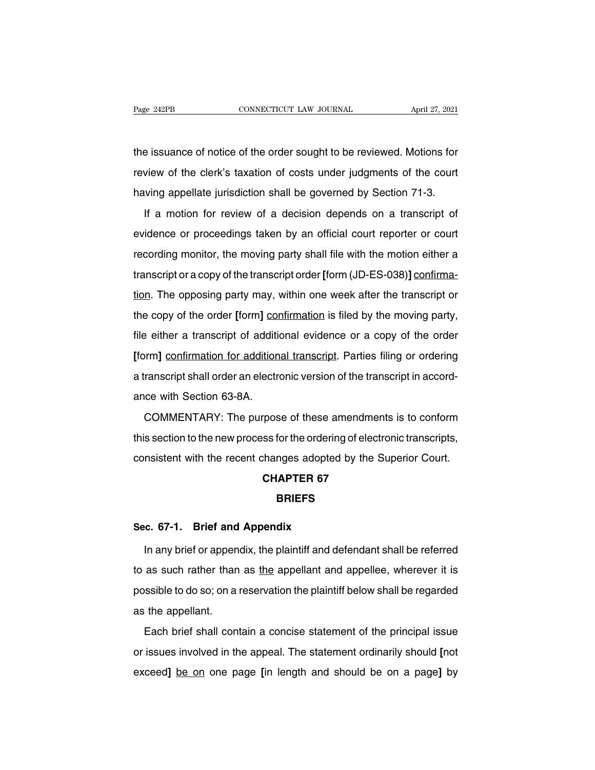The issuance of notice of the order sought to be reviewed. Motions for<br>the issuance of notice of the order sought to be reviewed. Motions for<br>review of the clerk's taxation of costs under judgments of the court Page 242PB CONNECTICUT LAW JOURNAL April 27, 2021<br>the issuance of notice of the order sought to be reviewed. Motions for<br>review of the clerk's taxation of costs under judgments of the court<br>having appellate jurisdiction sh The issuance of notice of the order sought to be reviewed. Motions for<br>review of the clerk's taxation of costs under judgments of the court<br>having appellate jurisdiction shall be governed by Section 71-3.<br>If a motion for r In a motion of the order sought to be reviewed. Motions for<br>View of the clerk's taxation of costs under judgments of the court<br>Ving appellate jurisdiction shall be governed by Section 71-3.<br>If a motion for review of a deci

review of the clerk's taxation of costs under judgments of the court<br>having appellate jurisdiction shall be governed by Section 71-3.<br>If a motion for review of a decision depends on a transcript of<br>evidence or proceedings recording appellate jurisdiction shall be governed by Section 71-3.<br>If a motion for review of a decision depends on a transcript of<br>evidence or proceedings taken by an official court reporter or court<br>recording monitor, th If a motion for review of a decision depends on a transcript of evidence or proceedings taken by an official court reporter or court recording monitor, the moving party shall file with the motion either a transcript or a c the opposition. The opposition is a decision dependent of the transcript of evidence or proceedings taken by an official court reporter or court recording monitor, the moving party shall file with the motion either a trans the cording monitor, the moving party shall file with the motion either a transcript or a copy of the transcript order [form (JD-ES-038)] confirma-<br>tion. The opposing party may, within one week after the transcript or<br>the franscript or a copy of the transcript order [form (JD-ES-038)] confirma-<br>tion. The opposing party may, within one week after the transcript or<br>the copy of the order [form] confirmation is filed by the moving party,<br>file e **EXECTS** and transcript of a depty of the transcript over point (ob EO coo) **J Solution**<br> **EXECTS** file copy of the order [form] confirmation is filed by the moving party,<br> **file either a transcript of additional evidenc** a transcript shall order and electronic version of the transcript of the copy of the order [form] confirmation is filed by the moving party, file either a transcript of additional evidence or a copy of the order [form] con ance supplementation for addition<br>file either a transcript of addition<br>a transcript shall order an electr<br>ance with Section 63-8A.<br>COMMENTARY: The purpos of the control of the transfer of the state of the state of the state.<br>
Form] confirmation for additional transcript. Parties filing or ordering<br>
ranscript shall order an electronic version of the transcript in accord-<br>
co

trom, **Schmittager For dealitorial indices for** the transcript in accord-<br>ance with Section 63-8A.<br>COMMENTARY: The purpose of these amendments is to conform<br>this section to the new process for the ordering of electronic tr Example the recent changes of these amendments is to conform<br>this section to the new process for the ordering of electronic transcripts,<br>consistent with the recent changes adopted by the Superior Court.<br>**CHAPTER 67** rpose of these amendmer<br>ss for the ordering of electic<br>changes adopted by the S<br>**CHAPTER 67**<br>**BRIEFS** consistent with the recent changes adopted<br> **CHAPTER 67**<br> **Sec. 67-1. Brief and Appendix**<br>
In any brief or appendix, the plaintiff and de

### **BRIEFS**

CHAPTER 67<br>
BRIEFS<br>
In any brief or appendix, the plaintiff and defendant shall be referred<br>
as such rather than as <u>the</u> appellant and appellee, wherever it is BRIEFS<br>Sec. 67-1. Brief and Appendix<br>In any brief or appendix, the plaintiff and defendant shall be referred<br>to as such rather than as <u>the</u> appellant and appellee, wherever it is<br>possible to do so; on a reservation the pl Sec. 67-1. Brief and Appendix<br>In any brief or appendix, the plaintiff and defendant shall be referred<br>to as such rather than as <u>the</u> appellant and appellee, wherever it is<br>possible to do so; on a reservation the plaintiff In any brief or appen<br>to as such rather than<br>possible to do so; on a<br>as the appellant.<br>Each brief shall con Each brief shall contain a concise statement of the principal issue<br>issues involved in the appear. The statement of the principal issue<br>issues involved in the appeal. The statement ordinarily should [not

possible to do so; on a reservation the plaintiff below shall be regarded<br>as the appellant.<br>Each brief shall contain a concise statement of the principal issue<br>or issues involved in the appeal. The statement ordinarily sho exceed by one reservation are planning soon shall so regarded<br>as the appellant.<br>Tach brief shall contain a concise statement of the principal issue<br>or issues involved in the appeal. The statement ordinarily should [not<br>exc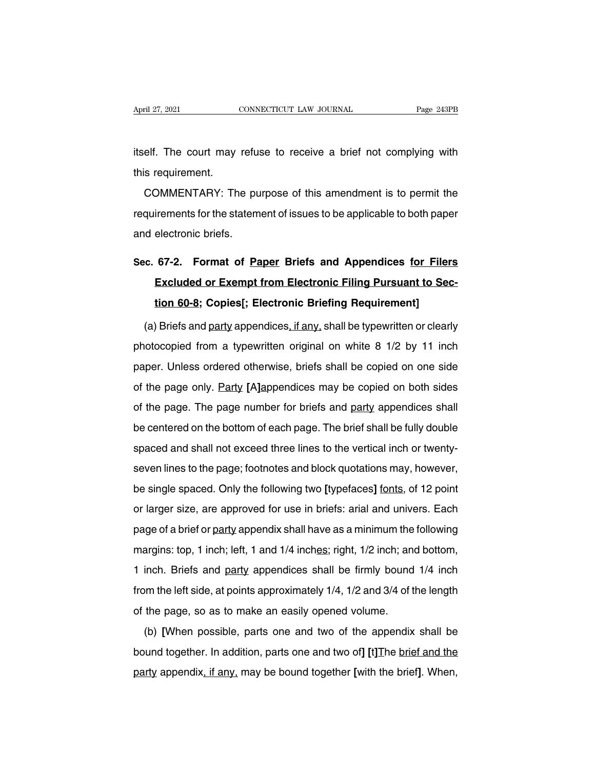April 27, 2021 CONNECTICUT LAW JOURNAL Page 243PB<br>itself. The court may refuse to receive a brief not complying with<br>this requirement. April 27, 2021<br>itself. The court may<br>this requirement.<br>COMMENTARY: Th

elf. The court may refuse to receive a brief not complying with<br>s requirement.<br>COMMENTARY: The purpose of this amendment is to permit the<br>quirements for the statement of issues to be applicable to both paper itself. The court may refuse to receive a brief not complying with<br>this requirement.<br>COMMENTARY: The purpose of this amendment is to permit the<br>requirements for the statement of issues to be applicable to both paper<br>and el this requirement.<br>COMMENTARY: The pure<br>requirements for the statem<br>and electronic briefs. COMMENTARY: The purpose of this amendment is to permit the<br>requirements for the statement of issues to be applicable to both paper<br>and electronic briefs.<br>**Sec. 67-2.** Format of <u>Paper</u> Briefs and Appendices <u>for Filers</u><br>**E** 

## irements for the statement of issues to be applicable to both paper<br>electronic briefs.<br>**67-2.** Format of <u>Paper</u> Briefs and Appendices <u>for Filers</u><br>Excluded or Exempt from Electronic Filing Pursuant to Sec-<br><u>tion 60-8</u>; Co electronic briefs.<br> **67-2.** Format of <u>Paper</u> Briefs and Appendices <u>for Filer</u><br>
Excluded or Exempt from Electronic Filing Pursuant to Section 60-8; Copies[; Electronic Briefing Requirement]<br>
(Briefs and party appendices, (a) Briefs and Appendices for Filers<br>Excluded or Exempt from Electronic Filing Pursuant to Sec-<br>tion 60-8; Copies[; Electronic Briefing Requirement]<br>(a) Briefs and party appendices, if any, shall be typewritten or clearly<br>

Excluded or Exempt from Electronic Filing Pursuant to Section 60-8; Copies[; Electronic Briefing Requirement]<br>
(a) Briefs and party appendices, if any, shall be typewritten or clearly<br>
photocopied from a typewritten origin tion 60-8; Copies[; Electronic Briefing Requirement]<br>(a) Briefs and party appendices, if any, shall be typewritten or clearly<br>photocopied from a typewritten original on white 8 1/2 by 11 inch<br>paper. Unless ordered otherwis (a) Briefs and party appendices, if any, shall be typewritten or clearly<br>photocopied from a typewritten original on white 8 1/2 by 11 inch<br>paper. Unless ordered otherwise, briefs shall be copied on one side<br>of the page onl (a) Briefs and <u>party</u> appendices, if any, shall be typewritten or clearly photocopied from a typewritten original on white  $8\frac{1}{2}$  by  $11\frac{1}{1}$  inch paper. Unless ordered otherwise, briefs shall be copied on one sid paper. Unless ordered otherwise, briefs shall be copied on one side<br>of the page only. Party [A]appendices may be copied on both sides<br>of the page. The page number for briefs and <u>party</u> appendices shall<br>be centered on the paper. Shall shall not exceed thremes, shall see suppled on both sides<br>of the page. The page number for briefs and <u>party</u> appendices shall<br>be centered on the bottom of each page. The brief shall be fully double<br>spaced and of the page. The page number for briefs and <u>party</u> appendices shall<br>be centered on the bottom of each page. The brief shall be fully double<br>spaced and shall not exceed three lines to the vertical inch or twenty-<br>seven lin be centered on the bottom of each page. The brief shall be fully double<br>spaced and shall not exceed three lines to the vertical inch or twenty-<br>seven lines to the page; footnotes and block quotations may, however,<br>be singl spaced and shall not exceed three lines to the vertical inch or twenty-<br>seven lines to the page; footnotes and block quotations may, however,<br>be single spaced. Only the following two [typefaces] <u>fonts</u>, of 12 point<br>or lar seven lines to the page; footnotes and block quotations may, however,<br>be single spaced. Only the following two [typefaces] <u>fonts</u>, of 12 point<br>or larger size, are approved for use in briefs: arial and univers. Each<br>page o be single spaced. Only the following two [typefaces] fonts, of 12 point<br>or larger size, are approved for use in briefs: arial and univers. Each<br>page of a brief or party appendix shall have as a minimum the following<br>margin or larger size, are approved for use in briefs: arial and univers. Each<br>page of a brief or party appendix shall have as a minimum the following<br>margins: top, 1 inch; left, 1 and 1/4 inches; right, 1/2 inch; and bottom,<br>1 i page of a brief or party appendix shall have as a minimum the following<br>margins: top, 1 inch; left, 1 and 1/4 inches; right, 1/2 inch; and bottom,<br>1 inch. Briefs and party appendices shall be firmly bound 1/4 inch<br>from the page of a short of <u>pairy</u> apponent shall have as a millimidin the margins: top, 1 inch; left, 1 and 1/4 inches; right, 1/2 inch; and 1 inch. Briefs and party appendices shall be firmly bound from the left side, at points inch. Briefs and party appendices shall be firmly bound 1/4 inch<br>inch. Briefs and party appendices shall be firmly bound 1/4 inch<br>m the left side, at points approximately 1/4, 1/2 and 3/4 of the length<br>the page, so as to m

from the left side, at points approximately  $1/4$ ,  $1/2$  and  $3/4$  of the length of the page, so as to make an easily opened volume.<br>
(b) [When possible, parts one and two of the appendix shall be bound together. In addit party appendix, if any, may be bound together [with the brief]. When, and ty appendix, if any, may be bound together [with the brief]. When, party appendix, if any, may be bound together [with the brief]. When,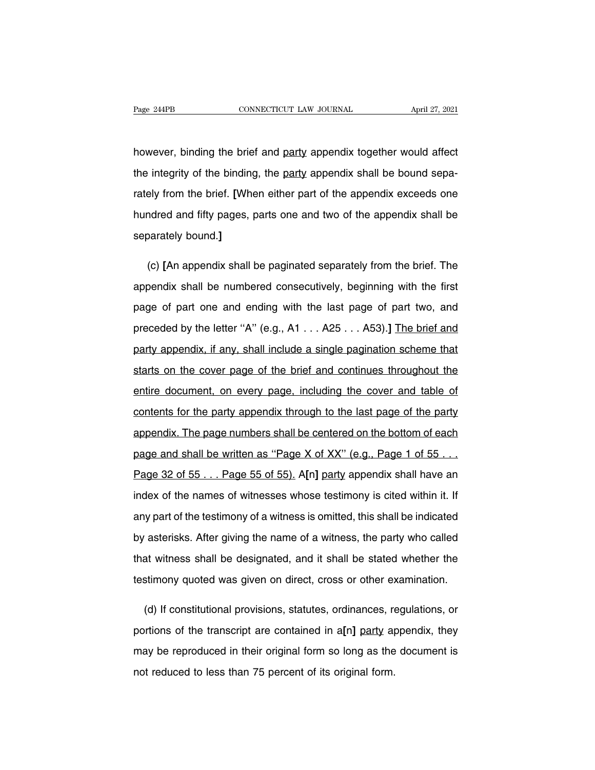however, binding the brief and <u>party</u> appendix together would affect<br>the integrity of the binding, the <u>party</u> appendix together would affect<br>the integrity of the binding, the <u>party</u> appendix shall be bound sepa-The integrity of the binding, the party appendix together would affect<br>the integrity of the binding, the <u>party</u> appendix shall be bound sepa-<br>rately from the brief. [When either part of the appendix exceeds one however, binding the brief and party appendix together would affect<br>the integrity of the binding, the party appendix shall be bound sepa-<br>rately from the brief. [When either part of the appendix exceeds one<br>hundred and fif however, binding the brief and party appendix together would affect<br>the integrity of the binding, the party appendix shall be bound sepa-<br>rately from the brief. [When either part of the appendix exceeds one<br>hundred and fif the integrity of the binding<br>rately from the brief. [When<br>hundred and fifty pages, proporately bound.] ely from the brief. [When either part of the appendix exceeds one<br>ndred and fifty pages, parts one and two of the appendix shall be<br>parately bound.]<br>(c) [An appendix shall be paginated separately from the brief. The<br>pendix

hundred and fifty pages, parts one and two of the appendix shall be<br>separately bound.]<br>(c) [An appendix shall be paginated separately from the brief. The<br>appendix shall be numbered consecutively, beginning with the first<br>p separately bound.]<br>
(c) [An appendix shall be paginated separately from the brief. The<br>
appendix shall be numbered consecutively, beginning with the first<br>
page of part one and ending with the last page of part two, and<br>
p (c) [An appendix shall be paginated separately from the brief. The appendix shall be numbered consecutively, beginning with the first page of part one and ending with the last page of part two, and preceded by the letter " appendix shall be numbered consecutively, beginning with the first<br>page of part one and ending with the last page of part two, and<br>preceded by the letter "A" (e.g., A1 . . . A25 . . . A53).] The brief and<br>party appendix, i page of part one and ending with the last page of part two, and<br>preceded by the letter "A" (e.g., A1 . . . A25 . . . A53).] The brief and<br>party appendix, if any, shall include a single pagination scheme that<br>starts on the preceded by the letter "A" (e.g., A1 . . . A25 . . . A53).] The brief and<br>party appendix, if any, shall include a single pagination scheme that<br>starts on the cover page of the brief and continues throughout the<br>entire docu party appendix, if any, shall include a single pagination scheme that<br>starts on the cover page of the brief and continues throughout the<br>entire document, on every page, including the cover and table of<br>contents for the par starts on the cover page of the brief and continues throughout the<br>entire document, on every page, including the cover and table of<br>contents for the party appendix through to the last page of the party<br>appendix. The page n entire document, on every page, including the cover and table of<br>contents for the party appendix through to the last page of the party<br>appendix. The page numbers shall be centered on the bottom of each<br>page and shall be wr contents for the party appendix through to the last page of the party<br>appendix. The page numbers shall be centered on the bottom of each<br>page and shall be written as "Page X of XX" (e.g., Page 1 of 55 . . .<br>Page 32 of 55 . appendix. The page numbers shall be centered on the bottom of each<br>page and shall be written as "Page X of XX" (e.g., Page 1 of 55...<br>Page 32 of 55... Page 55 of 55). A[n] party appendix shall have an<br>index of the names of page and shall be written as "Page X of XX" (e.g., Page 1 of 55...<br>Page 32 of 55... Page 55 of 55). A[n] party appendix shall have an<br>index of the names of witnesses whose testimony is cited within it. If<br>any part of the Page 32 of 55 . . . Page 55 of 55). A[n] party appendix shall have an index of the names of witnesses whose testimony is cited within it. If any part of the testimony of a witness is omitted, this shall be indicated by ast index of the names of witnesses whose testimony is cited within it. If<br>any part of the testimony of a witness is omitted, this shall be indicated<br>by asterisks. After giving the name of a witness, the party who called<br>that any part of the testimony of a witness is omitted, this shall be indicated<br>by asterisks. After giving the name of a witness, the party who called<br>that witness shall be designated, and it shall be stated whether the<br>testimo asterisks. After giving the name of a witness, the party who called<br>at witness shall be designated, and it shall be stated whether the<br>stimony quoted was given on direct, cross or other examination.<br>(d) If constitutional p

that witness shall be designated, and it shall be stated whether the<br>testimony quoted was given on direct, cross or other examination.<br>(d) If constitutional provisions, statutes, ordinances, regulations, or<br>portions of the testimony quoted was given on direct, cross or other examination.<br>
(d) If constitutional provisions, statutes, ordinances, regulations, or<br>
portions of the transcript are contained in a[n] party appendix, they<br>
may be repr (d) If constitutional provisions, statutes, ordinances, reportions of the transcript are contained in a[n] party at may be reproduced in their original form so long as the not reduced to less than 75 percent of its origina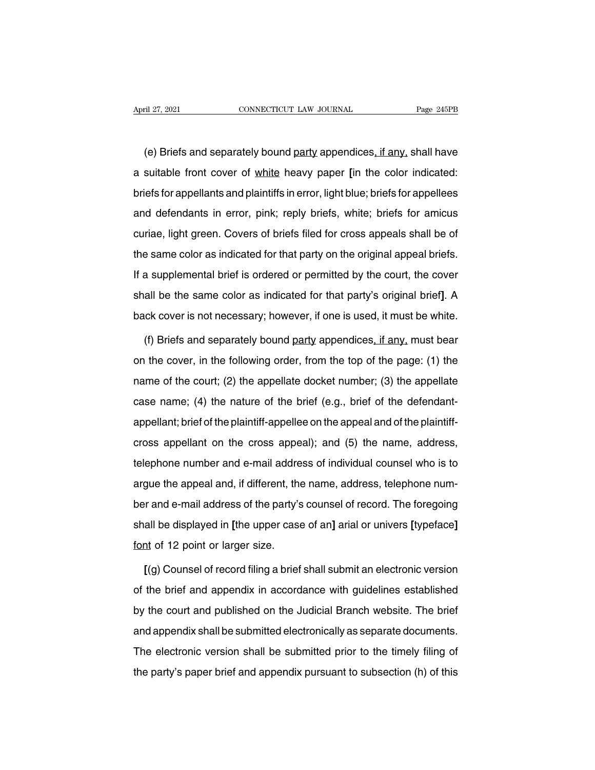(e) Briefs and separately bound party appendices, if any, shall have<br>suitable front cover of <u>white</u> heavy paper [in the color indicated: April 27, 2021 CONNECTICUT LAW JOURNAL Page 245PB<br>
(e) Briefs and separately bound <u>party</u> appendices<u>, if any</u>, shall have<br>
a suitable front cover of <u>white</u> heavy paper [in the color indicated:<br>
briefs for appellants and (e) Briefs and separately bound party appendices, if any, shall have<br>a suitable front cover of white heavy paper [in the color indicated:<br>briefs for appellants and plaintiffs in error, light blue; briefs for appellees<br>and (e) Briefs and separately bound <u>party</u> appendices, if any, shall have<br>a suitable front cover of <u>white</u> heavy paper [in the color indicated:<br>briefs for appellants and plaintiffs in error, light blue; briefs for appellees<br> a suitable front cover of white heavy paper [in the color indicated:<br>briefs for appellants and plaintiffs in error, light blue; briefs for appellees<br>and defendants in error, pink; reply briefs, white; briefs for amicus<br>cur briefs for appellants and plaintiffs in error, light blue; briefs for appellees<br>and defendants in error, pink; reply briefs, white; briefs for amicus<br>curiae, light green. Covers of briefs filed for cross appeals shall be o Ends or appenants and plantime in strong, ignitiated, shore for appended and defendants in error, pink; reply briefs, white; briefs for amicus curiae, light green. Covers of briefs filed for cross appeals shall be of the s shall be the same color as indicated for that party on the original appeal briefs.<br>If a supplemental brief is ordered or permitted by the court, the cover<br>shall be the same color as indicated for that party's original brie back cover is not ideal of that party on the original appeal briefs.<br>If a supplemental brief is ordered or permitted by the court, the cover<br>shall be the same color as indicated for that party's original brief]. A<br>back cov a supplemental brief is ordered or permitted by the court, the cover<br>all be the same color as indicated for that party's original brief]. A<br>ck cover is not necessary; however, if one is used, it must be white.<br>(f) Briefs a

shall be the same color as indicated for that party's original brief]. A<br>back cover is not necessary; however, if one is used, it must be white.<br>(f) Briefs and separately bound party appendices, if any, must bear<br>on the co back cover is not necessary; however, if one is used, it must be white.<br>(f) Briefs and separately bound party appendices, if any, must bear<br>on the cover, in the following order, from the top of the page: (1) the<br>name of th (f) Briefs and separately bound party appendices, if any, must bear<br>on the cover, in the following order, from the top of the page: (1) the<br>name of the court; (2) the appellate docket number; (3) the appellate<br>case name; appellant; in the following order, from the top of the page: (1) the name of the court; (2) the appellate docket number; (3) the appellate case name; (4) the nature of the brief (e.g., brief of the defendant-appellant; br shelf or the cover, in the renorming eract, nont the top or the page. (1) the appellate case name; (4) the nature of the brief (e.g., brief of the defendant-appellant; brief of the plaintiff-appellee on the appeal and of that the state of the plaintiff-appellee on the appeal and of the plaintiff-<br>appellant; brief of the plaintiff-appellee on the appeal and of the plaintiff-<br>cross appellant on the cross appeal); and (5) the name, address,<br> appellant; brief of the plaintiff-appellee on the appeal and of the plaintiff-<br>appellant, brief of the plaintiff-appellee on the appeal and of the plaintiff-<br>cross appellant on the cross appeal); and (5) the name, address, eppenant, shortening planting appears on the appear and or the planting<br>cross appellant on the cross appeal); and (5) the name, address,<br>telephone number and e-mail address of individual counsel who is to<br>argue the appeal shall be displayed in [the upper case of an] arial or universe properties and e-mail address of individual counsel who is to argue the appeal and, if different, the name, address, telephone number and e-mail address of the expresse named and, if different, the<br>argue the appeal and, if different, the<br>ber and e-mail address of the party's<br>shall be displayed in [the upper case<br>font of 12 point or larger size.<br>[(a) Counsel of record filing a bri Frequentian and e-mail address of the party's counsel of record. The foregoing<br>all be displayed in [the upper case of an] arial or univers [typeface]<br>at of 12 point or larger size.<br>[(g) Counsel of record filing a brief sha

shall be displayed in [the upper case of an] arial or univers [typeface]<br>font of 12 point or larger size.<br>[(g) Counsel of record filing a brief shall submit an electronic version<br>of the brief and appendix in accordance wit font of 12 point or larger size.<br>
[(g) Counsel of record filing a brief shall submit an electronic version<br>
of the brief and appendix in accordance with guidelines established<br>
by the court and published on the Judicial Br [(g) Counsel of record filing a brief shall submit an electronic version<br>of the brief and appendix in accordance with guidelines established<br>by the court and published on the Judicial Branch website. The brief<br>and appendix The brief and appendix in accordance with guidelines established<br>by the court and published on the Judicial Branch website. The brief<br>and appendix shall be submitted electronically as separate documents.<br>The electronic ver by the court and published on the Judicial Branch website. The brief<br>and appendix shall be submitted electronically as separate documents.<br>The electronic version shall be submitted prior to the timely filing of<br>the party's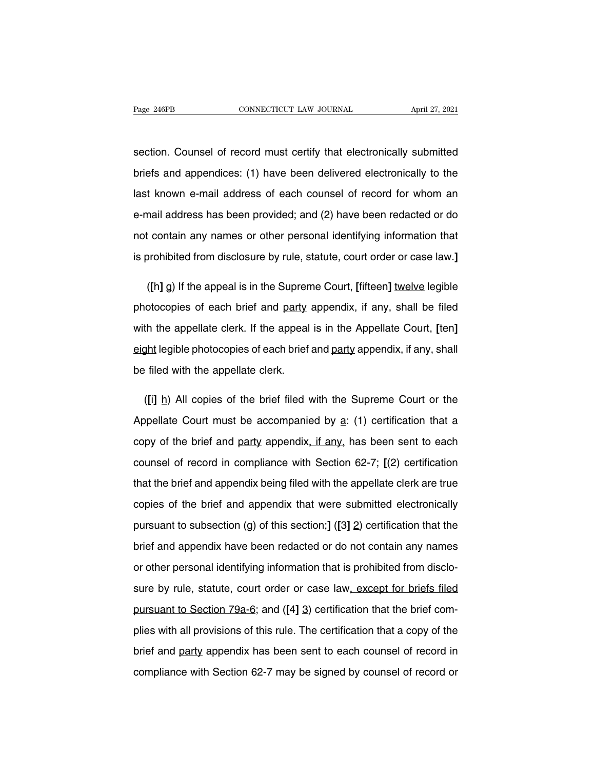Fage 246PB CONNECTICUT LAW JOURNAL April 27, 2021<br>Section. Counsel of record must certify that electronically submitted<br>briefs and appendices: (1) have been delivered electronically to the Page 246PB CONNECTICUT LAW JOURNAL April 27, 2021<br>section. Counsel of record must certify that electronically submitted<br>briefs and appendices: (1) have been delivered electronically to the<br>last known e-mail address of each section. Counsel of record must certify that electronically submitted<br>briefs and appendices: (1) have been delivered electronically to the<br>last known e-mail address of each counsel of record for whom an<br>e-mail address has section. Counsel of record must certify that electronically submitted<br>briefs and appendices: (1) have been delivered electronically to the<br>last known e-mail address of each counsel of record for whom an<br>e-mail address has briefs and appendices: (1) have been delivered electronically to the<br>last known e-mail address of each counsel of record for whom an<br>e-mail address has been provided; and (2) have been redacted or do<br>not contain any names last known e-mail address of each counsel of record for whom an<br>e-mail address has been provided; and (2) have been redacted or do<br>not contain any names or other personal identifying information that<br>is prohibited from dis mail address has been provided; and (2) have been redacted or do<br>
t contain any names or other personal identifying information that<br>
prohibited from disclosure by rule, statute, court order or case law.]<br>
([h] g) If the a

not contain any names or other personal identifying information that<br>is prohibited from disclosure by rule, statute, court order or case law.]<br>([h] g) If the appeal is in the Supreme Court, [fifteen] <u>twelve</u> legible<br>photo is prohibited from disclosure by rule, statute, court order or case law.]<br>([h] g) If the appeal is in the Supreme Court, [fifteen] <u>twelve</u> legible<br>photocopies of each brief and <u>party</u> appendix, if any, shall be filed<br>wit ([h] g) If the appeal is in the Supreme Court, [fifteen] twelve legible<br>photocopies of each brief and <u>party</u> appendix, if any, shall be filed<br>with the appellate clerk. If the appeal is in the Appellate Court, [ten]<br>eight photocopies of each brief and <u>party</u><br>with the appellate clerk. If the appeal<br>eight legible photocopies of each brief<br>be filed with the appellate clerk. In the appellate clerk. If the appeal is in the Appellate Court, [ten]<br>
<u>ght</u> legible photocopies of each brief and <u>party</u> appendix, if any, shall<br>
(**[i]** <u>h</u>) All copies of the brief filed with the Supreme Court or the<br>

eight legible photocopies of each brief and party appendix, if any, shall<br>be filed with the appellate clerk.<br>([i] <u>h</u>) All copies of the brief filed with the Supreme Court or the<br>Appellate Court must be accompanied by <u>a</u>: be filed with the appellate clerk.<br>
([i] h) All copies of the brief filed with the Supreme Court or the<br>
Appellate Court must be accompanied by a: (1) certification that a<br>
copy of the brief and party appendix, if any, has ([i] h) All copies of the brief filed with the Supreme Court or the Appellate Court must be accompanied by  $a$ : (1) certification that a copy of the brief and party appendix, if any, has been sent to each counsel of recor Appellate Court must be accompanied by a: (1) certification that a<br>copy of the brief and party appendix, if any, has been sent to each<br>counsel of record in compliance with Section 62-7; [(2) certification<br>that the brief an copy of the brief and party appendix, if any, has been sent to each<br>counsel of record in compliance with Section 62-7; [(2) certification<br>that the brief and appendix being filed with the appellate clerk are true<br>copies of pursuant of record in compliance with Section 62-7; [(2) certification<br>that the brief and appendix being filed with the appellate clerk are true<br>copies of the brief and appendix that were submitted electronically<br>pursuant that the brief and appendix being filed with the appellate clerk are true<br>copies of the brief and appendix that were submitted electronically<br>pursuant to subsection (g) of this section;] ([3] 2) certification that the<br>brie copies of the brief and appendix that were submitted electronically<br>pursuant to subsection (g) of this section;] ([3] 2) certification that the<br>brief and appendix have been redacted or do not contain any names<br>or other per pursuant to subsection (g) of this section;] ([3] 2) certification that the<br>brief and appendix have been redacted or do not contain any names<br>or other personal identifying information that is prohibited from disclo-<br>sure b brief and appendix have been redacted or do not contain any names<br>or other personal identifying information that is prohibited from disclo-<br>sure by rule, statute, court order or case law<u>, except for briefs filed</u><br>pursuant plures by rule, statute, court order or case law, except for briefs filed<br>pursuant to Section 79a-6; and ([4] 3) certification that the brief com-<br>plies with all provisions of this rule. The certification that a copy of th sure by rule, statute, court order or case law, except for briefs filed<br>pursuant to Section 79a-6; and ([4] 3) certification that the brief com-<br>plies with all provisions of this rule. The certification that a copy of the<br> pursuant to Section 79a-6; and ([4] 3) certification that the brief com-<br>plies with all provisions of this rule. The certification that a copy of the<br>brief and party appendix has been sent to each counsel of record in<br>comp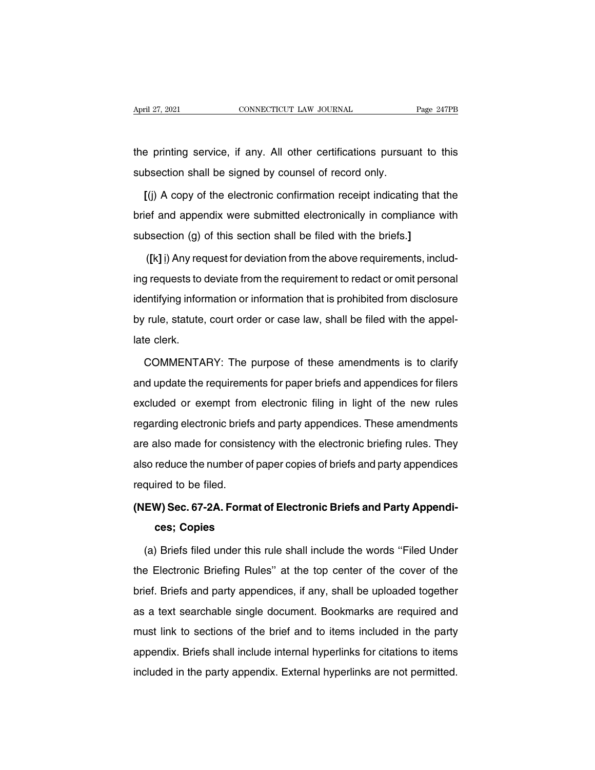April 27, 2021 CONNECTICUT LAW JOURNAL Page 247PB<br>the printing service, if any. All other certifications pursuant to this<br>subsection shall be signed by counsel of record only. Subsection shall be signed by counsel of record only.<br>
Subsection shall be signed by counsel of record only.<br>
(i) A copy of the electronic confirmation receipt indicating

Figures 1 continuity of the signed by counsel of record only.<br> **[(j)** A copy of the electronic confirmation receipt indicating that the<br> **[(j)** A copy of the electronic confirmation receipt indicating that the<br> **Example 10** the printing service, if any. All other certifications pursuant to this<br>subsection shall be signed by counsel of record only.<br>[(j) A copy of the electronic confirmation receipt indicating that the<br>brief and appendix were s subsection shall be signed by counsel of record only.<br>
[(j) A copy of the electronic confirmation receipt indicating that<br>
brief and appendix were submitted electronically in compliance v<br>
subsection (g) of this section sh  $\mathbf{F}(\mathbf{j})$  A copy of the electronic confirmation receipt indicating that the ef and appendix were submitted electronically in compliance with bsection (g) of this section shall be filed with the briefs.]<br>( $\mathbf{F}(\mathbf{k}|\$ 

brief and appendix were submitted electronically in compliance with<br>subsection (g) of this section shall be filed with the briefs.]<br>([k] i) Any request for deviation from the above requirements, includ-<br>ing requests to dev subsection (g) of this section shall be filed with the briefs.]<br>
([k] i] Any request for deviation from the above requirements, includ-<br>
ing requests to deviate from the requirement to redact or omit personal<br>
identifying ([k] <u>i</u>) Any request for deviation from the above requirements, including requests to deviate from the requirement to redact or omit personal identifying information or information that is prohibited from disclosure by ru late clerk.<br>
ing requests to didentifying inform<br>
by rule, statute,<br>
late clerk.<br>
COMMENTA entifying information or information that is prohibited from disclosure<br>
rule, statute, court order or case law, shall be filed with the appel-<br>
e clerk.<br>
COMMENTARY: The purpose of these amendments is to clarify<br>
d update

by rule, statute, court order or case law, shall be filed with the appel-<br>late clerk.<br>COMMENTARY: The purpose of these amendments is to clarify<br>and update the requirements for paper briefs and appendices for filers<br>exclude late clerk.<br>
COMMENTARY: The purpose of these amendments is to clarify<br>
and update the requirements for paper briefs and appendices for filers<br>
excluded or exempt from electronic filing in light of the new rules<br>
regarding COMMENTARY: The purpose of these amendments is to clarify<br>and update the requirements for paper briefs and appendices for filers<br>excluded or exempt from electronic filing in light of the new rules<br>regarding electronic brie and update the requirements for paper briefs and appendices for filers<br>excluded or exempt from electronic filing in light of the new rules<br>regarding electronic briefs and party appendices. These amendments<br>are also made fo excluded or exempt from electronic filing in light of the new rules<br>regarding electronic briefs and party appendices. These amendments<br>are also made for consistency with the electronic briefing rules. They<br>also reduce the regarding electronic briefs<br>regarding electronic briefs<br>are also made for consist<br>also reduce the number of<br>required to be filed.<br>(NEW) Sec. 67-2A. Form are also made for consistency with the electronic briefing rules. They<br>also reduce the number of paper copies of briefs and party appendices<br>required to be filed.<br>**(NEW) Sec. 67-2A. Format of Electronic Briefs and Party Ap** reduce the number of pa<br>ired to be filed.<br>**W) Sec. 67-2A. Format c<br>ces; Copies**<br>) Briefs filed under this r

quired to be filed.<br> **EW) Sec. 67-2A. Format of Electronic Briefs and Party Appendi-<br>
ces; Copies**<br>
(a) Briefs filed under this rule shall include the words "Filed Under<br>
e Electronic Briefing Rules" at the top center of t (NEW) Sec. 67-2A. Format of Electronic Briefs and Party Appendices; Copies<br>
(a) Briefs filed under this rule shall include the words "Filed Under<br>
the Electronic Briefing Rules" at the top center of the cover of the<br>
brief ces; Copies<br>(a) Briefs filed under this rule shall include the words "Filed Under<br>the Electronic Briefing Rules" at the top center of the cover of the<br>brief. Briefs and party appendices, if any, shall be uploaded together<br> (a) Briefs filed under this rule shall include the words "Filed Under<br>the Electronic Briefing Rules" at the top center of the cover of the<br>brief. Briefs and party appendices, if any, shall be uploaded together<br>as a text se the Electronic Briefing Rules" at the top center of the cover of the brief. Briefs and party appendices, if any, shall be uploaded together as a text searchable single document. Bookmarks are required and must link to sect and Electronic Briding Traces at the top content of the cover of the brief. Briefs and party appendices, if any, shall be uploaded together as a text searchable single document. Bookmarks are required and must link to sect as a text searchable single document. Bookmarks are required and must link to sections of the brief and to items included in the party appendix. Briefs shall include internal hyperlinks for citations to items included in t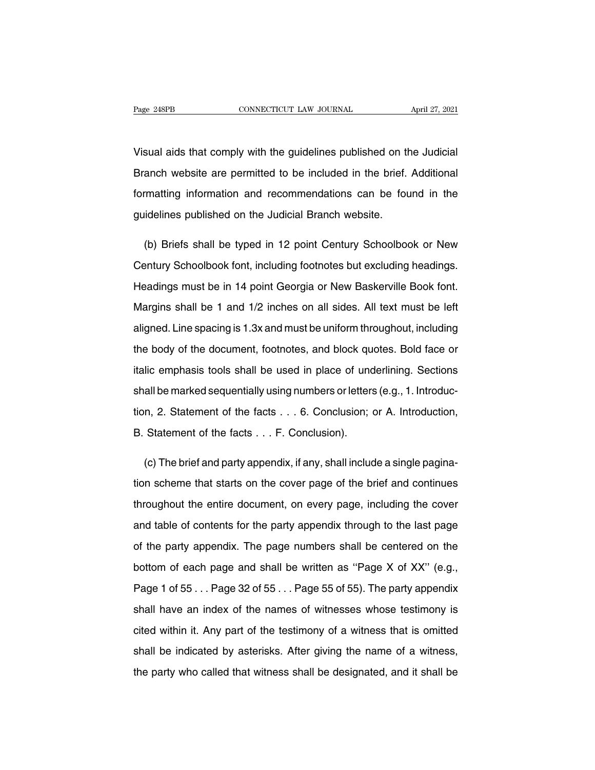Page 248PB<br>
CONNECTICUT LAW JOURNAL<br>
Visual aids that comply with the guidelines published on the Judicial<br>
Branch website are permitted to be included in the brief. Additional Page 248PB CONNECTICUT LAW JOURNAL April 27, 2021<br>Visual aids that comply with the guidelines published on the Judicial<br>Branch website are permitted to be included in the brief. Additional<br>formatting information and recomm Visual aids that comply with the guidelines published on the Judicial<br>Branch website are permitted to be included in the brief. Additional<br>formatting information and recommendations can be found in the<br>guidelines published Visual aids that comply with the guidelines published on the Branch website are permitted to be included in the brief.<br>formatting information and recommendations can be four guidelines published on the Judicial Branch web example are permitted to be included in the brief. Additional<br>
standing information and recommendations can be found in the<br>
idelines published on the Judicial Branch website.<br>
(b) Briefs shall be typed in 12 point Century

formatting information and recommendations can be found in the<br>guidelines published on the Judicial Branch website.<br>(b) Briefs shall be typed in 12 point Century Schoolbook or New<br>Century Schoolbook font, including footnot guidelines published on the Judicial Branch website.<br>
(b) Briefs shall be typed in 12 point Century Schoolbook or New<br>
Century Schoolbook font, including footnotes but excluding headings.<br>
Headings must be in 14 point Geor (b) Briefs shall be typed in 12 point Century Schoolbook or New<br>Century Schoolbook font, including footnotes but excluding headings.<br>Headings must be in 14 point Georgia or New Baskerville Book font.<br>Margins shall be 1 and Century Schoolbook font, including footnotes but excluding headings.<br>Headings must be in 14 point Georgia or New Baskerville Book font.<br>Margins shall be 1 and 1/2 inches on all sides. All text must be left<br>aligned. Line sp Headings must be in 14 point Georgia or New Baskerville Book font.<br>Margins shall be 1 and 1/2 inches on all sides. All text must be left<br>aligned. Line spacing is 1.3x and must be uniform throughout, including<br>the body of t Margins shall be 1 and 1/2 inches on all sides. All text must be left<br>aligned. Line spacing is 1.3x and must be uniform throughout, including<br>the body of the document, footnotes, and block quotes. Bold face or<br>italic empha aligned. Line spacing is 1.3x and must be uniform throughout, including<br>the body of the document, footnotes, and block quotes. Bold face or<br>italic emphasis tools shall be used in place of underlining. Sections<br>shall be mar the body of the document, footnotes, and block quotes. Bold face or<br>italic emphasis tools shall be used in place of underlining. Sections<br>shall be marked sequentially using numbers or letters (e.g., 1. Introduc-<br>tion, 2. S italic emphasis tools shall be used in place of unc<br>shall be marked sequentially using numbers or letters<br>tion, 2. Statement of the facts . . . 6. Conclusion; d<br>B. Statement of the facts . . . F. Conclusion). all be marked sequentially using numbers or letters (e.g., 1. Introduc-<br>n, 2. Statement of the facts . . . 6. Conclusion; or A. Introduction,<br>Statement of the facts . . . F. Conclusion).<br>(c) The brief and party appendix, i

tion, 2. Statement of the facts . . . 6. Conclusion; or A. Introduction,<br>B. Statement of the facts . . . F. Conclusion).<br>(c) The brief and party appendix, if any, shall include a single pagina-<br>tion scheme that starts on t B. Statement of the facts . . . F. Conclusion).<br>
(c) The brief and party appendix, if any, shall include a single pagina-<br>
tion scheme that starts on the cover page of the brief and continues<br>
throughout the entire documen (c) The brief and party appendix, if any, shall include a single pagination scheme that starts on the cover page of the brief and continues throughout the entire document, on every page, including the cover and table of co tion scheme that starts on the cover page of the brief and continues<br>throughout the entire document, on every page, including the cover<br>and table of contents for the party appendix through to the last page<br>of the party app throughout the entire document, on every page, including the cover<br>and table of contents for the party appendix through to the last page<br>of the party appendix. The page numbers shall be centered on the<br>bottom of each page and table of contents for the party appendix through to the last page<br>of the party appendix. The page numbers shall be centered on the<br>bottom of each page and shall be written as "Page X of XX" (e.g.,<br>Page 1 of 55 . . . Pa of the party appendix. The page numbers shall be centered on the<br>bottom of each page and shall be written as "Page X of XX" (e.g.,<br>Page 1 of 55... Page 32 of 55... Page 55 of 55). The party appendix<br>shall have an index of bottom of each page and shall be written as "Page X of XX" (e.g.,<br>Page 1 of 55... Page 32 of 55... Page 55 of 55). The party appendix<br>shall have an index of the names of witnesses whose testimony is<br>cited within it. Any pa Page 1 of 55... Page 32 of 55... Page 55 of 55). The party appendix<br>shall have an index of the names of witnesses whose testimony is<br>cited within it. Any part of the testimony of a witness that is omitted<br>shall be indicat shall have an index of the names of witnesses whose testimony is<br>cited within it. Any part of the testimony of a witness that is omitted<br>shall be indicated by asterisks. After giving the name of a witness,<br>the party who ca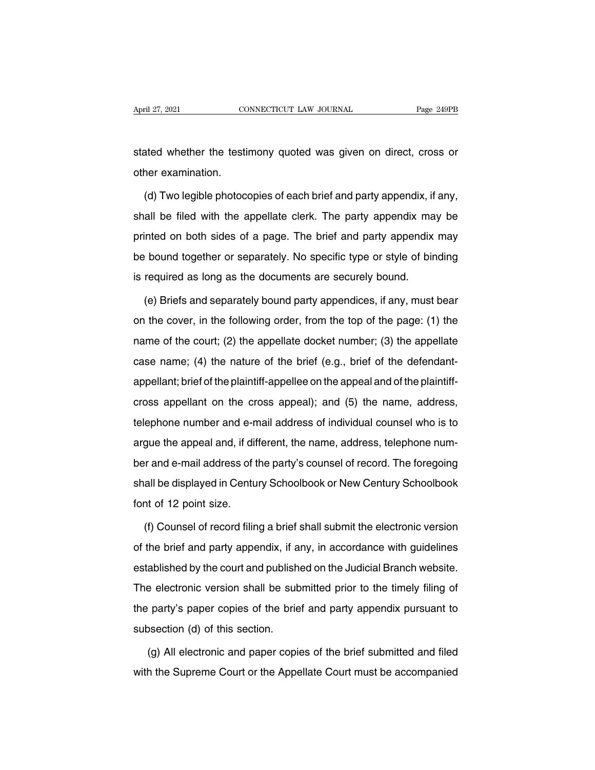April 27, 2021 CONNECTICUT LAW JOURNAL Page 249PB<br>stated whether the testimony quoted was given on direct, cross or<br>other examination. April 27, 2021<br>Stated whether the testicated whether the testication.<br>(d) Two legible photoc

ated whether the testimony quoted was given on direct, cross or<br>her examination.<br>(d) Two legible photocopies of each brief and party appendix, if any,<br>all be filed with the appellate clerk. The party appendix may be stated whether the testimony quoted was given on direct, cross or<br>other examination.<br>(d) Two legible photocopies of each brief and party appendix, if any,<br>shall be filed with the appellate clerk. The party appendix may be<br> other examination.<br>
(d) Two legible photocopies of each brief and party appendix, if any,<br>
shall be filed with the appellate clerk. The party appendix may be<br>
printed on both sides of a page. The brief and party appendix m (d) Two legible photocopies of each brief and party appendix, if any,<br>shall be filed with the appellate clerk. The party appendix may be<br>printed on both sides of a page. The brief and party appendix may<br>be bound together o (a) two logible photosophos of catal bifor and party appendix ma<br>shall be filed with the appellate clerk. The party appendix ma<br>printed on both sides of a page. The brief and party appendix<br>be bound together or separately. Inted on both sides of a page. The brief and party appendix may<br>
bound together or separately. No specific type or style of binding<br>
required as long as the documents are securely bound.<br>
(e) Briefs and separately bound pa

be bound together or separately. No specific type or style of binding<br>is required as long as the documents are securely bound.<br>(e) Briefs and separately bound party appendices, if any, must bear<br>on the cover, in the follow is required as long as the documents are securely bound.<br>
(e) Briefs and separately bound party appendices, if any, must bear<br>
on the cover, in the following order, from the top of the page: (1) the<br>
name of the court; (2) (e) Briefs and separately bound party appendices, if any, must bear<br>on the cover, in the following order, from the top of the page: (1) the<br>name of the court; (2) the appellate docket number; (3) the appellate<br>case name; ( or the cover, in the following order, from the top of the page: (1) the name of the court; (2) the appellate docket number; (3) the appellate case name; (4) the nature of the brief (e.g., brief of the defendant-appellant; cross appellant; brief of the plaintiff-appellate docket number; (3) the appellate case name; (4) the nature of the brief (e.g., brief of the defendant-appellant; brief of the plaintiff-appellee on the appeal and of the p that the state of the plaintiff-appellee on the appeal and of the defendant-appellant; brief of the plaintiff-appellee on the appeal and of the plaintiff-cross appellant on the cross appeal); and (5) the name, address, te appellant; brief of the plaintiff-appellee on the appeal and of the plaintiff-<br>appellant, brief of the plaintiff-appellee on the appeal and of the plaintiff-<br>cross appellant on the cross appeal); and (5) the name, address, epponant, shorter the plantific appears of the appearant of the plantific<br>cross appellant on the cross appeal); and (5) the name, address,<br>telephone number and e-mail address of individual counsel who is to<br>argue the appea shall be displayed in Century Schoolbook or New Century Schoolbook<br>for and e-mail address of the party's counsel of record. The foregoing<br>shall be displayed in Century Schoolbook or New Century Schoolbook<br>font of 12 point resphone named and, if difference the appeal and, if different and e-mail address of the shall be displayed in Centu font of 12 point size.<br>(f) Counsel of record filing Fr and e-mail address of the party's counsel of record. The foregoing<br>all be displayed in Century Schoolbook or New Century Schoolbook<br>at of 12 point size.<br>(f) Counsel of record filing a brief shall submit the electronic v

shall be displayed in Century Schoolbook or New Century Schoolbook<br>font of 12 point size.<br>(f) Counsel of record filing a brief shall submit the electronic version<br>of the brief and party appendix, if any, in accordance with font of 12 point size.<br>
(f) Counsel of record filing a brief shall submit the electronic version<br>
of the brief and party appendix, if any, in accordance with guidelines<br>
established by the court and published on the Judici (f) Counsel of record filing a brief shall submit the electronic version<br>of the brief and party appendix, if any, in accordance with guidelines<br>established by the court and published on the Judicial Branch website.<br>The ele of the brief and party appendix, if any, in accordance with guidelines established by the court and published on the Judicial Branch website.<br>The electronic version shall be submitted prior to the timely filing of the part of the brief and party appendix, if any, in accordance with guidelines<br>established by the court and published on the Judicial Branch website.<br>The electronic version shall be submitted prior to the timely filing of<br>the part e electronic version shall be submitted prior to the timely filing of<br>
party's paper copies of the brief and party appendix pursuant to<br>
section (d) of this section.<br>
(g) All electronic and paper copies of the brief submit the party's paper copies of the brief and party appendix pursuant to<br>subsection (d) of this section.<br>(g) All electronic and paper copies of the brief submitted and filed<br>with the Supreme Court or the Appellate Court must b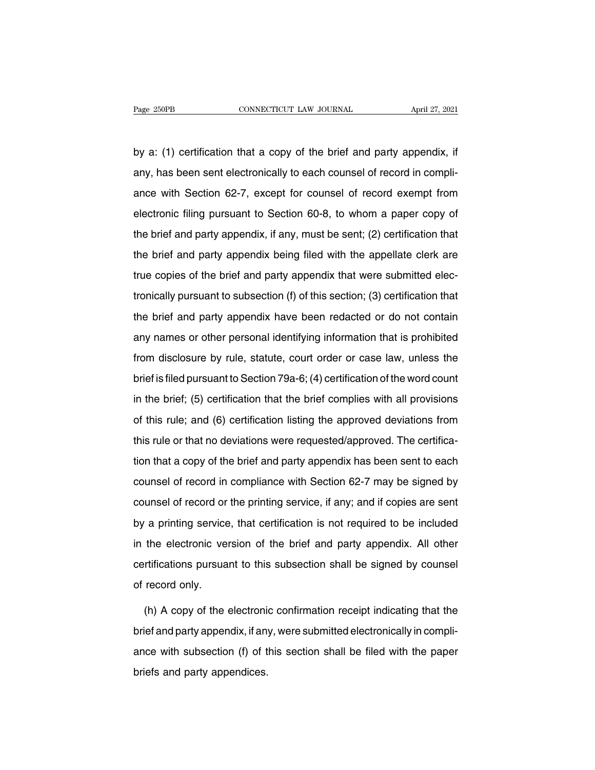Page 250PB CONNECTICUT LAW JOURNAL April 27, 2021<br>by a: (1) certification that a copy of the brief and party appendix, if<br>any, has been sent electronically to each counsel of record in compli-Page 250PB CONNECTICUT LAW JOURNAL April 27, 2021<br>by a: (1) certification that a copy of the brief and party appendix, if<br>any, has been sent electronically to each counsel of record in compli-<br>ance with Section 62-7, excep by a: (1) certification that a copy of the brief and party appendix, if<br>any, has been sent electronically to each counsel of record in compli-<br>ance with Section 62-7, except for counsel of record exempt from<br>electronic fil by a: (1) certification that a copy of the brief and party appendix, if<br>any, has been sent electronically to each counsel of record in compli-<br>ance with Section 62-7, except for counsel of record exempt from<br>electronic fil any, has been sent electronically to each counsel of record in compli-<br>ance with Section 62-7, except for counsel of record exempt from<br>electronic filing pursuant to Section 60-8, to whom a paper copy of<br>the brief and par ance with Section 62-7, except for counsel of record exempt from<br>electronic filing pursuant to Section 60-8, to whom a paper copy of<br>the brief and party appendix, if any, must be sent; (2) certification that<br>the brief and electronic filing pursuant to Section 60-8, to whom a paper copy of<br>the brief and party appendix, if any, must be sent; (2) certification that<br>the brief and party appendix being filed with the appellate clerk are<br>true copi the brief and party appendix, if any, must be sent; (2) certification that<br>the brief and party appendix being filed with the appellate clerk are<br>true copies of the brief and party appendix that were submitted elec-<br>tronica the brief and party appendix being filed with the appellate clerk are<br>true copies of the brief and party appendix that were submitted elec-<br>tronically pursuant to subsection (f) of this section; (3) certification that<br>the any names or other personal identifying information that is prohibited from disclosure by rule, statute, court order or case law, unless the brief and party appendix have been redacted or do not contain<br>any names or other personal identifying information that is prohibited<br>from disclosure by brief and party appendix have been redacted or do not contain<br>any names or other personal identifying information that is prohibited<br>from disclosure by rule, statute, court order or case law, unless the<br>brief is filed purs in the brief and pailty appendiant native book is absoluted of the technical<br>any names or other personal identifying information that is prohibited<br>from disclosure by rule, statute, court order or case law, unless the<br>brie from disclosure by rule, statute, court order or case law, unless the<br>brief is filed pursuant to Section 79a-6; (4) certification of the word count<br>in the brief; (5) certification that the brief complies with all provision their state of the vertex of the word count<br>brief is filed pursuant to Section 79a-6; (4) certification of the word count<br>in the brief; (5) certification that the brief complies with all provisions<br>of this rule; and (6) ce in the brief; (5) certification that the brief complies with all provisions<br>of this rule; and (6) certification listing the approved deviations from<br>this rule or that no deviations were requested/approved. The certifica-<br> of this rule; and (6) certification listing the approved deviations from<br>this rule or that no deviations were requested/approved. The certifica-<br>tion that a copy of the brief and party appendix has been sent to each<br>counse counsel of record in compliance with Section 62-7 may be signed by<br>counsel of record in compliance with Section 62-7 may be signed by<br>counsel of record or the printing service, if any; and if copies are sent<br>by a printing by a printing service, that certification is not required to be included in the electronic version of the briting service, if any; and if copies are sent by a printing service, that certification is not required to be incl counsel of record in compliance with Section 62-7 may be signed by<br>counsel of record or the printing service, if any; and if copies are sent<br>by a printing service, that certification is not required to be included<br>in the e counsel of record in complement that counsel of record or the printing service, if any; and if copies are sent<br>by a printing service, that certification is not required to be included<br>in the electronic version of the brief by a printing service<br>in the electronic ve<br>certifications pursua<br>of record only.<br>(h) A conv of the the electronic version of the brief and party appendix. All other<br>rtifications pursuant to this subsection shall be signed by counsel<br>record only.<br>(h) A copy of the electronic confirmation receipt indicating that the<br>lef a

certifications pursuant to this subsection shall be signed by counsel<br>of record only.<br>(h) A copy of the electronic confirmation receipt indicating that the<br>brief and party appendix, if any, were submitted electronically in of record only.<br>
(h) A copy of the electronic confirmation receipt indicating that the<br>
brief and party appendix, if any, were submitted electronically in compli-<br>
ance with subsection (f) of this section shall be filed wi (h) A copy of the electronis<br>brief and party appendix, if an<br>ance with subsection (f) of t<br>briefs and party appendices.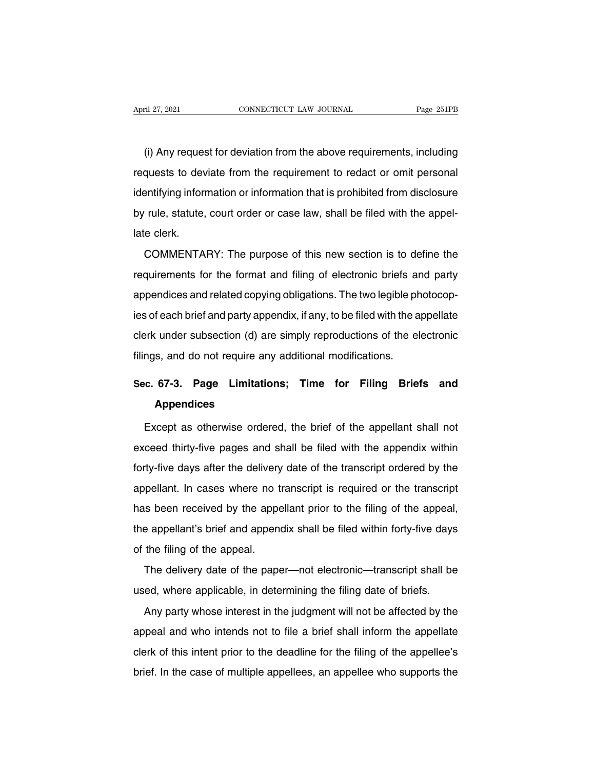(i) Any request for deviation from the above requirements, including<br>quests to deviate from the requirement to redact or omit personal Example 27, 2021<br>
requests to deviation from the above requirements, including<br>
requests to deviate from the requirement to redact or omit personal<br>
identifying information or information that is prohibited from disclosure (i) Any request for deviation from the above requirements, including<br>requests to deviate from the requirement to redact or omit personal<br>identifying information or information that is prohibited from disclosure<br>by rule, st (i) Any request for deviation from the above requirements, including requests to deviate from the requirement to redact or omit personal identifying information or information that is prohibited from disclosure by rule, st requests to development<br>identifying inform<br>by rule, statute,<br>late clerk.<br>COMMENTA entifying information or information that is prohibited from disclosure<br>
rule, statute, court order or case law, shall be filed with the appel-<br>
e clerk.<br>
COMMENTARY: The purpose of this new section is to define the<br>
quire

requirements for the format and filing of electronic briefs and party<br>appellate clerk.<br>COMMENTARY: The purpose of this new section is to define the<br>requirements for the format and filing of electronic briefs and party<br>appe appendices and related copying obligations. The two legible photocop-<br>ies of each brief and party appendices and related copying obligations. The two legible photocop-<br>ies of each brief and party appendix, if any, to be fi COMMENTARY: The purpose of this new section is to define the<br>requirements for the format and filing of electronic briefs and party<br>appendices and related copying obligations. The two legible photocop-<br>ies of each brief and comments for the format and filing of electronic briefs and party<br>appendices and related copying obligations. The two legible photocop-<br>ies of each brief and party appendix, if any, to be filed with the appellate<br>clerk und appendices and related copying obligations. The two legible ph<br>ies of each brief and party appendix, if any, to be filed with the a<br>clerk under subsection (d) are simply reproductions of the el<br>filings, and do not require ies of each brief and party appendix, if any, to be filed with the appellate<br>clerk under subsection (d) are simply reproductions of the electronic<br>filings, and do not require any additional modifications.<br>**Sec. 67-3.** Page

### **Appendices**

mand a do not require any additional modifications.<br> **Except as otherwise ordered, the brief of the appellant shall not**<br> **Except as otherwise ordered, the brief of the appellant shall not**<br>
ceed thirty-five pages and shal Sec. 67-3. Page Limitations; Time for Filing Briefs and<br>Appendices<br>Except as otherwise ordered, the brief of the appellant shall not<br>exceed thirty-five pages and shall be filed with the appendix within<br>forty-five days afte Appendices<br>Except as otherwise ordered, the brief of the appellant shall not<br>exceed thirty-five pages and shall be filed with the appendix within<br>forty-five days after the delivery date of the transcript ordered by the<br>app Except as otherwise ordered, the brief of the appellant shall not exceed thirty-five pages and shall be filed with the appendix within forty-five days after the delivery date of the transcript ordered by the appellant. In exceed thirty-five pages and shall be filed with the appendix within<br>forty-five days after the delivery date of the transcript ordered by the<br>appellant. In cases where no transcript is required or the transcript<br>has been r forty-five days after the delivery date of the transcript ordered by the appellant. In cases where no transcript is required or the transcript has been received by the appellant prior to the filing of the appeal, the appel of the days aller the delivery<br>appellant. In cases where no t<br>has been received by the appe<br>the appellant's brief and append<br>of the filing of the appeal.<br>The delivery date of the pape In the delivery date of the paper—not electronic—transcript shall be ed, where applicable, in determining the filing date of briefs. Interesting to the appellant's brief and appendix shall be filed within forty-five days<br>of the filing of the appeal.<br>The delivery date of the paper—not electronic—transcript shall be<br>used, where applicable, in determining

the filing of the appeal.<br>The delivery date of the paper—not electronic—transcript shall be<br>ed, where applicable, in determining the filing date of briefs.<br>Any party whose interest in the judgment will not be affected by t The delivery date of the paper—not electronic—transcript shall be<br>used, where applicable, in determining the filing date of briefs.<br>Any party whose interest in the judgment will not be affected by the<br>appeal and who intend clused, where applicable, in determining the filing date of briefs.<br>Any party whose interest in the judgment will not be affected by the<br>appeal and who intends not to file a brief shall inform the appellate<br>clerk of this i Any party whose interest in the judgment will not be affected by the appeal and who intends not to file a brief shall inform the appellate clerk of this intent prior to the deadline for the filing of the appellee's brief.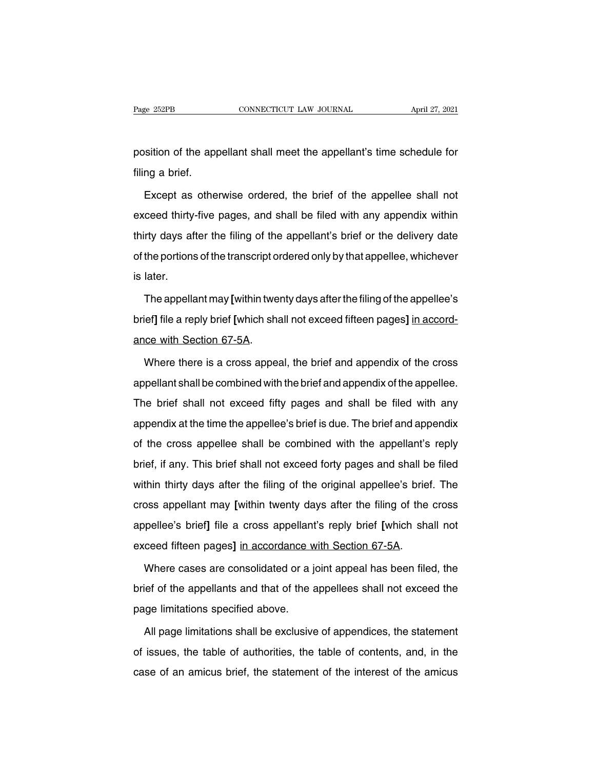Page 252PB CONNECTICUT LAW JOURNAL April 27, 2021<br>position of the appellant shall meet the appellant's time schedule for<br>filing a brief. Page 252PB<br>position of the approsition of the approximate<br>filing a brief.<br>Except as othe

istion of the appellant shall meet the appellant's time schedule for<br>ng a brief.<br>Except as otherwise ordered, the brief of the appellee shall not<br>ceed thirty-five pages, and shall be filed with any appendix within position of the appellant shall meet the appellant's time schedule for<br>filing a brief.<br>Except as otherwise ordered, the brief of the appellee shall not<br>exceed thirty-five pages, and shall be filed with any appendix within<br> filing a brief.<br>
Except as otherwise ordered, the brief of the appellee shall not<br>
exceed thirty-five pages, and shall be filed with any appendix within<br>
thirty days after the filing of the appellant's brief or the deliver Except as otherwise ordered, the brief of the appellee shall not exceed thirty-five pages, and shall be filed with any appendix within thirty days after the filing of the appellant's brief or the delivery date of the porti exceed thirty<br>thirty days af<br>of the portions<br>is later.<br>The appella The appellant may [within twenty days after the filing of the appellant's brief or the delivery date<br>the portions of the transcript ordered only by that appellee, whichever<br>later.<br>The appellant may [within twenty days afte

brief the portions of the transcript ordered only by that appellee, whichever<br>
is later.<br>
The appellant may [within twenty days after the filing of the appellee's<br>
brief] file a reply brief [which shall not exceed fifteen is later.<br>The appellant may [within twe<br>brief] file a reply brief [which sha<br>ance with Section 67-5A.<br>Where there is a cross appe. The appellant may [within twenty days after the filing of the appellee's<br>ief] file a reply brief [which shall not exceed fifteen pages] <u>in accord-</u><br>ce with Section 67-5A.<br>Where there is a cross appeal, the brief and appen

brief] file a reply brief [which shall not exceed fifteen pages] in accord-<br>ance with Section 67-5A.<br>Where there is a cross appeal, the brief and appendix of the cross<br>appellant shall be combined with the brief and appendi The brief shall not exceed fifty pages and shall be filed with any<br>appellant shall be combined with the brief and appendix of the appellee.<br>The brief shall not exceed fifty pages and shall be filed with any<br>appendix at the Where there is a cross appeal, the brief and appendix of the cross<br>appellant shall be combined with the brief and appendix of the appellee.<br>The brief shall not exceed fifty pages and shall be filed with any<br>appendix at the appellant shall be combined with the brief and appendix of the appellee.<br>The brief shall not exceed fifty pages and shall be filed with any<br>appendix at the time the appellee's brief is due. The brief and appendix<br>of the cr apponant onalize combined with the shortand apponent on the appene.<br>The brief shall not exceed fifty pages and shall be filed with any<br>appendix at the time the appellee's brief is due. The brief and appendix<br>of the cross a appendix at the time the appellee's brief is due. The brief and appendix<br>of the cross appellee shall be combined with the appellant's reply<br>brief, if any. This brief shall not exceed forty pages and shall be filed<br>within t of the cross appellee shall be combined with the appellant's reply<br>brief, if any. This brief shall not exceed forty pages and shall be filed<br>within thirty days after the filing of the original appellee's brief. The<br>cross a brief, if any. This brief shall not exceed forty pages and shall be filed within thirty days after the filing of the original appellee's brief. The cross appellant may [within twenty days after the filing of the cross appe within thirty days after the filing of the original appellee's brie<br>cross appellant may [within twenty days after the filing of the<br>appellee's brief] file a cross appellant's reply brief [which sha<br>exceed fifteen pages] <u>i</u> Soss appellant may [within twenty days after the filing of the cross<br>pellee's brief] file a cross appellant's reply brief [which shall not<br>ceed fifteen pages] in accordance with Section 67-5A.<br>Where cases are consolidated

appellee's brief] file a cross appellant's reply brief [which shall not exceed fifteen pages] in accordance with Section 67-5A.<br>Where cases are consolidated or a joint appeal has been filed, the brief of the appellants and exceed fifteen pages] in accordance w<br>Where cases are consolidated or a j<br>brief of the appellants and that of the a<br>page limitations specified above.<br>All page limitations shall be exclusive Where cases are consolidated or a joint appeal has been filed, the<br>lef of the appellants and that of the appellees shall not exceed the<br>ige limitations specified above.<br>All page limitations shall be exclusive of appendices

brief of the appellants and that of the appellees shall not exceed the<br>page limitations specified above.<br>All page limitations shall be exclusive of appendices, the statement<br>of issues, the table of authorities, the table o page limitations specified above.<br>All page limitations shall be exclusive of appendices, the statement<br>of issues, the table of authorities, the table of contents, and, in the<br>case of an amicus brief, the statement of the i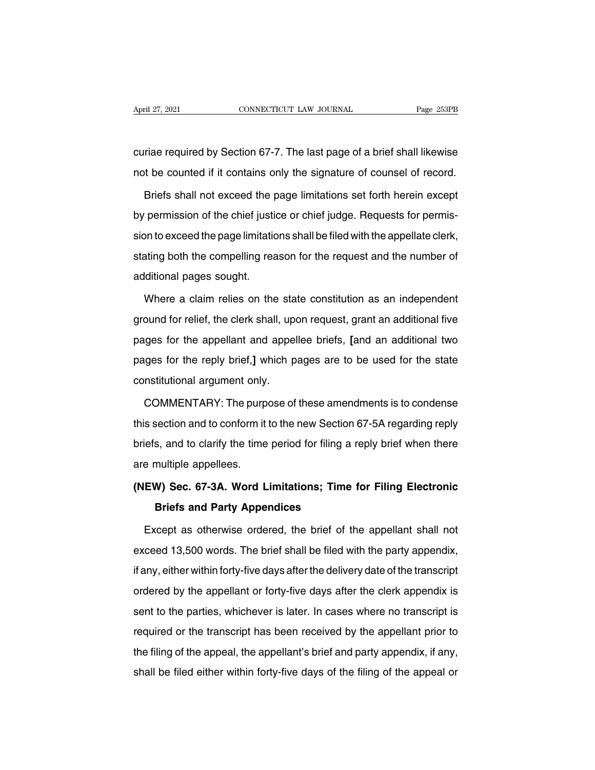April 27, 2021 CONNECTICUT LAW JOURNAL Page 253PB<br>
curiae required by Section 67-7. The last page of a brief shall likewise<br>
not be counted if it contains only the signature of counsel of record. April 27, 2021 CONNECTICUT LAW JOURNAL Page 253PB<br>
curiae required by Section 67-7. The last page of a brief shall likewise<br>
not be counted if it contains only the signature of counsel of record.<br>
Briefs shall not exceed t

riae required by Section 67-7. The last page of a brief shall likewise<br>t be counted if it contains only the signature of counsel of record.<br>Briefs shall not exceed the page limitations set forth herein except<br>permission of curiae required by Section 67-7. The last page of a brief shall likewise<br>not be counted if it contains only the signature of counsel of record.<br>Briefs shall not exceed the page limitations set forth herein except<br>by permis not be counted if it contains only the signature of counsel of record.<br>Briefs shall not exceed the page limitations set forth herein except<br>by permission of the chief justice or chief judge. Requests for permis-<br>sion to ex Briefs shall not exceed the page limitations set forth herein except<br>by permission of the chief justice or chief judge. Requests for permis-<br>sion to exceed the page limitations shall be filed with the appellate clerk,<br>stat Bridge shall not exceed the page<br>by permission of the chief justile<br>sion to exceed the page limitatic<br>stating both the compelling rea<br>additional pages sought.<br>Where a claim relies on the In to exceed the page limitations shall be filed with the appellate clerk,<br>ating both the compelling reason for the request and the number of<br>iditional pages sought.<br>Where a claim relies on the state constitution as an ind

stating both the compelling reason for the request and the number of<br>additional pages sought.<br>Where a claim relies on the state constitution as an independent<br>ground for relief, the clerk shall, upon request, grant an addi additional pages sought.<br>Where a claim relies on the state constitution as an independent<br>ground for relief, the clerk shall, upon request, grant an additional five<br>pages for the appellant and appellee briefs, [and an addi Where a claim relies on the state constitution as an independent ground for relief, the clerk shall, upon request, grant an additional five pages for the appellant and appellee briefs, [and an additional two pages for the Where a claim relies on the state constitution as an independent<br>ground for relief, the clerk shall, upon request, grant an additional five<br>pages for the appellant and appellee briefs, [and an additional two<br>pages for the ges for the appellant and appellee briefs, [and an additional two<br>ges for the reply brief,] which pages are to be used for the state<br>nstitutional argument only.<br>COMMENTARY: The purpose of these amendments is to condense<br>s

pages for the reply brief,] which pages are to be used for the state<br>constitutional argument only.<br>COMMENTARY: The purpose of these amendments is to condense<br>this section and to conform it to the new Section 67-5A regardin constitutional argument only.<br>
COMMENTARY: The purpose of these amendments is to condense<br>
this section and to conform it to the new Section 67-5A regarding reply<br>
briefs, and to clarify the time period for filing a reply COMMENTARY: The purp<br>this section and to conform it<br>briefs, and to clarify the time<br>are multiple appellees.<br>(NEW) Sec. 67-3A. Word L this section and to conform it to the new Section 67-5A regarding reply<br>briefs, and to clarify the time period for filing a reply brief when there<br>are multiple appellees.<br>(NEW) Sec. 67-3A. Word Limitations; Time for Filing **Brief and to clarify the time period for filing a**<br>**And tiple appellees.**<br>**W) Sec. 67-3A. Word Limitations; Time<br>Briefs and Party Appendices**<br>ccept as otherwise ordered, the brief of the

e multiple appellees.<br> **EW) Sec. 67-3A. Word Limitations; Time for Filing Electronic**<br> **Briefs and Party Appendices**<br>
Except as otherwise ordered, the brief of the appellant shall not<br>
ceed 13,500 words. The brief shall be (NEW) Sec. 67-3A. Word Limitations; Time for Filing Electronic<br>Briefs and Party Appendices<br>Except as otherwise ordered, the brief of the appellant shall not<br>exceed 13,500 words. The brief shall be filed with the party appe Briefs and Party Appendices<br>Except as otherwise ordered, the brief of the appellant shall not<br>exceed 13,500 words. The brief shall be filed with the party appendix,<br>if any, either within forty-five days after the delivery Except as otherwise ordered, the brief of the appellant shall not<br>exceed 13,500 words. The brief shall be filed with the party appendix,<br>if any, either within forty-five days after the delivery date of the transcript<br>order exceed 13,500 words. The brief shall be filed with the party appendix, if any, either within forty-five days after the delivery date of the transcript ordered by the appellant or forty-five days after the clerk appendix is required by the appellant or forty-five days after the delivery date of the transcript<br>ordered by the appellant or forty-five days after the clerk appendix is<br>sent to the parties, whichever is later. In cases where no tran the filing of the appellant or forty-five days after the clerk appendix is<br>sent to the parties, whichever is later. In cases where no transcript is<br>required or the transcript has been received by the appellant prior to<br>the shall be filed either within forty-five days and the some appendix is<br>sent to the parties, whichever is later. In cases where no transcript is<br>required or the transcript has been received by the appellant prior to<br>the fili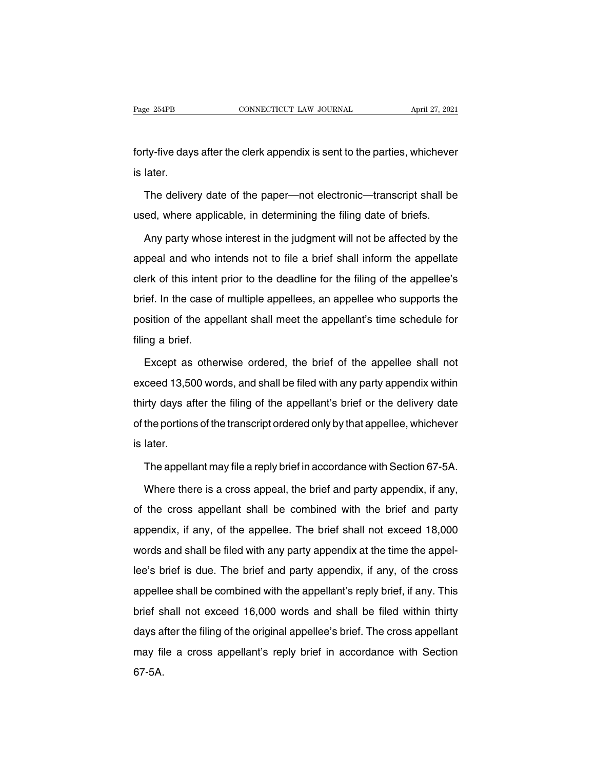Fage 254PB CONNECTICUT LAW JOURNAL April 27, 2021<br>forty-five days after the clerk appendix is sent to the parties, whichever<br>is later. Page 254PB<br>forty-five day:<br>is later.<br>The deliver

rty-five days after the clerk appendix is sent to the parties, whichever<br>later.<br>The delivery date of the paper—not electronic—transcript shall be<br>ed, where applicable, in determining the filing date of briefs. forty-five days after the clerk appendix is sent to the parties, whichever<br>is later.<br>The delivery date of the paper—not electronic—transcript shall be<br>used, where applicable, in determining the filing date of briefs.<br>Any p

later.<br>The delivery date of the paper—not electronic—transcript shall be<br>ed, where applicable, in determining the filing date of briefs.<br>Any party whose interest in the judgment will not be affected by the<br>peal and who int The delivery date of the paper—not electronic—transcript shall be<br>used, where applicable, in determining the filing date of briefs.<br>Any party whose interest in the judgment will not be affected by the<br>appeal and who intend used, where applicable, in determining the filing date of briefs.<br>Any party whose interest in the judgment will not be affected by the<br>appeal and who intends not to file a brief shall inform the appellate<br>clerk of this int Any party whose interest in the judgment will not be affected by the appeal and who intends not to file a brief shall inform the appellate clerk of this intent prior to the deadline for the filing of the appellee's brief. position of the appellant shall meet the appellant's time schedule for the appellate clerk of this intent prior to the deadline for the filing of the appellee's brief. In the case of multiple appellees, an appellee who sup depear and who is<br>clerk of this intent<br>brief. In the case of<br>position of the app<br>filing a brief.<br>Except as othe ief. In the case of multiple appellees, an appellee who supports the<br>sition of the appellant shall meet the appellant's time schedule for<br>ng a brief.<br>Except as otherwise ordered, the brief of the appellee shall not<br>ceed 13

position of the appellant shall meet the appellant's time schedule for<br>filing a brief.<br>Except as otherwise ordered, the brief of the appellee shall not<br>exceed 13,500 words, and shall be filed with any party appendix within filing a brief.<br>Except as otherwise ordered, the brief of the appellee shall not<br>exceed 13,500 words, and shall be filed with any party appendix within<br>thirty days after the filing of the appellant's brief or the delivery Except as otherwise ordered, the brief of the appellee shall not<br>exceed 13,500 words, and shall be filed with any party appendix within<br>thirty days after the filing of the appellant's brief or the delivery date<br>of the port exceed 13,50<br>exceed 13,50<br>thirty days af<br>of the portions<br>is later.<br>The appella The appellant may file a reply brief in accordance with Section 67-5A.<br>The appellant may file a reply brief in accordance with Section 67-5A.<br>Where there is a cross appeal, the brief and party appendix, if any, the portions of the transcript ordered only by that appellee, whichever<br>later.<br>The appellant may file a reply brief in accordance with Section 67-5A.<br>Where there is a cross appeal, the brief and party appendix, if any,<br>the

is later.<br>The appellant may file a reply brief in accordance with Section 67-5A.<br>Where there is a cross appeal, the brief and party appendix, if any,<br>of the cross appellant shall be combined with the brief and party<br>append The appellant may file a reply brief in accordance with Section 67-5A.<br>Where there is a cross appeal, the brief and party appendix, if any,<br>of the cross appellant shall be combined with the brief and party<br>appendix, if any The appellant may file a reply brief in accordance with Section 67-5A.<br>Where there is a cross appeal, the brief and party appendix, if any,<br>of the cross appellant shall be combined with the brief and party<br>appendix, if any Where there is a erect appear, the short and party appendix, if any,<br>of the cross appellant shall be combined with the brief and party<br>appendix, if any, of the appellee. The brief shall not exceed 18,000<br>words and shall be appendix, if any, of the appellee. The brief shall not exceed 18,000 words and shall be filed with any party appendix at the time the appellee's brief is due. The brief and party appendix, if any, of the cross appellee sha appendix, if any, or the appendix. The sher shall not exceed 16,000 words and shall be filed with any party appendix, if any, of the cross appellee shall be combined with the appellant's reply brief, if any. This brief sha dee's brief is due. The brief and party appendix, if any, of the cross<br>appellee shall be combined with the appellant's reply brief, if any. This<br>brief shall not exceed 16,000 words and shall be filed within thirty<br>days aft appellee shall be combined with the appellant's reply brief, if any. This<br>brief shall not exceed 16,000 words and shall be filed within thirty<br>days after the filing of the original appellee's brief. The cross appellant<br>may 67-5A.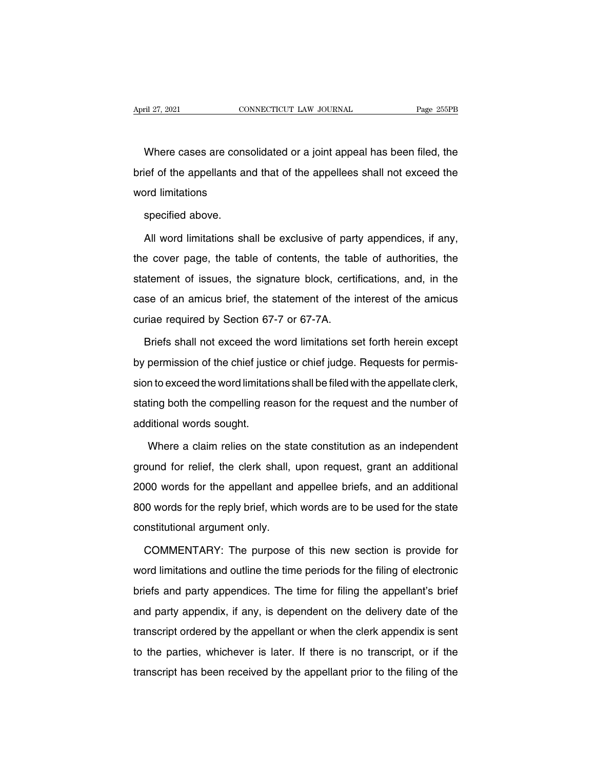Example 255PB<br>Where cases are consolidated or a joint appeal has been filed, the<br>ief of the appellants and that of the appellees shall not exceed the April 27, 2021 CONNECTICUT LAW JOURNAL Page 255PB<br>Where cases are consolidated or a joint appeal has been filed, the<br>brief of the appellants and that of the appellees shall not exceed the<br>word limitations Where cases are consomer<br>the of the appellants and<br>word limitations<br>specified above. Where cases are cons<br>ief of the appellants ar<br>ord limitations<br>specified above.<br>All word limitations sh ief of the appellants and that of the appellees shall not exceed the<br>prd limitations<br>specified above.<br>All word limitations shall be exclusive of party appendices, if any,<br>e cover page, the table of contents, the table of a

the specified above.<br>All word limitations shall be exclusive of party appendices, if any,<br>the cover page, the table of contents, the table of authorities, the<br>statement of issues, the signature block, certifications, and, specified above.<br>All word limitations shall be exclusive of party appendices, if any,<br>the cover page, the table of contents, the table of authorities, the<br>statement of issues, the signature block, certifications, and, in t All word limitations shall be exclusive of party appendices, if any,<br>the cover page, the table of contents, the table of authorities, the<br>statement of issues, the signature block, certifications, and, in the<br>case of an ami The cover page, the table of contents, the tab<br>statement of issues, the signature block, certicase of an amicus brief, the statement of the in<br>curiae required by Section 67-7 or 67-7A.<br>Briefs shall not exceed the word limi atement of issues, the signature block, certifications, and, in the<br>se of an amicus brief, the statement of the interest of the amicus<br>riae required by Section 67-7 or 67-7A.<br>Briefs shall not exceed the word limitations se

case of an amicus brief, the statement of the interest of the amicus<br>curiae required by Section 67-7 or 67-7A.<br>Briefs shall not exceed the word limitations set forth herein except<br>by permission of the chief justice or chie curiae required by Section 67-7 or 67-7A.<br>Briefs shall not exceed the word limitations set forth herein except<br>by permission of the chief justice or chief judge. Requests for permis-<br>sion to exceed the word limitations sha Briefs shall not exceed the word limitations set forth herein except<br>by permission of the chief justice or chief judge. Requests for permis-<br>sion to exceed the word limitations shall be filed with the appellate clerk,<br>stat by permission of the chief justition to exceed the word limitation<br>stating both the compelling readditional words sought.<br>Where a claim relies on the In to exceed the word limitations shall be filed with the appellate clerk,<br>ting both the compelling reason for the request and the number of<br>ditional words sought.<br>Where a claim relies on the state constitution as an indep

stating both the compelling reason for the request and the number of<br>additional words sought.<br>Where a claim relies on the state constitution as an independent<br>ground for relief, the clerk shall, upon request, grant an addi additional words sought.<br>
Where a claim relies on the state constitution as an independent<br>
ground for relief, the clerk shall, upon request, grant an additional<br>
2000 words for the appellant and appellee briefs, and an ad Where a claim relies on the state constitution as an independent<br>ground for relief, the clerk shall, upon request, grant an additional<br>2000 words for the appellant and appellee briefs, and an additional<br>800 words for the r ervice a stall relies on the staground for relief, the clerk shall, if<br>2000 words for the appellant and<br>800 words for the reply brief, which<br>constitutional argument only.<br>COMMENTARY: The purpose 00 words for the appellant and appellee briefs, and an additional<br>0 words for the reply brief, which words are to be used for the state<br>nstitutional argument only.<br>COMMENTARY: The purpose of this new section is provide for

words for the reply brief, which words are to be used for the state<br>constitutional argument only.<br>COMMENTARY: The purpose of this new section is provide for<br>word limitations and outline the time periods for the filing of e constitutional argument only.<br>
COMMENTARY: The purpose of this new section is provide for<br>
word limitations and outline the time periods for the filing of electronic<br>
briefs and party appendices. The time for filing the ap COMMENTARY: The purpose of this new section is provide for<br>word limitations and outline the time periods for the filing of electronic<br>briefs and party appendices. The time for filing the appellant's brief<br>and party appendi Word limitations and outline the time periods for the filing of electronic<br>briefs and party appendices. The time for filing the appellant's brief<br>and party appendix, if any, is dependent on the delivery date of the<br>transcr briefs and party appendices. The time periods for the liling of electronic<br>briefs and party appendix, if any, is dependent on the delivery date of the<br>transcript ordered by the appellant or when the clerk appendix is sent<br> and party appendies. The aims for ming are appendint a short<br>and party appendix, if any, is dependent on the delivery date of the<br>transcript ordered by the appellant or when the clerk appendix is sent<br>to the parties, which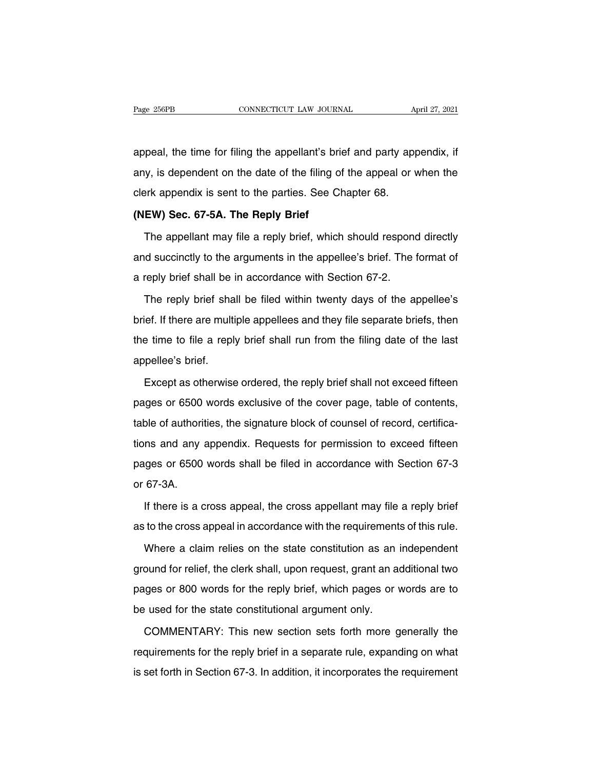Page 256PB CONNECTICUT LAW JOURNAL April 27, 2021<br>appeal, the time for filing the appellant's brief and party appendix, if<br>any, is dependent on the date of the filing of the appeal or when the Page 256PB CONNECTICUT LAW JOURNAL April 27, 2021<br>appeal, the time for filing the appellant's brief and party appendix, if<br>any, is dependent on the date of the filing of the appeal or when the<br>clerk appendix is sent to the appeal, the time for filing the appellant's brief and party ap<br>any, is dependent on the date of the filing of the appeal or<br>clerk appendix is sent to the parties. See Chapter 68.<br>(NEW) Sec. 67-5A. The Reply Brief appeal, the time for filing the appellant's bri<br>any, is dependent on the date of the filing o<br>clerk appendix is sent to the parties. See C<br>**(NEW) Sec. 67-5A. The Reply Brief**<br>The appellant may file a reply brief, which The appendent on the date of the filing of the appeal or when the<br>prk appendix is sent to the parties. See Chapter 68.<br>**EW) Sec. 67-5A. The Reply Brief**<br>The appellant may file a reply brief, which should respond directly<br>d

clerk appendix is sent to the parties. See Chapter 68.<br>
(NEW) Sec. 67-5A. The Reply Brief<br>
The appellant may file a reply brief, which should respond directly<br>
and succinctly to the arguments in the appellee's brief. The f (NEW) Sec. 67-5A. The Reply Brief<br>The appellant may file a reply brief, which should respond<br>and succinctly to the arguments in the appellee's brief. The t<br>a reply brief shall be in accordance with Section 67-2.<br>The reply The appellant may file a reply brief, which should respond directly<br>d succinctly to the arguments in the appellee's brief. The format of<br>reply brief shall be in accordance with Section 67-2.<br>The reply brief shall be filed

and succinctly to the arguments in the appellee's brief. The format of<br>a reply brief shall be in accordance with Section 67-2.<br>The reply brief shall be filed within twenty days of the appellee's<br>brief. If there are multipl the term of the time to file a reply brief shall be in accordance with Section 67-2.<br>The reply brief shall be filed within twenty days of the appellee's<br>brief. If there are multiple appellees and they file separate briefs, The reply brief sha<br>brief. If there are multi<br>the time to file a repl<br>appellee's brief.<br>Except as otherwise Except as otherwise ordered, the reply brief shall not exceed fifteen<br>get as otherwise ordered, the reply brief shall not exceed fifteen<br>ges or 6500 words exclusive of the cover page, table of contents,

the time to file a reply brief shall run from the filing date of the last<br>appellee's brief.<br>Except as otherwise ordered, the reply brief shall not exceed fifteen<br>pages or 6500 words exclusive of the cover page, table of co appellee's brief.<br>Except as otherwise ordered, the reply brief shall not exceed fifteen<br>pages or 6500 words exclusive of the cover page, table of contents,<br>table of authorities, the signature block of counsel of record, ce Except as otherwise ordered, the reply brief shall not exceed fifteen<br>pages or 6500 words exclusive of the cover page, table of contents,<br>table of authorities, the signature block of counsel of record, certifica-<br>tions and pages or 6500 words exclusive of the cover page, table of contents,<br>table of authorities, the signature block of counsel of record, certifica-<br>tions and any appendix. Requests for permission to exceed fifteen<br>pages or 6500 pages or ecce<br>table of authori<br>tions and any<br>pages or 6500<br>or 67-3A.<br>If there is a c If there is a cross appeal, the cross appellant may file a reply brief<br>there is a cross appeal, the cross appellant may file a reply brief<br>to the cross appeal in accordance with the requirements of this rule. as to the cross appeal in accordance with Section 67-3<br>ar 67-3A.<br>If there is a cross appeal, the cross appellant may file a reply brief<br>as to the cross appeal in accordance with the requirements of this rule.<br>Where a claim

67-3A.<br>If there is a cross appeal, the cross appellant may file a reply brief<br>to the cross appeal in accordance with the requirements of this rule.<br>Where a claim relies on the state constitution as an independent<br>ound for

If there is a cross appeal, the cross appellant may file a reply brief<br>as to the cross appeal in accordance with the requirements of this rule.<br>Where a claim relies on the state constitution as an independent<br>ground for re as to the cross appeal in accordance with the requirements of this rule.<br>Where a claim relies on the state constitution as an independent<br>ground for relief, the clerk shall, upon request, grant an additional two<br>pages or 8 Where a claim relies on the state constitution as an<br>ground for relief, the clerk shall, upon request, grant an a<br>pages or 800 words for the reply brief, which pages or<br>be used for the state constitutional argument only.<br>C ound for relief, the clerk shall, upon request, grant an additional two<br>ges or 800 words for the reply brief, which pages or words are to<br>used for the state constitutional argument only.<br>COMMENTARY: This new section sets f

pages or 800 words for the reply brief, which pages or words are to<br>be used for the state constitutional argument only.<br>COMMENTARY: This new section sets forth more generally the<br>requirements for the reply brief in a separ be used for the state constitutional argument only.<br>COMMENTARY: This new section sets forth more generally the<br>requirements for the reply brief in a separate rule, expanding on what<br>is set forth in Section 67-3. In additio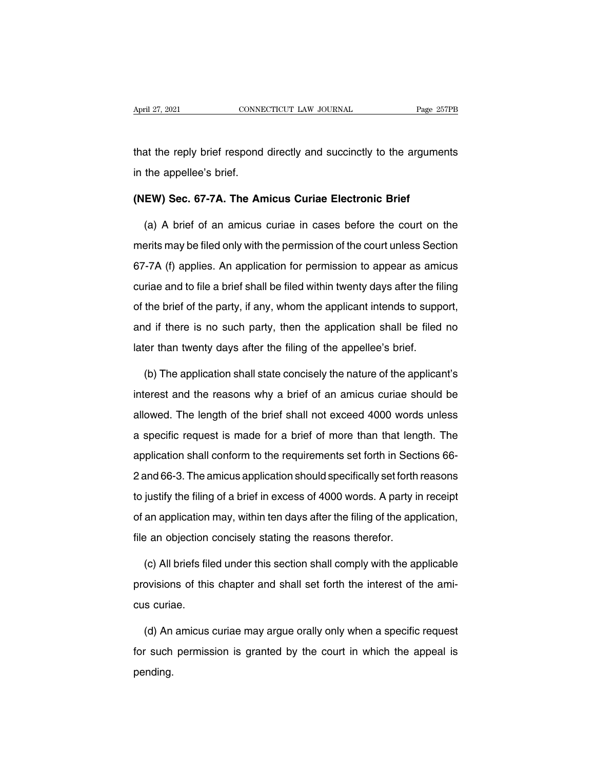April 27, 2021 CONNECTICUT LAW JOURNAL Page 257PB<br>that the reply brief respond directly and succinctly to the arguments<br>in the appellee's brief. April 27, 2021<br>
that the reply brief respond<br>
in the appellee's brief.<br>
(NEW) Sec. 67-74. The An **(NEW) Sec. 67-7A. The Amicus Curiae Electronic Brief**

(a) A brief respond directly and succinctly to the arguments<br>
the appellee's brief.<br> **EW) Sec. 67-7A. The Amicus Curiae Electronic Brief**<br>
(a) A brief of an amicus curiae in cases before the court on the<br>
erits may be file in the appellee's brief.<br>
(NEW) Sec. 67-7A. The Amicus Curiae Electronic Brief<br>
(a) A brief of an amicus curiae in cases before the court on the<br>
merits may be filed only with the permission of the court unless Section<br>
67 (NEW) Sec. 67-7A. The Amicus Curiae Electronic Brief<br>
(a) A brief of an amicus curiae in cases before the court on the<br>
merits may be filed only with the permission of the court unless Section<br>
67-7A (f) applies. An applic (a) A brief of an amicus curiae in cases before the court on the<br>merits may be filed only with the permission of the court unless Section<br>67-7A (f) applies. An application for permission to appear as amicus<br>curiae and to f (a) A shot of an amisas and an sasse some the court of the merits may be filed only with the permission of the court unless Section 67-7A (f) applies. An application for permission to appear as amicus curiae and to file a and if there is no such party, then the permission to appear as amicus<br>curiae and to file a brief shall be filed within twenty days after the filing<br>of the brief of the party, if any, whom the applicant intends to support, Later than twenty days after the filing of the application shall set that there is no such party, then the application shall be filed later than twenty days after the filing of the appellee's brief.<br>(b) The application sha the brief of the party, if any, whom the applicant intends to support,<br>
d if there is no such party, then the application shall be filed no<br>
er than twenty days after the filing of the appellee's brief.<br>
(b) The applicatio

interest and if there is no such party, then the application shall be filed no<br>later than twenty days after the filing of the appellee's brief.<br>(b) The application shall state concisely the nature of the applicant's<br>intere later than twenty days after the filing of the appellee's brief.<br>
(b) The application shall state concisely the nature of the applicant's<br>
interest and the reasons why a brief of an amicus curiae should be<br>
allowed. The le (b) The application shall state concisely the nature of the applicant's<br>interest and the reasons why a brief of an amicus curiae should be<br>allowed. The length of the brief shall not exceed 4000 words unless<br>a specific requ (c) the application shall cate conclously the hatter of the applicant c<br>interest and the reasons why a brief of an amicus curiae should be<br>allowed. The length of the brief shall not exceed 4000 words unless<br>a specific requ allowed. The length of the brief shall not exceed 4000 words unless<br>a specific request is made for a brief of more than that length. The<br>application shall conform to the requirements set forth in Sections 66-<br>2 and 66-3. T a specific request is made for a brief of more than that length. The application shall conform to the requirements set forth in Sections 66-<br>2 and 66-3. The amicus application should specifically set forth reasons to justi a opposition shall conform to the requirements set forth in Sections 66-<br>2 and 66-3. The amicus application should specifically set forth reasons<br>to justify the filing of a brief in excess of 4000 words. A party in receipt application shall conform to the requirements set forth in Sections 66-<br>2 and 66-3. The amicus application should specifically set forth reasons<br>to justify the filing of a brief in excess of 4000 words. A party in receipt<br> justify the filing of a brief in excess of 4000 words. A party in receipt<br>an application may, within ten days after the filing of the application,<br>a an objection concisely stating the reasons therefor.<br>(c) All briefs filed

of an application may, within ten days after the filing of the application,<br>file an objection concisely stating the reasons therefor.<br>(c) All briefs filed under this section shall comply with the applicable<br>provisions of t file an objection<br>
(c) All briefs file<br>
provisions of this<br>
cus curiae.<br>
(d) An amicus (c) All briefs filed under this section shall comply with the applicable<br>ovisions of this chapter and shall set forth the interest of the ami-<br>s curiae.<br>(d) An amicus curiae may argue orally only when a specific request<br>r

provisions of this chapter and shall set forth the interest of the amicus curiae.<br>
(d) An amicus curiae may argue orally only when a specific request<br>
for such permission is granted by the court in which the appeal is<br>
pen pending.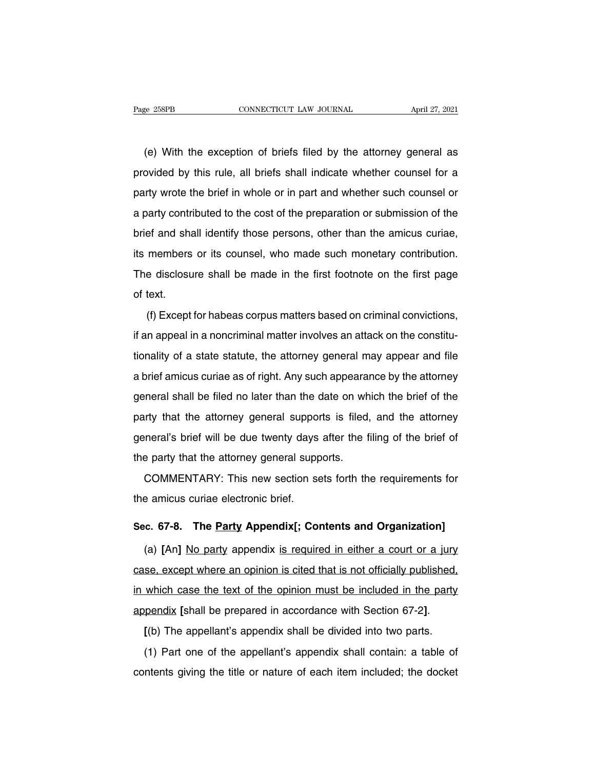EXEMBER ENGINE CONNECTICUT LAW JOURNAL April 27, 2021<br>
(e) With the exception of briefs filed by the attorney general as<br>
poided by this rule, all briefs shall indicate whether counsel for a Page 258PB CONNECTICUT LAW JOURNAL April 27, 2021<br>
(e) With the exception of briefs filed by the attorney general as<br>
provided by this rule, all briefs shall indicate whether counsel for a<br>
party wrote the brief in whole o (e) With the exception of briefs filed by the attorney general as<br>provided by this rule, all briefs shall indicate whether counsel for a<br>party wrote the brief in whole or in part and whether such counsel or<br>a party contrib (e) With the exception of briefs filed by the attorney general as<br>provided by this rule, all briefs shall indicate whether counsel for a<br>party wrote the brief in whole or in part and whether such counsel or<br>a party contrib provided by this rule, all briefs shall indicate whether counsel for a party wrote the brief in whole or in part and whether such counsel or a party contributed to the cost of the preparation or submission of the brief and party wrote the brief in whole or in part and whether such counsel or<br>a party contributed to the cost of the preparation or submission of the<br>brief and shall identify those persons, other than the amicus curiae,<br>its member party word are short in whole or in part and whencer each econocities or<br>a party contributed to the cost of the preparation or submission of the<br>brief and shall identify those persons, other than the amicus curiae,<br>its mem of the disclosure<br>its members<br>The disclosure<br>of text.<br>(f) Except (f) Except for habeas corpus matters based on criminal convictions,<br>
the first page<br>
text.<br>
(f) Except for habeas corpus matters based on criminal convictions,<br>
in appeal in a noncriminal matter involves an attack on the c

International in a noncriminal matter involves an attack on the first page<br>of text.<br>(f) Except for habeas corpus matters based on criminal convictions,<br>if an appeal in a noncriminal matter involves an attack on the constit the discreent status in the life attorney of the life page<br>of text.<br>(f) Except for habeas corpus matters based on criminal convictions,<br>if an appeal in a noncriminal matter involves an attack on the constitu-<br>tionality of (f) Except for habeas corpus matters based on criminal convictions,<br>if an appeal in a noncriminal matter involves an attack on the constitu-<br>tionality of a state statute, the attorney general may appear and file<br>a brief am If an appeal in a noncriminal matter involves an attack on the constitu-<br>tionality of a state statute, the attorney general may appear and file<br>a brief amicus curiae as of right. Any such appearance by the attorney<br>genera particularly of a state statute, the attorney general may appear and file<br>a brief amicus curiae as of right. Any such appearance by the attorney<br>general shall be filed no later than the date on which the brief of the<br>party a brief amicus curiae as of right. Any such appearance by the attorney general shall be filed no later than the date on which the brief of the party that the attorney general supports is filed, and the attorney general's b d shot alloce saids as of light. Any sach apposed<br>general shall be filed no later than the date on wh<br>party that the attorney general supports is filed,<br>general's brief will be due twenty days after the f<br>the party that th Instract shall be likely that the date off which the shot of the<br>Inty that the attorney general supports is filed, and the attorney<br>neral's brief will be due twenty days after the filing of the brief of<br>e party that the at party that the attenties general eleptron<br>general's brief will be due twenty days<br>the party that the attorney general supp<br>COMMENTARY: This new section se<br>the amicus curiae electronic brief.

the party that the attorney general supports.<br>
COMMENTARY: This new section sets forth the requirements for<br>
the amicus curiae electronic brief.<br> **Sec. 67-8. The <u>Party</u> Appendix[; Contents and Organization]**<br>
(a) [An] No

(COMMENTARY: This new section sets forth the requirements for<br>
e amicus curiae electronic brief.<br> **c. 67-8.** The <u>Party</u> Appendix [; Contents and Organization]<br>
(a) [An] <u>No party</u> appendix <u>is required in either a court o</u> the amicus curiae electronic brief.<br>Sec. 67-8. The <u>Party</u> Appendix[; Contents and Organization]<br>(a) [An] <u>No party</u> appendix <u>is required in either a court or a jury</u><br>case, except where an opinion is cited that is not off Sec. 67-8. The <u>Party</u> Appendix[; Contents and Organization]<br>
(a) [An] No party appendix is required in either a court or a jury<br>
case, except where an opinion is cited that is not officially published,<br>
in which case the (a) [An] <u>No party</u> appendix is required in either a court or a jury case, except where an opinion is cited that is not officially published, in which case the text of the opinion must be included in the party appendix [sh which case the text of the opinion must be included in the party<br>pendix [shall be prepared in accordance with Section 67-2].<br>[(b) The appellant's appendix shall be divided into two parts.<br>(1) Part one of the appellant's ap

appendix [shall be prepared in accordance with Section 67-2].<br>
[(b) The appellant's appendix shall be divided into two parts.<br>
(1) Part one of the appellant's appendix shall contain: a table of contents giving the title or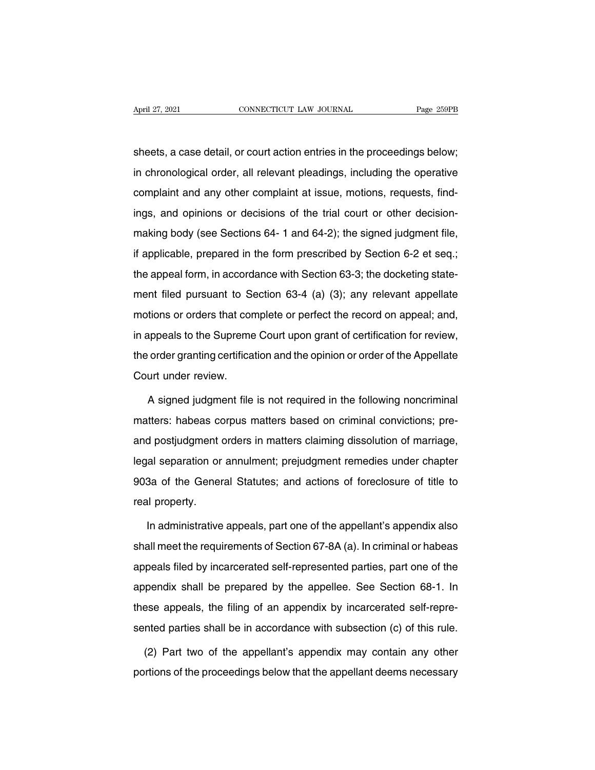April 27, 2021 CONNECTICUT LAW JOURNAL Page 259PB<br>Sheets, a case detail, or court action entries in the proceedings below;<br>in chronological order, all relevant pleadings, including the operative April 27, 2021 CONNECTICUT LAW JOURNAL Page 259PB<br>sheets, a case detail, or court action entries in the proceedings below;<br>in chronological order, all relevant pleadings, including the operative<br>complaint and any other com sheets, a case detail, or court action entries in the proceedings below;<br>in chronological order, all relevant pleadings, including the operative<br>complaint and any other complaint at issue, motions, requests, find-<br>ings, an sheets, a case detail, or court action entries in the proceedings below;<br>in chronological order, all relevant pleadings, including the operative<br>complaint and any other complaint at issue, motions, requests, find-<br>ings, an in chronological order, all relevant pleadings, including the operative<br>complaint and any other complaint at issue, motions, requests, find-<br>ings, and opinions or decisions of the trial court or other decision-<br>making body if applicable, prepared in the form prescribed by Section 6-2 et seq.;<br>the applicable, prepared in the form prescribed by Section 6-2 et seq.;<br>the appeal form, in accordance with Section 63-3; the docketing statethe appeal form, in accordance with Section 63-3; the docketing state-<br>the appeal form, in accordance with Section 63-3; the docketing state-<br>the appeal form, in accordance with Section 63-3; the docketing state-<br>ment file making body (see Sections 64- 1 and 64-2); the signed judgment file,<br>if applicable, prepared in the form prescribed by Section 6-2 et seq.;<br>the appeal form, in accordance with Section 63-3; the docketing state-<br>ment filed if applicable, prepared in the form prescribed by Section 6-2 et seq.;<br>the appeal form, in accordance with Section 63-3; the docketing state-<br>ment filed pursuant to Section 63-4 (a) (3); any relevant appellate<br>motions or in applicable, propared in the form presentied by economic 2 of edq.,<br>the appeal form, in accordance with Section 63-3; the docketing state-<br>ment filed pursuant to Section 63-4 (a) (3); any relevant appellate<br>motions or or the appear form, in association with section 63-4 (a) (3); any relevant appellate motions or orders that complete or perfect the record on appeal; and, in appeals to the Supreme Court upon grant of certification for review mom mod parodam to be<br>motions or orders that cor<br>in appeals to the Supreme<br>the order granting certifica<br>Court under review.<br>A signed judgment file A signed judgment file is not required in the following noncriminal<br>A signed judgment file is not required in the following noncriminal<br>A signed judgment file is not required in the following noncriminal<br>tters: habeas corp

the order granting certification and the opinion or order of the Appellate<br>Court under review.<br>A signed judgment file is not required in the following noncriminal<br>matters: habeas corpus matters based on criminal conviction Court under review.<br>A signed judgment file is not required in the following noncriminal<br>matters: habeas corpus matters based on criminal convictions; pre-<br>and postjudgment orders in matters claiming dissolution of marriage A signed judgment file is not required in the following noncriminal<br>matters: habeas corpus matters based on criminal convictions; pre-<br>and postjudgment orders in matters claiming dissolution of marriage,<br>legal separation o Progride Jacquinorms in the General convictions; pre-<br>and postjudgment orders in matters claiming dissolution of marriage,<br>legal separation or annulment; prejudgment remedies under chapter<br>903a of the General Statutes; and riation. Hassas oct<br>and postjudgment of<br>legal separation or<br>903a of the Gener<br>real property.<br>In administrative In administrative appeals, part one of the appellant's appendix also<br>In administrative appeals, part one of the appellant's appendix also<br>In administrative appeals, part one of the appellant's appendix also<br>In meet the req

903a of the General Statutes; and actions of foreclosure of title to<br>real property.<br>In administrative appeals, part one of the appellant's appendix also<br>shall meet the requirements of Section 67-8A (a). In criminal or habe real property.<br>
In administrative appeals, part one of the appellant's appendix also<br>
shall meet the requirements of Section 67-8A (a). In criminal or habeas<br>
appeals filed by incarcerated self-represented parties, part on In administrative appeals, part one of the appellant's appendix also<br>shall meet the requirements of Section 67-8A (a). In criminal or habeas<br>appeals filed by incarcerated self-represented parties, part one of the<br>appendix the different component of Section 67-8A (a). In criminal or habeas<br>appeals filed by incarcerated self-represented parties, part one of the<br>appendix shall be prepared by the appellee. See Section 68-1. In<br>these appeals, th appeals filed by incarcerated self-represented parties, part one of the appendix shall be prepared by the appellee. See Section 68-1. In these appeals, the filing of an appendix by incarcerated self-represented parties sh pendix shall be prepared by the appellee. See Section 68-1. In<br>see appeals, the filing of an appendix by incarcerated self-repre-<br>nted parties shall be in accordance with subsection (c) of this rule.<br>(2) Part two of the ap these appeals, the filing of an appendix by incarcerated self-repre-<br>sented parties shall be in accordance with subsection (c) of this rule.<br>(2) Part two of the appellant's appendix may contain any other<br>portions of the pr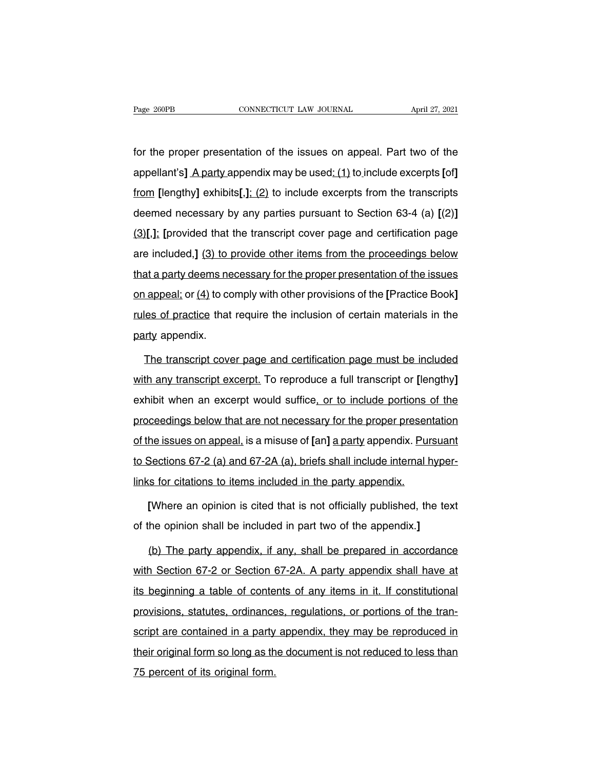Fage 260PB<br> **Example 260PB**<br>
CONNECTICUT LAW JOURNAL<br> **EXAMPLE 27, 2021**<br> **EXAMPLE 27, 2021**<br> **EXAMPLE 27, 2021**<br> **EXAMPLE 27, 2021**<br> **EXAMPLE 27, 2021**<br> **EXAMPLE 27, 2021**<br> **EXAMPLE 27, 2021**<br> **EXAMPLE 27, 2021**<br> **EXAMPLE** Fage 260PB **CONNECTICUT LAW JOURNAL** April 27, 2021<br>
for the proper presentation of the issues on appeal. Part two of the<br>
appellant's] A party appendix may be used: (1) to include excerpts [of]<br>
<u>from</u> [lengthy] exhibits[ for the proper presentation of the issues on appeal. Part two of the appellant's] A party appendix may be used: (1) to include excerpts [of] from [lengthy] exhibits[,]; (2) to include excerpts from the transcripts deemed n for the proper presentation of the issues on appeal. Part two of the<br>appellant's] A party appendix may be used: (1) to include excerpts [of]<br>from [lengthy] exhibits[,]; (2) to include excerpts from the transcripts<br>deemed n (3)**[**,1] [provided that the transcript cover page and certification page are included, [3] to provide other items from the transcripts deemed necessary by any parties pursuant to Section 63-4 (a) [(2)] [3][,1]: [provided from [lengthy] exhibits[,]; (2) to include excerpts from the transcripts<br>deemed necessary by any parties pursuant to Section 63-4 (a) [(2)]<br>(3)[,]; [provided that the transcript cover page and certification page<br>are includ deemed necessary by any parties pursuant to Section 63-4 (a)  $[(2)]$ <br>(3)[,]: [provided that the transcript cover page and certification page<br>are included,] (3) to provide other items from the proceedings below<br>that a party (3)[,]; [provided that the transcript cover page and certification page<br>are included,] (3) to provide other items from the proceedings below<br>that a party deems necessary for the proper presentation of the issues<br>on appeal are included,] (3) to provide other items from the proceedings below<br>that a party deems necessary for the proper presentation of the issues<br>on appeal; or (4) to comply with other provisions of the [Practice Book]<br>rules of that a party deems ne<br>that a party deems ne<br>on appeal; or (4) to co<br>rules of practice that<br>party appendix.<br>The transcript cove The transcript cover page and certification page must be included the any transcript cover page and certification page must be included the any transcript cover page and certification page must be included the any transcri

rules of practice that require the inclusion of certain materials in the<br>party appendix.<br>The transcript cover page and certification page must be included<br>with any transcript excerpt. To reproduce a full transcript or [len party appendix.<br>The transcript cover page and certification page must be included<br>with any transcript excerpt. To reproduce a full transcript or [lengthy]<br>exhibit when an excerpt would suffice, or to include portions of th The transcript cover page and certification page must be included<br>with any transcript excerpt. To reproduce a full transcript or [lengthy]<br>exhibit when an excerpt would suffice, or to include portions of the<br>proceedings be with any transcript excerpt. To reproduce a full transcript or [lengthy] exhibit when an excerpt would suffice, or to include portions of the proceedings below that are not necessary for the proper presentation of the issu exhibit when an excerpt would suffice, or to include portions of the proceedings below that are not necessary for the proper presentation of the issues on appeal, is a misuse of [an] a party appendix. Pursuant to Sections proceedings below that are not necessary for the proper presen<br>of the issues on appeal, is a misuse of [an] a party appendix. Pur<br>to Sections 67-2 (a) and 67-2A (a), briefs shall include internal h<br>links for citations to i he issues on appeal, is a misuse of [an] <u>a party</u> appendix. <u>Pursuant</u><br>Sections 67-2 (a) and 67-2A (a), briefs shall include internal hyper-<br>is for citations to items included in the party appendix.<br>[Where an opinion is c to Sections 67-2 (a) and 67-2A (a), briefs shall include internal hyper<br>
links for citations to items included in the party appendix.<br> **[Where an opinion is cited that is not officially published, the text**<br>
of the opinion

In the party appendix.<br>(Where an opinion is cited that is not officially published, the text<br>the opinion shall be included in part two of the appendix.]<br>(b) The party appendix, if any, shall be prepared in accordance<br>on Se [Where an opinion is cited that is not officially published, the text<br>of the opinion shall be included in part two of the appendix.]<br>(b) The party appendix, if any, shall be prepared in accordance<br>with Section 67-2 or Sect of the opinion shall be included in part two of the appendix.]<br>
(b) The party appendix, if any, shall be prepared in accordance<br>
with Section 67-2 or Section 67-2A. A party appendix shall have at<br>
its beginning a table of (b) The party appendix, if any, shall be prepared in accordance<br>with Section 67-2 or Section 67-2A. A party appendix shall have at<br>its beginning a table of contents of any items in it. If constitutional<br>provisions, statute with Section 67-2 or Section 67-2A. A party appendix shall have at<br>its beginning a table of contents of any items in it. If constitutional<br>provisions, statutes, ordinances, regulations, or portions of the tran-<br>script are the beginning a table of contents of any items in it. If constitutional<br>provisions, statutes, ordinances, regulations, or portions of the tran-<br>script are contained in a party appendix, they may be reproduced in<br>their orig ally beginning a table of bottle<br>provisions, statutes, ordinance<br>script are contained in a party<br>their original form so long as the<br>75 percent of its original form.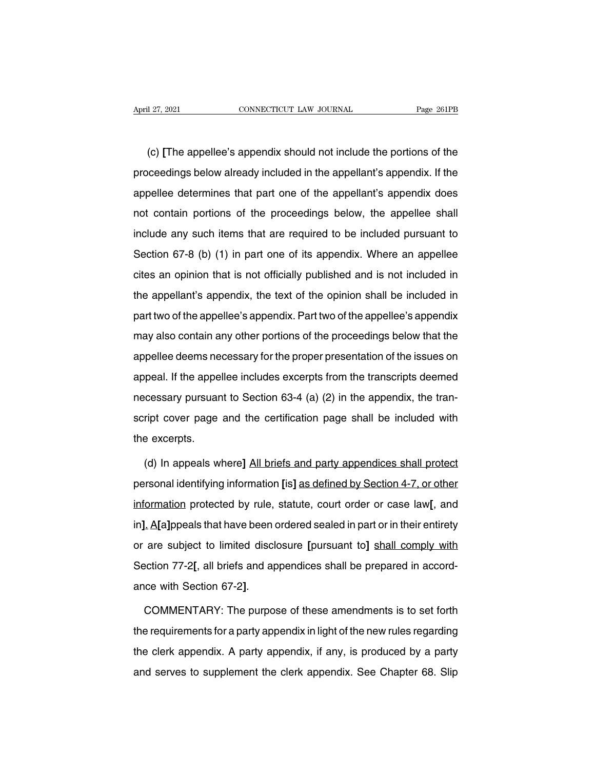(c) **[The appellee's appendix should not include the portions of the**<br>Comment of the appellee's appendix should not include the portions of the<br>Comment of the sceedings below already included in the appellant's appendix. I April 27, 2021 CONNECTICUT LAW JOURNAL Page 261PB<br>
(c) [The appellee's appendix should not include the portions of the<br>
proceedings below already included in the appellant's appendix. If the<br>
appellee determines that part (c) [The appellee's appendix should not include the portions of the proceedings below already included in the appellant's appendix. If the appellee determines that part one of the appellant's appendix does not contain port (c) [The appellee's appendix should not include the portions of the proceedings below already included in the appellant's appendix. If the appellee determines that part one of the appellant's appendix does not contain port proceedings below already included in the appellant's appendix. If the appellee determines that part one of the appellant's appendix does not contain portions of the proceedings below, the appellee shall include any such i appellee determines that part one of the appellant's appendix does<br>not contain portions of the proceedings below, the appellee shall<br>include any such items that are required to be included pursuant to<br>Section 67-8 (b) (1) not contain portions of the proceedings below, the appellee shall<br>include any such items that are required to be included pursuant to<br>Section 67-8 (b) (1) in part one of its appendix. Where an appellee<br>cites an opinion tha include any such items that are required to be included pursuant to<br>Section 67-8 (b) (1) in part one of its appendix. Where an appellee<br>cites an opinion that is not officially published and is not included in<br>the appellant Section 67-8 (b) (1) in part one of its appendix. Where an appellee<br>cites an opinion that is not officially published and is not included in<br>the appellant's appendix, the text of the opinion shall be included in<br>part two o cites an opinion that is not officially published and is not included in<br>the appellant's appendix, the text of the opinion shall be included in<br>part two of the appellee's appendix. Part two of the appellee's appendix<br>may the appellant's appendix, the text of the opinion shall be included in<br>part two of the appellee's appendix. Part two of the appellee's appendix<br>may also contain any other portions of the proceedings below that the<br>appellee and two of the appellee's appendix. Part two of the appellee's appendix<br>may also contain any other portions of the proceedings below that the<br>appellee deems necessary for the proper presentation of the issues on<br>appeal. If part two of the appellee's appendix. Part two of the appellee's appendix<br>may also contain any other portions of the proceedings below that the<br>appellee deems necessary for the proper presentation of the issues on<br>appeal. I script cover page and the certification page shall be included with the excerpts.<br>The certification of the issues on appeal. If the appellee includes excerpts from the transcripts deemed<br>necessary pursuant to Section 63-4 appeal. If the appe<br>necessary pursuar<br>script cover page<br>the excerpts.<br>(d) In appeals w reessary pursuant to Section 63-4 (a) (2) in the appendix, the tran-<br>
ript cover page and the certification page shall be included with<br>
a excerpts.<br>
(d) In appeals where] All briefs and party appendices shall protect<br>
rso

script cover page and the certification page shall be included with<br>the excerpts.<br>(d) In appeals where] All briefs and party appendices shall protect<br>personal identifying information [is] as defined by Section 4-7, or othe the excerpts.<br>
(d) In appeals where] <u>All briefs and party appendices shall protect</u><br>
personal identifying information [is] <u>as defined by Section 4-7, or other</u><br>
information protected by rule, statute, court order or case (d) In appeals where] <u>All briefs and party appendices shall protect</u><br>personal identifying information [is] <u>as defined by Section 4-7, or other</u><br>information protected by rule, statute, court order or case law[, and<br>in]. A personal identifying information [is] as defined by Section 4-7, or other<br>information protected by rule, statute, court order or case law[, and<br>in]. A[a]ppeals that have been ordered sealed in part or in their entirety<br>or personal identifying information [is] as defined by Section 4-7, or other information protected by rule, statute, court order or case law[, and in]. A[a]ppeals that have been ordered sealed in part or in their entirety or in]. A[a]ppeals that have been ordered sealed in part or in their entirety<br>or are subject to limited disclosure [pursuant to] shall comply with<br>Section 77-2[, all briefs and appendices shall be prepared in accord-<br>ance wit

Section 77-2[, all briefs and appendices shall be prepared in accord-<br>ance with Section 67-2].<br>COMMENTARY: The purpose of these amendments is to set forth<br>the requirements for a party appendix in light of the new rules reg ance with Section 67-2].<br>COMMENTARY: The purpose of these amendments is to set forth<br>the requirements for a party appendix in light of the new rules regarding<br>the clerk appendix. A party appendix, if any, is produced by a COMMENTARY: The purpose of these amendments is to set forth<br>the requirements for a party appendix in light of the new rules regarding<br>the clerk appendix. A party appendix, if any, is produced by a party<br>and serves to suppl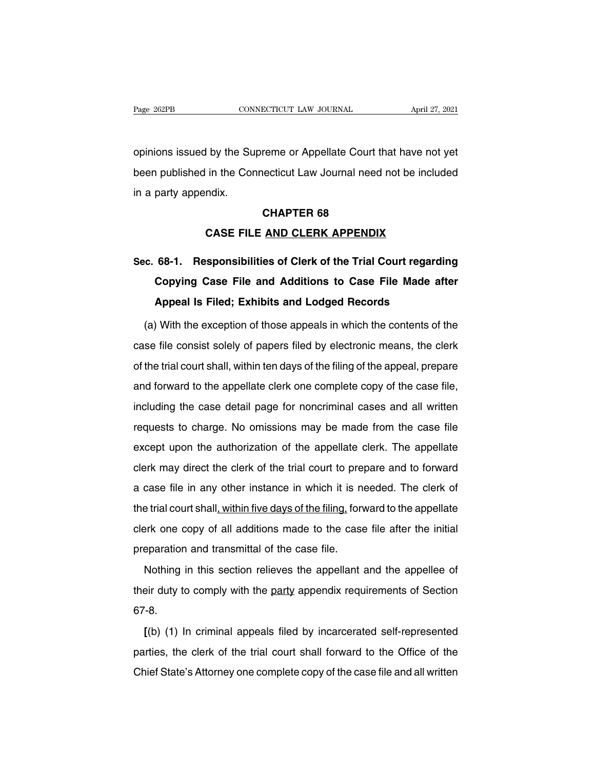Page 262PB CONNECTICUT LAW JOURNAL April 27, 2021<br>
opinions issued by the Supreme or Appellate Court that have not yet<br>
been published in the Connecticut Law Journal need not be included Page 262PB CONNECTICUT LAW JOURNAL April 27, 2021<br>opinions issued by the Supreme or Appellate Court that have not yet<br>been published in the Connecticut Law Journal need not be included<br>in a party appendix. in a party appendix.<br>In a party appendix.<br>In a party appendix. reme or Appellate Court t<br>| ecticut Law Journal need<br>**CHAPTER 68**<br>| AND CLERK APPENDI In the Connecticut Law Journal need not be include<br>
In the Connecticut Law Journal need not be include<br> **CASE FILE <u>AND CLERK APPENDIX</u>**<br> **CASE FILE <u>AND CLERK APPENDIX</u>** 

## **SEC. 68-1. Responsibilities of Clerk of the Trial Court regarding<br>
CASE FILE AND CLERK APPENDIX<br>
Sec. 68-1. Responsibilities of Clerk of the Trial Court regarding<br>
Copying Case File and Additions to Case File Made after CHAPTER 68<br>
CASE FILE <u>AND CLERK APPENDIX</u><br>
68-1. Responsibilities of Clerk of the Trial Court regarding<br>
Copying Case File and Additions to Case File Made after<br>
Appeal Is Filed; Exhibits and Lodged Records CASE FILE <u>AND CLERK APPENDIX</u><br>68-1. Responsibilities of Clerk of the Trial Court regardi<br>Copying Case File and Additions to Case File Made af<br>Appeal Is Filed; Exhibits and Lodged Records<br>With the exception of those appea** (a) With the exception of the exception of the Erial Court regarding<br>
(a) With the exception of those appeals in which the contents of the<br>
se file consist solely of papers filed by electronic means, the clerk

Copying Case File and Additions to Case File Made after<br>Appeal Is Filed; Exhibits and Lodged Records<br>(a) With the exception of those appeals in which the contents of the<br>case file consist solely of papers filed by electron **Appeal Is Filed; Exhibits and Lodged Records**<br>(a) With the exception of those appeals in which the contents of the<br>case file consist solely of papers filed by electronic means, the clerk<br>of the trial court shall, within t (a) With the exception of those appeals in which the contents of the case file consist solely of papers filed by electronic means, the clerk of the trial court shall, within ten days of the filing of the appeal, prepare an (a) What are exception of ancient end which are contended at the case file consist solely of papers filed by electronic means, the clerk<br>of the trial court shall, within ten days of the filing of the appeal, prepare<br>and fo of the trial court shall, within ten days of the filing of the appeal, prepare<br>and forward to the appellate clerk one complete copy of the case file,<br>including the case detail page for noncriminal cases and all written<br>req except upon the authorization of the complete copy of the case file,<br>including the case detail page for noncriminal cases and all written<br>requests to charge. No omissions may be made from the case file<br>except upon the auth including the case detail page for noncriminal cases and all written<br>requests to charge. No omissions may be made from the case file<br>except upon the authorization of the appellate clerk. The appellate<br>clerk may direct the requests to charge. No omissions may be made from the case file<br>except upon the authorization of the appellate clerk. The appellate<br>clerk may direct the clerk of the trial court to prepare and to forward<br>a case file in any the trial court shall, within five days of the filing, forward to forward a case file in any other instance in which it is needed. The clerk of the trial court shall, within five days of the filing, forward to the appellat clerk may direct the clerk of the trial court to prepare and to forward<br>a case file in any other instance in which it is needed. The clerk of<br>the trial court shall, within five days of the filing, forward to the appellate<br> a case file in any other instance in which it is not<br>the trial court shall, within five days of the filing, forw<br>clerk one copy of all additions made to the case<br>preparation and transmittal of the case file.<br>Nothing in thi e trial court shall, within five days of the filing, forward to the appellate<br>erk one copy of all additions made to the case file after the initial<br>eparation and transmittal of the case file.<br>Nothing in this section reliev

the that coartentally minimized day of the limiting, formated to the appendite clerk one copy of all additions made to the case file after the initial preparation and transmittal of the case file.<br>Nothing in this section r 67-8. Nothing in this section relieves the appellant and the appellee of<br>
eir duty to comply with the party appendix requirements of Section<br>
<sup>7</sup>-8.<br>
[(b) (1) In criminal appeals filed by incarcerated self-represented<br>
rities, t

particularly in this section fonction the epponant and the appends of<br>their duty to comply with the party appendix requirements of Section<br>67-8.<br>(b) (1) In criminal appeals filed by incarcerated self-represented<br>parties, t Chief State's Attorney one complete copy of the case file and all written<br>Chief State's Attorney one complete copy of the case file and all written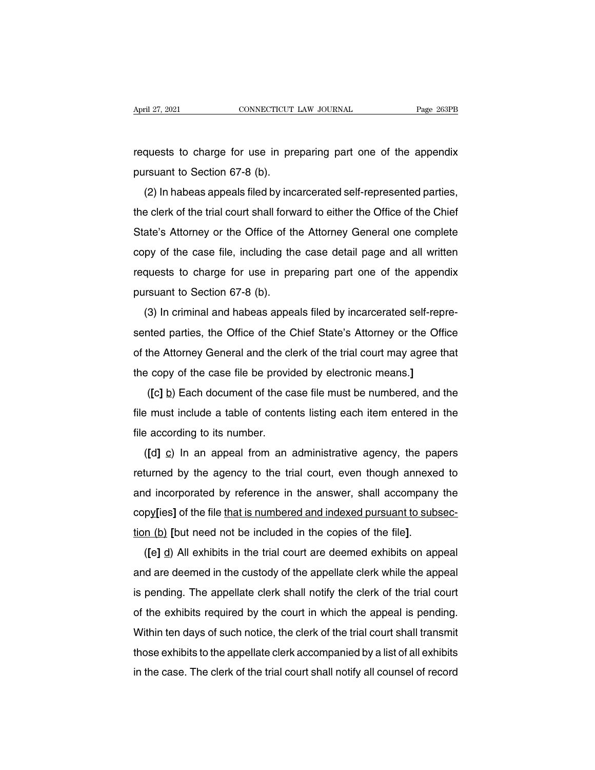April 27, 2021 CONNECTICUT LAW JOURNAL Page 263PB<br>requests to charge for use in preparing part one of the appendix<br>pursuant to Section 67-8 (b). April 27, 2021<br>
cONNECTICUT<br>
requests to charge for use in pre<br>
pursuant to Section 67-8 (b).<br>
(2) In habeas appeals filed by inc

quests to charge for use in preparing part one of the appendix<br>
In habeas appeals filed by incarcerated self-represented parties,<br>
Exercise of the trial court shall forward to either the Office of the Chief the clerk of the charge for use in preparing part one of the appendix<br>pursuant to Section 67-8 (b).<br>(2) In habeas appeals filed by incarcerated self-represented parties,<br>the clerk of the trial court shall forward to either pursuant to Section 67-8 (b).<br>
(2) In habeas appeals filed by incarcerated self-represented parties,<br>
the clerk of the trial court shall forward to either the Office of the Chief<br>
State's Attorney or the Office of the Atto pursuant to dection 07-0 (b).<br>
(2) In habeas appeals filed by incarcerated self-represented parties,<br>
the clerk of the trial court shall forward to either the Office of the Chief<br>
State's Attorney or the Office of the Atto ( $\angle$ ) in inabeas appears fired by incarcerated sen-represented parties,<br>the clerk of the trial court shall forward to either the Office of the Chief<br>State's Attorney or the Office of the Attorney General one complete<br>cop State's Attorney or the Office of the court shall low.<br>State's Attorney or the Office of the copy of the case file, including the requests to charge for use in prepursuant to Section 67-8 (b).<br>(3) In criminal and habeas ap (3) In criminal and habeas appeals filed by incarcerated self-repre-<br>(3) In criminal and habeas appeals filed by incarcerated self-repre-<br>nted parties, the Office of the Chief State's Attorney or the Office

sented parties, including the case detail page and all whiten<br>requests to charge for use in preparing part one of the appendix<br>pursuant to Section 67-8 (b).<br>(3) In criminal and habeas appeals filed by incarcerated self-rep pursuant to Section 67-8 (b).<br>
(3) In criminal and habeas appeals filed by incarcerated self-repre-<br>
sented parties, the Office of the Chief State's Attorney or the Office<br>
of the Attorney General and the clerk of the tria pursuant to Section 67-8 (b).<br>
(3) In criminal and habeas appeals filed by incarcerated self-repre-<br>
sented parties, the Office of the Chief State's Attorney or the Office<br>
of the Attorney General and the clerk of the tria (**c**) In chinimal and nabeas appears lied by incarcenated sen-repre-<br>
thed parties, the Office of the Chief State's Attorney or the Office<br>
the Attorney General and the clerk of the trial court may agree that<br>  $\log$  copy o

of the Attorney General and the clerk of the trial court may agree that<br>the copy of the case file be provided by electronic means.]<br>([c] <u>b</u>) Each document of the case file must be numbered, and the<br>file must include a tab the copy of the case file be providence the copy of the case file be provident of the case file must include a table of contentile according to its number.<br>([d]  $\Omega$ ) In an appeal from an ( $[c]$  <u>b</u>) Each document of the case file must be numbered, and the  $e$  must include a table of contents listing each item entered in the  $e$  according to its number.<br>( $[d]$   $\underline{c}$ ) In an appeal from an administrative ag

returned by the agency to the trial court, even though annexed to and incorporated by reference in the answer, shall accompany the and incorporated by reference in the answer, shall accompany the file according to its number.<br>
([d] c) In an appeal from an administrative agency, the papers<br>
returned by the agency to the trial court, even though annexed to<br>
and incorporated by reference in the answer, shall accompany ( $[d]$   $\subseteq$ ) In an appeal from an administrative agency, the papers returned by the agency to the trial court, even though annexed to and incorporated by reference in the answer, shall accompany the copy[ies] of the file t ( $\mu$ g) in an appear notifiant administrative agency, the papers<br>returned by the agency to the trial court, even though annexed to<br>and incorporated by reference in the answer, shall accompany the<br>copy[ies] of the file tha

and incorporated by reference in the answer, shall accompany the<br>copy[ies] of the file that is numbered and indexed pursuant to subsec-<br>tion (b) [but need not be included in the copies of the file].<br>([e] d) All exhibits in copyres] of the first is hambered and indexed parsuant to subsection (b) [but need not be included in the copies of the file].<br>([e] d) All exhibits in the trial court are deemed exhibits on appeal<br>and are deemed in the cus ([e]  $d$ ) All exhibits in the trial court are deemed exhibits on appeal<br>and are deemed in the custody of the appellate clerk while the appeal<br>is pending. The appellate clerk shall notify the clerk of the trial court<br>of th (Let  $\alpha$ ) All exhibits in the that coult are deelified exhibits on appear<br>and are deemed in the custody of the appellate clerk while the appeal<br>is pending. The appellate clerk shall notify the clerk of the trial court<br>of and are deemed in the custody of the appenate clerk while the appear<br>is pending. The appellate clerk shall notify the clerk of the trial court<br>of the exhibits required by the court in which the appeal is pending.<br>Within te is periomig. The appenate clerk shall notify the clerk of the trial court<br>of the exhibits required by the court in which the appeal is pending.<br>Within ten days of such notice, the clerk of the trial court shall transmit<br>th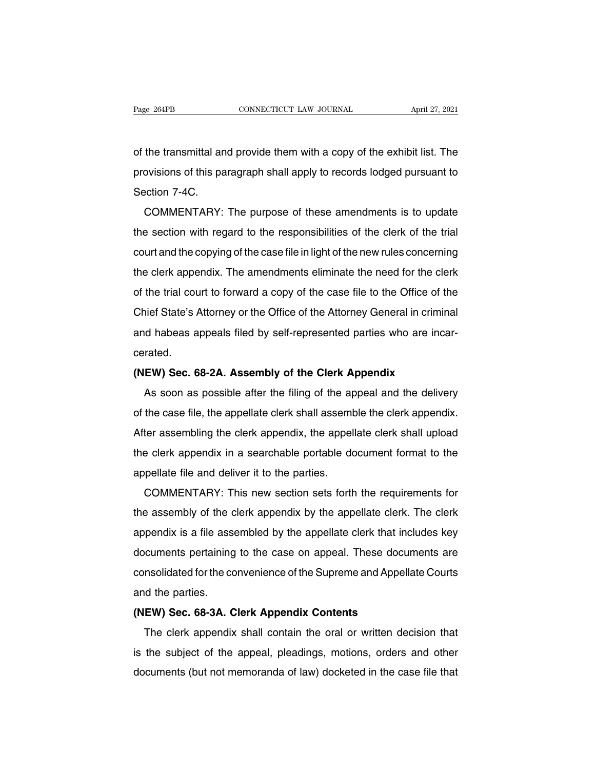Page 264PB CONNECTICUT LAW JOURNAL April 27, 2021<br>
of the transmittal and provide them with a copy of the exhibit list. The<br>
provisions of this paragraph shall apply to records lodged pursuant to Page 264PB CONNECTICUT LAW JOURNAL April 27, 2021<br>of the transmittal and provide them with a copy of the exhibit list. The<br>provisions of this paragraph shall apply to records lodged pursuant to<br>Section 7-4C. of the transmittal ar<br>provisions of this pa<br>Section 7-4C.<br>COMMENTARY: the transmittal and provide them with a copy of the exhibit list. The<br>ovisions of this paragraph shall apply to records lodged pursuant to<br>ection 7-4C.<br>COMMENTARY: The purpose of these amendments is to update<br>a section wit

the section of this paragraph shall apply to records lodged pursuant to<br>Section 7-4C.<br>COMMENTARY: The purpose of these amendments is to update<br>the section with regard to the responsibilities of the clerk of the trial<br>court Section 7-4C.<br>COMMENTARY: The purpose of these amendments is to update<br>the section with regard to the responsibilities of the clerk of the trial<br>court and the copying of the case file in light of the new rules concerning<br>t COMMENTARY: The purpose of these amendments is to update<br>the section with regard to the responsibilities of the clerk of the trial<br>court and the copying of the case file in light of the new rules concerning<br>the clerk appen of the section with regard to the responsibilities of the clerk of the trial<br>court and the copying of the case file in light of the new rules concerning<br>the clerk appendix. The amendments eliminate the need for the clerk<br>o The section with regard to the responsibilities of the clerk of the that<br>court and the copying of the case file in light of the new rules concerning<br>the clerk appendix. The amendments eliminate the need for the clerk<br>of th dout and the copying of the case the imight of the riew rules concerning<br>the clerk appendix. The amendments eliminate the need for the clerk<br>of the trial court to forward a copy of the case file to the Office of the<br>Chief cerated. Chief State's Attorney or the Office of the Attorney General in crimin<br>and habeas appeals filed by self-represented parties who are inca<br>cerated.<br>**(NEW) Sec. 68-2A. Assembly of the Clerk Appendix**<br>As soon as possible after The State is Attorney of the Office of the Attorney General in chinimated.<br>
As soon as possible after the filing of the appeal and the delivery<br>
the case file, the appellate clerk shall assemble the clerk appendix.

of the case file, the appellate clerk in appellate clerk incarrelated.<br>
(NEW) Sec. 68-2A. Assembly of the Clerk Appendix.<br>
As soon as possible after the filing of the appeal and the delivery<br>
of the case file, the appellat (NEW) Sec. 68-2A. Assembly of the Clerk Appendix<br>As soon as possible after the filing of the appeal and the delivery<br>of the case file, the appellate clerk shall assemble the clerk appendix.<br>After assembling the clerk appen As soon as possible after the filing of the appeal and the delivery<br>of the case file, the appellate clerk shall assemble the clerk appendix.<br>After assembling the clerk appendix, the appellate clerk shall upload<br>the clerk a As soon as possible area the hing of the appel<br>of the case file, the appellate clerk shall assemt<br>After assembling the clerk appendix, the appel<br>the clerk appendix in a searchable portable do<br>appellate file and deliver it the case hie, the appenate clerk shall assemble the clerk appendix.<br>
ter assembling the clerk appendix, the appellate clerk shall upload<br>
e clerk appendix in a searchable portable document format to the<br>
pellate file and d

After assembing the clerk appendix, the appendie clerk shall upload<br>the clerk appendix in a searchable portable document format to the<br>appellate file and deliver it to the parties.<br>COMMENTARY: This new section sets forth t appellate file and deliver it to the parties.<br>COMMENTARY: This new section sets forth the requirements for<br>the assembly of the clerk appendix by the appellate clerk. The clerk<br>appendix is a file assembled by the appellate appenate the and deliver it to the parties.<br>COMMENTARY: This new section sets forth the requirements for<br>the assembly of the clerk appendix by the appellate clerk. The clerk<br>appendix is a file assembled by the appellate cl commentant. This new section sets form the requirements for<br>the assembly of the clerk appendix by the appellate clerk. The clerk<br>appendix is a file assembled by the appellate clerk that includes key<br>documents pertaining to and assembly of the dependix is a file assembly of the components pertaining<br>documents pertaining<br>consolidated for the co<br>and the parties.<br>(NEW) Sec. 68-3A. C documents pertaining to the case on appendie clerk that included documents pertaining to the case on appeal. These docum<br>consolidated for the convenience of the Supreme and Appelland the parties.<br>**(NEW) Sec. 68-3A. Clerk A** The clerk appendix and the convenience of the Supreme and Appellate Courts<br>d the parties.<br>**EW) Sec. 68-3A. Clerk Appendix Contents**<br>The clerk appendix shall contain the oral or written decision that<br>the subject of the appe

consolidated for the convenience of the supreme and Appenate Courts<br>and the parties.<br>(NEW) Sec. 68-3A. Clerk Appendix Contents<br>The clerk appendix shall contain the oral or written decision that<br>is the subject of the appeal and the parties.<br>
(NEW) Sec. 68-3A. Clerk Appendix Contents<br>
The clerk appendix shall contain the oral or written decision that<br>
is the subject of the appeal, pleadings, motions, orders and other<br>
documents (but not memora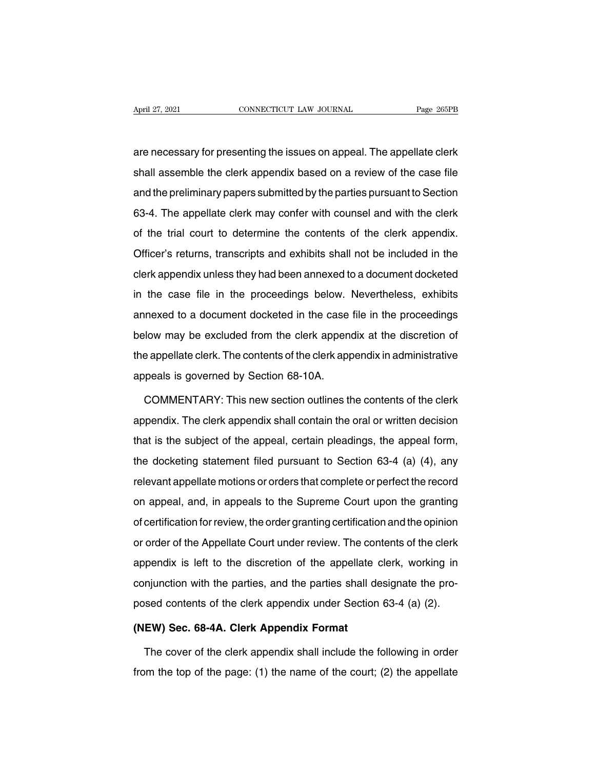April 27, 2021 CONNECTICUT LAW JOURNAL Page 265PB<br>are necessary for presenting the issues on appeal. The appellate clerk<br>shall assemble the clerk appendix based on a review of the case file April 27, 2021 CONNECTICUT LAW JOURNAL Page 265PB<br>are necessary for presenting the issues on appeal. The appellate clerk<br>shall assemble the clerk appendix based on a review of the case file<br>and the preliminary papers submi are necessary for presenting the issues on appeal. The appellate clerk<br>shall assemble the clerk appendix based on a review of the case file<br>and the preliminary papers submitted by the parties pursuant to Section<br>63-4. The are necessary for presenting the issues on appeal. The appellate clerk<br>shall assemble the clerk appendix based on a review of the case file<br>and the preliminary papers submitted by the parties pursuant to Section<br>63-4. The are necessed y or presoning are issued on a review of the case file<br>shall assemble the clerk appendix based on a review of the case file<br>and the preliminary papers submitted by the parties pursuant to Section<br>63-4. The app and the preliminary papers submitted by the parties pursuant to Section<br>63-4. The appellate clerk may confer with counsel and with the clerk<br>of the trial court to determine the contents of the clerk appendix.<br>Officer's ret 63-4. The appellate clerk may confer with counsel and with the clerk<br>of the trial court to determine the contents of the clerk appendix.<br>Officer's returns, transcripts and exhibits shall not be included in the<br>clerk append of the trial court to determine the contents of the clerk appendix.<br>Officer's returns, transcripts and exhibits shall not be included in the<br>clerk appendix unless they had been annexed to a document docketed<br>in the case fi Officer's returns, transcripts and exhibits shall not be included in the clerk appendix unless they had been annexed to a document docketed in the case file in the proceedings below. Nevertheless, exhibits annexed to a doc below may be excluded from the clerk appendix in the case file in the proceedings below. Nevertheless, exhibits annexed to a document docketed in the case file in the proceedings below may be excluded from the clerk append In the case file in the proceedings below. Nevertheless, exhibits<br>annexed to a document docketed in the case file in the proceedings<br>below may be excluded from the clerk appendix at the discretion of<br>the appellate clerk. T annexed to a document docketed in the case<br>below may be excluded from the clerk appen<br>the appellate clerk. The contents of the clerk app<br>appeals is governed by Section 68-10A.<br>COMMENTARY: This new section outlines the Frank of the clerk appendix at the discretion of<br>
dependiate clerk. The contents of the clerk appendix in administrative<br>
peals is governed by Section 68-10A.<br>
COMMENTARY: This new section outlines the contents of the cler

the appellate clerk. The contents of the clerk appendix in administrative<br>appeals is governed by Section 68-10A.<br>COMMENTARY: This new section outlines the contents of the clerk<br>appendix. The clerk appendix shall contain th appeals is governed by Section 68-10A.<br>COMMENTARY: This new section outlines the contents of the clerk<br>appendix. The clerk appendix shall contain the oral or written decision<br>that is the subject of the appeal, certain plea COMMENTARY: This new section outlines the contents of the clerk<br>appendix. The clerk appendix shall contain the oral or written decision<br>that is the subject of the appeal, certain pleadings, the appeal form,<br>the docketing s Example and it. The clerk appendix shall contain the oral or written decision<br>that is the subject of the appeal, certain pleadings, the appeal form,<br>the docketing statement filed pursuant to Section 63-4 (a) (4), any<br>relev that is the subject of the appeal, certain pleadings, the appeal form,<br>the docketing statement filed pursuant to Section 63-4 (a) (4), any<br>relevant appellate motions or orders that complete or perfect the record<br>on appeal, the docketing statement filed pursuant to Section 63-4 (a) (4), any<br>relevant appellate motions or orders that complete or perfect the record<br>on appeal, and, in appeals to the Supreme Court upon the granting<br>of certificatio relevant appellate motions or orders that complete or perfect the record<br>on appeal, and, in appeals to the Supreme Court upon the granting<br>of certification for review, the order granting certification and the opinion<br>or o appendix is left to the discretion of the appellate clerk appendix is left to the discretion of the appellate Court under review. The contents of the clerk appendix is left to the discretion of the appellate clerk, working of dertification for review, the order granting certification and the opinion<br>or order of the Appellate Court under review. The contents of the clerk<br>appendix is left to the discretion of the appellate clerk, working in<br>co or octainsation of fortew, the class graming commentation and the opinion<br>or order of the Appellate Court under review. The contents of the clerk<br>appendix is left to the discretion of the appellate clerk, working in<br>conjun appendix is left to the discretion of the appellate original deposed contents of the clerk appendix under Section<br>(NEW) Sec. 68-4A. Clerk Appendix Format<br>The cover of the clerk appendix shall include the f miunction with the parties, and the parties shall designate the pro-<br>sed contents of the clerk appendix under Section 63-4 (a) (2).<br>**EW) Sec. 68-4A. Clerk Appendix Format**<br>The cover of the clerk appendix shall include the

posed contents of the clerk appendix under Section 63-4 (a) (2).<br>
(NEW) Sec. 68-4A. Clerk Appendix Format<br>
The cover of the clerk appendix shall include the following in order<br>
from the top of the page: (1) the name of the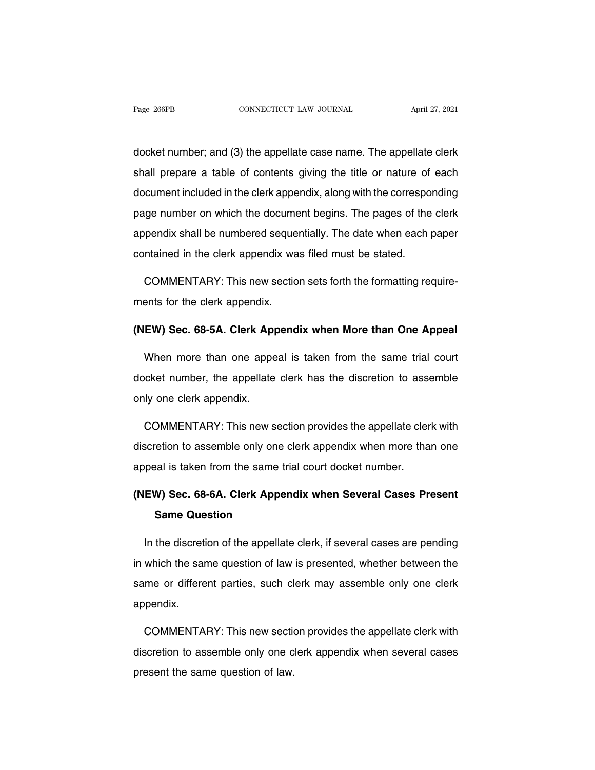Page 266PB CONNECTICUT LAW JOURNAL April 27, 2021<br>docket number; and (3) the appellate case name. The appellate clerk<br>shall prepare a table of contents giving the title or nature of each Fage 266PB CONNECTICUT LAW JOURNAL April 27, 2021<br>docket number; and (3) the appellate case name. The appellate clerk<br>shall prepare a table of contents giving the title or nature of each<br>document included in the clerk appe docket number; and (3) the appellate case name. The appellate clerk<br>shall prepare a table of contents giving the title or nature of each<br>document included in the clerk appendix, along with the corresponding<br>page number on docket number; and (3) the appellate case name. The appellate clerk<br>shall prepare a table of contents giving the title or nature of each<br>document included in the clerk appendix, along with the corresponding<br>page number on shall prepare a table of contents giving the title or nature of each document included in the clerk appendix, along with the corresponding page number on which the document begins. The pages of the clerk appendix shall be document included in the clerk appendix, along with the correspo<br>page number on which the document begins. The pages of the<br>appendix shall be numbered sequentially. The date when each p<br>contained in the clerk appendix was ge number on which the document begins. The pages of the clerk<br>pendix shall be numbered sequentially. The date when each paper<br>ntained in the clerk appendix was filed must be stated.<br>COMMENTARY: This new section sets forth appendix shall be numbered seque<br>contained in the clerk appendix wa<br>COMMENTARY: This new sectio<br>ments for the clerk appendix.

contained in the clerk appendix was filed must be stated.<br> **COMMENTARY:** This new section sets forth the formatting require-<br>
ments for the clerk Appendix appendix when More than One Appeal<br>
Mhon mere than one appeal is te

COMMENTARY: This new section sets forth the formatting require-<br>ents for the clerk appendix.<br>**EW) Sec. 68-5A. Clerk Appendix when More than One Appeal**<br>When more than one appeal is taken from the same trial court<br>cket numb ments for the clerk appendix.<br>
(NEW) Sec. 68-5A. Clerk Appendix when More than One Appeal<br>
When more than one appeal is taken from the same trial court<br>
docket number, the appellate clerk has the discretion to assemble<br>
on (NEW) Sec. 68-5A. Clerk App<br>When more than one appe<br>docket number, the appellate<br>only one clerk appendix. When more than one appeal is taken from the same trial court<br>cket number, the appellate clerk has the discretion to assemble<br>ly one clerk appendix.<br>COMMENTARY: This new section provides the appellate clerk with<br>scretion to

docket number, the appellate clerk has the discretion to assemble<br>only one clerk appendix.<br>COMMENTARY: This new section provides the appellate clerk with<br>discretion to assemble only one clerk appendix when more than one<br>ap only one clerk appendix.<br>
COMMENTARY: This new section provides the appellate cler<br>
discretion to assemble only one clerk appendix when more tha<br>
appeal is taken from the same trial court docket number.<br>
(NEW) See 58.50. C COMMENTARY: This new section provides the appellate clerk with<br>discretion to assemble only one clerk appendix when more than one<br>appeal is taken from the same trial court docket number.<br>(NEW) Sec. 68-6A. Clerk Appendix whe Fredion to assemble only one compared is taken from the same tries<br> **Same Question**<br>
Same Question<br>
The discretion of the annellate

peal is taken from the same trial court docket number.<br> **EW) Sec. 68-6A. Clerk Appendix when Several Cases Present**<br> **Same Question**<br>
In the discretion of the appellate clerk, if several cases are pending<br>
which the same q (NEW) Sec. 68-6A. Clerk Appendix when Several Cases Present<br>Same Question<br>In the discretion of the appellate clerk, if several cases are pending<br>in which the same question of law is presented, whether between the<br>same or d Same Question<br>In the discretion of the appellate clerk, if several cases are pending<br>in which the same question of law is presented, whether between the<br>same or different parties, such clerk may assemble only one clerk<br>app appendix. which the same question of law is presented, whether between the<br>me or different parties, such clerk may assemble only one clerk<br>pendix.<br>COMMENTARY: This new section provides the appellate clerk with<br>scretion to assemble o

same or different parties, such clerk may assemble only one clerk<br>appendix.<br>COMMENTARY: This new section provides the appellate clerk with<br>discretion to assemble only one clerk appendix when several cases<br>present the same appendix.<br>COMMENTARY: This new section<br>discretion to assemble only one c<br>present the same question of law.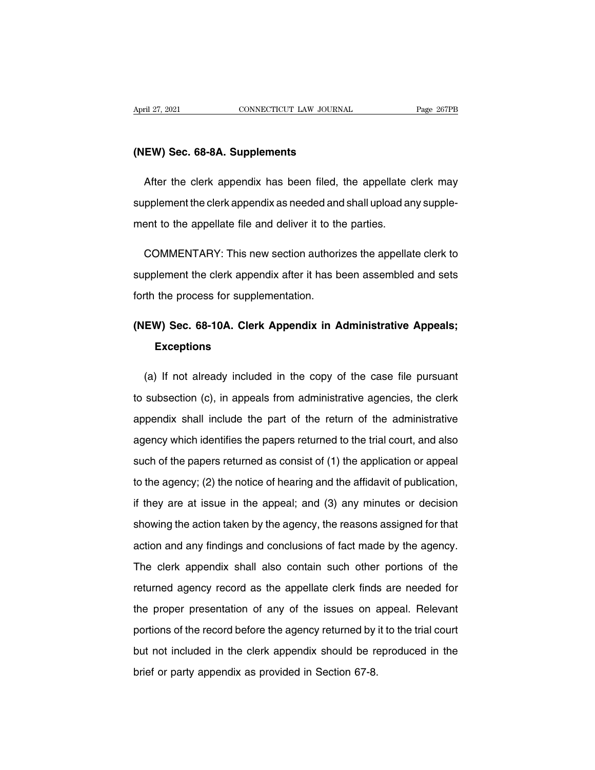# **(NEW) Sec. 68-8A. Supplements**

Form 27, 2021<br>
EW) Sec. 68-8A. Supplements<br>
After the clerk appendix has been filed, the appellate clerk may<br>
pplement the clerk appendix as needed and shall upload any supple-(NEW) Sec. 68-8A. Supplements<br>After the clerk appendix has been filed, the appellate clerk may<br>supplement the clerk appendix as needed and shall upload any supple-<br>ment to the appellate file and deliver it to the parties. (NEW) Sec. 68-8A. Supplements<br>After the clerk appendix has been filed, the appellate of<br>supplement the clerk appendix as needed and shall upload are<br>ment to the appellate file and deliver it to the parties. After the clerk appendix has been filed, the appellate clerk may<br>pplement the clerk appendix as needed and shall upload any supple-<br>ent to the appellate file and deliver it to the parties.<br>COMMENTARY: This new section auth

supplement the clerk appendix as needed and shall upload any supplement to the appellate file and deliver it to the parties.<br>COMMENTARY: This new section authorizes the appellate clerk to<br>supplement the clerk appendix afte ment to the appellate file and deliver it to the parties.<br>COMMENTARY: This new section authorizes the appellate clerk to<br>supplement the clerk appendix after it has been assembled and sets<br>forth the process for supplementat COMMENTARY: This new section authorizes the appellate clerk to<br>supplement the clerk appendix after it has been assembled and sets<br>forth the process for supplementation.<br>(NEW) Sec. 68-10A. Clerk Appendix in Administrative A

### **Exceptions**

EW) Sec. 68-10A. Clerk Appendix in Administrative Appeals;<br>Exceptions<br>(a) If not already included in the copy of the case file pursuant<br>subsection (c), in appeals from administrative agencies, the clerk (NEW) Sec. 68-10A. Clerk Appendix in Administrative Appeals;<br>Exceptions<br>(a) If not already included in the copy of the case file pursuant<br>to subsection (c), in appeals from administrative agencies, the clerk<br>appendix shall Exceptions<br>
(a) If not already included in the copy of the case file pursuant<br>
to subsection (c), in appeals from administrative agencies, the clerk<br>
appendix shall include the part of the return of the administrative<br>
age (a) If not already included in the copy of the case file pursuant<br>to subsection (c), in appeals from administrative agencies, the clerk<br>appendix shall include the part of the return of the administrative<br>agency which ident to subsection (c), in appeals from administrative agencies, the clerk<br>appendix shall include the part of the return of the administrative<br>agency which identifies the papers returned to the trial court, and also<br>such of the appendix shall include the part of the return of the administrative<br>agency which identifies the papers returned to the trial court, and also<br>such of the papers returned as consist of (1) the application or appeal<br>to the ag if they are at issue in the appers returned to the trial court, and also<br>such of the papers returned as consist of (1) the application or appeal<br>to the agency; (2) the notice of hearing and the affidavit of publication,<br>if such of the papers returned as consist of (1) the application or appeal<br>to the agency; (2) the notice of hearing and the affidavit of publication,<br>if they are at issue in the appeal; and (3) any minutes or decision<br>showing to the agency; (2) the notice of hearing and the affidavit of publication,<br>if they are at issue in the appeal; and (3) any minutes or decision<br>showing the action taken by the agency, the reasons assigned for that<br>action an If they are at issue in the appeal; and (3) any minutes or decision<br>showing the action taken by the agency, the reasons assigned for that<br>action and any findings and conclusions of fact made by the agency.<br>The clerk append showing the action taken by the agency, the reasons assigned for that<br>action and any findings and conclusions of fact made by the agency.<br>The clerk appendix shall also contain such other portions of the<br>returned agency rec action and any findings and conclusions of fact made by the agency.<br>The clerk appendix shall also contain such other portions of the<br>returned agency record as the appellate clerk finds are needed for<br>the proper presentatio The clerk appendix shall also contain such other portions of the returned agency record as the appellate clerk finds are needed for the proper presentation of any of the issues on appeal. Relevant portions of the record be returned agency record as the appellate clerk finds are needed for<br>the proper presentation of any of the issues on appeal. Relevant<br>portions of the record before the agency returned by it to the trial court<br>but not include the proper presentation of any of the issues on appeal. Relevant<br>portions of the record before the agency returned by it to the trial court<br>but not included in the clerk appendix should be reproduced in the<br>brief or party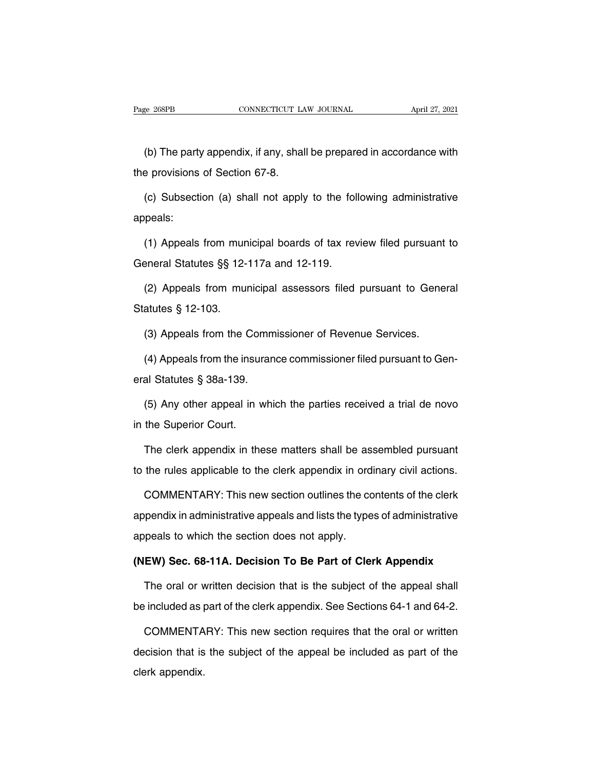EXET CONNECTICUT LAW JOURNAL April 27, 2021<br>
(b) The party appendix, if any, shall be prepared in accordance with<br>
Expressions of Section 67-8. Page 268PB CONNECTICUT LA<br>
(b) The party appendix, if any, shall<br>
the provisions of Section 67-8.<br>
(c) Subsection (a) shall not annual

(b) The party appendix, if any, shall be prepared in accordance with<br>e provisions of Section 67-8.<br>(c) Subsection (a) shall not apply to the following administrative<br>peals: appeals: e provisions of Section 67-8.<br>
(c) Subsection (a) shall not apply to the following administrative<br>
peals:<br>
(1) Appeals from municipal boards of tax review filed pursuant to<br>
eneral Statutes §§ 12-117a and 12-119. (c) Subsection (a) shall not apply to the foll<br>appeals:<br>(1) Appeals from municipal boards of tax rev<br>General Statutes  $\S$  12-117a and 12-119.<br>(2) Appeals from municipal assessors filed

peals:<br>(1) Appeals from municipal boards of tax review filed pursuant to<br>eneral Statutes §§ 12-117a and 12-119.<br>(2) Appeals from municipal assessors filed pursuant to General<br>atutes § 12-103. (1) Appeals from mur<br>General Statutes §§ 12-<br>(2) Appeals from mu<br>Statutes § 12-103.<br>(3) Appeals from the (

99 Beneral Statutes §§ 12-117a and 12-119.<br>
2) Appeals from municipal assessors filed pursuant to Generatutes § 12-103.<br>
2) Appeals from the Commissioner of Revenue Services.<br>
4) Appeals from the insurance commissioner fil

(2) Appeals from municipal assessors filed pursuant to General<br>atutes § 12-103.<br>(3) Appeals from the Commissioner of Revenue Services.<br>(4) Appeals from the insurance commissioner filed pursuant to Gen-<br>al Statutes § 38a-1 Statutes § 12-103.<br>
(3) Appeals from the Comm<br>
(4) Appeals from the insuran<br>
eral Statutes § 38a-139.<br>
(5) Any other appeal in whi (4) Appeals from the insureral Statutes  $\S$  38a-139.<br>(5) Any other appeal in v<br>in the Superior Court.<br>The clerk appendix in the

(3) Appeals from the Commissioner of Revenue Services.<br>
(4) Appeals from the insurance commissioner filed pursuant to Gen-<br>
al Statutes § 38a-139.<br>
(5) Any other appeal in which the parties received a trial de novo<br>
the Su al Statutes § 38a-139.<br>
(5) Any other appeal in which the parties received a trial de novo<br>
the Superior Court.<br>
The clerk appendix in these matters shall be assembled pursuant<br>
the rules applicable to the clerk appendix i (5) Any other appeal in which the parties received a trial de novo<br>in the Superior Court.<br>The clerk appendix in these matters shall be assembled pursuant<br>to the rules applicable to the clerk appendix in ordinary civil acti

the Superior Court.<br>The clerk appendix in these matters shall be assembled pursuant<br>the rules applicable to the clerk appendix in ordinary civil actions.<br>COMMENTARY: This new section outlines the contents of the clerk<br>pend The clerk appendix in these matters shall be assembled pursuant<br>to the rules applicable to the clerk appendix in ordinary civil actions.<br>COMMENTARY: This new section outlines the contents of the clerk<br>appendix in administr to the rules applicable to the clerk appendix in ord<br>COMMENTARY: This new section outlines the co<br>appendix in administrative appeals and lists the type<br>appeals to which the section does not apply.<br>(NEW) Sec. 68-11A. Decisi COMMENTARY: This new section outlines the contents of the clerk<br>appendix in administrative appeals and lists the types of administrative<br>appeals to which the section does not apply.<br>**(NEW) Sec. 68-11A. Decision To Be Part** pendix in administrative appeals and lists the types of administrative<br>peals to which the section does not apply.<br>**EW) Sec. 68-11A. Decision To Be Part of Clerk Appendix**<br>The oral or written decision that is the subject of

appeals to which the section does not apply.<br>
(NEW) Sec. 68-11A. Decision To Be Part of Clerk Appendix<br>
The oral or written decision that is the subject of the appeal shall<br>
be included as part of the clerk appendix. See S

EW) Sec. 68-11A. Decision To Be Part of Clerk Appendix<br>The oral or written decision that is the subject of the appeal shall<br>included as part of the clerk appendix. See Sections 64-1 and 64-2.<br>COMMENTARY: This new section r The oral or written decision that is the subject of the appeal shall<br>be included as part of the clerk appendix. See Sections 64-1 and 64-2.<br>COMMENTARY: This new section requires that the oral or written<br>decision that is th be included as p<br>COMMENTA<br>decision that is<br>clerk appendix.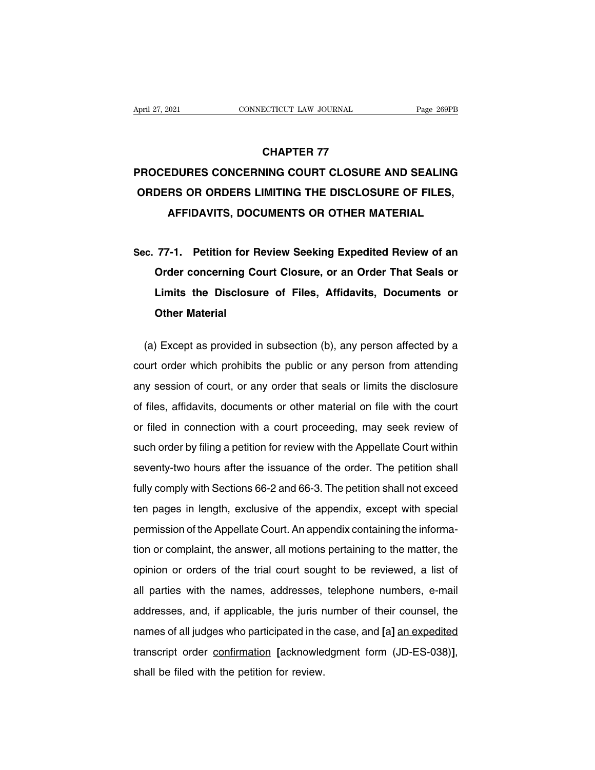### **ECTICUT LAW JOURNAL<br>CHAPTER 77<br>CHAPTER 77<br>VING COURT CLOSURE** April 27, 2021 CONNECTICUT LAW JOURNAL Page 269PB<br> **CHAPTER 77<br>
PROCEDURES CONCERNING COURT CLOSURE AND SEALING**<br> **ORDERS OR ORDERS LIMITING THE DISCLOSURE OF FILES, CHAPTER 77<br>PROCEDURES CONCERNING COURT CLOSURE AND SEALING<br>ORDERS OR ORDERS LIMITING THE DISCLOSURE OF FILES,<br>AFFIDAVITS, DOCUMENTS OR OTHER MATERIAL CHAPTER 77<br>EDURES CONCERNING COURT CLOSURE AND SEALING<br>RS OR ORDERS LIMITING THE DISCLOSURE OF FILES,<br>AFFIDAVITS, DOCUMENTS OR OTHER MATERIAL SEALING ORDERS CONCERNING COONT CLOSORE AND SEALING**<br> **SEC. 77-1.** Petition for Review Seeking Expedited Review of an<br> **Sec.** 77-1. Petition for Review Seeking Expedited Review of an<br> **Order concerning Court Closure, or**

**DEAS OR ORDERS LIMITING THE DISCLOSORE OF FILES,<br>AFFIDAVITS, DOCUMENTS OR OTHER MATERIAL<br>77-1. Petition for Review Seeking Expedited Review of an<br>Order concerning Court Closure, or an Order That Seals or<br>Limits the Disclo Limits the Discloments on OTHER MATERIAL**<br>177-1. Petition for Review Seeking Expedited Review of an<br>Order concerning Court Closure, or an Order That Seals or<br>Limits the Disclosure of Files, Affidavits, Documents or<br>Other Sec. 77-1. Petition for Review Seeking Expedited Review of an<br>Order concerning Court Closure, or an Order That Seals or<br>Limits the Disclosure of Files, Affidavits, Documents or<br>Other Material<br>(a) Except as provided in subs Order concerning Court Closure, or an Order That Seals or<br>Limits the Disclosure of Files, Affidavits, Documents or<br>Other Material<br>(a) Except as provided in subsection (b), any person affected by a<br>urt order which prohibits

Limits the Disclosure of Files, Affidavits, Documents or<br>
Other Material<br>
(a) Except as provided in subsection (b), any person affected by a<br>
court order which prohibits the public or any person from attending<br>
any session Other Material<br>
(a) Except as provided in subsection (b), any person affected by a<br>
court order which prohibits the public or any person from attending<br>
any session of court, or any order that seals or limits the disclosur (a) Except as provided in subsection (b), any person affected by a court order which prohibits the public or any person from attending any session of court, or any order that seals or limits the disclosure of files, affida court order which prohibits the public or any person from attending<br>any session of court, or any order that seals or limits the disclosure<br>of files, affidavits, documents or other material on file with the court<br>or filed such order which prohibite the pasks of any person from attending<br>any session of court, or any order that seals or limits the disclosure<br>of files, affidavits, documents or other material on file with the court<br>or filed in of files, affidavits, documents or other material on file with the court<br>or filed in connection with a court proceeding, may seek review of<br>such order by filing a petition for review with the Appellate Court within<br>seventy or filed in connection with a court proceeding, may seek review of<br>such order by filing a petition for review with the Appellate Court within<br>seventy-two hours after the issuance of the order. The petition shall<br>fully comp side in demission with a boatt proceeding, may been review of<br>such order by filing a petition for review with the Appellate Court within<br>seventy-two hours after the issuance of the order. The petition shall<br>fully comply wi such order by filing a petition for review with the Appellate Court within<br>seventy-two hours after the issuance of the order. The petition shall<br>fully comply with Sections 66-2 and 66-3. The petition shall not exceed<br>ten p fully comply with Sections 66-2 and 66-3. The petition shall not exceed<br>ten pages in length, exclusive of the appendix, except with special<br>permission of the Appellate Court. An appendix containing the informa-<br>tion or com opinion or orders of the trial court. An appendix, except with special permission of the Appellate Court. An appendix containing the information or complaint, the answer, all motions pertaining to the matter, the opinion o all parties with the names, addresses, telephone numbers, e-mail addresses, and, if applicable, the juris number of their counsel, the addresses, and, if applicable, the juris number of their counsel, the matter and addres benmesion of the reppondix occurrival ppendix containing the internal<br>tion or complaint, the answer, all motions pertaining to the matter, the<br>opinion or orders of the trial court sought to be reviewed, a list of<br>all parti names of all parties with the names, addresses, telephone numbers, e-mail<br>addresses, and, if applicable, the juris number of their counsel, the<br>names of all judges who participated in the case, and [a] an expedited<br>transcr for parties with the names, addresses, telephone numbers, e-mail addresses, and, if applicable, the juris number of their counsel, the names of all judges who participated in the case, and [a] an expedited transcript order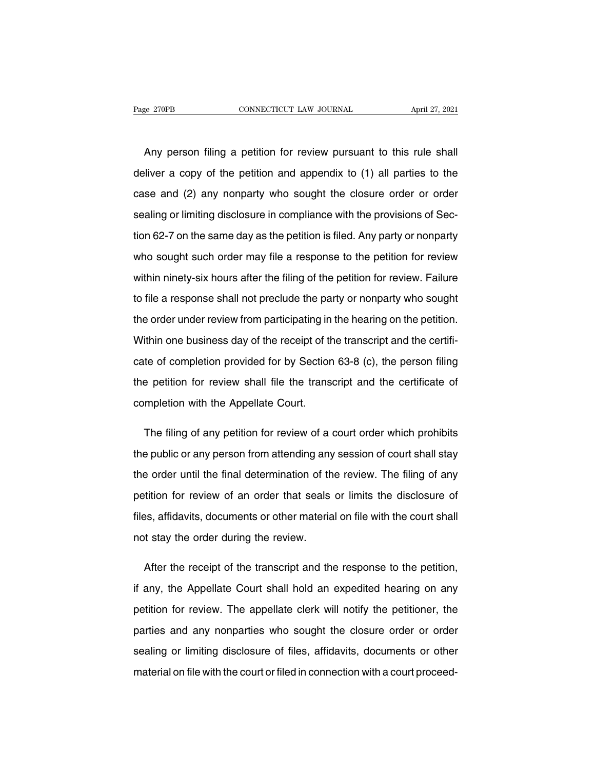EXTER EXTERN CONNECTICUT LAW JOURNAL April 27, 2021<br>Any person filing a petition for review pursuant to this rule shall<br>Any person filing a petition for review pursuant to this rule shall Page 270PB CONNECTICUT LAW JOURNAL April 27, 2021<br>
Any person filing a petition for review pursuant to this rule shall<br>
deliver a copy of the petition and appendix to (1) all parties to the<br>
case and (2) any nonparty who s Any person filing a petition for review pursuant to this rule shall<br>deliver a copy of the petition and appendix to (1) all parties to the<br>case and (2) any nonparty who sought the closure order or order<br>sealing or limiting Any person filing a petition for review pursuant to this rule shall<br>deliver a copy of the petition and appendix to (1) all parties to the<br>case and (2) any nonparty who sought the closure order or order<br>sealing or limiting deliver a copy of the petition and appendix to (1) all parties to the<br>case and (2) any nonparty who sought the closure order or order<br>sealing or limiting disclosure in compliance with the provisions of Sec-<br>tion 62-7 on th case and (2) any nonparty who sought the closure order or order<br>sealing or limiting disclosure in compliance with the provisions of Sec-<br>tion 62-7 on the same day as the petition is filed. Any party or nonparty<br>who sought sealing or limiting disclosure in compliance with the provisions of Section 62-7 on the same day as the petition is filed. Any party or nonparty who sought such order may file a response to the petition for review. Within tion 62-7 on the same day as the petition is filed. Any party or nonparty<br>who sought such order may file a response to the petition for review<br>within ninety-six hours after the filing of the petition for review. Failure<br>to who sought such order may file a response to the petition for review<br>within ninety-six hours after the filing of the petition for review. Failure<br>to file a response shall not preclude the party or nonparty who sought<br>the o who sought such order may file a response to the petition for review<br>within ninety-six hours after the filing of the petition for review. Failure<br>to file a response shall not preclude the party or nonparty who sought<br>the o to file a response shall not preclude the party or nonparty who sought<br>the order under review from participating in the hearing on the petition.<br>Within one business day of the receipt of the transcript and the certifi-<br>cat the order under review from participating in the hearing on the petition.<br>Within one business day of the receipt of the transcript and the certificate of completion provided for by Section 63-8 (c), the person filing<br>the p Within one business day of the receipt of the cate of completion provided for by Section<br>the petition for review shall file the trans<br>completion with the Appellate Court. te of completion provided for by Section 63-8 (c), the person filing<br>
e petition for review shall file the transcript and the certificate of<br>
mpletion with the Appellate Court.<br>
The filing of any petition for review of a c

the petition for review shall file the transcript and the certificate of<br>completion with the Appellate Court.<br>The filing of any petition for review of a court order which prohibits<br>the public or any person from attending a the filing of any petition for review of a court order which prohibits<br>the public or any person from attending any session of court shall stay<br>the order until the final determination of the review. The filing of any<br>petiti The filing of any petition for review of a court order which prohibits<br>the public or any person from attending any session of court shall stay<br>the order until the final determination of the review. The filing of any<br>petiti the public or any person from attending any session of court shall stay<br>the order until the final determination of the review. The filing of any<br>petition for review of an order that seals or limits the disclosure of<br>files, the order until the final determination of the petition for review of an order that seals files, affidavits, documents or other materia not stay the order during the review. is the disclosure of<br>the review of an order that seals or limits the disclosure of<br>thes, affidavits, documents or other material on file with the court shall<br>to taty the order during the review.<br>After the receipt of the tr

files, affidavits, documents or other material on file with the court shall<br>not stay the order during the review.<br>After the receipt of the transcript and the response to the petition,<br>if any, the Appellate Court shall hold not stay the order during the review.<br>
After the receipt of the transcript and the response to the petition,<br>
if any, the Appellate Court shall hold an expedited hearing on any<br>
petition for review. The appellate clerk wil After the receipt of the transcript and the response to the petition,<br>if any, the Appellate Court shall hold an expedited hearing on any<br>petition for review. The appellate clerk will notify the petitioner, the<br>parties and if any, the Appellate Court shall hold an expedited hearing on any<br>petition for review. The appellate clerk will notify the petitioner, the<br>parties and any nonparties who sought the closure order or order<br>sealing or limiti petition for review. The appellate clerk will notify the petitioner, the parties and any nonparties who sought the closure order or order sealing or limiting disclosure of files, affidavits, documents or other material on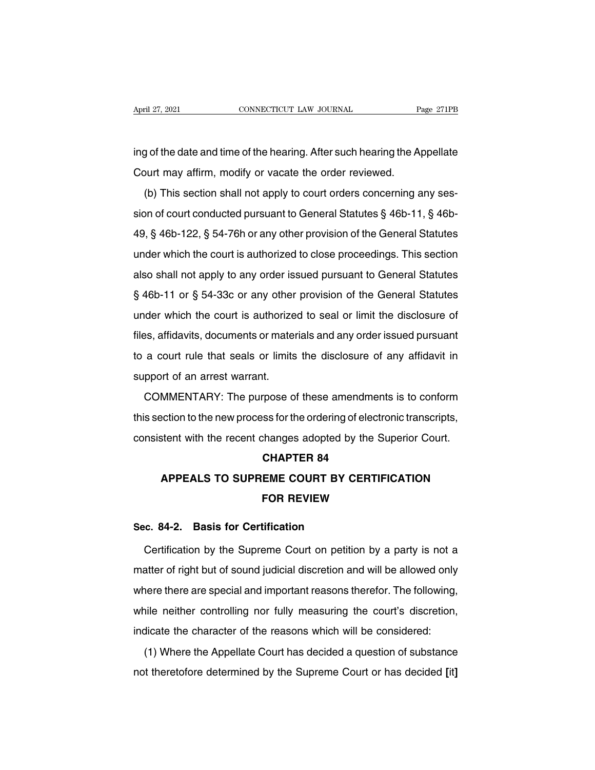April 27, 2021 CONNECTICUT LAW JOURNAL Page 271PB<br>
ing of the date and time of the hearing. After such hearing the Appellate<br>
Court may affirm, modify or vacate the order reviewed. April 27, 2021 CONNECTICUT LAW JOURNAL<br>
ing of the date and time of the hearing. After such hearing the A<br>
Court may affirm, modify or vacate the order reviewed.<br>
(b) This section shall not apply to court orders concerning

(b) yof the date and time of the hearing. After such hearing the Appellate<br>burt may affirm, modify or vacate the order reviewed.<br>(b) This section shall not apply to court orders concerning any ses-<br>on of court conducted pu ing of the date and time of the hearing. After such hearing the Appellate<br>Court may affirm, modify or vacate the order reviewed.<br>(b) This section shall not apply to court orders concerning any ses-<br>sion of court conducted Frager are date and alter or anomountly. Then eder reviewed.<br>
(b) This section shall not apply to court orders concerning any ses-<br>
sion of court conducted pursuant to General Statutes § 46b-11, § 46b-<br>
49, § 46b-122, § 54 (b) This section shall not apply to court orders concerning any session of court conducted pursuant to General Statutes  $\S$  46b-11,  $\S$  46b-49,  $\S$  46b-122,  $\S$  54-76h or any other provision of the General Statutes under (b) This section shall not apply to search statutes  $\S$  46b-11,  $\S$  46b-49,  $\S$  46b-122,  $\S$  54-76h or any other provision of the General Statutes under which the court is authorized to close proceedings. This section als 49, § 46b-122, § 54-76h or any other provision of the General Statutes<br>under which the court is authorized to close proceedings. This section<br>also shall not apply to any order issued pursuant to General Statutes<br>§ 46b-11 under which the court is authorized to close proceedings. This section<br>also shall not apply to any order issued pursuant to General Statutes<br> $$46b-11$  or  $$54-33c$  or any other provision of the General Statutes<br>under whic also shall not apply to any order issued pursuant to General Statutes<br>§ 46b-11 or § 54-33c or any other provision of the General Statutes<br>under which the court is authorized to seal or limit the disclosure of<br>files, affida  $\S$  46b-11 or  $\S$  54-33c or any other provision of the General Statutes<br>under which the court is authorized to seal or limit the disclosure of<br>files, affidavits, documents or materials and any order issued pursuant<br>to a c s for the system of any different<br>under which the court is authorize<br>files, affidavits, documents or mate<br>to a court rule that seals or limits<br>support of an arrest warrant.<br>COMMENTARY: The purpose o Examples and a court are contributed to search in the disclosure of<br>the pursuant a court rule that seals or limits the disclosure of any affidavit in<br>pport of an arrest warrant.<br>COMMENTARY: The purpose of these amendments

to a court rule that seals or limits the disclosure of any affidavit in<br>support of an arrest warrant.<br>COMMENTARY: The purpose of these amendments is to conform<br>this section to the new process for the ordering of electronic cold be the recent changes are distincted by the support of an arrest warrant.<br>COMMENTARY: The purpose of these amendments is to conform<br>this section to the new process for the ordering of electronic transcripts,<br>consisten Frose of these amendmer<br>
ss for the ordering of elect<br>
changes adopted by the S<br> **CHAPTER 84<br>
EME COURT BY CERTII APPEALS TO SUPREME COURT BY CERTIFICATION**<br> **APPEALS TO SUPREME COURT BY CERTIFICATION**<br> **APPEALS TO SUPREME COURT BY CERTIFICATION** 

## **Example 3 decisions that the Superior CHAPTER 84**<br>**EME COURT BY CERTIFICATIC**<br>FOR REVIEW **CHAPTER 84<br>APPEALS TO SUPREME COURT BY CE<br>FOR REVIEW<br>Sec. 84-2. Basis for Certification<br>Certification by the Supreme Court on petition**

APPEALS TO SUPREME COURT BY CERTIFICATION<br>FOR REVIEW<br>c. 84-2. Basis for Certification<br>Certification by the Supreme Court on petition by a party is not a<br>atter of right but of sound judicial discretion and will be allowed o FOR REVIEW<br>Sec. 84-2. Basis for Certification<br>Certification by the Supreme Court on petition by a party is not a<br>matter of right but of sound judicial discretion and will be allowed only<br>where there are special and importa Sec. 84-2. Basis for Certification<br>Certification by the Supreme Court on petition by a party is not a<br>matter of right but of sound judicial discretion and will be allowed only<br>where there are special and important reasons Certification by the Supreme Court on petition by a party is not a<br>matter of right but of sound judicial discretion and will be allowed only<br>where there are special and important reasons therefor. The following,<br>while neit is the capture court of potter by a party to fiet a<br>matter of right but of sound judicial discretion and will be allowed only<br>where there are special and important reasons therefor. The following,<br>while neither controlling There there are special and important reasons therefor. The following,<br>hile neither controlling nor fully measuring the court's discretion,<br>dicate the character of the reasons which will be considered:<br>(1) Where the Appell while neither controlling nor fully measuring the court's discretion,<br>indicate the character of the reasons which will be considered:<br>(1) Where the Appellate Court has decided a question of substance<br>not theretofore determ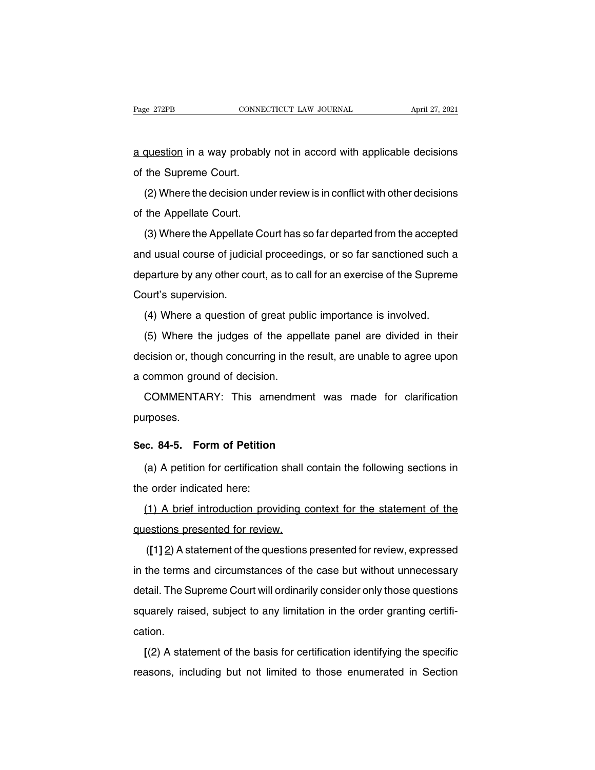Page 272PB CONNECTICUT LAW JOURNAL April 27, 2021<br>
a question in a way probably not in accord with applicable decisions<br>
of the Supreme Court. Page 272PB<br> **a** question in a way probably<br>
of the Supreme Court.<br>
(2) Where the decision und

question in a way probably not in accord with applicable decisions<br>the Supreme Court.<br>(2) Where the decision under review is in conflict with other decisions<br>the Appellate Court. a question in a way probably<br>of the Supreme Court.<br>(2) Where the decision und<br>of the Appellate Court.<br>(3) Where the Appellate Co

(2) Where the decision under review is in conflict with other decisions<br>the Appellate Court.<br>(3) Where the Appellate Court has so far departed from the accepted<br>d usual course of judicial proceedings, or so far sanctioned (2) Where the decision under review is in conflict with other decisions<br>of the Appellate Court.<br>(3) Where the Appellate Court has so far departed from the accepted<br>and usual course of judicial proceedings, or so far sancti of the Appellate Court.<br>
(3) Where the Appellate Court has so far departed from the accepted<br>
and usual course of judicial proceedings, or so far sanctioned such a<br>
departure by any other court, as to call for an exercise (3) Where the Appellate<br>and usual course of judici<br>departure by any other concourt's supervision.<br>(4) Where a question of (c) where a correlate bearmas so far apparted from the assepted<br>d usual course of judicial proceedings, or so far sanctioned such a<br>parture by any other court, as to call for an exercise of the Supreme<br>purt's supervision.<br> (5) The state of judicial proceedings, or sellar dariations deal in a<br>parture by any other court, as to call for an exercise of the Supreme<br>purt's supervision.<br>(4) Where a question of great public importance is involved.<br>(

Court's supervision.<br>
(4) Where a question of great public importance is involved.<br>
(5) Where the judges of the appellate panel are divided in their<br>
decision or, though concurring in the result, are unable to agree upon<br> (4) Where a question of great pub<br>
(5) Where the judges of the app<br>
decision or, though concurring in the<br>
a common ground of decision.<br>
COMMENTARY: This amendme (5) Where the judges of the appellate panel are divided in their cision or, though concurring in the result, are unable to agree upon common ground of decision.<br>COMMENTARY: This amendment was made for clarification rrposes

purposes. **Sec. 84-5. Form of Petition**<br> **Sec. 84-5. Form of Petition**<br> **Sec. 84-5. Form of Petition**<br> **Sec. 84-5. Form of Petition** 

(COMMENTARY: This amendment was made for clarification<br>proses.<br>(a) A petition for certification shall contain the following sections in<br>e order indicated here: purposes.<br> **Sec. 84-5. Form of Petition**<br>
(a) A petition for certification<br>
the order indicated here:<br>
(1) A brief introduction prov

(a) A petition for certification shall contain the following sections in<br>
the order indicated here:<br>
(1) A brief introduction providing context for the statement of the<br>
estions presented for review. (a) A petition for certification shall of<br>the order indicated here:<br> $(1)$  A brief introduction providing conductions presented for review.<br> $([1] 2)$  A statement of the questions (1) A brief introduction providing context for the statement of the<br>
estions presented for review.<br>
([1] 2) A statement of the questions presented for review, expressed<br>
the terms and circumstances of the case but without

(1) A brief introduction providing context for the statement of the questions presented for review.<br>
([1] 2) A statement of the questions presented for review, expressed<br>
in the terms and circumstances of the case but with questions presented for review.<br>
([1] 2) A statement of the questions presented for review, expressed<br>
in the terms and circumstances of the case but without unnecessary<br>
detail. The Supreme Court will ordinarily consider ([1] 2) A statement of the questions presented for review, expressed<br>in the terms and circumstances of the case but without unnecessary<br>detail. The Supreme Court will ordinarily consider only those questions<br>squarely raise cation. Itail. The Supreme Court will ordinarily consider only those questions<br>uarely raised, subject to any limitation in the order granting certifi-<br>tion.<br>[(2) A statement of the basis for certification identifying the specific<br> reasons, including but not limited to those enumerated in Section<br>reasons, including but not limited to those enumerated in Section<br>reasons, including but not limited to those enumerated in Section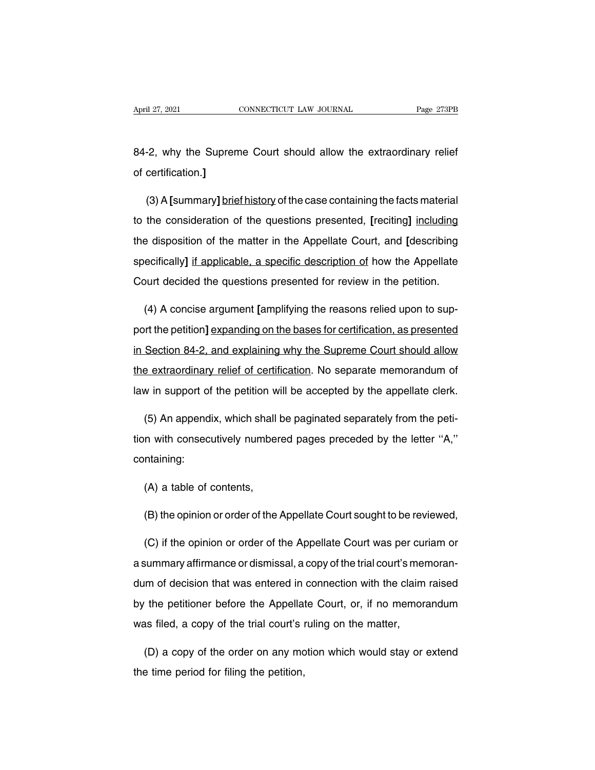April 27, 2021<br>
CONNECTICUT LAW JOURNAL<br>
B4-2, why the Supreme Court should allow the extraordinary relief<br>
of certification.] April 27, 2021<br>**84-2, why the Supren<br>of certification.]**<br>(2) A Journman divide

-2, why the Supreme Court should allow the extraordinary relief<br>certification.]<br>(3) A [summary] <u>brief history</u> of the case containing the facts material<br>the consideration of the questions presented, [reciting] including to the consideration of the consideration of the case containing the facts material<br>is to the consideration of the questions presented, [reciting] including<br>the disposition of the matter in the Appellate Court, and [descri of certification.]<br>
(3) A [summary] brief history of the case containing the facts material<br>
to the consideration of the questions presented, [reciting] including<br>
the disposition of the matter in the Appellate Court, and (3) A [summary] brief history of the case containing the facts material<br>to the consideration of the questions presented, [reciting] including<br>the disposition of the matter in the Appellate Court, and [description<br>specifica to the consideration of the questions presented, [reciting] including<br>the disposition of the matter in the Appellate Court, and [describing<br>specifically] <u>if applicable, a specific description of</u> how the Appellate<br>Court d e disposition of the matter in the Appellate Court, and [describing ecifically] if applicable, a specific description of how the Appellate burt decided the questions presented for review in the petition.<br>(4) A concise argu

specifically] if applicable, a specific description of how the Appellate<br>Court decided the questions presented for review in the petition.<br>(4) A concise argument [amplifying the reasons relied upon to sup-<br>port the petitio Court decided the questions presented for review in the petition.<br>
(4) A concise argument [amplifying the reasons relied upon to sup-<br>
port the petition] expanding on the bases for certification, as presented<br>
in Section 8 (4) A concise argument [amplifying the reasons relied upon to support the petition] expanding on the bases for certification, as presented in Section 84-2, and explaining why the Supreme Court should allow the extraordinar port the petition] expanding on the bases for certification, as presented<br>in Section 84-2, and explaining why the Supreme Court should allow<br>the extraordinary relief of certification. No separate memorandum of<br>law in supp Section 84-2, and explaining why the Supreme Court should allow<br>
get extraordinary relief of certification. No separate memorandum of<br>
w in support of the petition will be accepted by the appellate clerk.<br>
(5) An appendix,

the extraordinary relief of certification. No separate memorandum of<br>law in support of the petition will be accepted by the appellate clerk.<br>(5) An appendix, which shall be paginated separately from the peti-<br>tion with con containing: (5) An appendix, which shall<br>n with consecutively number<br>ntaining:<br>(A) a table of contents,<br> $\langle P \rangle$  the opinion or erder of the m with consecutively numbered pages preceded by the letter "A,"<br>
(A) a table of contents,<br>
(B) the opinion or order of the Appellate Court sought to be reviewed,<br>
(C) if the opinion or order of the Appellate Court was per

(A) a table of contents,<br>
(B) the opinion or order of the Appellate Court sought to be reviewed,<br>
(C) if the opinion or order of the Appellate Court was per curiam or<br>
summary affirmance or dismissal, a copy of the trial c (A) a table of contents,<br>
(B) the opinion or order of the Appellate Court sought to be reviewed,<br>
(C) if the opinion or order of the Appellate Court was per curiam or<br>
a summary affirmance or dismissal, a copy of the trial (B) the opinion or order of the Appellate Court sought to be reviewed,<br>
(C) if the opinion or order of the Appellate Court was per curiam or<br>
a summary affirmance or dismissal, a copy of the trial court's memoran-<br>
dum of (C) if the opinion or order of the Appellate Court was per curiam or<br>a summary affirmance or dismissal, a copy of the trial court's memoran-<br>dum of decision that was entered in connection with the claim raised<br>by the petit a summary affirmance or dismissal, a copy of the trial court's mer<br>dum of decision that was entered in connection with the claim<br>by the petitioner before the Appellate Court, or, if no memora<br>was filed, a copy of the tria Im of decision that was entered in connection with the claim raised<br>
the petitioner before the Appellate Court, or, if no memorandum<br>
as filed, a copy of the trial court's ruling on the matter,<br>
(D) a copy of the order on by the petitioner before the Appellam<br>was filed, a copy of the trial court's i<br>(D) a copy of the order on any mor<br>the time period for filing the petition,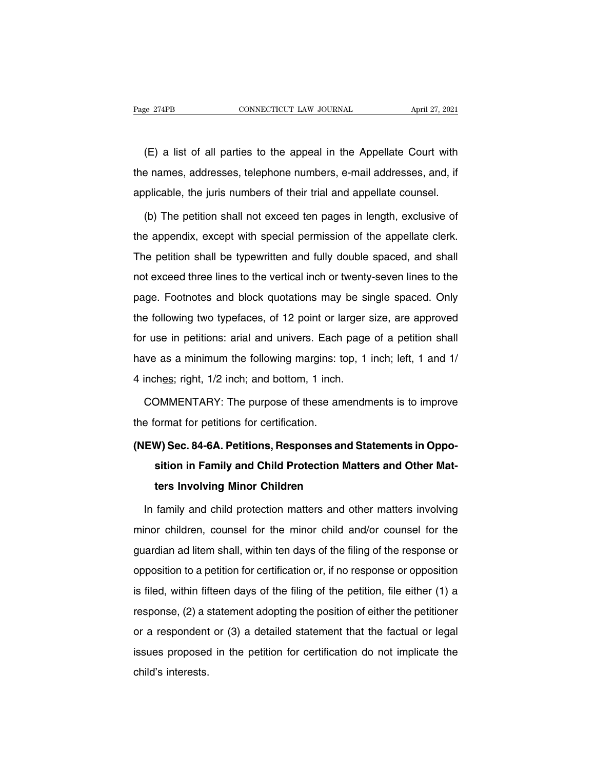EXECTE AND THE READ CONSECTIOUT CONSECTIOUT CAN JOURNAL April 27, 2021<br>(E) a list of all parties to the appeal in the Appellate Court with<br>e names, addresses, telephone numbers, e-mail addresses, and, if The names, and the names, addresses, telephone numbers, e-mail addresses, and, if applicable, the juris numbers of their trial and appellate counsel. (E) a list of all parties to the appeal in the Appellate Court with<br>the names, addresses, telephone numbers, e-mail addresses, and, if<br>applicable, the juris numbers of their trial and appellate counsel.<br>(b) The petition sh (E) a list of all parties to the appeal in the Appellate Court with<br>e names, addresses, telephone numbers, e-mail addresses, and, if<br>plicable, the juris numbers of their trial and appellate counsel.<br>(b) The petition shall

the names, addresses, telephone numbers, e-mail addresses, and, if<br>applicable, the juris numbers of their trial and appellate counsel.<br>(b) The petition shall not exceed ten pages in length, exclusive of<br>the appendix, excep applicable, the juris numbers of their trial and appellate counsel.<br>
(b) The petition shall not exceed ten pages in length, exclusive of<br>
the appendix, except with special permission of the appellate clerk.<br>
The petition s (b) The petition shall not exceed ten pages in length, exclusive of<br>the appendix, except with special permission of the appellate clerk.<br>The petition shall be typewritten and fully double spaced, and shall<br>not exceed three (b) The petition shall het exected torl page. The appellate clerk.<br>The petition shall be typewritten and fully double spaced, and shall<br>not exceed three lines to the vertical inch or twenty-seven lines to the<br>page. Footnot The petition shall be typewritten and fully double spaced, and shall<br>not exceed three lines to the vertical inch or twenty-seven lines to the<br>page. Footnotes and block quotations may be single spaced. Only<br>the following tw for the petition shall be typewhiten and lany deable spaced, and shall<br>not exceed three lines to the vertical inch or twenty-seven lines to the<br>page. Footnotes and block quotations may be single spaced. Only<br>the following have assess and block quotations may be single spaced. Only the following two typefaces, of 12 point or larger size, are approved for use in petitions: arial and univers. Each page of a petition shall have as a minimum the page. Technolog and block quotations may be on<br>the following two typefaces, of 12 point or larger s<br>for use in petitions: arial and univers. Each page<br>have as a minimum the following margins: top, 1<br>4 inches; right, 1/2 in The intertions: arial and univers. Each page of a petition shall<br>we as a minimum the following margins: top, 1 inch; left, 1 and 1/<br>inches; right, 1/2 inch; and bottom, 1 inch.<br>COMMENTARY: The purpose of these amendments i have as a minimum the following margins: to<br>4 inches; right, 1/2 inch; and bottom, 1 inch.<br>COMMENTARY: The purpose of these an<br>the format for petitions for certification.<br>(NEW) Sec. 84-6A. Petitions, Responses are

## 4 inches; right, 1/2 inch; and bottom, 1 inch.<br>
COMMENTARY: The purpose of these amendments is to improve<br>
the format for petitions for certification.<br> **(NEW) Sec. 84-6A. Petitions, Responses and Statements in Oppo-**<br> **sit** DMMENTARY: The purpose of these amendments is to improve<br>ormat for petitions for certification.<br>**W) Sec. 84-6A. Petitions, Responses and Statements in Oppo-<br>sition in Family and Child Protection Matters and Other Mat-<br>ters** ormat for petitions for certification.<br> **W) Sec. 84-6A. Petitions, Responses and S**<br>
sition in Family and Child Protection Matt<br>
ters Involving Minor Children<br>
family and child protection matters and oth EW) Sec. 84-6A. Petitions, Responses and Statements in Opposition in Family and Child Protection Matters and Other Matters Involving Minor Children<br>In family and child protection matters and other matters involving<br>nor chi

minor children, counsel for the minor children<br>general for the minor children<br>minor children, counsel for the minor child and/or counsel for the<br>guardian ad litem shall, within ten days of the filing of the response or ters Involving Minor Children<br>
In family and child protection matters and other matters involving<br>
minor children, counsel for the minor child and/or counsel for the<br>
guardian ad litem shall, within ten days of the filing In family and child protection matters and other matters involving<br>minor children, counsel for the minor child and/or counsel for the<br>guardian ad litem shall, within ten days of the filing of the response or<br>opposition to mharing and sind precedular matters and enterminated inverting<br>minor children, counsel for the minor child and/or counsel for the<br>guardian ad litem shall, within ten days of the filing of the response or<br>opposition to a pe runct sinatent, sealiser for the filling of the filing of the response or<br>guardian ad litem shall, within ten days of the filing of the response or<br>opposition to a petition for certification or, if no response or oppositio or a respondent or a petition for certification or, if no response or opposition<br>is filed, within fifteen days of the filing of the petition, file either (1) a<br>response, (2) a statement adopting the position of either the is filed, within fifteen days of the filing of the petition, file either (1) a<br>response, (2) a statement adopting the position of either the petitioner<br>or a respondent or (3) a detailed statement that the factual or legal<br> compassed, which interests.<br>
response, (2) a s<br>
or a respondent<br>
issues proposed<br>
child's interests.